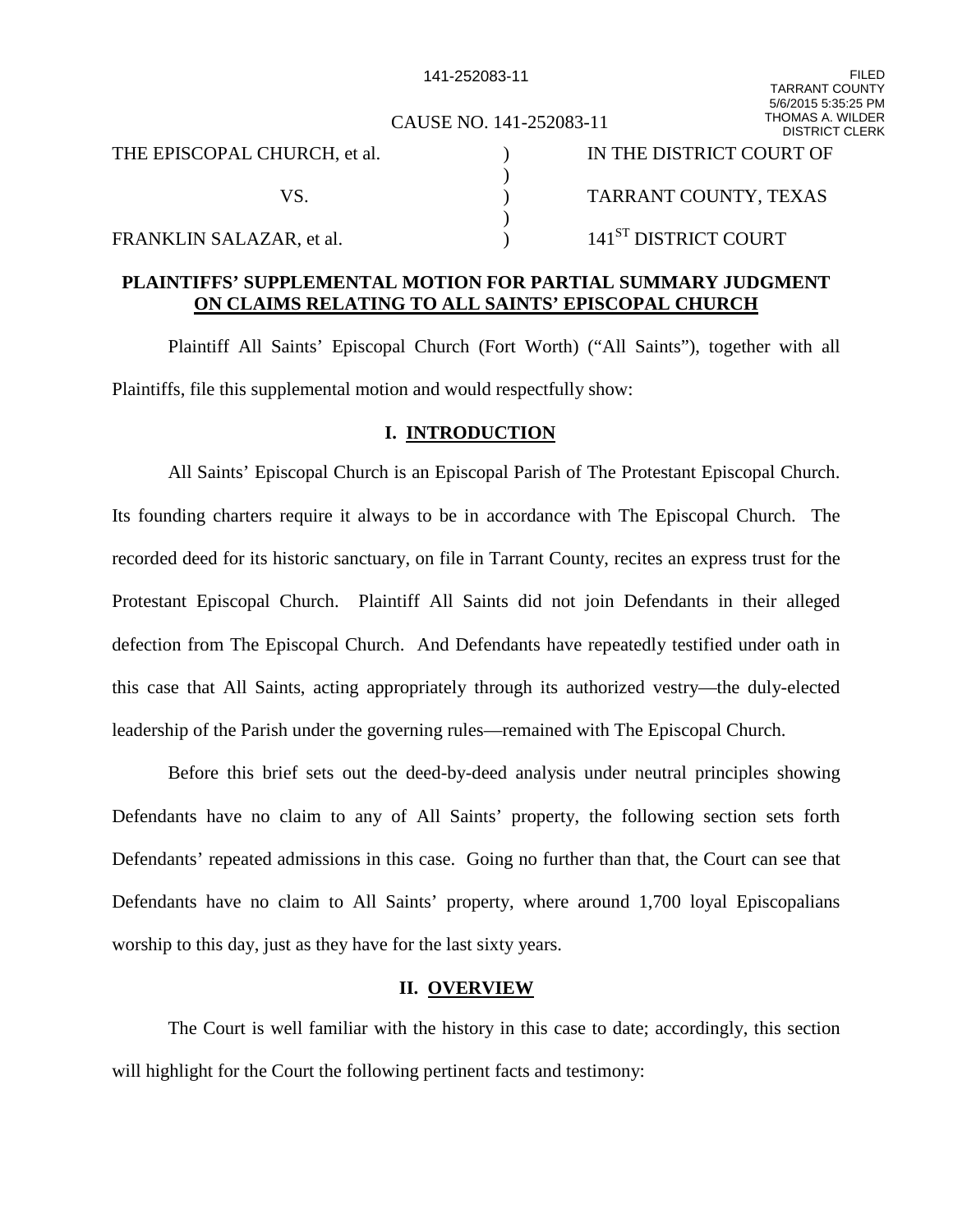CAUSE NO. 141-252083-11

|                              | <b>DIJINDI UL</b>                |
|------------------------------|----------------------------------|
| THE EPISCOPAL CHURCH, et al. | IN THE DISTRICT COURT OF         |
|                              |                                  |
|                              | TARRANT COUNTY, TEXAS            |
|                              |                                  |
| FRANKLIN SALAZAR, et al.     | $141^\mathrm{ST}$ DISTRICT COURT |

### **PLAINTIFFS' SUPPLEMENTAL MOTION FOR PARTIAL SUMMARY JUDGMENT ON CLAIMS RELATING TO ALL SAINTS' EPISCOPAL CHURCH**

Plaintiff All Saints' Episcopal Church (Fort Worth) ("All Saints"), together with all Plaintiffs, file this supplemental motion and would respectfully show:

### **I. INTRODUCTION**

All Saints' Episcopal Church is an Episcopal Parish of The Protestant Episcopal Church. Its founding charters require it always to be in accordance with The Episcopal Church. The recorded deed for its historic sanctuary, on file in Tarrant County, recites an express trust for the Protestant Episcopal Church. Plaintiff All Saints did not join Defendants in their alleged defection from The Episcopal Church. And Defendants have repeatedly testified under oath in this case that All Saints, acting appropriately through its authorized vestry—the duly-elected leadership of the Parish under the governing rules—remained with The Episcopal Church.

Before this brief sets out the deed-by-deed analysis under neutral principles showing Defendants have no claim to any of All Saints' property, the following section sets forth Defendants' repeated admissions in this case. Going no further than that, the Court can see that Defendants have no claim to All Saints' property, where around 1,700 loyal Episcopalians worship to this day, just as they have for the last sixty years.

### **II. OVERVIEW**

The Court is well familiar with the history in this case to date; accordingly, this section will highlight for the Court the following pertinent facts and testimony: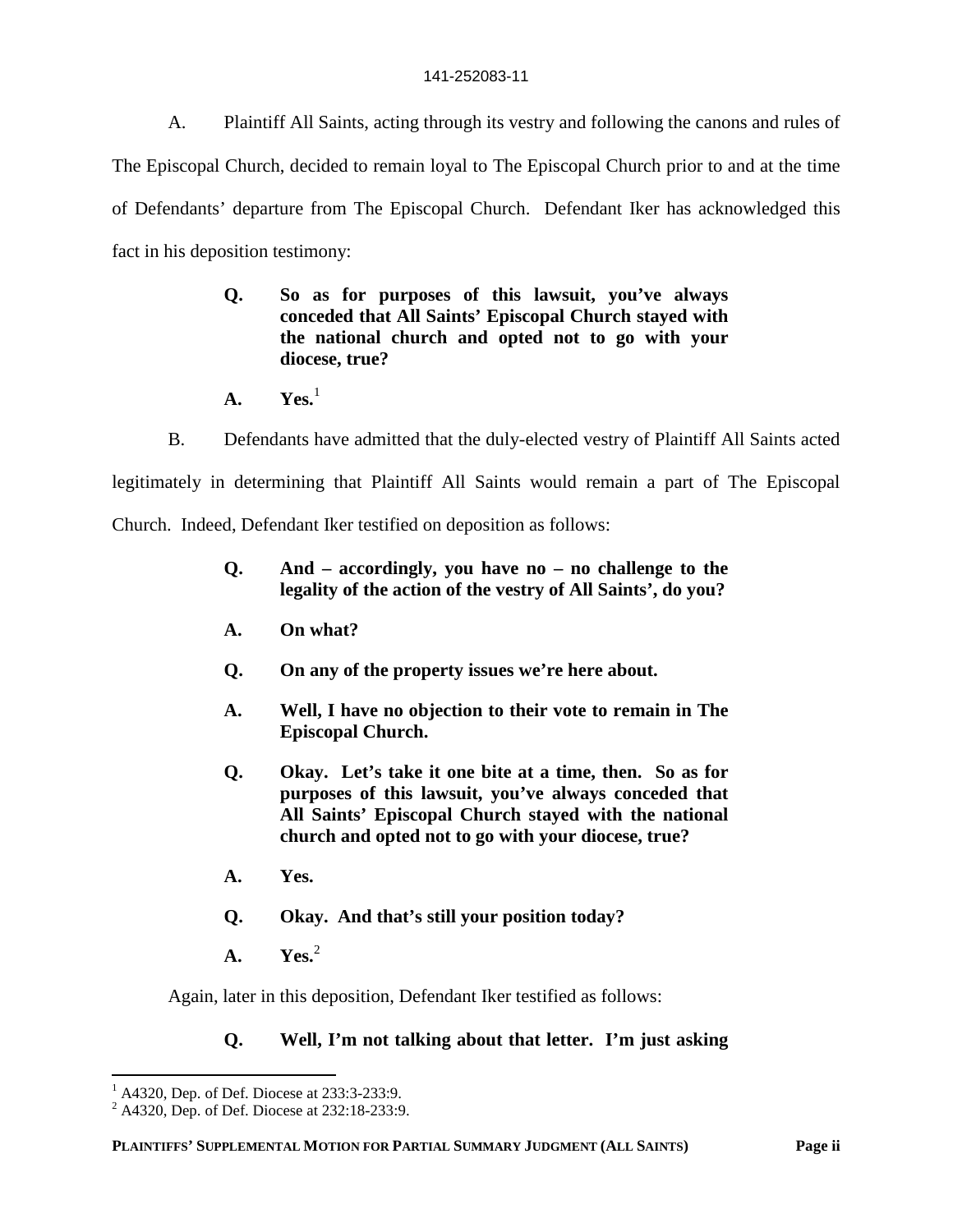A. Plaintiff All Saints, acting through its vestry and following the canons and rules of The Episcopal Church, decided to remain loyal to The Episcopal Church prior to and at the time of Defendants' departure from The Episcopal Church. Defendant Iker has acknowledged this fact in his deposition testimony:

- **Q. So as for purposes of this lawsuit, you've always conceded that All Saints' Episcopal Church stayed with the national church and opted not to go with your diocese, true?**
- **A. Yes.**<sup>1</sup>
- B. Defendants have admitted that the duly-elected vestry of Plaintiff All Saints acted

legitimately in determining that Plaintiff All Saints would remain a part of The Episcopal

Church. Indeed, Defendant Iker testified on deposition as follows:

- **Q. And accordingly, you have no no challenge to the legality of the action of the vestry of All Saints', do you?**
- **A. On what?**
- **Q. On any of the property issues we're here about.**
- **A. Well, I have no objection to their vote to remain in The Episcopal Church.**
- **Q. Okay. Let's take it one bite at a time, then. So as for purposes of this lawsuit, you've always conceded that All Saints' Episcopal Church stayed with the national church and opted not to go with your diocese, true?**
- **A. Yes.**
- **Q. Okay. And that's still your position today?**
- **A. Yes.**<sup>2</sup>

Again, later in this deposition, Defendant Iker testified as follows:

## **Q. Well, I'm not talking about that letter. I'm just asking**

 $^{1}$  A4320, Dep. of Def. Diocese at 233:3-233:9.

<sup>2</sup> A4320, Dep. of Def. Diocese at 232:18-233:9.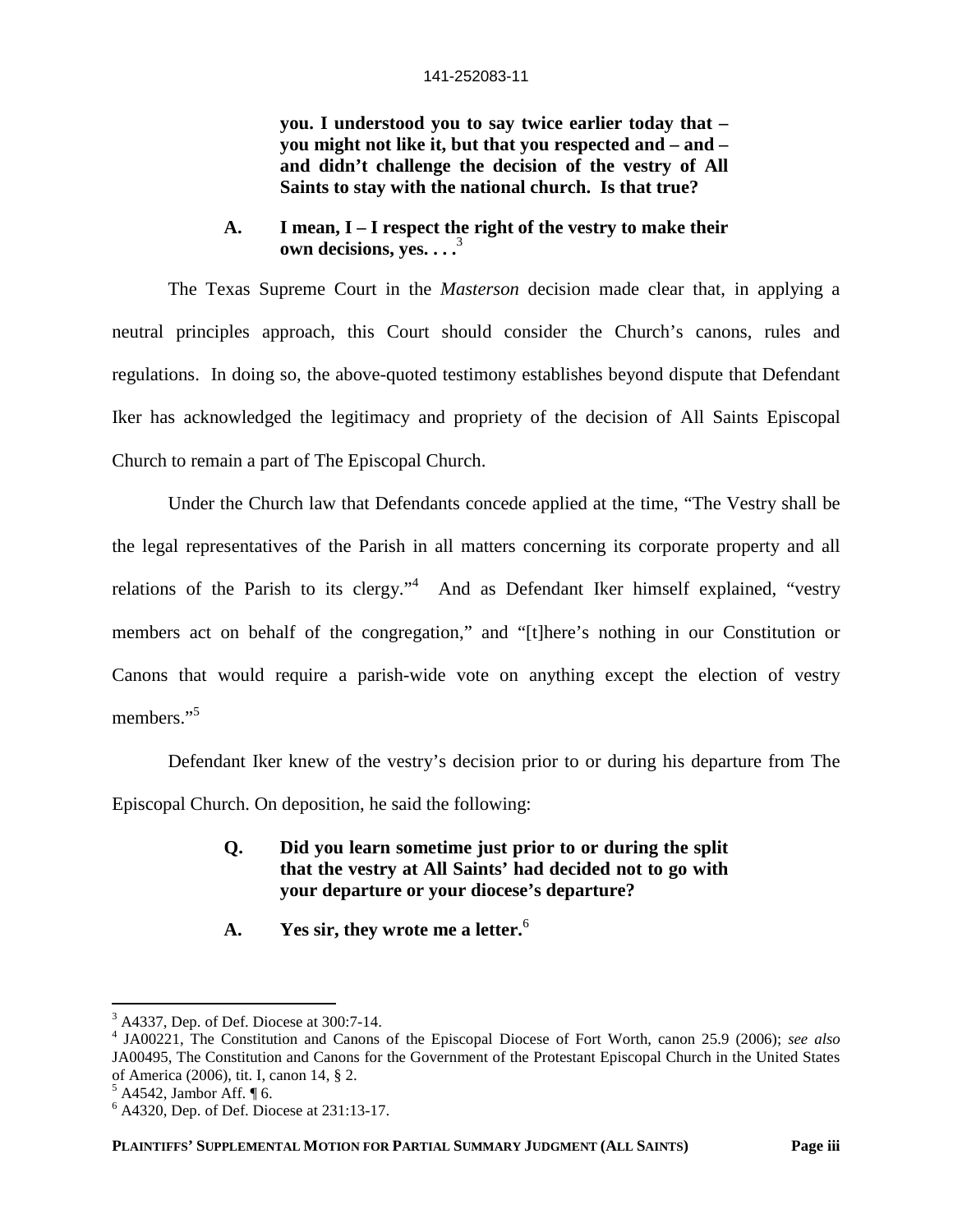**you. I understood you to say twice earlier today that – you might not like it, but that you respected and – and – and didn't challenge the decision of the vestry of All Saints to stay with the national church. Is that true?**

**A. I mean, I – I respect the right of the vestry to make their own decisions, yes. . . .**<sup>3</sup>

The Texas Supreme Court in the *Masterson* decision made clear that, in applying a neutral principles approach, this Court should consider the Church's canons, rules and regulations. In doing so, the above-quoted testimony establishes beyond dispute that Defendant Iker has acknowledged the legitimacy and propriety of the decision of All Saints Episcopal Church to remain a part of The Episcopal Church.

Under the Church law that Defendants concede applied at the time, "The Vestry shall be the legal representatives of the Parish in all matters concerning its corporate property and all relations of the Parish to its clergy."<sup>4</sup> And as Defendant Iker himself explained, "vestry members act on behalf of the congregation," and "[t]here's nothing in our Constitution or Canons that would require a parish-wide vote on anything except the election of vestry members."<sup>5</sup>

Defendant Iker knew of the vestry's decision prior to or during his departure from The Episcopal Church. On deposition, he said the following:

### **Q. Did you learn sometime just prior to or during the split that the vestry at All Saints' had decided not to go with your departure or your diocese's departure?**

**A. Yes sir, they wrote me a letter.**<sup>6</sup>

 $3$  A4337, Dep. of Def. Diocese at 300:7-14.

<sup>4</sup> JA00221, The Constitution and Canons of the Episcopal Diocese of Fort Worth, canon 25.9 (2006); *see also* JA00495, The Constitution and Canons for the Government of the Protestant Episcopal Church in the United States of America (2006), tit. I, canon 14, § 2.

 $<sup>5</sup>$  A4542, Jambor Aff.  $\P$  6.</sup>

<sup>6</sup> A4320, Dep. of Def. Diocese at 231:13-17.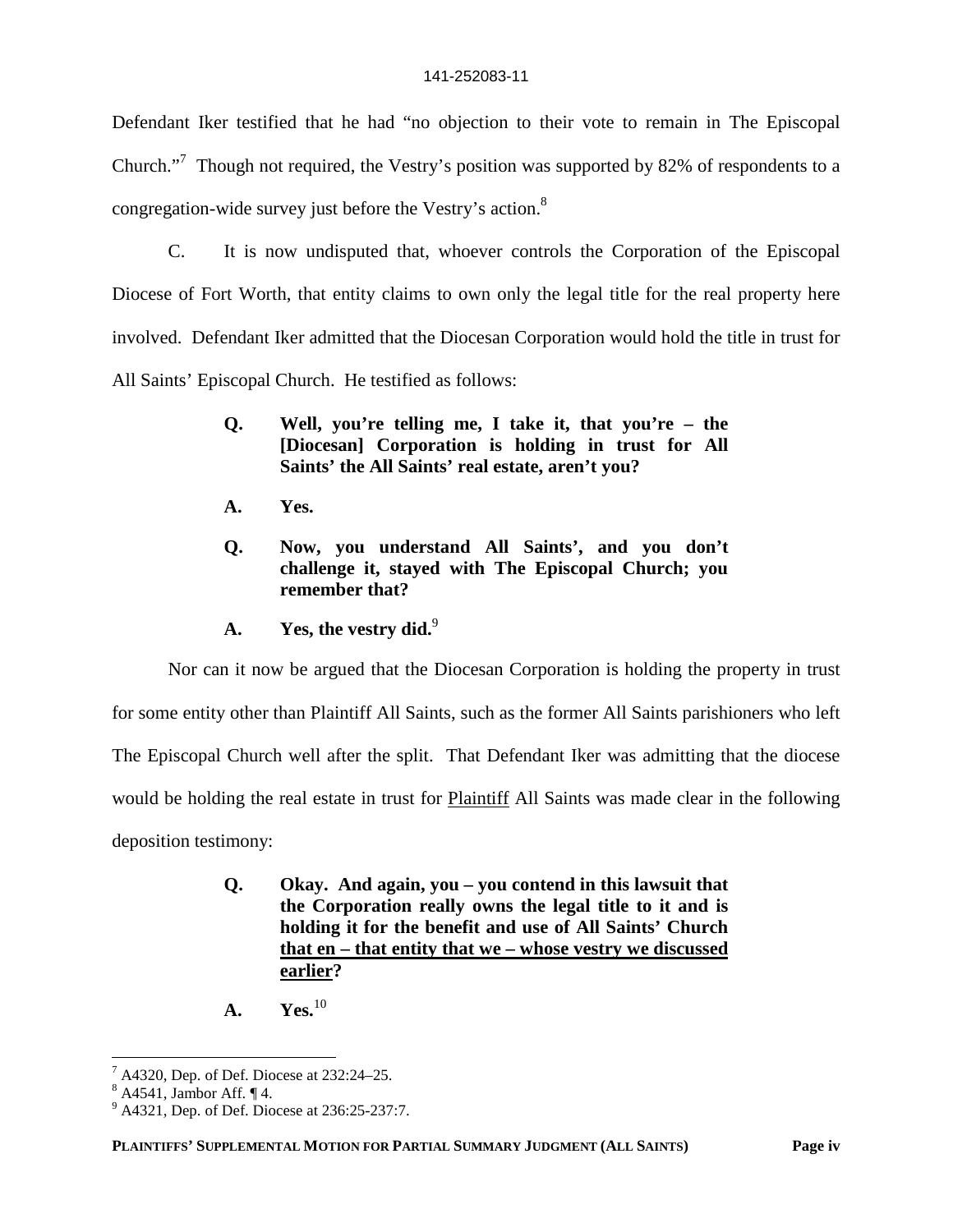Defendant Iker testified that he had "no objection to their vote to remain in The Episcopal Church."<sup>7</sup> Though not required, the Vestry's position was supported by 82% of respondents to a congregation-wide survey just before the Vestry's action.<sup>8</sup>

C. It is now undisputed that, whoever controls the Corporation of the Episcopal Diocese of Fort Worth, that entity claims to own only the legal title for the real property here involved. Defendant Iker admitted that the Diocesan Corporation would hold the title in trust for All Saints' Episcopal Church. He testified as follows:

- **Q. Well, you're telling me, I take it, that you're the [Diocesan] Corporation is holding in trust for All Saints' the All Saints' real estate, aren't you?**
- **A. Yes.**
- **Q. Now, you understand All Saints', and you don't challenge it, stayed with The Episcopal Church; you remember that?**
- A. Yes, the vestry did.<sup>9</sup>

Nor can it now be argued that the Diocesan Corporation is holding the property in trust

for some entity other than Plaintiff All Saints, such as the former All Saints parishioners who left

The Episcopal Church well after the split. That Defendant Iker was admitting that the diocese

would be holding the real estate in trust for Plaintiff All Saints was made clear in the following

deposition testimony:

- **Q. Okay. And again, you you contend in this lawsuit that the Corporation really owns the legal title to it and is holding it for the benefit and use of All Saints' Church that en – that entity that we – whose vestry we discussed earlier?**
- **A.** Yes.<sup>10</sup>

 $7$  A4320, Dep. of Def. Diocese at 232:24–25.

 $8$  A4541, Jambor Aff.  $\P$ 4.

<sup>&</sup>lt;sup>9</sup> A4321, Dep. of Def. Diocese at 236:25-237:7.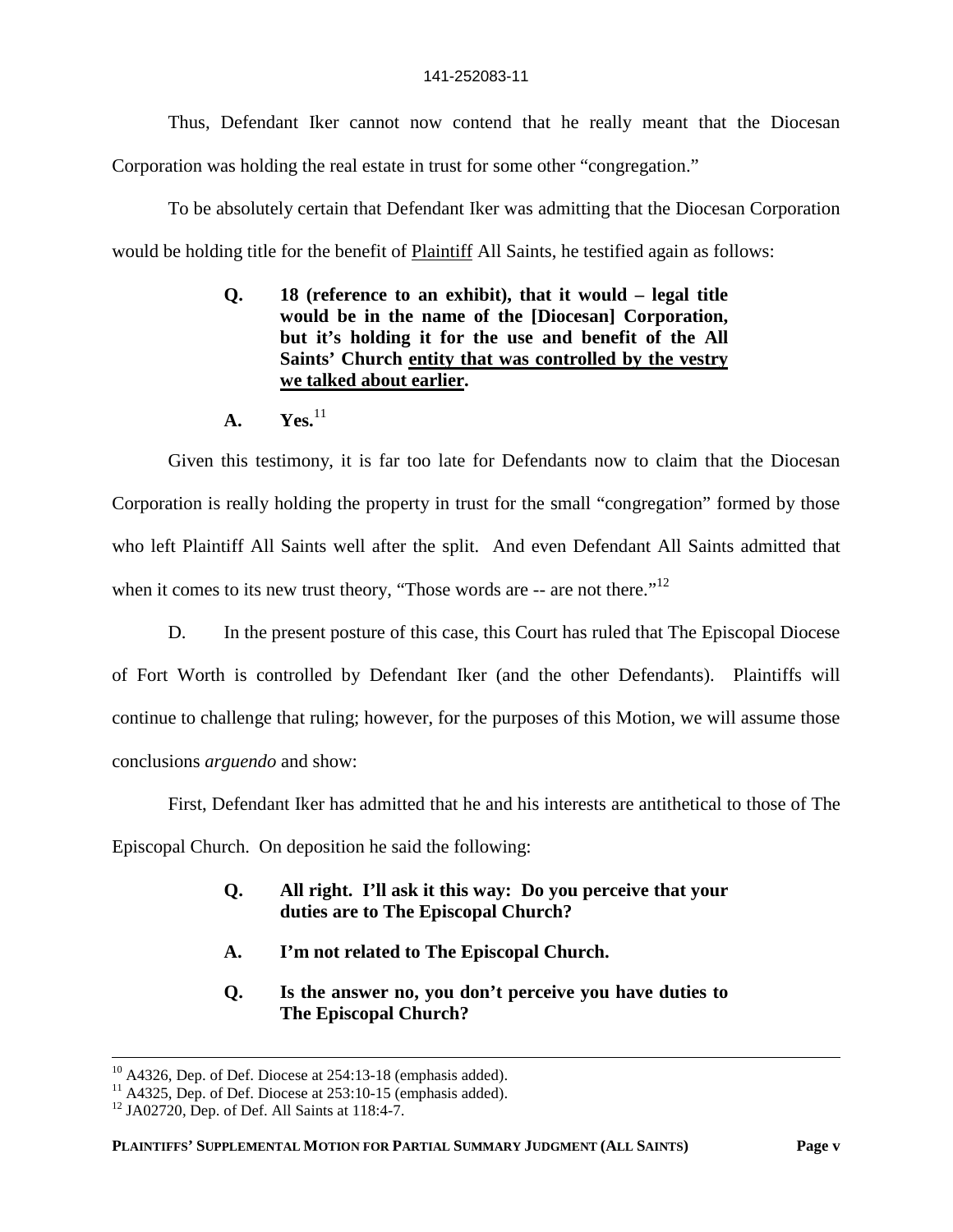Thus, Defendant Iker cannot now contend that he really meant that the Diocesan Corporation was holding the real estate in trust for some other "congregation."

To be absolutely certain that Defendant Iker was admitting that the Diocesan Corporation would be holding title for the benefit of **Plaintiff** All Saints, he testified again as follows:

- **Q. 18 (reference to an exhibit), that it would legal title would be in the name of the [Diocesan] Corporation, but it's holding it for the use and benefit of the All Saints' Church entity that was controlled by the vestry we talked about earlier.**
- **A. Yes.**<sup>11</sup>

Given this testimony, it is far too late for Defendants now to claim that the Diocesan Corporation is really holding the property in trust for the small "congregation" formed by those who left Plaintiff All Saints well after the split. And even Defendant All Saints admitted that when it comes to its new trust theory, "Those words are  $-$  are not there."<sup>12</sup>

D. In the present posture of this case, this Court has ruled that The Episcopal Diocese of Fort Worth is controlled by Defendant Iker (and the other Defendants). Plaintiffs will continue to challenge that ruling; however, for the purposes of this Motion, we will assume those conclusions *arguendo* and show:

First, Defendant Iker has admitted that he and his interests are antithetical to those of The

Episcopal Church. On deposition he said the following:

- **Q. All right. I'll ask it this way: Do you perceive that your duties are to The Episcopal Church?**
- **A. I'm not related to The Episcopal Church.**
- **Q. Is the answer no, you don't perceive you have duties to The Episcopal Church?**

 $10$  A4326, Dep. of Def. Diocese at 254:13-18 (emphasis added).

 $11$  A4325, Dep. of Def. Diocese at 253:10-15 (emphasis added).

 $12$  JA02720, Dep. of Def. All Saints at 118:4-7.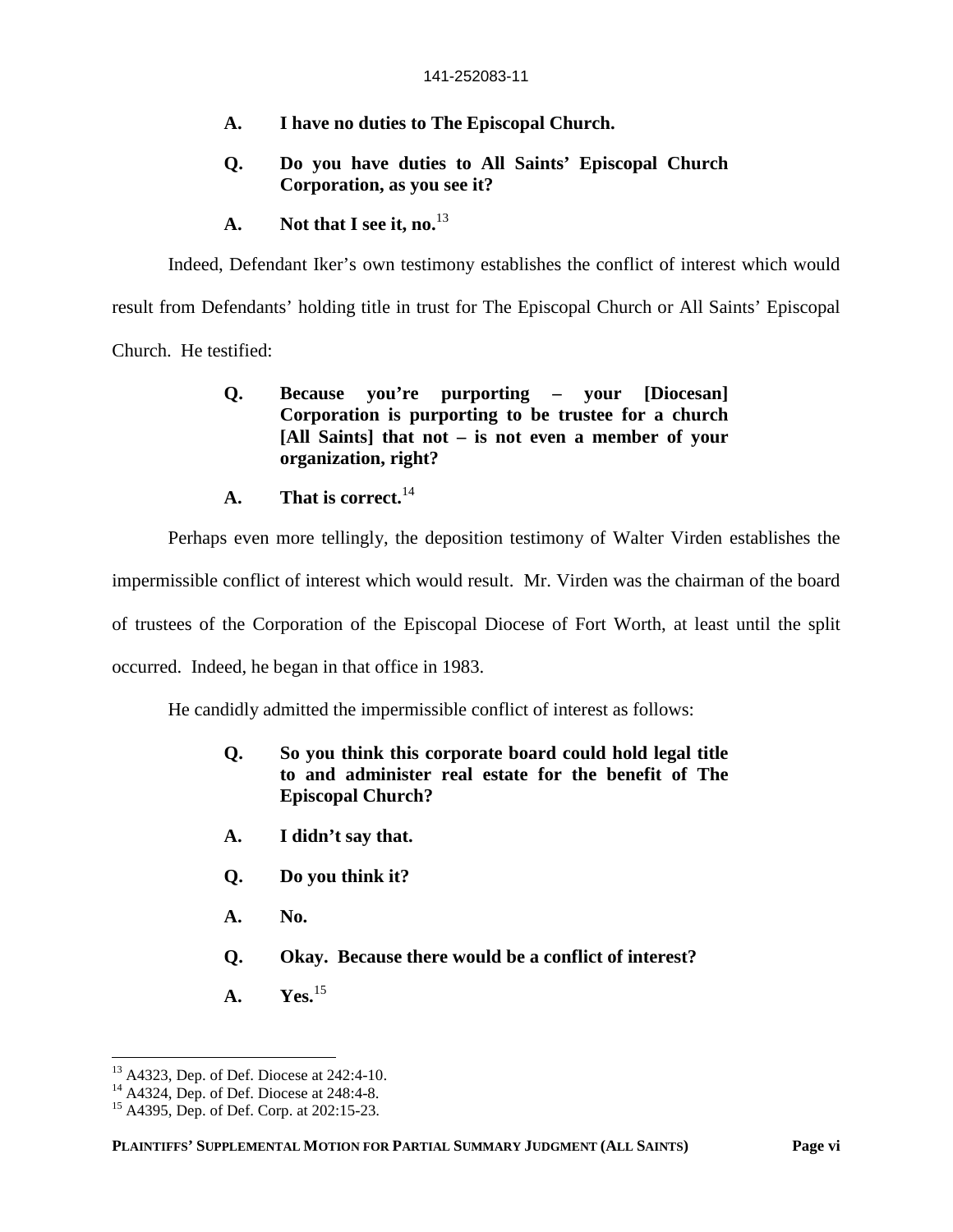- **A. I have no duties to The Episcopal Church.**
- **Q. Do you have duties to All Saints' Episcopal Church Corporation, as you see it?**
- **A. Not that I see it, no.**<sup>13</sup>

Indeed, Defendant Iker's own testimony establishes the conflict of interest which would

result from Defendants' holding title in trust for The Episcopal Church or All Saints' Episcopal

Church. He testified:

### **Q. Because you're purporting – your [Diocesan] Corporation is purporting to be trustee for a church [All Saints] that not – is not even a member of your organization, right?**

**A. That is correct.**<sup>14</sup>

Perhaps even more tellingly, the deposition testimony of Walter Virden establishes the

impermissible conflict of interest which would result. Mr. Virden was the chairman of the board

of trustees of the Corporation of the Episcopal Diocese of Fort Worth, at least until the split

occurred. Indeed, he began in that office in 1983.

He candidly admitted the impermissible conflict of interest as follows:

- **Q. So you think this corporate board could hold legal title to and administer real estate for the benefit of The Episcopal Church?**
- **A. I didn't say that.**
- **Q. Do you think it?**
- **A. No.**
- **Q. Okay. Because there would be a conflict of interest?**
- **A. Yes.**<sup>15</sup>

<sup>13</sup> A4323, Dep. of Def. Diocese at 242:4-10.

 $14$  A4324, Dep. of Def. Diocese at 248:4-8.

<sup>15</sup> A4395, Dep. of Def. Corp. at 202:15-23.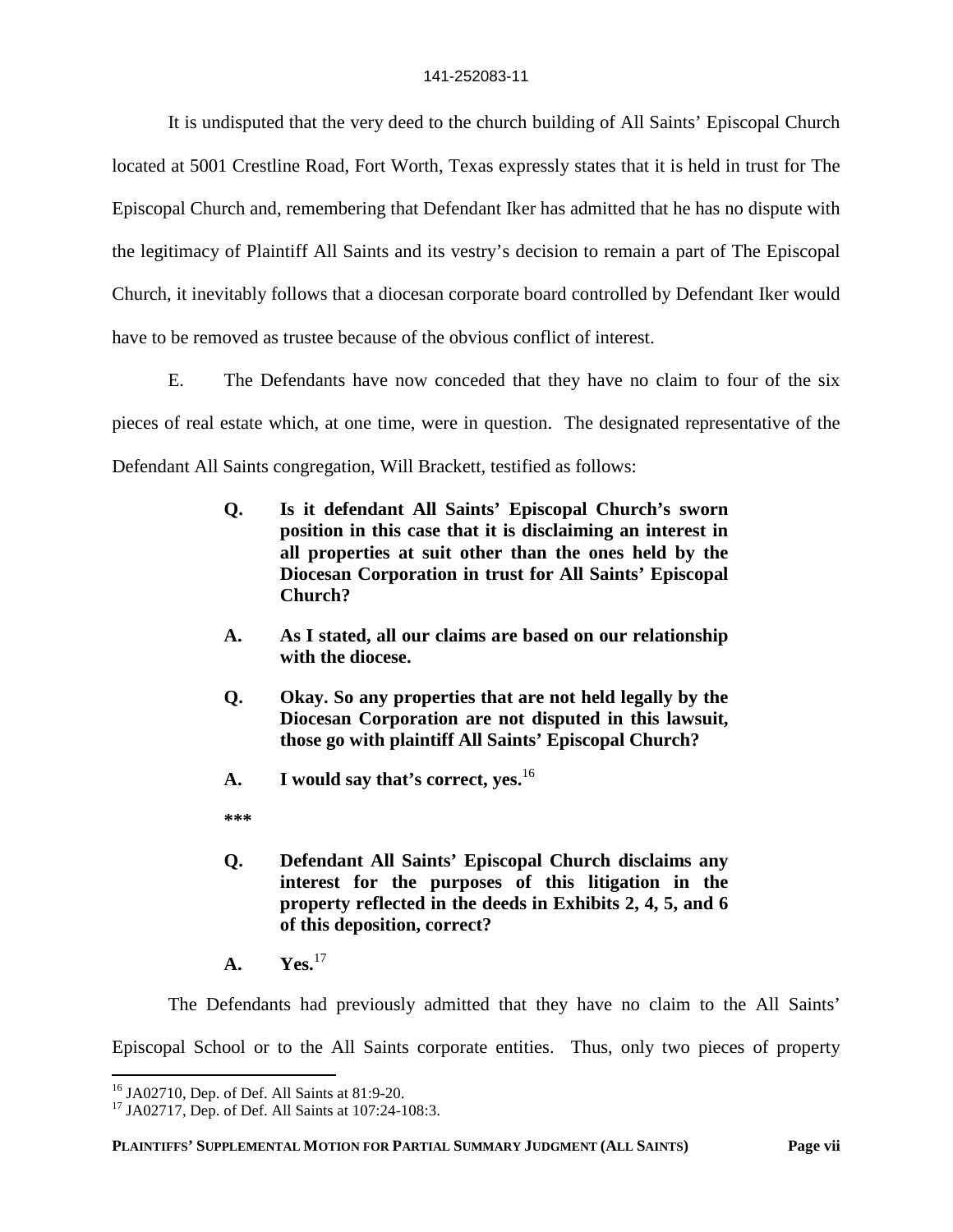It is undisputed that the very deed to the church building of All Saints' Episcopal Church located at 5001 Crestline Road, Fort Worth, Texas expressly states that it is held in trust for The Episcopal Church and, remembering that Defendant Iker has admitted that he has no dispute with the legitimacy of Plaintiff All Saints and its vestry's decision to remain a part of The Episcopal Church, it inevitably follows that a diocesan corporate board controlled by Defendant Iker would have to be removed as trustee because of the obvious conflict of interest.

E. The Defendants have now conceded that they have no claim to four of the six pieces of real estate which, at one time, were in question. The designated representative of the Defendant All Saints congregation, Will Brackett, testified as follows:

- **Q. Is it defendant All Saints' Episcopal Church's sworn position in this case that it is disclaiming an interest in all properties at suit other than the ones held by the Diocesan Corporation in trust for All Saints' Episcopal Church?**
- **A. As I stated, all our claims are based on our relationship with the diocese.**
- **Q. Okay. So any properties that are not held legally by the Diocesan Corporation are not disputed in this lawsuit, those go with plaintiff All Saints' Episcopal Church?**
- **A. I would say that's correct, yes.**<sup>16</sup>

**\*\*\***

- **Q. Defendant All Saints' Episcopal Church disclaims any interest for the purposes of this litigation in the property reflected in the deeds in Exhibits 2, 4, 5, and 6 of this deposition, correct?**
- **A. Yes.**<sup>17</sup>

The Defendants had previously admitted that they have no claim to the All Saints'

Episcopal School or to the All Saints corporate entities. Thus, only two pieces of property

<sup>16</sup> JA02710, Dep. of Def. All Saints at 81:9-20.

<sup>&</sup>lt;sup>17</sup> JA02717, Dep. of Def. All Saints at 107:24-108:3.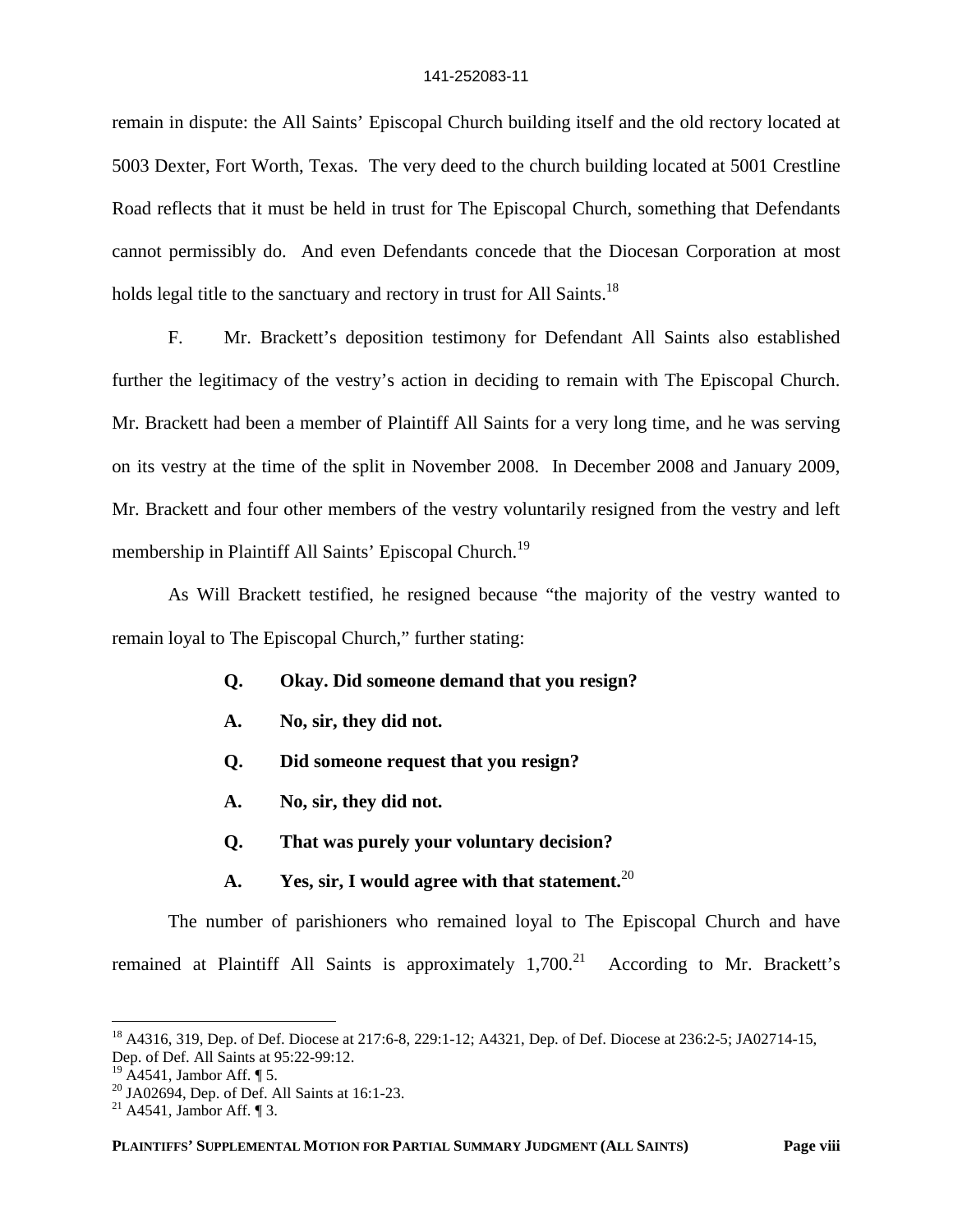remain in dispute: the All Saints' Episcopal Church building itself and the old rectory located at 5003 Dexter, Fort Worth, Texas. The very deed to the church building located at 5001 Crestline Road reflects that it must be held in trust for The Episcopal Church, something that Defendants cannot permissibly do. And even Defendants concede that the Diocesan Corporation at most holds legal title to the sanctuary and rectory in trust for All Saints.<sup>18</sup>

F. Mr. Brackett's deposition testimony for Defendant All Saints also established further the legitimacy of the vestry's action in deciding to remain with The Episcopal Church. Mr. Brackett had been a member of Plaintiff All Saints for a very long time, and he was serving on its vestry at the time of the split in November 2008. In December 2008 and January 2009, Mr. Brackett and four other members of the vestry voluntarily resigned from the vestry and left membership in Plaintiff All Saints' Episcopal Church.<sup>19</sup>

As Will Brackett testified, he resigned because "the majority of the vestry wanted to remain loyal to The Episcopal Church," further stating:

- **Q. Okay. Did someone demand that you resign?**
- **A. No, sir, they did not.**
- **Q. Did someone request that you resign?**
- **A. No, sir, they did not.**
- **Q. That was purely your voluntary decision?**
- **A. Yes, sir, I would agree with that statement.**<sup>20</sup>

The number of parishioners who remained loyal to The Episcopal Church and have remained at Plaintiff All Saints is approximately  $1,700<sup>21</sup>$  According to Mr. Brackett's

<sup>18</sup> A4316, 319, Dep. of Def. Diocese at 217:6-8, 229:1-12; A4321, Dep. of Def. Diocese at 236:2-5; JA02714-15, Dep. of Def. All Saints at 95:22-99:12.

 $^{19}$  A4541, Jambor Aff.  $\P$  5.

 $20$  JA02694, Dep. of Def. All Saints at 16:1-23.

<sup>&</sup>lt;sup>21</sup> A4541, Jambor Aff.  $\P$ 3.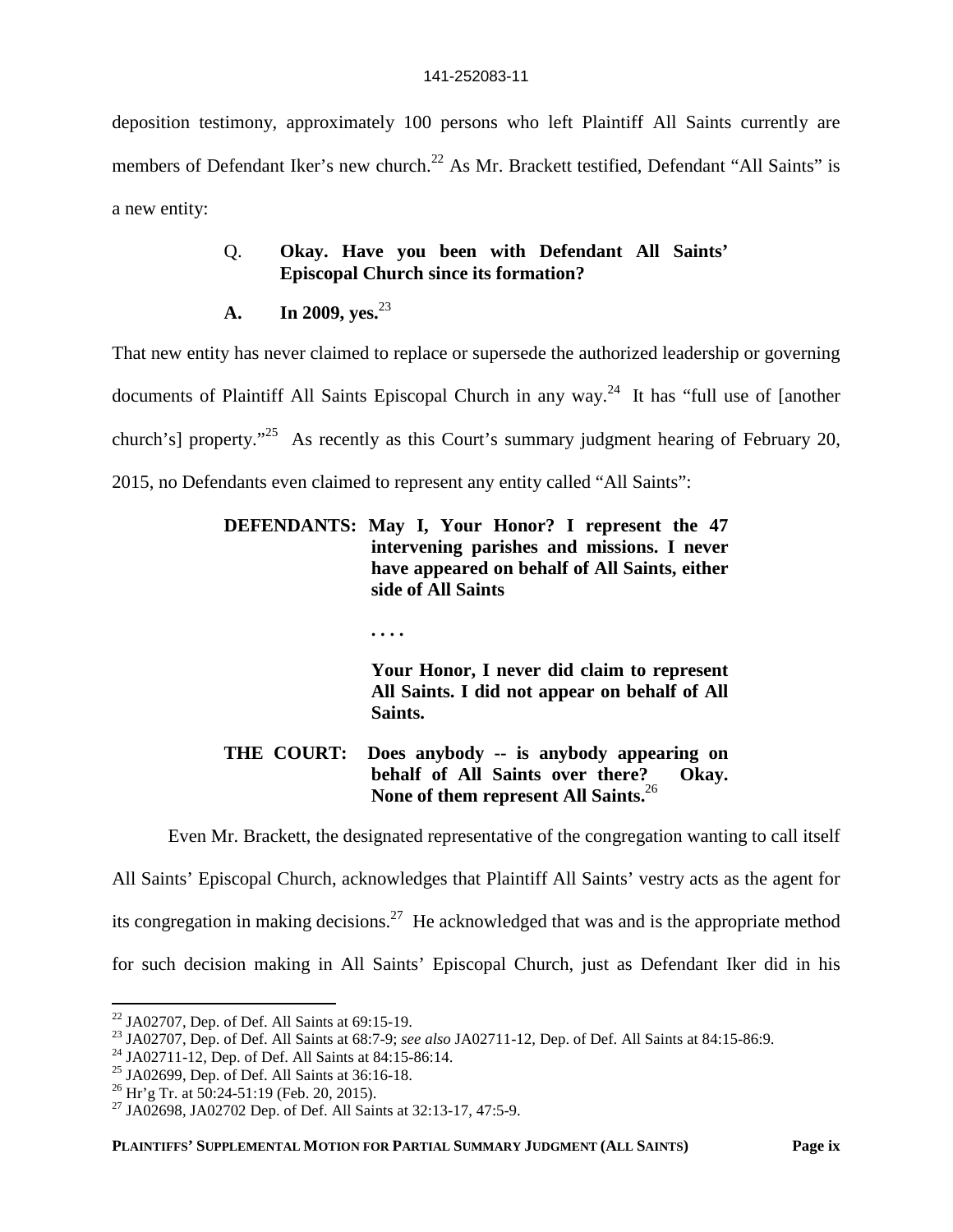deposition testimony, approximately 100 persons who left Plaintiff All Saints currently are members of Defendant Iker's new church.<sup>22</sup> As Mr. Brackett testified, Defendant "All Saints" is a new entity:

## Q. **Okay. Have you been with Defendant All Saints' Episcopal Church since its formation?**

**A. In 2009, yes.**<sup>23</sup>

That new entity has never claimed to replace or supersede the authorized leadership or governing documents of Plaintiff All Saints Episcopal Church in any way.<sup>24</sup> It has "full use of [another church's] property."<sup>25</sup> As recently as this Court's summary judgment hearing of February 20, 2015, no Defendants even claimed to represent any entity called "All Saints":

### **DEFENDANTS: May I, Your Honor? I represent the 47 intervening parishes and missions. I never have appeared on behalf of All Saints, either side of All Saints**

**. . . .**

**Your Honor, I never did claim to represent All Saints. I did not appear on behalf of All Saints.**

## **THE COURT: Does anybody -- is anybody appearing on behalf of All Saints over there? Okay. None of them represent All Saints.**<sup>26</sup>

Even Mr. Brackett, the designated representative of the congregation wanting to call itself

All Saints' Episcopal Church, acknowledges that Plaintiff All Saints' vestry acts as the agent for its congregation in making decisions.<sup>27</sup> He acknowledged that was and is the appropriate method for such decision making in All Saints' Episcopal Church, just as Defendant Iker did in his

 $22$  JA02707, Dep. of Def. All Saints at 69:15-19.

<sup>23</sup> JA02707, Dep. of Def. All Saints at 68:7-9; *see also* JA02711-12, Dep. of Def. All Saints at 84:15-86:9.

<sup>24</sup> JA02711-12, Dep. of Def. All Saints at 84:15-86:14.

 $25$  JA02699, Dep. of Def. All Saints at 36:16-18.

 $^{26}$  Hr'g Tr. at 50:24-51:19 (Feb. 20, 2015).

<sup>&</sup>lt;sup>27</sup> JA02698, JA02702 Dep. of Def. All Saints at 32:13-17, 47:5-9.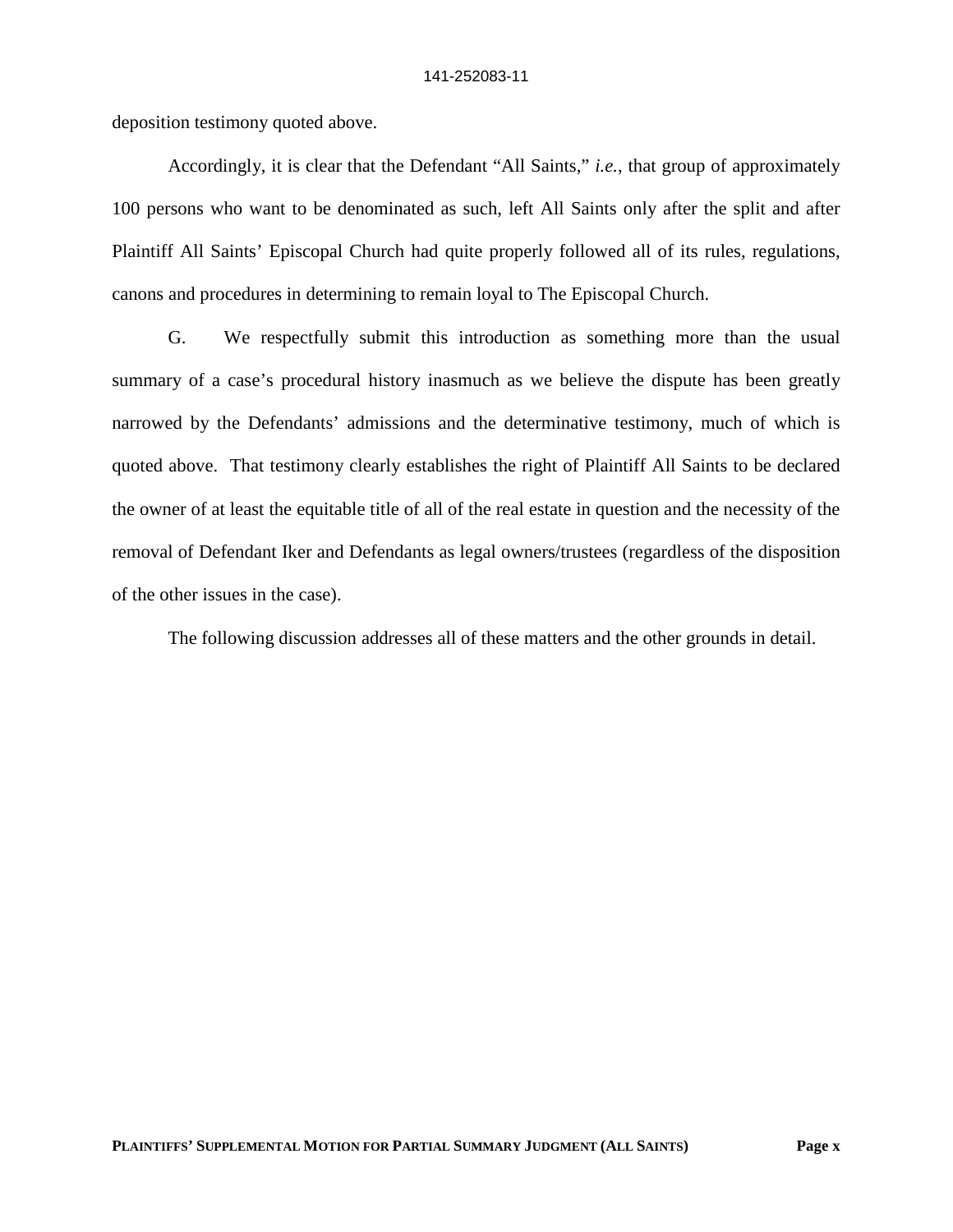deposition testimony quoted above.

Accordingly, it is clear that the Defendant "All Saints," *i.e.*, that group of approximately 100 persons who want to be denominated as such, left All Saints only after the split and after Plaintiff All Saints' Episcopal Church had quite properly followed all of its rules, regulations, canons and procedures in determining to remain loyal to The Episcopal Church.

G. We respectfully submit this introduction as something more than the usual summary of a case's procedural history inasmuch as we believe the dispute has been greatly narrowed by the Defendants' admissions and the determinative testimony, much of which is quoted above. That testimony clearly establishes the right of Plaintiff All Saints to be declared the owner of at least the equitable title of all of the real estate in question and the necessity of the removal of Defendant Iker and Defendants as legal owners/trustees (regardless of the disposition of the other issues in the case).

The following discussion addresses all of these matters and the other grounds in detail.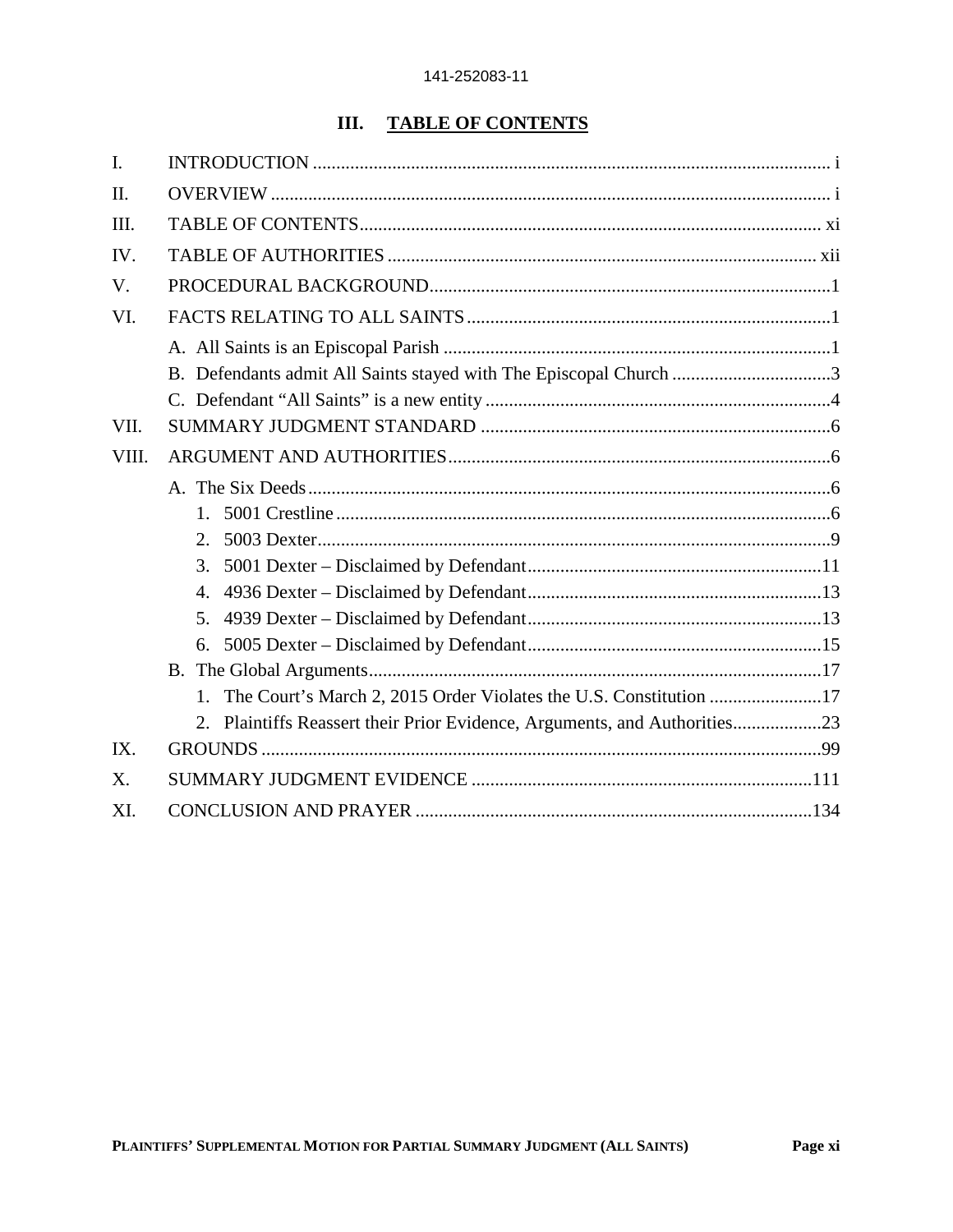# **III. TABLE OF CONTENTS**

| $\mathbf{I}$ . |                                                                      |
|----------------|----------------------------------------------------------------------|
| II.            |                                                                      |
| III.           |                                                                      |
| IV.            |                                                                      |
| V.             |                                                                      |
| VI.            |                                                                      |
|                |                                                                      |
|                | B. Defendants admit All Saints stayed with The Episcopal Church 3    |
|                |                                                                      |
| VII.           |                                                                      |
| VIII.          |                                                                      |
|                |                                                                      |
|                | 1                                                                    |
|                | 2                                                                    |
|                | 3.                                                                   |
|                | 4.                                                                   |
|                | 5.                                                                   |
|                | 6.                                                                   |
|                |                                                                      |
|                | 1. The Court's March 2, 2015 Order Violates the U.S. Constitution 17 |
|                | 2.                                                                   |
| IX.            |                                                                      |
| X.             |                                                                      |
| XI.            |                                                                      |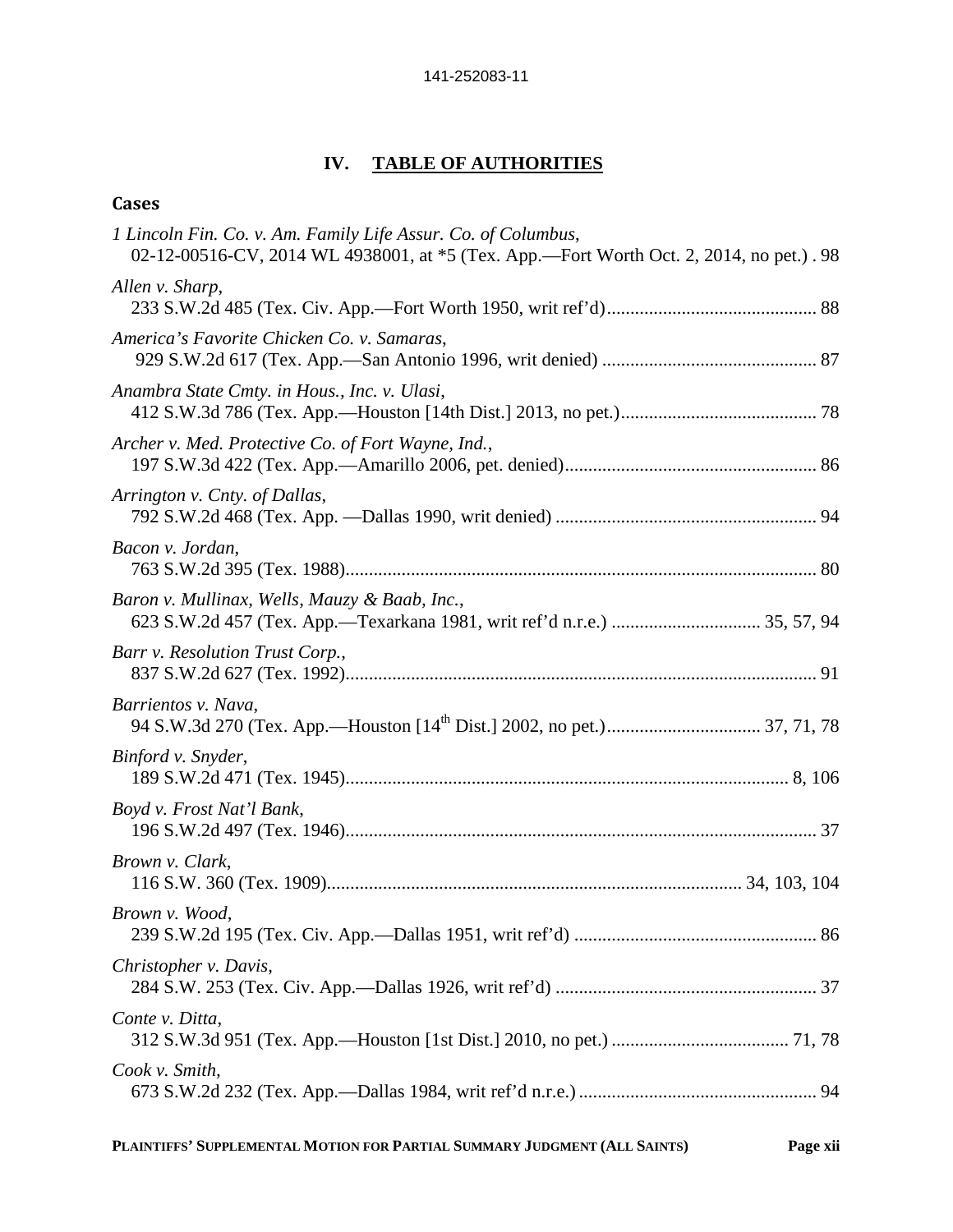## **IV. TABLE OF AUTHORITIES**

## **Cases**

| 1 Lincoln Fin. Co. v. Am. Family Life Assur. Co. of Columbus,<br>02-12-00516-CV, 2014 WL 4938001, at *5 (Tex. App.—Fort Worth Oct. 2, 2014, no pet.). 98 |
|----------------------------------------------------------------------------------------------------------------------------------------------------------|
| Allen v. Sharp,                                                                                                                                          |
| America's Favorite Chicken Co. v. Samaras,                                                                                                               |
| Anambra State Cmty. in Hous., Inc. v. Ulasi,                                                                                                             |
| Archer v. Med. Protective Co. of Fort Wayne, Ind.,                                                                                                       |
| Arrington v. Cnty. of Dallas,                                                                                                                            |
| Bacon v. Jordan,                                                                                                                                         |
| Baron v. Mullinax, Wells, Mauzy & Baab, Inc.,                                                                                                            |
| Barr v. Resolution Trust Corp.,                                                                                                                          |
| Barrientos v. Nava,                                                                                                                                      |
| Binford v. Snyder,                                                                                                                                       |
| Boyd v. Frost Nat'l Bank,                                                                                                                                |
| Brown v. Clark,                                                                                                                                          |
| Brown v. Wood,                                                                                                                                           |
| Christopher v. Davis,                                                                                                                                    |
| Conte v. Ditta,                                                                                                                                          |
| Cook v. Smith,                                                                                                                                           |
|                                                                                                                                                          |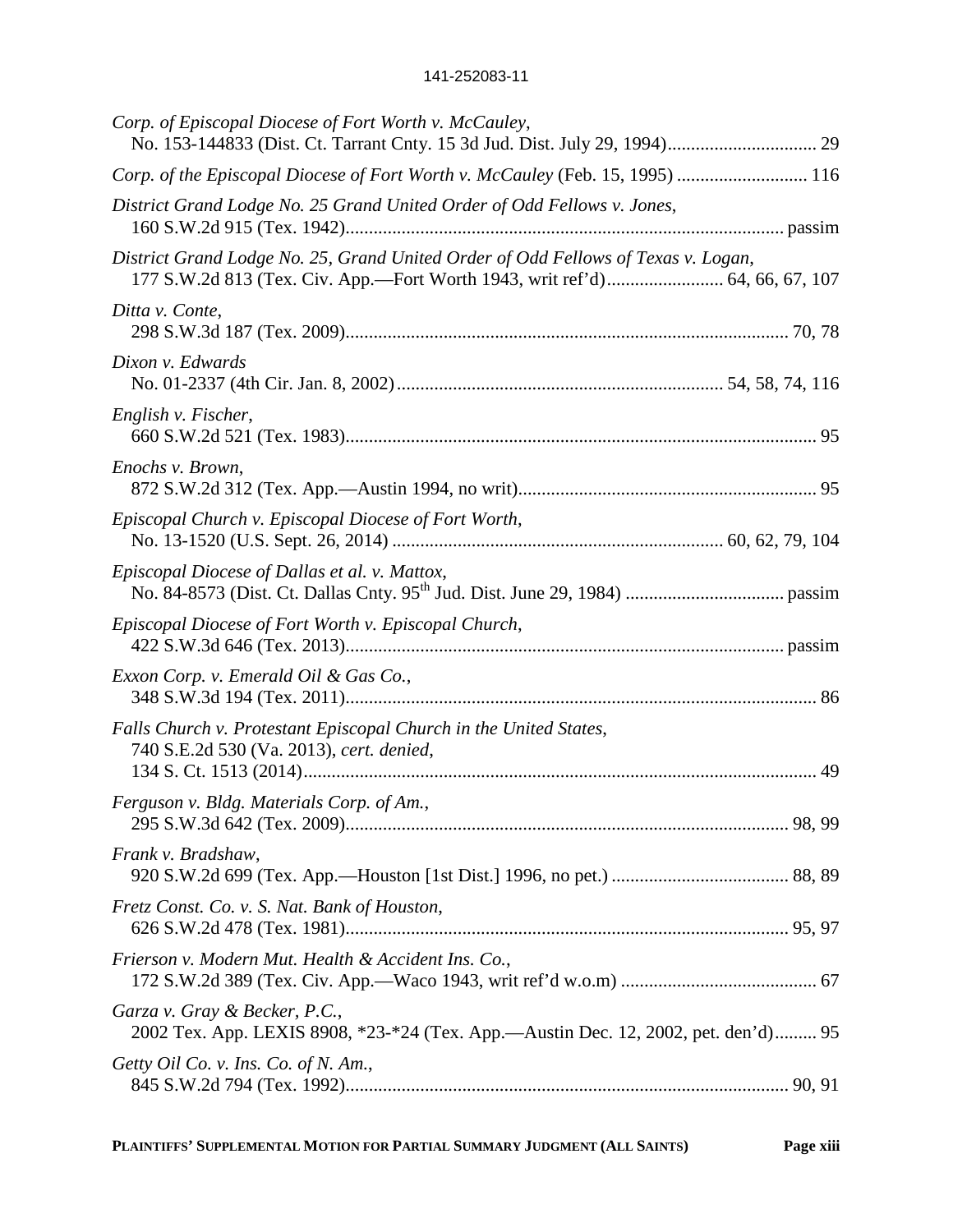| Corp. of Episcopal Diocese of Fort Worth v. McCauley,                                                               |
|---------------------------------------------------------------------------------------------------------------------|
| Corp. of the Episcopal Diocese of Fort Worth v. McCauley (Feb. 15, 1995)  116                                       |
| District Grand Lodge No. 25 Grand United Order of Odd Fellows v. Jones,                                             |
| District Grand Lodge No. 25, Grand United Order of Odd Fellows of Texas v. Logan,                                   |
| Ditta v. Conte,                                                                                                     |
| Dixon v. Edwards                                                                                                    |
| English v. Fischer,                                                                                                 |
| Enochs v. Brown,                                                                                                    |
| Episcopal Church v. Episcopal Diocese of Fort Worth,                                                                |
| Episcopal Diocese of Dallas et al. v. Mattox,                                                                       |
| Episcopal Diocese of Fort Worth v. Episcopal Church,                                                                |
| Exxon Corp. v. Emerald Oil & Gas Co.,                                                                               |
| Falls Church v. Protestant Episcopal Church in the United States,<br>740 S.E.2d 530 (Va. 2013), cert. denied,       |
| Ferguson v. Bldg. Materials Corp. of Am.,                                                                           |
| Frank v. Bradshaw,                                                                                                  |
| Fretz Const. Co. v. S. Nat. Bank of Houston,                                                                        |
| Frierson v. Modern Mut. Health & Accident Ins. Co.,                                                                 |
| Garza v. Gray & Becker, P.C.,<br>2002 Tex. App. LEXIS 8908, *23-*24 (Tex. App.—Austin Dec. 12, 2002, pet. den'd) 95 |
| Getty Oil Co. v. Ins. Co. of N. Am.,                                                                                |
|                                                                                                                     |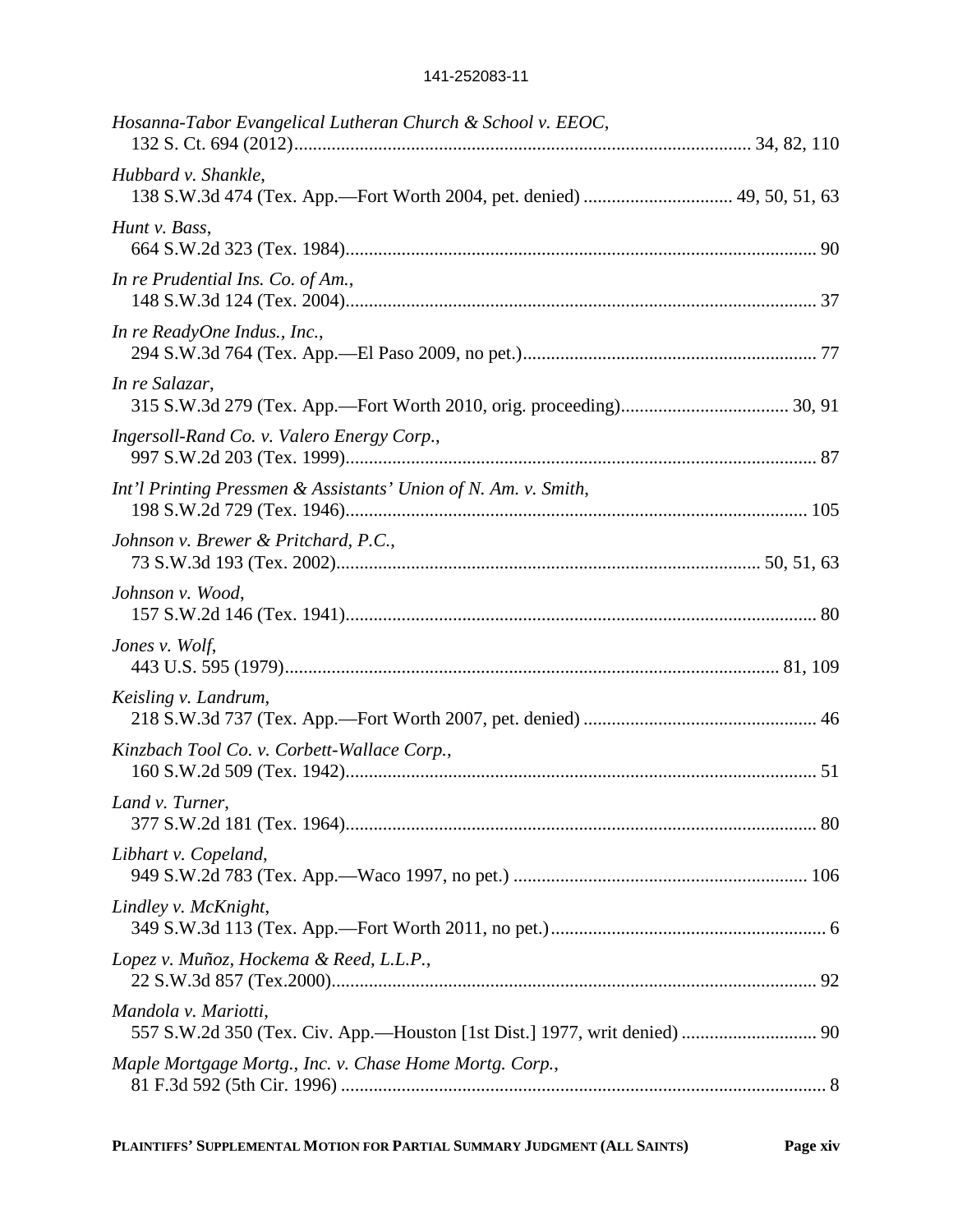| Hosanna-Tabor Evangelical Lutheran Church & School v. EEOC,     |
|-----------------------------------------------------------------|
| Hubbard v. Shankle,                                             |
| Hunt v. Bass,                                                   |
| In re Prudential Ins. Co. of Am.,                               |
| In re ReadyOne Indus., Inc.,                                    |
| In re Salazar,                                                  |
| Ingersoll-Rand Co. v. Valero Energy Corp.,                      |
| Int'l Printing Pressmen & Assistants' Union of N. Am. v. Smith, |
| Johnson v. Brewer & Pritchard, P.C.,                            |
| Johnson v. Wood,                                                |
| Jones v. Wolf,                                                  |
| Keisling v. Landrum,                                            |
| Kinzbach Tool Co. v. Corbett-Wallace Corp.,                     |
| Land v. Turner,                                                 |
| Libhart v. Copeland,                                            |
| Lindley v. McKnight,                                            |
| Lopez v. Muñoz, Hockema & Reed, L.L.P.,                         |
| Mandola v. Mariotti,                                            |
| Maple Mortgage Mortg., Inc. v. Chase Home Mortg. Corp.,         |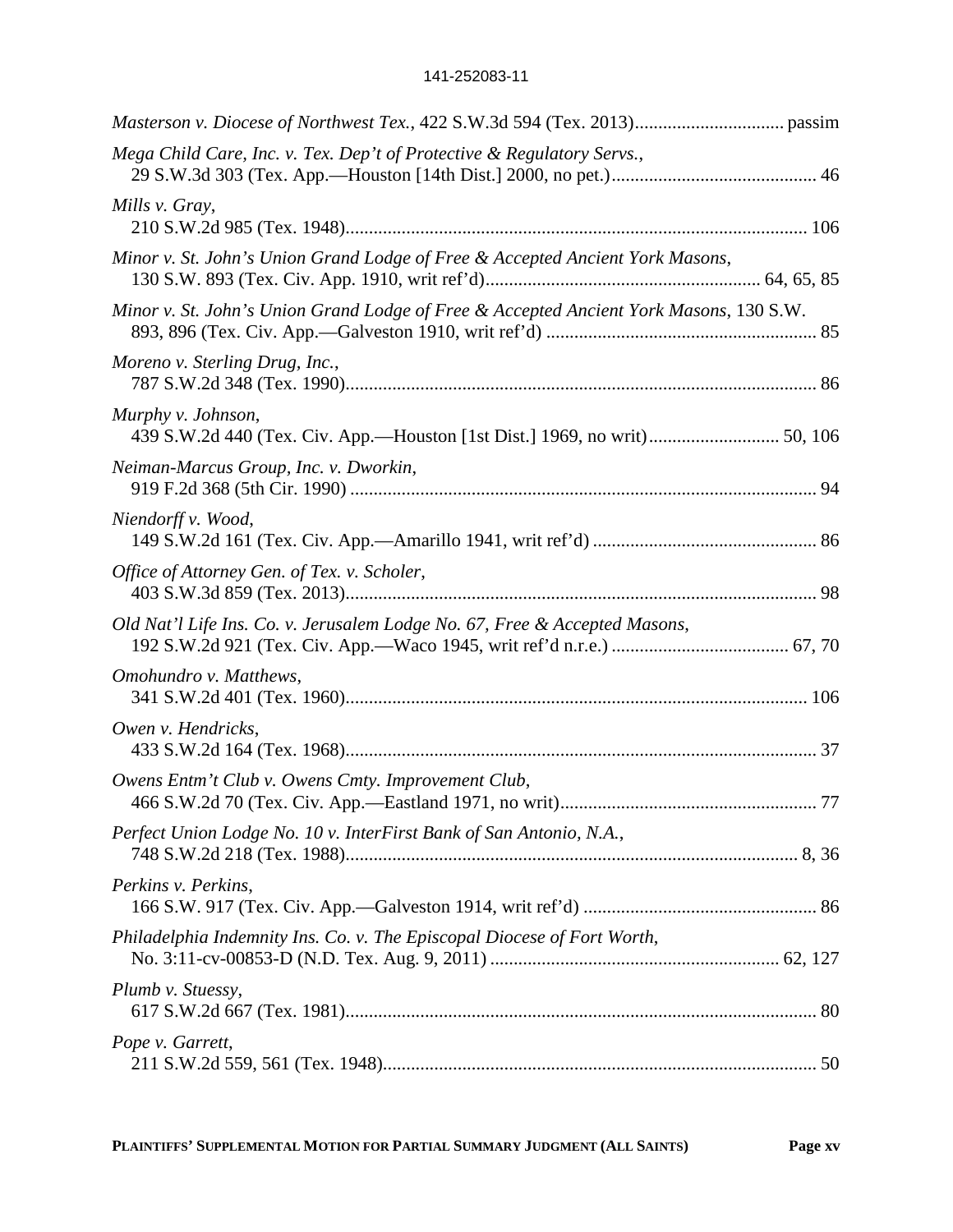| Mega Child Care, Inc. v. Tex. Dep't of Protective & Regulatory Servs.,                          |
|-------------------------------------------------------------------------------------------------|
| Mills v. Gray,                                                                                  |
| Minor v. St. John's Union Grand Lodge of Free & Accepted Ancient York Masons,                   |
| Minor v. St. John's Union Grand Lodge of Free & Accepted Ancient York Masons, 130 S.W.          |
| Moreno v. Sterling Drug, Inc.,                                                                  |
| Murphy v. Johnson,<br>439 S.W.2d 440 (Tex. Civ. App.-Houston [1st Dist.] 1969, no writ) 50, 106 |
| Neiman-Marcus Group, Inc. v. Dworkin,                                                           |
| Niendorff v. Wood,                                                                              |
| Office of Attorney Gen. of Tex. v. Scholer,                                                     |
| Old Nat'l Life Ins. Co. v. Jerusalem Lodge No. 67, Free & Accepted Masons,                      |
| Omohundro v. Matthews,                                                                          |
| Owen v. Hendricks,                                                                              |
| Owens Entm't Club v. Owens Cmty. Improvement Club,                                              |
| Perfect Union Lodge No. 10 v. InterFirst Bank of San Antonio, N.A.,                             |
| Perkins v. Perkins,                                                                             |
| Philadelphia Indemnity Ins. Co. v. The Episcopal Diocese of Fort Worth,                         |
| Plumb v. Stuessy,                                                                               |
| Pope v. Garrett,                                                                                |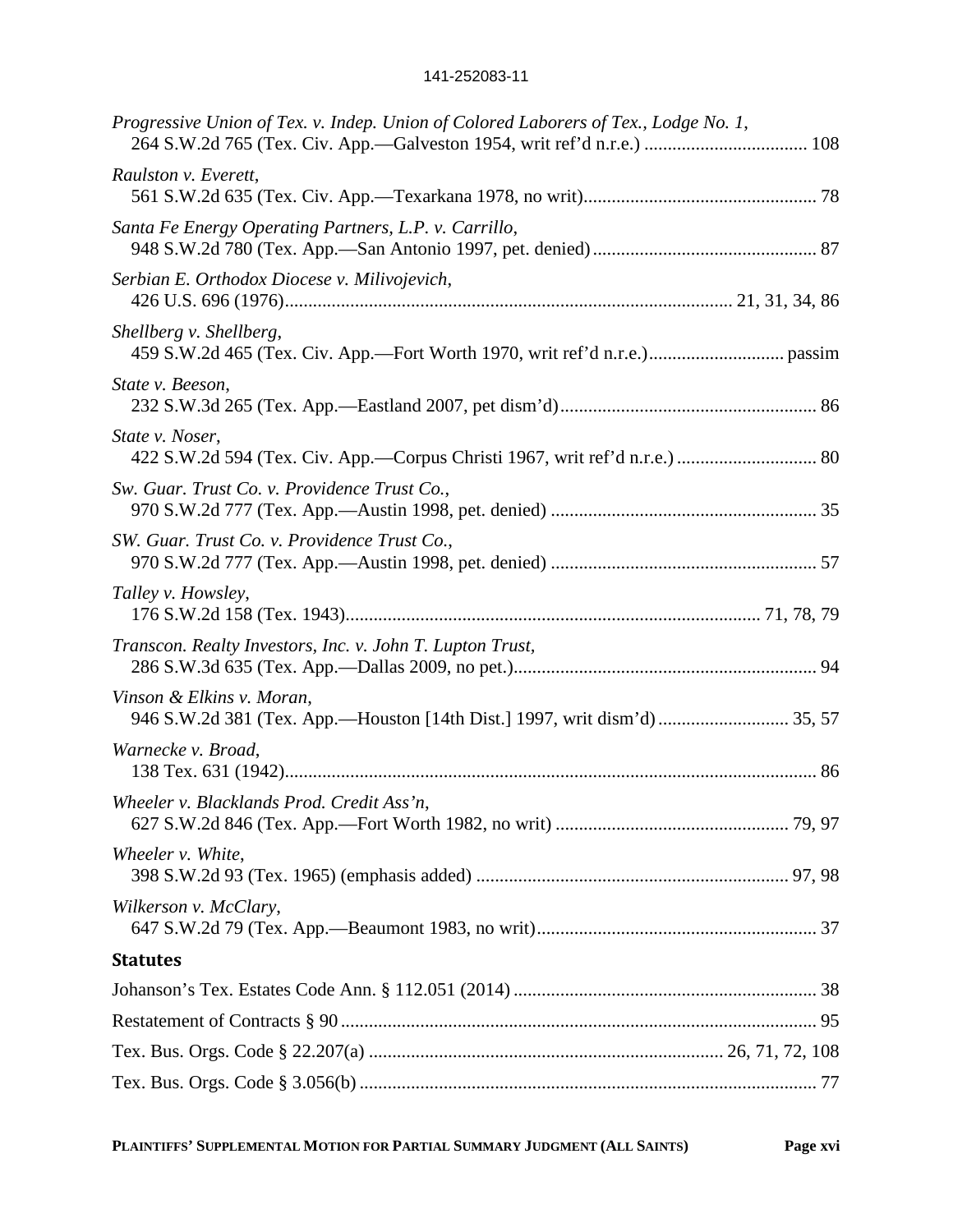| Progressive Union of Tex. v. Indep. Union of Colored Laborers of Tex., Lodge No. 1,                    |  |
|--------------------------------------------------------------------------------------------------------|--|
| Raulston v. Everett,                                                                                   |  |
| Santa Fe Energy Operating Partners, L.P. v. Carrillo,                                                  |  |
| Serbian E. Orthodox Diocese v. Milivojevich,                                                           |  |
| Shellberg v. Shellberg,                                                                                |  |
| State v. Beeson,                                                                                       |  |
| State v. Noser,                                                                                        |  |
| Sw. Guar. Trust Co. v. Providence Trust Co.,                                                           |  |
| SW. Guar. Trust Co. v. Providence Trust Co.,                                                           |  |
| Talley v. Howsley,                                                                                     |  |
| Transcon. Realty Investors, Inc. v. John T. Lupton Trust,                                              |  |
| Vinson & Elkins v. Moran,<br>946 S.W.2d 381 (Tex. App.—Houston [14th Dist.] 1997, writ dism'd)  35, 57 |  |
| Warnecke v. Broad,                                                                                     |  |
| Wheeler v. Blacklands Prod. Credit Ass'n.                                                              |  |
| Wheeler v. White,                                                                                      |  |
| Wilkerson v. McClary,                                                                                  |  |
| <b>Statutes</b>                                                                                        |  |
|                                                                                                        |  |
|                                                                                                        |  |
|                                                                                                        |  |
|                                                                                                        |  |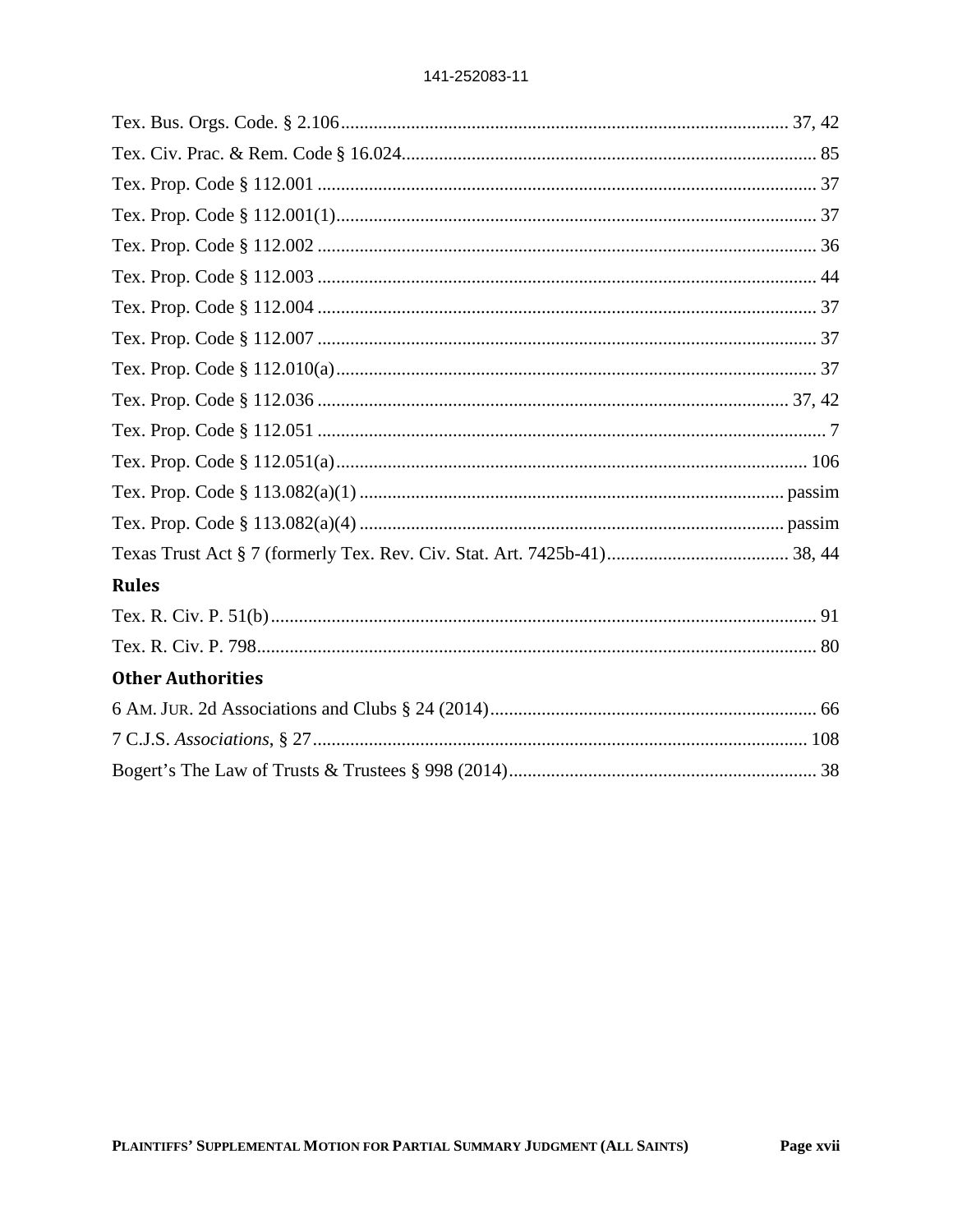| <b>Rules</b>             |  |
|--------------------------|--|
|                          |  |
|                          |  |
| <b>Other Authorities</b> |  |
|                          |  |
|                          |  |
|                          |  |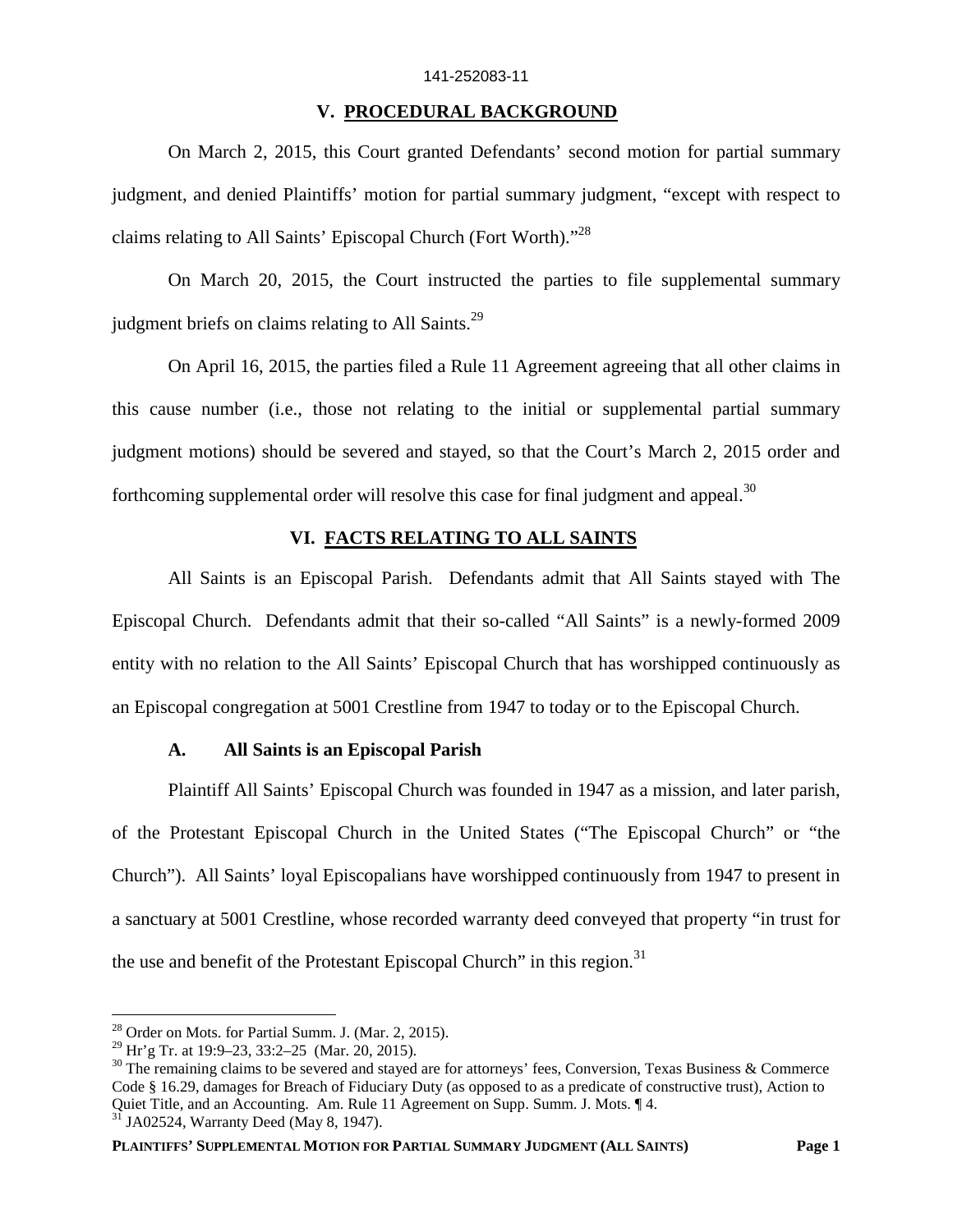#### **V. PROCEDURAL BACKGROUND**

On March 2, 2015, this Court granted Defendants' second motion for partial summary judgment, and denied Plaintiffs' motion for partial summary judgment, "except with respect to claims relating to All Saints' Episcopal Church (Fort Worth)."<sup>28</sup>

On March 20, 2015, the Court instructed the parties to file supplemental summary judgment briefs on claims relating to All Saints. $29$ 

On April 16, 2015, the parties filed a Rule 11 Agreement agreeing that all other claims in this cause number (i.e., those not relating to the initial or supplemental partial summary judgment motions) should be severed and stayed, so that the Court's March 2, 2015 order and forthcoming supplemental order will resolve this case for final judgment and appeal.<sup>30</sup>

### **VI. FACTS RELATING TO ALL SAINTS**

All Saints is an Episcopal Parish. Defendants admit that All Saints stayed with The Episcopal Church. Defendants admit that their so-called "All Saints" is a newly-formed 2009 entity with no relation to the All Saints' Episcopal Church that has worshipped continuously as an Episcopal congregation at 5001 Crestline from 1947 to today or to the Episcopal Church.

#### **A. All Saints is an Episcopal Parish**

Plaintiff All Saints' Episcopal Church was founded in 1947 as a mission, and later parish, of the Protestant Episcopal Church in the United States ("The Episcopal Church" or "the Church"). All Saints' loyal Episcopalians have worshipped continuously from 1947 to present in a sanctuary at 5001 Crestline, whose recorded warranty deed conveyed that property "in trust for the use and benefit of the Protestant Episcopal Church" in this region.<sup>31</sup>

 $28$  Order on Mots. for Partial Summ. J. (Mar. 2, 2015).

<sup>29</sup> Hr'g Tr. at 19:9–23, 33:2–25 (Mar. 20, 2015).

 $30$  The remaining claims to be severed and stayed are for attorneys' fees, Conversion, Texas Business & Commerce Code § 16.29, damages for Breach of Fiduciary Duty (as opposed to as a predicate of constructive trust), Action to Quiet Title, and an Accounting. Am. Rule 11 Agreement on Supp. Summ. J. Mots. ¶ 4.

 $31$  JA02524, Warranty Deed (May 8, 1947).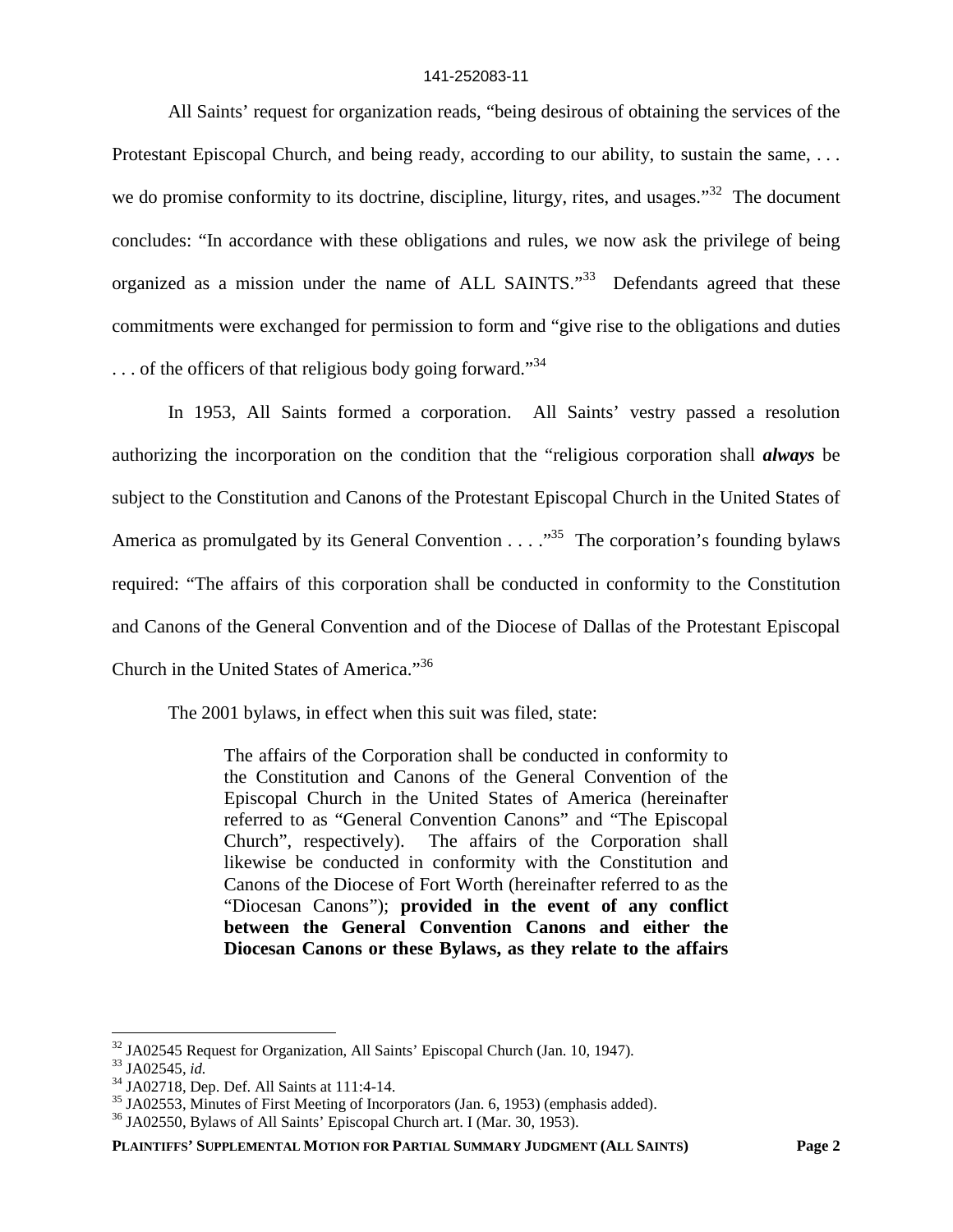All Saints' request for organization reads, "being desirous of obtaining the services of the Protestant Episcopal Church, and being ready, according to our ability, to sustain the same, ... we do promise conformity to its doctrine, discipline, liturgy, rites, and usages."<sup>32</sup> The document concludes: "In accordance with these obligations and rules, we now ask the privilege of being organized as a mission under the name of ALL SAINTS."<sup>33</sup> Defendants agreed that these commitments were exchanged for permission to form and "give rise to the obligations and duties  $\ldots$  of the officers of that religious body going forward."<sup>34</sup>

In 1953, All Saints formed a corporation. All Saints' vestry passed a resolution authorizing the incorporation on the condition that the "religious corporation shall *always* be subject to the Constitution and Canons of the Protestant Episcopal Church in the United States of America as promulgated by its General Convention  $\dots$   $\cdot$   $\cdot$ <sup>35</sup>. The corporation's founding bylaws required: "The affairs of this corporation shall be conducted in conformity to the Constitution and Canons of the General Convention and of the Diocese of Dallas of the Protestant Episcopal Church in the United States of America."<sup>36</sup>

The 2001 bylaws, in effect when this suit was filed, state:

The affairs of the Corporation shall be conducted in conformity to the Constitution and Canons of the General Convention of the Episcopal Church in the United States of America (hereinafter referred to as "General Convention Canons" and "The Episcopal Church", respectively). The affairs of the Corporation shall likewise be conducted in conformity with the Constitution and Canons of the Diocese of Fort Worth (hereinafter referred to as the "Diocesan Canons"); **provided in the event of any conflict between the General Convention Canons and either the Diocesan Canons or these Bylaws, as they relate to the affairs**

 $32$  JA02545 Request for Organization, All Saints' Episcopal Church (Jan. 10, 1947).

<sup>33</sup> JA02545, *id.*

<sup>34</sup> JA02718, Dep. Def. All Saints at 111:4-14.

<sup>&</sup>lt;sup>35</sup> JA02553, Minutes of First Meeting of Incorporators (Jan. 6, 1953) (emphasis added).

 $36$  JA02550, Bylaws of All Saints' Episcopal Church art. I (Mar. 30, 1953).

**PLAINTIFFS' SUPPLEMENTAL MOTION FOR PARTIAL SUMMARY JUDGMENT (ALL SAINTS) Page 2**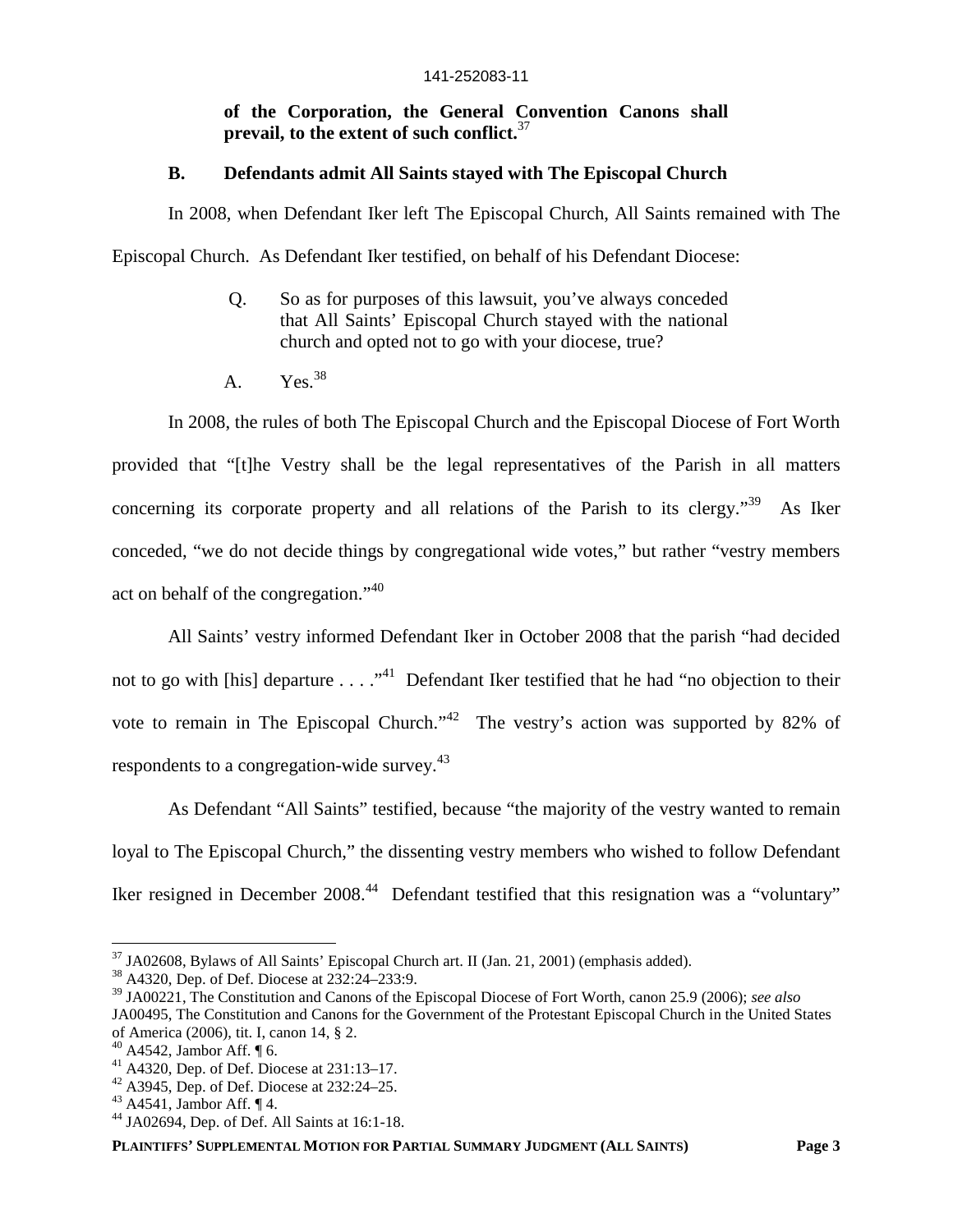### **of the Corporation, the General Convention Canons shall prevail, to the extent of such conflict.**<sup>37</sup>

#### **B. Defendants admit All Saints stayed with The Episcopal Church**

In 2008, when Defendant Iker left The Episcopal Church, All Saints remained with The Episcopal Church. As Defendant Iker testified, on behalf of his Defendant Diocese:

- Q. So as for purposes of this lawsuit, you've always conceded that All Saints' Episcopal Church stayed with the national church and opted not to go with your diocese, true?
- A.  $Yes.<sup>38</sup>$

In 2008, the rules of both The Episcopal Church and the Episcopal Diocese of Fort Worth provided that "[t]he Vestry shall be the legal representatives of the Parish in all matters concerning its corporate property and all relations of the Parish to its clergy."<sup>39</sup> As Iker conceded, "we do not decide things by congregational wide votes," but rather "vestry members act on behalf of the congregation."<sup>40</sup>

All Saints' vestry informed Defendant Iker in October 2008 that the parish "had decided not to go with [his] departure  $\dots$   $\cdot$   $\cdot$  Defendant Iker testified that he had "no objection to their vote to remain in The Episcopal Church."<sup>42</sup> The vestry's action was supported by 82% of respondents to a congregation-wide survey.<sup>43</sup>

As Defendant "All Saints" testified, because "the majority of the vestry wanted to remain loyal to The Episcopal Church," the dissenting vestry members who wished to follow Defendant Iker resigned in December 2008.<sup>44</sup> Defendant testified that this resignation was a "voluntary"

<sup>37</sup> JA02608, Bylaws of All Saints' Episcopal Church art. II (Jan. 21, 2001) (emphasis added).

<sup>38</sup> A4320, Dep. of Def. Diocese at 232:24–233:9.

<sup>39</sup> JA00221, The Constitution and Canons of the Episcopal Diocese of Fort Worth, canon 25.9 (2006); *see also* JA00495, The Constitution and Canons for the Government of the Protestant Episcopal Church in the United States of America (2006), tit. I, canon 14, § 2.

A4542, Jambor Aff.  $\P$ 6.

 $^{41}$  A4320, Dep. of Def. Diocese at 231:13-17.

<sup>42</sup> A3945, Dep. of Def. Diocese at 232:24–25.

<sup>43</sup> A4541, Jambor Aff. ¶ 4.

<sup>44</sup> JA02694, Dep. of Def. All Saints at 16:1-18.

**PLAINTIFFS' SUPPLEMENTAL MOTION FOR PARTIAL SUMMARY JUDGMENT (ALL SAINTS) Page 3**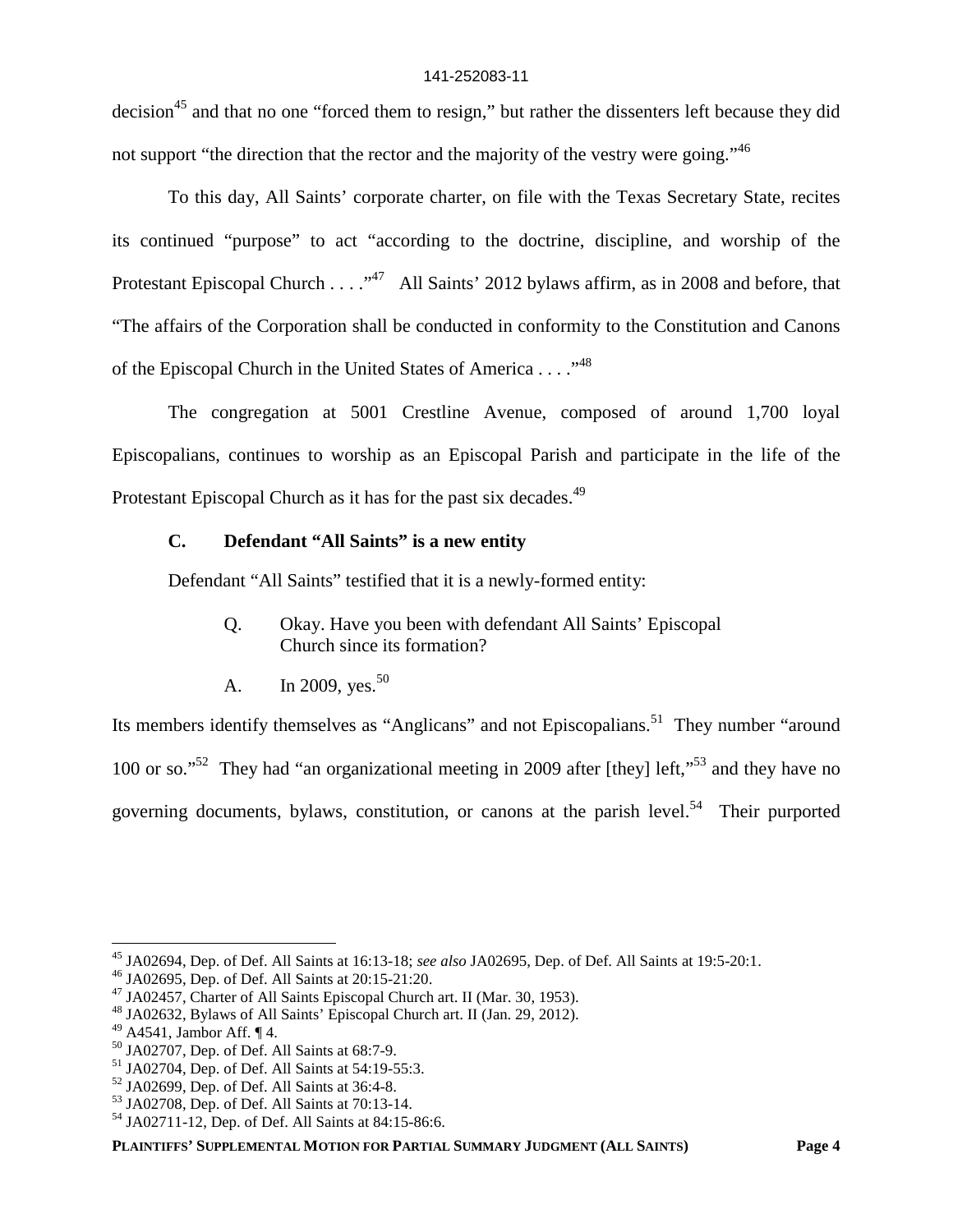decision<sup>45</sup> and that no one "forced them to resign," but rather the dissenters left because they did not support "the direction that the rector and the majority of the vestry were going."<sup>46</sup>

To this day, All Saints' corporate charter, on file with the Texas Secretary State, recites its continued "purpose" to act "according to the doctrine, discipline, and worship of the Protestant Episcopal Church . . . .  $\cdot$  .<sup>47</sup> All Saints' 2012 bylaws affirm, as in 2008 and before, that "The affairs of the Corporation shall be conducted in conformity to the Constitution and Canons of the Episcopal Church in the United States of America . . . .  $\cdot^{48}$ 

The congregation at 5001 Crestline Avenue, composed of around 1,700 loyal Episcopalians, continues to worship as an Episcopal Parish and participate in the life of the Protestant Episcopal Church as it has for the past six decades.<sup>49</sup>

### **C. Defendant "All Saints" is a new entity**

Defendant "All Saints" testified that it is a newly-formed entity:

- Q. Okay. Have you been with defendant All Saints' Episcopal Church since its formation?
- A. In 2009, yes.<sup>50</sup>

Its members identify themselves as "Anglicans" and not Episcopalians.<sup>51</sup> They number "around" 100 or so."<sup>52</sup> They had "an organizational meeting in 2009 after [they] left,"<sup>53</sup> and they have no governing documents, bylaws, constitution, or canons at the parish level.<sup>54</sup> Their purported

<sup>45</sup> JA02694, Dep. of Def. All Saints at 16:13-18; *see also* JA02695, Dep. of Def. All Saints at 19:5-20:1.

<sup>46</sup> JA02695, Dep. of Def. All Saints at 20:15-21:20.

<sup>&</sup>lt;sup>47</sup> JA02457, Charter of All Saints Episcopal Church art. II (Mar. 30, 1953).

<sup>48</sup> JA02632, Bylaws of All Saints' Episcopal Church art. II (Jan. 29, 2012).

 $^{49}$  A4541, Jambor Aff.  $\P$ 4.

<sup>50</sup> JA02707, Dep. of Def. All Saints at 68:7-9.

<sup>51</sup> JA02704, Dep. of Def. All Saints at 54:19-55:3.

<sup>52</sup> JA02699, Dep. of Def. All Saints at 36:4-8.

<sup>53</sup> JA02708, Dep. of Def. All Saints at 70:13-14.

<sup>54</sup> JA02711-12, Dep. of Def. All Saints at 84:15-86:6.

**PLAINTIFFS' SUPPLEMENTAL MOTION FOR PARTIAL SUMMARY JUDGMENT (ALL SAINTS) Page 4**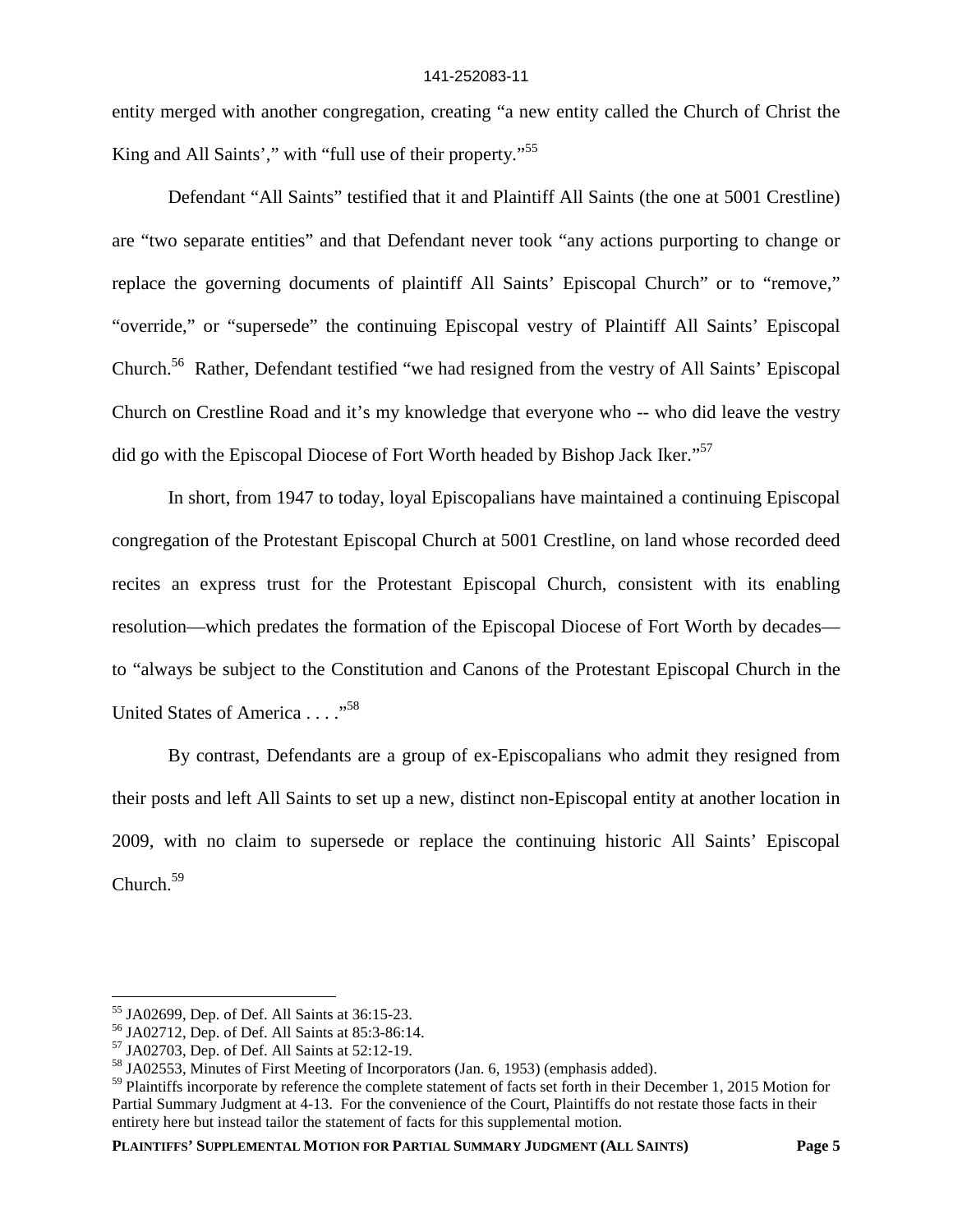entity merged with another congregation, creating "a new entity called the Church of Christ the King and All Saints'," with "full use of their property."<sup>55</sup>

Defendant "All Saints" testified that it and Plaintiff All Saints (the one at 5001 Crestline) are "two separate entities" and that Defendant never took "any actions purporting to change or replace the governing documents of plaintiff All Saints' Episcopal Church" or to "remove," "override," or "supersede" the continuing Episcopal vestry of Plaintiff All Saints' Episcopal Church.<sup>56</sup> Rather, Defendant testified "we had resigned from the vestry of All Saints' Episcopal Church on Crestline Road and it's my knowledge that everyone who -- who did leave the vestry did go with the Episcopal Diocese of Fort Worth headed by Bishop Jack Iker."<sup>57</sup>

In short, from 1947 to today, loyal Episcopalians have maintained a continuing Episcopal congregation of the Protestant Episcopal Church at 5001 Crestline, on land whose recorded deed recites an express trust for the Protestant Episcopal Church, consistent with its enabling resolution—which predates the formation of the Episcopal Diocese of Fort Worth by decades to "always be subject to the Constitution and Canons of the Protestant Episcopal Church in the United States of America . . . ."<sup>58</sup>

By contrast, Defendants are a group of ex-Episcopalians who admit they resigned from their posts and left All Saints to set up a new, distinct non-Episcopal entity at another location in 2009, with no claim to supersede or replace the continuing historic All Saints' Episcopal Church.<sup>59</sup>

**PLAINTIFFS' SUPPLEMENTAL MOTION FOR PARTIAL SUMMARY JUDGMENT (ALL SAINTS) Page 5**

<sup>55</sup> JA02699, Dep. of Def. All Saints at 36:15-23.

<sup>56</sup> JA02712, Dep. of Def. All Saints at 85:3-86:14.

<sup>57</sup> JA02703, Dep. of Def. All Saints at 52:12-19.

<sup>58</sup> JA02553, Minutes of First Meeting of Incorporators (Jan. 6, 1953) (emphasis added).

<sup>&</sup>lt;sup>59</sup> Plaintiffs incorporate by reference the complete statement of facts set forth in their December 1, 2015 Motion for Partial Summary Judgment at 4-13. For the convenience of the Court, Plaintiffs do not restate those facts in their entirety here but instead tailor the statement of facts for this supplemental motion.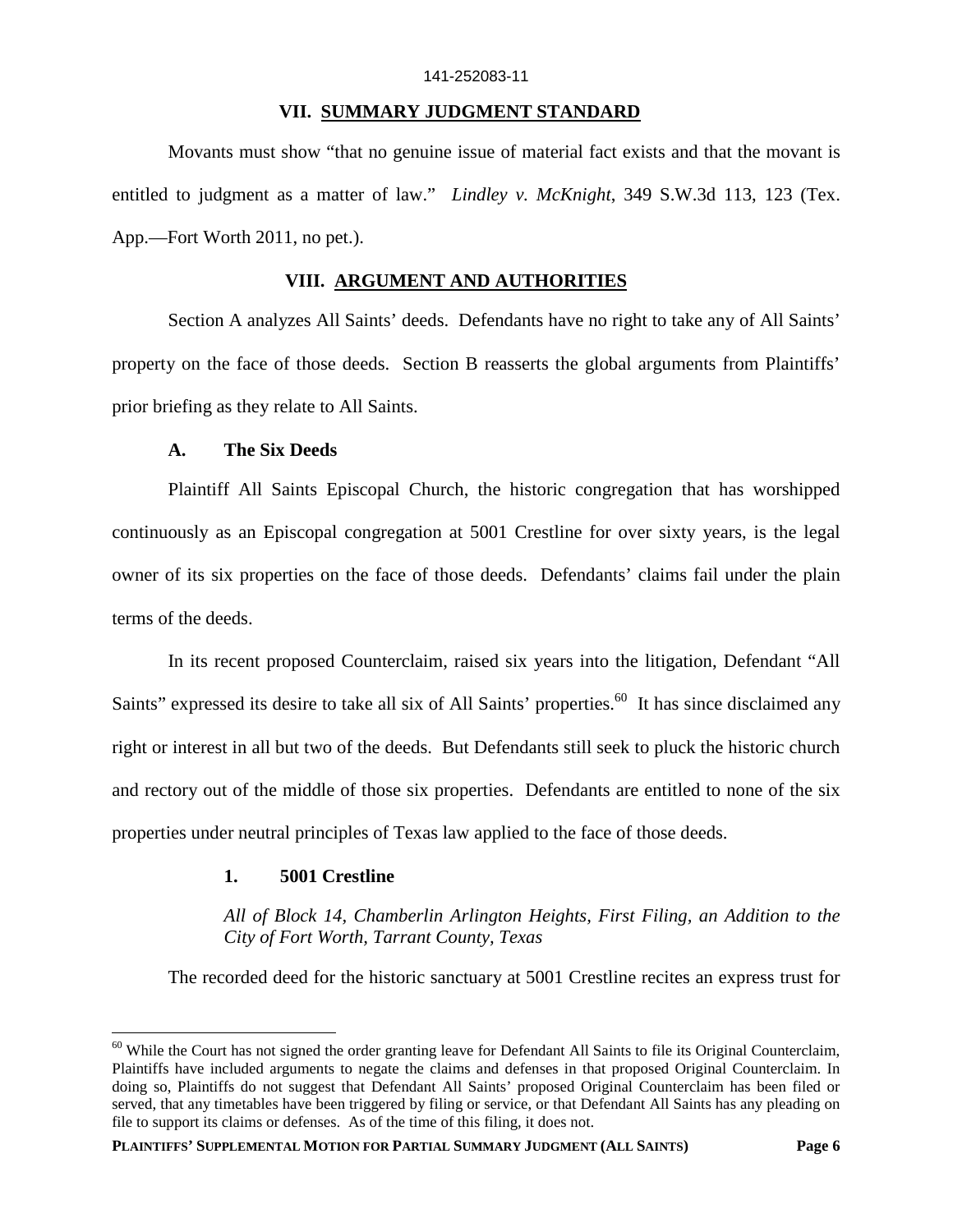#### **VII. SUMMARY JUDGMENT STANDARD**

Movants must show "that no genuine issue of material fact exists and that the movant is entitled to judgment as a matter of law." *Lindley v. McKnight*, 349 S.W.3d 113, 123 (Tex. App.—Fort Worth 2011, no pet.).

#### **VIII. ARGUMENT AND AUTHORITIES**

Section A analyzes All Saints' deeds. Defendants have no right to take any of All Saints' property on the face of those deeds. Section B reasserts the global arguments from Plaintiffs' prior briefing as they relate to All Saints.

### **A. The Six Deeds**

Plaintiff All Saints Episcopal Church, the historic congregation that has worshipped continuously as an Episcopal congregation at 5001 Crestline for over sixty years, is the legal owner of its six properties on the face of those deeds. Defendants' claims fail under the plain terms of the deeds.

In its recent proposed Counterclaim, raised six years into the litigation, Defendant "All Saints" expressed its desire to take all six of All Saints' properties.<sup>60</sup> It has since disclaimed any right or interest in all but two of the deeds. But Defendants still seek to pluck the historic church and rectory out of the middle of those six properties. Defendants are entitled to none of the six properties under neutral principles of Texas law applied to the face of those deeds.

#### **1. 5001 Crestline**

*All of Block 14, Chamberlin Arlington Heights, First Filing, an Addition to the City of Fort Worth, Tarrant County, Texas*

The recorded deed for the historic sanctuary at 5001 Crestline recites an express trust for

 $60$  While the Court has not signed the order granting leave for Defendant All Saints to file its Original Counterclaim, Plaintiffs have included arguments to negate the claims and defenses in that proposed Original Counterclaim. In doing so, Plaintiffs do not suggest that Defendant All Saints' proposed Original Counterclaim has been filed or served, that any timetables have been triggered by filing or service, or that Defendant All Saints has any pleading on file to support its claims or defenses. As of the time of this filing, it does not.

**PLAINTIFFS' SUPPLEMENTAL MOTION FOR PARTIAL SUMMARY JUDGMENT (ALL SAINTS) Page 6**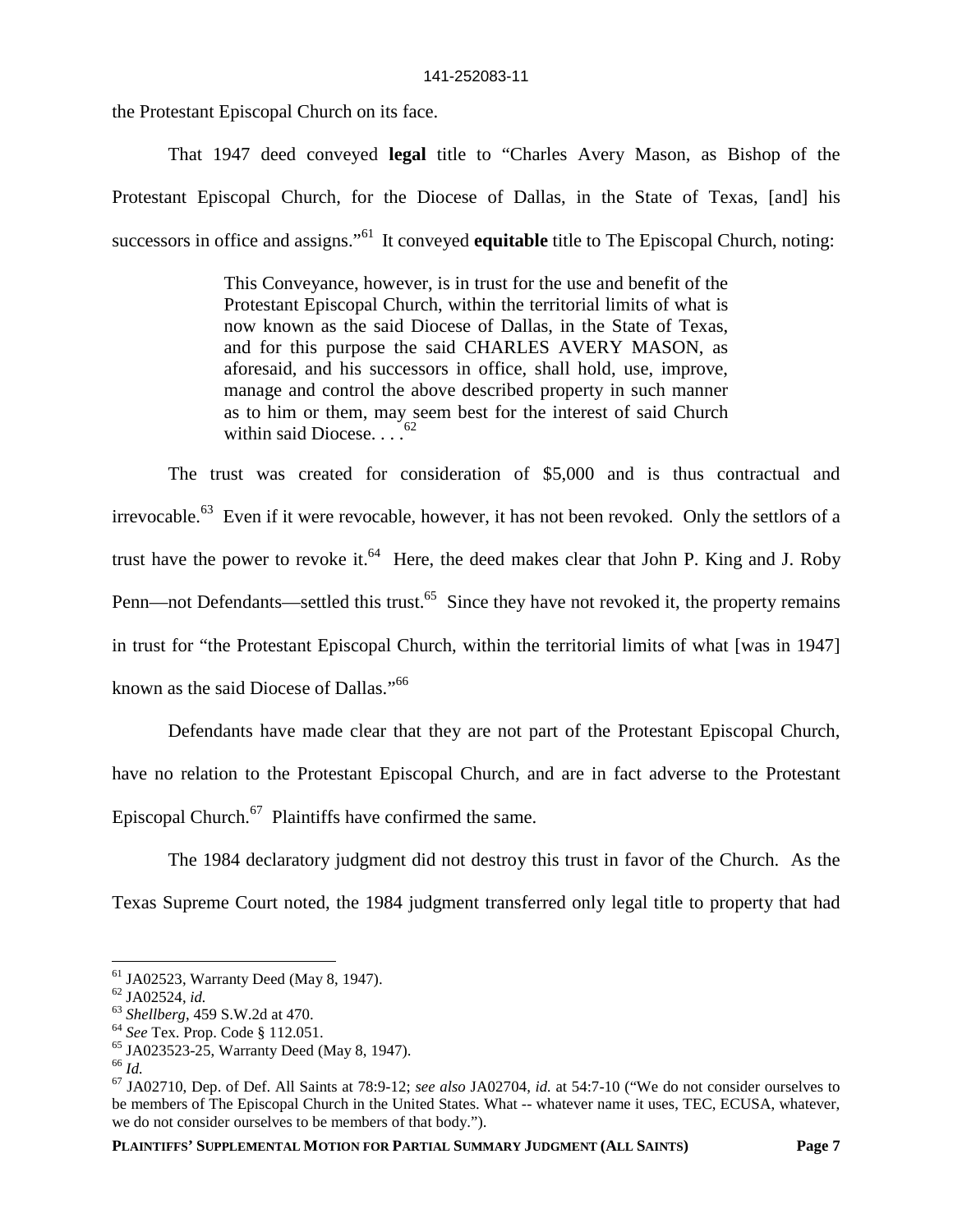the Protestant Episcopal Church on its face.

That 1947 deed conveyed **legal** title to "Charles Avery Mason, as Bishop of the Protestant Episcopal Church, for the Diocese of Dallas, in the State of Texas, [and] his successors in office and assigns."<sup>61</sup> It conveyed **equitable** title to The Episcopal Church, noting:

> This Conveyance, however, is in trust for the use and benefit of the Protestant Episcopal Church, within the territorial limits of what is now known as the said Diocese of Dallas, in the State of Texas, and for this purpose the said CHARLES AVERY MASON, as aforesaid, and his successors in office, shall hold, use, improve, manage and control the above described property in such manner as to him or them, may seem best for the interest of said Church within said Diocese.

The trust was created for consideration of \$5,000 and is thus contractual and irrevocable.<sup>63</sup> Even if it were revocable, however, it has not been revoked. Only the settlors of a trust have the power to revoke it. $64$  Here, the deed makes clear that John P. King and J. Roby Penn—not Defendants—settled this trust.<sup>65</sup> Since they have not revoked it, the property remains in trust for "the Protestant Episcopal Church, within the territorial limits of what [was in 1947] known as the said Diocese of Dallas."<sup>66</sup>

Defendants have made clear that they are not part of the Protestant Episcopal Church, have no relation to the Protestant Episcopal Church, and are in fact adverse to the Protestant Episcopal Church. $67$  Plaintiffs have confirmed the same.

The 1984 declaratory judgment did not destroy this trust in favor of the Church. As the Texas Supreme Court noted, the 1984 judgment transferred only legal title to property that had

<sup>61</sup> JA02523, Warranty Deed (May 8, 1947).

<sup>62</sup> JA02524, *id.*

<sup>63</sup> *Shellberg*, 459 S.W.2d at 470.

<sup>64</sup> *See* Tex. Prop. Code § 112.051.

<sup>65</sup> JA023523-25, Warranty Deed (May 8, 1947).

<sup>66</sup> *Id.*

<sup>67</sup> JA02710, Dep. of Def. All Saints at 78:9-12; *see also* JA02704, *id.* at 54:7-10 ("We do not consider ourselves to be members of The Episcopal Church in the United States. What -- whatever name it uses, TEC, ECUSA, whatever, we do not consider ourselves to be members of that body.").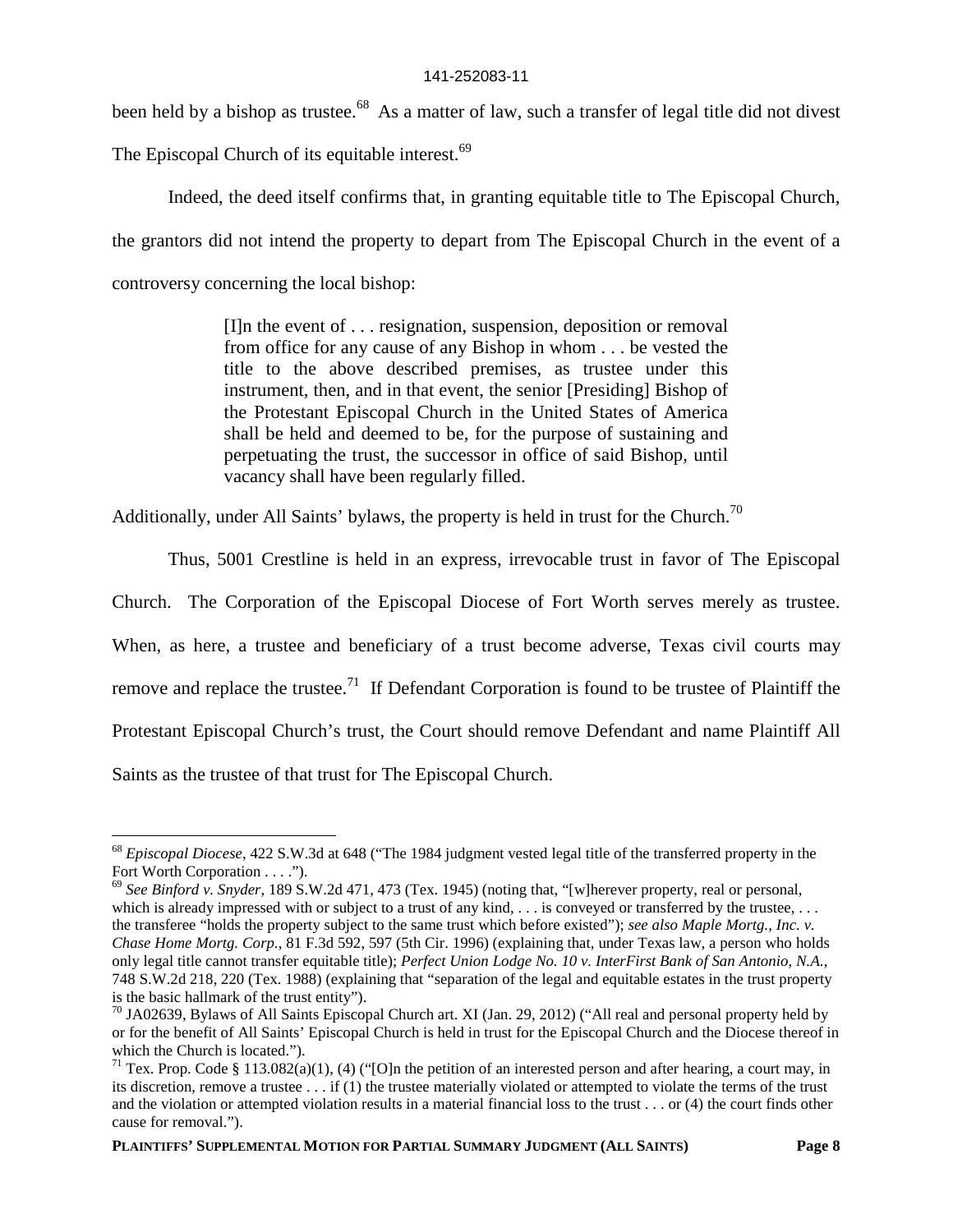been held by a bishop as trustee.<sup>68</sup> As a matter of law, such a transfer of legal title did not divest

The Episcopal Church of its equitable interest.<sup>69</sup>

Indeed, the deed itself confirms that, in granting equitable title to The Episcopal Church, the grantors did not intend the property to depart from The Episcopal Church in the event of a controversy concerning the local bishop:

> [I]n the event of . . . resignation, suspension, deposition or removal from office for any cause of any Bishop in whom . . . be vested the title to the above described premises, as trustee under this instrument, then, and in that event, the senior [Presiding] Bishop of the Protestant Episcopal Church in the United States of America shall be held and deemed to be, for the purpose of sustaining and perpetuating the trust, the successor in office of said Bishop, until vacancy shall have been regularly filled.

Additionally, under All Saints' bylaws, the property is held in trust for the Church.<sup>70</sup>

Thus, 5001 Crestline is held in an express, irrevocable trust in favor of The Episcopal

Church. The Corporation of the Episcopal Diocese of Fort Worth serves merely as trustee.

When, as here, a trustee and beneficiary of a trust become adverse, Texas civil courts may

remove and replace the trustee.<sup>71</sup> If Defendant Corporation is found to be trustee of Plaintiff the

Protestant Episcopal Church's trust, the Court should remove Defendant and name Plaintiff All

Saints as the trustee of that trust for The Episcopal Church.

<sup>68</sup> *Episcopal Diocese*, 422 S.W.3d at 648 ("The 1984 judgment vested legal title of the transferred property in the Fort Worth Corporation . . . .").

<sup>69</sup> *See Binford v. Snyder*, 189 S.W.2d 471, 473 (Tex. 1945) (noting that, "[w]herever property, real or personal, which is already impressed with or subject to a trust of any kind, . . . is conveyed or transferred by the trustee, . . . the transferee "holds the property subject to the same trust which before existed"); *see also Maple Mortg., Inc. v. Chase Home Mortg. Corp.*, 81 F.3d 592, 597 (5th Cir. 1996) (explaining that, under Texas law, a person who holds only legal title cannot transfer equitable title); *Perfect Union Lodge No. 10 v. InterFirst Bank of San Antonio, N.A.*, 748 S.W.2d 218, 220 (Tex. 1988) (explaining that "separation of the legal and equitable estates in the trust property is the basic hallmark of the trust entity").

<sup>&</sup>lt;sup>70</sup> JA02639, Bylaws of All Saints Episcopal Church art. XI (Jan. 29, 2012) ("All real and personal property held by or for the benefit of All Saints' Episcopal Church is held in trust for the Episcopal Church and the Diocese thereof in which the Church is located.").

<sup>&</sup>lt;sup>71</sup> Tex. Prop. Code § 113.082(a)(1), (4) ("[O]n the petition of an interested person and after hearing, a court may, in its discretion, remove a trustee . . . if (1) the trustee materially violated or attempted to violate the terms of the trust and the violation or attempted violation results in a material financial loss to the trust . . . or (4) the court finds other cause for removal.").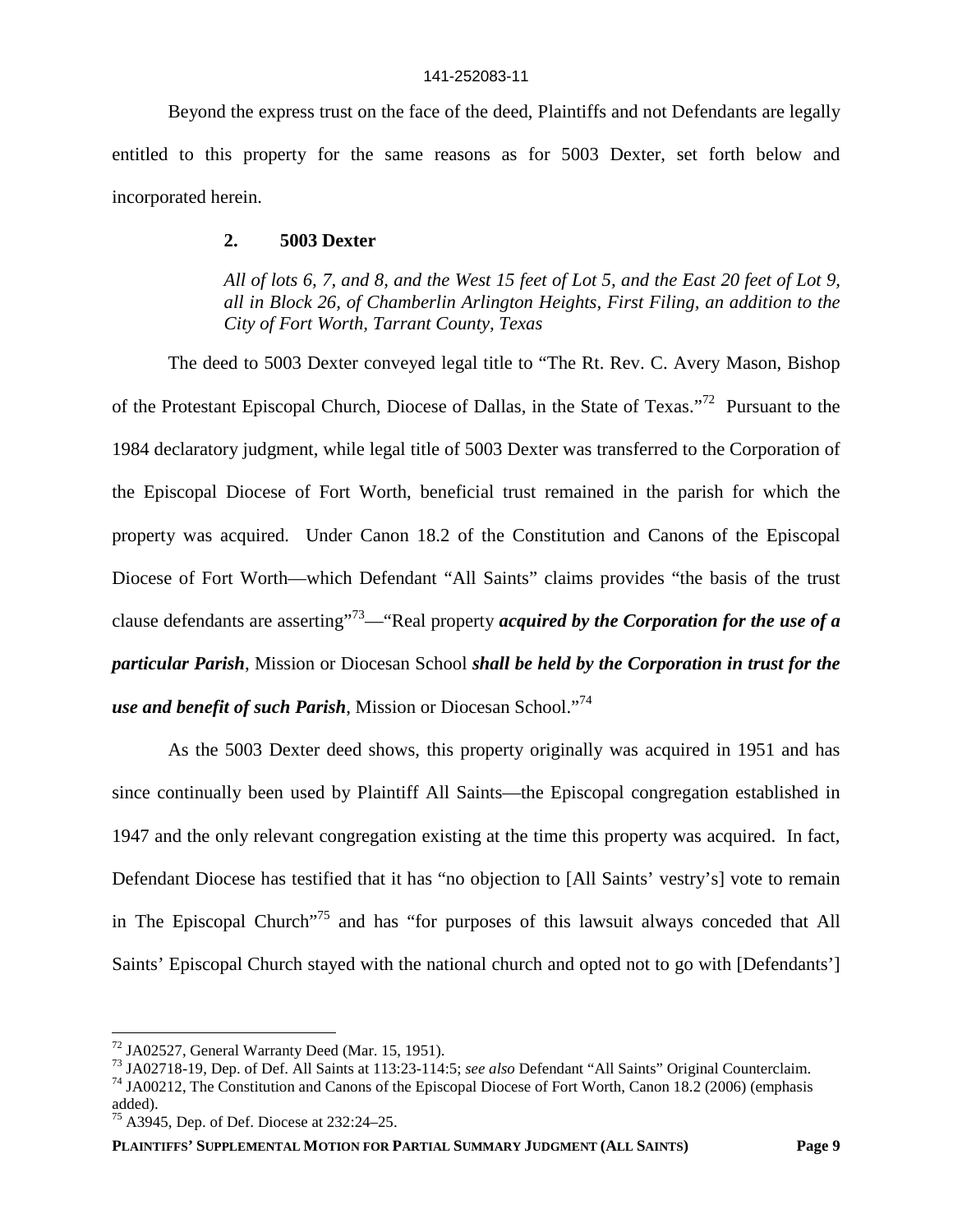Beyond the express trust on the face of the deed, Plaintiffs and not Defendants are legally entitled to this property for the same reasons as for 5003 Dexter, set forth below and incorporated herein.

### **2. 5003 Dexter**

*All of lots 6, 7, and 8, and the West 15 feet of Lot 5, and the East 20 feet of Lot 9, all in Block 26, of Chamberlin Arlington Heights, First Filing, an addition to the City of Fort Worth, Tarrant County, Texas*

The deed to 5003 Dexter conveyed legal title to "The Rt. Rev. C. Avery Mason, Bishop of the Protestant Episcopal Church, Diocese of Dallas, in the State of Texas."<sup>72</sup> Pursuant to the 1984 declaratory judgment, while legal title of 5003 Dexter was transferred to the Corporation of the Episcopal Diocese of Fort Worth, beneficial trust remained in the parish for which the property was acquired. Under Canon 18.2 of the Constitution and Canons of the Episcopal Diocese of Fort Worth—which Defendant "All Saints" claims provides "the basis of the trust clause defendants are asserting"<sup>73</sup>—"Real property *acquired by the Corporation for the use of a particular Parish*, Mission or Diocesan School *shall be held by the Corporation in trust for the use and benefit of such Parish*, Mission or Diocesan School."<sup>74</sup>

As the 5003 Dexter deed shows, this property originally was acquired in 1951 and has since continually been used by Plaintiff All Saints—the Episcopal congregation established in 1947 and the only relevant congregation existing at the time this property was acquired. In fact, Defendant Diocese has testified that it has "no objection to [All Saints' vestry's] vote to remain in The Episcopal Church"<sup>75</sup> and has "for purposes of this lawsuit always conceded that All Saints' Episcopal Church stayed with the national church and opted not to go with [Defendants']

 $72$  JA02527, General Warranty Deed (Mar. 15, 1951).

<sup>73</sup> JA02718-19, Dep. of Def. All Saints at 113:23-114:5; *see also* Defendant "All Saints" Original Counterclaim.

<sup>&</sup>lt;sup>74</sup> JA00212, The Constitution and Canons of the Episcopal Diocese of Fort Worth, Canon 18.2 (2006) (emphasis added).

<sup>75</sup> A3945, Dep. of Def. Diocese at 232:24–25.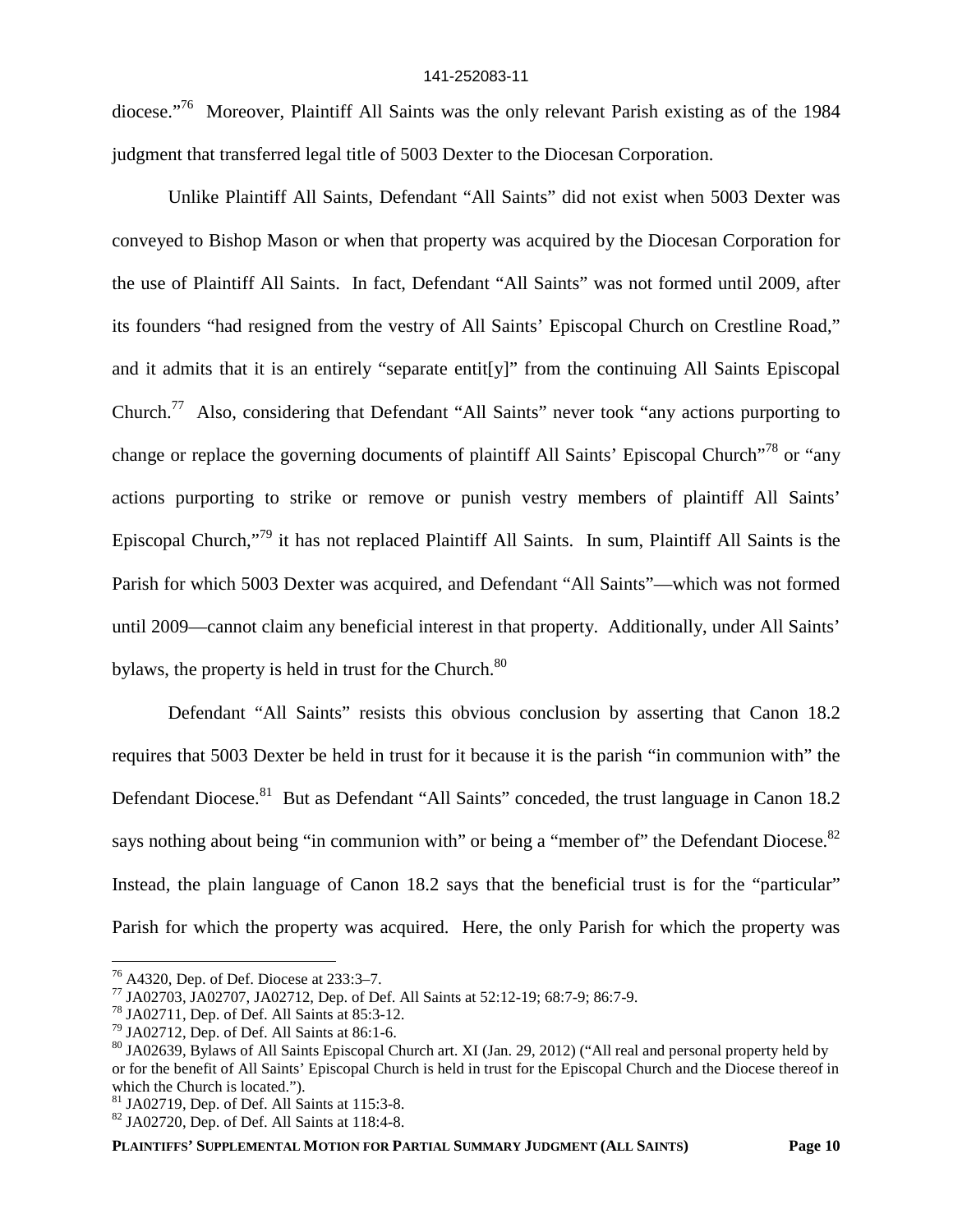diocese."<sup>76</sup> Moreover, Plaintiff All Saints was the only relevant Parish existing as of the 1984 judgment that transferred legal title of 5003 Dexter to the Diocesan Corporation.

Unlike Plaintiff All Saints, Defendant "All Saints" did not exist when 5003 Dexter was conveyed to Bishop Mason or when that property was acquired by the Diocesan Corporation for the use of Plaintiff All Saints. In fact, Defendant "All Saints" was not formed until 2009, after its founders "had resigned from the vestry of All Saints' Episcopal Church on Crestline Road," and it admits that it is an entirely "separate entit[y]" from the continuing All Saints Episcopal Church.<sup>77</sup> Also, considering that Defendant "All Saints" never took "any actions purporting to change or replace the governing documents of plaintiff All Saints' Episcopal Church<sup>"78</sup> or "any actions purporting to strike or remove or punish vestry members of plaintiff All Saints' Episcopal Church,"<sup>79</sup> it has not replaced Plaintiff All Saints. In sum, Plaintiff All Saints is the Parish for which 5003 Dexter was acquired, and Defendant "All Saints"—which was not formed until 2009—cannot claim any beneficial interest in that property. Additionally, under All Saints' bylaws, the property is held in trust for the Church.<sup>80</sup>

Defendant "All Saints" resists this obvious conclusion by asserting that Canon 18.2 requires that 5003 Dexter be held in trust for it because it is the parish "in communion with" the Defendant Diocese.<sup>81</sup> But as Defendant "All Saints" conceded, the trust language in Canon 18.2 says nothing about being "in communion with" or being a "member of" the Defendant Diocese. $82$ Instead, the plain language of Canon 18.2 says that the beneficial trust is for the "particular" Parish for which the property was acquired. Here, the only Parish for which the property was

**PLAINTIFFS' SUPPLEMENTAL MOTION FOR PARTIAL SUMMARY JUDGMENT (ALL SAINTS) Page 10**

<sup>76</sup> A4320, Dep. of Def. Diocese at 233:3–7.

<sup>77</sup> JA02703, JA02707, JA02712, Dep. of Def. All Saints at 52:12-19; 68:7-9; 86:7-9.

<sup>78</sup> JA02711, Dep. of Def. All Saints at 85:3-12.

 $79$  JA02712, Dep. of Def. All Saints at 86:1-6.

<sup>80</sup> JA02639, Bylaws of All Saints Episcopal Church art. XI (Jan. 29, 2012) ("All real and personal property held by or for the benefit of All Saints' Episcopal Church is held in trust for the Episcopal Church and the Diocese thereof in which the Church is located.").

 $81$  JA02719, Dep. of Def. All Saints at 115:3-8.

 $82$  JA02720, Dep. of Def. All Saints at 118:4-8.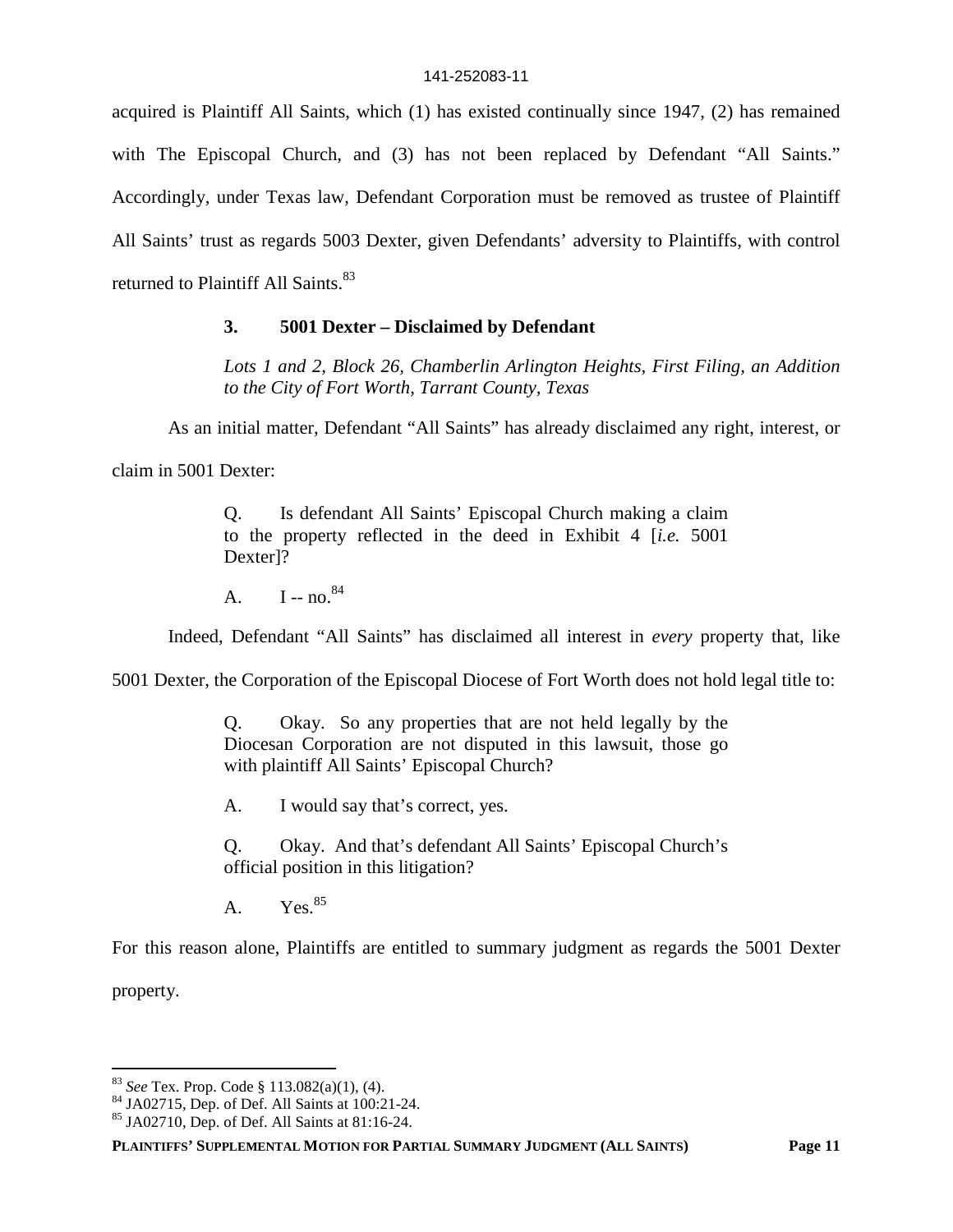acquired is Plaintiff All Saints, which (1) has existed continually since 1947, (2) has remained with The Episcopal Church, and (3) has not been replaced by Defendant "All Saints." Accordingly, under Texas law, Defendant Corporation must be removed as trustee of Plaintiff All Saints' trust as regards 5003 Dexter, given Defendants' adversity to Plaintiffs, with control returned to Plaintiff All Saints.<sup>83</sup>

### **3. 5001 Dexter – Disclaimed by Defendant**

*Lots 1 and 2, Block 26, Chamberlin Arlington Heights, First Filing, an Addition to the City of Fort Worth, Tarrant County, Texas*

As an initial matter, Defendant "All Saints" has already disclaimed any right, interest, or

claim in 5001 Dexter:

Q. Is defendant All Saints' Episcopal Church making a claim to the property reflected in the deed in Exhibit 4 [*i.e.* 5001 Dexter]?

A.  $I - no.<sup>84</sup>$ 

Indeed, Defendant "All Saints" has disclaimed all interest in *every* property that, like

5001 Dexter, the Corporation of the Episcopal Diocese of Fort Worth does not hold legal title to:

Q. Okay. So any properties that are not held legally by the Diocesan Corporation are not disputed in this lawsuit, those go with plaintiff All Saints' Episcopal Church?

A. I would say that's correct, yes.

Q. Okay. And that's defendant All Saints' Episcopal Church's official position in this litigation?

A.  $Yes.<sup>85</sup>$ 

For this reason alone, Plaintiffs are entitled to summary judgment as regards the 5001 Dexter

property.

<sup>83</sup> *See* Tex. Prop. Code § 113.082(a)(1), (4).

<sup>84</sup> JA02715, Dep. of Def. All Saints at 100:21-24.

<sup>85</sup> JA02710, Dep. of Def. All Saints at 81:16-24.

**PLAINTIFFS' SUPPLEMENTAL MOTION FOR PARTIAL SUMMARY JUDGMENT (ALL SAINTS) Page 11**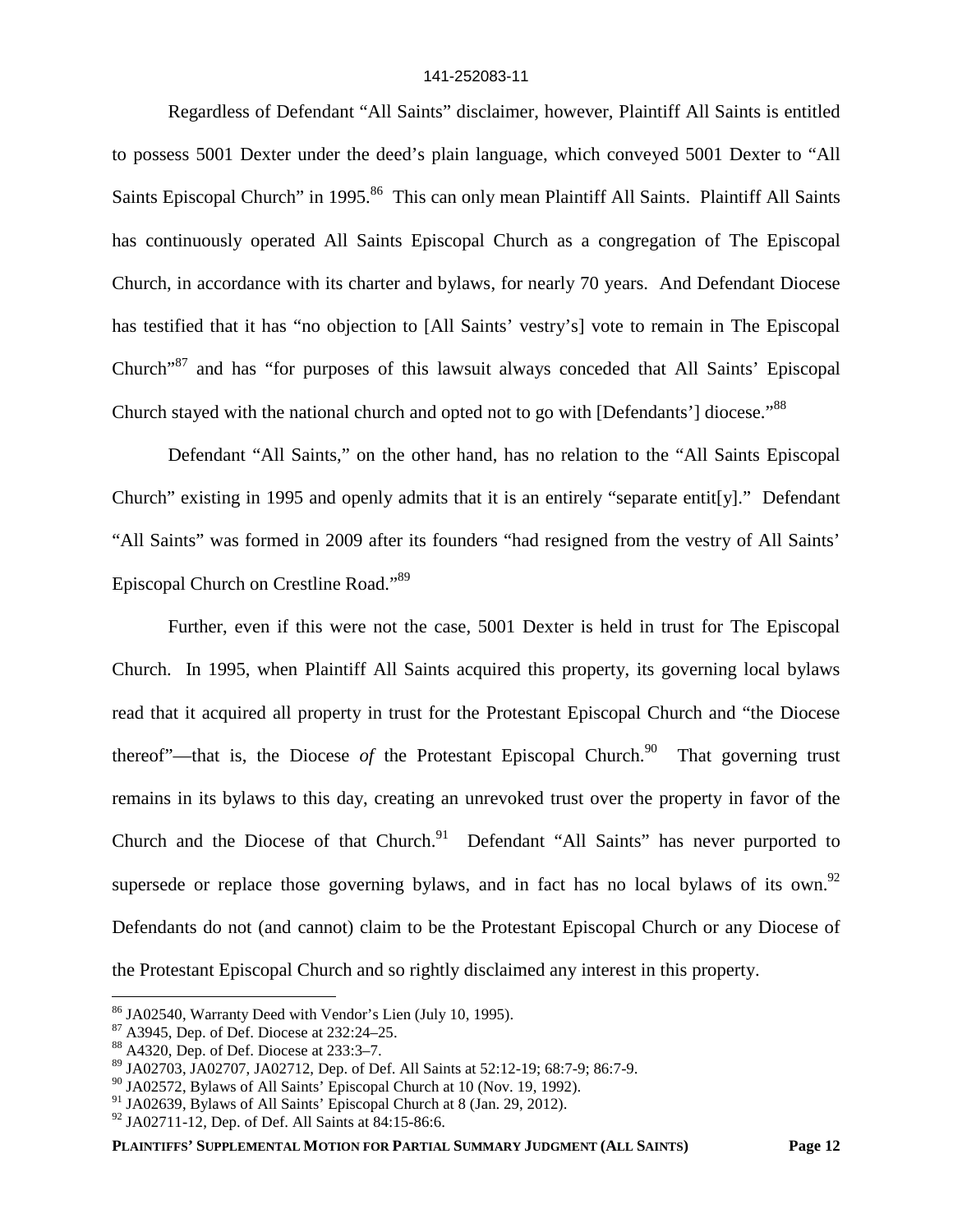Regardless of Defendant "All Saints" disclaimer, however, Plaintiff All Saints is entitled to possess 5001 Dexter under the deed's plain language, which conveyed 5001 Dexter to "All Saints Episcopal Church" in 1995.<sup>86</sup> This can only mean Plaintiff All Saints. Plaintiff All Saints has continuously operated All Saints Episcopal Church as a congregation of The Episcopal Church, in accordance with its charter and bylaws, for nearly 70 years. And Defendant Diocese has testified that it has "no objection to [All Saints' vestry's] vote to remain in The Episcopal Church<sup>37</sup> and has "for purposes of this lawsuit always conceded that All Saints' Episcopal Church stayed with the national church and opted not to go with [Defendants'] diocese."<sup>88</sup>

Defendant "All Saints," on the other hand, has no relation to the "All Saints Episcopal Church" existing in 1995 and openly admits that it is an entirely "separate entit[y]." Defendant "All Saints" was formed in 2009 after its founders "had resigned from the vestry of All Saints' Episcopal Church on Crestline Road."<sup>89</sup>

Further, even if this were not the case, 5001 Dexter is held in trust for The Episcopal Church. In 1995, when Plaintiff All Saints acquired this property, its governing local bylaws read that it acquired all property in trust for the Protestant Episcopal Church and "the Diocese thereof"—that is, the Diocese *of* the Protestant Episcopal Church.<sup>90</sup> That governing trust remains in its bylaws to this day, creating an unrevoked trust over the property in favor of the Church and the Diocese of that Church.<sup>91</sup> Defendant "All Saints" has never purported to supersede or replace those governing bylaws, and in fact has no local bylaws of its own.<sup>92</sup> Defendants do not (and cannot) claim to be the Protestant Episcopal Church or any Diocese of the Protestant Episcopal Church and so rightly disclaimed any interest in this property.

<sup>86</sup> JA02540, Warranty Deed with Vendor's Lien (July 10, 1995).

 $87$  A3945, Dep. of Def. Diocese at 232:24–25.

<sup>88</sup> A4320, Dep. of Def. Diocese at 233:3–7.

<sup>89</sup> JA02703, JA02707, JA02712, Dep. of Def. All Saints at 52:12-19; 68:7-9; 86:7-9.

 $90$  JA02572, Bylaws of All Saints' Episcopal Church at 10 (Nov. 19, 1992).

<sup>&</sup>lt;sup>91</sup> JA02639, Bylaws of All Saints' Episcopal Church at 8 (Jan. 29, 2012).

<sup>92</sup> JA02711-12, Dep. of Def. All Saints at 84:15-86:6.

**PLAINTIFFS' SUPPLEMENTAL MOTION FOR PARTIAL SUMMARY JUDGMENT (ALL SAINTS) Page 12**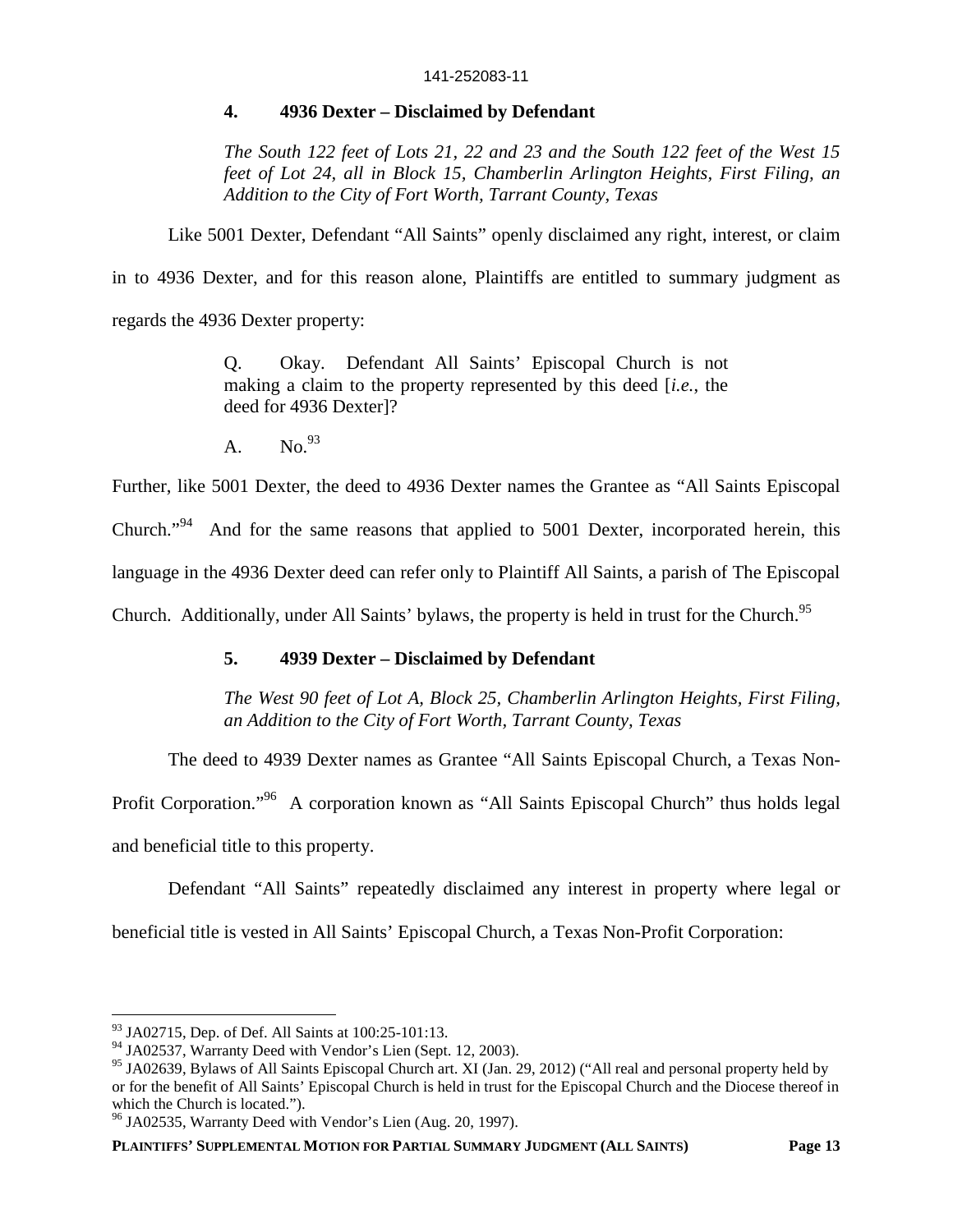### **4. 4936 Dexter – Disclaimed by Defendant**

*The South 122 feet of Lots 21, 22 and 23 and the South 122 feet of the West 15 feet of Lot 24, all in Block 15, Chamberlin Arlington Heights, First Filing, an Addition to the City of Fort Worth, Tarrant County, Texas*

Like 5001 Dexter, Defendant "All Saints" openly disclaimed any right, interest, or claim

in to 4936 Dexter, and for this reason alone, Plaintiffs are entitled to summary judgment as

regards the 4936 Dexter property:

Q. Okay. Defendant All Saints' Episcopal Church is not making a claim to the property represented by this deed [*i.e.*, the deed for 4936 Dexter]?

 $A.$  No.  $93$ 

Further, like 5001 Dexter, the deed to 4936 Dexter names the Grantee as "All Saints Episcopal Church."<sup>94</sup> And for the same reasons that applied to 5001 Dexter, incorporated herein, this language in the 4936 Dexter deed can refer only to Plaintiff All Saints, a parish of The Episcopal Church. Additionally, under All Saints' bylaws, the property is held in trust for the Church.<sup>95</sup>

## **5. 4939 Dexter – Disclaimed by Defendant**

*The West 90 feet of Lot A, Block 25, Chamberlin Arlington Heights, First Filing, an Addition to the City of Fort Worth, Tarrant County, Texas*

The deed to 4939 Dexter names as Grantee "All Saints Episcopal Church, a Texas Non-

Profit Corporation."<sup>96</sup> A corporation known as "All Saints Episcopal Church" thus holds legal

and beneficial title to this property.

Defendant "All Saints" repeatedly disclaimed any interest in property where legal or

beneficial title is vested in All Saints' Episcopal Church, a Texas Non-Profit Corporation:

 $93$  JA02715, Dep. of Def. All Saints at 100:25-101:13.

<sup>&</sup>lt;sup>94</sup> JA02537, Warranty Deed with Vendor's Lien (Sept. 12, 2003).

<sup>&</sup>lt;sup>95</sup> JA02639, Bylaws of All Saints Episcopal Church art. XI (Jan. 29, 2012) ("All real and personal property held by or for the benefit of All Saints' Episcopal Church is held in trust for the Episcopal Church and the Diocese thereof in which the Church is located.").

<sup>96</sup> JA02535, Warranty Deed with Vendor's Lien (Aug. 20, 1997).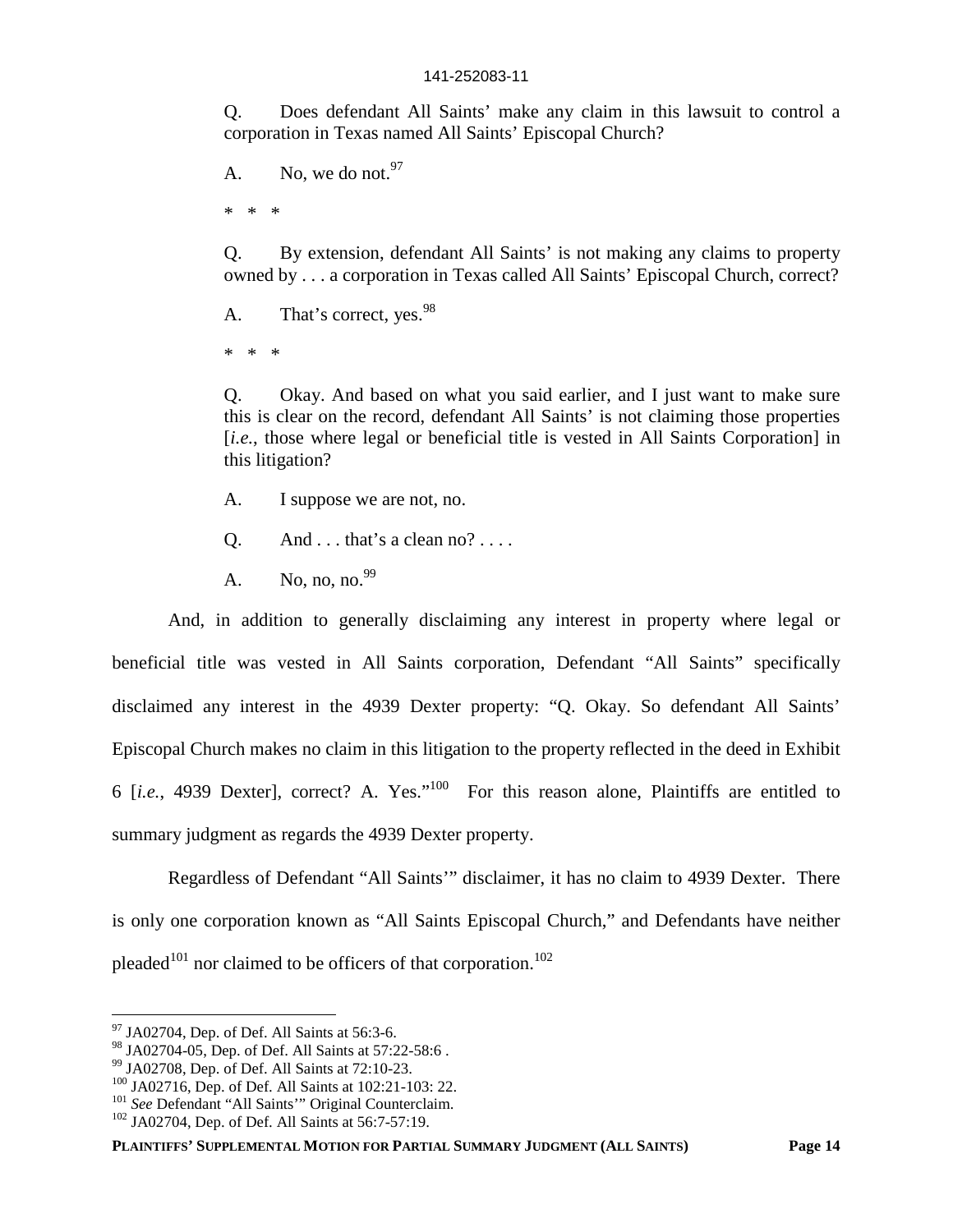Q. Does defendant All Saints' make any claim in this lawsuit to control a corporation in Texas named All Saints' Episcopal Church?

A. No, we do not.  $97$ 

\* \* \*

Q. By extension, defendant All Saints' is not making any claims to property owned by . . . a corporation in Texas called All Saints' Episcopal Church, correct?

A. That's correct, yes.<sup>98</sup>

\* \* \*

Q. Okay. And based on what you said earlier, and I just want to make sure this is clear on the record, defendant All Saints' is not claiming those properties [*i.e.*, those where legal or beneficial title is vested in All Saints Corporation] in this litigation?

- A. I suppose we are not, no.
- Q. And  $\dots$  that's a clean no?  $\dots$
- A. No, no, no.  $99$

And, in addition to generally disclaiming any interest in property where legal or beneficial title was vested in All Saints corporation, Defendant "All Saints" specifically disclaimed any interest in the 4939 Dexter property: "Q. Okay. So defendant All Saints' Episcopal Church makes no claim in this litigation to the property reflected in the deed in Exhibit 6 [*i.e.*, 4939 Dexter], correct? A. Yes."<sup>100</sup> For this reason alone, Plaintiffs are entitled to summary judgment as regards the 4939 Dexter property.

Regardless of Defendant "All Saints'" disclaimer, it has no claim to 4939 Dexter. There is only one corporation known as "All Saints Episcopal Church," and Defendants have neither pleaded<sup>101</sup> nor claimed to be officers of that corporation.<sup>102</sup>

**PLAINTIFFS' SUPPLEMENTAL MOTION FOR PARTIAL SUMMARY JUDGMENT (ALL SAINTS) Page 14**

 $97$  JA02704, Dep. of Def. All Saints at 56:3-6.

<sup>98</sup> JA02704-05, Dep. of Def. All Saints at 57:22-58:6 .

<sup>99</sup> JA02708, Dep. of Def. All Saints at 72:10-23.

<sup>100</sup> JA02716, Dep. of Def. All Saints at 102:21-103: 22.

<sup>&</sup>lt;sup>101</sup> See Defendant "All Saints" Original Counterclaim.

<sup>&</sup>lt;sup>102</sup> JA02704, Dep. of Def. All Saints at 56:7-57:19.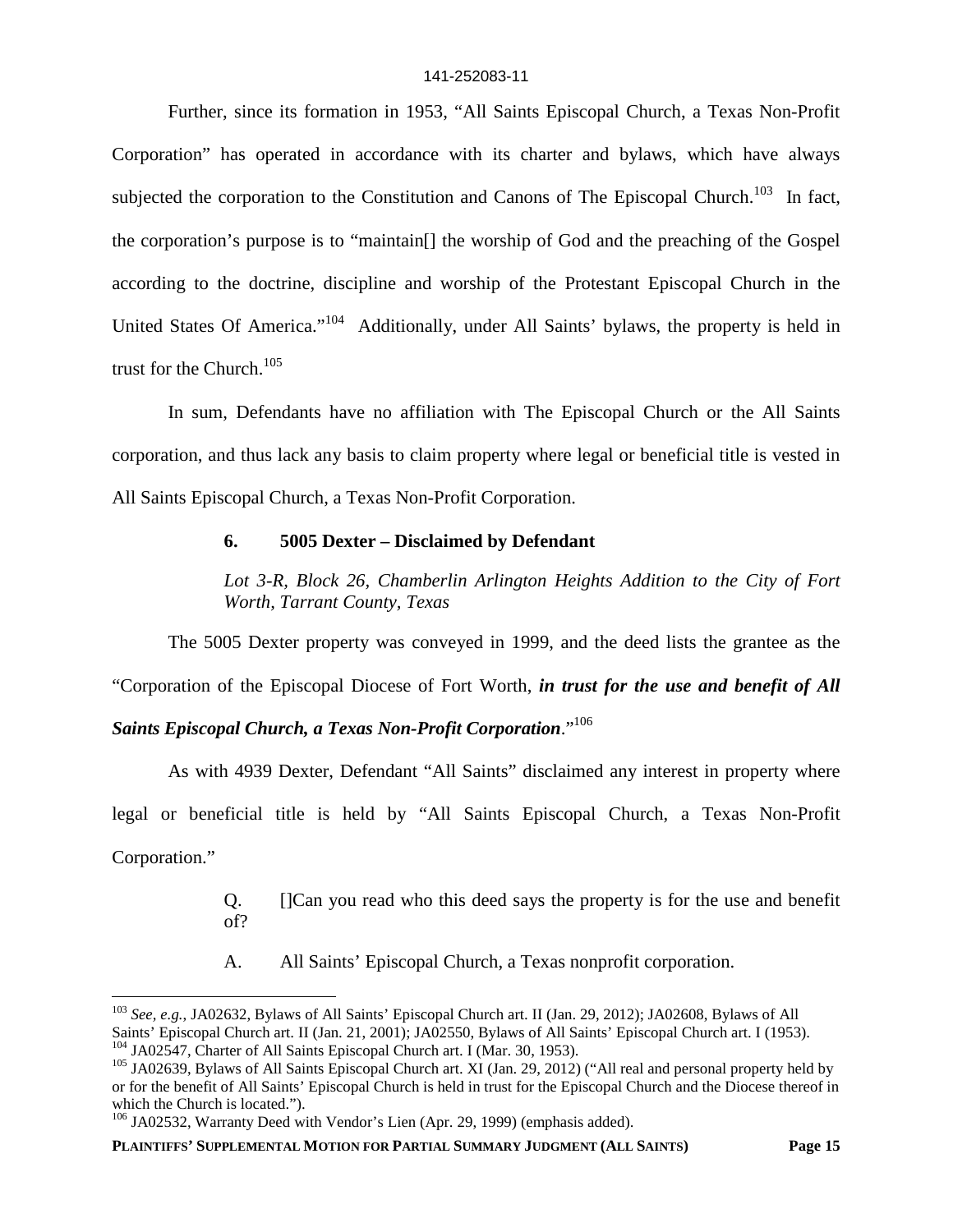Further, since its formation in 1953, "All Saints Episcopal Church, a Texas Non-Profit Corporation" has operated in accordance with its charter and bylaws, which have always subjected the corporation to the Constitution and Canons of The Episcopal Church.<sup>103</sup> In fact, the corporation's purpose is to "maintain[] the worship of God and the preaching of the Gospel according to the doctrine, discipline and worship of the Protestant Episcopal Church in the United States Of America."<sup>104</sup> Additionally, under All Saints' bylaws, the property is held in trust for the Church.<sup>105</sup>

In sum, Defendants have no affiliation with The Episcopal Church or the All Saints corporation, and thus lack any basis to claim property where legal or beneficial title is vested in All Saints Episcopal Church, a Texas Non-Profit Corporation.

### **6. 5005 Dexter – Disclaimed by Defendant**

*Lot 3-R, Block 26, Chamberlin Arlington Heights Addition to the City of Fort Worth, Tarrant County, Texas*

The 5005 Dexter property was conveyed in 1999, and the deed lists the grantee as the "Corporation of the Episcopal Diocese of Fort Worth, *in trust for the use and benefit of All*

### *Saints Episcopal Church, a Texas Non-Profit Corporation*."<sup>106</sup>

As with 4939 Dexter, Defendant "All Saints" disclaimed any interest in property where legal or beneficial title is held by "All Saints Episcopal Church, a Texas Non-Profit Corporation."

> Q. []Can you read who this deed says the property is for the use and benefit of?

A. All Saints' Episcopal Church, a Texas nonprofit corporation.

**PLAINTIFFS' SUPPLEMENTAL MOTION FOR PARTIAL SUMMARY JUDGMENT (ALL SAINTS) Page 15**

<sup>103</sup> *See, e.g.*, JA02632, Bylaws of All Saints' Episcopal Church art. II (Jan. 29, 2012); JA02608, Bylaws of All Saints' Episcopal Church art. II (Jan. 21, 2001); JA02550, Bylaws of All Saints' Episcopal Church art. I (1953). <sup>104</sup> JA02547, Charter of All Saints Episcopal Church art. I (Mar. 30, 1953).

<sup>&</sup>lt;sup>105</sup> JA02639, Bylaws of All Saints Episcopal Church art. XI (Jan. 29, 2012) ("All real and personal property held by or for the benefit of All Saints' Episcopal Church is held in trust for the Episcopal Church and the Diocese thereof in which the Church is located.").

<sup>&</sup>lt;sup>106</sup> JA02532, Warranty Deed with Vendor's Lien (Apr. 29, 1999) (emphasis added).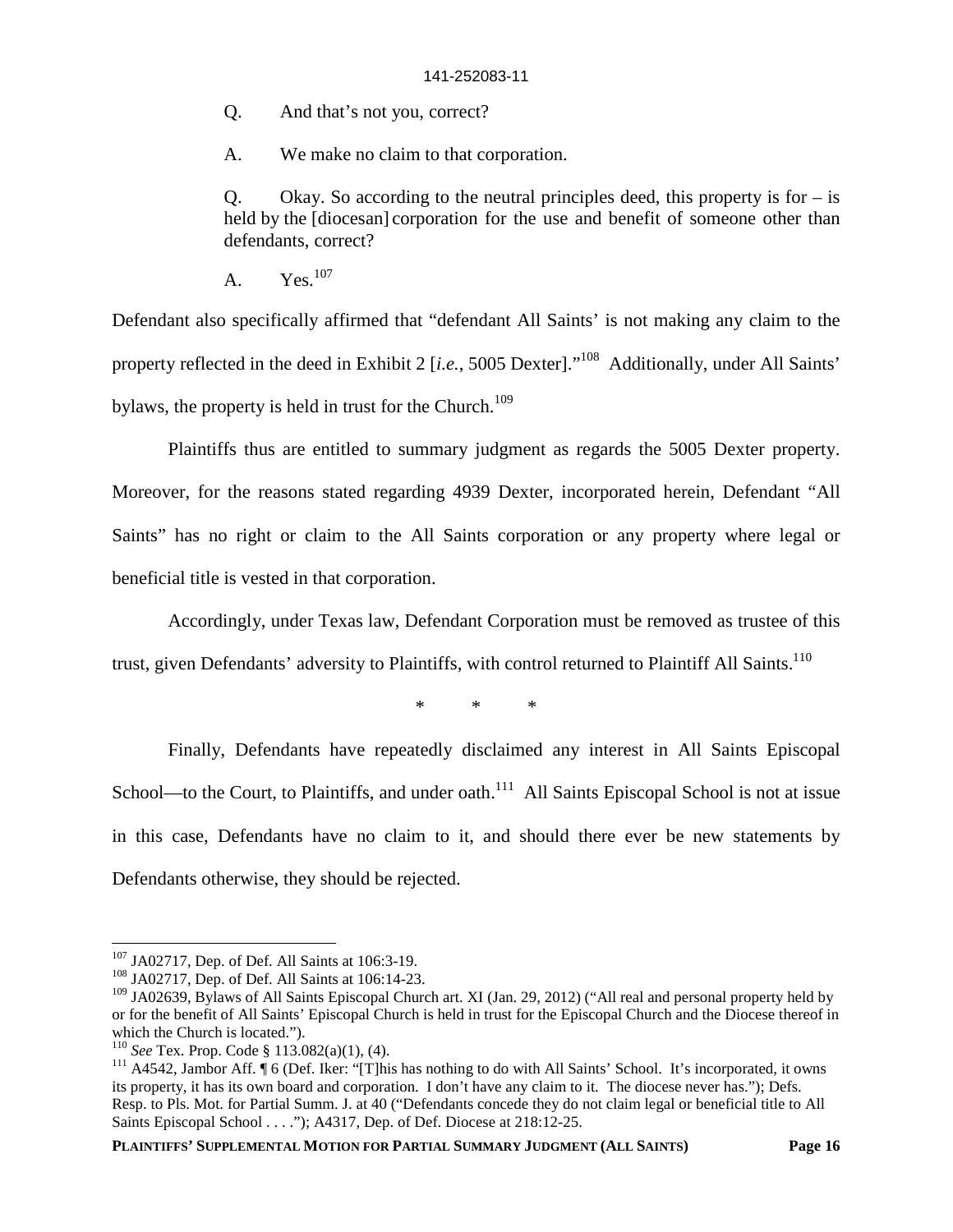Q. And that's not you, correct?

A. We make no claim to that corporation.

Q. Okay. So according to the neutral principles deed, this property is for  $-$  is held by the [diocesan] corporation for the use and benefit of someone other than defendants, correct?

A.  $Yes.<sup>107</sup>$ 

Defendant also specifically affirmed that "defendant All Saints' is not making any claim to the property reflected in the deed in Exhibit 2 [*i.e.*, 5005 Dexter]."<sup>108</sup> Additionally, under All Saints' bylaws, the property is held in trust for the Church.<sup>109</sup>

Plaintiffs thus are entitled to summary judgment as regards the 5005 Dexter property. Moreover, for the reasons stated regarding 4939 Dexter, incorporated herein, Defendant "All Saints" has no right or claim to the All Saints corporation or any property where legal or beneficial title is vested in that corporation.

Accordingly, under Texas law, Defendant Corporation must be removed as trustee of this

trust, given Defendants' adversity to Plaintiffs, with control returned to Plaintiff All Saints.<sup>110</sup>

\* \* \*

Finally, Defendants have repeatedly disclaimed any interest in All Saints Episcopal School—to the Court, to Plaintiffs, and under oath.<sup>111</sup> All Saints Episcopal School is not at issue in this case, Defendants have no claim to it, and should there ever be new statements by Defendants otherwise, they should be rejected.

**PLAINTIFFS' SUPPLEMENTAL MOTION FOR PARTIAL SUMMARY JUDGMENT (ALL SAINTS) Page 16**

<sup>107</sup> JA02717, Dep. of Def. All Saints at 106:3-19.

<sup>108</sup> JA02717, Dep. of Def. All Saints at 106:14-23.

<sup>&</sup>lt;sup>109</sup> JA02639, Bylaws of All Saints Episcopal Church art. XI (Jan. 29, 2012) ("All real and personal property held by or for the benefit of All Saints' Episcopal Church is held in trust for the Episcopal Church and the Diocese thereof in which the Church is located.").

<sup>110</sup> *See* Tex. Prop. Code § 113.082(a)(1), (4).

<sup>&</sup>lt;sup>111</sup> A4542, Jambor Aff. ¶ 6 (Def. Iker: "[T]his has nothing to do with All Saints' School. It's incorporated, it owns its property, it has its own board and corporation. I don't have any claim to it. The diocese never has."); Defs. Resp. to Pls. Mot. for Partial Summ. J. at 40 ("Defendants concede they do not claim legal or beneficial title to All Saints Episcopal School . . . ."); A4317, Dep. of Def. Diocese at 218:12-25.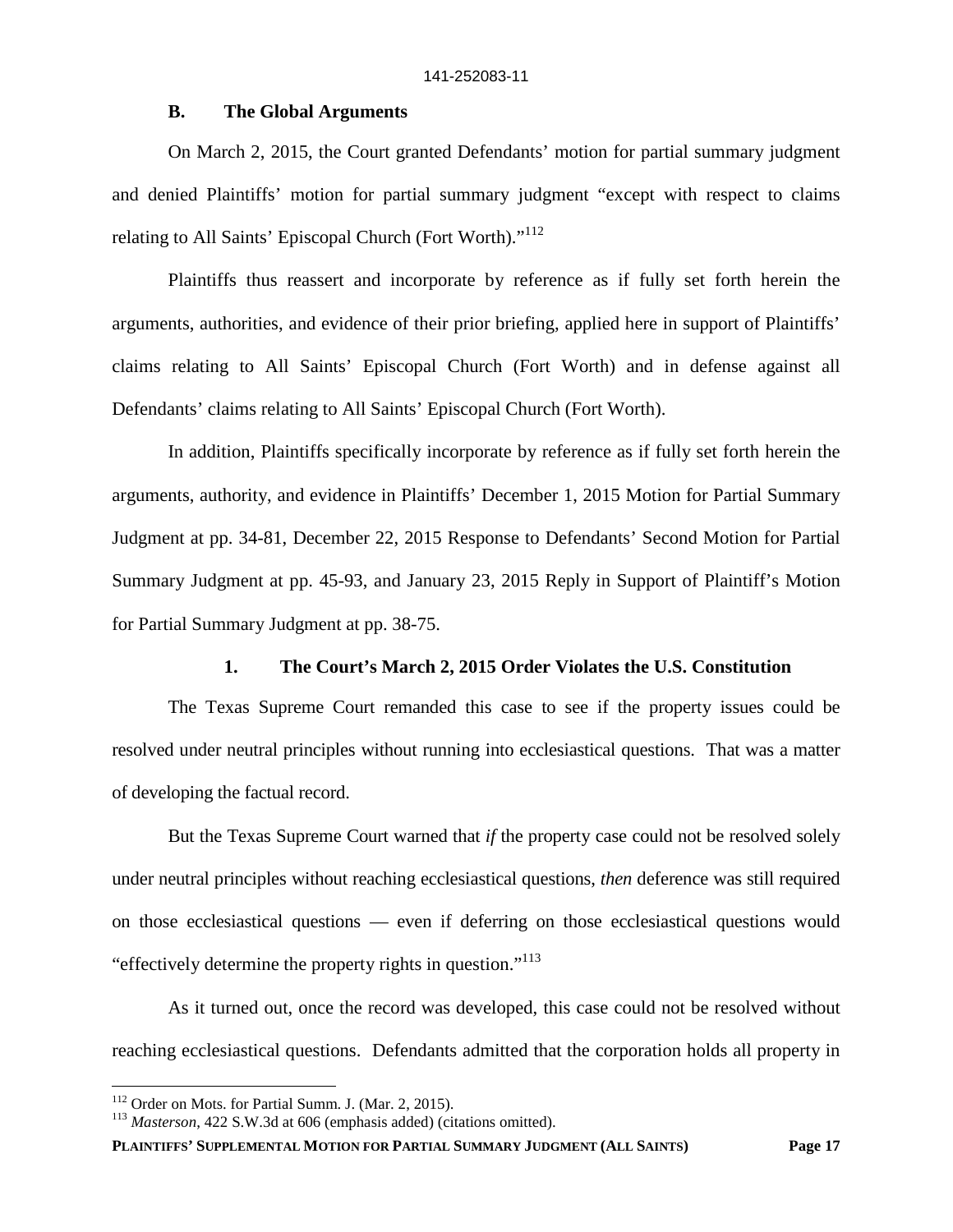### **B. The Global Arguments**

On March 2, 2015, the Court granted Defendants' motion for partial summary judgment and denied Plaintiffs' motion for partial summary judgment "except with respect to claims relating to All Saints' Episcopal Church (Fort Worth)."<sup>112</sup>

Plaintiffs thus reassert and incorporate by reference as if fully set forth herein the arguments, authorities, and evidence of their prior briefing, applied here in support of Plaintiffs' claims relating to All Saints' Episcopal Church (Fort Worth) and in defense against all Defendants' claims relating to All Saints' Episcopal Church (Fort Worth).

In addition, Plaintiffs specifically incorporate by reference as if fully set forth herein the arguments, authority, and evidence in Plaintiffs' December 1, 2015 Motion for Partial Summary Judgment at pp. 34-81, December 22, 2015 Response to Defendants' Second Motion for Partial Summary Judgment at pp. 45-93, and January 23, 2015 Reply in Support of Plaintiff's Motion for Partial Summary Judgment at pp. 38-75.

### **1. The Court's March 2, 2015 Order Violates the U.S. Constitution**

The Texas Supreme Court remanded this case to see if the property issues could be resolved under neutral principles without running into ecclesiastical questions. That was a matter of developing the factual record.

But the Texas Supreme Court warned that *if* the property case could not be resolved solely under neutral principles without reaching ecclesiastical questions, *then* deference was still required on those ecclesiastical questions — even if deferring on those ecclesiastical questions would "effectively determine the property rights in question."<sup>113</sup>

As it turned out, once the record was developed, this case could not be resolved without reaching ecclesiastical questions. Defendants admitted that the corporation holds all property in

<sup>112</sup> Order on Mots. for Partial Summ. J. (Mar. 2, 2015).

<sup>113</sup> *Masterson*, 422 S.W.3d at 606 (emphasis added) (citations omitted).

**PLAINTIFFS' SUPPLEMENTAL MOTION FOR PARTIAL SUMMARY JUDGMENT (ALL SAINTS) Page 17**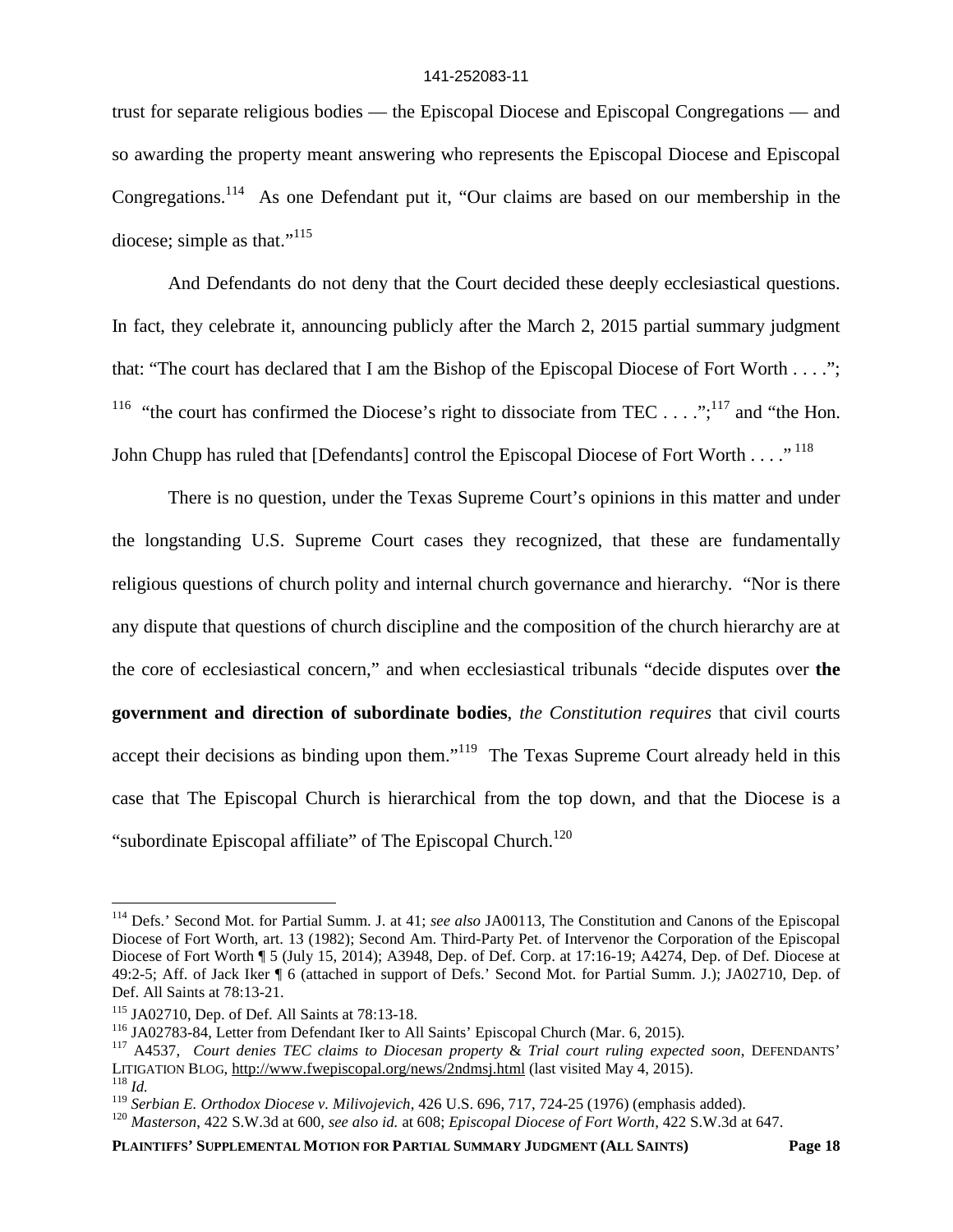trust for separate religious bodies — the Episcopal Diocese and Episcopal Congregations — and so awarding the property meant answering who represents the Episcopal Diocese and Episcopal Congregations.<sup>114</sup> As one Defendant put it, "Our claims are based on our membership in the diocese; simple as that." $115$ 

And Defendants do not deny that the Court decided these deeply ecclesiastical questions. In fact, they celebrate it, announcing publicly after the March 2, 2015 partial summary judgment that: "The court has declared that I am the Bishop of the Episcopal Diocese of Fort Worth . . . ."; <sup>116</sup> "the court has confirmed the Diocese's right to dissociate from TEC . . . .";<sup>117</sup> and "the Hon. John Chupp has ruled that [Defendants] control the Episcopal Diocese of Fort Worth . . . . "<sup>118</sup>

There is no question, under the Texas Supreme Court's opinions in this matter and under the longstanding U.S. Supreme Court cases they recognized, that these are fundamentally religious questions of church polity and internal church governance and hierarchy. "Nor is there any dispute that questions of church discipline and the composition of the church hierarchy are at the core of ecclesiastical concern," and when ecclesiastical tribunals "decide disputes over **the government and direction of subordinate bodies**, *the Constitution requires* that civil courts accept their decisions as binding upon them."<sup>119</sup> The Texas Supreme Court already held in this case that The Episcopal Church is hierarchical from the top down, and that the Diocese is a "subordinate Episcopal affiliate" of The Episcopal Church.<sup>120</sup>

<sup>114</sup> Defs.' Second Mot. for Partial Summ. J. at 41; *see also* JA00113, The Constitution and Canons of the Episcopal Diocese of Fort Worth, art. 13 (1982); Second Am. Third-Party Pet. of Intervenor the Corporation of the Episcopal Diocese of Fort Worth  $\frac{1}{3}$  5 (July 15, 2014); A3948, Dep. of Def. Corp. at 17:16-19; A4274, Dep. of Def. Diocese at 49:2-5; Aff. of Jack Iker ¶ 6 (attached in support of Defs.' Second Mot. for Partial Summ. J.); JA02710, Dep. of Def. All Saints at 78:13-21.

<sup>115</sup> JA02710, Dep. of Def. All Saints at 78:13-18.

<sup>116</sup> JA02783-84, Letter from Defendant Iker to All Saints' Episcopal Church (Mar. 6, 2015).

<sup>117</sup> A4537, *Court denies TEC claims to Diocesan property* & *Trial court ruling expected soon*, DEFENDANTS' LITIGATION BLOG, http://www.fwepiscopal.org/news/2ndmsj.html (last visited May 4, 2015).

<sup>118</sup> *Id.*

<sup>119</sup> *Serbian E. Orthodox Diocese v. Milivojevich*, 426 U.S. 696, 717, 724-25 (1976) (emphasis added).

<sup>120</sup> *Masterson*, 422 S.W.3d at 600, *see also id.* at 608; *Episcopal Diocese of Fort Worth*, 422 S.W.3d at 647.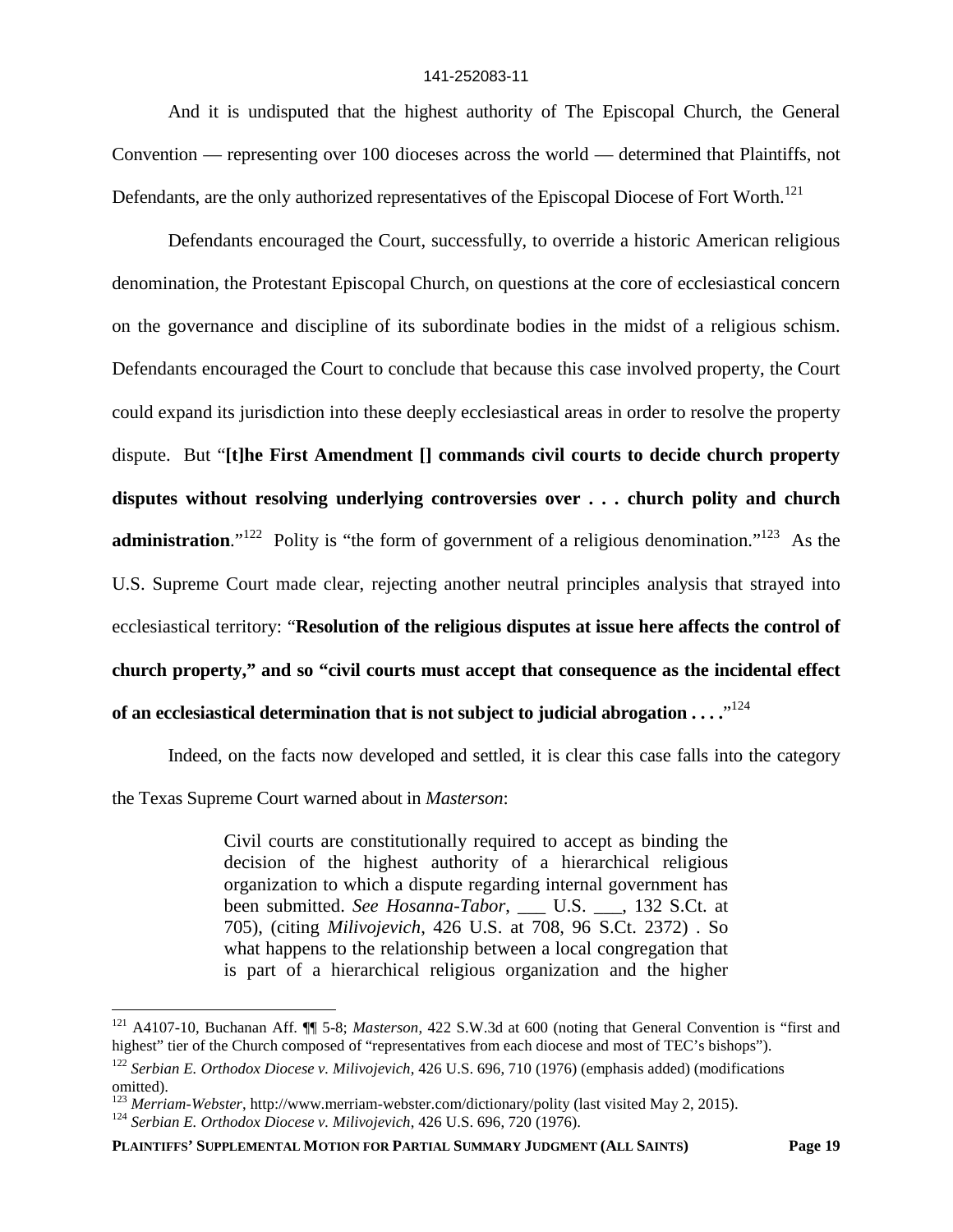And it is undisputed that the highest authority of The Episcopal Church, the General Convention — representing over 100 dioceses across the world — determined that Plaintiffs, not Defendants, are the only authorized representatives of the Episcopal Diocese of Fort Worth.<sup>121</sup>

Defendants encouraged the Court, successfully, to override a historic American religious denomination, the Protestant Episcopal Church, on questions at the core of ecclesiastical concern on the governance and discipline of its subordinate bodies in the midst of a religious schism. Defendants encouraged the Court to conclude that because this case involved property, the Court could expand its jurisdiction into these deeply ecclesiastical areas in order to resolve the property dispute. But "**[t]he First Amendment [] commands civil courts to decide church property disputes without resolving underlying controversies over . . . church polity and church administration.**"<sup>122</sup> Polity is "the form of government of a religious denomination."<sup>123</sup> As the U.S. Supreme Court made clear, rejecting another neutral principles analysis that strayed into ecclesiastical territory: "**Resolution of the religious disputes at issue here affects the control of church property," and so "civil courts must accept that consequence as the incidental effect** of an ecclesiastical determination that is not subject to judicial abrogation  $\ldots \overset{, \cdot \, 124}$ 

Indeed, on the facts now developed and settled, it is clear this case falls into the category

the Texas Supreme Court warned about in *Masterson*:

Civil courts are constitutionally required to accept as binding the decision of the highest authority of a hierarchical religious organization to which a dispute regarding internal government has been submitted. *See Hosanna-Tabor*, \_\_\_ U.S. \_\_\_, 132 S.Ct. at 705), (citing *Milivojevich*, 426 U.S. at 708, 96 S.Ct. 2372) . So what happens to the relationship between a local congregation that is part of a hierarchical religious organization and the higher

<sup>121</sup> A4107-10, Buchanan Aff. ¶¶ 5-8; *Masterson*, 422 S.W.3d at 600 (noting that General Convention is "first and highest" tier of the Church composed of "representatives from each diocese and most of TEC's bishops").

<sup>122</sup> *Serbian E. Orthodox Diocese v. Milivojevich*, 426 U.S. 696, 710 (1976) (emphasis added) (modifications omitted).

<sup>123</sup> *Merriam-Webster*, http://www.merriam-webster.com/dictionary/polity (last visited May 2, 2015).

<sup>124</sup> *Serbian E. Orthodox Diocese v. Milivojevich*, 426 U.S. 696, 720 (1976).

**PLAINTIFFS' SUPPLEMENTAL MOTION FOR PARTIAL SUMMARY JUDGMENT (ALL SAINTS) Page 19**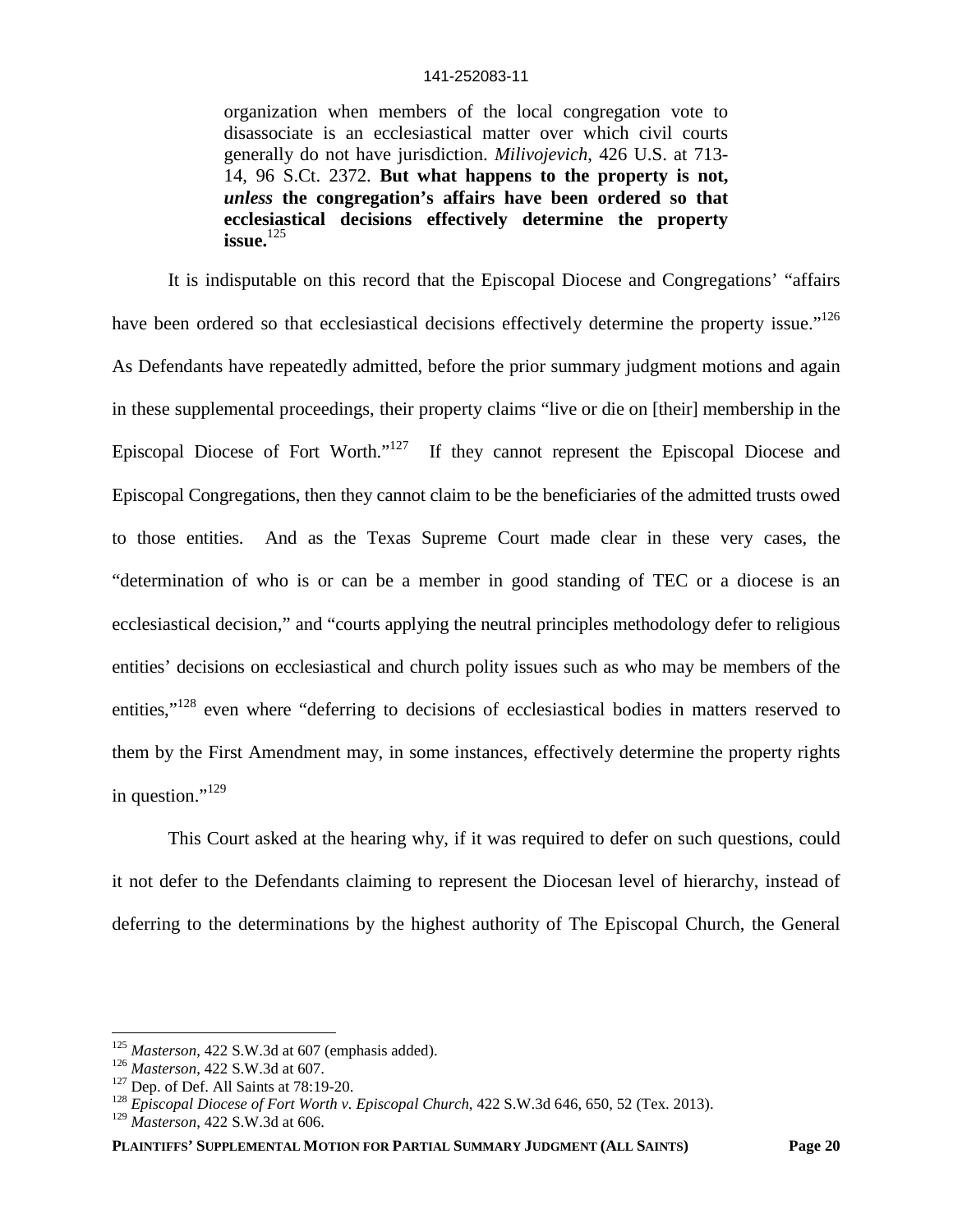organization when members of the local congregation vote to disassociate is an ecclesiastical matter over which civil courts generally do not have jurisdiction. *Milivojevich*, 426 U.S. at 713- 14, 96 S.Ct. 2372. **But what happens to the property is not,** *unless* **the congregation's affairs have been ordered so that ecclesiastical decisions effectively determine the property issue.**<sup>125</sup>

It is indisputable on this record that the Episcopal Diocese and Congregations' "affairs have been ordered so that ecclesiastical decisions effectively determine the property issue."<sup>126</sup> As Defendants have repeatedly admitted, before the prior summary judgment motions and again in these supplemental proceedings, their property claims "live or die on [their] membership in the Episcopal Diocese of Fort Worth."<sup>127</sup> If they cannot represent the Episcopal Diocese and Episcopal Congregations, then they cannot claim to be the beneficiaries of the admitted trusts owed to those entities. And as the Texas Supreme Court made clear in these very cases, the "determination of who is or can be a member in good standing of TEC or a diocese is an ecclesiastical decision," and "courts applying the neutral principles methodology defer to religious entities' decisions on ecclesiastical and church polity issues such as who may be members of the entities,"<sup>128</sup> even where "deferring to decisions of ecclesiastical bodies in matters reserved to them by the First Amendment may, in some instances, effectively determine the property rights in question." $^{129}$ 

This Court asked at the hearing why, if it was required to defer on such questions, could it not defer to the Defendants claiming to represent the Diocesan level of hierarchy, instead of deferring to the determinations by the highest authority of The Episcopal Church, the General

<sup>125</sup> *Masterson*, 422 S.W.3d at 607 (emphasis added).

<sup>126</sup> *Masterson*, 422 S.W.3d at 607.

 $127$  Dep. of Def. All Saints at 78:19-20.

<sup>&</sup>lt;sup>128</sup> *Episcopal Diocese of Fort Worth v. Episcopal Church*, 422 S.W.3d 646, 650, 52 (Tex. 2013).

<sup>129</sup> *Masterson*, 422 S.W.3d at 606.

**PLAINTIFFS' SUPPLEMENTAL MOTION FOR PARTIAL SUMMARY JUDGMENT (ALL SAINTS) Page 20**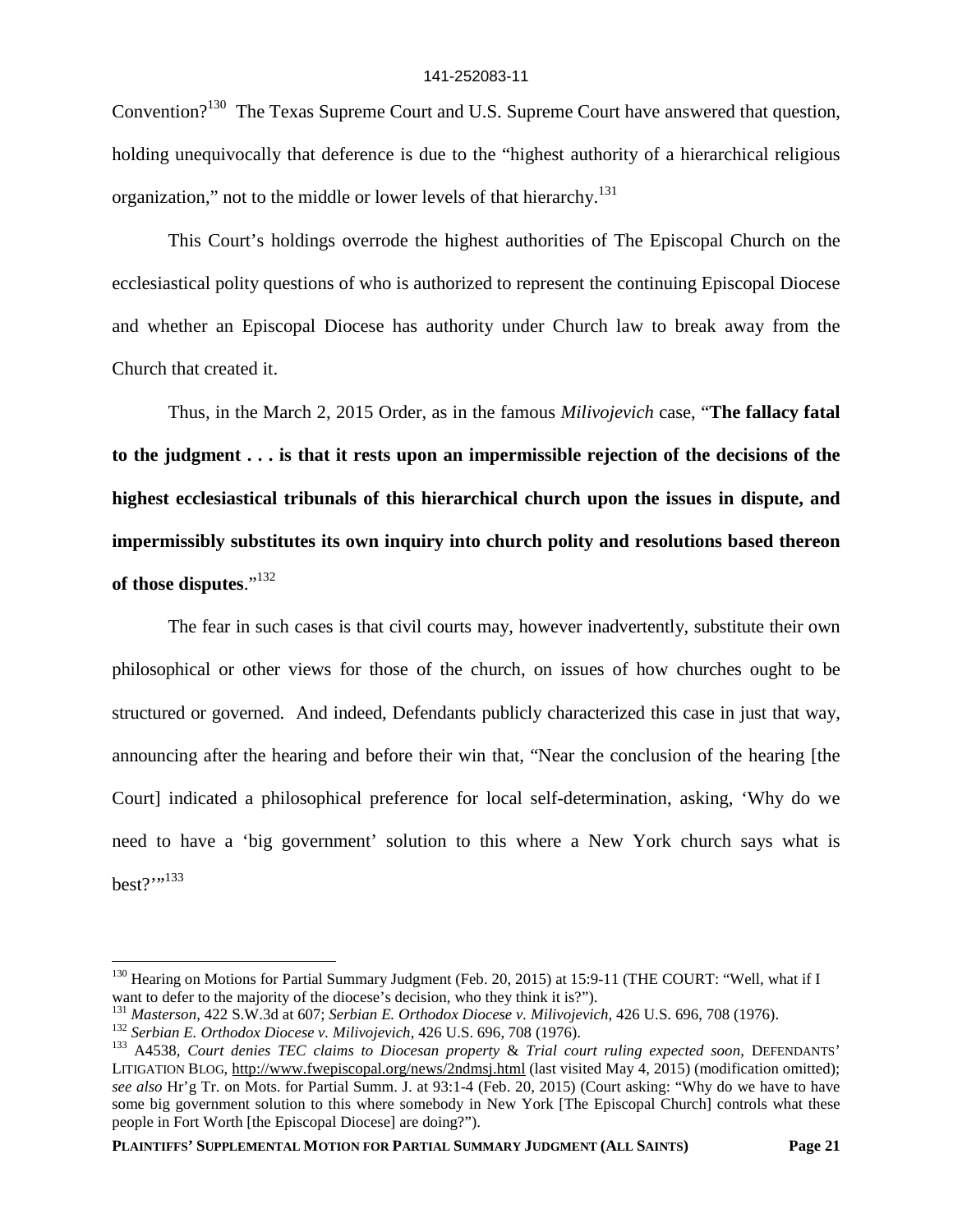Convention?<sup>130</sup> The Texas Supreme Court and U.S. Supreme Court have answered that question, holding unequivocally that deference is due to the "highest authority of a hierarchical religious organization," not to the middle or lower levels of that hierarchy.<sup>131</sup>

This Court's holdings overrode the highest authorities of The Episcopal Church on the ecclesiastical polity questions of who is authorized to represent the continuing Episcopal Diocese and whether an Episcopal Diocese has authority under Church law to break away from the Church that created it.

Thus, in the March 2, 2015 Order, as in the famous *Milivojevich* case, "**The fallacy fatal to the judgment . . . is that it rests upon an impermissible rejection of the decisions of the highest ecclesiastical tribunals of this hierarchical church upon the issues in dispute, and impermissibly substitutes its own inquiry into church polity and resolutions based thereon of those disputes**."<sup>132</sup>

The fear in such cases is that civil courts may, however inadvertently, substitute their own philosophical or other views for those of the church, on issues of how churches ought to be structured or governed. And indeed, Defendants publicly characterized this case in just that way, announcing after the hearing and before their win that, "Near the conclusion of the hearing [the Court] indicated a philosophical preference for local self-determination, asking, 'Why do we need to have a 'big government' solution to this where a New York church says what is best?''<sup>133</sup>

<sup>&</sup>lt;sup>130</sup> Hearing on Motions for Partial Summary Judgment (Feb. 20, 2015) at 15:9-11 (THE COURT: "Well, what if I want to defer to the majority of the diocese's decision, who they think it is?").

<sup>131</sup> *Masterson*, 422 S.W.3d at 607; *Serbian E. Orthodox Diocese v. Milivojevich*, 426 U.S. 696, 708 (1976).

<sup>132</sup> *Serbian E. Orthodox Diocese v. Milivojevich*, 426 U.S. 696, 708 (1976).

<sup>133</sup> A4538, *Court denies TEC claims to Diocesan property* & *Trial court ruling expected soon*, DEFENDANTS' LITIGATION BLOG, http://www.fwepiscopal.org/news/2ndmsj.html (last visited May 4, 2015) (modification omitted); *see also* Hr'g Tr. on Mots. for Partial Summ. J. at 93:1-4 (Feb. 20, 2015) (Court asking: "Why do we have to have some big government solution to this where somebody in New York [The Episcopal Church] controls what these people in Fort Worth [the Episcopal Diocese] are doing?").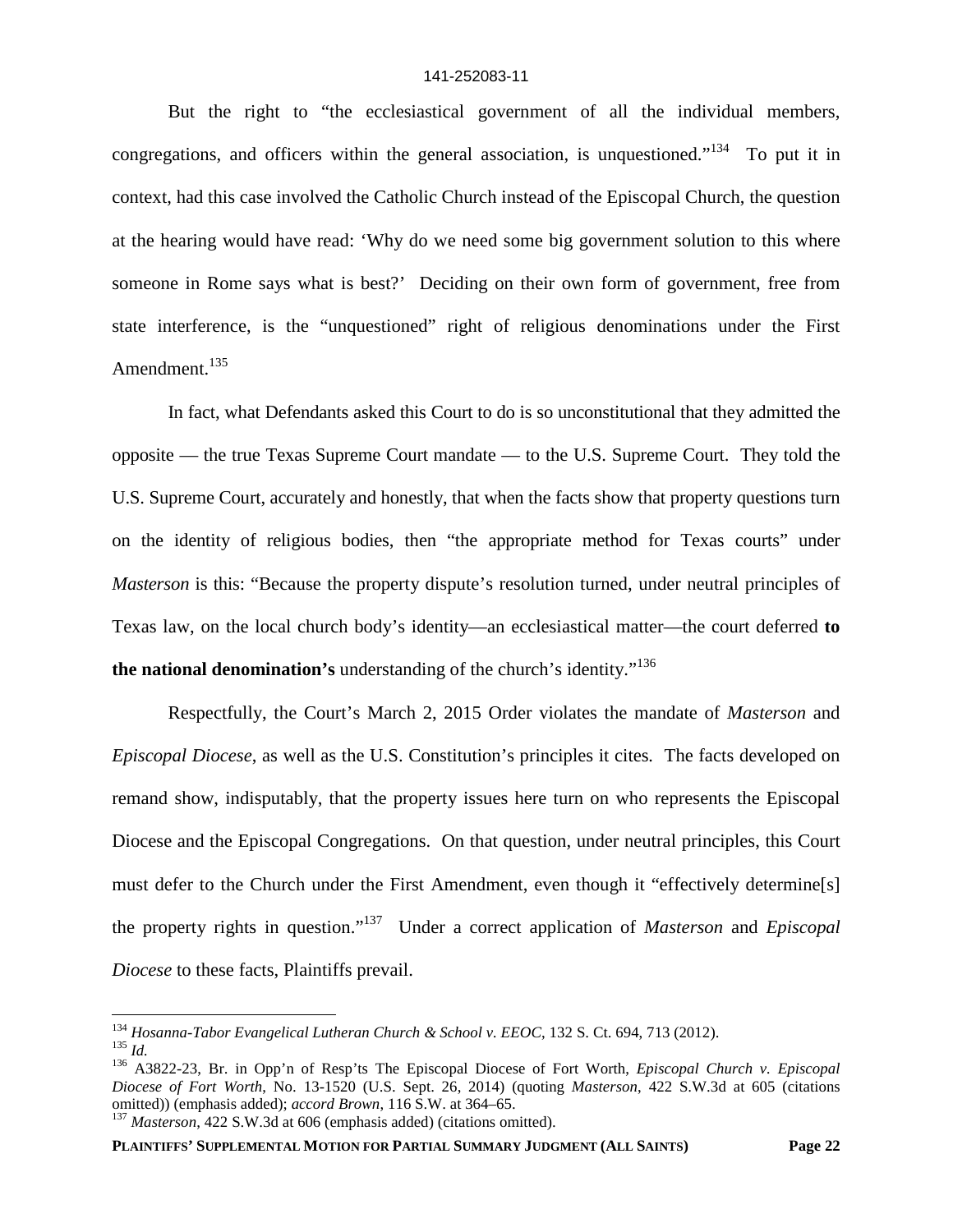But the right to "the ecclesiastical government of all the individual members, congregations, and officers within the general association, is unquestioned."<sup>134</sup> To put it in context, had this case involved the Catholic Church instead of the Episcopal Church, the question at the hearing would have read: 'Why do we need some big government solution to this where someone in Rome says what is best?' Deciding on their own form of government, free from state interference, is the "unquestioned" right of religious denominations under the First Amendment.<sup>135</sup>

In fact, what Defendants asked this Court to do is so unconstitutional that they admitted the opposite — the true Texas Supreme Court mandate — to the U.S. Supreme Court. They told the U.S. Supreme Court, accurately and honestly, that when the facts show that property questions turn on the identity of religious bodies, then "the appropriate method for Texas courts" under *Masterson* is this: "Because the property dispute's resolution turned, under neutral principles of Texas law, on the local church body's identity—an ecclesiastical matter—the court deferred **to the national denomination's** understanding of the church's identity."<sup>136</sup>

Respectfully, the Court's March 2, 2015 Order violates the mandate of *Masterson* and *Episcopal Diocese*, as well as the U.S. Constitution's principles it cites*.* The facts developed on remand show, indisputably, that the property issues here turn on who represents the Episcopal Diocese and the Episcopal Congregations. On that question, under neutral principles, this Court must defer to the Church under the First Amendment, even though it "effectively determine[s] the property rights in question."<sup>137</sup> Under a correct application of *Masterson* and *Episcopal Diocese* to these facts, Plaintiffs prevail.

<sup>134</sup> *Hosanna-Tabor Evangelical Lutheran Church & School v. EEOC*, 132 S. Ct. 694, 713 (2012).

<sup>135</sup> *Id.*

<sup>136</sup> A3822-23, Br. in Opp'n of Resp'ts The Episcopal Diocese of Fort Worth, *Episcopal Church v. Episcopal Diocese of Fort Worth*, No. 13-1520 (U.S. Sept. 26, 2014) (quoting *Masterson*, 422 S.W.3d at 605 (citations omitted)) (emphasis added); *accord Brown*, 116 S.W. at 364–65.

<sup>137</sup> *Masterson*, 422 S.W.3d at 606 (emphasis added) (citations omitted).

**PLAINTIFFS' SUPPLEMENTAL MOTION FOR PARTIAL SUMMARY JUDGMENT (ALL SAINTS) Page 22**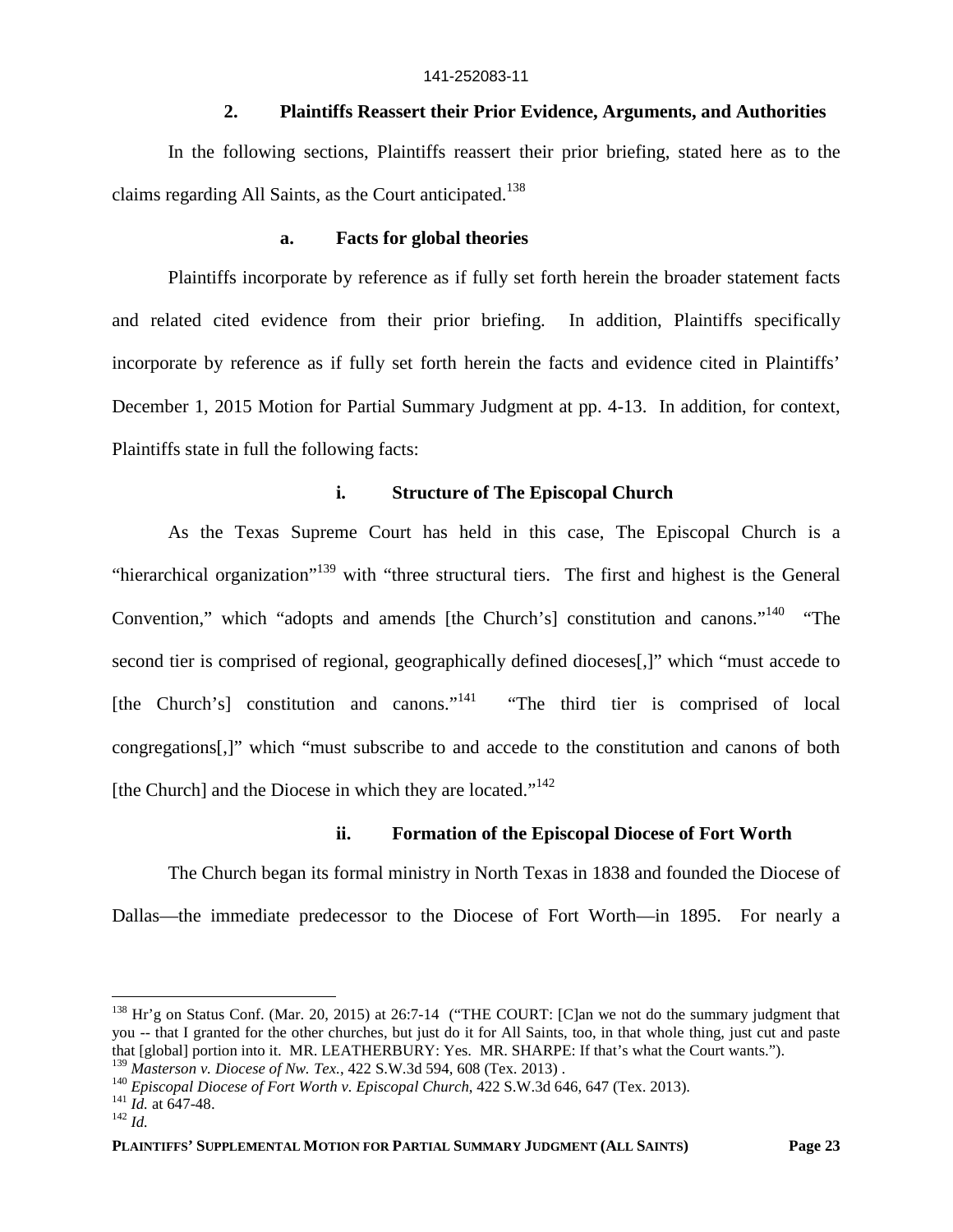### **2. Plaintiffs Reassert their Prior Evidence, Arguments, and Authorities**

In the following sections, Plaintiffs reassert their prior briefing, stated here as to the claims regarding All Saints, as the Court anticipated.<sup>138</sup>

### **a. Facts for global theories**

Plaintiffs incorporate by reference as if fully set forth herein the broader statement facts and related cited evidence from their prior briefing. In addition, Plaintiffs specifically incorporate by reference as if fully set forth herein the facts and evidence cited in Plaintiffs' December 1, 2015 Motion for Partial Summary Judgment at pp. 4-13. In addition, for context, Plaintiffs state in full the following facts:

### **i. Structure of The Episcopal Church**

As the Texas Supreme Court has held in this case, The Episcopal Church is a "hierarchical organization"<sup>139</sup> with "three structural tiers. The first and highest is the General Convention," which "adopts and amends [the Church's] constitution and canons."<sup>140</sup> "The second tier is comprised of regional, geographically defined dioceses[,]" which "must accede to [the Church's] constitution and canons."<sup>141</sup> "The third tier is comprised of local congregations[,]" which "must subscribe to and accede to the constitution and canons of both [the Church] and the Diocese in which they are located."<sup>142</sup>

## **ii. Formation of the Episcopal Diocese of Fort Worth**

The Church began its formal ministry in North Texas in 1838 and founded the Diocese of Dallas—the immediate predecessor to the Diocese of Fort Worth—in 1895. For nearly a

<sup>&</sup>lt;sup>138</sup> Hr'g on Status Conf. (Mar. 20, 2015) at 26:7-14 ("THE COURT: [C]an we not do the summary judgment that you -- that I granted for the other churches, but just do it for All Saints, too, in that whole thing, just cut and paste that [global] portion into it. MR. LEATHERBURY: Yes. MR. SHARPE: If that's what the Court wants.").

<sup>139</sup> *Masterson v. Diocese of Nw. Tex.*, 422 S.W.3d 594, 608 (Tex. 2013) .

<sup>&</sup>lt;sup>140</sup> *Episcopal Diocese of Fort Worth v. Episcopal Church*, 422 S.W.3d 646, 647 (Tex. 2013).

<sup>141</sup> *Id.* at 647-48.

<sup>142</sup> *Id.*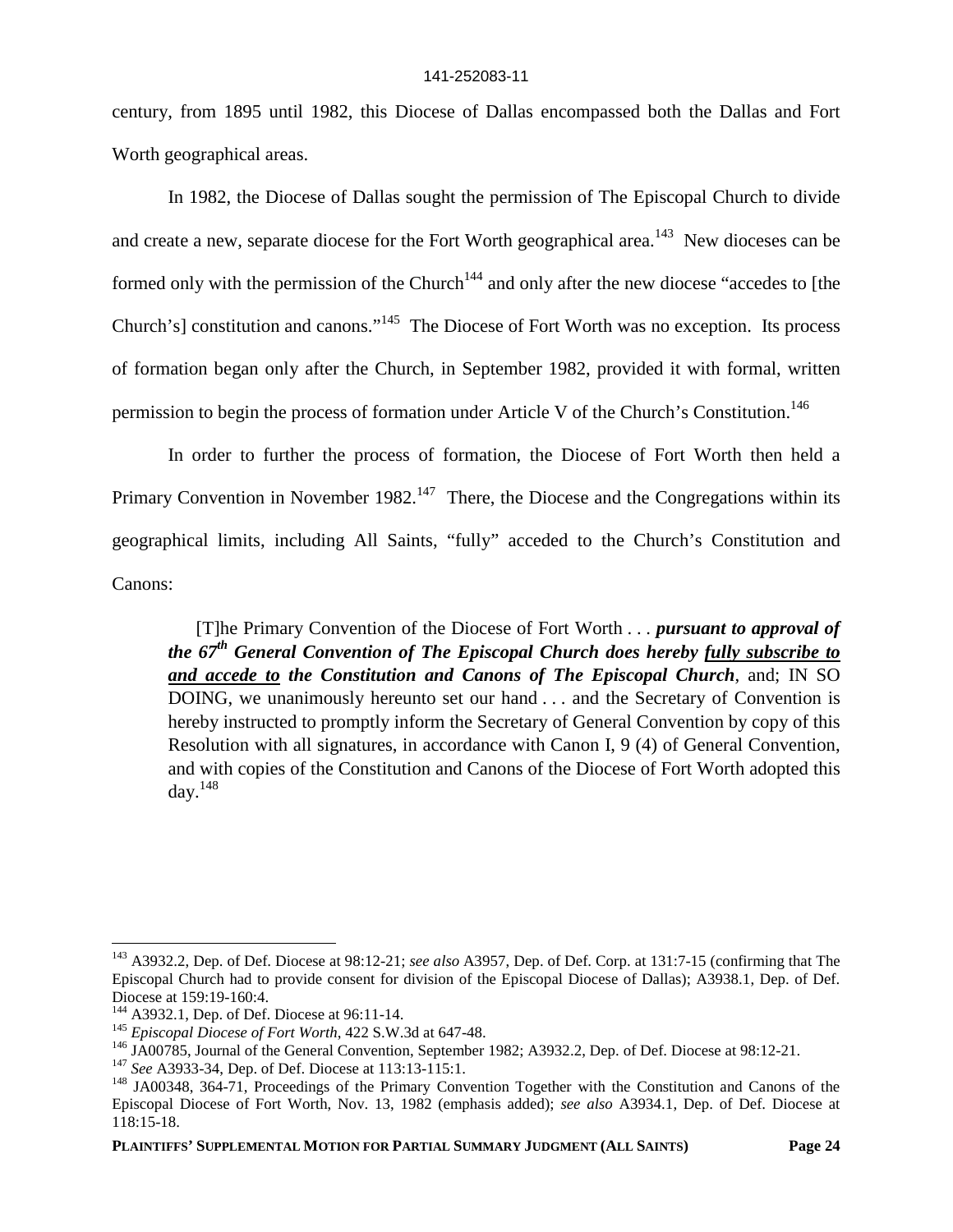century, from 1895 until 1982, this Diocese of Dallas encompassed both the Dallas and Fort Worth geographical areas.

In 1982, the Diocese of Dallas sought the permission of The Episcopal Church to divide and create a new, separate diocese for the Fort Worth geographical area.<sup>143</sup> New dioceses can be formed only with the permission of the Church<sup>144</sup> and only after the new diocese "accedes to [the Church's] constitution and canons."<sup>145</sup> The Diocese of Fort Worth was no exception. Its process of formation began only after the Church, in September 1982, provided it with formal, written permission to begin the process of formation under Article V of the Church's Constitution.<sup>146</sup>

In order to further the process of formation, the Diocese of Fort Worth then held a Primary Convention in November 1982.<sup>147</sup> There, the Diocese and the Congregations within its geographical limits, including All Saints, "fully" acceded to the Church's Constitution and Canons:

[T]he Primary Convention of the Diocese of Fort Worth . . . *pursuant to approval of the 67th General Convention of The Episcopal Church does hereby fully subscribe to and accede to the Constitution and Canons of The Episcopal Church*, and; IN SO DOING, we unanimously hereunto set our hand . . . and the Secretary of Convention is hereby instructed to promptly inform the Secretary of General Convention by copy of this Resolution with all signatures, in accordance with Canon I, 9 (4) of General Convention, and with copies of the Constitution and Canons of the Diocese of Fort Worth adopted this  $\text{dav.}^{148}$ 

<sup>143</sup> A3932.2, Dep. of Def. Diocese at 98:12-21; *see also* A3957, Dep. of Def. Corp. at 131:7-15 (confirming that The Episcopal Church had to provide consent for division of the Episcopal Diocese of Dallas); A3938.1, Dep. of Def. Diocese at 159:19-160:4.

<sup>144</sup> A3932.1, Dep. of Def. Diocese at 96:11-14.

<sup>145</sup> *Episcopal Diocese of Fort Worth*, 422 S.W.3d at 647-48.

<sup>&</sup>lt;sup>146</sup> JA00785, Journal of the General Convention, September 1982; A3932.2, Dep. of Def. Diocese at 98:12-21.

<sup>147</sup> *See* A3933-34, Dep. of Def. Diocese at 113:13-115:1.

<sup>&</sup>lt;sup>148</sup> JA00348, 364-71, Proceedings of the Primary Convention Together with the Constitution and Canons of the Episcopal Diocese of Fort Worth, Nov. 13, 1982 (emphasis added); *see also* A3934.1, Dep. of Def. Diocese at 118:15-18.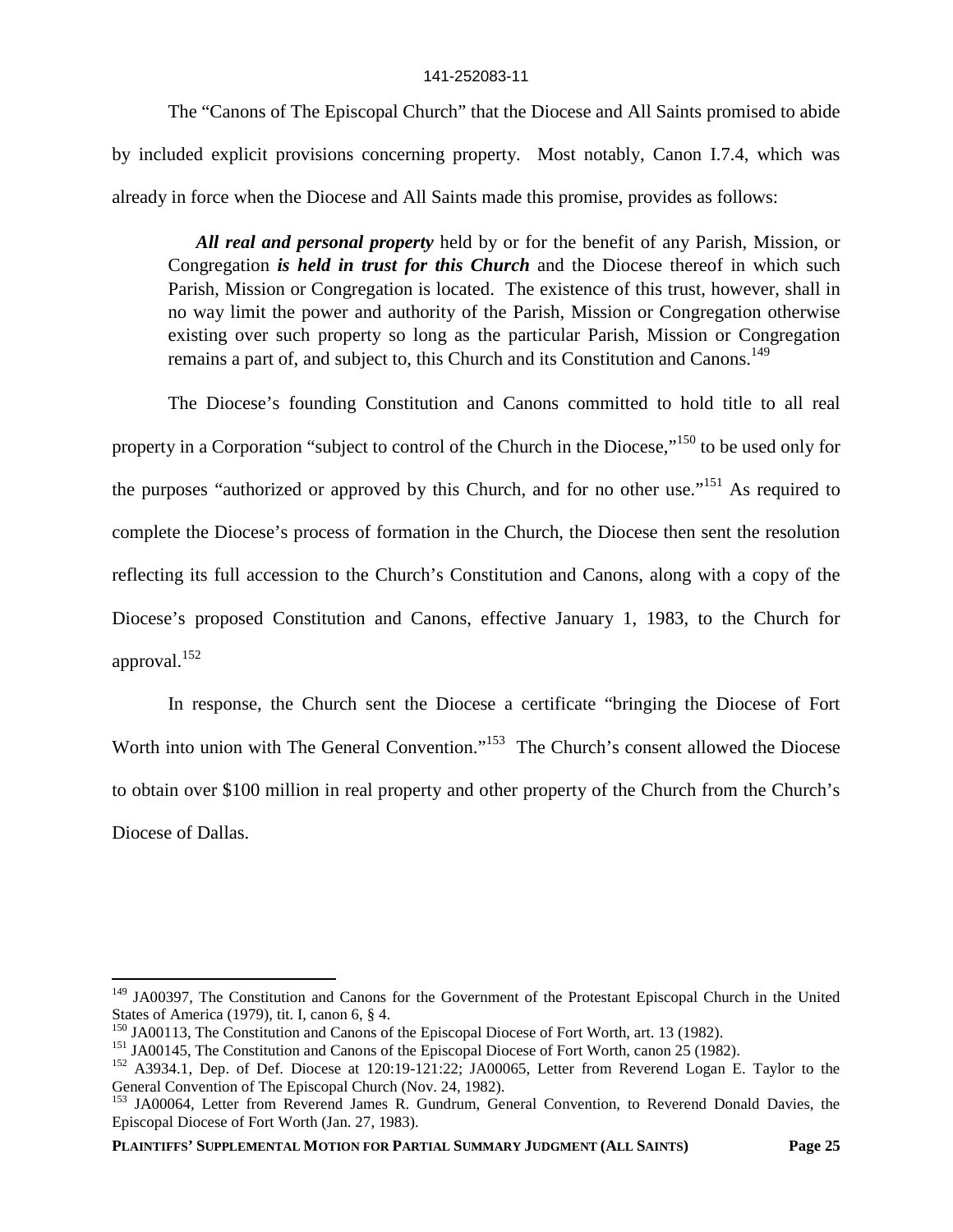The "Canons of The Episcopal Church" that the Diocese and All Saints promised to abide by included explicit provisions concerning property. Most notably, Canon I.7.4, which was already in force when the Diocese and All Saints made this promise, provides as follows:

*All real and personal property* held by or for the benefit of any Parish, Mission, or Congregation *is held in trust for this Church* and the Diocese thereof in which such Parish, Mission or Congregation is located. The existence of this trust, however, shall in no way limit the power and authority of the Parish, Mission or Congregation otherwise existing over such property so long as the particular Parish, Mission or Congregation remains a part of, and subject to, this Church and its Constitution and Canons.<sup>149</sup>

The Diocese's founding Constitution and Canons committed to hold title to all real property in a Corporation "subject to control of the Church in the Diocese,"<sup>150</sup> to be used only for the purposes "authorized or approved by this Church, and for no other use."<sup>151</sup> As required to complete the Diocese's process of formation in the Church, the Diocese then sent the resolution reflecting its full accession to the Church's Constitution and Canons, along with a copy of the Diocese's proposed Constitution and Canons, effective January 1, 1983, to the Church for approval.<sup>152</sup>

In response, the Church sent the Diocese a certificate "bringing the Diocese of Fort Worth into union with The General Convention."<sup>153</sup> The Church's consent allowed the Diocese to obtain over \$100 million in real property and other property of the Church from the Church's Diocese of Dallas.

<sup>&</sup>lt;sup>149</sup> JA00397, The Constitution and Canons for the Government of the Protestant Episcopal Church in the United States of America (1979), tit. I, canon 6, § 4.

<sup>&</sup>lt;sup>150</sup> JA00113, The Constitution and Canons of the Episcopal Diocese of Fort Worth, art. 13 (1982).

<sup>&</sup>lt;sup>151</sup> JA00145, The Constitution and Canons of the Episcopal Diocese of Fort Worth, canon 25 (1982).

<sup>&</sup>lt;sup>152</sup> A3934.1, Dep. of Def. Diocese at 120:19-121:22; JA00065, Letter from Reverend Logan E. Taylor to the General Convention of The Episcopal Church (Nov. 24, 1982).

<sup>&</sup>lt;sup>153</sup> JA00064, Letter from Reverend James R. Gundrum, General Convention, to Reverend Donald Davies, the Episcopal Diocese of Fort Worth (Jan. 27, 1983).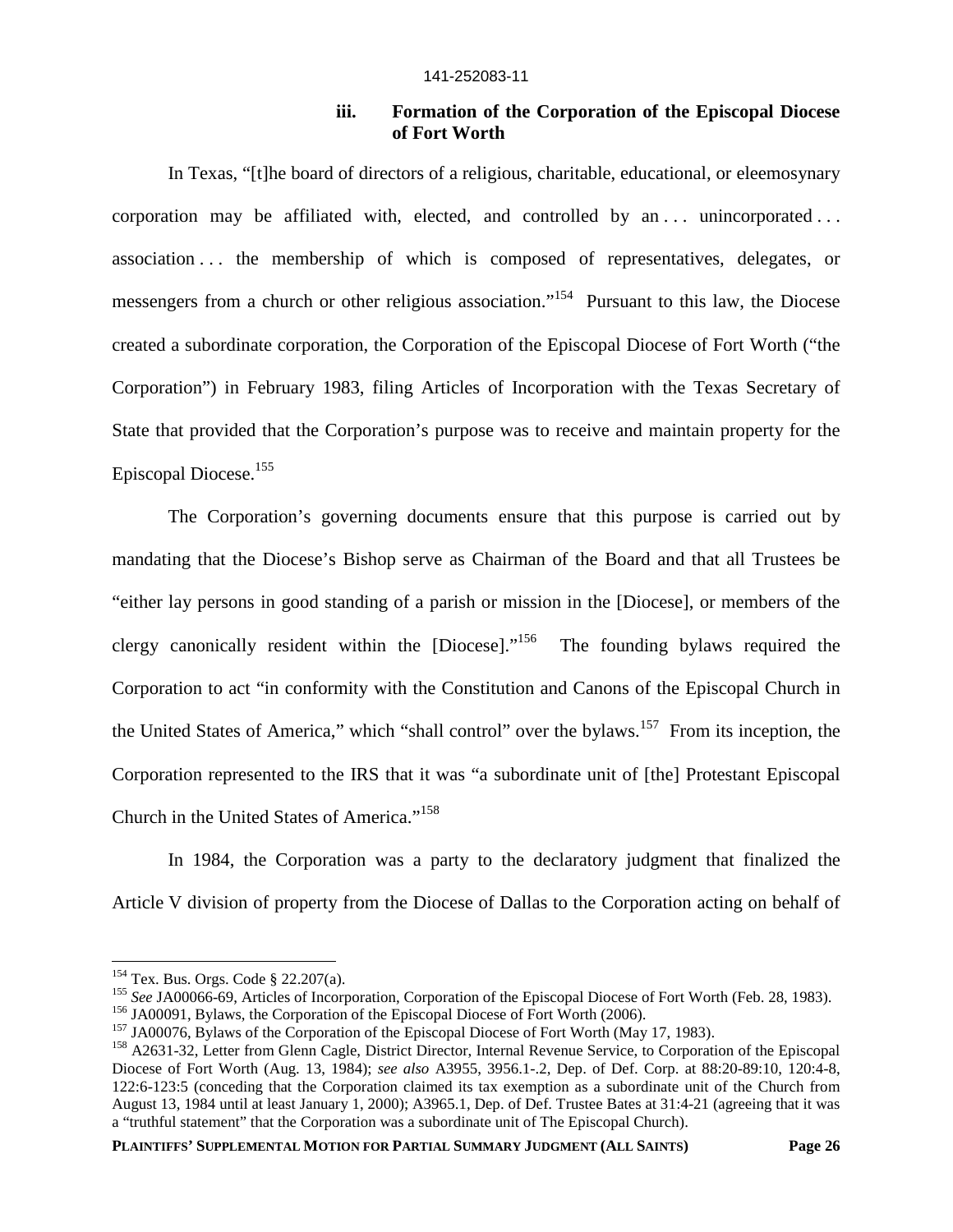# **iii. Formation of the Corporation of the Episcopal Diocese of Fort Worth**

In Texas, "[t]he board of directors of a religious, charitable, educational, or eleemosynary corporation may be affiliated with, elected, and controlled by an  $\dots$  unincorporated  $\dots$ association . . . the membership of which is composed of representatives, delegates, or messengers from a church or other religious association."<sup>154</sup> Pursuant to this law, the Diocese created a subordinate corporation, the Corporation of the Episcopal Diocese of Fort Worth ("the Corporation") in February 1983, filing Articles of Incorporation with the Texas Secretary of State that provided that the Corporation's purpose was to receive and maintain property for the Episcopal Diocese.<sup>155</sup>

The Corporation's governing documents ensure that this purpose is carried out by mandating that the Diocese's Bishop serve as Chairman of the Board and that all Trustees be "either lay persons in good standing of a parish or mission in the [Diocese], or members of the clergy canonically resident within the  $[Diocese]$ .<sup>156</sup> The founding bylaws required the Corporation to act "in conformity with the Constitution and Canons of the Episcopal Church in the United States of America," which "shall control" over the bylaws.<sup>157</sup> From its inception, the Corporation represented to the IRS that it was "a subordinate unit of [the] Protestant Episcopal Church in the United States of America."<sup>158</sup>

In 1984, the Corporation was a party to the declaratory judgment that finalized the Article V division of property from the Diocese of Dallas to the Corporation acting on behalf of

<sup>154</sup> Tex. Bus. Orgs. Code § 22.207(a).

<sup>&</sup>lt;sup>155</sup> See JA00066-69, Articles of Incorporation, Corporation of the Episcopal Diocese of Fort Worth (Feb. 28, 1983).

<sup>&</sup>lt;sup>156</sup> JA00091, Bylaws, the Corporation of the Episcopal Diocese of Fort Worth (2006).

<sup>&</sup>lt;sup>157</sup> JA00076, Bylaws of the Corporation of the Episcopal Diocese of Fort Worth (May 17, 1983).

<sup>&</sup>lt;sup>158</sup> A2631-32, Letter from Glenn Cagle, District Director, Internal Revenue Service, to Corporation of the Episcopal Diocese of Fort Worth (Aug. 13, 1984); *see also* A3955, 3956.1-.2, Dep. of Def. Corp. at 88:20-89:10, 120:4-8, 122:6-123:5 (conceding that the Corporation claimed its tax exemption as a subordinate unit of the Church from August 13, 1984 until at least January 1, 2000); A3965.1, Dep. of Def. Trustee Bates at 31:4-21 (agreeing that it was a "truthful statement" that the Corporation was a subordinate unit of The Episcopal Church).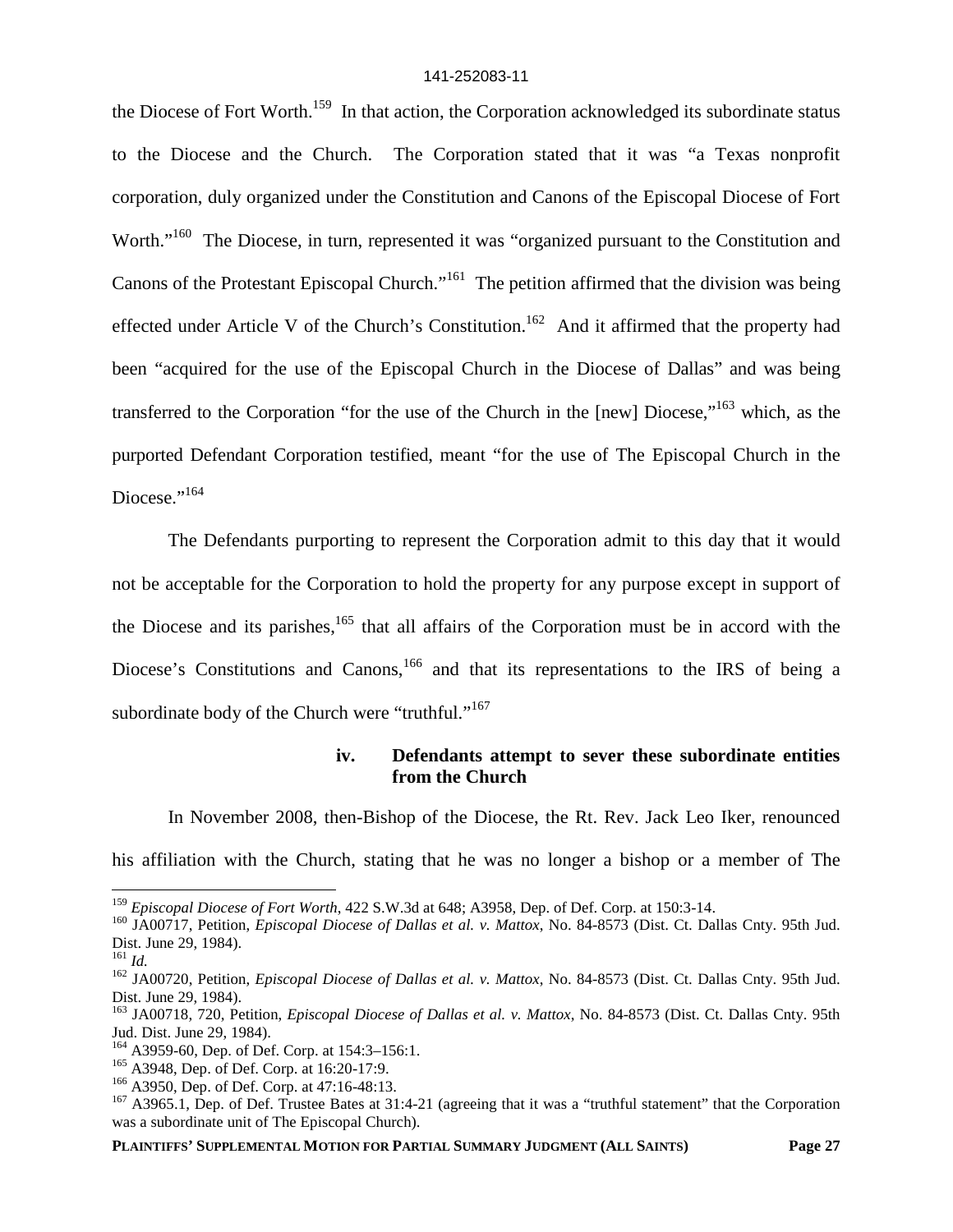the Diocese of Fort Worth.<sup>159</sup> In that action, the Corporation acknowledged its subordinate status to the Diocese and the Church. The Corporation stated that it was "a Texas nonprofit corporation, duly organized under the Constitution and Canons of the Episcopal Diocese of Fort Worth."<sup>160</sup> The Diocese, in turn, represented it was "organized pursuant to the Constitution and Canons of the Protestant Episcopal Church."<sup>161</sup> The petition affirmed that the division was being effected under Article V of the Church's Constitution.<sup>162</sup> And it affirmed that the property had been "acquired for the use of the Episcopal Church in the Diocese of Dallas" and was being transferred to the Corporation "for the use of the Church in the [new] Diocese,"<sup>163</sup> which, as the purported Defendant Corporation testified, meant "for the use of The Episcopal Church in the Diocese."<sup>164</sup>

The Defendants purporting to represent the Corporation admit to this day that it would not be acceptable for the Corporation to hold the property for any purpose except in support of the Diocese and its parishes,  $165$  that all affairs of the Corporation must be in accord with the Diocese's Constitutions and Canons,<sup>166</sup> and that its representations to the IRS of being a subordinate body of the Church were "truthful."<sup>167</sup>

# **iv. Defendants attempt to sever these subordinate entities from the Church**

In November 2008, then-Bishop of the Diocese, the Rt. Rev. Jack Leo Iker, renounced his affiliation with the Church, stating that he was no longer a bishop or a member of The

<sup>159</sup> *Episcopal Diocese of Fort Worth*, 422 S.W.3d at 648; A3958, Dep. of Def. Corp. at 150:3-14.

<sup>160</sup> JA00717, Petition, *Episcopal Diocese of Dallas et al. v. Mattox*, No. 84-8573 (Dist. Ct. Dallas Cnty. 95th Jud. Dist. June 29, 1984).

<sup>161</sup> *Id.*

<sup>162</sup> JA00720, Petition, *Episcopal Diocese of Dallas et al. v. Mattox*, No. 84-8573 (Dist. Ct. Dallas Cnty. 95th Jud. Dist. June 29, 1984).

<sup>163</sup> JA00718, 720, Petition, *Episcopal Diocese of Dallas et al. v. Mattox*, No. 84-8573 (Dist. Ct. Dallas Cnty. 95th Jud. Dist. June 29, 1984).

<sup>164</sup> A3959-60, Dep. of Def. Corp. at 154:3–156:1.

<sup>165</sup> A3948, Dep. of Def. Corp. at 16:20-17:9.

<sup>166</sup> A3950, Dep. of Def. Corp. at 47:16-48:13.

<sup>&</sup>lt;sup>167</sup> A3965.1, Dep. of Def. Trustee Bates at 31:4-21 (agreeing that it was a "truthful statement" that the Corporation was a subordinate unit of The Episcopal Church).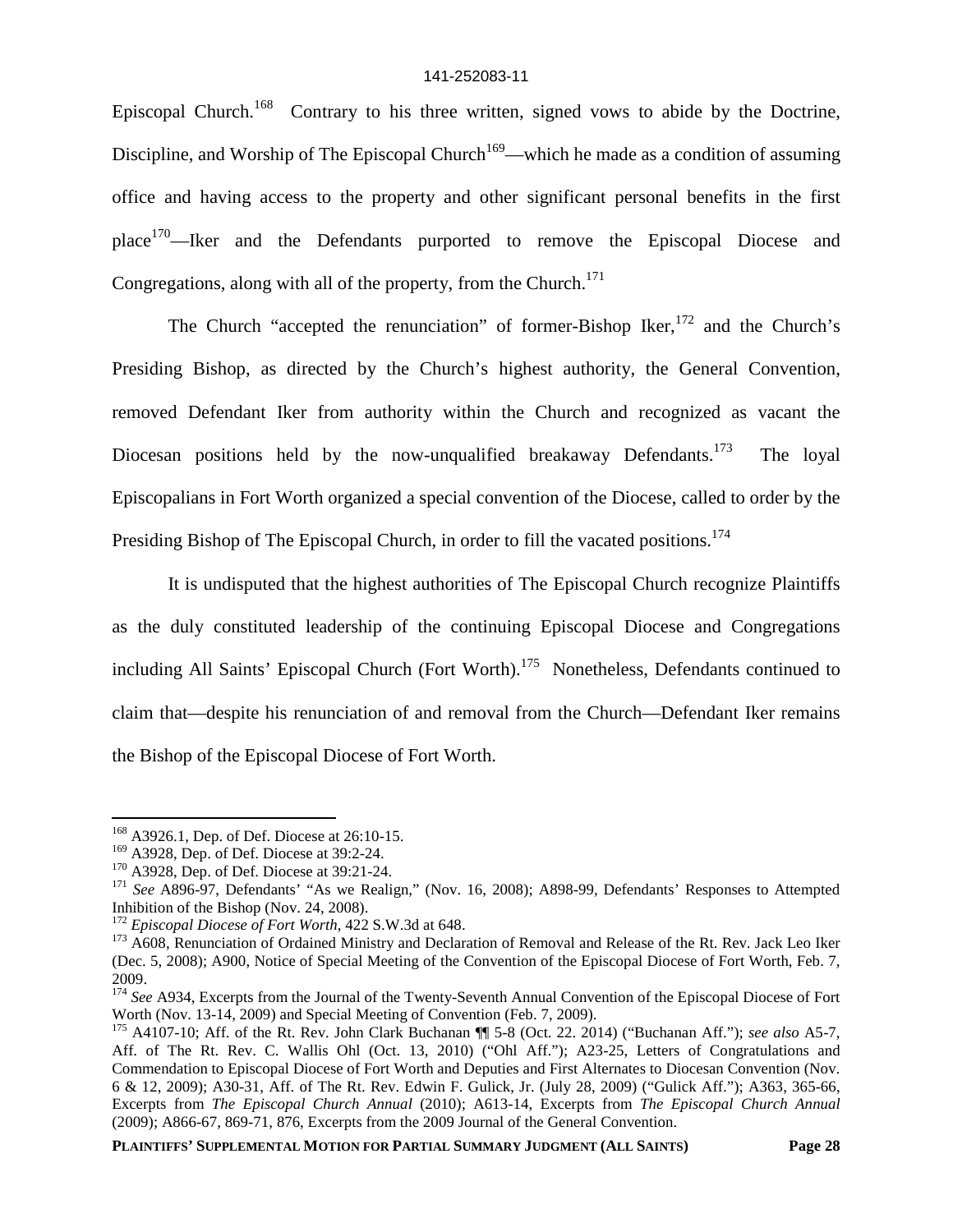Episcopal Church.<sup>168</sup> Contrary to his three written, signed vows to abide by the Doctrine, Discipline, and Worship of The Episcopal Church<sup>169</sup>—which he made as a condition of assuming office and having access to the property and other significant personal benefits in the first place<sup>170</sup>—Iker and the Defendants purported to remove the Episcopal Diocese and Congregations, along with all of the property, from the Church.<sup>171</sup>

The Church "accepted the renunciation" of former-Bishop Iker,  $172$  and the Church's Presiding Bishop, as directed by the Church's highest authority, the General Convention, removed Defendant Iker from authority within the Church and recognized as vacant the Diocesan positions held by the now-unqualified breakaway Defendants.<sup>173</sup> The loyal Episcopalians in Fort Worth organized a special convention of the Diocese, called to order by the Presiding Bishop of The Episcopal Church, in order to fill the vacated positions.<sup>174</sup>

It is undisputed that the highest authorities of The Episcopal Church recognize Plaintiffs as the duly constituted leadership of the continuing Episcopal Diocese and Congregations including All Saints' Episcopal Church (Fort Worth).<sup>175</sup> Nonetheless, Defendants continued to claim that—despite his renunciation of and removal from the Church—Defendant Iker remains the Bishop of the Episcopal Diocese of Fort Worth.

<sup>168</sup> A3926.1, Dep. of Def. Diocese at 26:10-15.

<sup>&</sup>lt;sup>169</sup> A3928, Dep. of Def. Diocese at 39:2-24.

<sup>&</sup>lt;sup>170</sup> A3928, Dep. of Def. Diocese at 39:21-24.

<sup>&</sup>lt;sup>171</sup> See A896-97, Defendants' "As we Realign," (Nov. 16, 2008); A898-99, Defendants' Responses to Attempted Inhibition of the Bishop (Nov. 24, 2008).

<sup>172</sup> *Episcopal Diocese of Fort Worth*, 422 S.W.3d at 648.

<sup>&</sup>lt;sup>173</sup> A608, Renunciation of Ordained Ministry and Declaration of Removal and Release of the Rt. Rev. Jack Leo Iker (Dec. 5, 2008); A900, Notice of Special Meeting of the Convention of the Episcopal Diocese of Fort Worth, Feb. 7, 2009.

<sup>&</sup>lt;sup>174</sup> See A934, Excerpts from the Journal of the Twenty-Seventh Annual Convention of the Episcopal Diocese of Fort Worth (Nov. 13-14, 2009) and Special Meeting of Convention (Feb. 7, 2009).

<sup>175</sup> A4107-10; Aff. of the Rt. Rev. John Clark Buchanan ¶¶ 5-8 (Oct. 22. 2014) ("Buchanan Aff."); *see also* A5-7, Aff. of The Rt. Rev. C. Wallis Ohl (Oct. 13, 2010) ("Ohl Aff."); A23-25, Letters of Congratulations and Commendation to Episcopal Diocese of Fort Worth and Deputies and First Alternates to Diocesan Convention (Nov. 6 & 12, 2009); A30-31, Aff. of The Rt. Rev. Edwin F. Gulick, Jr. (July 28, 2009) ("Gulick Aff."); A363, 365-66, Excerpts from *The Episcopal Church Annual* (2010); A613-14, Excerpts from *The Episcopal Church Annual* (2009); A866-67, 869-71, 876, Excerpts from the 2009 Journal of the General Convention.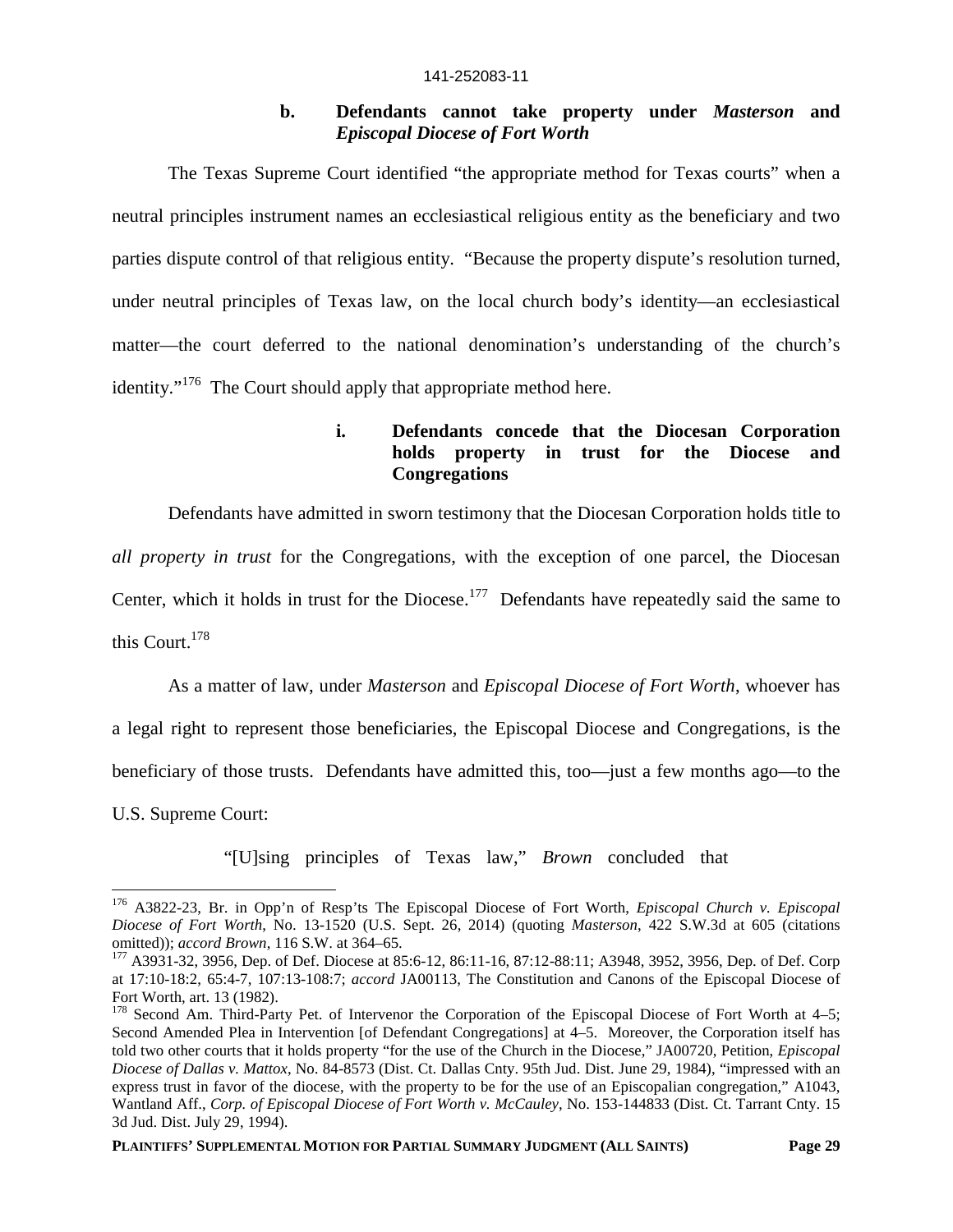## **b. Defendants cannot take property under** *Masterson* **and** *Episcopal Diocese of Fort Worth*

The Texas Supreme Court identified "the appropriate method for Texas courts" when a neutral principles instrument names an ecclesiastical religious entity as the beneficiary and two parties dispute control of that religious entity. "Because the property dispute's resolution turned, under neutral principles of Texas law, on the local church body's identity—an ecclesiastical matter—the court deferred to the national denomination's understanding of the church's identity."<sup>176</sup> The Court should apply that appropriate method here.

# **i. Defendants concede that the Diocesan Corporation holds property in trust for the Diocese and Congregations**

Defendants have admitted in sworn testimony that the Diocesan Corporation holds title to *all property in trust* for the Congregations, with the exception of one parcel, the Diocesan Center, which it holds in trust for the Diocese.<sup>177</sup> Defendants have repeatedly said the same to this Court.<sup>178</sup>

As a matter of law, under *Masterson* and *Episcopal Diocese of Fort Worth*, whoever has a legal right to represent those beneficiaries, the Episcopal Diocese and Congregations, is the beneficiary of those trusts. Defendants have admitted this, too—just a few months ago—to the U.S. Supreme Court:

"[U]sing principles of Texas law," *Brown* concluded that

<sup>176</sup> A3822-23, Br. in Opp'n of Resp'ts The Episcopal Diocese of Fort Worth, *Episcopal Church v. Episcopal Diocese of Fort Worth*, No. 13-1520 (U.S. Sept. 26, 2014) (quoting *Masterson*, 422 S.W.3d at 605 (citations omitted)); *accord Brown*, 116 S.W. at 364–65.

<sup>177</sup> A3931-32, 3956, Dep. of Def. Diocese at 85:6-12, 86:11-16, 87:12-88:11; A3948, 3952, 3956, Dep. of Def. Corp at 17:10-18:2, 65:4-7, 107:13-108:7; *accord* JA00113, The Constitution and Canons of the Episcopal Diocese of Fort Worth, art. 13 (1982).

<sup>&</sup>lt;sup>178</sup> Second Am. Third-Party Pet. of Intervenor the Corporation of the Episcopal Diocese of Fort Worth at 4–5; Second Amended Plea in Intervention [of Defendant Congregations] at 4–5. Moreover, the Corporation itself has told two other courts that it holds property "for the use of the Church in the Diocese," JA00720, Petition, *Episcopal Diocese of Dallas v. Mattox*, No. 84-8573 (Dist. Ct. Dallas Cnty. 95th Jud. Dist. June 29, 1984), "impressed with an express trust in favor of the diocese, with the property to be for the use of an Episcopalian congregation," A1043, Wantland Aff., *Corp. of Episcopal Diocese of Fort Worth v. McCauley*, No. 153-144833 (Dist. Ct. Tarrant Cnty. 15 3d Jud. Dist. July 29, 1994).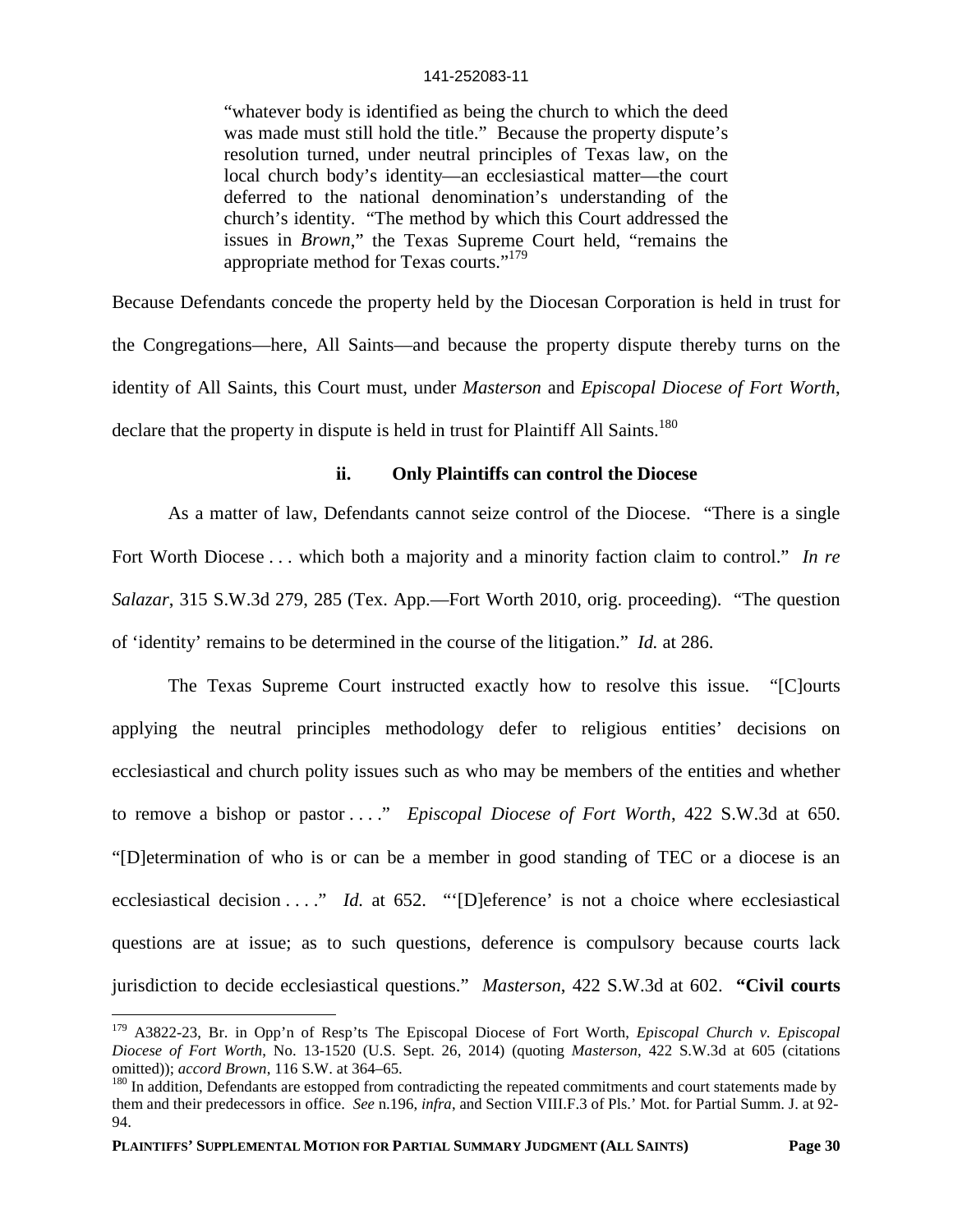"whatever body is identified as being the church to which the deed was made must still hold the title." Because the property dispute's resolution turned, under neutral principles of Texas law, on the local church body's identity—an ecclesiastical matter—the court deferred to the national denomination's understanding of the church's identity. "The method by which this Court addressed the issues in *Brown*," the Texas Supreme Court held, "remains the appropriate method for Texas courts."<sup>179</sup>

Because Defendants concede the property held by the Diocesan Corporation is held in trust for the Congregations—here, All Saints—and because the property dispute thereby turns on the identity of All Saints, this Court must, under *Masterson* and *Episcopal Diocese of Fort Worth*, declare that the property in dispute is held in trust for Plaintiff All Saints.<sup>180</sup>

## **ii. Only Plaintiffs can control the Diocese**

As a matter of law, Defendants cannot seize control of the Diocese. "There is a single Fort Worth Diocese . . . which both a majority and a minority faction claim to control." *In re Salazar*, 315 S.W.3d 279, 285 (Tex. App.—Fort Worth 2010, orig. proceeding). "The question of 'identity' remains to be determined in the course of the litigation." *Id.* at 286.

The Texas Supreme Court instructed exactly how to resolve this issue. "[C]ourts applying the neutral principles methodology defer to religious entities' decisions on ecclesiastical and church polity issues such as who may be members of the entities and whether to remove a bishop or pastor . . . ." *Episcopal Diocese of Fort Worth*, 422 S.W.3d at 650. "[D]etermination of who is or can be a member in good standing of TEC or a diocese is an ecclesiastical decision . . . . " *Id.* at 652. "'[D]eference' is not a choice where ecclesiastical questions are at issue; as to such questions, deference is compulsory because courts lack jurisdiction to decide ecclesiastical questions." *Masterson*, 422 S.W.3d at 602. **"Civil courts**

<sup>179</sup> A3822-23, Br. in Opp'n of Resp'ts The Episcopal Diocese of Fort Worth, *Episcopal Church v. Episcopal Diocese of Fort Worth*, No. 13-1520 (U.S. Sept. 26, 2014) (quoting *Masterson*, 422 S.W.3d at 605 (citations omitted)); *accord Brown*, 116 S.W. at 364–65.

<sup>&</sup>lt;sup>180</sup> In addition, Defendants are estopped from contradicting the repeated commitments and court statements made by them and their predecessors in office. *See* n.196, *infra*, and Section VIII.F.3 of Pls.' Mot. for Partial Summ. J. at 92- 94.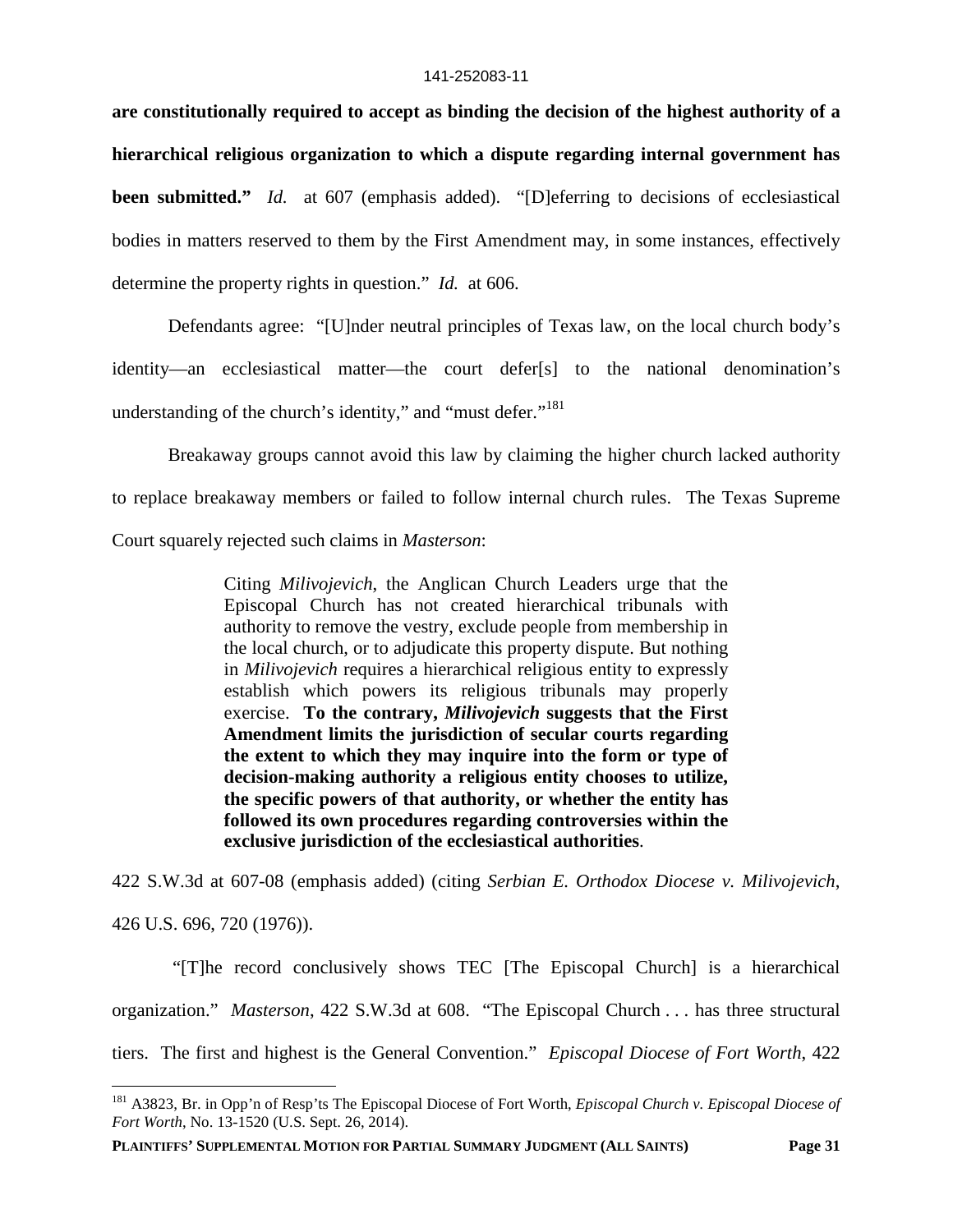**are constitutionally required to accept as binding the decision of the highest authority of a hierarchical religious organization to which a dispute regarding internal government has been submitted."** *Id.* at 607 (emphasis added). "[D]eferring to decisions of ecclesiastical bodies in matters reserved to them by the First Amendment may, in some instances, effectively determine the property rights in question." *Id.* at 606.

Defendants agree: "[U]nder neutral principles of Texas law, on the local church body's identity—an ecclesiastical matter—the court defer[s] to the national denomination's understanding of the church's identity," and "must defer."<sup>181</sup>

Breakaway groups cannot avoid this law by claiming the higher church lacked authority to replace breakaway members or failed to follow internal church rules. The Texas Supreme Court squarely rejected such claims in *Masterson*:

> Citing *Milivojevich*, the Anglican Church Leaders urge that the Episcopal Church has not created hierarchical tribunals with authority to remove the vestry, exclude people from membership in the local church, or to adjudicate this property dispute. But nothing in *Milivojevich* requires a hierarchical religious entity to expressly establish which powers its religious tribunals may properly exercise. **To the contrary,** *Milivojevich* **suggests that the First Amendment limits the jurisdiction of secular courts regarding the extent to which they may inquire into the form or type of decision-making authority a religious entity chooses to utilize, the specific powers of that authority, or whether the entity has followed its own procedures regarding controversies within the exclusive jurisdiction of the ecclesiastical authorities**.

422 S.W.3d at 607-08 (emphasis added) (citing *Serbian E. Orthodox Diocese v. Milivojevich*, 426 U.S. 696, 720 (1976)).

"[T]he record conclusively shows TEC [The Episcopal Church] is a hierarchical organization." *Masterson*, 422 S.W.3d at 608. "The Episcopal Church . . . has three structural tiers. The first and highest is the General Convention." *Episcopal Diocese of Fort Worth*, 422

<sup>181</sup> A3823, Br. in Opp'n of Resp'ts The Episcopal Diocese of Fort Worth, *Episcopal Church v. Episcopal Diocese of Fort Worth*, No. 13-1520 (U.S. Sept. 26, 2014).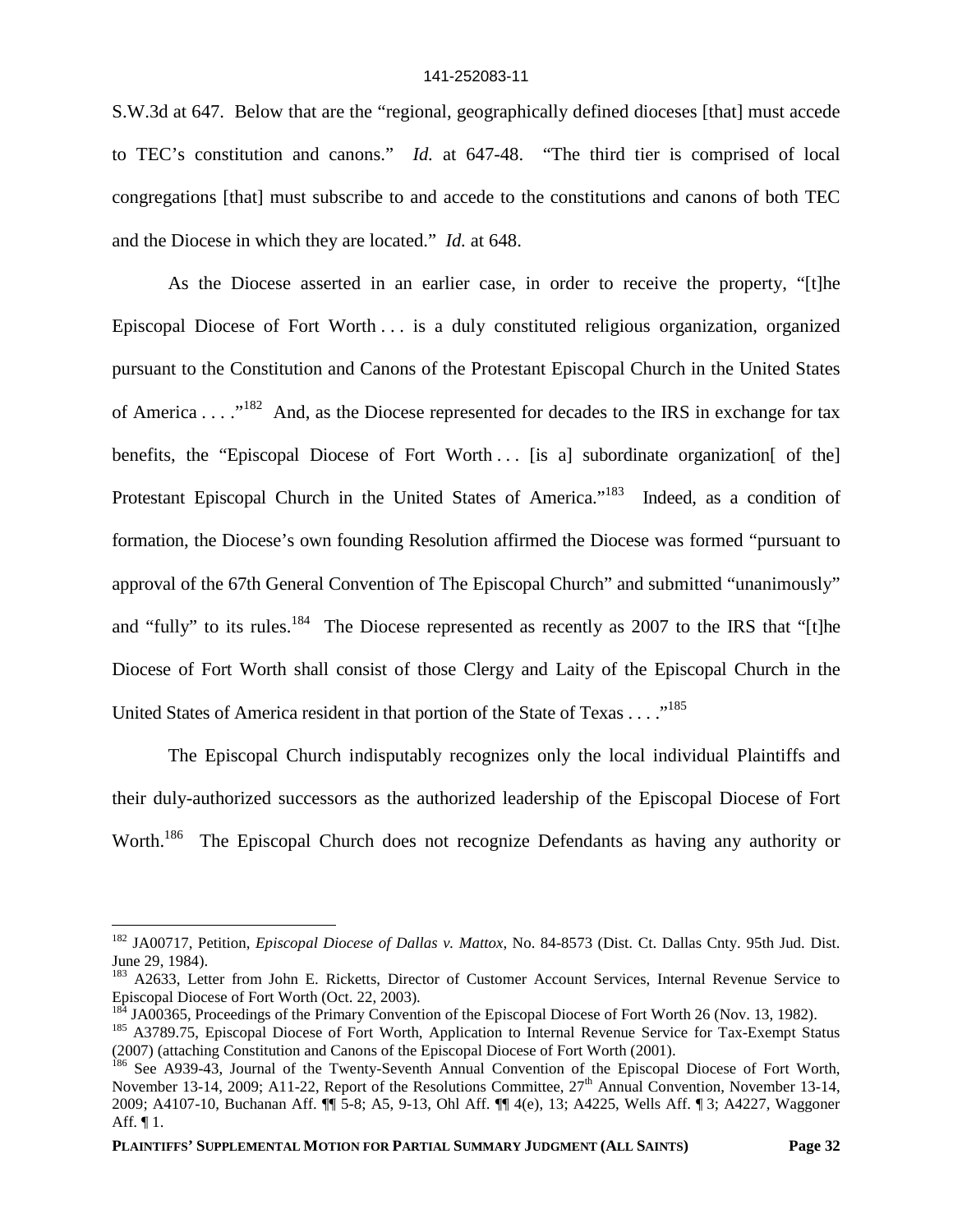S.W.3d at 647. Below that are the "regional, geographically defined dioceses [that] must accede to TEC's constitution and canons." *Id.* at 647-48. "The third tier is comprised of local congregations [that] must subscribe to and accede to the constitutions and canons of both TEC and the Diocese in which they are located." *Id.* at 648.

As the Diocese asserted in an earlier case, in order to receive the property, "[t]he Episcopal Diocese of Fort Worth . . . is a duly constituted religious organization, organized pursuant to the Constitution and Canons of the Protestant Episcopal Church in the United States of America . . . .<sup>182</sup> And, as the Diocese represented for decades to the IRS in exchange for tax benefits, the "Episcopal Diocese of Fort Worth ... [is a] subordinate organization[ of the] Protestant Episcopal Church in the United States of America."<sup>183</sup> Indeed, as a condition of formation, the Diocese's own founding Resolution affirmed the Diocese was formed "pursuant to approval of the 67th General Convention of The Episcopal Church" and submitted "unanimously" and "fully" to its rules.<sup>184</sup> The Diocese represented as recently as 2007 to the IRS that "[t]he Diocese of Fort Worth shall consist of those Clergy and Laity of the Episcopal Church in the United States of America resident in that portion of the State of Texas . . . . "<sup>185</sup>

The Episcopal Church indisputably recognizes only the local individual Plaintiffs and their duly-authorized successors as the authorized leadership of the Episcopal Diocese of Fort Worth.<sup>186</sup> The Episcopal Church does not recognize Defendants as having any authority or

<sup>182</sup> JA00717, Petition, *Episcopal Diocese of Dallas v. Mattox*, No. 84-8573 (Dist. Ct. Dallas Cnty. 95th Jud. Dist. June 29, 1984).

<sup>&</sup>lt;sup>183</sup> A2633, Letter from John E. Ricketts, Director of Customer Account Services, Internal Revenue Service to Episcopal Diocese of Fort Worth (Oct. 22, 2003).

<sup>&</sup>lt;sup>184</sup> JA00365, Proceedings of the Primary Convention of the Episcopal Diocese of Fort Worth 26 (Nov. 13, 1982).

<sup>&</sup>lt;sup>185</sup> A3789.75, Episcopal Diocese of Fort Worth, Application to Internal Revenue Service for Tax-Exempt Status (2007) (attaching Constitution and Canons of the Episcopal Diocese of Fort Worth (2001).

<sup>&</sup>lt;sup>186</sup> See A939-43, Journal of the Twenty-Seventh Annual Convention of the Episcopal Diocese of Fort Worth, November 13-14, 2009; A11-22, Report of the Resolutions Committee, 27<sup>th</sup> Annual Convention, November 13-14, 2009; A4107-10, Buchanan Aff. ¶¶ 5-8; A5, 9-13, Ohl Aff. ¶¶ 4(e), 13; A4225, Wells Aff. ¶ 3; A4227, Waggoner Aff. ¶ 1.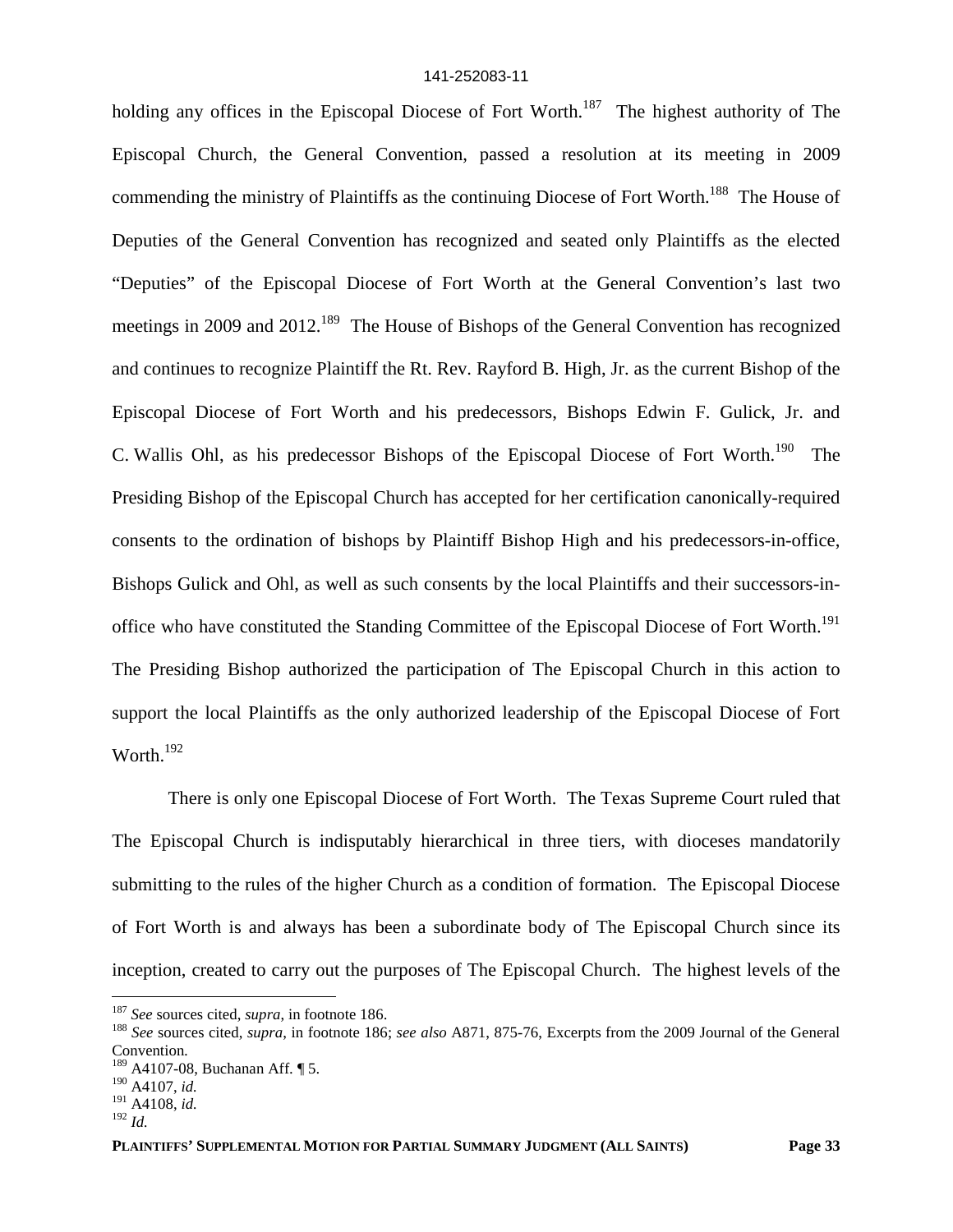holding any offices in the Episcopal Diocese of Fort Worth.<sup>187</sup> The highest authority of The Episcopal Church, the General Convention, passed a resolution at its meeting in 2009 commending the ministry of Plaintiffs as the continuing Diocese of Fort Worth.<sup>188</sup> The House of Deputies of the General Convention has recognized and seated only Plaintiffs as the elected "Deputies" of the Episcopal Diocese of Fort Worth at the General Convention's last two meetings in 2009 and 2012.<sup>189</sup> The House of Bishops of the General Convention has recognized and continues to recognize Plaintiff the Rt. Rev. Rayford B. High, Jr. as the current Bishop of the Episcopal Diocese of Fort Worth and his predecessors, Bishops Edwin F. Gulick, Jr. and C. Wallis Ohl, as his predecessor Bishops of the Episcopal Diocese of Fort Worth.<sup>190</sup> The Presiding Bishop of the Episcopal Church has accepted for her certification canonically-required consents to the ordination of bishops by Plaintiff Bishop High and his predecessors-in-office, Bishops Gulick and Ohl, as well as such consents by the local Plaintiffs and their successors-inoffice who have constituted the Standing Committee of the Episcopal Diocese of Fort Worth.<sup>191</sup> The Presiding Bishop authorized the participation of The Episcopal Church in this action to support the local Plaintiffs as the only authorized leadership of the Episcopal Diocese of Fort Worth.<sup>192</sup>

There is only one Episcopal Diocese of Fort Worth. The Texas Supreme Court ruled that The Episcopal Church is indisputably hierarchical in three tiers, with dioceses mandatorily submitting to the rules of the higher Church as a condition of formation. The Episcopal Diocese of Fort Worth is and always has been a subordinate body of The Episcopal Church since its inception, created to carry out the purposes of The Episcopal Church. The highest levels of the

<sup>187</sup> *See* sources cited, *supra*, in footnote 186.

<sup>188</sup> *See* sources cited, *supra*, in footnote 186; *see also* A871, 875-76, Excerpts from the 2009 Journal of the General Convention*.* <sup>189</sup> A4107-08, Buchanan Aff. ¶ 5.

<sup>190</sup> A4107, *id.*

<sup>191</sup> A4108, *id.* <sup>192</sup> *Id.*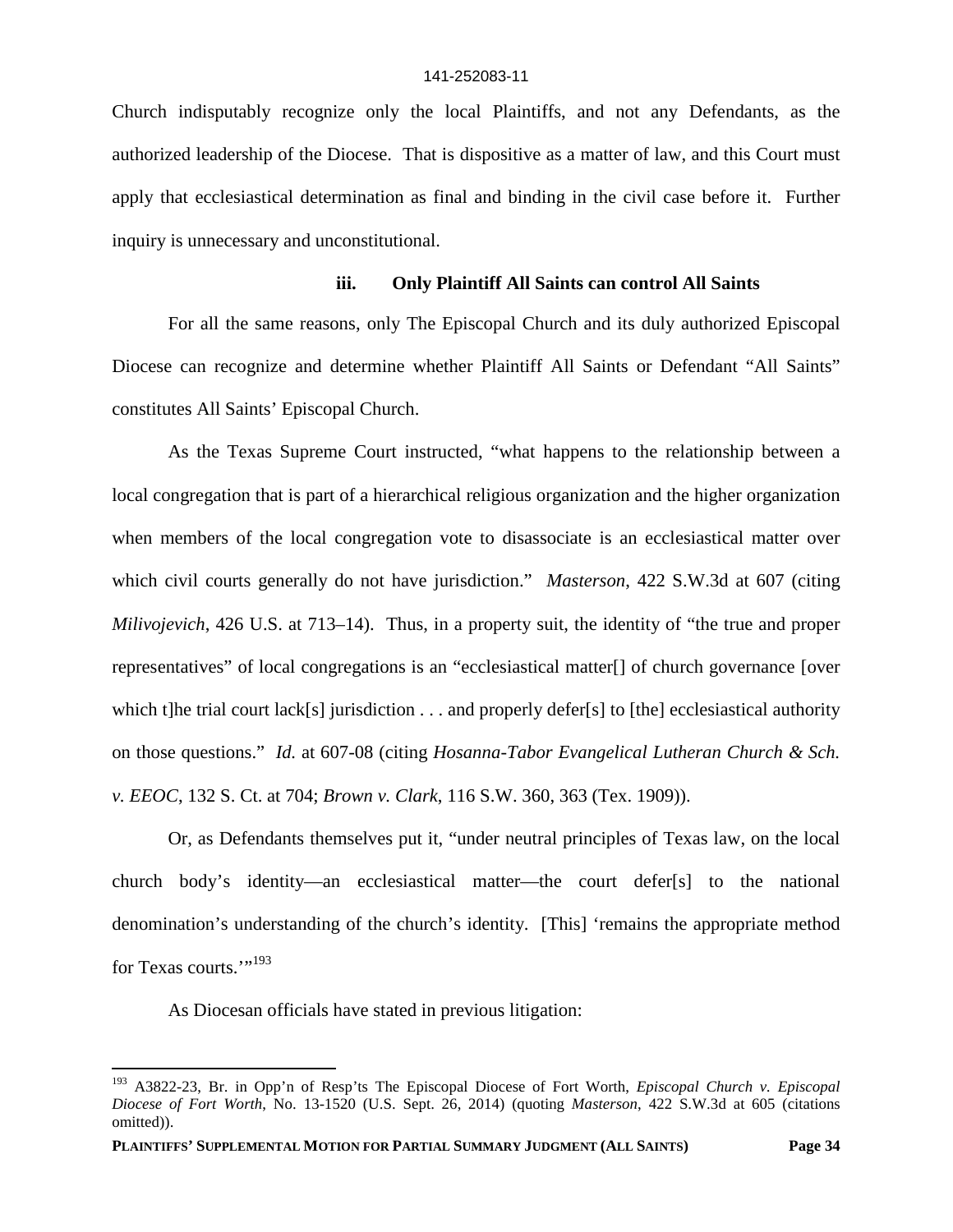Church indisputably recognize only the local Plaintiffs, and not any Defendants, as the authorized leadership of the Diocese. That is dispositive as a matter of law, and this Court must apply that ecclesiastical determination as final and binding in the civil case before it. Further inquiry is unnecessary and unconstitutional.

## **iii. Only Plaintiff All Saints can control All Saints**

For all the same reasons, only The Episcopal Church and its duly authorized Episcopal Diocese can recognize and determine whether Plaintiff All Saints or Defendant "All Saints" constitutes All Saints' Episcopal Church.

As the Texas Supreme Court instructed, "what happens to the relationship between a local congregation that is part of a hierarchical religious organization and the higher organization when members of the local congregation vote to disassociate is an ecclesiastical matter over which civil courts generally do not have jurisdiction." *Masterson*, 422 S.W.3d at 607 (citing *Milivojevich*, 426 U.S. at 713–14). Thus, in a property suit, the identity of "the true and proper representatives" of local congregations is an "ecclesiastical matter[] of church governance [over which t]he trial court lack[s] jurisdiction . . . and properly defer[s] to [the] ecclesiastical authority on those questions." *Id.* at 607-08 (citing *Hosanna-Tabor Evangelical Lutheran Church & Sch. v. EEOC*, 132 S. Ct. at 704; *Brown v. Clark*, 116 S.W. 360, 363 (Tex. 1909)).

Or, as Defendants themselves put it, "under neutral principles of Texas law, on the local church body's identity—an ecclesiastical matter—the court defer[s] to the national denomination's understanding of the church's identity. [This] 'remains the appropriate method for Texas courts."<sup>193</sup>

As Diocesan officials have stated in previous litigation:

<sup>193</sup> A3822-23, Br. in Opp'n of Resp'ts The Episcopal Diocese of Fort Worth, *Episcopal Church v. Episcopal Diocese of Fort Worth*, No. 13-1520 (U.S. Sept. 26, 2014) (quoting *Masterson*, 422 S.W.3d at 605 (citations omitted)).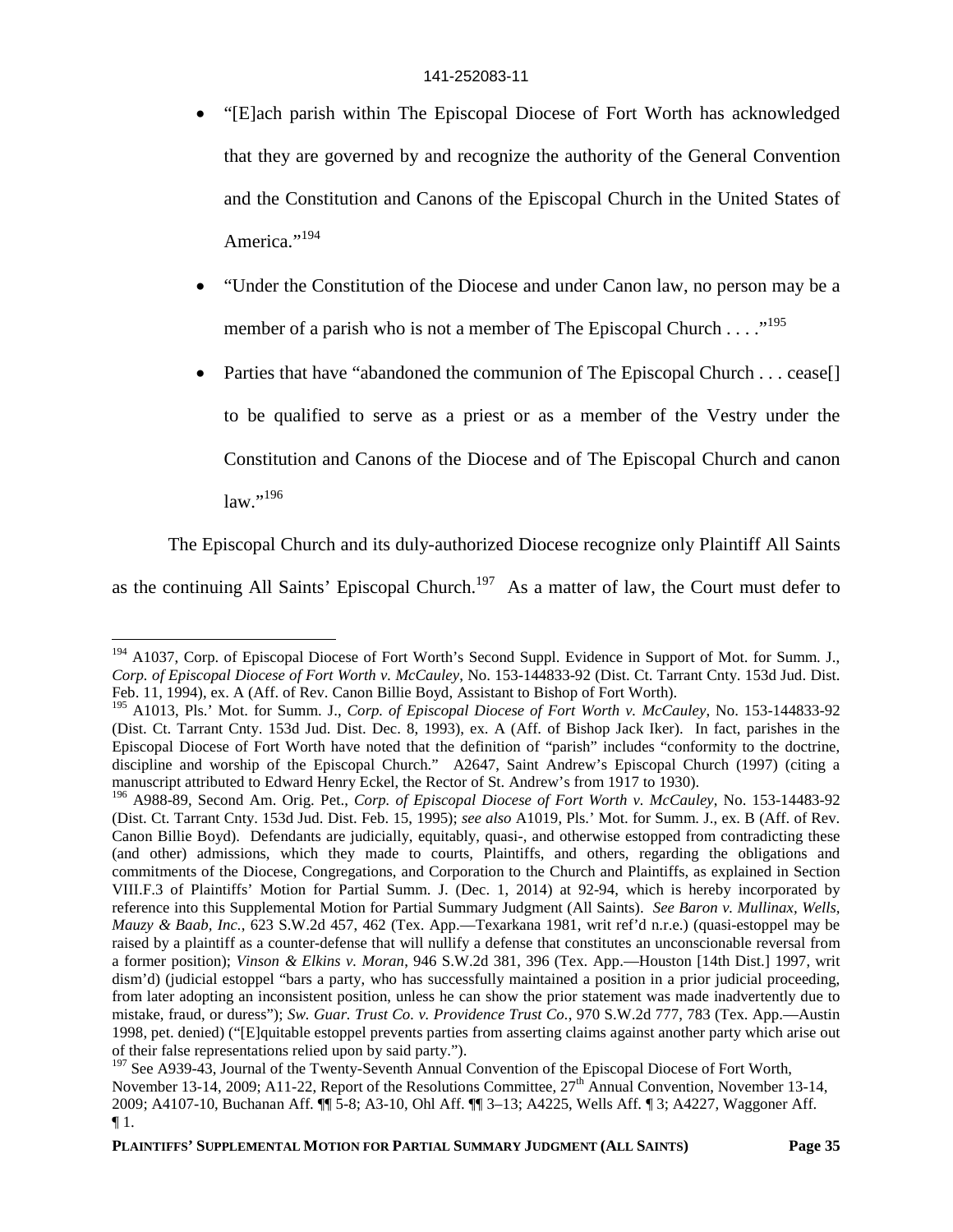- "[E]ach parish within The Episcopal Diocese of Fort Worth has acknowledged that they are governed by and recognize the authority of the General Convention and the Constitution and Canons of the Episcopal Church in the United States of America."<sup>194</sup>
- "Under the Constitution of the Diocese and under Canon law, no person may be a member of a parish who is not a member of The Episcopal Church . . . .  $\cdot$ <sup>195</sup>
- Parties that have "abandoned the communion of The Episcopal Church . . . cease[] to be qualified to serve as a priest or as a member of the Vestry under the Constitution and Canons of the Diocese and of The Episcopal Church and canon law."<sup>196</sup>

The Episcopal Church and its duly-authorized Diocese recognize only Plaintiff All Saints

as the continuing All Saints' Episcopal Church.<sup>197</sup> As a matter of law, the Court must defer to

<sup>&</sup>lt;sup>194</sup> A1037, Corp. of Episcopal Diocese of Fort Worth's Second Suppl. Evidence in Support of Mot. for Summ. J., *Corp. of Episcopal Diocese of Fort Worth v. McCauley*, No. 153-144833-92 (Dist. Ct. Tarrant Cnty. 153d Jud. Dist. Feb. 11, 1994), ex. A (Aff. of Rev. Canon Billie Boyd, Assistant to Bishop of Fort Worth).

<sup>195</sup> A1013, Pls.' Mot. for Summ. J., *Corp. of Episcopal Diocese of Fort Worth v. McCauley*, No. 153-144833-92 (Dist. Ct. Tarrant Cnty. 153d Jud. Dist. Dec. 8, 1993), ex. A (Aff. of Bishop Jack Iker). In fact, parishes in the Episcopal Diocese of Fort Worth have noted that the definition of "parish" includes "conformity to the doctrine, discipline and worship of the Episcopal Church." A2647, Saint Andrew's Episcopal Church (1997) (citing a manuscript attributed to Edward Henry Eckel, the Rector of St. Andrew's from 1917 to 1930).

<sup>196</sup> A988-89, Second Am. Orig. Pet., *Corp. of Episcopal Diocese of Fort Worth v. McCauley*, No. 153-14483-92 (Dist. Ct. Tarrant Cnty. 153d Jud. Dist. Feb. 15, 1995); *see also* A1019, Pls.' Mot. for Summ. J., ex. B (Aff. of Rev. Canon Billie Boyd). Defendants are judicially, equitably, quasi-, and otherwise estopped from contradicting these (and other) admissions, which they made to courts, Plaintiffs, and others, regarding the obligations and commitments of the Diocese, Congregations, and Corporation to the Church and Plaintiffs, as explained in Section VIII.F.3 of Plaintiffs' Motion for Partial Summ. J. (Dec. 1, 2014) at 92-94, which is hereby incorporated by reference into this Supplemental Motion for Partial Summary Judgment (All Saints). *See Baron v. Mullinax, Wells, Mauzy & Baab, Inc.*, 623 S.W.2d 457, 462 (Tex. App.—Texarkana 1981, writ ref'd n.r.e.) (quasi-estoppel may be raised by a plaintiff as a counter-defense that will nullify a defense that constitutes an unconscionable reversal from a former position); *Vinson & Elkins v. Moran*, 946 S.W.2d 381, 396 (Tex. App.—Houston [14th Dist.] 1997, writ dism'd) (judicial estoppel "bars a party, who has successfully maintained a position in a prior judicial proceeding, from later adopting an inconsistent position, unless he can show the prior statement was made inadvertently due to mistake, fraud, or duress"); *Sw. Guar. Trust Co. v. Providence Trust Co.*, 970 S.W.2d 777, 783 (Tex. App.—Austin 1998, pet. denied) ("[E]quitable estoppel prevents parties from asserting claims against another party which arise out of their false representations relied upon by said party.").

<sup>&</sup>lt;sup>197</sup> See A939-43, Journal of the Twenty-Seventh Annual Convention of the Episcopal Diocese of Fort Worth, November 13-14, 2009; A11-22, Report of the Resolutions Committee, 27<sup>th</sup> Annual Convention, November 13-14, 2009; A4107-10, Buchanan Aff. ¶¶ 5-8; A3-10, Ohl Aff. ¶¶ 3–13; A4225, Wells Aff. ¶ 3; A4227, Waggoner Aff.  $\P1$ .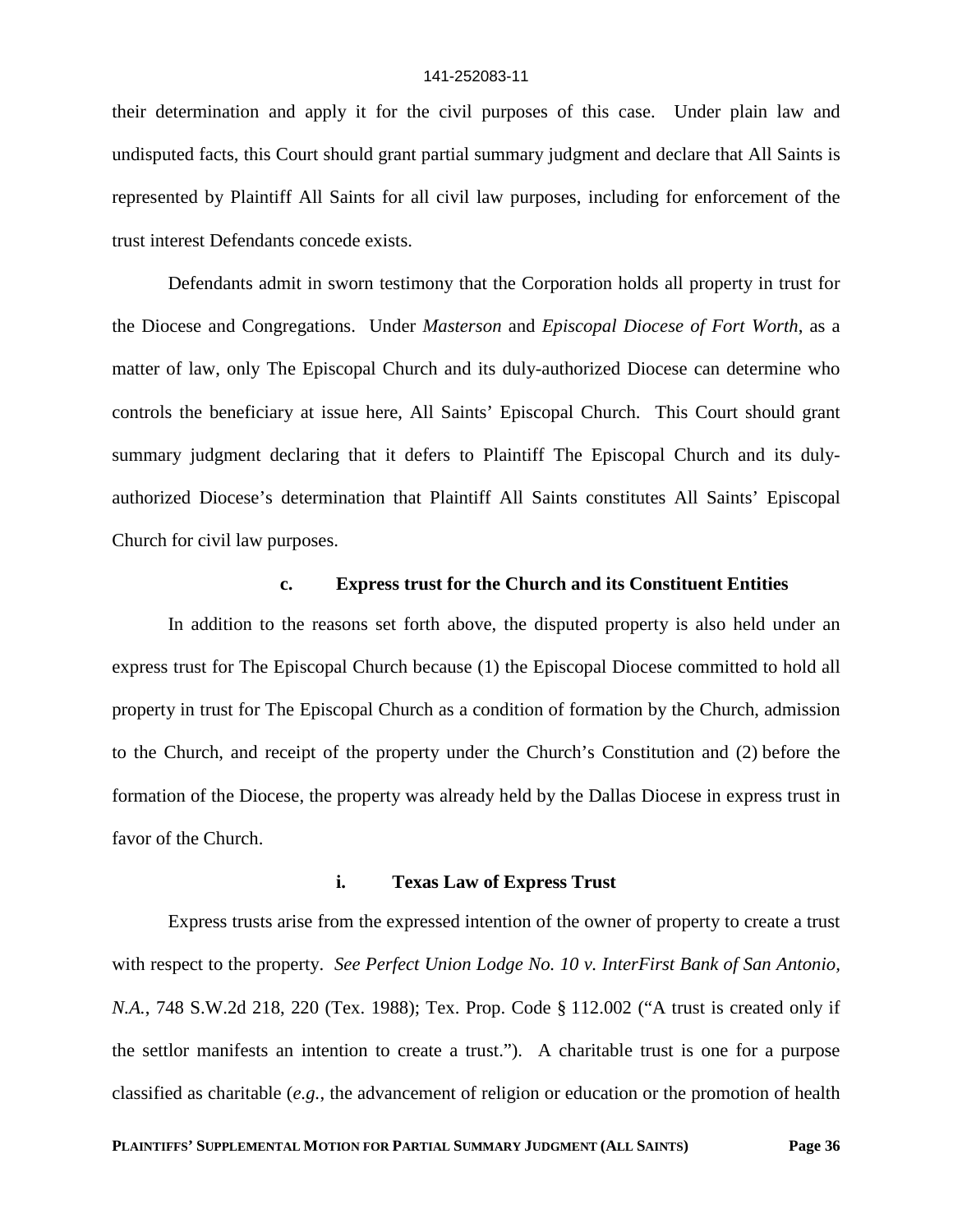their determination and apply it for the civil purposes of this case. Under plain law and undisputed facts, this Court should grant partial summary judgment and declare that All Saints is represented by Plaintiff All Saints for all civil law purposes, including for enforcement of the trust interest Defendants concede exists.

Defendants admit in sworn testimony that the Corporation holds all property in trust for the Diocese and Congregations. Under *Masterson* and *Episcopal Diocese of Fort Worth*, as a matter of law, only The Episcopal Church and its duly-authorized Diocese can determine who controls the beneficiary at issue here, All Saints' Episcopal Church. This Court should grant summary judgment declaring that it defers to Plaintiff The Episcopal Church and its dulyauthorized Diocese's determination that Plaintiff All Saints constitutes All Saints' Episcopal Church for civil law purposes.

# **c. Express trust for the Church and its Constituent Entities**

In addition to the reasons set forth above, the disputed property is also held under an express trust for The Episcopal Church because (1) the Episcopal Diocese committed to hold all property in trust for The Episcopal Church as a condition of formation by the Church, admission to the Church, and receipt of the property under the Church's Constitution and (2) before the formation of the Diocese, the property was already held by the Dallas Diocese in express trust in favor of the Church.

### **i. Texas Law of Express Trust**

Express trusts arise from the expressed intention of the owner of property to create a trust with respect to the property. *See Perfect Union Lodge No. 10 v. InterFirst Bank of San Antonio, N.A.*, 748 S.W.2d 218, 220 (Tex. 1988); Tex. Prop. Code § 112.002 ("A trust is created only if the settlor manifests an intention to create a trust."). A charitable trust is one for a purpose classified as charitable (*e.g.*, the advancement of religion or education or the promotion of health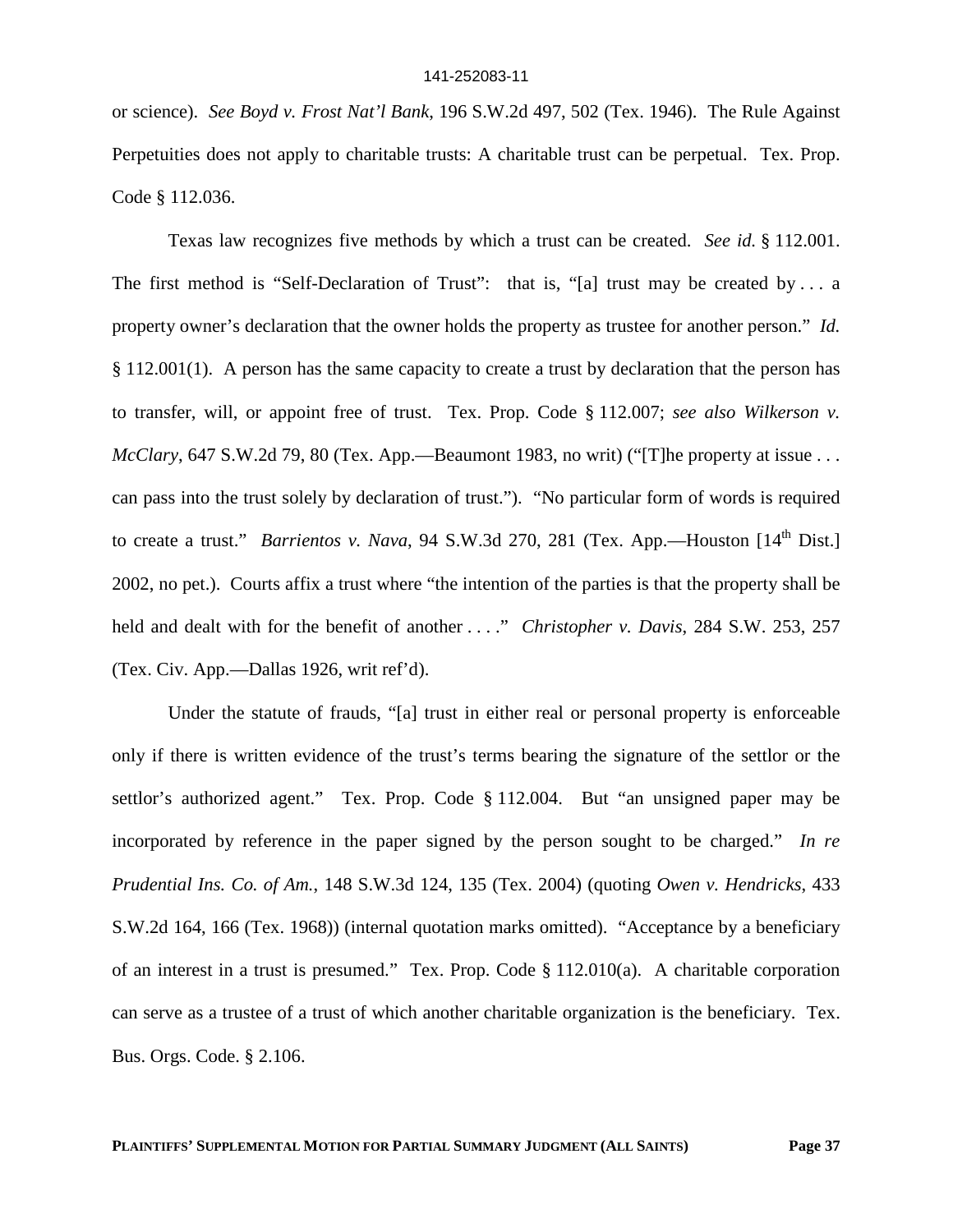or science). *See Boyd v. Frost Nat'l Bank*, 196 S.W.2d 497, 502 (Tex. 1946). The Rule Against Perpetuities does not apply to charitable trusts: A charitable trust can be perpetual. Tex. Prop. Code § 112.036.

Texas law recognizes five methods by which a trust can be created. *See id.* § 112.001. The first method is "Self-Declaration of Trust": that is, "[a] trust may be created by ... a property owner's declaration that the owner holds the property as trustee for another person." *Id.* § 112.001(1). A person has the same capacity to create a trust by declaration that the person has to transfer, will, or appoint free of trust. Tex. Prop. Code § 112.007; *see also Wilkerson v. McClary*, 647 S.W.2d 79, 80 (Tex. App.—Beaumont 1983, no writ) ("[T]he property at issue . . . can pass into the trust solely by declaration of trust."). "No particular form of words is required to create a trust." *Barrientos v. Nava*, 94 S.W.3d 270, 281 (Tex. App.—Houston [14<sup>th</sup> Dist.] 2002, no pet.). Courts affix a trust where "the intention of the parties is that the property shall be held and dealt with for the benefit of another . . . ." *Christopher v. Davis*, 284 S.W. 253, 257 (Tex. Civ. App.—Dallas 1926, writ ref'd).

Under the statute of frauds, "[a] trust in either real or personal property is enforceable only if there is written evidence of the trust's terms bearing the signature of the settlor or the settlor's authorized agent." Tex. Prop. Code § 112.004. But "an unsigned paper may be incorporated by reference in the paper signed by the person sought to be charged." *In re Prudential Ins. Co. of Am.*, 148 S.W.3d 124, 135 (Tex. 2004) (quoting *Owen v. Hendricks*, 433 S.W.2d 164, 166 (Tex. 1968)) (internal quotation marks omitted). "Acceptance by a beneficiary of an interest in a trust is presumed." Tex. Prop. Code § 112.010(a). A charitable corporation can serve as a trustee of a trust of which another charitable organization is the beneficiary. Tex. Bus. Orgs. Code. § 2.106.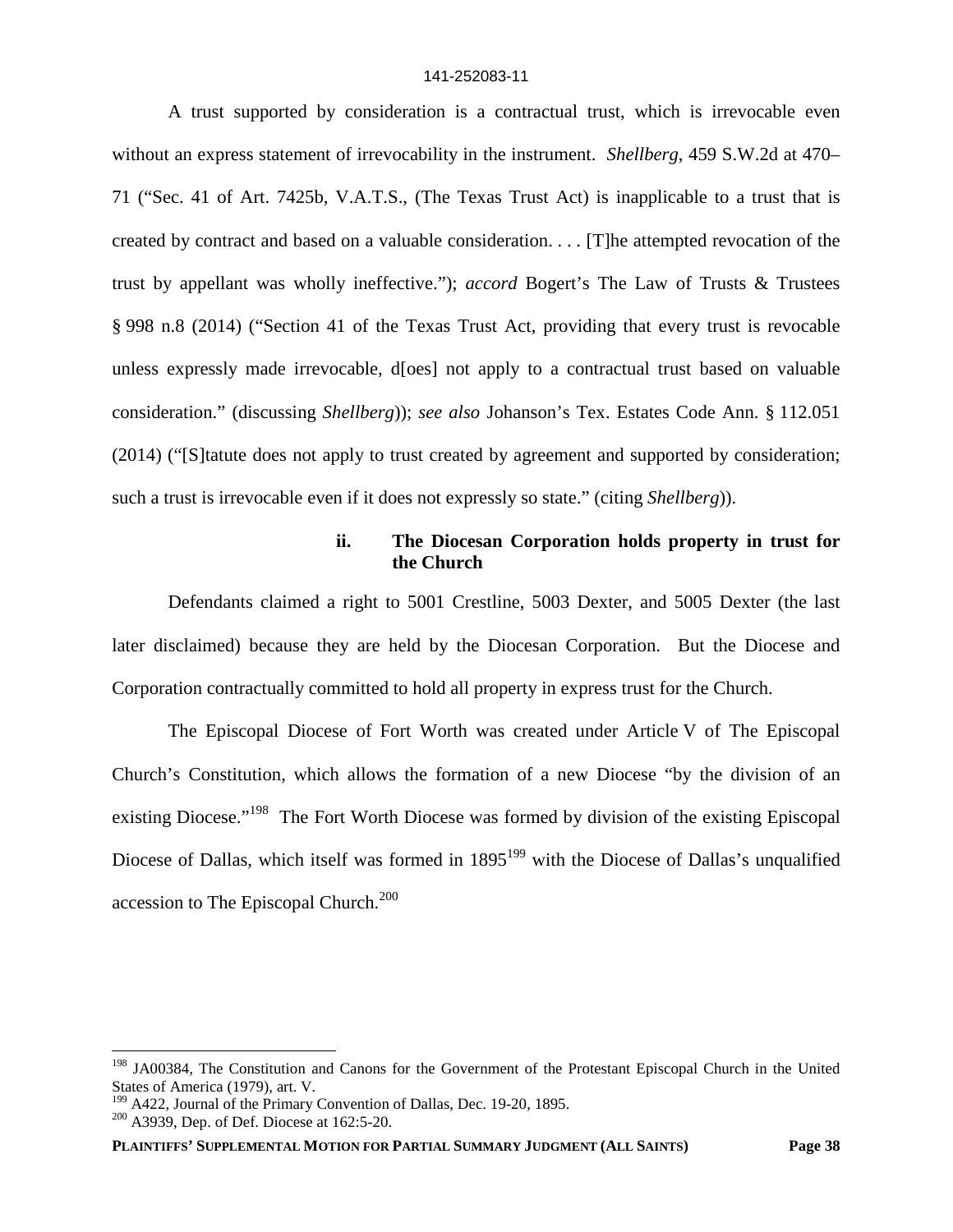A trust supported by consideration is a contractual trust, which is irrevocable even without an express statement of irrevocability in the instrument. *Shellberg*, 459 S.W.2d at 470– 71 ("Sec. 41 of Art. 7425b, V.A.T.S., (The Texas Trust Act) is inapplicable to a trust that is created by contract and based on a valuable consideration. . . . [T]he attempted revocation of the trust by appellant was wholly ineffective."); *accord* Bogert's The Law of Trusts & Trustees § 998 n.8 (2014) ("Section 41 of the Texas Trust Act, providing that every trust is revocable unless expressly made irrevocable, d[oes] not apply to a contractual trust based on valuable consideration." (discussing *Shellberg*)); *see also* Johanson's Tex. Estates Code Ann. § 112.051 (2014) ("[S]tatute does not apply to trust created by agreement and supported by consideration; such a trust is irrevocable even if it does not expressly so state." (citing *Shellberg*)).

# **ii. The Diocesan Corporation holds property in trust for the Church**

Defendants claimed a right to 5001 Crestline, 5003 Dexter, and 5005 Dexter (the last later disclaimed) because they are held by the Diocesan Corporation. But the Diocese and Corporation contractually committed to hold all property in express trust for the Church.

The Episcopal Diocese of Fort Worth was created under Article V of The Episcopal Church's Constitution, which allows the formation of a new Diocese "by the division of an existing Diocese."<sup>198</sup> The Fort Worth Diocese was formed by division of the existing Episcopal Diocese of Dallas, which itself was formed in 1895<sup>199</sup> with the Diocese of Dallas's unqualified accession to The Episcopal Church.<sup>200</sup>

<sup>&</sup>lt;sup>198</sup> JA00384, The Constitution and Canons for the Government of the Protestant Episcopal Church in the United States of America (1979), art. V.

<sup>199</sup> A422, Journal of the Primary Convention of Dallas, Dec. 19-20, 1895.

<sup>&</sup>lt;sup>200</sup> A3939, Dep. of Def. Diocese at 162:5-20.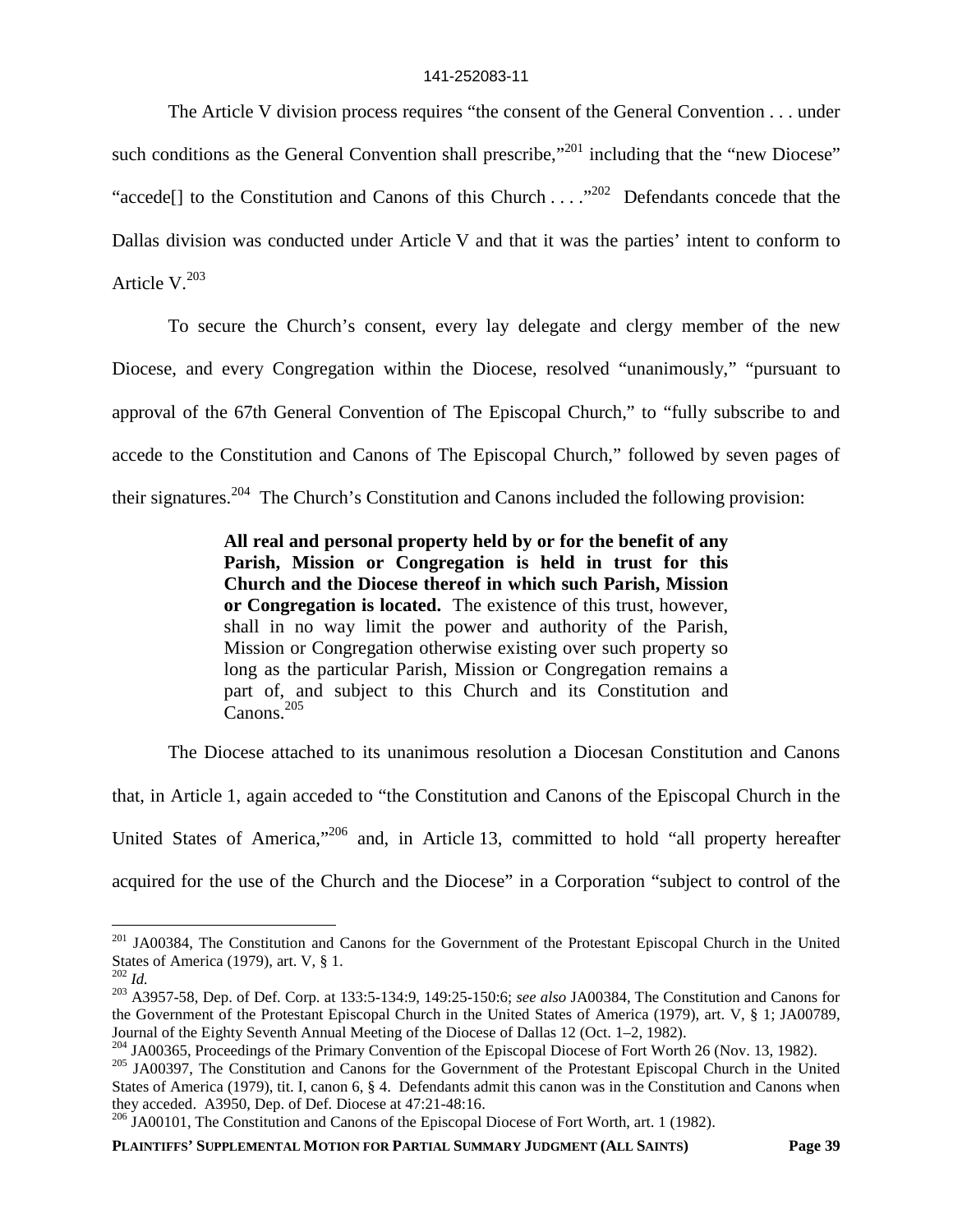The Article V division process requires "the consent of the General Convention . . . under such conditions as the General Convention shall prescribe,"<sup>201</sup> including that the "new Diocese" "accede<sup>[]</sup> to the Constitution and Canons of this Church . . . .<sup>"202</sup> Defendants concede that the Dallas division was conducted under Article V and that it was the parties' intent to conform to Article  $V^{203}$ 

To secure the Church's consent, every lay delegate and clergy member of the new Diocese, and every Congregation within the Diocese, resolved "unanimously," "pursuant to approval of the 67th General Convention of The Episcopal Church," to "fully subscribe to and accede to the Constitution and Canons of The Episcopal Church," followed by seven pages of their signatures.<sup>204</sup> The Church's Constitution and Canons included the following provision:

> **All real and personal property held by or for the benefit of any Parish, Mission or Congregation is held in trust for this Church and the Diocese thereof in which such Parish, Mission or Congregation is located.** The existence of this trust, however, shall in no way limit the power and authority of the Parish, Mission or Congregation otherwise existing over such property so long as the particular Parish, Mission or Congregation remains a part of, and subject to this Church and its Constitution and Canons.<sup>205</sup>

The Diocese attached to its unanimous resolution a Diocesan Constitution and Canons

that, in Article 1, again acceded to "the Constitution and Canons of the Episcopal Church in the

United States of America,"<sup>206</sup> and, in Article 13, committed to hold "all property hereafter

acquired for the use of the Church and the Diocese" in a Corporation "subject to control of the

<sup>&</sup>lt;sup>201</sup> JA00384, The Constitution and Canons for the Government of the Protestant Episcopal Church in the United States of America (1979), art. V, § 1.

<sup>202</sup> *Id.*

<sup>203</sup> A3957-58, Dep. of Def. Corp. at 133:5-134:9, 149:25-150:6; *see also* JA00384, The Constitution and Canons for the Government of the Protestant Episcopal Church in the United States of America (1979), art. V, § 1; JA00789, Journal of the Eighty Seventh Annual Meeting of the Diocese of Dallas 12 (Oct. 1–2, 1982).

<sup>&</sup>lt;sup>204</sup> JA00365, Proceedings of the Primary Convention of the Episcopal Diocese of Fort Worth 26 (Nov. 13, 1982).

<sup>&</sup>lt;sup>205</sup> JA00397, The Constitution and Canons for the Government of the Protestant Episcopal Church in the United States of America (1979), tit. I, canon 6, § 4. Defendants admit this canon was in the Constitution and Canons when they acceded. A3950, Dep. of Def. Diocese at 47:21-48:16.

<sup>206</sup> JA00101, The Constitution and Canons of the Episcopal Diocese of Fort Worth, art. 1 (1982).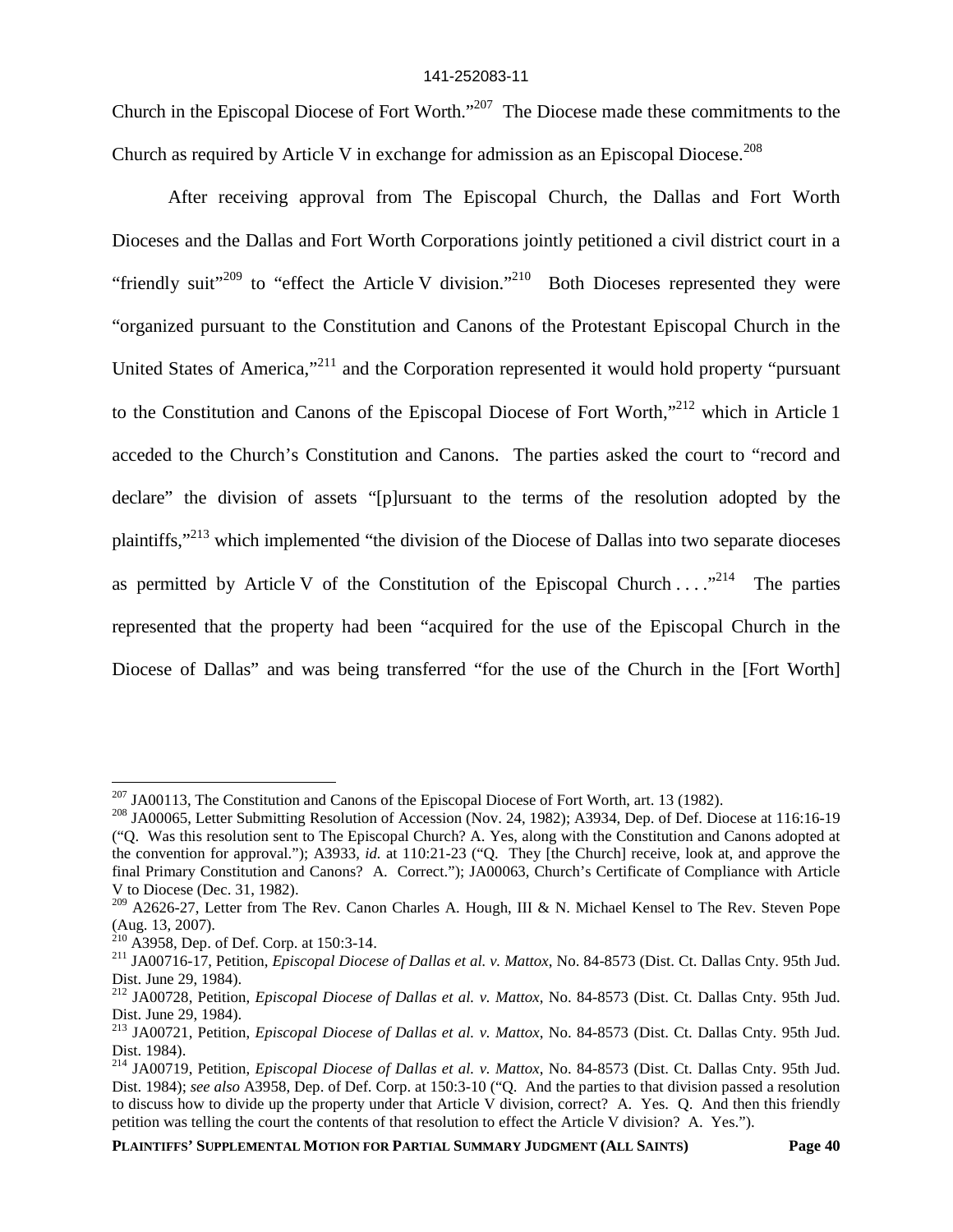Church in the Episcopal Diocese of Fort Worth."<sup>207</sup> The Diocese made these commitments to the Church as required by Article V in exchange for admission as an Episcopal Diocese.<sup>208</sup>

After receiving approval from The Episcopal Church, the Dallas and Fort Worth Dioceses and the Dallas and Fort Worth Corporations jointly petitioned a civil district court in a "friendly suit"<sup>209</sup> to "effect the Article V division."<sup>210</sup> Both Dioceses represented they were "organized pursuant to the Constitution and Canons of the Protestant Episcopal Church in the United States of America,"<sup>211</sup> and the Corporation represented it would hold property "pursuant" to the Constitution and Canons of the Episcopal Diocese of Fort Worth,<sup>"212</sup> which in Article 1 acceded to the Church's Constitution and Canons. The parties asked the court to "record and declare" the division of assets "[p]ursuant to the terms of the resolution adopted by the plaintiffs,"<sup>213</sup> which implemented "the division of the Diocese of Dallas into two separate dioceses as permitted by Article V of the Constitution of the Episcopal Church . . . . <sup>214</sup> The parties represented that the property had been "acquired for the use of the Episcopal Church in the Diocese of Dallas" and was being transferred "for the use of the Church in the [Fort Worth]

 $207$  JA00113, The Constitution and Canons of the Episcopal Diocese of Fort Worth, art. 13 (1982).

<sup>&</sup>lt;sup>208</sup> JA00065, Letter Submitting Resolution of Accession (Nov. 24, 1982); A3934, Dep. of Def. Diocese at 116:16-19 ("Q. Was this resolution sent to The Episcopal Church? A. Yes, along with the Constitution and Canons adopted at the convention for approval."); A3933, *id.* at 110:21-23 ("Q. They [the Church] receive, look at, and approve the final Primary Constitution and Canons? A. Correct."); JA00063, Church's Certificate of Compliance with Article V to Diocese (Dec. 31, 1982).

<sup>&</sup>lt;sup>209</sup> A2626-27, Letter from The Rev. Canon Charles A. Hough, III & N. Michael Kensel to The Rev. Steven Pope (Aug. 13, 2007).

 $^{210}$  A3958, Dep. of Def. Corp. at 150:3-14.

<sup>211</sup> JA00716-17, Petition, *Episcopal Diocese of Dallas et al. v. Mattox*, No. 84-8573 (Dist. Ct. Dallas Cnty. 95th Jud. Dist. June 29, 1984).

<sup>212</sup> JA00728, Petition, *Episcopal Diocese of Dallas et al. v. Mattox*, No. 84-8573 (Dist. Ct. Dallas Cnty. 95th Jud. Dist. June 29, 1984).

<sup>213</sup> JA00721, Petition, *Episcopal Diocese of Dallas et al. v. Mattox*, No. 84-8573 (Dist. Ct. Dallas Cnty. 95th Jud. Dist. 1984).

<sup>214</sup> JA00719, Petition, *Episcopal Diocese of Dallas et al. v. Mattox*, No. 84-8573 (Dist. Ct. Dallas Cnty. 95th Jud. Dist. 1984); *see also* A3958, Dep. of Def. Corp. at 150:3-10 ("Q. And the parties to that division passed a resolution to discuss how to divide up the property under that Article V division, correct? A. Yes. Q. And then this friendly petition was telling the court the contents of that resolution to effect the Article V division? A. Yes.").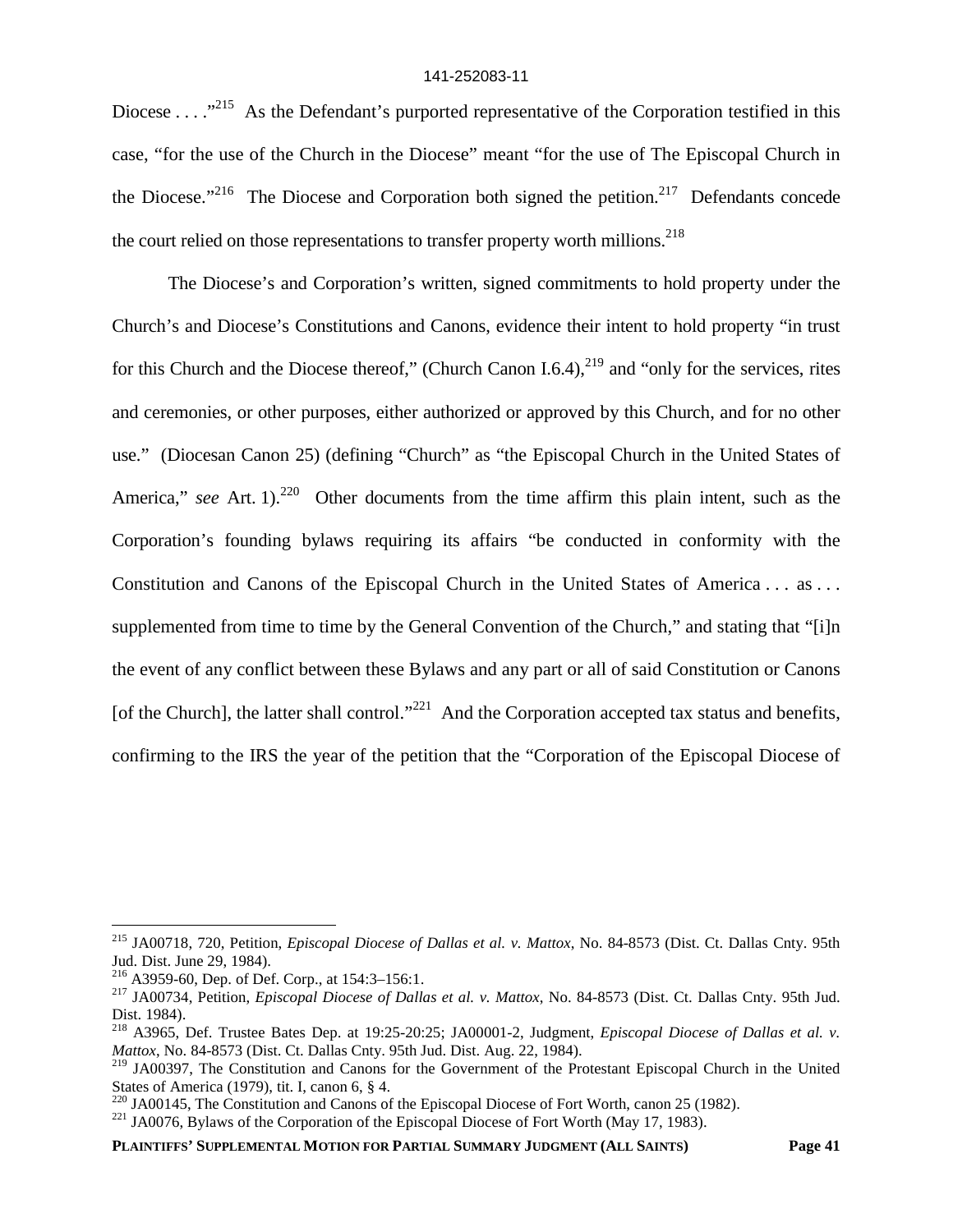Diocese . . . .  $^{215}$  As the Defendant's purported representative of the Corporation testified in this case, "for the use of the Church in the Diocese" meant "for the use of The Episcopal Church in the Diocese."<sup>216</sup> The Diocese and Corporation both signed the petition.<sup>217</sup> Defendants concede the court relied on those representations to transfer property worth millions.<sup>218</sup>

The Diocese's and Corporation's written, signed commitments to hold property under the Church's and Diocese's Constitutions and Canons, evidence their intent to hold property "in trust for this Church and the Diocese thereof," (Church Canon I.6.4), $^{219}$  and "only for the services, rites and ceremonies, or other purposes, either authorized or approved by this Church, and for no other use." (Diocesan Canon 25) (defining "Church" as "the Episcopal Church in the United States of America," *see* Art. 1).<sup>220</sup> Other documents from the time affirm this plain intent, such as the Corporation's founding bylaws requiring its affairs "be conducted in conformity with the Constitution and Canons of the Episcopal Church in the United States of America . . . as . . . supplemented from time to time by the General Convention of the Church," and stating that "[i]n the event of any conflict between these Bylaws and any part or all of said Constitution or Canons [of the Church], the latter shall control."<sup>221</sup> And the Corporation accepted tax status and benefits, confirming to the IRS the year of the petition that the "Corporation of the Episcopal Diocese of

<sup>215</sup> JA00718, 720, Petition, *Episcopal Diocese of Dallas et al. v. Mattox*, No. 84-8573 (Dist. Ct. Dallas Cnty. 95th Jud. Dist. June 29, 1984).

<sup>216</sup> A3959-60, Dep. of Def. Corp., at 154:3–156:1.

<sup>217</sup> JA00734, Petition, *Episcopal Diocese of Dallas et al. v. Mattox*, No. 84-8573 (Dist. Ct. Dallas Cnty. 95th Jud. Dist. 1984).

<sup>218</sup> A3965, Def. Trustee Bates Dep. at 19:25-20:25; JA00001-2, Judgment, *Episcopal Diocese of Dallas et al. v. Mattox*, No. 84-8573 (Dist. Ct. Dallas Cnty. 95th Jud. Dist. Aug. 22, 1984).

<sup>&</sup>lt;sup>219</sup> JA00397, The Constitution and Canons for the Government of the Protestant Episcopal Church in the United States of America (1979), tit. I, canon 6, § 4.

 $220$  JA00145, The Constitution and Canons of the Episcopal Diocese of Fort Worth, canon 25 (1982).

<sup>&</sup>lt;sup>221</sup> JA0076, Bylaws of the Corporation of the Episcopal Diocese of Fort Worth (May 17, 1983).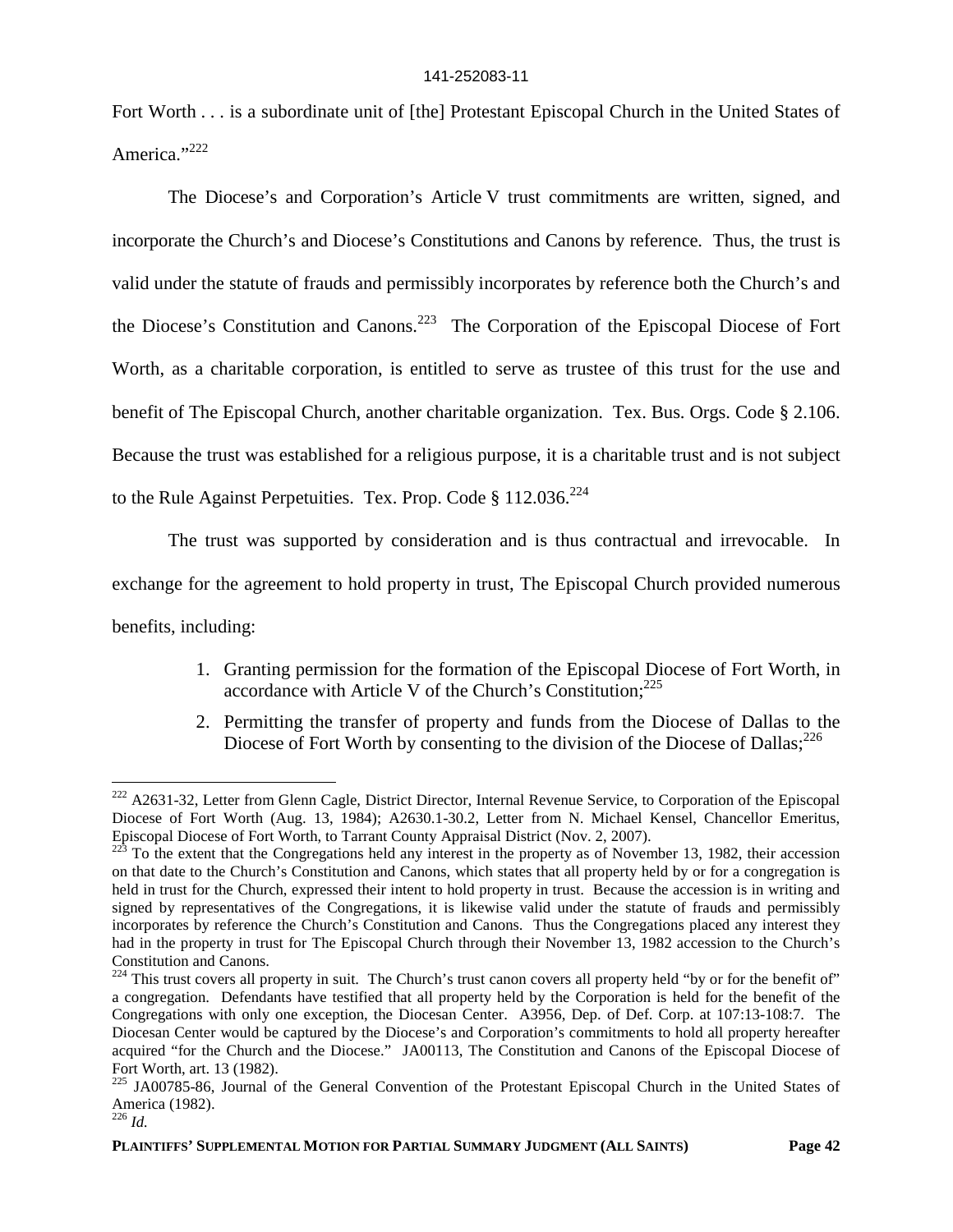Fort Worth . . . is a subordinate unit of [the] Protestant Episcopal Church in the United States of America."<sup>222</sup>

The Diocese's and Corporation's Article V trust commitments are written, signed, and incorporate the Church's and Diocese's Constitutions and Canons by reference. Thus, the trust is valid under the statute of frauds and permissibly incorporates by reference both the Church's and the Diocese's Constitution and Canons.<sup>223</sup> The Corporation of the Episcopal Diocese of Fort Worth, as a charitable corporation, is entitled to serve as trustee of this trust for the use and benefit of The Episcopal Church, another charitable organization. Tex. Bus. Orgs. Code § 2.106. Because the trust was established for a religious purpose, it is a charitable trust and is not subject to the Rule Against Perpetuities. Tex. Prop. Code § 112.036.<sup>224</sup>

The trust was supported by consideration and is thus contractual and irrevocable. In exchange for the agreement to hold property in trust, The Episcopal Church provided numerous benefits, including:

- 1. Granting permission for the formation of the Episcopal Diocese of Fort Worth, in accordance with Article V of the Church's Constitution; $^{225}$
- 2. Permitting the transfer of property and funds from the Diocese of Dallas to the Diocese of Fort Worth by consenting to the division of the Diocese of Dallas; $^{226}$

<sup>&</sup>lt;sup>222</sup> A2631-32, Letter from Glenn Cagle, District Director, Internal Revenue Service, to Corporation of the Episcopal Diocese of Fort Worth (Aug. 13, 1984); A2630.1-30.2, Letter from N. Michael Kensel, Chancellor Emeritus, Episcopal Diocese of Fort Worth, to Tarrant County Appraisal District (Nov. 2, 2007).

<sup>223</sup> To the extent that the Congregations held any interest in the property as of November 13, 1982, their accession on that date to the Church's Constitution and Canons, which states that all property held by or for a congregation is held in trust for the Church, expressed their intent to hold property in trust. Because the accession is in writing and signed by representatives of the Congregations, it is likewise valid under the statute of frauds and permissibly incorporates by reference the Church's Constitution and Canons. Thus the Congregations placed any interest they had in the property in trust for The Episcopal Church through their November 13, 1982 accession to the Church's Constitution and Canons.

<sup>&</sup>lt;sup>224</sup> This trust covers all property in suit. The Church's trust canon covers all property held "by or for the benefit of" a congregation. Defendants have testified that all property held by the Corporation is held for the benefit of the Congregations with only one exception, the Diocesan Center. A3956, Dep. of Def. Corp. at 107:13-108:7. The Diocesan Center would be captured by the Diocese's and Corporation's commitments to hold all property hereafter acquired "for the Church and the Diocese." JA00113, The Constitution and Canons of the Episcopal Diocese of Fort Worth, art. 13 (1982).

<sup>&</sup>lt;sup>225</sup> JA00785-86, Journal of the General Convention of the Protestant Episcopal Church in the United States of America (1982).

 $226$  *Id.*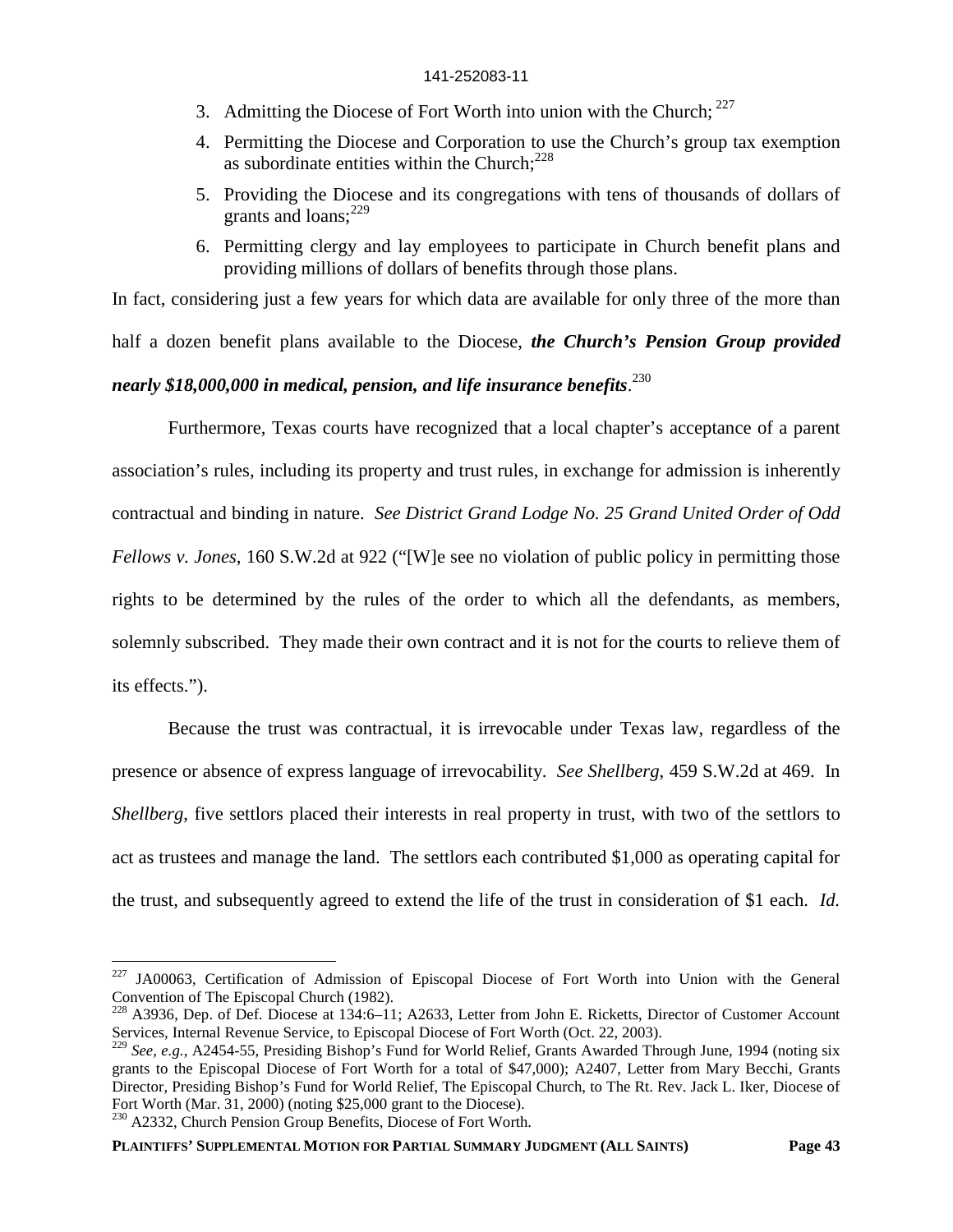- 3. Admitting the Diocese of Fort Worth into union with the Church;  $227$
- 4. Permitting the Diocese and Corporation to use the Church's group tax exemption as subordinate entities within the Church: $228$
- 5. Providing the Diocese and its congregations with tens of thousands of dollars of grants and loans; $^{229}$
- 6. Permitting clergy and lay employees to participate in Church benefit plans and providing millions of dollars of benefits through those plans.

In fact, considering just a few years for which data are available for only three of the more than half a dozen benefit plans available to the Diocese, *the Church's Pension Group provided nearly \$18,000,000 in medical, pension, and life insurance benefits*. 230

Furthermore, Texas courts have recognized that a local chapter's acceptance of a parent association's rules, including its property and trust rules, in exchange for admission is inherently contractual and binding in nature. *See District Grand Lodge No. 25 Grand United Order of Odd Fellows v. Jones*, 160 S.W.2d at 922 ("[W]e see no violation of public policy in permitting those rights to be determined by the rules of the order to which all the defendants, as members, solemnly subscribed. They made their own contract and it is not for the courts to relieve them of its effects.").

Because the trust was contractual, it is irrevocable under Texas law, regardless of the presence or absence of express language of irrevocability. *See Shellberg*, 459 S.W.2d at 469. In *Shellberg*, five settlors placed their interests in real property in trust, with two of the settlors to act as trustees and manage the land. The settlors each contributed \$1,000 as operating capital for the trust, and subsequently agreed to extend the life of the trust in consideration of \$1 each. *Id.*

<sup>230</sup> A2332, Church Pension Group Benefits, Diocese of Fort Worth.

<sup>&</sup>lt;sup>227</sup> JA00063, Certification of Admission of Episcopal Diocese of Fort Worth into Union with the General Convention of The Episcopal Church (1982).

<sup>&</sup>lt;sup>228</sup> A3936, Dep. of Def. Diocese at 134:6–11; A2633, Letter from John E. Ricketts, Director of Customer Account Services, Internal Revenue Service, to Episcopal Diocese of Fort Worth (Oct. 22, 2003).

<sup>229</sup> *See, e.g.*, A2454-55, Presiding Bishop's Fund for World Relief, Grants Awarded Through June, 1994 (noting six grants to the Episcopal Diocese of Fort Worth for a total of \$47,000); A2407, Letter from Mary Becchi, Grants Director, Presiding Bishop's Fund for World Relief, The Episcopal Church, to The Rt. Rev. Jack L. Iker, Diocese of Fort Worth (Mar. 31, 2000) (noting \$25,000 grant to the Diocese).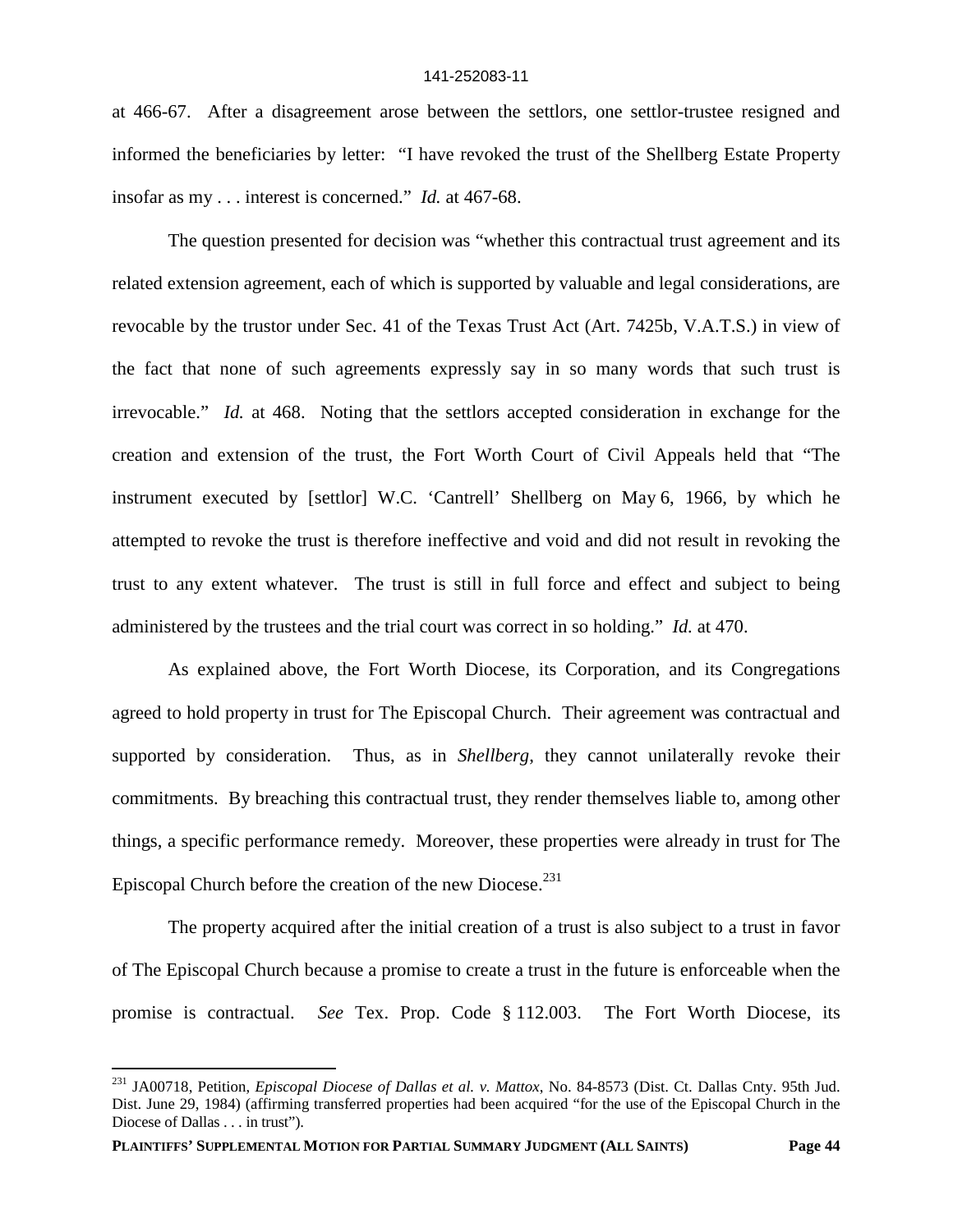at 466-67. After a disagreement arose between the settlors, one settlor-trustee resigned and informed the beneficiaries by letter: "I have revoked the trust of the Shellberg Estate Property insofar as my . . . interest is concerned." *Id.* at 467-68.

The question presented for decision was "whether this contractual trust agreement and its related extension agreement, each of which is supported by valuable and legal considerations, are revocable by the trustor under Sec. 41 of the Texas Trust Act (Art. 7425b, V.A.T.S.) in view of the fact that none of such agreements expressly say in so many words that such trust is irrevocable." *Id.* at 468. Noting that the settlors accepted consideration in exchange for the creation and extension of the trust, the Fort Worth Court of Civil Appeals held that "The instrument executed by [settlor] W.C. 'Cantrell' Shellberg on May 6, 1966, by which he attempted to revoke the trust is therefore ineffective and void and did not result in revoking the trust to any extent whatever. The trust is still in full force and effect and subject to being administered by the trustees and the trial court was correct in so holding." *Id.* at 470.

As explained above, the Fort Worth Diocese, its Corporation, and its Congregations agreed to hold property in trust for The Episcopal Church. Their agreement was contractual and supported by consideration. Thus, as in *Shellberg*, they cannot unilaterally revoke their commitments. By breaching this contractual trust, they render themselves liable to, among other things, a specific performance remedy. Moreover, these properties were already in trust for The Episcopal Church before the creation of the new Diocese. $^{231}$ 

The property acquired after the initial creation of a trust is also subject to a trust in favor of The Episcopal Church because a promise to create a trust in the future is enforceable when the promise is contractual. *See* Tex. Prop. Code § 112.003. The Fort Worth Diocese, its

<sup>231</sup> JA00718, Petition, *Episcopal Diocese of Dallas et al. v. Mattox*, No. 84-8573 (Dist. Ct. Dallas Cnty. 95th Jud. Dist. June 29, 1984) (affirming transferred properties had been acquired "for the use of the Episcopal Church in the Diocese of Dallas . . . in trust").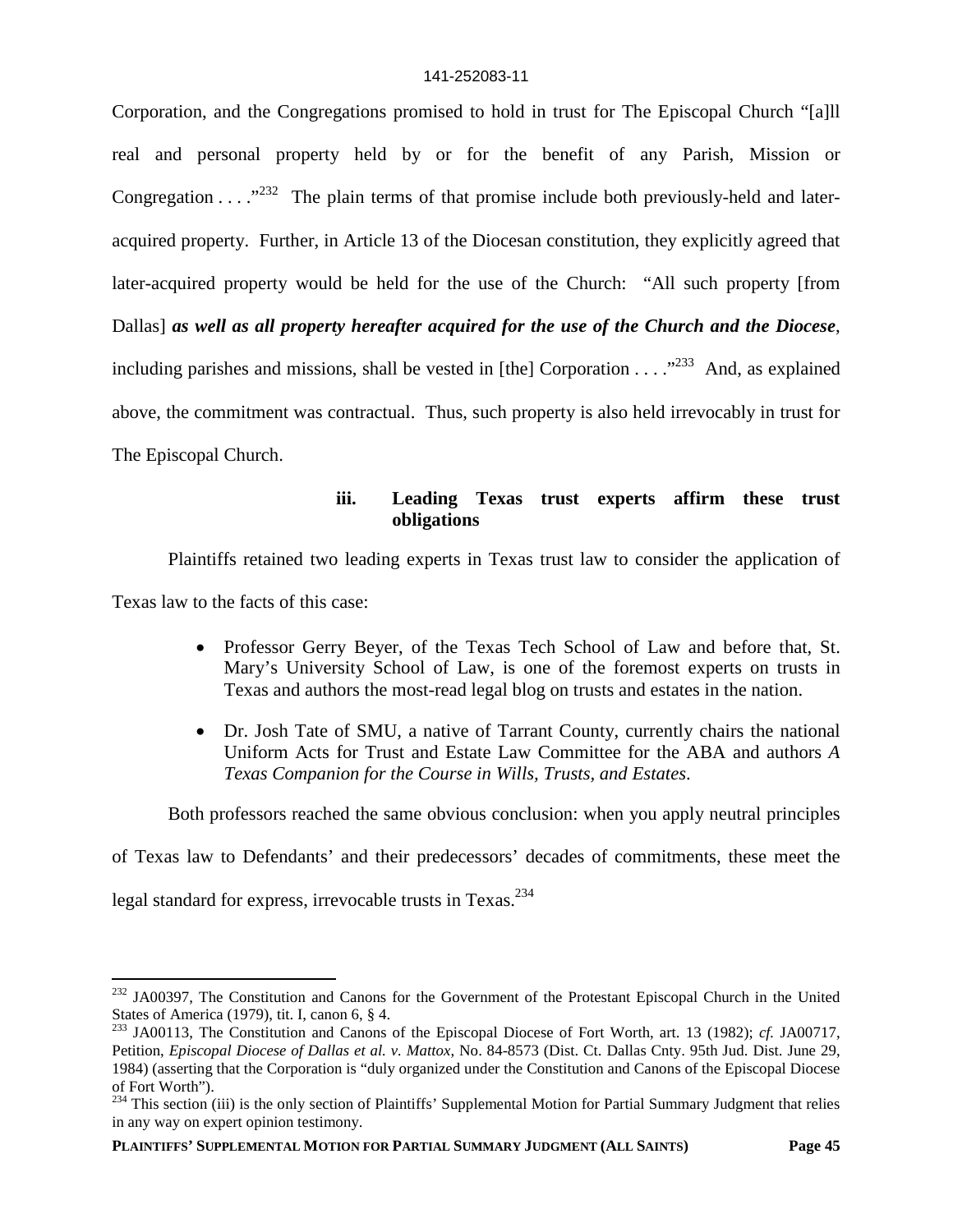Corporation, and the Congregations promised to hold in trust for The Episcopal Church "[a]ll real and personal property held by or for the benefit of any Parish, Mission or Congregation  $\dots$ <sup>232</sup>. The plain terms of that promise include both previously-held and lateracquired property. Further, in Article 13 of the Diocesan constitution, they explicitly agreed that later-acquired property would be held for the use of the Church: "All such property [from Dallas] *as well as all property hereafter acquired for the use of the Church and the Diocese*, including parishes and missions, shall be vested in [the] Corporation  $\ldots$   $\ldots$   $\ldots$   $\ldots$   $\ldots$   $\ldots$   $\ldots$   $\ldots$   $\ldots$   $\ldots$   $\ldots$   $\ldots$   $\ldots$   $\ldots$   $\ldots$   $\ldots$   $\ldots$   $\ldots$   $\ldots$   $\ldots$   $\ldots$   $\ldots$   $\ldots$   $\ldots$   $\ldots$  above, the commitment was contractual. Thus, such property is also held irrevocably in trust for The Episcopal Church.

# **iii. Leading Texas trust experts affirm these trust obligations**

Plaintiffs retained two leading experts in Texas trust law to consider the application of

Texas law to the facts of this case:

- Professor Gerry Beyer, of the Texas Tech School of Law and before that, St. Mary's University School of Law, is one of the foremost experts on trusts in Texas and authors the most-read legal blog on trusts and estates in the nation.
- Dr. Josh Tate of SMU, a native of Tarrant County, currently chairs the national Uniform Acts for Trust and Estate Law Committee for the ABA and authors *A Texas Companion for the Course in Wills, Trusts, and Estates*.

Both professors reached the same obvious conclusion: when you apply neutral principles

of Texas law to Defendants' and their predecessors' decades of commitments, these meet the

legal standard for express, irrevocable trusts in Texas.<sup>234</sup>

<sup>&</sup>lt;sup>232</sup> JA00397, The Constitution and Canons for the Government of the Protestant Episcopal Church in the United States of America (1979), tit. I, canon 6, § 4.

<sup>233</sup> JA00113, The Constitution and Canons of the Episcopal Diocese of Fort Worth, art. 13 (1982); *cf.* JA00717, Petition, *Episcopal Diocese of Dallas et al. v. Mattox*, No. 84-8573 (Dist. Ct. Dallas Cnty. 95th Jud. Dist. June 29, 1984) (asserting that the Corporation is "duly organized under the Constitution and Canons of the Episcopal Diocese of Fort Worth").

<sup>&</sup>lt;sup>234</sup> This section (iii) is the only section of Plaintiffs' Supplemental Motion for Partial Summary Judgment that relies in any way on expert opinion testimony.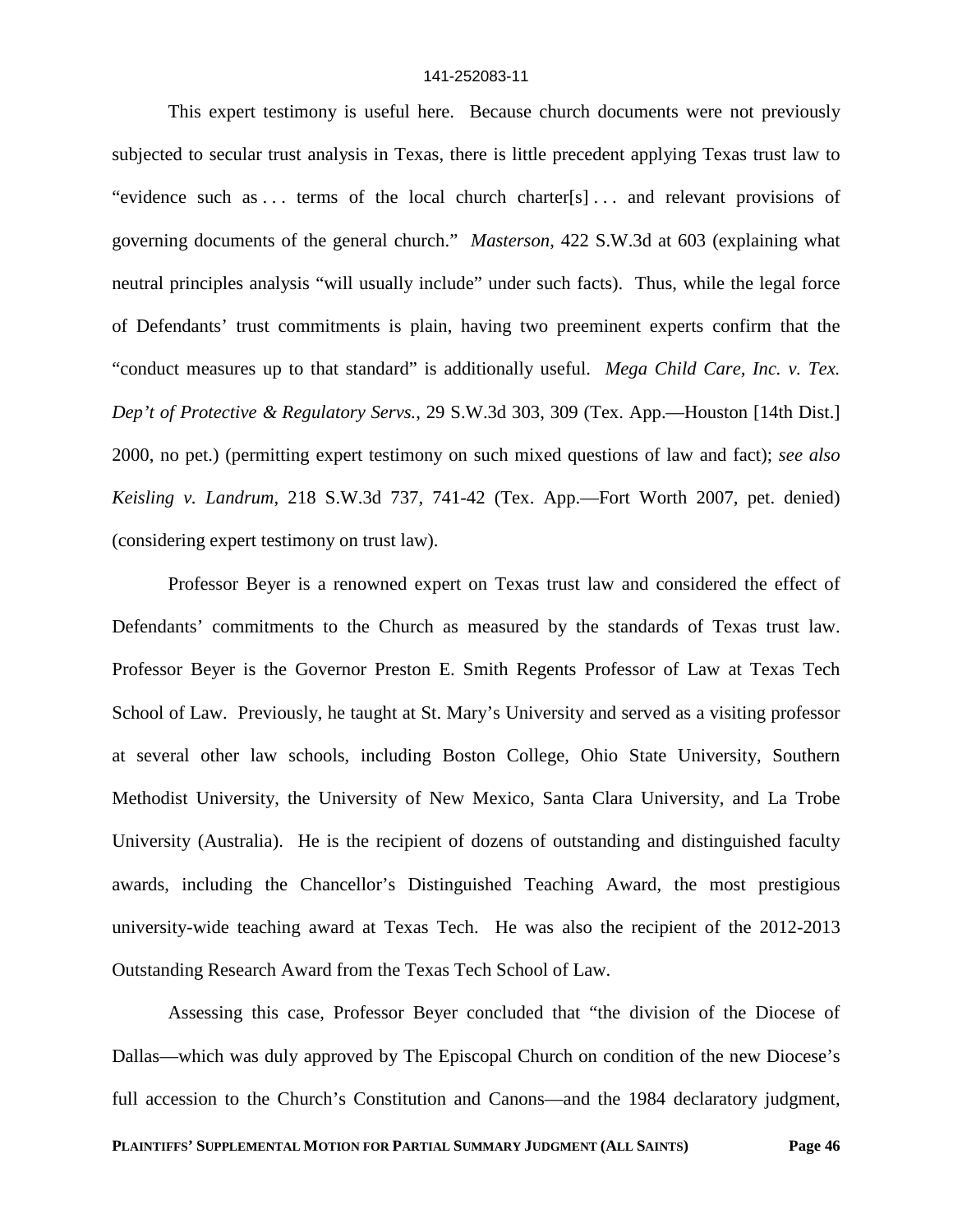This expert testimony is useful here. Because church documents were not previously subjected to secular trust analysis in Texas, there is little precedent applying Texas trust law to "evidence such as ... terms of the local church charter[s]... and relevant provisions of governing documents of the general church." *Masterson*, 422 S.W.3d at 603 (explaining what neutral principles analysis "will usually include" under such facts). Thus, while the legal force of Defendants' trust commitments is plain, having two preeminent experts confirm that the "conduct measures up to that standard" is additionally useful. *Mega Child Care, Inc. v. Tex. Dep't of Protective & Regulatory Servs.*, 29 S.W.3d 303, 309 (Tex. App.—Houston [14th Dist.] 2000, no pet.) (permitting expert testimony on such mixed questions of law and fact); *see also Keisling v. Landrum*, 218 S.W.3d 737, 741-42 (Tex. App.—Fort Worth 2007, pet. denied) (considering expert testimony on trust law).

Professor Beyer is a renowned expert on Texas trust law and considered the effect of Defendants' commitments to the Church as measured by the standards of Texas trust law. Professor Beyer is the Governor Preston E. Smith Regents Professor of Law at Texas Tech School of Law. Previously, he taught at St. Mary's University and served as a visiting professor at several other law schools, including Boston College, Ohio State University, Southern Methodist University, the University of New Mexico, Santa Clara University, and La Trobe University (Australia). He is the recipient of dozens of outstanding and distinguished faculty awards, including the Chancellor's Distinguished Teaching Award, the most prestigious university-wide teaching award at Texas Tech. He was also the recipient of the 2012-2013 Outstanding Research Award from the Texas Tech School of Law.

Assessing this case, Professor Beyer concluded that "the division of the Diocese of Dallas—which was duly approved by The Episcopal Church on condition of the new Diocese's full accession to the Church's Constitution and Canons—and the 1984 declaratory judgment,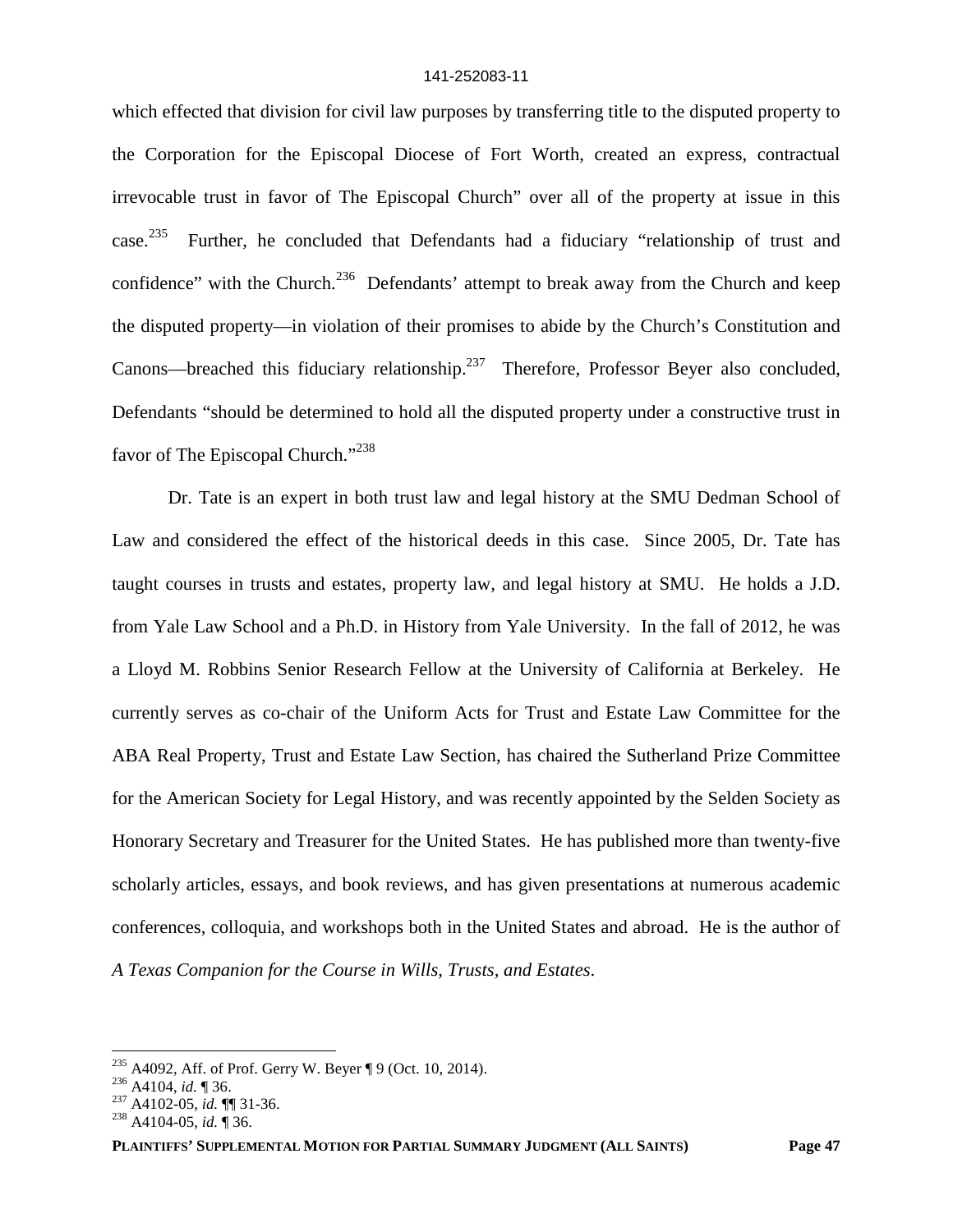which effected that division for civil law purposes by transferring title to the disputed property to the Corporation for the Episcopal Diocese of Fort Worth, created an express, contractual irrevocable trust in favor of The Episcopal Church" over all of the property at issue in this case.<sup>235</sup> Further, he concluded that Defendants had a fiduciary "relationship of trust and confidence" with the Church.<sup>236</sup> Defendants' attempt to break away from the Church and keep the disputed property—in violation of their promises to abide by the Church's Constitution and Canons—breached this fiduciary relationship.<sup>237</sup> Therefore, Professor Beyer also concluded, Defendants "should be determined to hold all the disputed property under a constructive trust in favor of The Episcopal Church."<sup>238</sup>

Dr. Tate is an expert in both trust law and legal history at the SMU Dedman School of Law and considered the effect of the historical deeds in this case. Since 2005, Dr. Tate has taught courses in trusts and estates, property law, and legal history at SMU. He holds a J.D. from Yale Law School and a Ph.D. in History from Yale University. In the fall of 2012, he was a Lloyd M. Robbins Senior Research Fellow at the University of California at Berkeley. He currently serves as co-chair of the Uniform Acts for Trust and Estate Law Committee for the ABA Real Property, Trust and Estate Law Section, has chaired the Sutherland Prize Committee for the American Society for Legal History, and was recently appointed by the Selden Society as Honorary Secretary and Treasurer for the United States. He has published more than twenty-five scholarly articles, essays, and book reviews, and has given presentations at numerous academic conferences, colloquia, and workshops both in the United States and abroad. He is the author of *A Texas Companion for the Course in Wills, Trusts, and Estates*.

<sup>&</sup>lt;sup>235</sup> A4092, Aff. of Prof. Gerry W. Beyer ¶ 9 (Oct. 10, 2014).

<sup>236</sup> A4104, *id.* ¶ 36.

<sup>237</sup> A4102-05, *id.* ¶¶ 31-36.

<sup>238</sup> A4104-05, *id.* ¶ 36.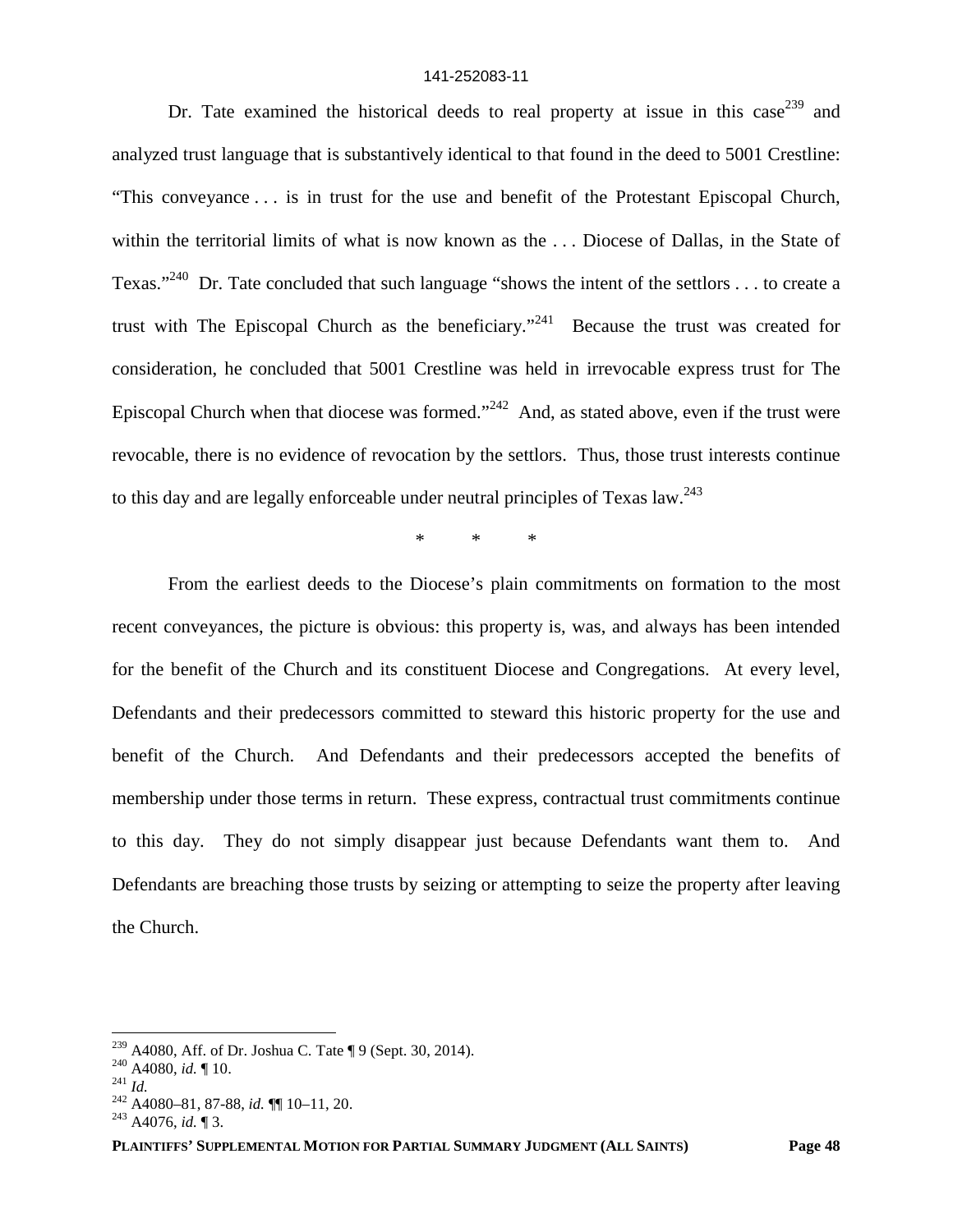Dr. Tate examined the historical deeds to real property at issue in this case<sup>239</sup> and analyzed trust language that is substantively identical to that found in the deed to 5001 Crestline: "This conveyance . . . is in trust for the use and benefit of the Protestant Episcopal Church, within the territorial limits of what is now known as the ... Diocese of Dallas, in the State of Texas."<sup>240</sup> Dr. Tate concluded that such language "shows the intent of the settlors . . . to create a trust with The Episcopal Church as the beneficiary."<sup>241</sup> Because the trust was created for consideration, he concluded that 5001 Crestline was held in irrevocable express trust for The Episcopal Church when that diocese was formed."<sup>242</sup> And, as stated above, even if the trust were revocable, there is no evidence of revocation by the settlors. Thus, those trust interests continue to this day and are legally enforceable under neutral principles of Texas  $law<sup>243</sup>$ 

\* \* \*

From the earliest deeds to the Diocese's plain commitments on formation to the most recent conveyances, the picture is obvious: this property is, was, and always has been intended for the benefit of the Church and its constituent Diocese and Congregations. At every level, Defendants and their predecessors committed to steward this historic property for the use and benefit of the Church. And Defendants and their predecessors accepted the benefits of membership under those terms in return. These express, contractual trust commitments continue to this day. They do not simply disappear just because Defendants want them to. And Defendants are breaching those trusts by seizing or attempting to seize the property after leaving the Church.

<sup>239</sup> A4080, Aff. of Dr. Joshua C. Tate ¶ 9 (Sept. 30, 2014).

<sup>240</sup> A4080, *id.* ¶ 10.

<sup>241</sup> *Id.*

<sup>242</sup> A4080–81, 87-88, *id.* ¶¶ 10–11, 20.

<sup>243</sup> A4076, *id.* ¶ 3.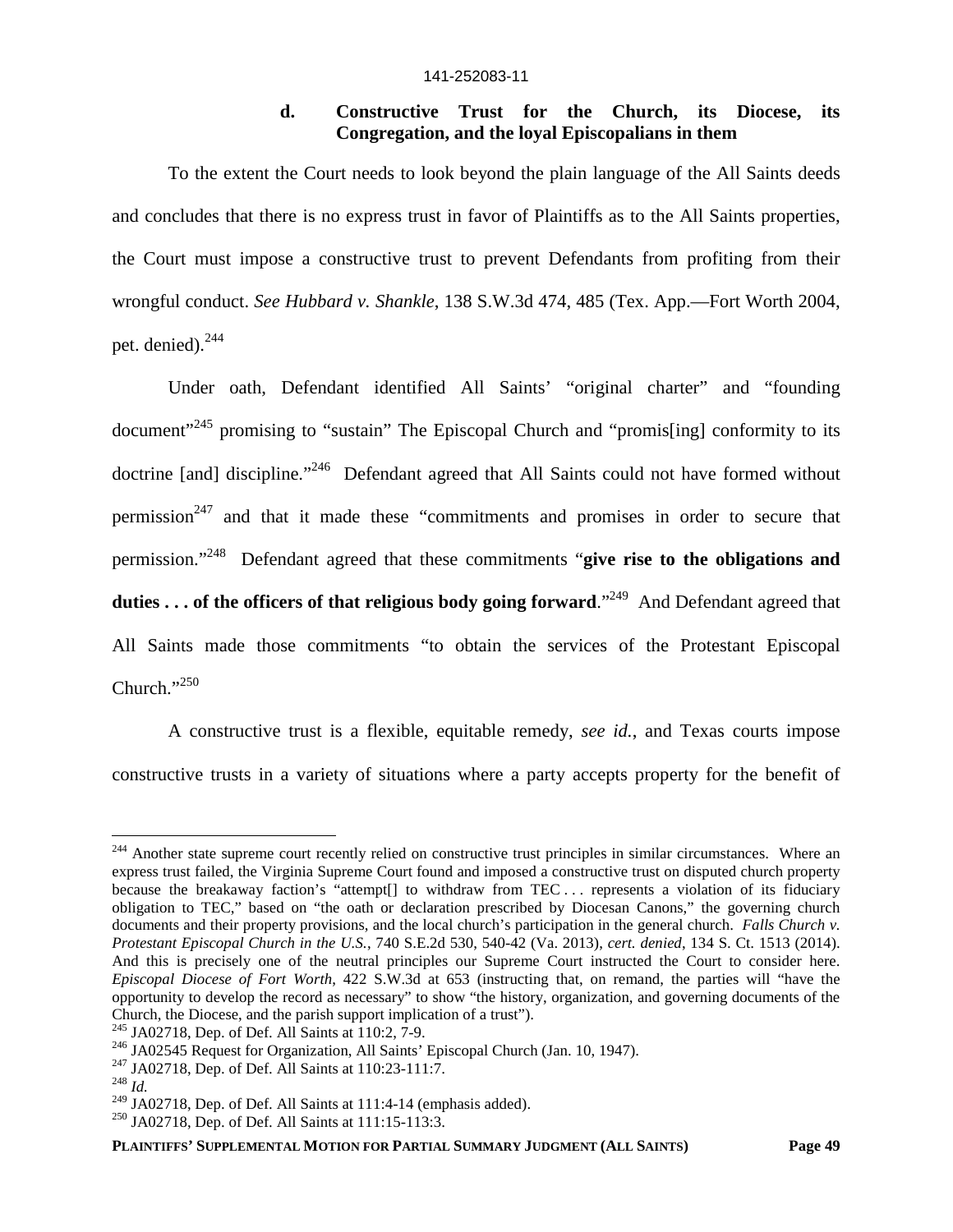## **d. Constructive Trust for the Church, its Diocese, its Congregation, and the loyal Episcopalians in them**

To the extent the Court needs to look beyond the plain language of the All Saints deeds and concludes that there is no express trust in favor of Plaintiffs as to the All Saints properties, the Court must impose a constructive trust to prevent Defendants from profiting from their wrongful conduct. *See Hubbard v. Shankle*, 138 S.W.3d 474, 485 (Tex. App.—Fort Worth 2004, pet. denied).<sup>244</sup>

Under oath, Defendant identified All Saints' "original charter" and "founding document<sup>"245</sup> promising to "sustain" The Episcopal Church and "promis<sup>[ing]</sup> conformity to its doctrine [and] discipline."<sup>246</sup> Defendant agreed that All Saints could not have formed without permission<sup>247</sup> and that it made these "commitments and promises in order to secure that permission."<sup>248</sup> Defendant agreed that these commitments "**give rise to the obligations and duties . . . of the officers of that religious body going forward**."<sup>249</sup> And Defendant agreed that All Saints made those commitments "to obtain the services of the Protestant Episcopal Church."<sup>250</sup>

A constructive trust is a flexible, equitable remedy, *see id.*, and Texas courts impose constructive trusts in a variety of situations where a party accepts property for the benefit of

 $244$  Another state supreme court recently relied on constructive trust principles in similar circumstances. Where an express trust failed, the Virginia Supreme Court found and imposed a constructive trust on disputed church property because the breakaway faction's "attempt[] to withdraw from TEC ... represents a violation of its fiduciary obligation to TEC," based on "the oath or declaration prescribed by Diocesan Canons," the governing church documents and their property provisions, and the local church's participation in the general church. *Falls Church v. Protestant Episcopal Church in the U.S.*, 740 S.E.2d 530, 540-42 (Va. 2013), *cert. denied*, 134 S. Ct. 1513 (2014). And this is precisely one of the neutral principles our Supreme Court instructed the Court to consider here. *Episcopal Diocese of Fort Worth*, 422 S.W.3d at 653 (instructing that, on remand, the parties will "have the opportunity to develop the record as necessary" to show "the history, organization, and governing documents of the Church, the Diocese, and the parish support implication of a trust").

<sup>245</sup> JA02718, Dep. of Def. All Saints at 110:2, 7-9.

<sup>&</sup>lt;sup>246</sup> JA02545 Request for Organization, All Saints' Episcopal Church (Jan. 10, 1947).

<sup>247</sup> JA02718, Dep. of Def. All Saints at 110:23-111:7.

<sup>248</sup> *Id.*

<sup>&</sup>lt;sup>249</sup> JA02718, Dep. of Def. All Saints at 111:4-14 (emphasis added).

<sup>250</sup> JA02718, Dep. of Def. All Saints at 111:15-113:3.

**PLAINTIFFS' SUPPLEMENTAL MOTION FOR PARTIAL SUMMARY JUDGMENT (ALL SAINTS) Page 49**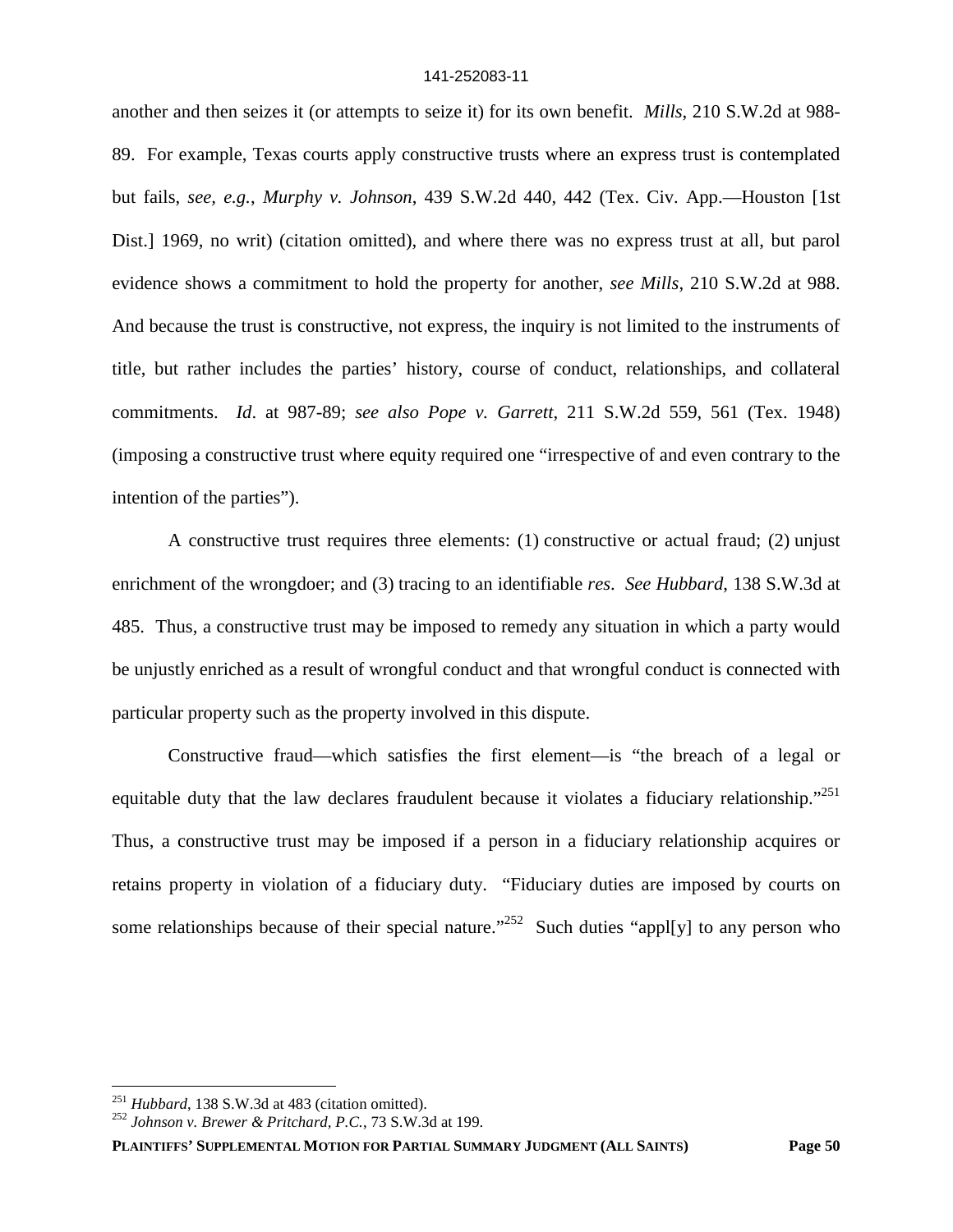another and then seizes it (or attempts to seize it) for its own benefit. *Mills*, 210 S.W.2d at 988- 89. For example, Texas courts apply constructive trusts where an express trust is contemplated but fails, *see, e.g.*, *Murphy v. Johnson*, 439 S.W.2d 440, 442 (Tex. Civ. App.—Houston [1st Dist.] 1969, no writ) (citation omitted), and where there was no express trust at all, but parol evidence shows a commitment to hold the property for another, *see Mills*, 210 S.W.2d at 988. And because the trust is constructive, not express, the inquiry is not limited to the instruments of title, but rather includes the parties' history, course of conduct, relationships, and collateral commitments. *Id*. at 987-89; *see also Pope v. Garrett*, 211 S.W.2d 559, 561 (Tex. 1948) (imposing a constructive trust where equity required one "irrespective of and even contrary to the intention of the parties").

A constructive trust requires three elements: (1) constructive or actual fraud; (2) unjust enrichment of the wrongdoer; and (3) tracing to an identifiable *res*. *See Hubbard*, 138 S.W.3d at 485. Thus, a constructive trust may be imposed to remedy any situation in which a party would be unjustly enriched as a result of wrongful conduct and that wrongful conduct is connected with particular property such as the property involved in this dispute.

Constructive fraud—which satisfies the first element—is "the breach of a legal or equitable duty that the law declares fraudulent because it violates a fiduciary relationship."<sup>251</sup> Thus, a constructive trust may be imposed if a person in a fiduciary relationship acquires or retains property in violation of a fiduciary duty. "Fiduciary duties are imposed by courts on some relationships because of their special nature."<sup>252</sup> Such duties "appl[y] to any person who

<sup>251</sup> *Hubbard*, 138 S.W.3d at 483 (citation omitted).

<sup>252</sup> *Johnson v. Brewer & Pritchard, P.C.*, 73 S.W.3d at 199.

**PLAINTIFFS' SUPPLEMENTAL MOTION FOR PARTIAL SUMMARY JUDGMENT (ALL SAINTS) Page 50**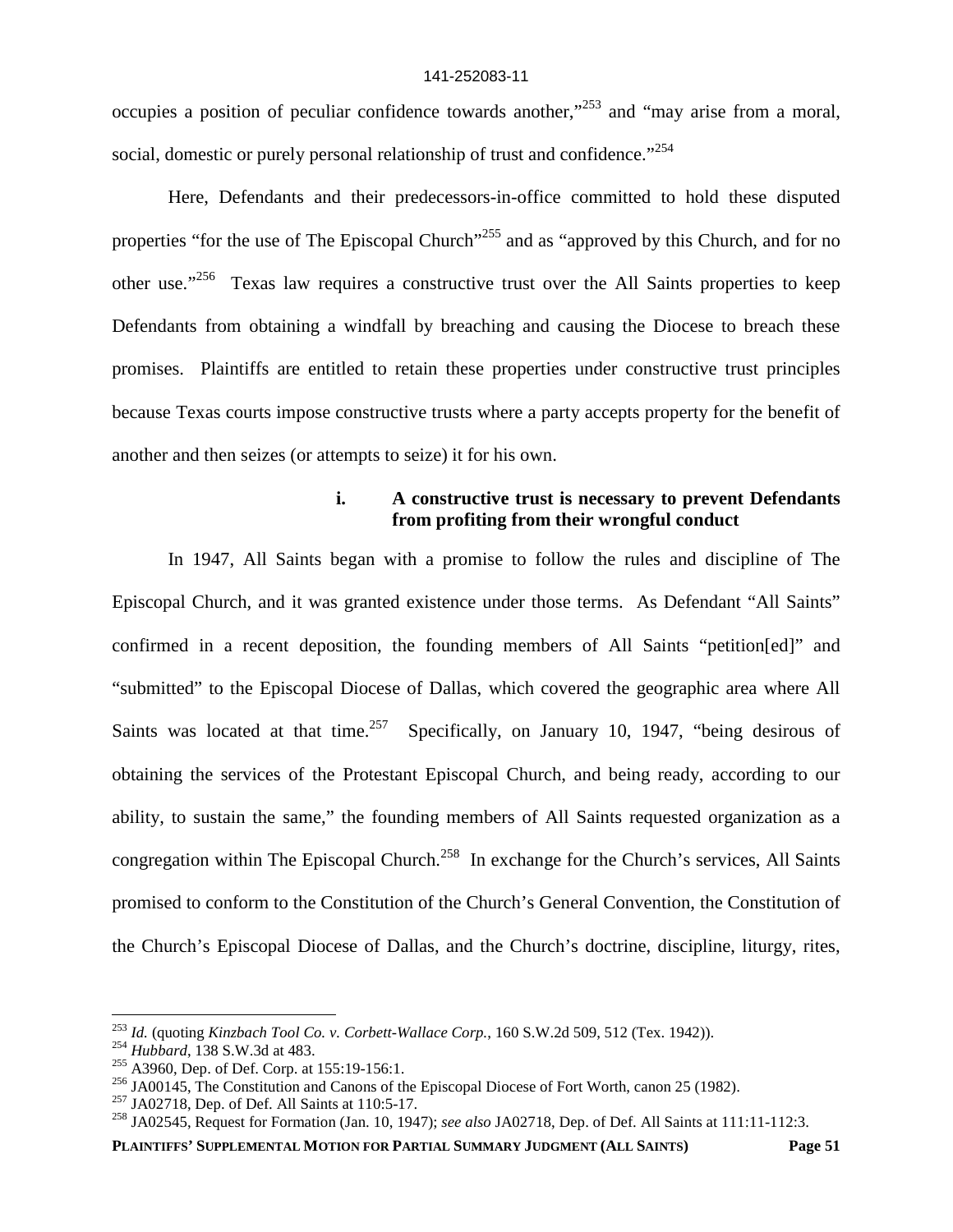occupies a position of peculiar confidence towards another,"<sup>253</sup> and "may arise from a moral, social, domestic or purely personal relationship of trust and confidence."<sup>254</sup>

Here, Defendants and their predecessors-in-office committed to hold these disputed properties "for the use of The Episcopal Church"<sup>255</sup> and as "approved by this Church, and for no other use."<sup>256</sup> Texas law requires a constructive trust over the All Saints properties to keep Defendants from obtaining a windfall by breaching and causing the Diocese to breach these promises. Plaintiffs are entitled to retain these properties under constructive trust principles because Texas courts impose constructive trusts where a party accepts property for the benefit of another and then seizes (or attempts to seize) it for his own.

# **i. A constructive trust is necessary to prevent Defendants from profiting from their wrongful conduct**

In 1947, All Saints began with a promise to follow the rules and discipline of The Episcopal Church, and it was granted existence under those terms. As Defendant "All Saints" confirmed in a recent deposition, the founding members of All Saints "petition[ed]" and "submitted" to the Episcopal Diocese of Dallas, which covered the geographic area where All Saints was located at that time.<sup>257</sup> Specifically, on January 10, 1947, "being desirous of obtaining the services of the Protestant Episcopal Church, and being ready, according to our ability, to sustain the same," the founding members of All Saints requested organization as a congregation within The Episcopal Church.<sup>258</sup> In exchange for the Church's services, All Saints promised to conform to the Constitution of the Church's General Convention, the Constitution of the Church's Episcopal Diocese of Dallas, and the Church's doctrine, discipline, liturgy, rites,

<sup>253</sup> *Id.* (quoting *Kinzbach Tool Co. v. Corbett-Wallace Corp.*, 160 S.W.2d 509, 512 (Tex. 1942)).

<sup>254</sup> *Hubbard*, 138 S.W.3d at 483.

<sup>255</sup> A3960, Dep. of Def. Corp. at 155:19-156:1.

<sup>&</sup>lt;sup>256</sup> JA00145, The Constitution and Canons of the Episcopal Diocese of Fort Worth, canon 25 (1982).

<sup>257</sup> JA02718, Dep. of Def. All Saints at 110:5-17.

<sup>258</sup> JA02545, Request for Formation (Jan. 10, 1947); *see also* JA02718, Dep. of Def. All Saints at 111:11-112:3.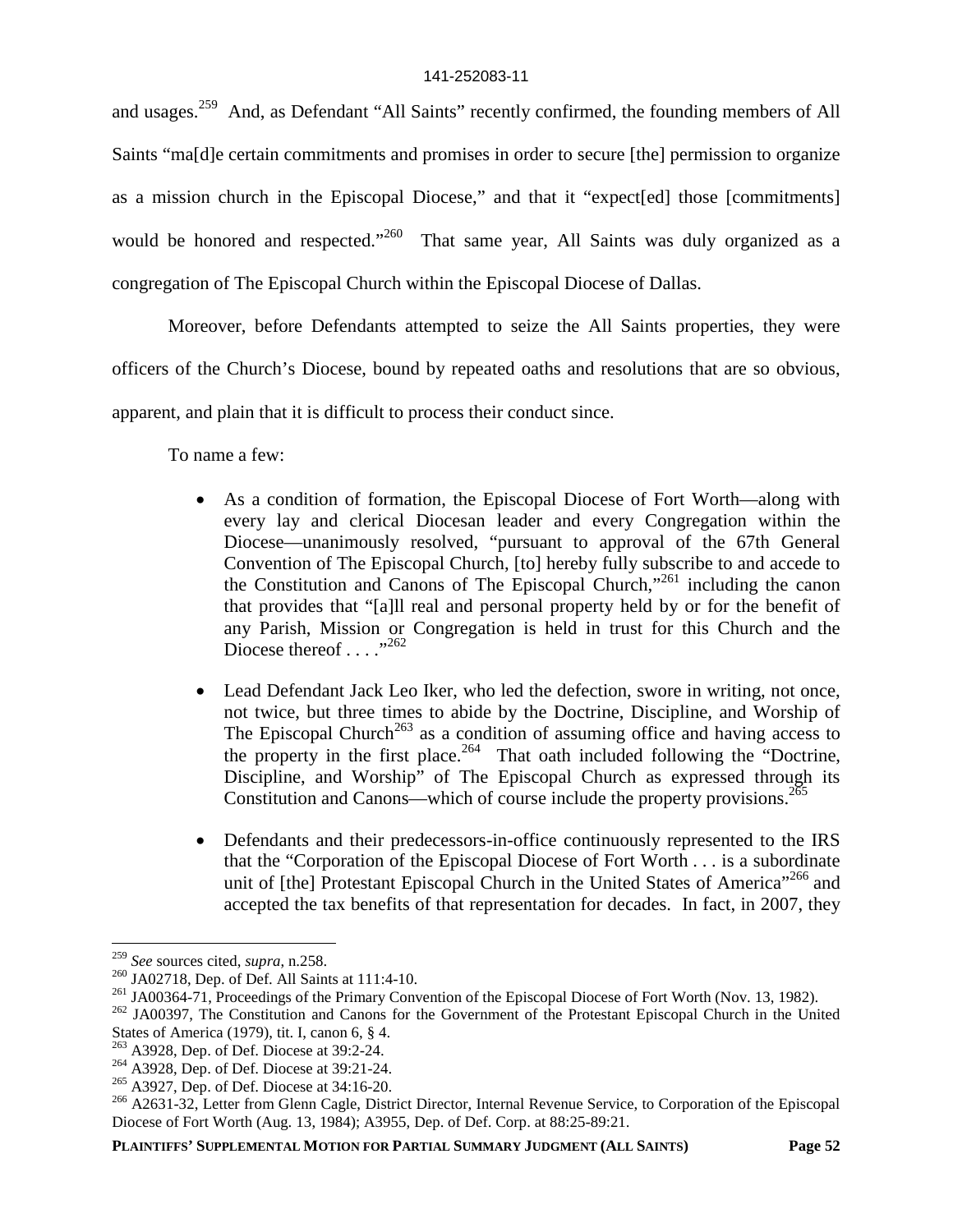and usages.<sup>259</sup> And, as Defendant "All Saints" recently confirmed, the founding members of All Saints "ma[d]e certain commitments and promises in order to secure [the] permission to organize as a mission church in the Episcopal Diocese," and that it "expect[ed] those [commitments] would be honored and respected."<sup>260</sup> That same year, All Saints was duly organized as a congregation of The Episcopal Church within the Episcopal Diocese of Dallas.

Moreover, before Defendants attempted to seize the All Saints properties, they were officers of the Church's Diocese, bound by repeated oaths and resolutions that are so obvious, apparent, and plain that it is difficult to process their conduct since.

To name a few:

- As a condition of formation, the Episcopal Diocese of Fort Worth—along with every lay and clerical Diocesan leader and every Congregation within the Diocese—unanimously resolved, "pursuant to approval of the 67th General Convention of The Episcopal Church, [to] hereby fully subscribe to and accede to the Constitution and Canons of The Episcopal Church,"<sup>261</sup> including the canon that provides that "[a]ll real and personal property held by or for the benefit of any Parish, Mission or Congregation is held in trust for this Church and the Diocese thereof  $\ldots$  ...<sup>3262</sup>
- Lead Defendant Jack Leo Iker, who led the defection, swore in writing, not once, not twice, but three times to abide by the Doctrine, Discipline, and Worship of The Episcopal Church<sup>263</sup> as a condition of assuming office and having access to the property in the first place.<sup>264</sup> That oath included following the "Doctrine, Discipline, and Worship" of The Episcopal Church as expressed through its Constitution and Canons—which of course include the property provisions.<sup>265</sup>
- Defendants and their predecessors-in-office continuously represented to the IRS that the "Corporation of the Episcopal Diocese of Fort Worth . . . is a subordinate unit of [the] Protestant Episcopal Church in the United States of America<sup>"266</sup> and accepted the tax benefits of that representation for decades. In fact, in 2007, they

<sup>259</sup> *See* sources cited, *supra*, n.258.

<sup>260</sup> JA02718, Dep. of Def. All Saints at 111:4-10.

<sup>&</sup>lt;sup>261</sup> JA00364-71, Proceedings of the Primary Convention of the Episcopal Diocese of Fort Worth (Nov. 13, 1982).

<sup>&</sup>lt;sup>262</sup> JA00397, The Constitution and Canons for the Government of the Protestant Episcopal Church in the United States of America (1979), tit. I, canon 6, § 4.

<sup>&</sup>lt;sup>263</sup> A3928, Dep. of Def. Diocese at 39:2-24.

<sup>&</sup>lt;sup>264</sup> A3928, Dep. of Def. Diocese at 39:21-24.

<sup>265</sup> A3927, Dep. of Def. Diocese at 34:16-20.

<sup>&</sup>lt;sup>266</sup> A2631-32, Letter from Glenn Cagle, District Director, Internal Revenue Service, to Corporation of the Episcopal Diocese of Fort Worth (Aug. 13, 1984); A3955, Dep. of Def. Corp. at 88:25-89:21.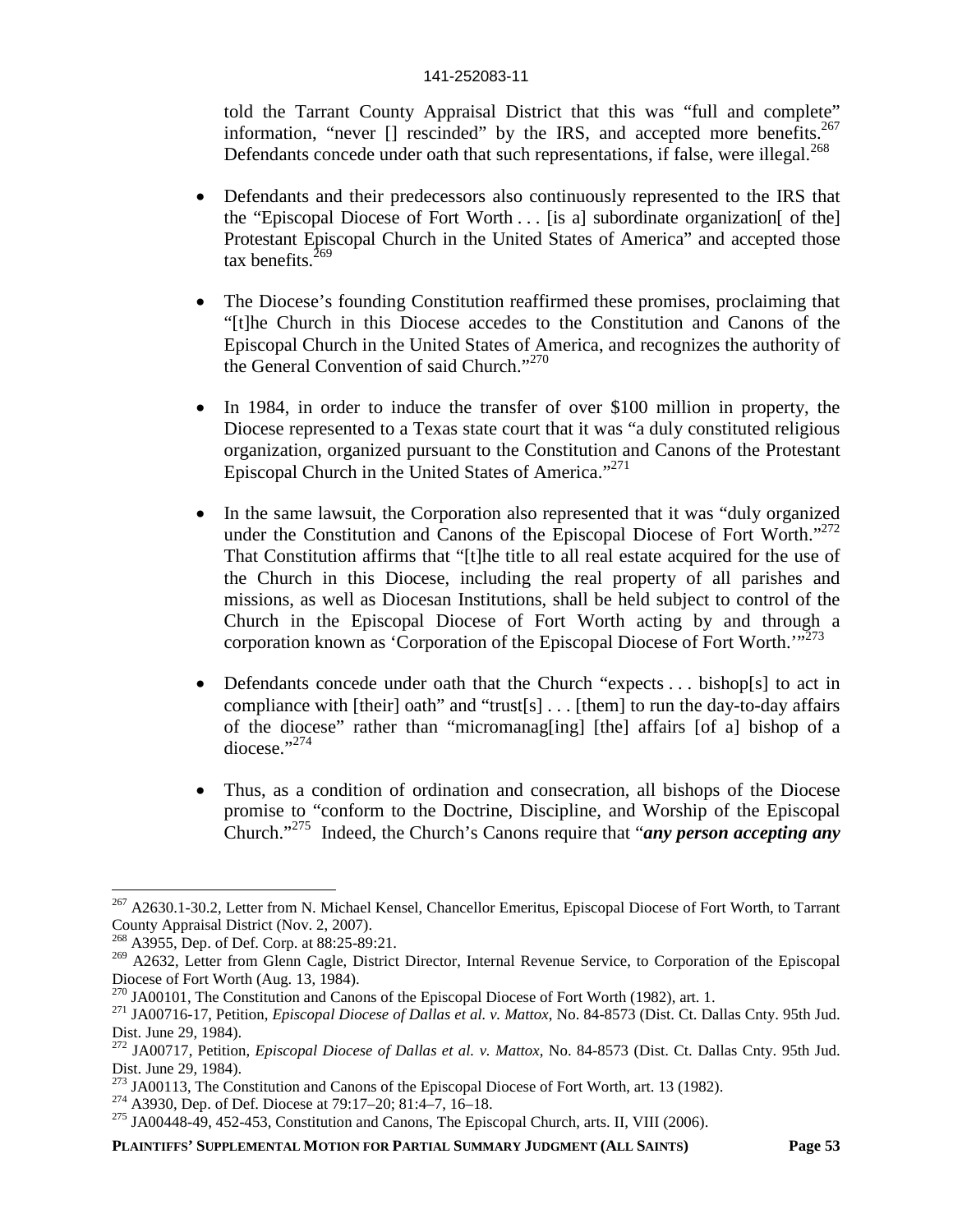told the Tarrant County Appraisal District that this was "full and complete" information, "never [] rescinded" by the IRS, and accepted more benefits.<sup>267</sup> Defendants concede under oath that such representations, if false, were illegal.<sup>268</sup>

- Defendants and their predecessors also continuously represented to the IRS that the "Episcopal Diocese of Fort Worth  $\ldots$  [is a] subordinate organization [of the] Protestant Episcopal Church in the United States of America" and accepted those tax benefits.<sup>269</sup>
- The Diocese's founding Constitution reaffirmed these promises, proclaiming that "[t]he Church in this Diocese accedes to the Constitution and Canons of the Episcopal Church in the United States of America, and recognizes the authority of the General Convention of said Church."<sup>270</sup>
- In 1984, in order to induce the transfer of over \$100 million in property, the Diocese represented to a Texas state court that it was "a duly constituted religious organization, organized pursuant to the Constitution and Canons of the Protestant Episcopal Church in the United States of America."<sup>271</sup>
- In the same lawsuit, the Corporation also represented that it was "duly organized under the Constitution and Canons of the Episcopal Diocese of Fort Worth."<sup>272</sup> That Constitution affirms that "[t]he title to all real estate acquired for the use of the Church in this Diocese, including the real property of all parishes and missions, as well as Diocesan Institutions, shall be held subject to control of the Church in the Episcopal Diocese of Fort Worth acting by and through a corporation known as 'Corporation of the Episcopal Diocese of Fort Worth.'"<sup>273</sup>
- Defendants concede under oath that the Church "expects . . . bishop[s] to act in compliance with [their] oath" and "trust[s] . . . [them] to run the day-to-day affairs of the diocese" rather than "micromanag[ing] [the] affairs [of a] bishop of a  $diocese$ ."<sup>274</sup>
- Thus, as a condition of ordination and consecration, all bishops of the Diocese promise to "conform to the Doctrine, Discipline, and Worship of the Episcopal Church."<sup>275</sup> Indeed, the Church's Canons require that "*any person accepting any*

<sup>&</sup>lt;sup>267</sup> A2630.1-30.2, Letter from N. Michael Kensel, Chancellor Emeritus, Episcopal Diocese of Fort Worth, to Tarrant County Appraisal District (Nov. 2, 2007).

<sup>268</sup> A3955, Dep. of Def. Corp. at 88:25-89:21.

<sup>&</sup>lt;sup>269</sup> A2632, Letter from Glenn Cagle, District Director, Internal Revenue Service, to Corporation of the Episcopal Diocese of Fort Worth (Aug. 13, 1984).

 $^{270}$  JA00101, The Constitution and Canons of the Episcopal Diocese of Fort Worth (1982), art. 1.

<sup>271</sup> JA00716-17, Petition, *Episcopal Diocese of Dallas et al. v. Mattox*, No. 84-8573 (Dist. Ct. Dallas Cnty. 95th Jud. Dist. June 29, 1984).

<sup>272</sup> JA00717, Petition, *Episcopal Diocese of Dallas et al. v. Mattox*, No. 84-8573 (Dist. Ct. Dallas Cnty. 95th Jud. Dist. June 29, 1984).

<sup>&</sup>lt;sup>273</sup> JA00113, The Constitution and Canons of the Episcopal Diocese of Fort Worth, art. 13 (1982).

<sup>274</sup> A3930, Dep. of Def. Diocese at 79:17–20; 81:4–7, 16–18.

<sup>275</sup> JA00448-49, 452-453, Constitution and Canons, The Episcopal Church, arts. II, VIII (2006).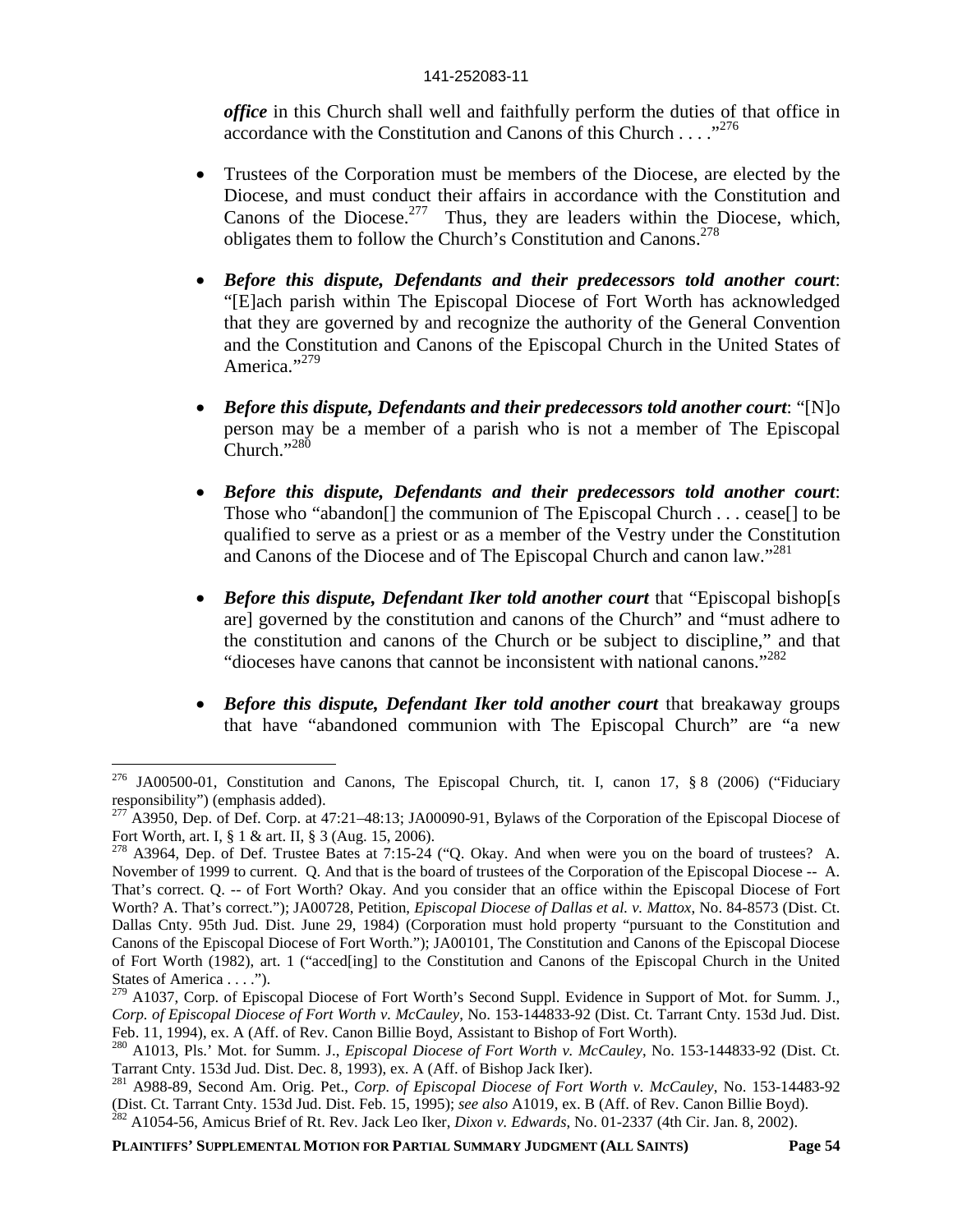*office* in this Church shall well and faithfully perform the duties of that office in accordance with the Constitution and Canons of this Church . . . . .<sup>,276</sup>

- Trustees of the Corporation must be members of the Diocese, are elected by the Diocese, and must conduct their affairs in accordance with the Constitution and Canons of the Diocese.<sup>277</sup> Thus, they are leaders within the Diocese, which, obligates them to follow the Church's Constitution and Canons.<sup>278</sup>
- *Before this dispute, Defendants and their predecessors told another court*: "[E]ach parish within The Episcopal Diocese of Fort Worth has acknowledged that they are governed by and recognize the authority of the General Convention and the Constitution and Canons of the Episcopal Church in the United States of America."<sup>279</sup>
- *Before this dispute, Defendants and their predecessors told another court*: "[N]o person may be a member of a parish who is not a member of The Episcopal Church."<sup>280</sup>
- *Before this dispute, Defendants and their predecessors told another court*: Those who "abandon[] the communion of The Episcopal Church . . . cease[] to be qualified to serve as a priest or as a member of the Vestry under the Constitution and Canons of the Diocese and of The Episcopal Church and canon law."<sup>281</sup>
- *Before this dispute, Defendant Iker told another court* that "Episcopal bishop[s are] governed by the constitution and canons of the Church" and "must adhere to the constitution and canons of the Church or be subject to discipline," and that "dioceses have canons that cannot be inconsistent with national canons."<sup>282</sup>
- *Before this dispute, Defendant Iker told another court* that breakaway groups that have "abandoned communion with The Episcopal Church" are "a new

<sup>276</sup> JA00500-01, Constitution and Canons, The Episcopal Church, tit. I, canon 17, § 8 (2006) ("Fiduciary responsibility") (emphasis added).

 $^{277}$  A3950, Dep. of Def. Corp. at 47:21–48:13; JA00090-91, Bylaws of the Corporation of the Episcopal Diocese of Fort Worth, art. I, § 1 & art. II, § 3 (Aug. 15, 2006).

<sup>&</sup>lt;sup>278</sup> A3964, Dep. of Def. Trustee Bates at 7:15-24 ("Q. Okay. And when were you on the board of trustees? A. November of 1999 to current. Q. And that is the board of trustees of the Corporation of the Episcopal Diocese -- A. That's correct. Q. -- of Fort Worth? Okay. And you consider that an office within the Episcopal Diocese of Fort Worth? A. That's correct."); JA00728, Petition, *Episcopal Diocese of Dallas et al. v. Mattox*, No. 84-8573 (Dist. Ct. Dallas Cnty. 95th Jud. Dist. June 29, 1984) (Corporation must hold property "pursuant to the Constitution and Canons of the Episcopal Diocese of Fort Worth."); JA00101, The Constitution and Canons of the Episcopal Diocese of Fort Worth (1982), art. 1 ("acced[ing] to the Constitution and Canons of the Episcopal Church in the United States of America . . . .").

<sup>&</sup>lt;sup>279</sup> A1037, Corp. of Episcopal Diocese of Fort Worth's Second Suppl. Evidence in Support of Mot. for Summ. J., *Corp. of Episcopal Diocese of Fort Worth v. McCauley*, No. 153-144833-92 (Dist. Ct. Tarrant Cnty. 153d Jud. Dist. Feb. 11, 1994), ex. A (Aff. of Rev. Canon Billie Boyd, Assistant to Bishop of Fort Worth).

<sup>280</sup> A1013, Pls.' Mot. for Summ. J., *Episcopal Diocese of Fort Worth v. McCauley*, No. 153-144833-92 (Dist. Ct. Tarrant Cnty. 153d Jud. Dist. Dec. 8, 1993), ex. A (Aff. of Bishop Jack Iker).

<sup>281</sup> A988-89, Second Am. Orig. Pet., *Corp. of Episcopal Diocese of Fort Worth v. McCauley*, No. 153-14483-92 (Dist. Ct. Tarrant Cnty. 153d Jud. Dist. Feb. 15, 1995); *see also* A1019, ex. B (Aff. of Rev. Canon Billie Boyd). <sup>282</sup> A1054-56, Amicus Brief of Rt. Rev. Jack Leo Iker, *Dixon v. Edwards*, No. 01-2337 (4th Cir. Jan. 8, 2002).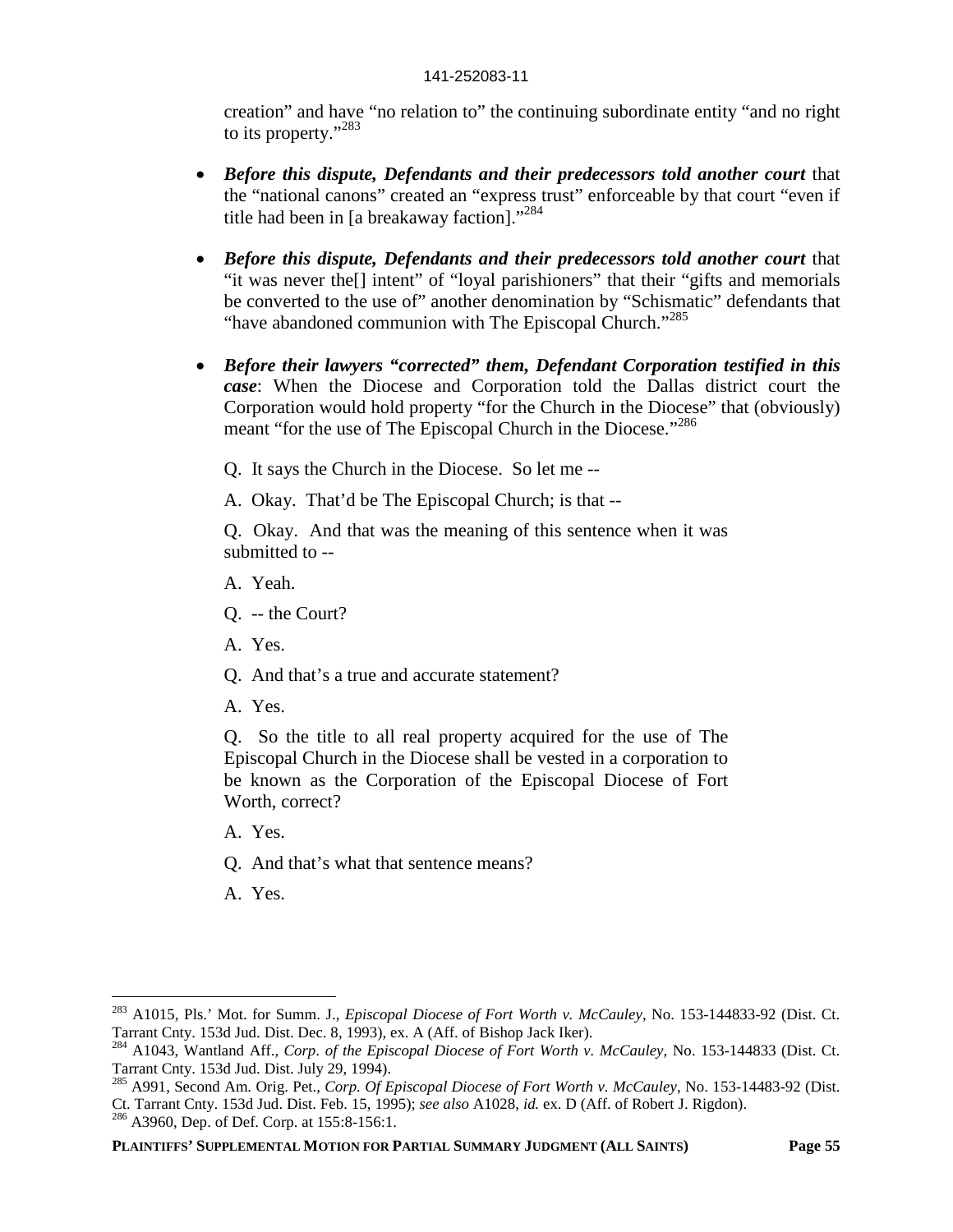creation" and have "no relation to" the continuing subordinate entity "and no right to its property."<sup>283</sup>

- *Before this dispute, Defendants and their predecessors told another court* that the "national canons" created an "express trust" enforceable by that court "even if title had been in [a breakaway faction]."<sup>284</sup>
- *Before this dispute, Defendants and their predecessors told another court* that "it was never the[] intent" of "loyal parishioners" that their "gifts and memorials be converted to the use of" another denomination by "Schismatic" defendants that "have abandoned communion with The Episcopal Church."<sup>285</sup>
- *Before their lawyers "corrected" them, Defendant Corporation testified in this case*: When the Diocese and Corporation told the Dallas district court the Corporation would hold property "for the Church in the Diocese" that (obviously) meant "for the use of The Episcopal Church in the Diocese."<sup>286</sup>

Q. It says the Church in the Diocese. So let me --

A. Okay. That'd be The Episcopal Church; is that --

Q. Okay. And that was the meaning of this sentence when it was submitted to --

- A. Yeah.
- Q. -- the Court?
- A. Yes.
- Q. And that's a true and accurate statement?
- A. Yes.

Q. So the title to all real property acquired for the use of The Episcopal Church in the Diocese shall be vested in a corporation to be known as the Corporation of the Episcopal Diocese of Fort Worth, correct?

A. Yes.

- Q. And that's what that sentence means?
- A. Yes.

<sup>283</sup> A1015, Pls.' Mot. for Summ. J., *Episcopal Diocese of Fort Worth v. McCauley*, No. 153-144833-92 (Dist. Ct. Tarrant Cnty. 153d Jud. Dist. Dec. 8, 1993), ex. A (Aff. of Bishop Jack Iker).

<sup>284</sup> A1043, Wantland Aff., *Corp. of the Episcopal Diocese of Fort Worth v. McCauley*, No. 153-144833 (Dist. Ct. Tarrant Cnty. 153d Jud. Dist. July 29, 1994).

<sup>285</sup> A991, Second Am. Orig. Pet., *Corp. Of Episcopal Diocese of Fort Worth v. McCauley*, No. 153-14483-92 (Dist. Ct. Tarrant Cnty. 153d Jud. Dist. Feb. 15, 1995); *see also* A1028, *id.* ex. D (Aff. of Robert J. Rigdon).

<sup>&</sup>lt;sup>286</sup> A3960, Dep. of Def. Corp. at 155:8-156:1.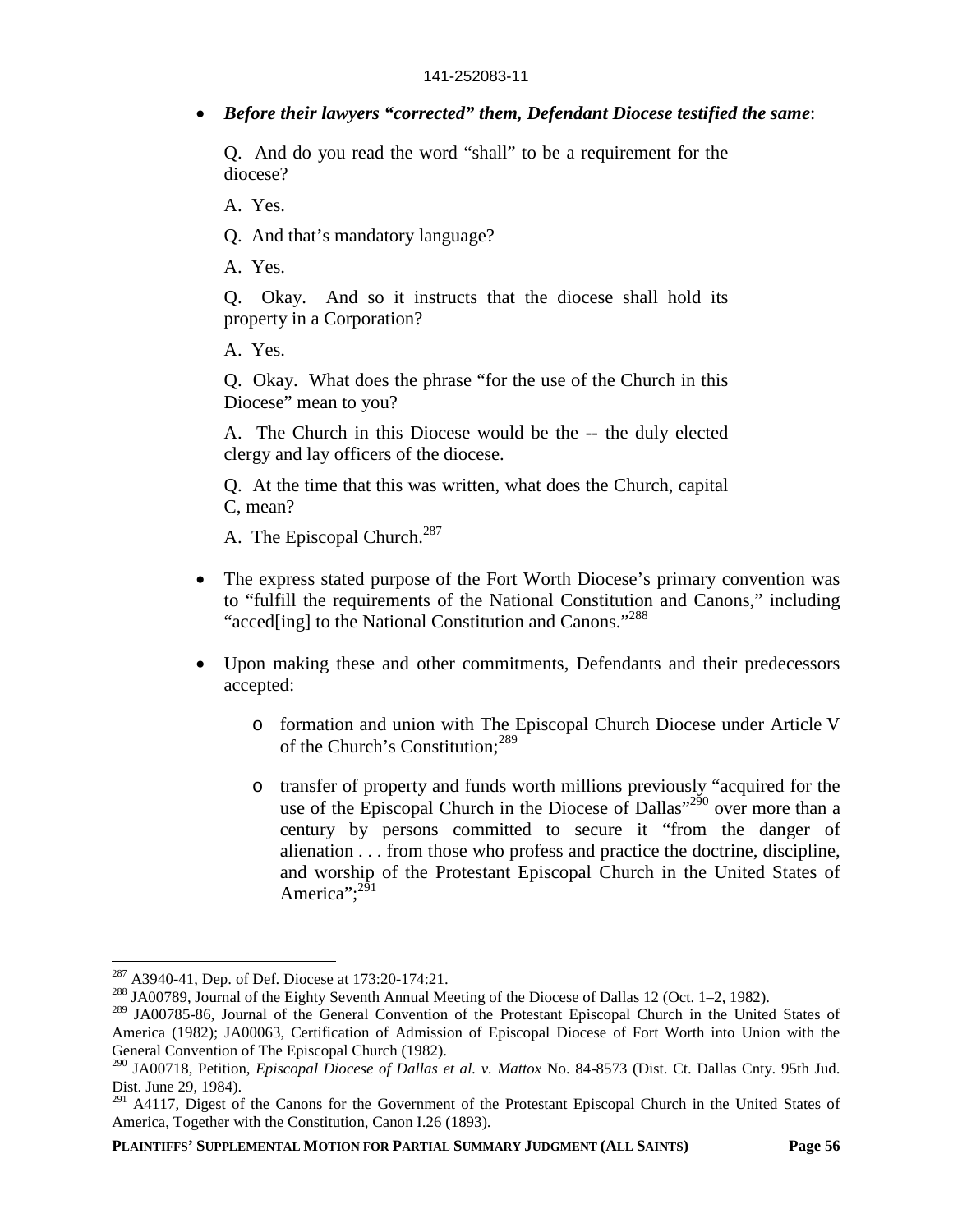*Before their lawyers "corrected" them, Defendant Diocese testified the same*:

Q. And do you read the word "shall" to be a requirement for the diocese?

A. Yes.

Q. And that's mandatory language?

A. Yes.

Q. Okay. And so it instructs that the diocese shall hold its property in a Corporation?

A. Yes.

Q. Okay. What does the phrase "for the use of the Church in this Diocese" mean to you?

A. The Church in this Diocese would be the -- the duly elected clergy and lay officers of the diocese.

Q. At the time that this was written, what does the Church, capital C, mean?

A. The Episcopal Church.<sup>287</sup>

- The express stated purpose of the Fort Worth Diocese's primary convention was to "fulfill the requirements of the National Constitution and Canons," including "acced[ing] to the National Constitution and Canons."<sup>288</sup>
- Upon making these and other commitments, Defendants and their predecessors accepted:
	- o formation and union with The Episcopal Church Diocese under Article V of the Church's Constitution:<sup>289</sup>
	- o transfer of property and funds worth millions previously "acquired for the use of the Episcopal Church in the Diocese of Dallas"<sup>290</sup> over more than a century by persons committed to secure it "from the danger of alienation . . . from those who profess and practice the doctrine, discipline, and worship of the Protestant Episcopal Church in the United States of America": $^{291}$

<sup>287</sup> A3940-41, Dep. of Def. Diocese at 173:20-174:21.

<sup>&</sup>lt;sup>288</sup> JA00789, Journal of the Eighty Seventh Annual Meeting of the Diocese of Dallas 12 (Oct. 1–2, 1982).

<sup>&</sup>lt;sup>289</sup> JA00785-86, Journal of the General Convention of the Protestant Episcopal Church in the United States of America (1982); JA00063, Certification of Admission of Episcopal Diocese of Fort Worth into Union with the General Convention of The Episcopal Church (1982).

<sup>290</sup> JA00718, Petition, *Episcopal Diocese of Dallas et al. v. Mattox* No. 84-8573 (Dist. Ct. Dallas Cnty. 95th Jud. Dist. June 29, 1984).

<sup>&</sup>lt;sup>291</sup> A4117, Digest of the Canons for the Government of the Protestant Episcopal Church in the United States of America, Together with the Constitution, Canon I.26 (1893).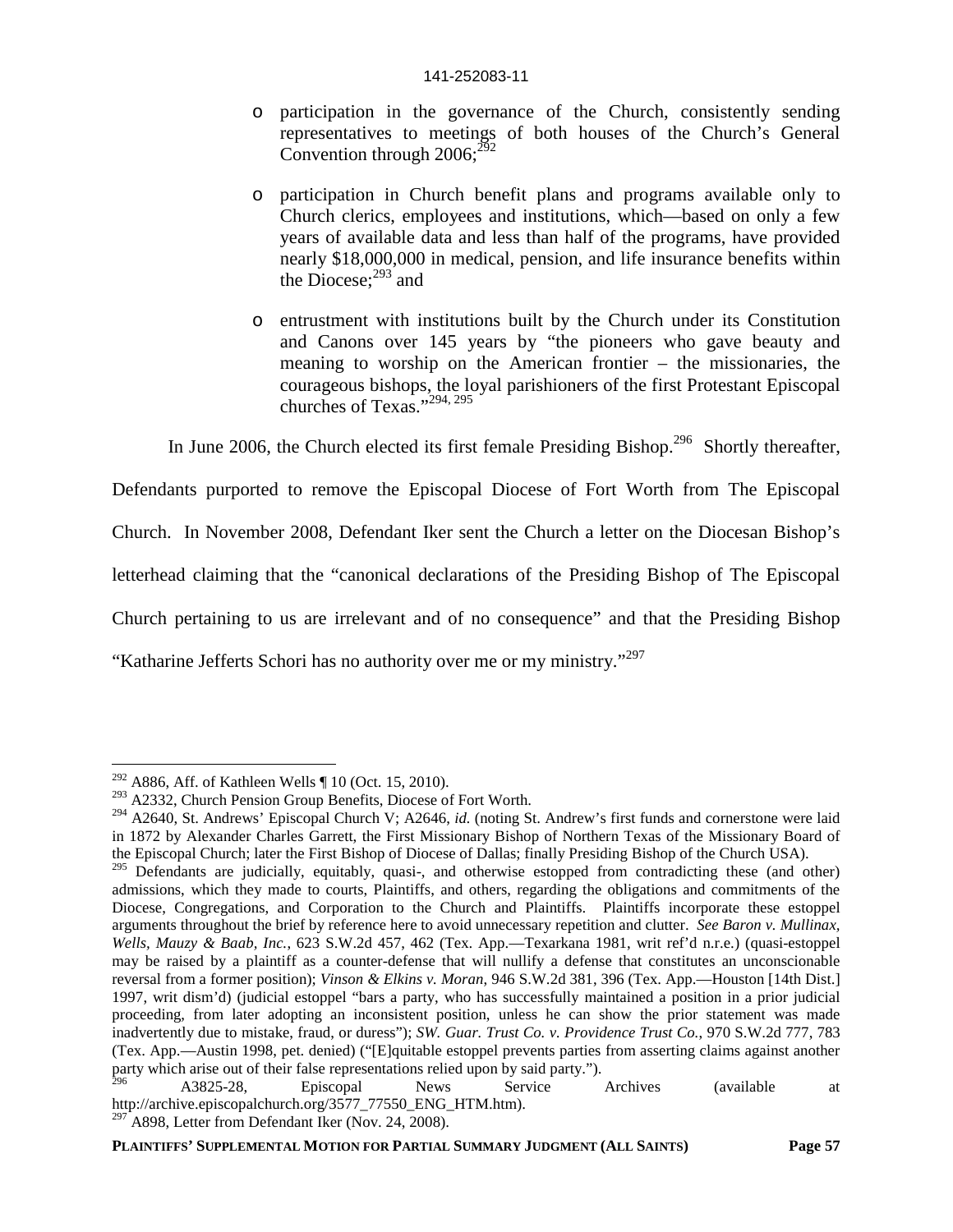- o participation in the governance of the Church, consistently sending representatives to meetings of both houses of the Church's General Convention through  $2006$ ;<sup>292</sup>
- o participation in Church benefit plans and programs available only to Church clerics, employees and institutions, which—based on only a few years of available data and less than half of the programs, have provided nearly \$18,000,000 in medical, pension, and life insurance benefits within the Diocese; $^{293}$  and
- o entrustment with institutions built by the Church under its Constitution and Canons over 145 years by "the pioneers who gave beauty and meaning to worship on the American frontier – the missionaries, the courageous bishops, the loyal parishioners of the first Protestant Episcopal churches of Texas."294, 295

In June 2006, the Church elected its first female Presiding Bishop.<sup>296</sup> Shortly thereafter,

Defendants purported to remove the Episcopal Diocese of Fort Worth from The Episcopal

Church. In November 2008, Defendant Iker sent the Church a letter on the Diocesan Bishop's

letterhead claiming that the "canonical declarations of the Presiding Bishop of The Episcopal

Church pertaining to us are irrelevant and of no consequence" and that the Presiding Bishop

"Katharine Jefferts Schori has no authority over me or my ministry."<sup>297</sup>

<sup>&</sup>lt;sup>292</sup> A886, Aff. of Kathleen Wells  $\P$  10 (Oct. 15, 2010).

<sup>&</sup>lt;sup>293</sup> A2332, Church Pension Group Benefits, Diocese of Fort Worth.

<sup>294</sup> A2640, St. Andrews' Episcopal Church V; A2646, *id.* (noting St. Andrew's first funds and cornerstone were laid in 1872 by Alexander Charles Garrett, the First Missionary Bishop of Northern Texas of the Missionary Board of the Episcopal Church; later the First Bishop of Diocese of Dallas; finally Presiding Bishop of the Church USA).

<sup>&</sup>lt;sup>295</sup> Defendants are judicially, equitably, quasi-, and otherwise estopped from contradicting these (and other) admissions, which they made to courts, Plaintiffs, and others, regarding the obligations and commitments of the Diocese, Congregations, and Corporation to the Church and Plaintiffs. Plaintiffs incorporate these estoppel arguments throughout the brief by reference here to avoid unnecessary repetition and clutter. *See Baron v. Mullinax, Wells, Mauzy & Baab, Inc.*, 623 S.W.2d 457, 462 (Tex. App.—Texarkana 1981, writ ref'd n.r.e.) (quasi-estoppel may be raised by a plaintiff as a counter-defense that will nullify a defense that constitutes an unconscionable reversal from a former position); *Vinson & Elkins v. Moran*, 946 S.W.2d 381, 396 (Tex. App.—Houston [14th Dist.] 1997, writ dism'd) (judicial estoppel "bars a party, who has successfully maintained a position in a prior judicial proceeding, from later adopting an inconsistent position, unless he can show the prior statement was made inadvertently due to mistake, fraud, or duress"); *SW. Guar. Trust Co. v. Providence Trust Co.*, 970 S.W.2d 777, 783 (Tex. App.—Austin 1998, pet. denied) ("[E]quitable estoppel prevents parties from asserting claims against another party which arise out of their false representations relied upon by said party.").

<sup>&</sup>lt;sup>296</sup> A3825-28, Episcopal News Service Archives (available at http://archive.episcopalchurch.org/3577\_77550\_ENG\_HTM.htm).  $^{297}$ A898, Letter from Defendant Iker (Nov. 24, 2008).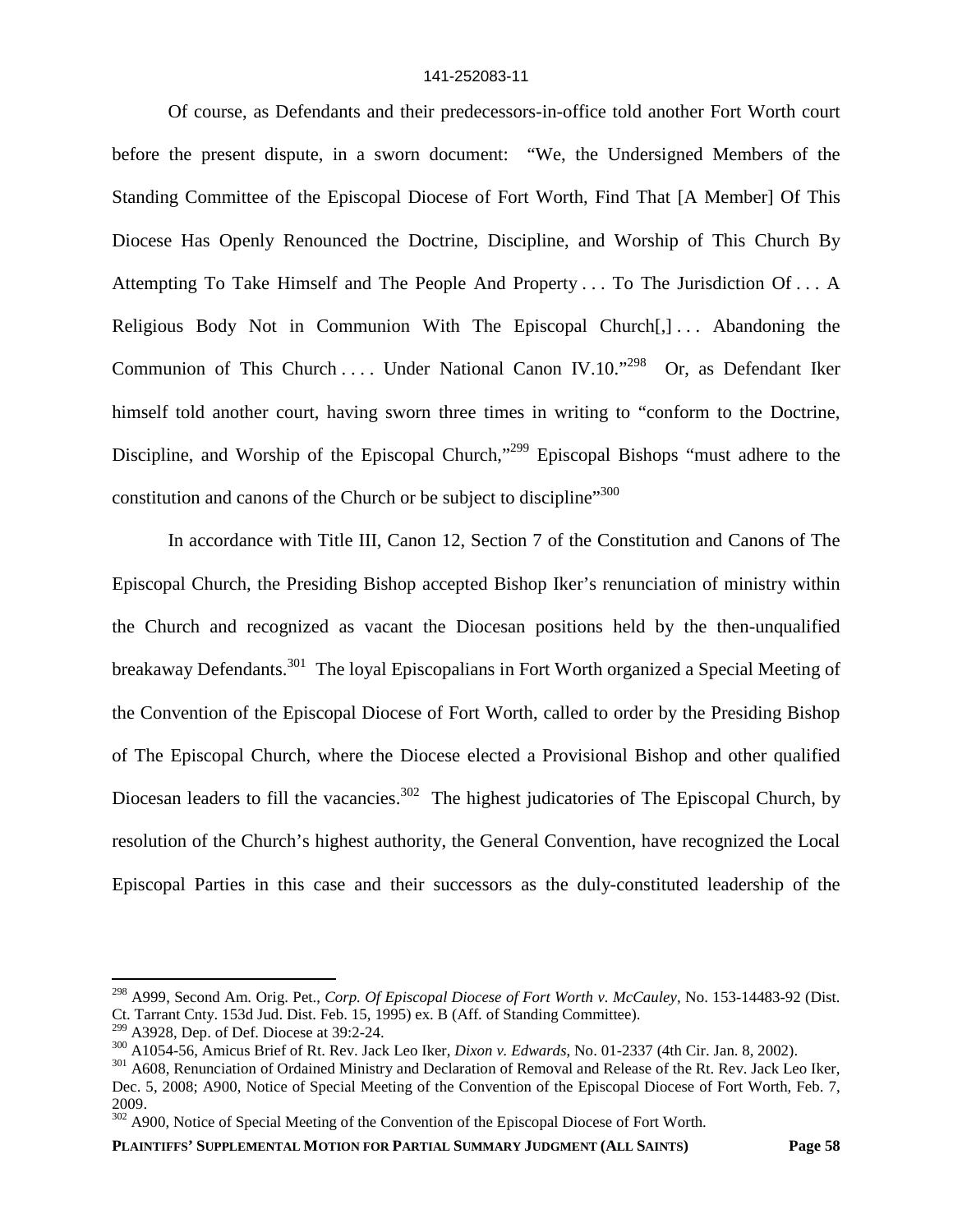Of course, as Defendants and their predecessors-in-office told another Fort Worth court before the present dispute, in a sworn document: "We, the Undersigned Members of the Standing Committee of the Episcopal Diocese of Fort Worth, Find That [A Member] Of This Diocese Has Openly Renounced the Doctrine, Discipline, and Worship of This Church By Attempting To Take Himself and The People And Property . . . To The Jurisdiction Of . . . A Religious Body Not in Communion With The Episcopal Church[,] . . . Abandoning the Communion of This Church .... Under National Canon IV.10."<sup>298</sup> Or, as Defendant Iker himself told another court, having sworn three times in writing to "conform to the Doctrine, Discipline, and Worship of the Episcopal Church,"<sup>299</sup> Episcopal Bishops "must adhere to the constitution and canons of the Church or be subject to discipline"<sup>300</sup>

In accordance with Title III, Canon 12, Section 7 of the Constitution and Canons of The Episcopal Church, the Presiding Bishop accepted Bishop Iker's renunciation of ministry within the Church and recognized as vacant the Diocesan positions held by the then-unqualified breakaway Defendants.<sup>301</sup> The loyal Episcopalians in Fort Worth organized a Special Meeting of the Convention of the Episcopal Diocese of Fort Worth, called to order by the Presiding Bishop of The Episcopal Church, where the Diocese elected a Provisional Bishop and other qualified Diocesan leaders to fill the vacancies.<sup>302</sup> The highest judicatories of The Episcopal Church, by resolution of the Church's highest authority, the General Convention, have recognized the Local Episcopal Parties in this case and their successors as the duly-constituted leadership of the

<sup>298</sup> A999, Second Am. Orig. Pet., *Corp. Of Episcopal Diocese of Fort Worth v. McCauley*, No. 153-14483-92 (Dist. Ct. Tarrant Cnty. 153d Jud. Dist. Feb. 15, 1995) ex. B (Aff. of Standing Committee).

 $299$  A3928, Dep. of Def. Diocese at 39:2-24.

<sup>300</sup> A1054-56, Amicus Brief of Rt. Rev. Jack Leo Iker, *Dixon v. Edwards*, No. 01-2337 (4th Cir. Jan. 8, 2002).

<sup>&</sup>lt;sup>301</sup> A608, Renunciation of Ordained Ministry and Declaration of Removal and Release of the Rt. Rev. Jack Leo Iker,

Dec. 5, 2008; A900, Notice of Special Meeting of the Convention of the Episcopal Diocese of Fort Worth, Feb. 7, 2009.

<sup>&</sup>lt;sup>302</sup> A900, Notice of Special Meeting of the Convention of the Episcopal Diocese of Fort Worth.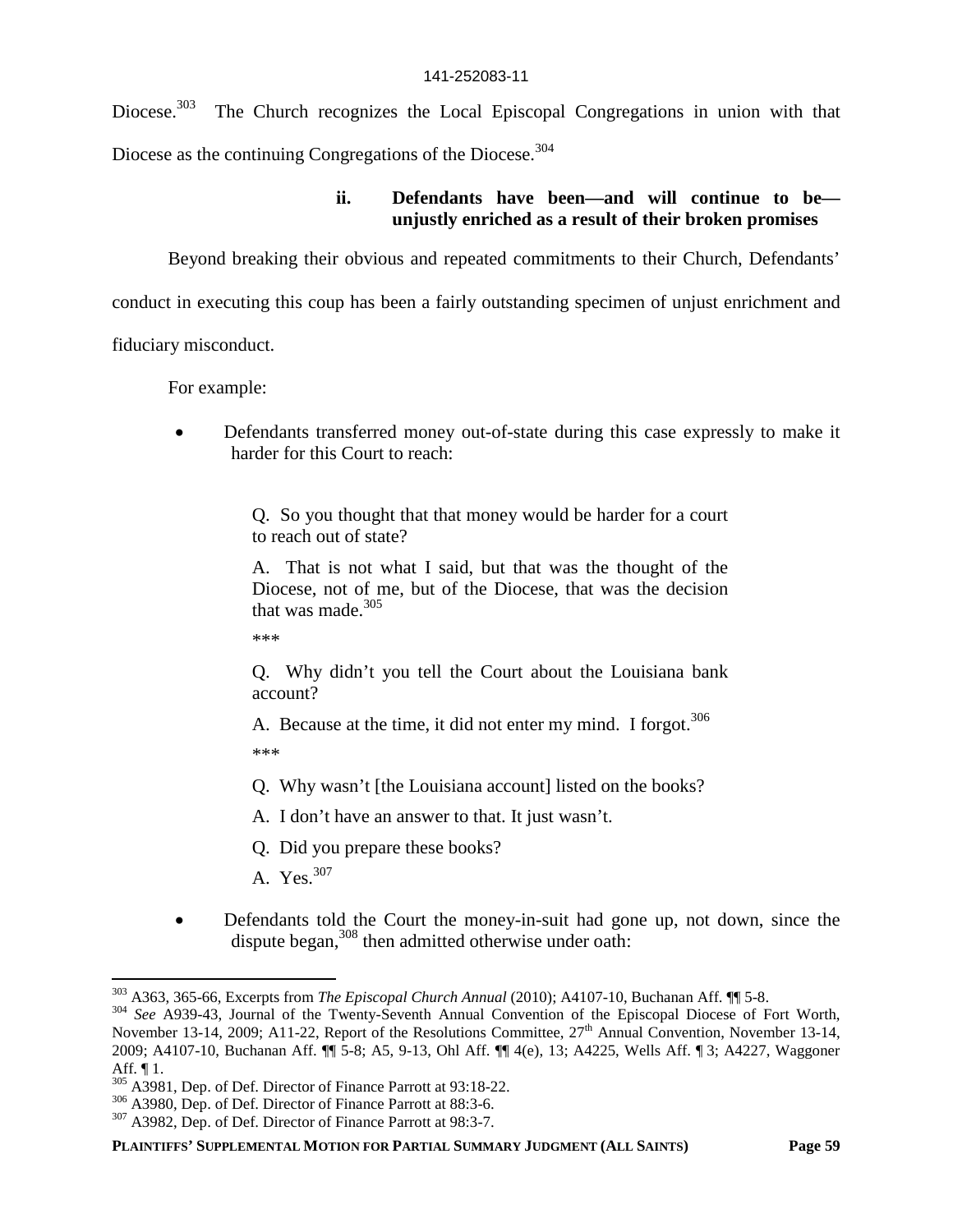Diocese.<sup>303</sup> The Church recognizes the Local Episcopal Congregations in union with that Diocese as the continuing Congregations of the Diocese.<sup>304</sup>

# **ii. Defendants have been—and will continue to be unjustly enriched as a result of their broken promises**

Beyond breaking their obvious and repeated commitments to their Church, Defendants'

conduct in executing this coup has been a fairly outstanding specimen of unjust enrichment and

fiduciary misconduct.

For example:

 Defendants transferred money out-of-state during this case expressly to make it harder for this Court to reach:

> Q. So you thought that that money would be harder for a court to reach out of state?

> A. That is not what I said, but that was the thought of the Diocese, not of me, but of the Diocese, that was the decision that was made. $305$

\*\*\*

Q. Why didn't you tell the Court about the Louisiana bank account?

A. Because at the time, it did not enter my mind. I forgot.<sup>306</sup> \*\*\*

Q. Why wasn't [the Louisiana account] listed on the books?

A. I don't have an answer to that. It just wasn't.

Q. Did you prepare these books?

A. Yes.<sup>307</sup>

 Defendants told the Court the money-in-suit had gone up, not down, since the dispute began,<sup>308</sup> then admitted otherwise under oath:

<sup>303</sup> A363, 365-66, Excerpts from *The Episcopal Church Annual* (2010); A4107-10, Buchanan Aff. ¶¶ 5-8.

<sup>304</sup> *See* A939-43, Journal of the Twenty-Seventh Annual Convention of the Episcopal Diocese of Fort Worth, November 13-14, 2009; A11-22, Report of the Resolutions Committee,  $27<sup>th</sup>$  Annual Convention, November 13-14, 2009; A4107-10, Buchanan Aff. ¶¶ 5-8; A5, 9-13, Ohl Aff. ¶¶ 4(e), 13; A4225, Wells Aff. ¶ 3; A4227, Waggoner Aff. ¶ 1.

<sup>305</sup> A3981, Dep. of Def. Director of Finance Parrott at 93:18-22.

<sup>306</sup> A3980, Dep. of Def. Director of Finance Parrott at 88:3-6.

<sup>307</sup> A3982, Dep. of Def. Director of Finance Parrott at 98:3-7.

**PLAINTIFFS' SUPPLEMENTAL MOTION FOR PARTIAL SUMMARY JUDGMENT (ALL SAINTS) Page 59**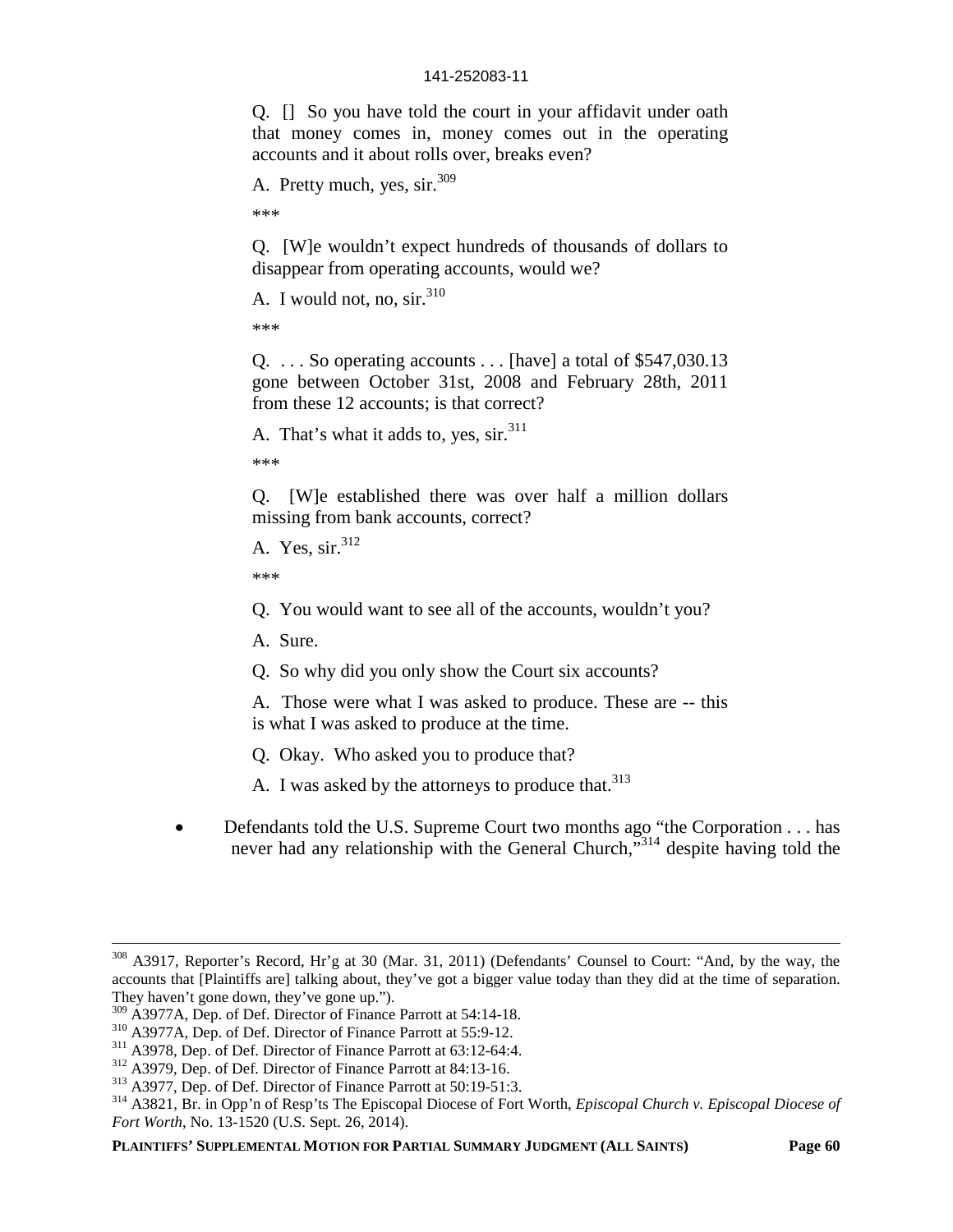Q. [] So you have told the court in your affidavit under oath that money comes in, money comes out in the operating accounts and it about rolls over, breaks even?

A. Pretty much, yes, sir.<sup>309</sup>

\*\*\*

Q. [W]e wouldn't expect hundreds of thousands of dollars to disappear from operating accounts, would we?

A. I would not, no, sir.<sup>310</sup>

\*\*\*

Q. . . . So operating accounts . . . [have] a total of \$547,030.13 gone between October 31st, 2008 and February 28th, 2011 from these 12 accounts; is that correct?

A. That's what it adds to, yes,  $\sin^{311}$ 

\*\*\*

Q. [W]e established there was over half a million dollars missing from bank accounts, correct?

A. Yes,  $\sin^{312}$ 

\*\*\*

Q. You would want to see all of the accounts, wouldn't you?

A. Sure.

Q. So why did you only show the Court six accounts?

A. Those were what I was asked to produce. These are -- this is what I was asked to produce at the time.

Q. Okay. Who asked you to produce that?

A. I was asked by the attorneys to produce that.<sup>313</sup>

 Defendants told the U.S. Supreme Court two months ago "the Corporation . . . has never had any relationship with the General Church,"<sup>314</sup> despite having told the

<sup>308</sup> A3917, Reporter's Record, Hr'g at 30 (Mar. 31, 2011) (Defendants' Counsel to Court: "And, by the way, the accounts that [Plaintiffs are] talking about, they've got a bigger value today than they did at the time of separation. They haven't gone down, they've gone up.").

<sup>&</sup>lt;sup>309</sup> A3977A, Dep. of Def. Director of Finance Parrott at 54:14-18.

<sup>310</sup> A3977A, Dep. of Def. Director of Finance Parrott at 55:9-12.

<sup>311</sup> A3978, Dep. of Def. Director of Finance Parrott at 63:12-64:4.

<sup>312</sup> A3979, Dep. of Def. Director of Finance Parrott at 84:13-16.

<sup>313</sup> A3977, Dep. of Def. Director of Finance Parrott at 50:19-51:3.

<sup>314</sup> A3821, Br. in Opp'n of Resp'ts The Episcopal Diocese of Fort Worth, *Episcopal Church v. Episcopal Diocese of Fort Worth*, No. 13-1520 (U.S. Sept. 26, 2014).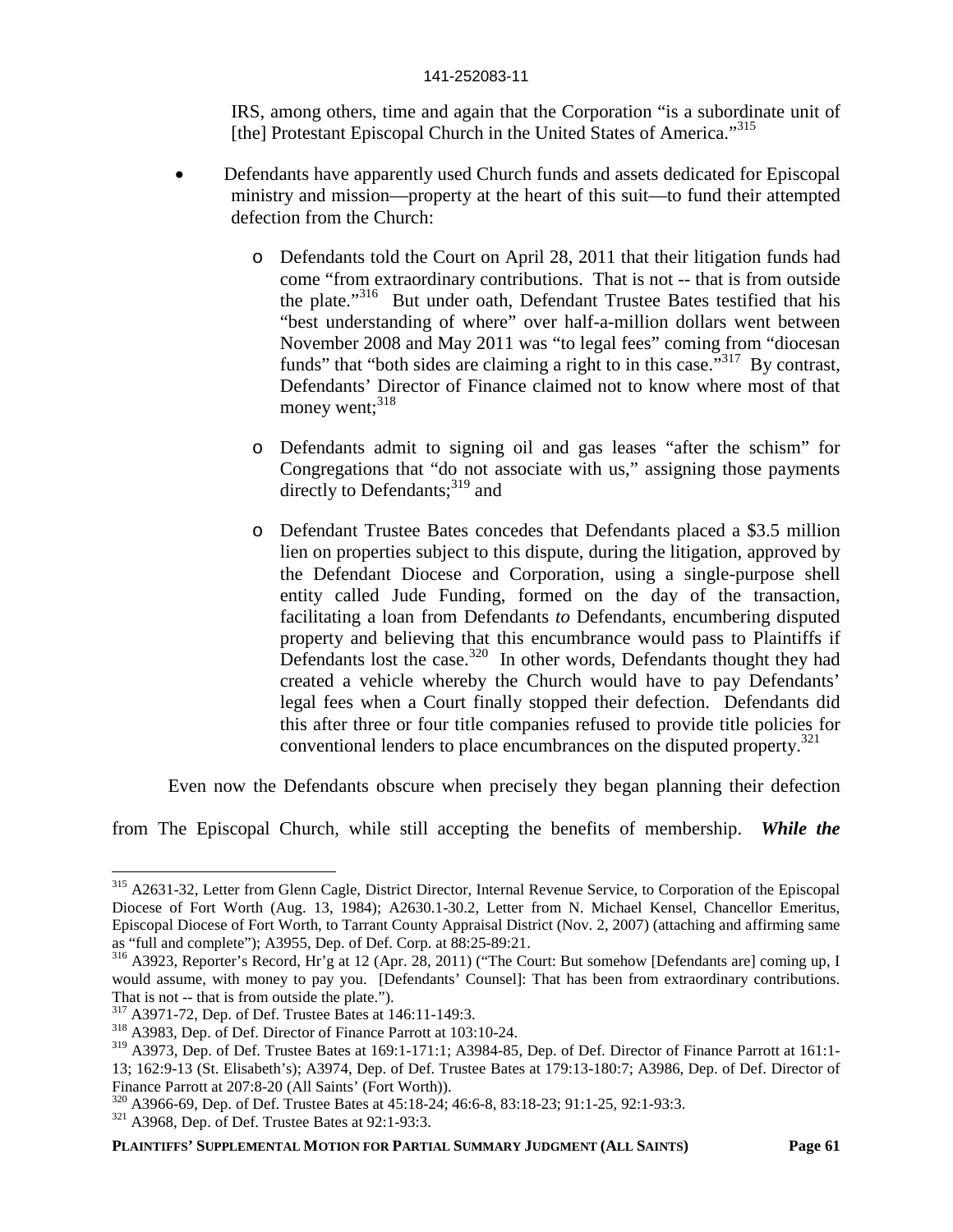IRS, among others, time and again that the Corporation "is a subordinate unit of [the] Protestant Episcopal Church in the United States of America."<sup>315</sup>

- Defendants have apparently used Church funds and assets dedicated for Episcopal ministry and mission—property at the heart of this suit—to fund their attempted defection from the Church:
	- o Defendants told the Court on April 28, 2011 that their litigation funds had come "from extraordinary contributions. That is not -- that is from outside the plate."<sup>316</sup> But under oath, Defendant Trustee Bates testified that his "best understanding of where" over half-a-million dollars went between November 2008 and May 2011 was "to legal fees" coming from "diocesan funds" that "both sides are claiming a right to in this case."<sup>317</sup> By contrast, Defendants' Director of Finance claimed not to know where most of that money went; $^{318}$
	- o Defendants admit to signing oil and gas leases "after the schism" for Congregations that "do not associate with us," assigning those payments directly to Defendants: $319$  and
	- o Defendant Trustee Bates concedes that Defendants placed a \$3.5 million lien on properties subject to this dispute, during the litigation, approved by the Defendant Diocese and Corporation, using a single-purpose shell entity called Jude Funding, formed on the day of the transaction, facilitating a loan from Defendants *to* Defendants, encumbering disputed property and believing that this encumbrance would pass to Plaintiffs if Defendants lost the case.<sup>320</sup> In other words, Defendants thought they had created a vehicle whereby the Church would have to pay Defendants' legal fees when a Court finally stopped their defection. Defendants did this after three or four title companies refused to provide title policies for conventional lenders to place encumbrances on the disputed property. $321$

Even now the Defendants obscure when precisely they began planning their defection

from The Episcopal Church, while still accepting the benefits of membership. *While the*

<sup>&</sup>lt;sup>315</sup> A2631-32, Letter from Glenn Cagle, District Director, Internal Revenue Service, to Corporation of the Episcopal Diocese of Fort Worth (Aug. 13, 1984); A2630.1-30.2, Letter from N. Michael Kensel, Chancellor Emeritus, Episcopal Diocese of Fort Worth, to Tarrant County Appraisal District (Nov. 2, 2007) (attaching and affirming same as "full and complete"); A3955, Dep. of Def. Corp. at 88:25-89:21.

<sup>316</sup> A3923, Reporter's Record, Hr'g at 12 (Apr. 28, 2011) ("The Court: But somehow [Defendants are] coming up, I would assume, with money to pay you. [Defendants' Counsel]: That has been from extraordinary contributions. That is not -- that is from outside the plate.").

<sup>317</sup> A3971-72, Dep. of Def. Trustee Bates at 146:11-149:3.

<sup>318</sup> A3983, Dep. of Def. Director of Finance Parrott at 103:10-24.

<sup>&</sup>lt;sup>319</sup> A3973, Dep. of Def. Trustee Bates at 169:1-171:1; A3984-85, Dep. of Def. Director of Finance Parrott at 161:1-13; 162:9-13 (St. Elisabeth's); A3974, Dep. of Def. Trustee Bates at 179:13-180:7; A3986, Dep. of Def. Director of Finance Parrott at 207:8-20 (All Saints' (Fort Worth)).

<sup>320</sup> A3966-69, Dep. of Def. Trustee Bates at 45:18-24; 46:6-8, 83:18-23; 91:1-25, 92:1-93:3.

<sup>321</sup> A3968, Dep. of Def. Trustee Bates at 92:1-93:3.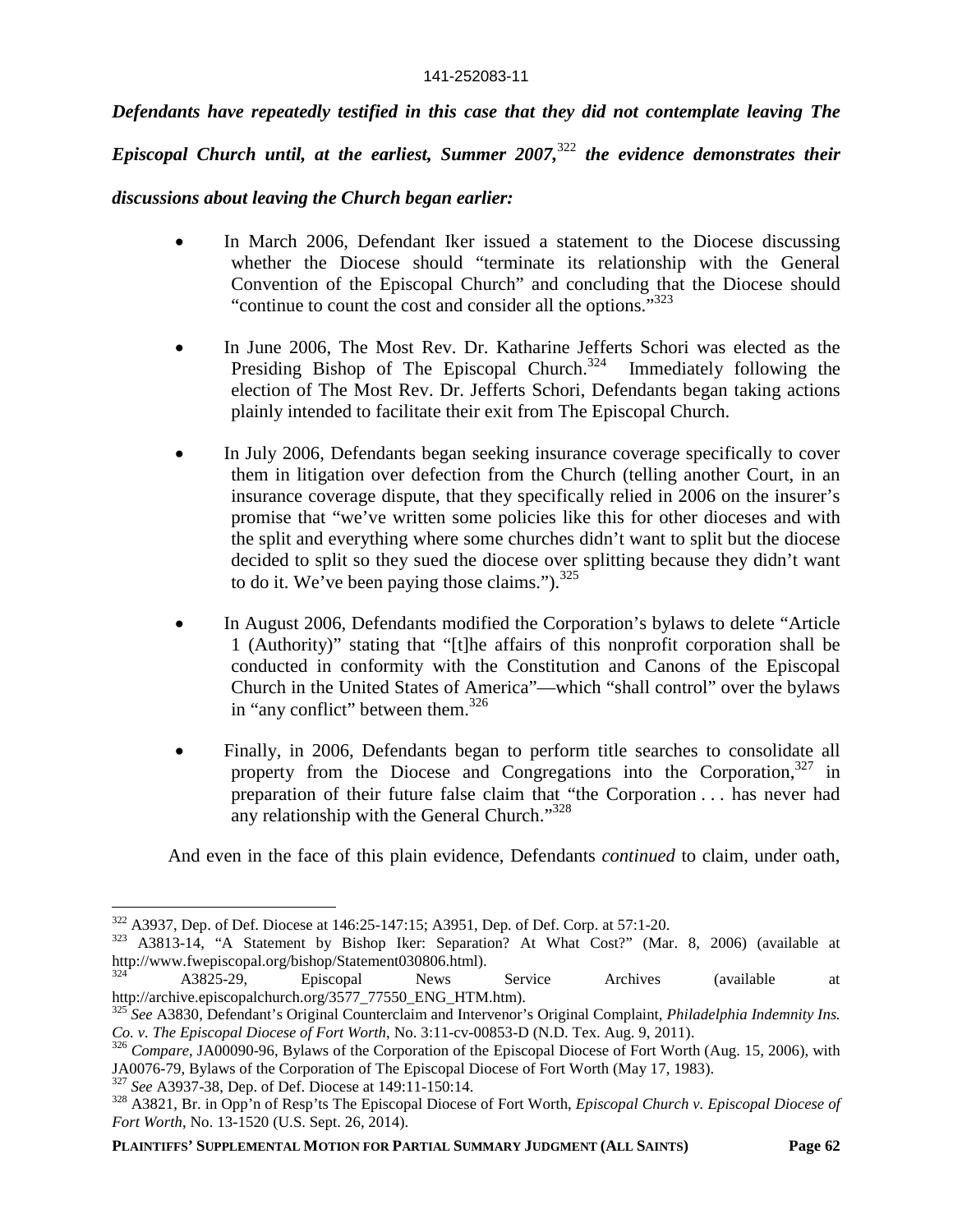*Defendants have repeatedly testified in this case that they did not contemplate leaving The*

*Episcopal Church until, at the earliest, Summer 2007,*<sup>322</sup> *the evidence demonstrates their* 

# *discussions about leaving the Church began earlier:*

- In March 2006, Defendant Iker issued a statement to the Diocese discussing whether the Diocese should "terminate its relationship with the General Convention of the Episcopal Church" and concluding that the Diocese should "continue to count the cost and consider all the options."<sup>323</sup>
- In June 2006, The Most Rev. Dr. Katharine Jefferts Schori was elected as the Presiding Bishop of The Episcopal Church.<sup>324</sup> Immediately following the election of The Most Rev. Dr. Jefferts Schori, Defendants began taking actions plainly intended to facilitate their exit from The Episcopal Church.
- In July 2006, Defendants began seeking insurance coverage specifically to cover them in litigation over defection from the Church (telling another Court, in an insurance coverage dispute, that they specifically relied in 2006 on the insurer's promise that "we've written some policies like this for other dioceses and with the split and everything where some churches didn't want to split but the diocese decided to split so they sued the diocese over splitting because they didn't want to do it. We've been paying those claims.").  $325$
- In August 2006, Defendants modified the Corporation's bylaws to delete "Article 1 (Authority)" stating that "[t]he affairs of this nonprofit corporation shall be conducted in conformity with the Constitution and Canons of the Episcopal Church in the United States of America"—which "shall control" over the bylaws in "any conflict" between them.<sup>326</sup>
- Finally, in 2006, Defendants began to perform title searches to consolidate all property from the Diocese and Congregations into the Corporation,  $327$  in preparation of their future false claim that "the Corporation . . . has never had any relationship with the General Church."<sup>328</sup>

And even in the face of this plain evidence, Defendants *continued* to claim, under oath,

<sup>322</sup> A3937, Dep. of Def. Diocese at 146:25-147:15; A3951, Dep. of Def. Corp. at 57:1-20.

<sup>323</sup> A3813-14, "A Statement by Bishop Iker: Separation? At What Cost?" (Mar. 8, 2006) (available at http://www.fwepiscopal.org/bishop/Statement030806.html).

<sup>324</sup> A3825-29, Episcopal News Service Archives (available at http://archive.episcopalchurch.org/3577\_77550\_ENG\_HTM.htm).

<sup>325</sup> *See* A3830, Defendant's Original Counterclaim and Intervenor's Original Complaint, *Philadelphia Indemnity Ins. Co. v. The Episcopal Diocese of Fort Worth*, No. 3:11-cv-00853-D (N.D. Tex. Aug. 9, 2011).

<sup>&</sup>lt;sup>326</sup> *Compare*, JA00090-96, Bylaws of the Corporation of the Episcopal Diocese of Fort Worth (Aug. 15, 2006), with JA0076-79, Bylaws of the Corporation of The Episcopal Diocese of Fort Worth (May 17, 1983).

<sup>327</sup> *See* A3937-38, Dep. of Def. Diocese at 149:11-150:14.

<sup>328</sup> A3821, Br. in Opp'n of Resp'ts The Episcopal Diocese of Fort Worth, *Episcopal Church v. Episcopal Diocese of Fort Worth*, No. 13-1520 (U.S. Sept. 26, 2014).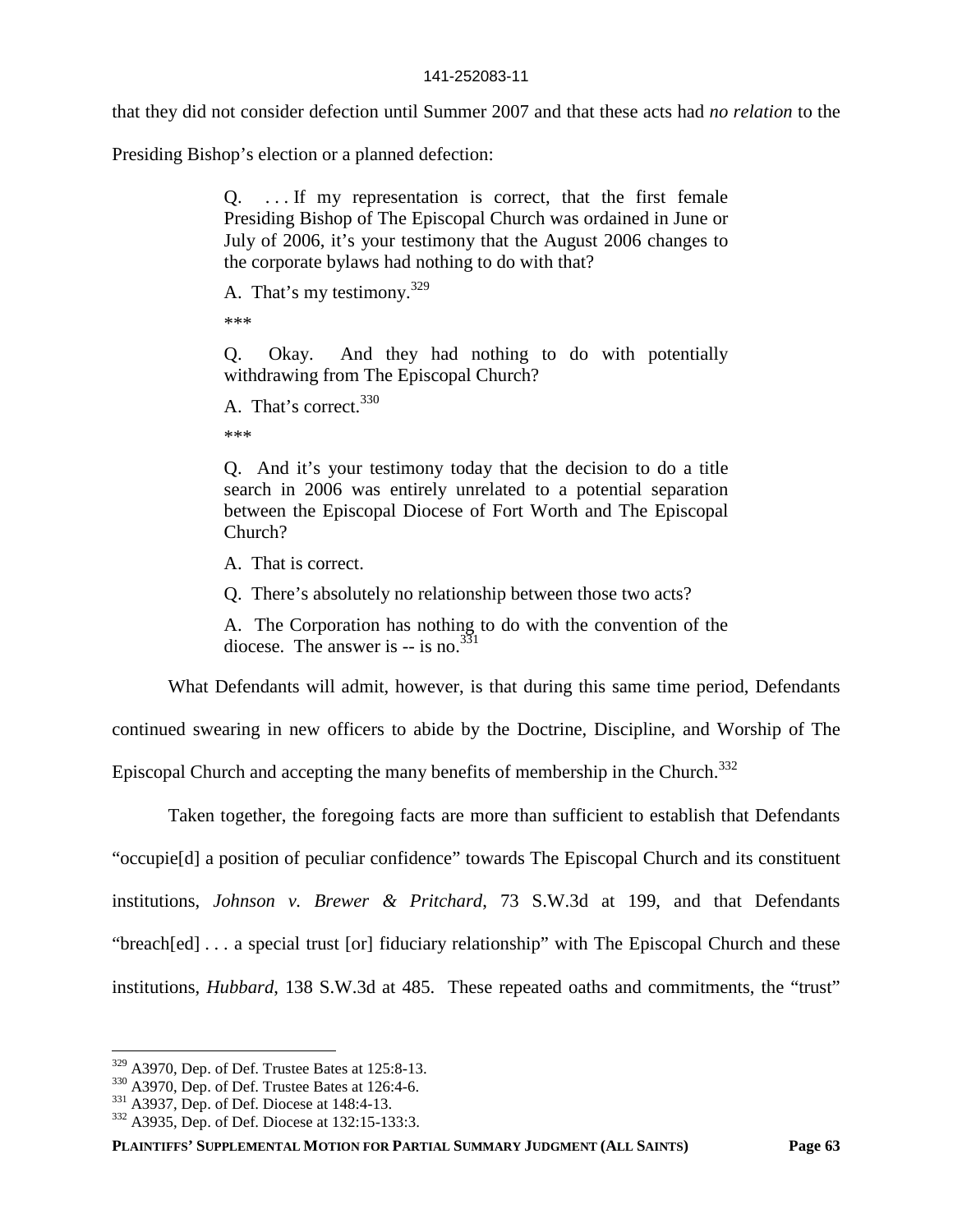that they did not consider defection until Summer 2007 and that these acts had *no relation* to the

Presiding Bishop's election or a planned defection:

Q. . . . If my representation is correct, that the first female Presiding Bishop of The Episcopal Church was ordained in June or July of 2006, it's your testimony that the August 2006 changes to the corporate bylaws had nothing to do with that?

A. That's my testimony.  $329$ 

\*\*\*

Q. Okay. And they had nothing to do with potentially withdrawing from The Episcopal Church?

\*\*\*

Q. And it's your testimony today that the decision to do a title search in 2006 was entirely unrelated to a potential separation between the Episcopal Diocese of Fort Worth and The Episcopal Church?

A. That is correct.

Q. There's absolutely no relationship between those two acts?

A. The Corporation has nothing to do with the convention of the diocese. The answer is  $-$  is no.<sup>331</sup>

What Defendants will admit, however, is that during this same time period, Defendants

continued swearing in new officers to abide by the Doctrine, Discipline, and Worship of The

Episcopal Church and accepting the many benefits of membership in the Church.<sup>332</sup>

Taken together, the foregoing facts are more than sufficient to establish that Defendants "occupie[d] a position of peculiar confidence" towards The Episcopal Church and its constituent institutions, *Johnson v. Brewer & Pritchard*, 73 S.W.3d at 199, and that Defendants "breach[ed] . . . a special trust [or] fiduciary relationship" with The Episcopal Church and these institutions, *Hubbard*, 138 S.W.3d at 485. These repeated oaths and commitments, the "trust"

A. That's correct.<sup>330</sup>

<sup>329</sup> A3970, Dep. of Def. Trustee Bates at 125:8-13.

<sup>330</sup> A3970, Dep. of Def. Trustee Bates at 126:4-6.

<sup>331</sup> A3937, Dep. of Def. Diocese at 148:4-13.

<sup>332</sup> A3935, Dep. of Def. Diocese at 132:15-133:3.

**PLAINTIFFS' SUPPLEMENTAL MOTION FOR PARTIAL SUMMARY JUDGMENT (ALL SAINTS) Page 63**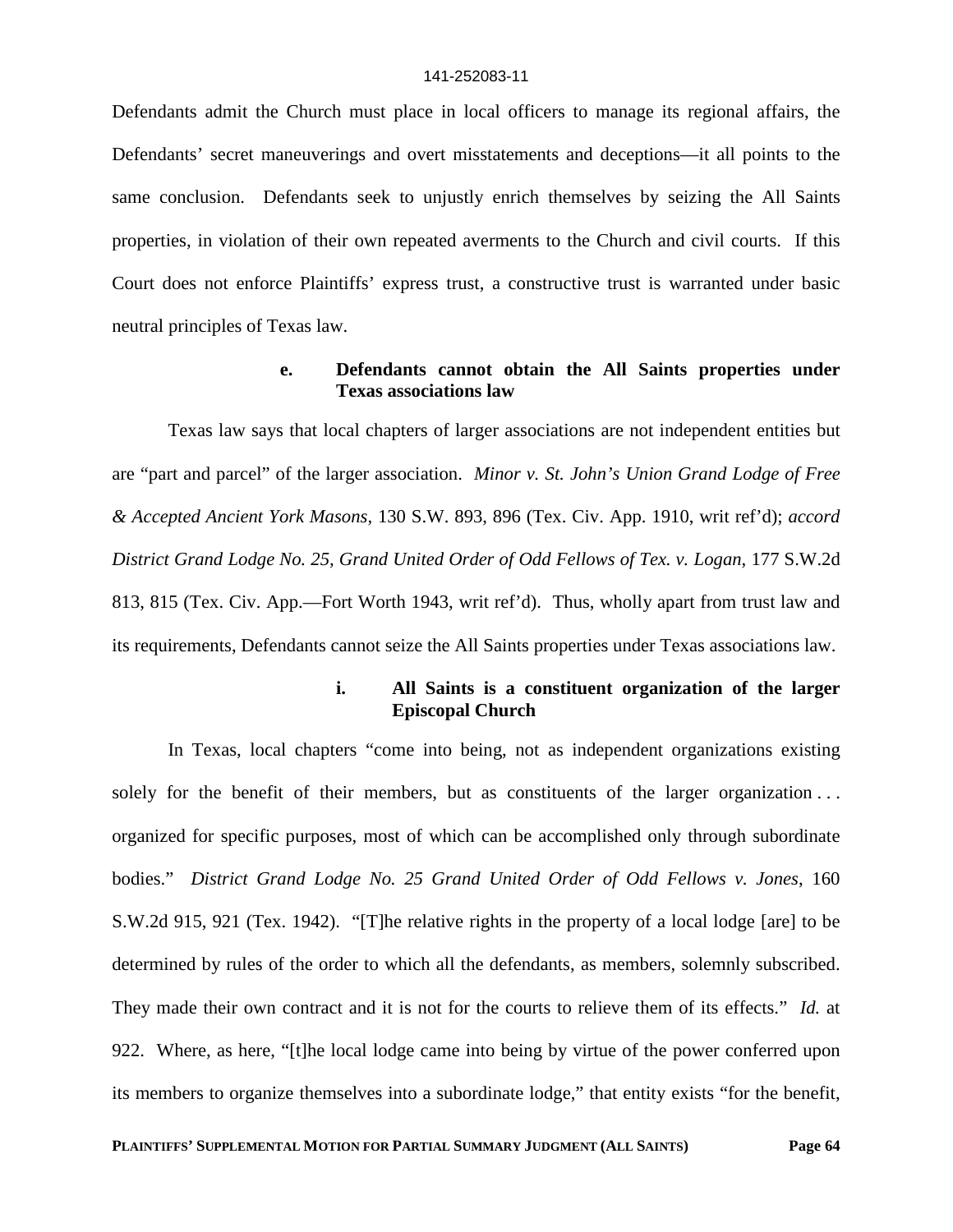Defendants admit the Church must place in local officers to manage its regional affairs, the Defendants' secret maneuverings and overt misstatements and deceptions—it all points to the same conclusion. Defendants seek to unjustly enrich themselves by seizing the All Saints properties, in violation of their own repeated averments to the Church and civil courts. If this Court does not enforce Plaintiffs' express trust, a constructive trust is warranted under basic neutral principles of Texas law.

## **e. Defendants cannot obtain the All Saints properties under Texas associations law**

Texas law says that local chapters of larger associations are not independent entities but are "part and parcel" of the larger association. *Minor v. St. John's Union Grand Lodge of Free & Accepted Ancient York Masons*, 130 S.W. 893, 896 (Tex. Civ. App. 1910, writ ref'd); *accord District Grand Lodge No. 25, Grand United Order of Odd Fellows of Tex. v. Logan*, 177 S.W.2d 813, 815 (Tex. Civ. App.—Fort Worth 1943, writ ref'd). Thus, wholly apart from trust law and its requirements, Defendants cannot seize the All Saints properties under Texas associations law.

### **i. All Saints is a constituent organization of the larger Episcopal Church**

In Texas, local chapters "come into being, not as independent organizations existing solely for the benefit of their members, but as constituents of the larger organization ... organized for specific purposes, most of which can be accomplished only through subordinate bodies." *District Grand Lodge No. 25 Grand United Order of Odd Fellows v. Jones*, 160 S.W.2d 915, 921 (Tex. 1942). "[T]he relative rights in the property of a local lodge [are] to be determined by rules of the order to which all the defendants, as members, solemnly subscribed. They made their own contract and it is not for the courts to relieve them of its effects." *Id.* at 922. Where, as here, "[t]he local lodge came into being by virtue of the power conferred upon its members to organize themselves into a subordinate lodge," that entity exists "for the benefit,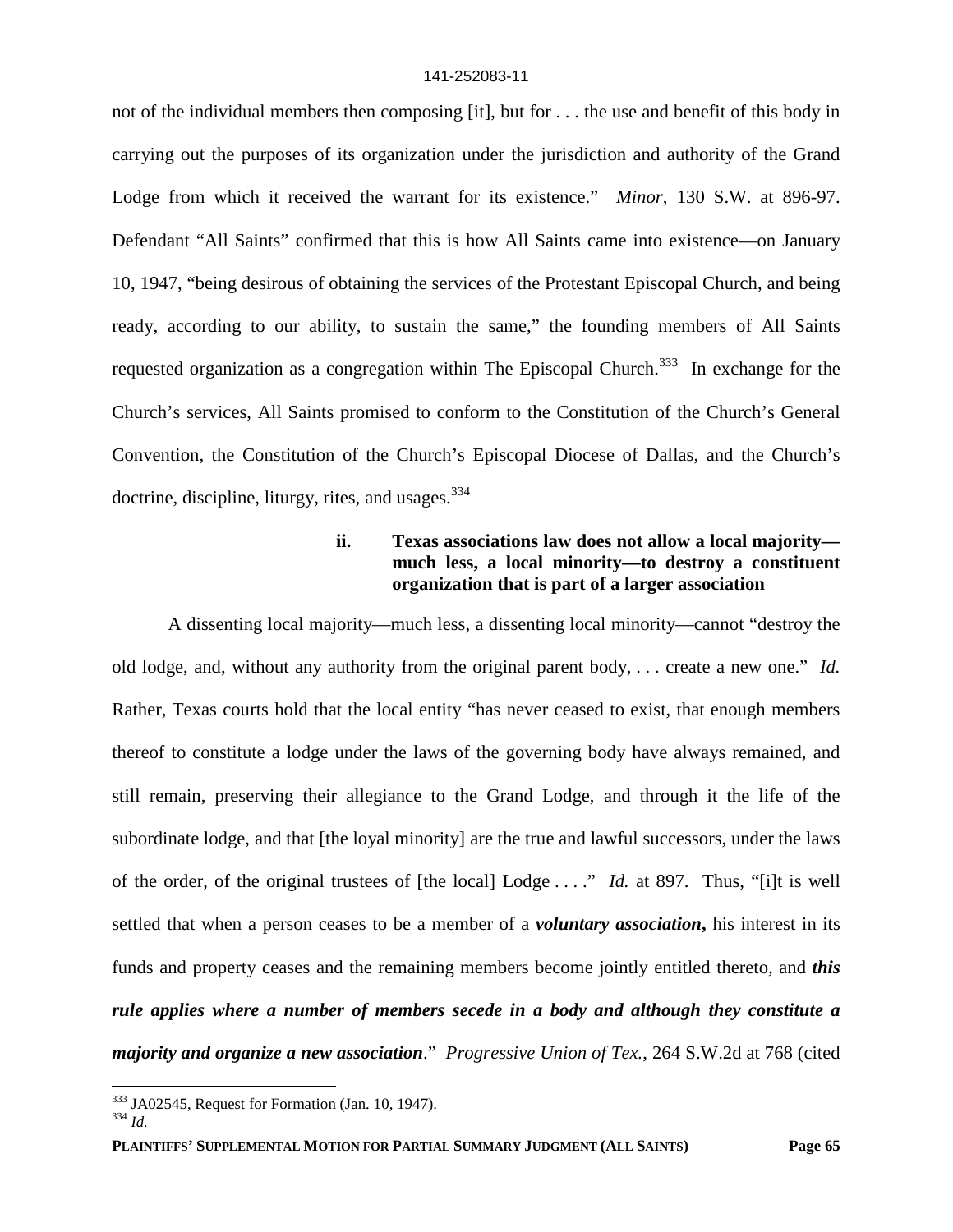not of the individual members then composing [it], but for . . . the use and benefit of this body in carrying out the purposes of its organization under the jurisdiction and authority of the Grand Lodge from which it received the warrant for its existence." *Minor*, 130 S.W. at 896-97. Defendant "All Saints" confirmed that this is how All Saints came into existence—on January 10, 1947, "being desirous of obtaining the services of the Protestant Episcopal Church, and being ready, according to our ability, to sustain the same," the founding members of All Saints requested organization as a congregation within The Episcopal Church.<sup>333</sup> In exchange for the Church's services, All Saints promised to conform to the Constitution of the Church's General Convention, the Constitution of the Church's Episcopal Diocese of Dallas, and the Church's doctrine, discipline, liturgy, rites, and usages.<sup>334</sup>

# **ii. Texas associations law does not allow a local majority much less, a local minority—to destroy a constituent organization that is part of a larger association**

A dissenting local majority—much less, a dissenting local minority—cannot "destroy the old lodge, and, without any authority from the original parent body, . . . create a new one." *Id.* Rather, Texas courts hold that the local entity "has never ceased to exist, that enough members thereof to constitute a lodge under the laws of the governing body have always remained, and still remain, preserving their allegiance to the Grand Lodge, and through it the life of the subordinate lodge, and that [the loyal minority] are the true and lawful successors, under the laws of the order, of the original trustees of [the local] Lodge . . . ." *Id.* at 897. Thus, "[i]t is well settled that when a person ceases to be a member of a *voluntary association***,** his interest in its funds and property ceases and the remaining members become jointly entitled thereto*,* and *this rule applies where a number of members secede in a body and although they constitute a majority and organize a new association*." *Progressive Union of Tex.*, 264 S.W.2d at 768 (cited

<sup>334</sup> *Id.*

<sup>333</sup> JA02545, Request for Formation (Jan. 10, 1947).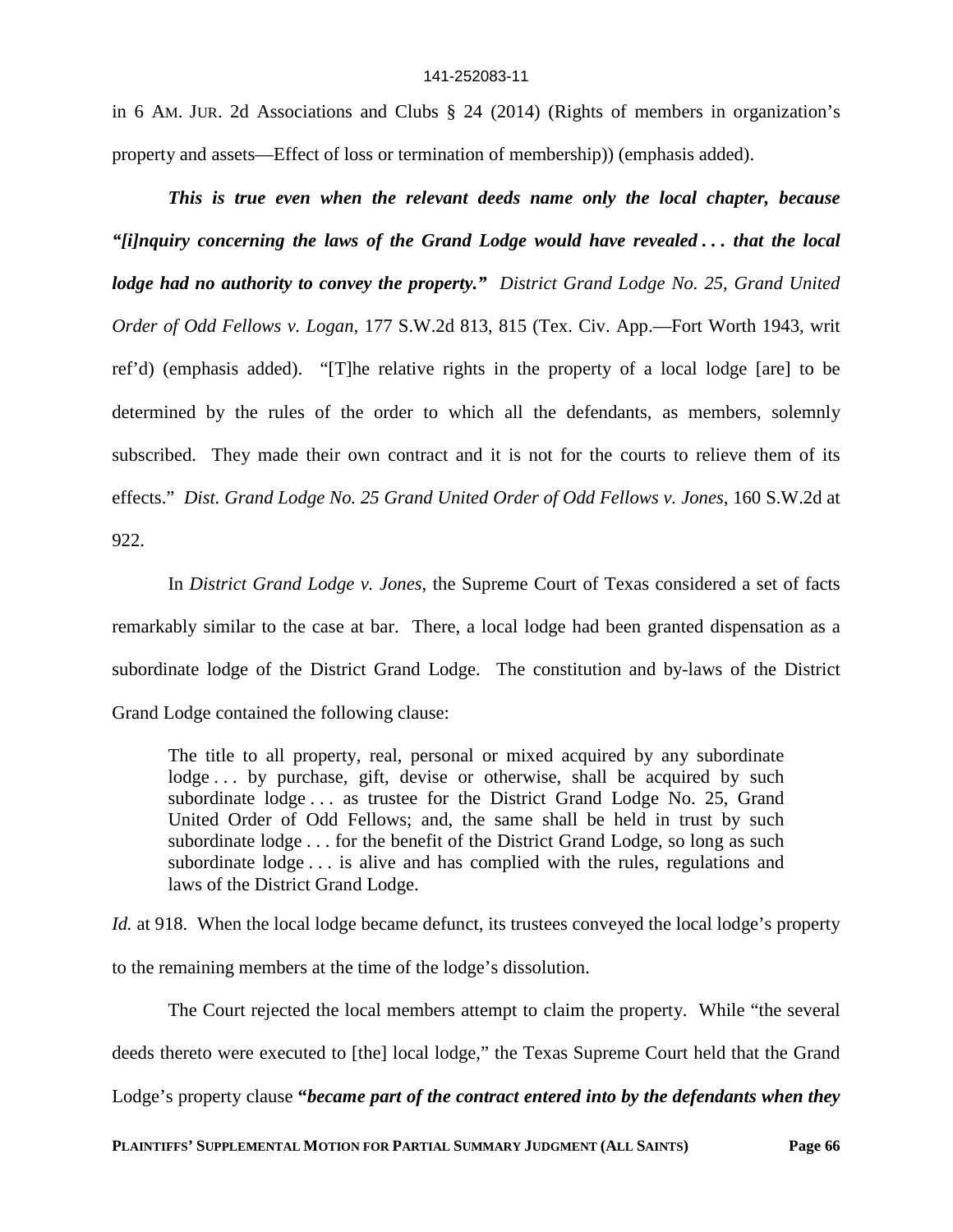in 6 AM. JUR. 2d Associations and Clubs § 24 (2014) (Rights of members in organization's property and assets—Effect of loss or termination of membership)) (emphasis added).

*This is true even when the relevant deeds name only the local chapter, because "[i]nquiry concerning the laws of the Grand Lodge would have revealed . . . that the local lodge had no authority to convey the property." District Grand Lodge No. 25, Grand United Order of Odd Fellows v. Logan*, 177 S.W.2d 813, 815 (Tex. Civ. App.—Fort Worth 1943, writ ref'd) (emphasis added). "[T]he relative rights in the property of a local lodge [are] to be determined by the rules of the order to which all the defendants, as members, solemnly subscribed. They made their own contract and it is not for the courts to relieve them of its effects." *Dist. Grand Lodge No. 25 Grand United Order of Odd Fellows v. Jones*, 160 S.W.2d at 922.

In *District Grand Lodge v. Jones*, the Supreme Court of Texas considered a set of facts remarkably similar to the case at bar. There, a local lodge had been granted dispensation as a subordinate lodge of the District Grand Lodge. The constitution and by-laws of the District Grand Lodge contained the following clause:

The title to all property, real, personal or mixed acquired by any subordinate lodge ... by purchase, gift, devise or otherwise, shall be acquired by such subordinate lodge . . . as trustee for the District Grand Lodge No. 25, Grand United Order of Odd Fellows; and, the same shall be held in trust by such subordinate lodge . . . for the benefit of the District Grand Lodge, so long as such subordinate lodge . . . is alive and has complied with the rules, regulations and laws of the District Grand Lodge.

*Id.* at 918. When the local lodge became defunct, its trustees conveyed the local lodge's property to the remaining members at the time of the lodge's dissolution.

The Court rejected the local members attempt to claim the property. While "the several deeds thereto were executed to [the] local lodge," the Texas Supreme Court held that the Grand Lodge's property clause **"***became part of the contract entered into by the defendants when they*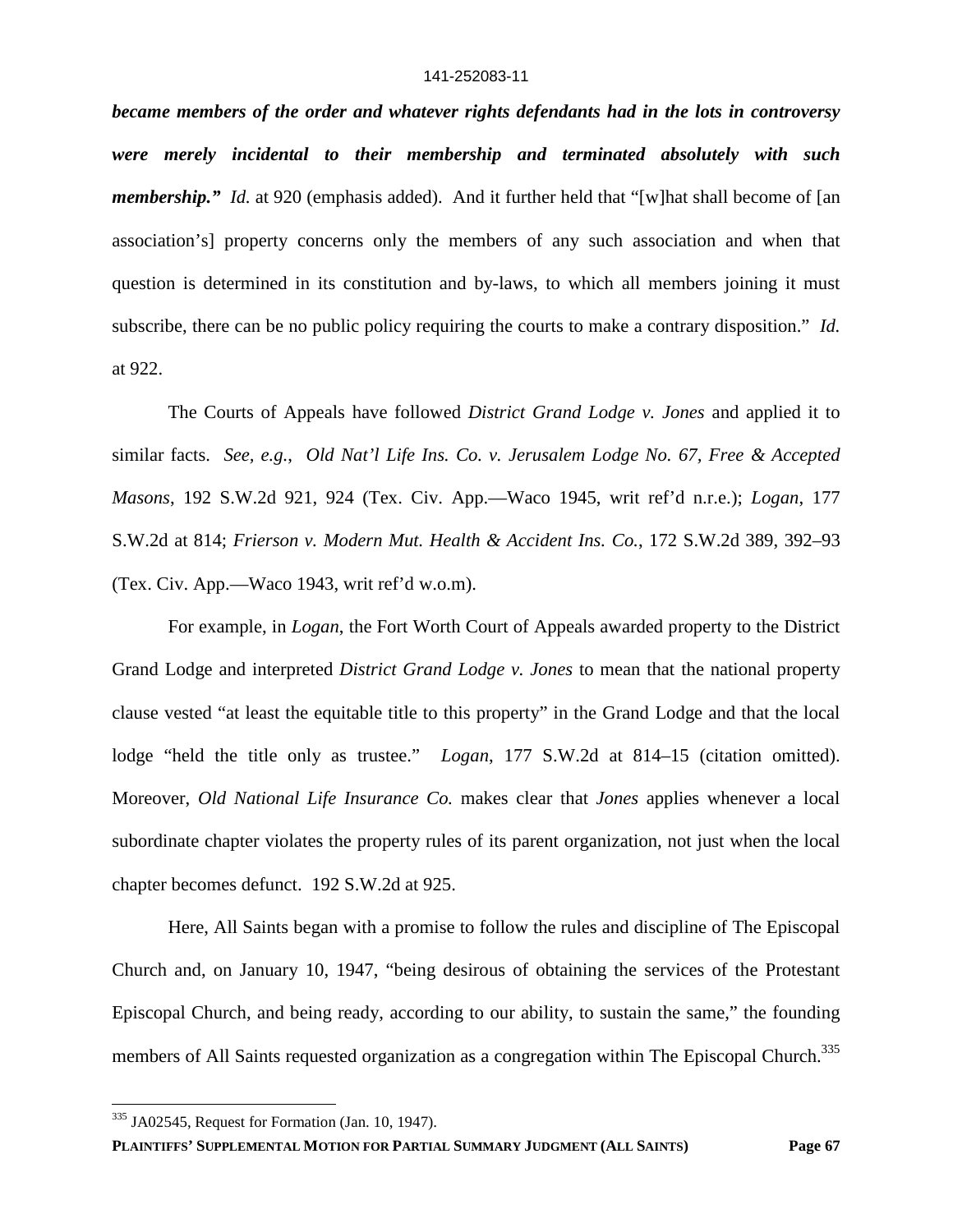*became members of the order and whatever rights defendants had in the lots in controversy were merely incidental to their membership and terminated absolutely with such membership.*" *Id.* at 920 (emphasis added). And it further held that "[w]hat shall become of [an association's] property concerns only the members of any such association and when that question is determined in its constitution and by-laws, to which all members joining it must subscribe, there can be no public policy requiring the courts to make a contrary disposition." *Id.* at 922.

The Courts of Appeals have followed *District Grand Lodge v. Jones* and applied it to similar facts. *See, e.g.*, *Old Nat'l Life Ins. Co. v. Jerusalem Lodge No. 67, Free & Accepted Masons*, 192 S.W.2d 921, 924 (Tex. Civ. App.—Waco 1945, writ ref'd n.r.e.); *Logan*, 177 S.W.2d at 814; *Frierson v. Modern Mut. Health & Accident Ins. Co.*, 172 S.W.2d 389, 392–93 (Tex. Civ. App.—Waco 1943, writ ref'd w.o.m).

For example, in *Logan*, the Fort Worth Court of Appeals awarded property to the District Grand Lodge and interpreted *District Grand Lodge v. Jones* to mean that the national property clause vested "at least the equitable title to this property" in the Grand Lodge and that the local lodge "held the title only as trustee." *Logan*, 177 S.W.2d at 814–15 (citation omitted). Moreover, *Old National Life Insurance Co.* makes clear that *Jones* applies whenever a local subordinate chapter violates the property rules of its parent organization, not just when the local chapter becomes defunct. 192 S.W.2d at 925.

Here, All Saints began with a promise to follow the rules and discipline of The Episcopal Church and, on January 10, 1947, "being desirous of obtaining the services of the Protestant Episcopal Church, and being ready, according to our ability, to sustain the same," the founding members of All Saints requested organization as a congregation within The Episcopal Church.<sup>335</sup>

<sup>&</sup>lt;sup>335</sup> JA02545, Request for Formation (Jan. 10, 1947).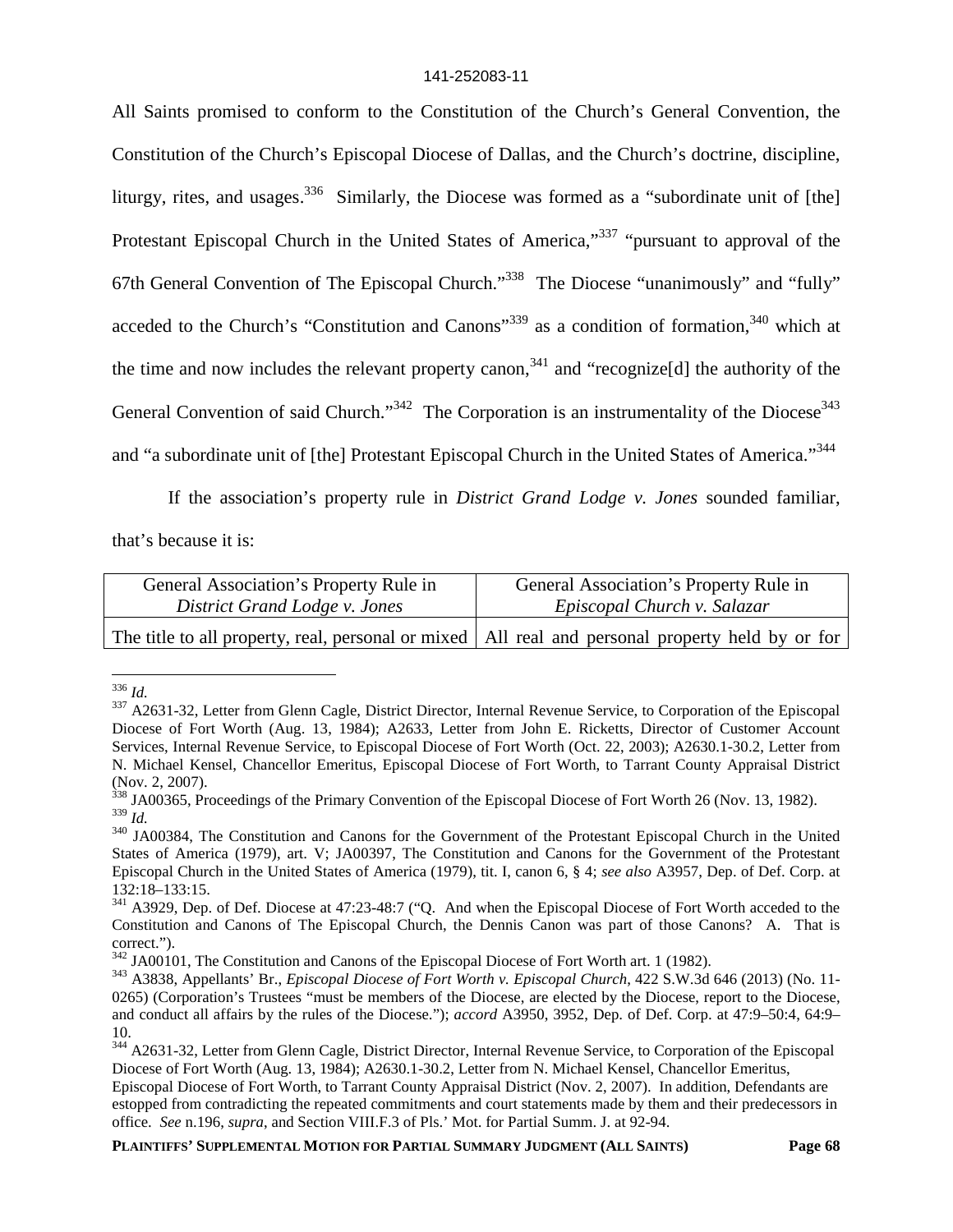All Saints promised to conform to the Constitution of the Church's General Convention, the Constitution of the Church's Episcopal Diocese of Dallas, and the Church's doctrine, discipline, liturgy, rites, and usages.<sup>336</sup> Similarly, the Diocese was formed as a "subordinate unit of [the] Protestant Episcopal Church in the United States of America,"<sup>337</sup> "pursuant to approval of the 67th General Convention of The Episcopal Church."<sup>338</sup> The Diocese "unanimously" and "fully" acceded to the Church's "Constitution and Canons"<sup>339</sup> as a condition of formation, $340$  which at the time and now includes the relevant property canon,<sup>341</sup> and "recognize<sup>[d]</sup> the authority of the General Convention of said Church."<sup>342</sup> The Corporation is an instrumentality of the Diocese<sup>343</sup> and "a subordinate unit of [the] Protestant Episcopal Church in the United States of America."<sup>344</sup>

If the association's property rule in *District Grand Lodge v. Jones* sounded familiar,

that's because it is:

| General Association's Property Rule in | General Association's Property Rule in                                                             |
|----------------------------------------|----------------------------------------------------------------------------------------------------|
| District Grand Lodge v. Jones          | Episcopal Church v. Salazar                                                                        |
|                                        | The title to all property, real, personal or mixed   All real and personal property held by or for |

<sup>336</sup> *Id.*

<sup>337</sup> A2631-32, Letter from Glenn Cagle, District Director, Internal Revenue Service, to Corporation of the Episcopal Diocese of Fort Worth (Aug. 13, 1984); A2633, Letter from John E. Ricketts, Director of Customer Account Services, Internal Revenue Service, to Episcopal Diocese of Fort Worth (Oct. 22, 2003); A2630.1-30.2, Letter from N. Michael Kensel, Chancellor Emeritus, Episcopal Diocese of Fort Worth, to Tarrant County Appraisal District (Nov. 2, 2007).

<sup>&</sup>lt;sup>338</sup> JA00365, Proceedings of the Primary Convention of the Episcopal Diocese of Fort Worth 26 (Nov. 13, 1982). <sup>339</sup> *Id.*

<sup>340</sup> JA00384, The Constitution and Canons for the Government of the Protestant Episcopal Church in the United States of America (1979), art. V; JA00397, The Constitution and Canons for the Government of the Protestant Episcopal Church in the United States of America (1979), tit. I, canon 6, § 4; *see also* A3957, Dep. of Def. Corp. at 132:18–133:15.

<sup>&</sup>lt;sup>341</sup> A3929, Dep. of Def. Diocese at 47:23-48:7 ("Q. And when the Episcopal Diocese of Fort Worth acceded to the Constitution and Canons of The Episcopal Church, the Dennis Canon was part of those Canons? A. That is correct.").

<sup>&</sup>lt;sup>342</sup> JA00101, The Constitution and Canons of the Episcopal Diocese of Fort Worth art. 1 (1982).

<sup>343</sup> A3838, Appellants' Br., *Episcopal Diocese of Fort Worth v. Episcopal Church*, 422 S.W.3d 646 (2013) (No. 11- 0265) (Corporation's Trustees "must be members of the Diocese, are elected by the Diocese, report to the Diocese, and conduct all affairs by the rules of the Diocese."); *accord* A3950, 3952, Dep. of Def. Corp. at 47:9–50:4, 64:9– 10.

<sup>&</sup>lt;sup>344</sup> A2631-32, Letter from Glenn Cagle, District Director, Internal Revenue Service, to Corporation of the Episcopal Diocese of Fort Worth (Aug. 13, 1984); A2630.1-30.2, Letter from N. Michael Kensel, Chancellor Emeritus,

Episcopal Diocese of Fort Worth, to Tarrant County Appraisal District (Nov. 2, 2007). In addition, Defendants are estopped from contradicting the repeated commitments and court statements made by them and their predecessors in office. *See* n.196, *supra*, and Section VIII.F.3 of Pls.' Mot. for Partial Summ. J. at 92-94.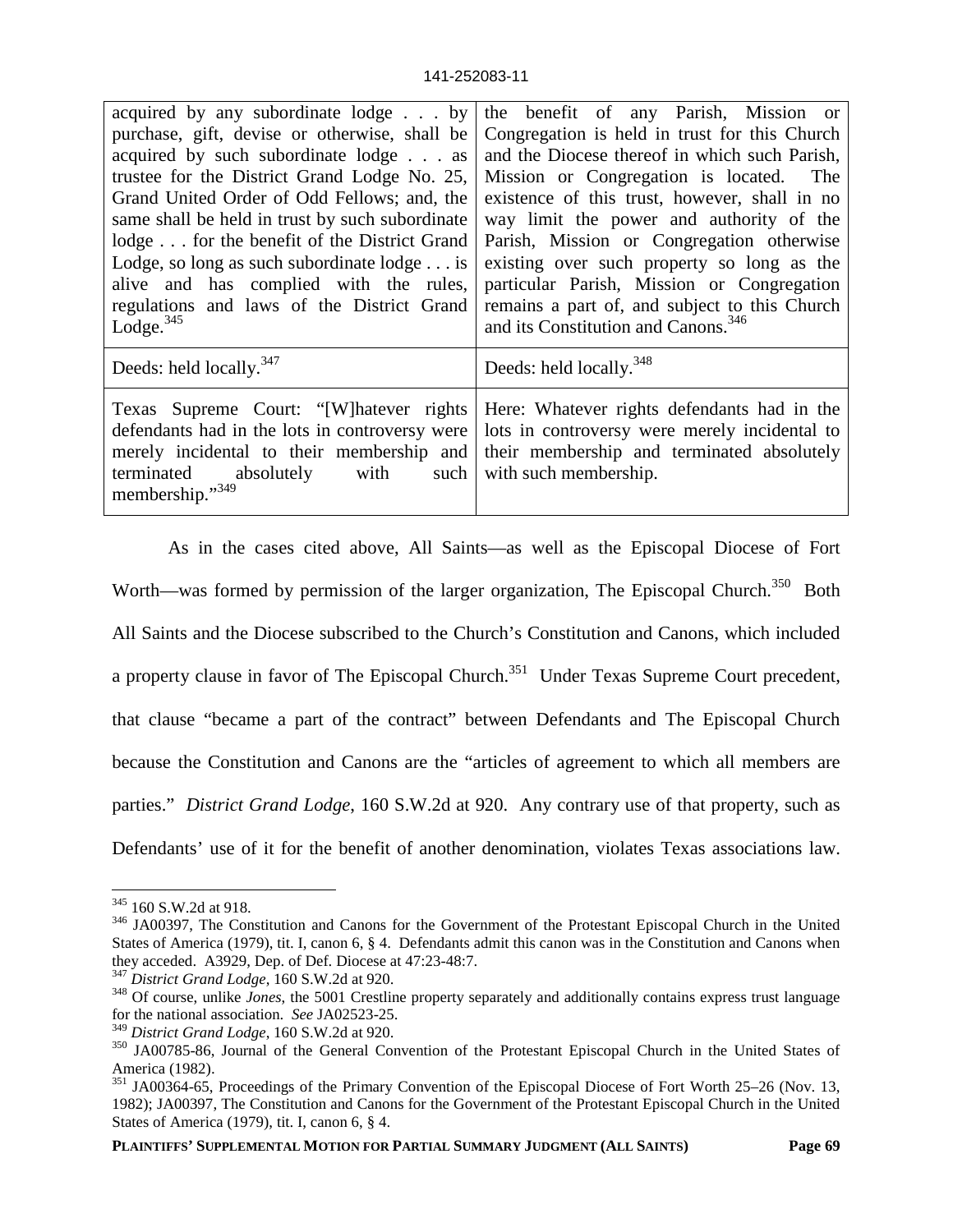| acquired by any subordinate lodge by<br>purchase, gift, devise or otherwise, shall be<br>acquired by such subordinate lodge as<br>trustee for the District Grand Lodge No. 25,<br>Grand United Order of Odd Fellows; and, the<br>same shall be held in trust by such subordinate<br>lodge for the benefit of the District Grand<br>Lodge, so long as such subordinate $\log e \dots$ is<br>alive and has complied with the rules,<br>regulations and laws of the District Grand<br>Lodge. $345$ | the benefit of any Parish, Mission or<br>Congregation is held in trust for this Church<br>and the Diocese thereof in which such Parish,<br>Mission or Congregation is located. The<br>existence of this trust, however, shall in no<br>way limit the power and authority of the<br>Parish, Mission or Congregation otherwise<br>existing over such property so long as the<br>particular Parish, Mission or Congregation<br>remains a part of, and subject to this Church<br>and its Constitution and Canons. <sup>346</sup> |
|-------------------------------------------------------------------------------------------------------------------------------------------------------------------------------------------------------------------------------------------------------------------------------------------------------------------------------------------------------------------------------------------------------------------------------------------------------------------------------------------------|------------------------------------------------------------------------------------------------------------------------------------------------------------------------------------------------------------------------------------------------------------------------------------------------------------------------------------------------------------------------------------------------------------------------------------------------------------------------------------------------------------------------------|
| Deeds: held locally. <sup>347</sup>                                                                                                                                                                                                                                                                                                                                                                                                                                                             | Deeds: held locally. <sup>348</sup>                                                                                                                                                                                                                                                                                                                                                                                                                                                                                          |
| Texas Supreme Court: "[W] hatever rights<br>defendants had in the lots in controversy were<br>absolutely with such<br>terminated<br>membership."349                                                                                                                                                                                                                                                                                                                                             | Here: Whatever rights defendants had in the<br>lots in controversy were merely incidental to<br>merely incidental to their membership and their membership and terminated absolutely<br>with such membership.                                                                                                                                                                                                                                                                                                                |

As in the cases cited above, All Saints—as well as the Episcopal Diocese of Fort Worth—was formed by permission of the larger organization, The Episcopal Church.<sup>350</sup> Both All Saints and the Diocese subscribed to the Church's Constitution and Canons, which included a property clause in favor of The Episcopal Church.<sup>351</sup> Under Texas Supreme Court precedent, that clause "became a part of the contract" between Defendants and The Episcopal Church because the Constitution and Canons are the "articles of agreement to which all members are parties." *District Grand Lodge*, 160 S.W.2d at 920. Any contrary use of that property, such as Defendants' use of it for the benefit of another denomination, violates Texas associations law.

<sup>&</sup>lt;sup>345</sup> 160 S.W.2d at 918.

<sup>346</sup> JA00397, The Constitution and Canons for the Government of the Protestant Episcopal Church in the United States of America (1979), tit. I, canon 6, § 4. Defendants admit this canon was in the Constitution and Canons when they acceded. A3929, Dep. of Def. Diocese at 47:23-48:7.

<sup>347</sup> *District Grand Lodge*, 160 S.W.2d at 920.

<sup>&</sup>lt;sup>348</sup> Of course, unlike *Jones*, the 5001 Crestline property separately and additionally contains express trust language for the national association. *See* JA02523-25.

<sup>349</sup> *District Grand Lodge*, 160 S.W.2d at 920.

<sup>350</sup> JA00785-86, Journal of the General Convention of the Protestant Episcopal Church in the United States of America (1982).

<sup>351</sup> JA00364-65, Proceedings of the Primary Convention of the Episcopal Diocese of Fort Worth 25–26 (Nov. 13, 1982); JA00397, The Constitution and Canons for the Government of the Protestant Episcopal Church in the United States of America (1979), tit. I, canon 6, § 4.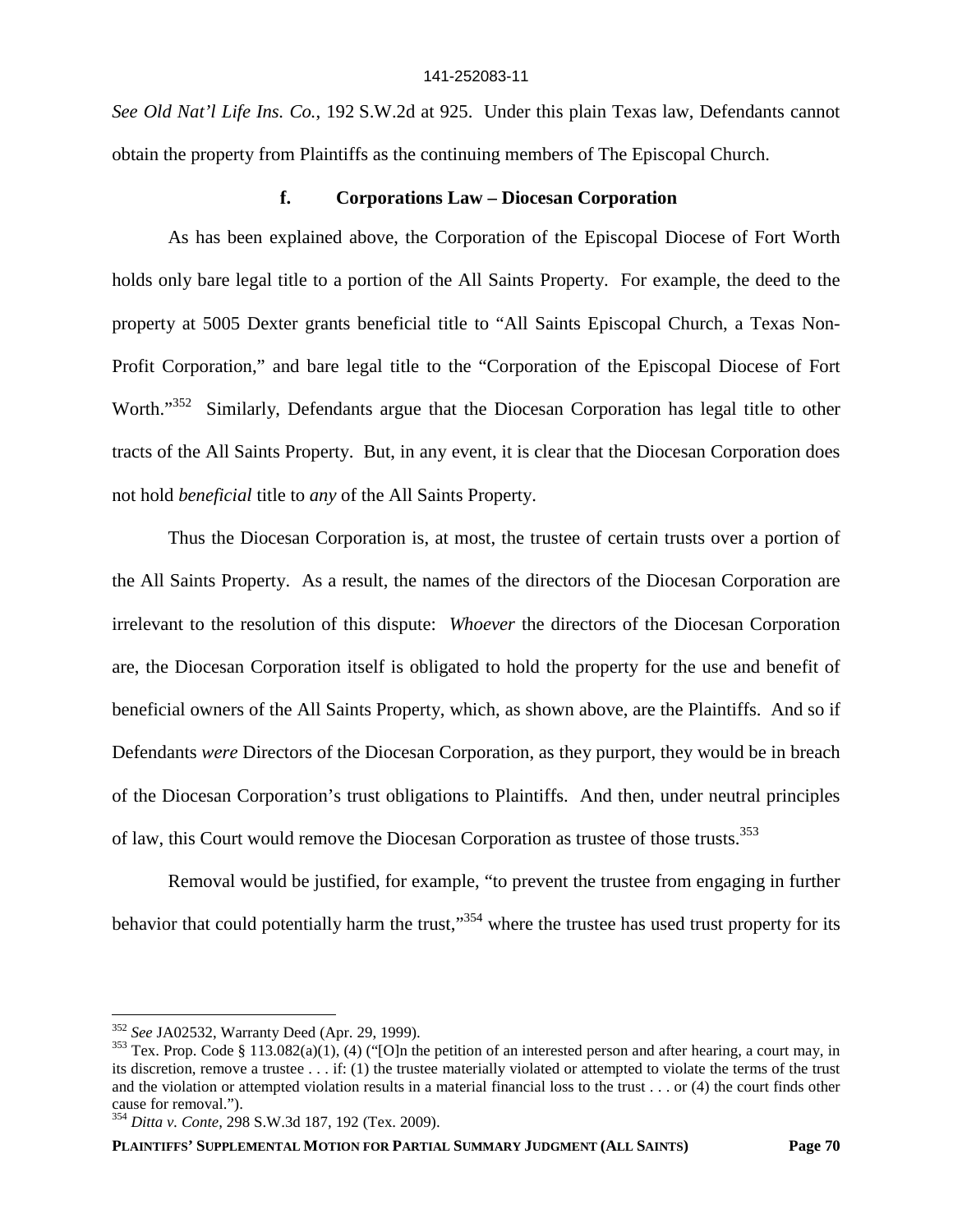*See Old Nat'l Life Ins. Co.*, 192 S.W.2d at 925. Under this plain Texas law, Defendants cannot obtain the property from Plaintiffs as the continuing members of The Episcopal Church.

### **f. Corporations Law – Diocesan Corporation**

As has been explained above, the Corporation of the Episcopal Diocese of Fort Worth holds only bare legal title to a portion of the All Saints Property. For example, the deed to the property at 5005 Dexter grants beneficial title to "All Saints Episcopal Church, a Texas Non-Profit Corporation," and bare legal title to the "Corporation of the Episcopal Diocese of Fort Worth."<sup>352</sup> Similarly, Defendants argue that the Diocesan Corporation has legal title to other tracts of the All Saints Property. But, in any event, it is clear that the Diocesan Corporation does not hold *beneficial* title to *any* of the All Saints Property.

Thus the Diocesan Corporation is, at most, the trustee of certain trusts over a portion of the All Saints Property. As a result, the names of the directors of the Diocesan Corporation are irrelevant to the resolution of this dispute: *Whoever* the directors of the Diocesan Corporation are, the Diocesan Corporation itself is obligated to hold the property for the use and benefit of beneficial owners of the All Saints Property, which, as shown above, are the Plaintiffs. And so if Defendants *were* Directors of the Diocesan Corporation, as they purport, they would be in breach of the Diocesan Corporation's trust obligations to Plaintiffs. And then, under neutral principles of law, this Court would remove the Diocesan Corporation as trustee of those trusts.<sup>353</sup>

Removal would be justified, for example, "to prevent the trustee from engaging in further behavior that could potentially harm the trust,"<sup>354</sup> where the trustee has used trust property for its

<sup>352</sup> *See* JA02532, Warranty Deed (Apr. 29, 1999).

<sup>&</sup>lt;sup>353</sup> Tex. Prop. Code § 113.082(a)(1), (4) ("[O]n the petition of an interested person and after hearing, a court may, in its discretion, remove a trustee . . . if: (1) the trustee materially violated or attempted to violate the terms of the trust and the violation or attempted violation results in a material financial loss to the trust . . . or (4) the court finds other cause for removal.").

<sup>354</sup> *Ditta v. Conte*, 298 S.W.3d 187, 192 (Tex. 2009).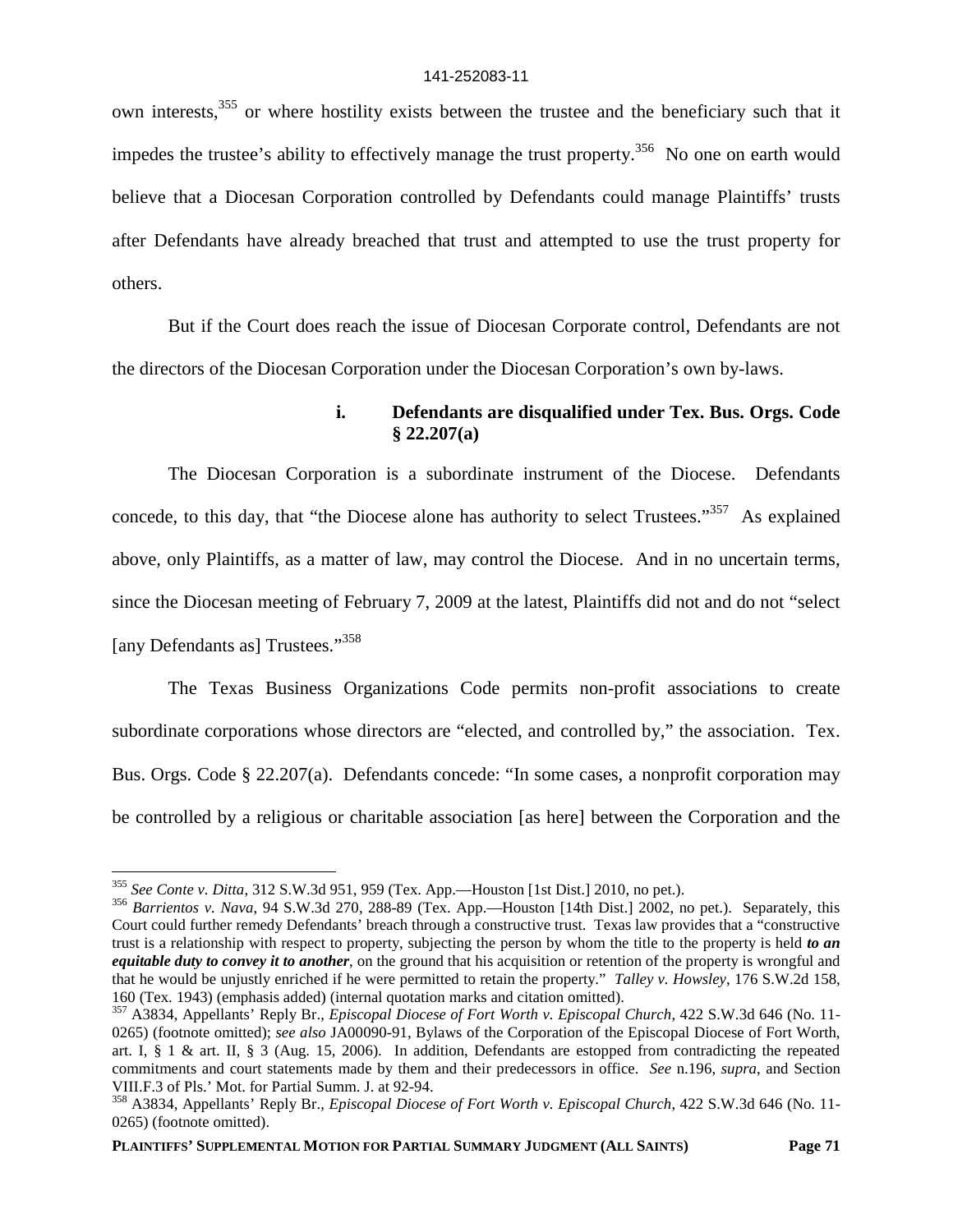own interests,<sup>355</sup> or where hostility exists between the trustee and the beneficiary such that it impedes the trustee's ability to effectively manage the trust property.<sup>356</sup> No one on earth would believe that a Diocesan Corporation controlled by Defendants could manage Plaintiffs' trusts after Defendants have already breached that trust and attempted to use the trust property for others.

But if the Court does reach the issue of Diocesan Corporate control, Defendants are not the directors of the Diocesan Corporation under the Diocesan Corporation's own by-laws.

### **i. Defendants are disqualified under Tex. Bus. Orgs. Code § 22.207(a)**

The Diocesan Corporation is a subordinate instrument of the Diocese. Defendants concede, to this day, that "the Diocese alone has authority to select Trustees."<sup>357</sup> As explained above, only Plaintiffs, as a matter of law, may control the Diocese. And in no uncertain terms, since the Diocesan meeting of February 7, 2009 at the latest, Plaintiffs did not and do not "select [any Defendants as] Trustees."<sup>358</sup>

The Texas Business Organizations Code permits non-profit associations to create subordinate corporations whose directors are "elected, and controlled by," the association. Tex. Bus. Orgs. Code § 22.207(a). Defendants concede: "In some cases, a nonprofit corporation may be controlled by a religious or charitable association [as here] between the Corporation and the

<sup>355</sup> *See Conte v. Ditta*, 312 S.W.3d 951, 959 (Tex. App.—Houston [1st Dist.] 2010, no pet.).

<sup>356</sup> *Barrientos v. Nava*, 94 S.W.3d 270, 288-89 (Tex. App.—Houston [14th Dist.] 2002, no pet.). Separately, this Court could further remedy Defendants' breach through a constructive trust. Texas law provides that a "constructive trust is a relationship with respect to property, subjecting the person by whom the title to the property is held *to an equitable duty to convey it to another*, on the ground that his acquisition or retention of the property is wrongful and that he would be unjustly enriched if he were permitted to retain the property." *Talley v. Howsley*, 176 S.W.2d 158, 160 (Tex. 1943) (emphasis added) (internal quotation marks and citation omitted).

<sup>357</sup> A3834, Appellants' Reply Br., *Episcopal Diocese of Fort Worth v. Episcopal Church*, 422 S.W.3d 646 (No. 11- 0265) (footnote omitted); *see also* JA00090-91, Bylaws of the Corporation of the Episcopal Diocese of Fort Worth, art. I, § 1 & art. II, § 3 (Aug. 15, 2006). In addition, Defendants are estopped from contradicting the repeated commitments and court statements made by them and their predecessors in office. *See* n.196, *supra*, and Section VIII.F.3 of Pls.' Mot. for Partial Summ. J. at 92-94.

<sup>358</sup> A3834, Appellants' Reply Br., *Episcopal Diocese of Fort Worth v. Episcopal Church*, 422 S.W.3d 646 (No. 11- 0265) (footnote omitted).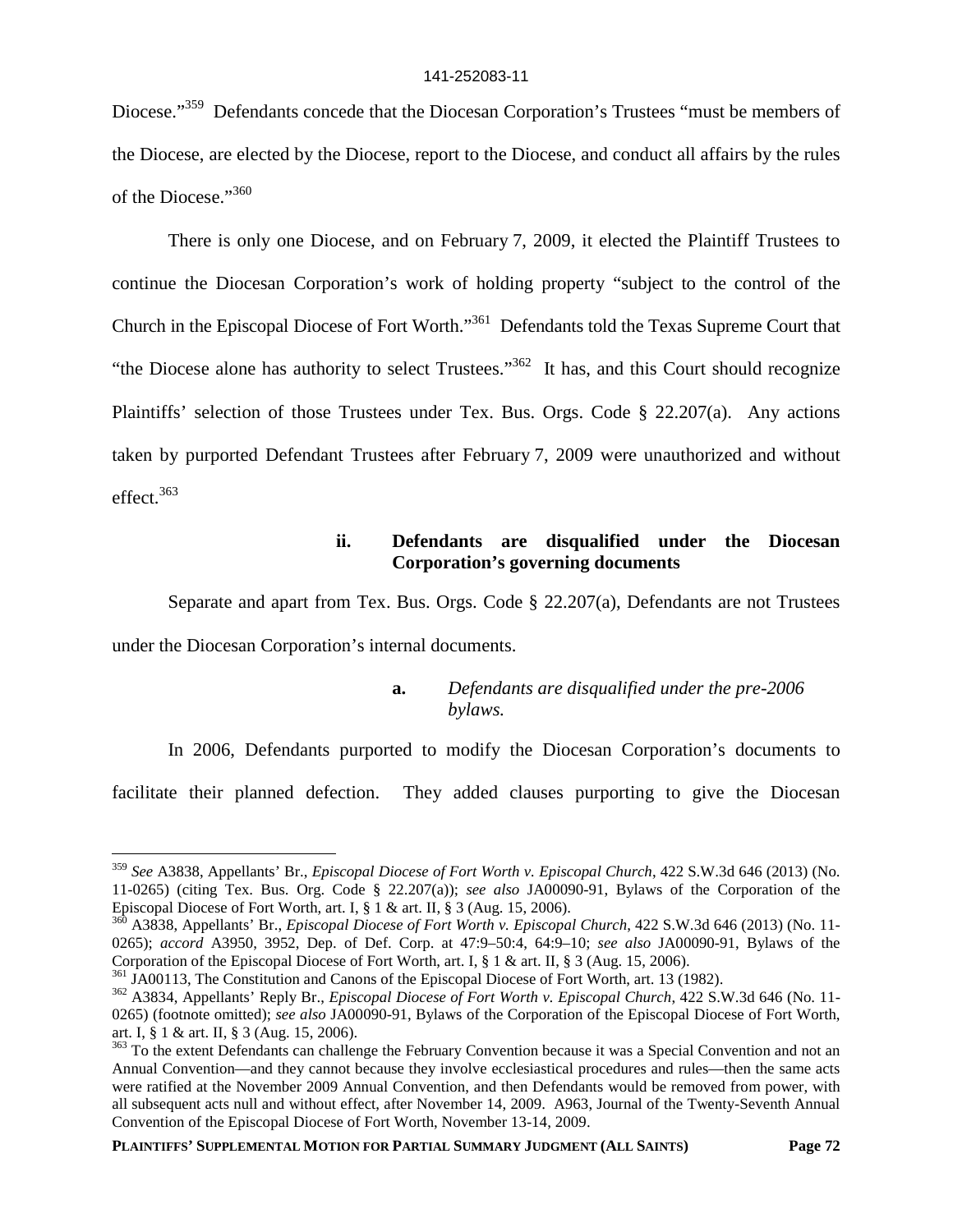Diocese."<sup>359</sup> Defendants concede that the Diocesan Corporation's Trustees "must be members of the Diocese, are elected by the Diocese, report to the Diocese, and conduct all affairs by the rules of the Diocese."360

There is only one Diocese, and on February 7, 2009, it elected the Plaintiff Trustees to continue the Diocesan Corporation's work of holding property "subject to the control of the Church in the Episcopal Diocese of Fort Worth."<sup>361</sup> Defendants told the Texas Supreme Court that "the Diocese alone has authority to select Trustees."<sup>362</sup> It has, and this Court should recognize Plaintiffs' selection of those Trustees under Tex. Bus. Orgs. Code § 22.207(a). Any actions taken by purported Defendant Trustees after February 7, 2009 were unauthorized and without effect. $363$ 

# **ii. Defendants are disqualified under the Diocesan Corporation's governing documents**

Separate and apart from Tex. Bus. Orgs. Code § 22.207(a), Defendants are not Trustees under the Diocesan Corporation's internal documents.

# **a.** *Defendants are disqualified under the pre-2006 bylaws.*

In 2006, Defendants purported to modify the Diocesan Corporation's documents to facilitate their planned defection. They added clauses purporting to give the Diocesan

<sup>359</sup> *See* A3838, Appellants' Br., *Episcopal Diocese of Fort Worth v. Episcopal Church*, 422 S.W.3d 646 (2013) (No. 11-0265) (citing Tex. Bus. Org. Code § 22.207(a)); *see also* JA00090-91, Bylaws of the Corporation of the Episcopal Diocese of Fort Worth, art. I, § 1 & art. II, § 3 (Aug. 15, 2006).

<sup>&</sup>lt;sup>360</sup> A3838, Appellants' Br., *Episcopal Diocese of Fort Worth v. Episcopal Church*, 422 S.W.3d 646 (2013) (No. 11-0265); *accord* A3950, 3952, Dep. of Def. Corp. at 47:9–50:4, 64:9–10; *see also* JA00090-91, Bylaws of the Corporation of the Episcopal Diocese of Fort Worth, art. I, § 1 & art. II, § 3 (Aug. 15, 2006).

<sup>361</sup> JA00113, The Constitution and Canons of the Episcopal Diocese of Fort Worth, art. 13 (1982).

<sup>362</sup> A3834, Appellants' Reply Br., *Episcopal Diocese of Fort Worth v. Episcopal Church*, 422 S.W.3d 646 (No. 11- 0265) (footnote omitted); *see also* JA00090-91, Bylaws of the Corporation of the Episcopal Diocese of Fort Worth, art. I, § 1 & art. II, § 3 (Aug. 15, 2006).

<sup>&</sup>lt;sup>363</sup> To the extent Defendants can challenge the February Convention because it was a Special Convention and not an Annual Convention—and they cannot because they involve ecclesiastical procedures and rules—then the same acts were ratified at the November 2009 Annual Convention, and then Defendants would be removed from power, with all subsequent acts null and without effect, after November 14, 2009. A963, Journal of the Twenty-Seventh Annual Convention of the Episcopal Diocese of Fort Worth, November 13-14, 2009.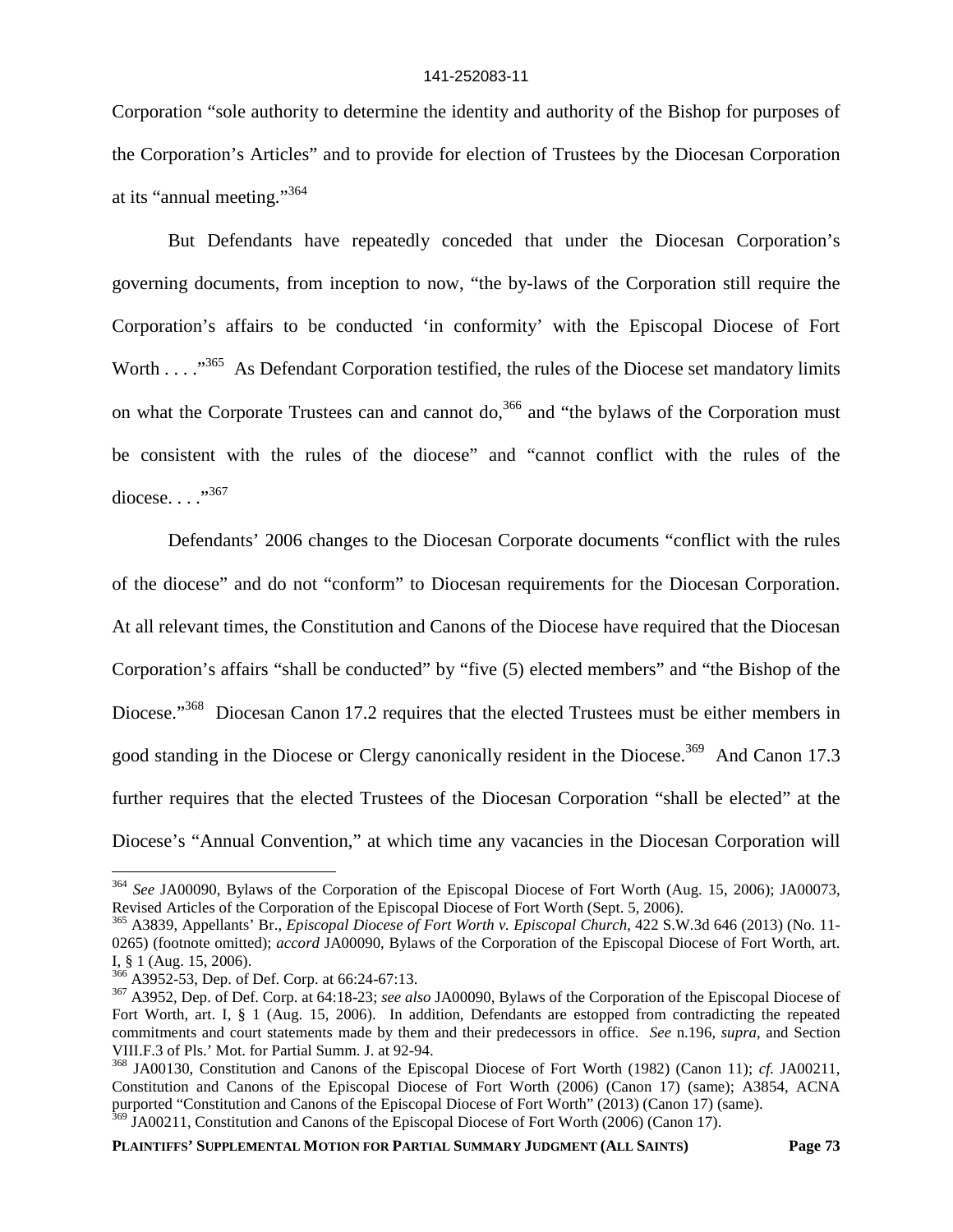Corporation "sole authority to determine the identity and authority of the Bishop for purposes of the Corporation's Articles" and to provide for election of Trustees by the Diocesan Corporation at its "annual meeting."<sup>364</sup>

But Defendants have repeatedly conceded that under the Diocesan Corporation's governing documents, from inception to now, "the by-laws of the Corporation still require the Corporation's affairs to be conducted 'in conformity' with the Episcopal Diocese of Fort Worth . . . . . . 365 As Defendant Corporation testified, the rules of the Diocese set mandatory limits on what the Corporate Trustees can and cannot do,<sup>366</sup> and "the bylaws of the Corporation must be consistent with the rules of the diocese" and "cannot conflict with the rules of the diocese... $^{,367}$ 

Defendants' 2006 changes to the Diocesan Corporate documents "conflict with the rules of the diocese" and do not "conform" to Diocesan requirements for the Diocesan Corporation. At all relevant times, the Constitution and Canons of the Diocese have required that the Diocesan Corporation's affairs "shall be conducted" by "five (5) elected members" and "the Bishop of the Diocese."<sup>368</sup> Diocesan Canon 17.2 requires that the elected Trustees must be either members in good standing in the Diocese or Clergy canonically resident in the Diocese.<sup>369</sup> And Canon 17.3 further requires that the elected Trustees of the Diocesan Corporation "shall be elected" at the Diocese's "Annual Convention," at which time any vacancies in the Diocesan Corporation will

<sup>364</sup> *See* JA00090, Bylaws of the Corporation of the Episcopal Diocese of Fort Worth (Aug. 15, 2006); JA00073, Revised Articles of the Corporation of the Episcopal Diocese of Fort Worth (Sept. 5, 2006).

<sup>365</sup> A3839, Appellants' Br., *Episcopal Diocese of Fort Worth v. Episcopal Church*, 422 S.W.3d 646 (2013) (No. 11- 0265) (footnote omitted); *accord* JA00090, Bylaws of the Corporation of the Episcopal Diocese of Fort Worth, art. I, § 1 (Aug. 15, 2006).

<sup>366</sup> A3952-53, Dep. of Def. Corp. at 66:24-67:13.

<sup>367</sup> A3952, Dep. of Def. Corp. at 64:18-23; *see also* JA00090, Bylaws of the Corporation of the Episcopal Diocese of Fort Worth, art. I, § 1 (Aug. 15, 2006). In addition, Defendants are estopped from contradicting the repeated commitments and court statements made by them and their predecessors in office. *See* n.196, *supra*, and Section VIII.F.3 of Pls.' Mot. for Partial Summ. J. at 92-94.

<sup>368</sup> JA00130, Constitution and Canons of the Episcopal Diocese of Fort Worth (1982) (Canon 11); *cf.* JA00211, Constitution and Canons of the Episcopal Diocese of Fort Worth (2006) (Canon 17) (same); A3854, ACNA purported "Constitution and Canons of the Episcopal Diocese of Fort Worth" (2013) (Canon 17) (same). <sup>369</sup> JA00211, Constitution and Canons of the Episcopal Diocese of Fort Worth (2006) (Canon 17).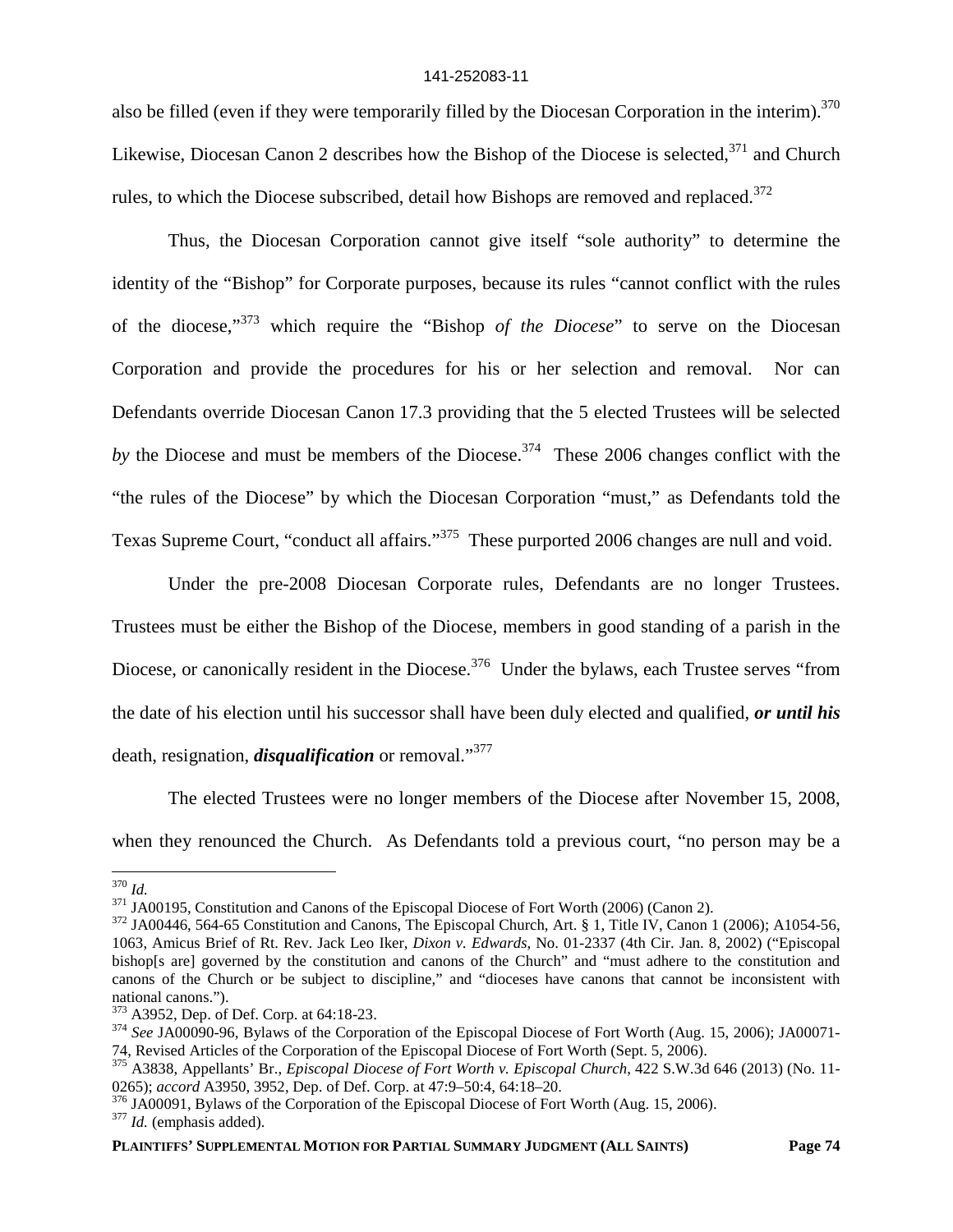also be filled (even if they were temporarily filled by the Diocesan Corporation in the interim).<sup>370</sup> Likewise, Diocesan Canon 2 describes how the Bishop of the Diocese is selected,  $371$  and Church rules, to which the Diocese subscribed, detail how Bishops are removed and replaced.<sup>372</sup>

Thus, the Diocesan Corporation cannot give itself "sole authority" to determine the identity of the "Bishop" for Corporate purposes, because its rules "cannot conflict with the rules of the diocese,"<sup>373</sup> which require the "Bishop *of the Diocese*" to serve on the Diocesan Corporation and provide the procedures for his or her selection and removal. Nor can Defendants override Diocesan Canon 17.3 providing that the 5 elected Trustees will be selected by the Diocese and must be members of the Diocese.<sup>374</sup> These 2006 changes conflict with the "the rules of the Diocese" by which the Diocesan Corporation "must," as Defendants told the Texas Supreme Court, "conduct all affairs."<sup>375</sup> These purported 2006 changes are null and void.

Under the pre-2008 Diocesan Corporate rules, Defendants are no longer Trustees. Trustees must be either the Bishop of the Diocese, members in good standing of a parish in the Diocese, or canonically resident in the Diocese.<sup>376</sup> Under the bylaws, each Trustee serves "from the date of his election until his successor shall have been duly elected and qualified, *or until his* death, resignation, *disqualification* or removal."<sup>377</sup>

The elected Trustees were no longer members of the Diocese after November 15, 2008, when they renounced the Church. As Defendants told a previous court, "no person may be a

<sup>370</sup> *Id.*

<sup>&</sup>lt;sup>371</sup> JA00195, Constitution and Canons of the Episcopal Diocese of Fort Worth (2006) (Canon 2).

 $372$  JA00446, 564-65 Constitution and Canons, The Episcopal Church, Art. § 1, Title IV, Canon 1 (2006); A1054-56, 1063, Amicus Brief of Rt. Rev. Jack Leo Iker, *Dixon v. Edwards*, No. 01-2337 (4th Cir. Jan. 8, 2002) ("Episcopal bishop[s are] governed by the constitution and canons of the Church" and "must adhere to the constitution and canons of the Church or be subject to discipline," and "dioceses have canons that cannot be inconsistent with national canons.").

<sup>373</sup> A3952, Dep. of Def. Corp. at 64:18-23.

<sup>&</sup>lt;sup>374</sup> See JA00090-96, Bylaws of the Corporation of the Episcopal Diocese of Fort Worth (Aug. 15, 2006); JA00071-74, Revised Articles of the Corporation of the Episcopal Diocese of Fort Worth (Sept. 5, 2006).

<sup>375</sup> A3838, Appellants' Br., *Episcopal Diocese of Fort Worth v. Episcopal Church*, 422 S.W.3d 646 (2013) (No. 11- 0265); *accord* A3950, 3952, Dep. of Def. Corp. at 47:9–50:4, 64:18–20.

<sup>&</sup>lt;sup>376</sup> JA00091, Bylaws of the Corporation of the Episcopal Diocese of Fort Worth (Aug. 15, 2006).

<sup>377</sup> *Id.* (emphasis added).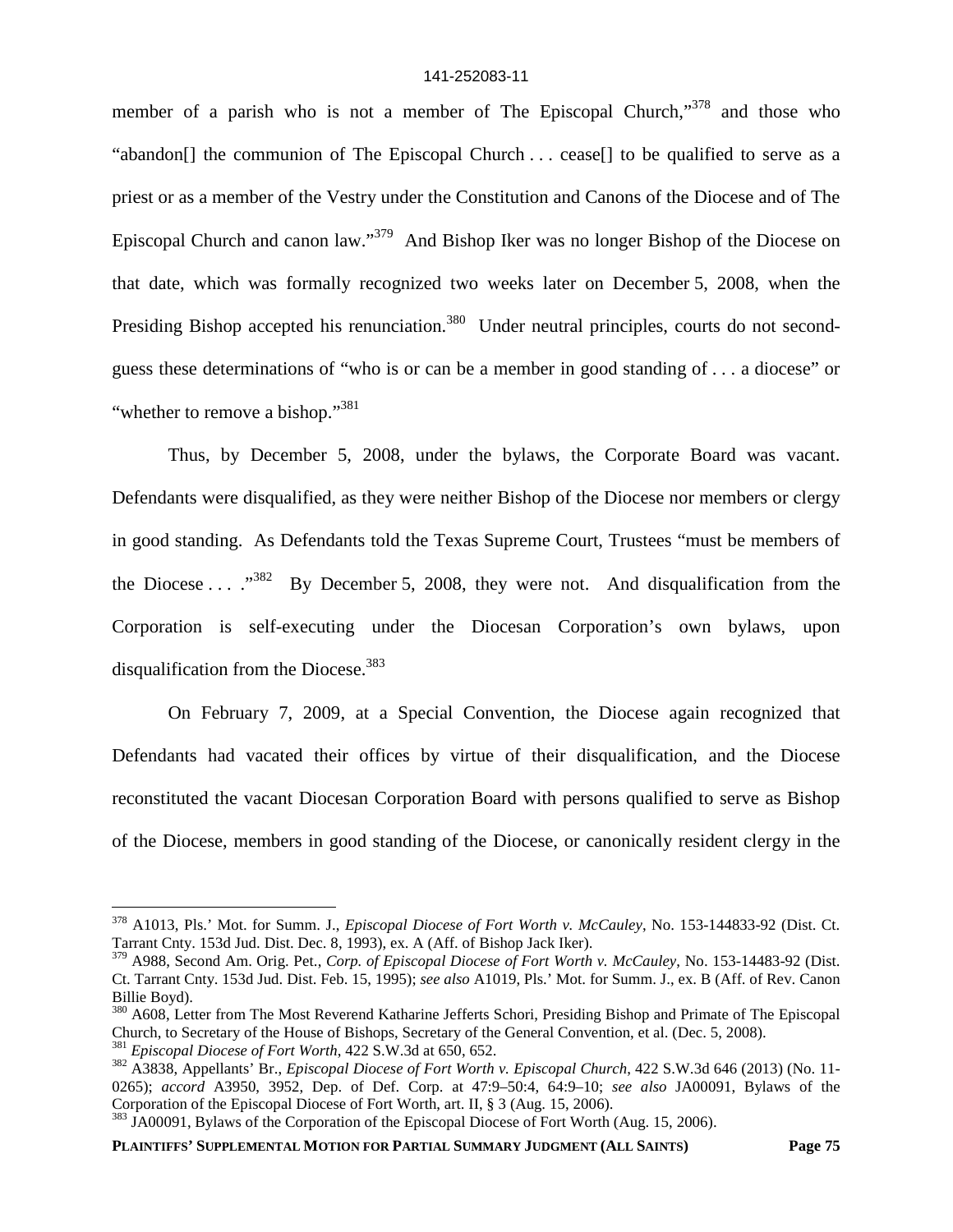member of a parish who is not a member of The Episcopal Church, $\frac{378}{300}$  and those who "abandon[] the communion of The Episcopal Church . . . cease[] to be qualified to serve as a priest or as a member of the Vestry under the Constitution and Canons of the Diocese and of The Episcopal Church and canon law."<sup>379</sup> And Bishop Iker was no longer Bishop of the Diocese on that date, which was formally recognized two weeks later on December 5, 2008, when the Presiding Bishop accepted his renunciation.<sup>380</sup> Under neutral principles, courts do not secondguess these determinations of "who is or can be a member in good standing of . . . a diocese" or "whether to remove a bishop."<sup>381</sup>"

Thus, by December 5, 2008, under the bylaws, the Corporate Board was vacant. Defendants were disqualified, as they were neither Bishop of the Diocese nor members or clergy in good standing. As Defendants told the Texas Supreme Court, Trustees "must be members of the Diocese ...  $.^{382}$  By December 5, 2008, they were not. And disqualification from the Corporation is self-executing under the Diocesan Corporation's own bylaws, upon disqualification from the Diocese.<sup>383</sup>

On February 7, 2009, at a Special Convention, the Diocese again recognized that Defendants had vacated their offices by virtue of their disqualification, and the Diocese reconstituted the vacant Diocesan Corporation Board with persons qualified to serve as Bishop of the Diocese, members in good standing of the Diocese, or canonically resident clergy in the

<sup>378</sup> A1013, Pls.' Mot. for Summ. J., *Episcopal Diocese of Fort Worth v. McCauley*, No. 153-144833-92 (Dist. Ct. Tarrant Cnty. 153d Jud. Dist. Dec. 8, 1993), ex. A (Aff. of Bishop Jack Iker).

<sup>379</sup> A988, Second Am. Orig. Pet., *Corp. of Episcopal Diocese of Fort Worth v. McCauley*, No. 153-14483-92 (Dist. Ct. Tarrant Cnty. 153d Jud. Dist. Feb. 15, 1995); *see also* A1019, Pls.' Mot. for Summ. J., ex. B (Aff. of Rev. Canon Billie Boyd).

<sup>&</sup>lt;sup>380</sup> A608, Letter from The Most Reverend Katharine Jefferts Schori, Presiding Bishop and Primate of The Episcopal Church, to Secretary of the House of Bishops, Secretary of the General Convention, et al. (Dec. 5, 2008). <sup>381</sup> *Episcopal Diocese of Fort Worth*, 422 S.W.3d at 650, 652.

<sup>382</sup> A3838, Appellants' Br., *Episcopal Diocese of Fort Worth v. Episcopal Church*, 422 S.W.3d 646 (2013) (No. 11- 0265); *accord* A3950, 3952, Dep. of Def. Corp. at 47:9–50:4, 64:9–10; *see also* JA00091, Bylaws of the Corporation of the Episcopal Diocese of Fort Worth, art. II, § 3 (Aug. 15, 2006).

<sup>&</sup>lt;sup>383</sup> JA00091, Bylaws of the Corporation of the Episcopal Diocese of Fort Worth (Aug. 15, 2006).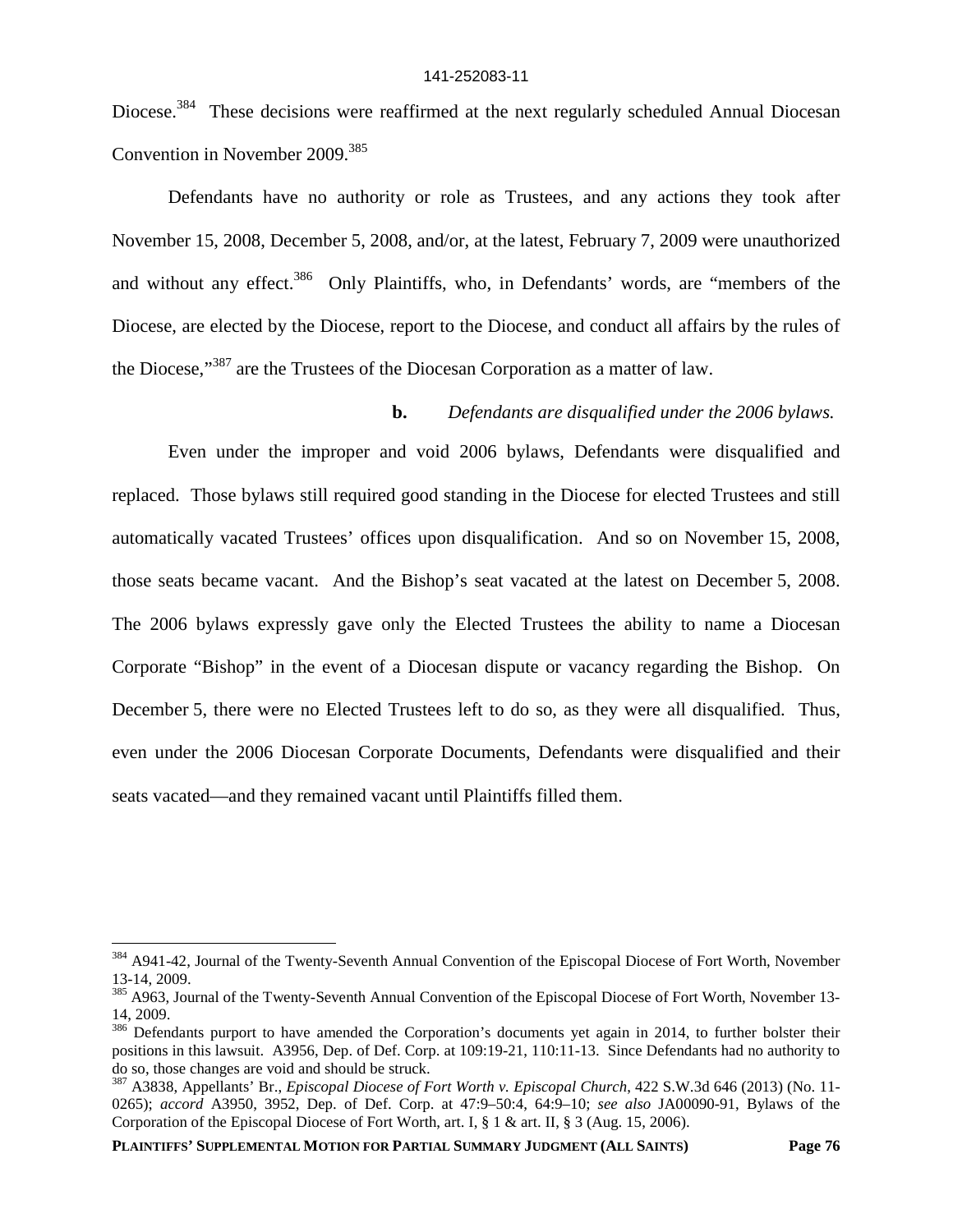Diocese.<sup>384</sup> These decisions were reaffirmed at the next regularly scheduled Annual Diocesan Convention in November 2009.<sup>385</sup>

Defendants have no authority or role as Trustees, and any actions they took after November 15, 2008, December 5, 2008, and/or, at the latest, February 7, 2009 were unauthorized and without any effect.<sup>386</sup> Only Plaintiffs, who, in Defendants' words, are "members of the Diocese, are elected by the Diocese, report to the Diocese, and conduct all affairs by the rules of the Diocese,"<sup>387</sup> are the Trustees of the Diocesan Corporation as a matter of law.

## **b.** *Defendants are disqualified under the 2006 bylaws.*

Even under the improper and void 2006 bylaws, Defendants were disqualified and replaced. Those bylaws still required good standing in the Diocese for elected Trustees and still automatically vacated Trustees' offices upon disqualification. And so on November 15, 2008, those seats became vacant. And the Bishop's seat vacated at the latest on December 5, 2008. The 2006 bylaws expressly gave only the Elected Trustees the ability to name a Diocesan Corporate "Bishop" in the event of a Diocesan dispute or vacancy regarding the Bishop. On December 5, there were no Elected Trustees left to do so, as they were all disqualified. Thus, even under the 2006 Diocesan Corporate Documents, Defendants were disqualified and their seats vacated—and they remained vacant until Plaintiffs filled them.

<sup>&</sup>lt;sup>384</sup> A941-42, Journal of the Twenty-Seventh Annual Convention of the Episcopal Diocese of Fort Worth, November 13-14, 2009.

<sup>385</sup> A963, Journal of the Twenty-Seventh Annual Convention of the Episcopal Diocese of Fort Worth, November 13-14, 2009.

<sup>&</sup>lt;sup>386</sup> Defendants purport to have amended the Corporation's documents yet again in 2014, to further bolster their positions in this lawsuit. A3956, Dep. of Def. Corp. at 109:19-21, 110:11-13. Since Defendants had no authority to do so, those changes are void and should be struck.

<sup>387</sup> A3838, Appellants' Br., *Episcopal Diocese of Fort Worth v. Episcopal Church*, 422 S.W.3d 646 (2013) (No. 11- 0265); *accord* A3950, 3952, Dep. of Def. Corp. at 47:9–50:4, 64:9–10; *see also* JA00090-91, Bylaws of the Corporation of the Episcopal Diocese of Fort Worth, art. I, § 1 & art. II, § 3 (Aug. 15, 2006).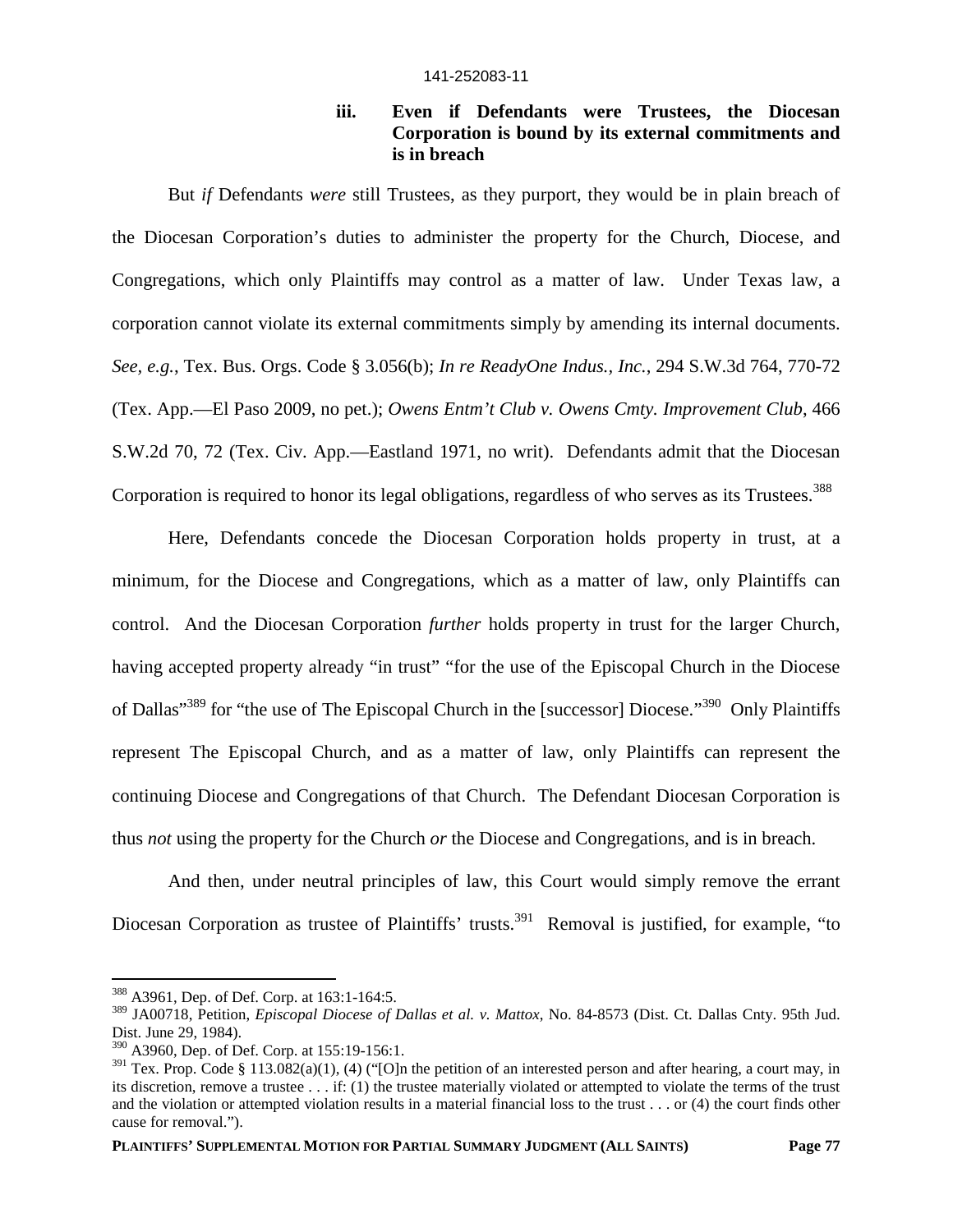## **iii. Even if Defendants were Trustees, the Diocesan Corporation is bound by its external commitments and is in breach**

But *if* Defendants *were* still Trustees, as they purport, they would be in plain breach of the Diocesan Corporation's duties to administer the property for the Church, Diocese, and Congregations, which only Plaintiffs may control as a matter of law. Under Texas law, a corporation cannot violate its external commitments simply by amending its internal documents. *See, e.g.*, Tex. Bus. Orgs. Code § 3.056(b); *In re ReadyOne Indus., Inc.*, 294 S.W.3d 764, 770-72 (Tex. App.—El Paso 2009, no pet.); *Owens Entm't Club v. Owens Cmty. Improvement Club*, 466 S.W.2d 70, 72 (Tex. Civ. App.—Eastland 1971, no writ). Defendants admit that the Diocesan Corporation is required to honor its legal obligations, regardless of who serves as its Trustees.<sup>388</sup>

Here, Defendants concede the Diocesan Corporation holds property in trust, at a minimum, for the Diocese and Congregations, which as a matter of law, only Plaintiffs can control. And the Diocesan Corporation *further* holds property in trust for the larger Church, having accepted property already "in trust" "for the use of the Episcopal Church in the Diocese of Dallas"<sup>389</sup> for "the use of The Episcopal Church in the [successor] Diocese."<sup>390</sup> Only Plaintiffs represent The Episcopal Church, and as a matter of law, only Plaintiffs can represent the continuing Diocese and Congregations of that Church. The Defendant Diocesan Corporation is thus *not* using the property for the Church *or* the Diocese and Congregations, and is in breach.

And then, under neutral principles of law, this Court would simply remove the errant Diocesan Corporation as trustee of Plaintiffs' trusts.<sup>391</sup> Removal is justified, for example, "to

<sup>388</sup> A3961, Dep. of Def. Corp. at 163:1-164:5.

<sup>389</sup> JA00718, Petition, *Episcopal Diocese of Dallas et al. v. Mattox*, No. 84-8573 (Dist. Ct. Dallas Cnty. 95th Jud. Dist. June 29, 1984).

<sup>390</sup> A3960, Dep. of Def. Corp. at 155:19-156:1.

 $391$  Tex. Prop. Code § 113.082(a)(1), (4) ("[O]n the petition of an interested person and after hearing, a court may, in its discretion, remove a trustee . . . if: (1) the trustee materially violated or attempted to violate the terms of the trust and the violation or attempted violation results in a material financial loss to the trust . . . or (4) the court finds other cause for removal.").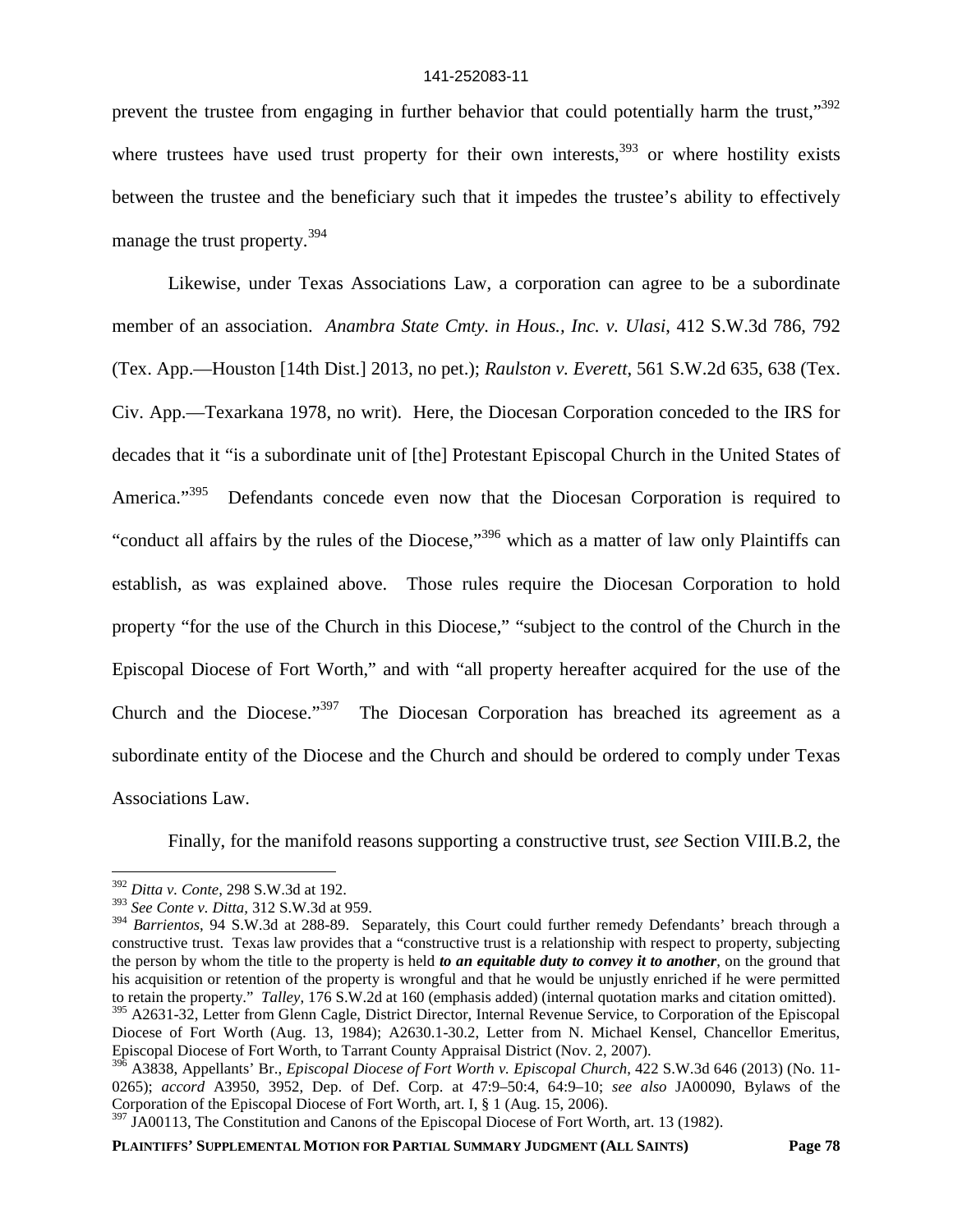prevent the trustee from engaging in further behavior that could potentially harm the trust,"392 where trustees have used trust property for their own interests,  $393$  or where hostility exists between the trustee and the beneficiary such that it impedes the trustee's ability to effectively manage the trust property.<sup>394</sup>

Likewise, under Texas Associations Law, a corporation can agree to be a subordinate member of an association. *Anambra State Cmty. in Hous., Inc. v. Ulasi*, 412 S.W.3d 786, 792 (Tex. App.—Houston [14th Dist.] 2013, no pet.); *Raulston v. Everett*, 561 S.W.2d 635, 638 (Tex. Civ. App.—Texarkana 1978, no writ). Here, the Diocesan Corporation conceded to the IRS for decades that it "is a subordinate unit of [the] Protestant Episcopal Church in the United States of America.<sup>395</sup> Defendants concede even now that the Diocesan Corporation is required to "conduct all affairs by the rules of the Diocese,"<sup>396</sup> which as a matter of law only Plaintiffs can establish, as was explained above. Those rules require the Diocesan Corporation to hold property "for the use of the Church in this Diocese," "subject to the control of the Church in the Episcopal Diocese of Fort Worth," and with "all property hereafter acquired for the use of the Church and the Diocese."<sup>397</sup> The Diocesan Corporation has breached its agreement as a subordinate entity of the Diocese and the Church and should be ordered to comply under Texas Associations Law.

Finally, for the manifold reasons supporting a constructive trust, *see* Section VIII.B.2, the

<sup>392</sup> *Ditta v. Conte*, 298 S.W.3d at 192.

<sup>393</sup> *See Conte v. Ditta,* 312 S.W.3d at 959.

<sup>&</sup>lt;sup>394</sup> Barrientos, 94 S.W.3d at 288-89. Separately, this Court could further remedy Defendants' breach through a constructive trust. Texas law provides that a "constructive trust is a relationship with respect to property, subjecting the person by whom the title to the property is held *to an equitable duty to convey it to another*, on the ground that his acquisition or retention of the property is wrongful and that he would be unjustly enriched if he were permitted to retain the property." *Talley*, 176 S.W.2d at 160 (emphasis added) (internal quotation marks and citation omitted).

<sup>&</sup>lt;sup>395</sup> A2631-32, Letter from Glenn Cagle, District Director, Internal Revenue Service, to Corporation of the Episcopal Diocese of Fort Worth (Aug. 13, 1984); A2630.1-30.2, Letter from N. Michael Kensel, Chancellor Emeritus, Episcopal Diocese of Fort Worth, to Tarrant County Appraisal District (Nov. 2, 2007).

<sup>396</sup> A3838, Appellants' Br., *Episcopal Diocese of Fort Worth v. Episcopal Church*, 422 S.W.3d 646 (2013) (No. 11- 0265); *accord* A3950, 3952, Dep. of Def. Corp. at 47:9–50:4, 64:9–10; *see also* JA00090, Bylaws of the Corporation of the Episcopal Diocese of Fort Worth, art. I, § 1 (Aug. 15, 2006).

 $397 \text{ JA}00113$ , The Constitution and Canons of the Episcopal Diocese of Fort Worth, art. 13 (1982).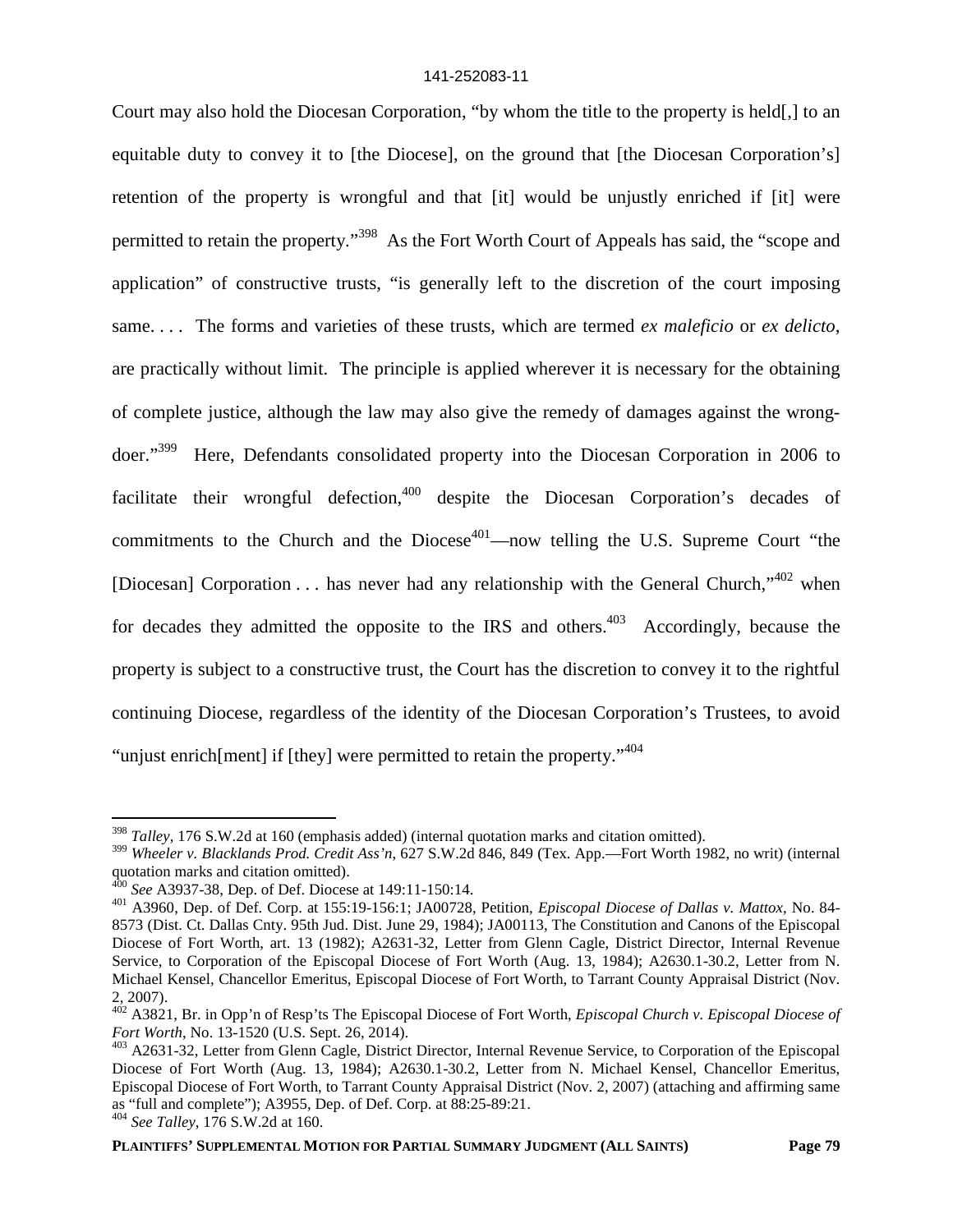Court may also hold the Diocesan Corporation, "by whom the title to the property is held[,] to an equitable duty to convey it to [the Diocese], on the ground that [the Diocesan Corporation's] retention of the property is wrongful and that [it] would be unjustly enriched if [it] were permitted to retain the property."<sup>398</sup> As the Fort Worth Court of Appeals has said, the "scope and application" of constructive trusts, "is generally left to the discretion of the court imposing same. . . . The forms and varieties of these trusts, which are termed *ex maleficio* or *ex delicto*, are practically without limit. The principle is applied wherever it is necessary for the obtaining of complete justice, although the law may also give the remedy of damages against the wrongdoer."<sup>399</sup> Here, Defendants consolidated property into the Diocesan Corporation in 2006 to facilitate their wrongful defection,<sup>400</sup> despite the Diocesan Corporation's decades of commitments to the Church and the Diocese<sup> $401$ </sup>—now telling the U.S. Supreme Court "the [Diocesan] Corporation . . . has never had any relationship with the General Church,"  $402$  when for decades they admitted the opposite to the IRS and others.<sup>403</sup> Accordingly, because the property is subject to a constructive trust, the Court has the discretion to convey it to the rightful continuing Diocese, regardless of the identity of the Diocesan Corporation's Trustees, to avoid "unjust enrich ment if [they] were permitted to retain the property."<sup>404</sup>

<sup>398</sup> *Talley*, 176 S.W.2d at 160 (emphasis added) (internal quotation marks and citation omitted).

<sup>399</sup> *Wheeler v. Blacklands Prod. Credit Ass'n*, 627 S.W.2d 846, 849 (Tex. App.—Fort Worth 1982, no writ) (internal quotation marks and citation omitted).

<sup>400</sup> *See* A3937-38, Dep. of Def. Diocese at 149:11-150:14.

<sup>401</sup> A3960, Dep. of Def. Corp. at 155:19-156:1; JA00728, Petition, *Episcopal Diocese of Dallas v. Mattox*, No. 84- 8573 (Dist. Ct. Dallas Cnty. 95th Jud. Dist. June 29, 1984); JA00113, The Constitution and Canons of the Episcopal Diocese of Fort Worth, art. 13 (1982); A2631-32, Letter from Glenn Cagle, District Director, Internal Revenue Service, to Corporation of the Episcopal Diocese of Fort Worth (Aug. 13, 1984); A2630.1-30.2, Letter from N. Michael Kensel, Chancellor Emeritus, Episcopal Diocese of Fort Worth, to Tarrant County Appraisal District (Nov. 2, 2007).

<sup>402</sup> A3821, Br. in Opp'n of Resp'ts The Episcopal Diocese of Fort Worth, *Episcopal Church v. Episcopal Diocese of Fort Worth*, No. 13-1520 (U.S. Sept. 26, 2014).

<sup>&</sup>lt;sup>403</sup> A2631-32, Letter from Glenn Cagle, District Director, Internal Revenue Service, to Corporation of the Episcopal Diocese of Fort Worth (Aug. 13, 1984); A2630.1-30.2, Letter from N. Michael Kensel, Chancellor Emeritus, Episcopal Diocese of Fort Worth, to Tarrant County Appraisal District (Nov. 2, 2007) (attaching and affirming same as "full and complete"); A3955, Dep. of Def. Corp. at 88:25-89:21.

<sup>404</sup> *See Talley*, 176 S.W.2d at 160.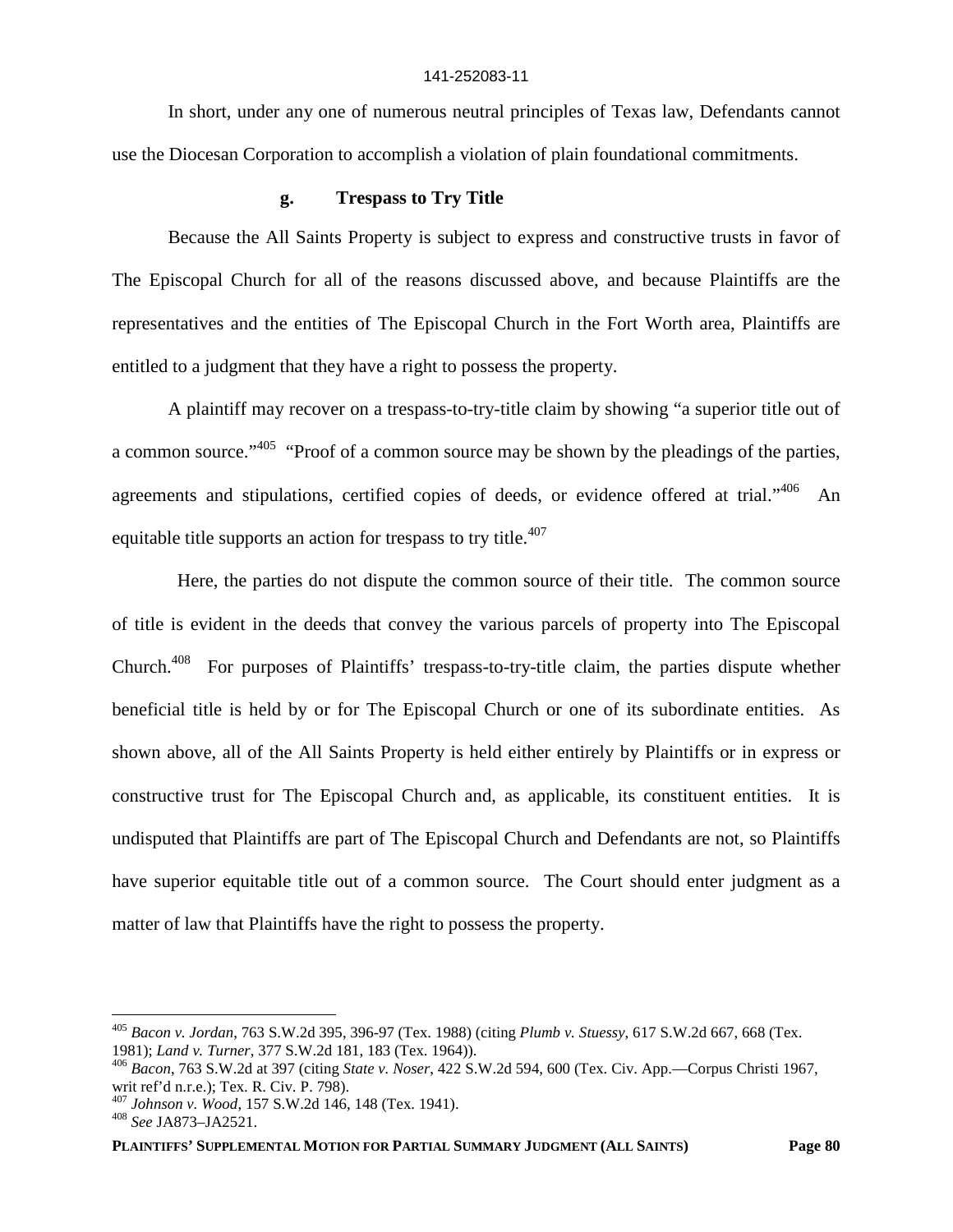In short, under any one of numerous neutral principles of Texas law, Defendants cannot use the Diocesan Corporation to accomplish a violation of plain foundational commitments.

### **g. Trespass to Try Title**

Because the All Saints Property is subject to express and constructive trusts in favor of The Episcopal Church for all of the reasons discussed above, and because Plaintiffs are the representatives and the entities of The Episcopal Church in the Fort Worth area, Plaintiffs are entitled to a judgment that they have a right to possess the property.

A plaintiff may recover on a trespass-to-try-title claim by showing "a superior title out of a common source."<sup>405</sup> "Proof of a common source may be shown by the pleadings of the parties, agreements and stipulations, certified copies of deeds, or evidence offered at trial."<sup>406</sup> An equitable title supports an action for trespass to try title.<sup>407</sup>

Here, the parties do not dispute the common source of their title. The common source of title is evident in the deeds that convey the various parcels of property into The Episcopal Church.<sup>408</sup> For purposes of Plaintiffs' trespass-to-try-title claim, the parties dispute whether beneficial title is held by or for The Episcopal Church or one of its subordinate entities. As shown above, all of the All Saints Property is held either entirely by Plaintiffs or in express or constructive trust for The Episcopal Church and, as applicable, its constituent entities. It is undisputed that Plaintiffs are part of The Episcopal Church and Defendants are not, so Plaintiffs have superior equitable title out of a common source. The Court should enter judgment as a matter of law that Plaintiffs have the right to possess the property.

**PLAINTIFFS' SUPPLEMENTAL MOTION FOR PARTIAL SUMMARY JUDGMENT (ALL SAINTS) Page 80**

<sup>405</sup> *Bacon v. Jordan*, 763 S.W.2d 395, 396-97 (Tex. 1988) (citing *Plumb v. Stuessy*, 617 S.W.2d 667, 668 (Tex. 1981); *Land v. Turner*, 377 S.W.2d 181, 183 (Tex. 1964)).

<sup>406</sup> *Bacon*, 763 S.W.2d at 397 (citing *State v. Noser*, 422 S.W.2d 594, 600 (Tex. Civ. App.—Corpus Christi 1967, writ ref'd n.r.e.); Tex. R. Civ. P. 798).

<sup>407</sup> *Johnson v. Wood*, 157 S.W.2d 146, 148 (Tex. 1941).

<sup>408</sup> *See* JA873–JA2521.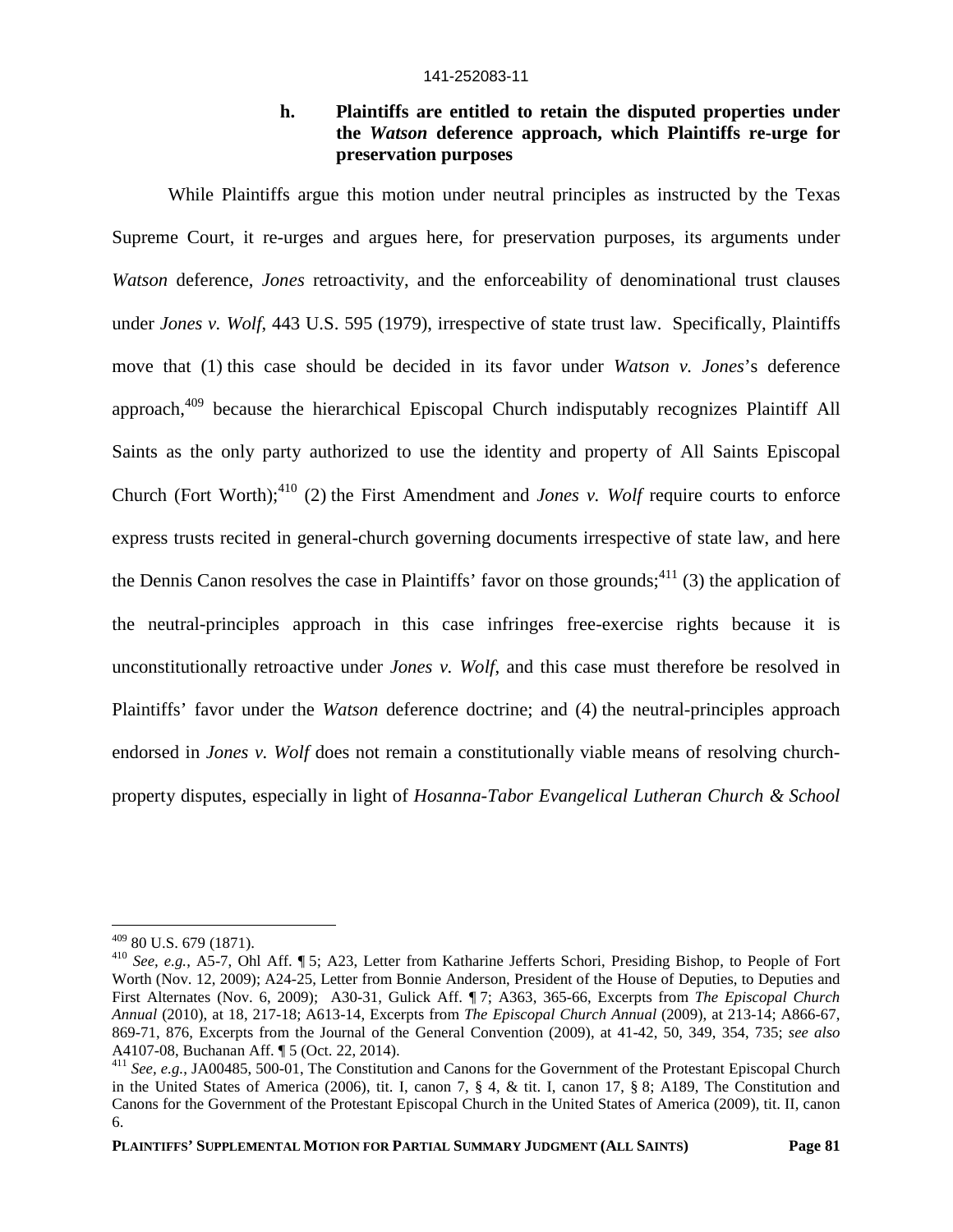## **h. Plaintiffs are entitled to retain the disputed properties under the** *Watson* **deference approach, which Plaintiffs re-urge for preservation purposes**

While Plaintiffs argue this motion under neutral principles as instructed by the Texas Supreme Court, it re-urges and argues here, for preservation purposes, its arguments under *Watson* deference, *Jones* retroactivity, and the enforceability of denominational trust clauses under *Jones v. Wolf*, 443 U.S. 595 (1979), irrespective of state trust law. Specifically, Plaintiffs move that (1) this case should be decided in its favor under *Watson v. Jones*'s deference approach, $409$  because the hierarchical Episcopal Church indisputably recognizes Plaintiff All Saints as the only party authorized to use the identity and property of All Saints Episcopal Church (Fort Worth); $^{410}$  (2) the First Amendment and *Jones v. Wolf* require courts to enforce express trusts recited in general-church governing documents irrespective of state law, and here the Dennis Canon resolves the case in Plaintiffs' favor on those grounds;<sup>411</sup> (3) the application of the neutral-principles approach in this case infringes free-exercise rights because it is unconstitutionally retroactive under *Jones v. Wolf*, and this case must therefore be resolved in Plaintiffs' favor under the *Watson* deference doctrine; and (4) the neutral-principles approach endorsed in *Jones v. Wolf* does not remain a constitutionally viable means of resolving churchproperty disputes, especially in light of *Hosanna-Tabor Evangelical Lutheran Church & School*

<sup>409</sup> 80 U.S. 679 (1871).

<sup>410</sup> *See, e.g.*, A5-7, Ohl Aff. ¶ 5; A23, Letter from Katharine Jefferts Schori, Presiding Bishop, to People of Fort Worth (Nov. 12, 2009); A24-25, Letter from Bonnie Anderson, President of the House of Deputies, to Deputies and First Alternates (Nov. 6, 2009); A30-31, Gulick Aff. ¶ 7; A363, 365-66, Excerpts from *The Episcopal Church Annual* (2010), at 18, 217-18; A613-14, Excerpts from *The Episcopal Church Annual* (2009), at 213-14; A866-67, 869-71, 876, Excerpts from the Journal of the General Convention (2009), at 41-42, 50, 349, 354, 735; *see also* A4107-08, Buchanan Aff. ¶ 5 (Oct. 22, 2014).

<sup>411</sup> *See, e.g.*, JA00485, 500-01, The Constitution and Canons for the Government of the Protestant Episcopal Church in the United States of America (2006), tit. I, canon 7, § 4, & tit. I, canon 17, § 8; A189, The Constitution and Canons for the Government of the Protestant Episcopal Church in the United States of America (2009), tit. II, canon 6.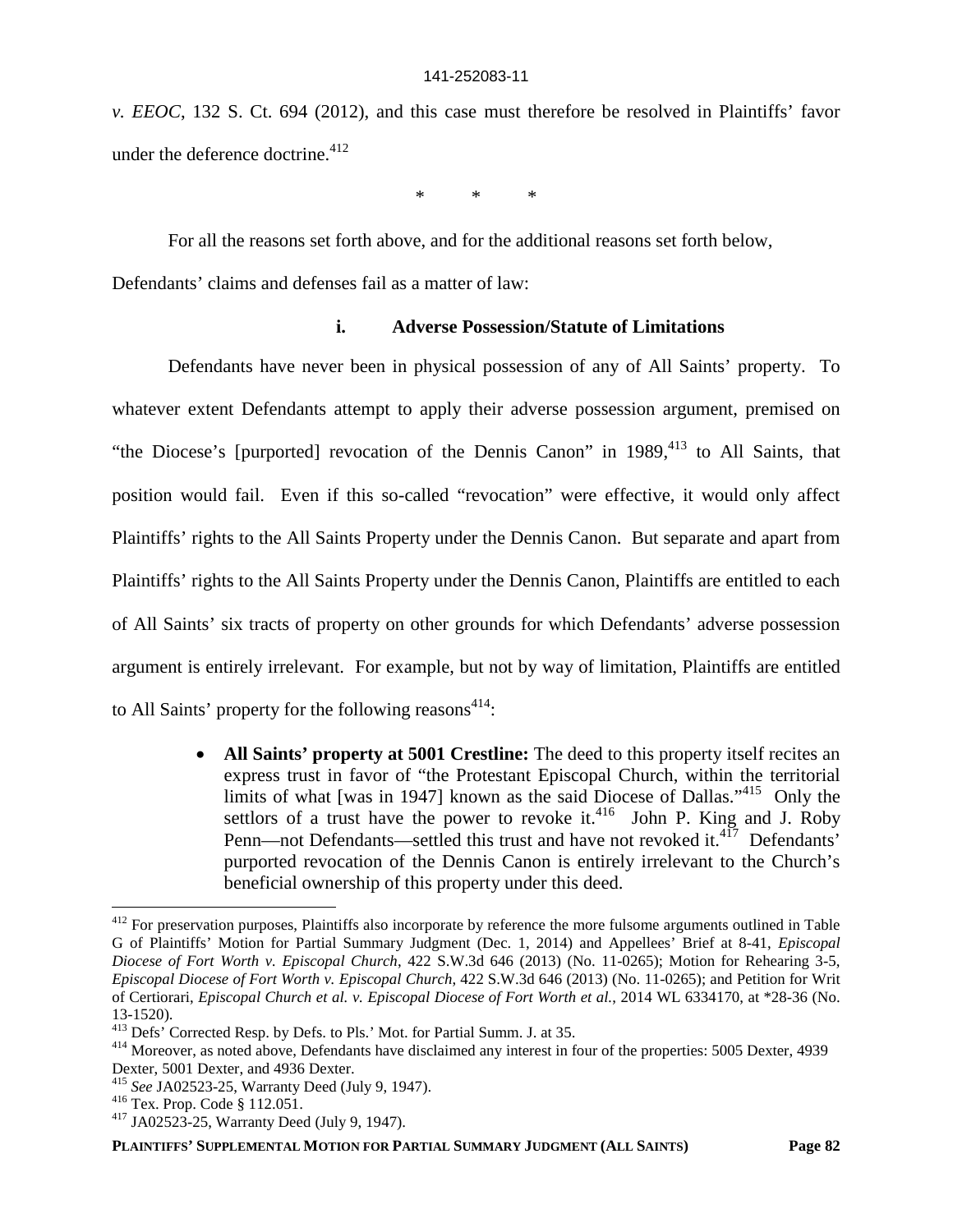*v. EEOC*, 132 S. Ct. 694 (2012), and this case must therefore be resolved in Plaintiffs' favor under the deference doctrine. $412$ 

\* \* \*

For all the reasons set forth above, and for the additional reasons set forth below,

Defendants' claims and defenses fail as a matter of law:

### **i. Adverse Possession/Statute of Limitations**

Defendants have never been in physical possession of any of All Saints' property. To whatever extent Defendants attempt to apply their adverse possession argument, premised on "the Diocese's [purported] revocation of the Dennis Canon" in  $1989$ ,  $413$  to All Saints, that position would fail. Even if this so-called "revocation" were effective, it would only affect Plaintiffs' rights to the All Saints Property under the Dennis Canon. But separate and apart from Plaintiffs' rights to the All Saints Property under the Dennis Canon, Plaintiffs are entitled to each of All Saints' six tracts of property on other grounds for which Defendants' adverse possession argument is entirely irrelevant. For example, but not by way of limitation, Plaintiffs are entitled to All Saints' property for the following reasons<sup>414</sup>:

> **All Saints' property at 5001 Crestline:** The deed to this property itself recites an express trust in favor of "the Protestant Episcopal Church, within the territorial limits of what [was in 1947] known as the said Diocese of Dallas."<sup>415</sup> Only the settlors of a trust have the power to revoke it.<sup>416</sup> John P. King and J. Roby Penn—not Defendants—settled this trust and have not revoked it.<sup>417</sup> Defendants' purported revocation of the Dennis Canon is entirely irrelevant to the Church's beneficial ownership of this property under this deed.

<sup>&</sup>lt;sup>412</sup> For preservation purposes, Plaintiffs also incorporate by reference the more fulsome arguments outlined in Table G of Plaintiffs' Motion for Partial Summary Judgment (Dec. 1, 2014) and Appellees' Brief at 8-41, *Episcopal Diocese of Fort Worth v. Episcopal Church*, 422 S.W.3d 646 (2013) (No. 11-0265); Motion for Rehearing 3-5, *Episcopal Diocese of Fort Worth v. Episcopal Church*, 422 S.W.3d 646 (2013) (No. 11-0265); and Petition for Writ of Certiorari, *Episcopal Church et al. v. Episcopal Diocese of Fort Worth et al.*, 2014 WL 6334170, at \*28-36 (No. 13-1520).

<sup>&</sup>lt;sup>413</sup> Defs' Corrected Resp. by Defs. to Pls.' Mot. for Partial Summ. J. at 35.

<sup>&</sup>lt;sup>414</sup> Moreover, as noted above, Defendants have disclaimed any interest in four of the properties: 5005 Dexter, 4939 Dexter, 5001 Dexter, and 4936 Dexter.

<sup>415</sup> *See* JA02523-25, Warranty Deed (July 9, 1947).

<sup>416</sup> Tex. Prop. Code § 112.051.

<sup>417</sup> JA02523-25, Warranty Deed (July 9, 1947).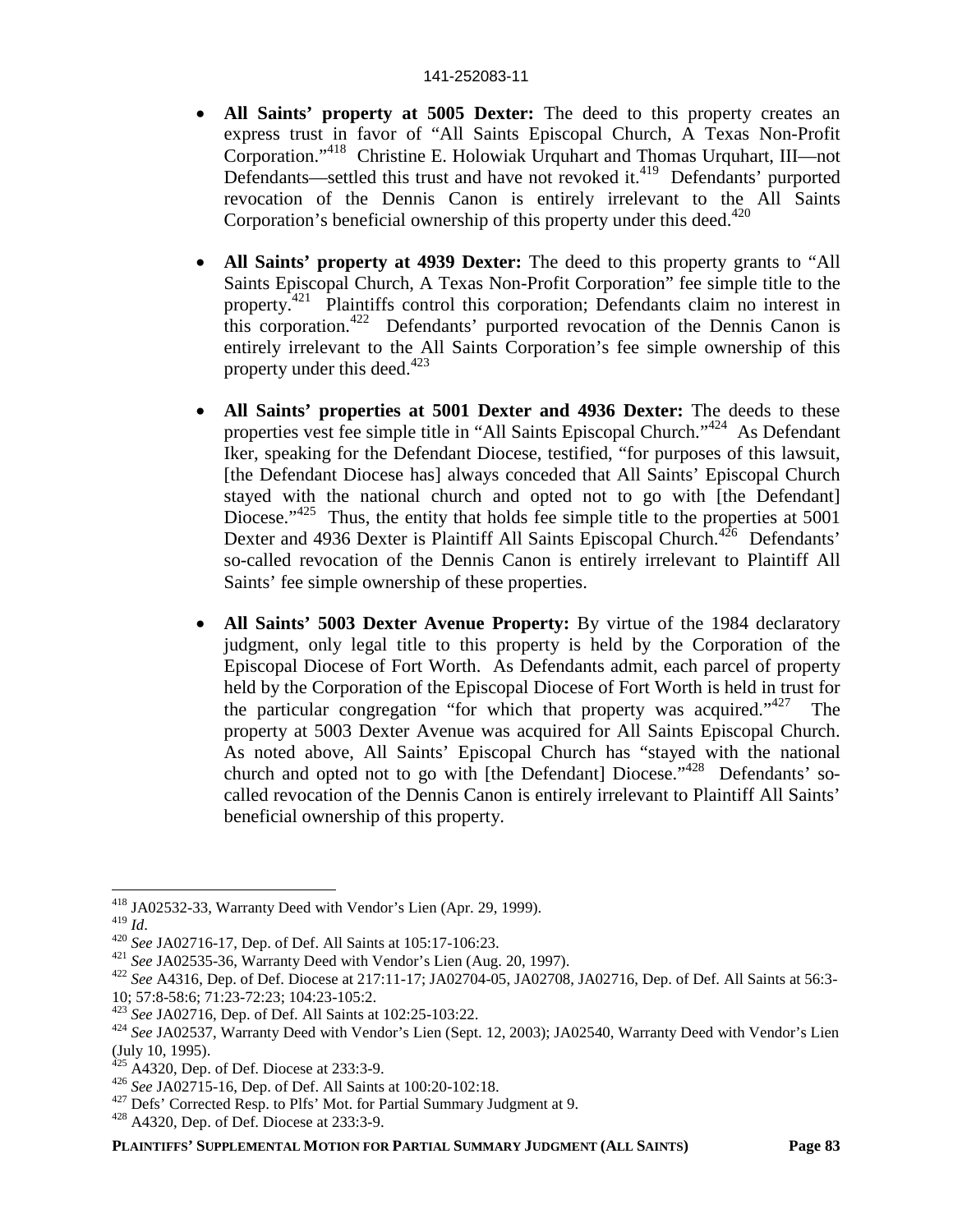- **All Saints' property at 5005 Dexter:** The deed to this property creates an express trust in favor of "All Saints Episcopal Church, A Texas Non-Profit Corporation."<sup>418</sup> Christine E. Holowiak Urquhart and Thomas Urquhart, III—not Defendants—settled this trust and have not revoked it.<sup>419</sup> Defendants' purported revocation of the Dennis Canon is entirely irrelevant to the All Saints Corporation's beneficial ownership of this property under this deed.<sup> $420$ </sup>
- **All Saints' property at 4939 Dexter:** The deed to this property grants to "All Saints Episcopal Church, A Texas Non-Profit Corporation" fee simple title to the property.<sup>421</sup> Plaintiffs control this corporation; Defendants claim no interest in this corporation.<sup>422</sup> Defendants' purported revocation of the Dennis Canon is entirely irrelevant to the All Saints Corporation's fee simple ownership of this property under this deed. $423$
- **All Saints' properties at 5001 Dexter and 4936 Dexter:** The deeds to these properties vest fee simple title in "All Saints Episcopal Church."<sup>424</sup> As Defendant Iker, speaking for the Defendant Diocese, testified, "for purposes of this lawsuit, [the Defendant Diocese has] always conceded that All Saints' Episcopal Church stayed with the national church and opted not to go with [the Defendant] Diocese."<sup>425</sup> Thus, the entity that holds fee simple title to the properties at 5001 Dexter and 4936 Dexter is Plaintiff All Saints Episcopal Church.<sup>426</sup> Defendants' so-called revocation of the Dennis Canon is entirely irrelevant to Plaintiff All Saints' fee simple ownership of these properties.
- **All Saints' 5003 Dexter Avenue Property:** By virtue of the 1984 declaratory judgment, only legal title to this property is held by the Corporation of the Episcopal Diocese of Fort Worth. As Defendants admit, each parcel of property held by the Corporation of the Episcopal Diocese of Fort Worth is held in trust for the particular congregation "for which that property was acquired."<sup>427</sup> The property at 5003 Dexter Avenue was acquired for All Saints Episcopal Church. As noted above, All Saints' Episcopal Church has "stayed with the national church and opted not to go with [the Defendant] Diocese."<sup>428</sup> Defendants' socalled revocation of the Dennis Canon is entirely irrelevant to Plaintiff All Saints' beneficial ownership of this property.

<sup>418</sup> JA02532-33, Warranty Deed with Vendor's Lien (Apr. 29, 1999).

<sup>419</sup> *Id*.

<sup>420</sup> *See* JA02716-17, Dep. of Def. All Saints at 105:17-106:23.

<sup>421</sup> *See* JA02535-36, Warranty Deed with Vendor's Lien (Aug. 20, 1997).

<sup>422</sup> *See* A4316, Dep. of Def. Diocese at 217:11-17; JA02704-05, JA02708, JA02716, Dep. of Def. All Saints at 56:3- 10; 57:8-58:6; 71:23-72:23; 104:23-105:2.

<sup>423</sup> *See* JA02716, Dep. of Def. All Saints at 102:25-103:22.

<sup>424</sup> *See* JA02537, Warranty Deed with Vendor's Lien (Sept. 12, 2003); JA02540, Warranty Deed with Vendor's Lien  $\left(\text{July } 10, 1995\right).$ 

<sup>425</sup> A4320, Dep. of Def. Diocese at 233:3-9.

<sup>426</sup> *See* JA02715-16, Dep. of Def. All Saints at 100:20-102:18.

<sup>&</sup>lt;sup>427</sup> Defs' Corrected Resp. to Plfs' Mot. for Partial Summary Judgment at 9.

<sup>428</sup> A4320, Dep. of Def. Diocese at 233:3-9.

**PLAINTIFFS' SUPPLEMENTAL MOTION FOR PARTIAL SUMMARY JUDGMENT (ALL SAINTS) Page 83**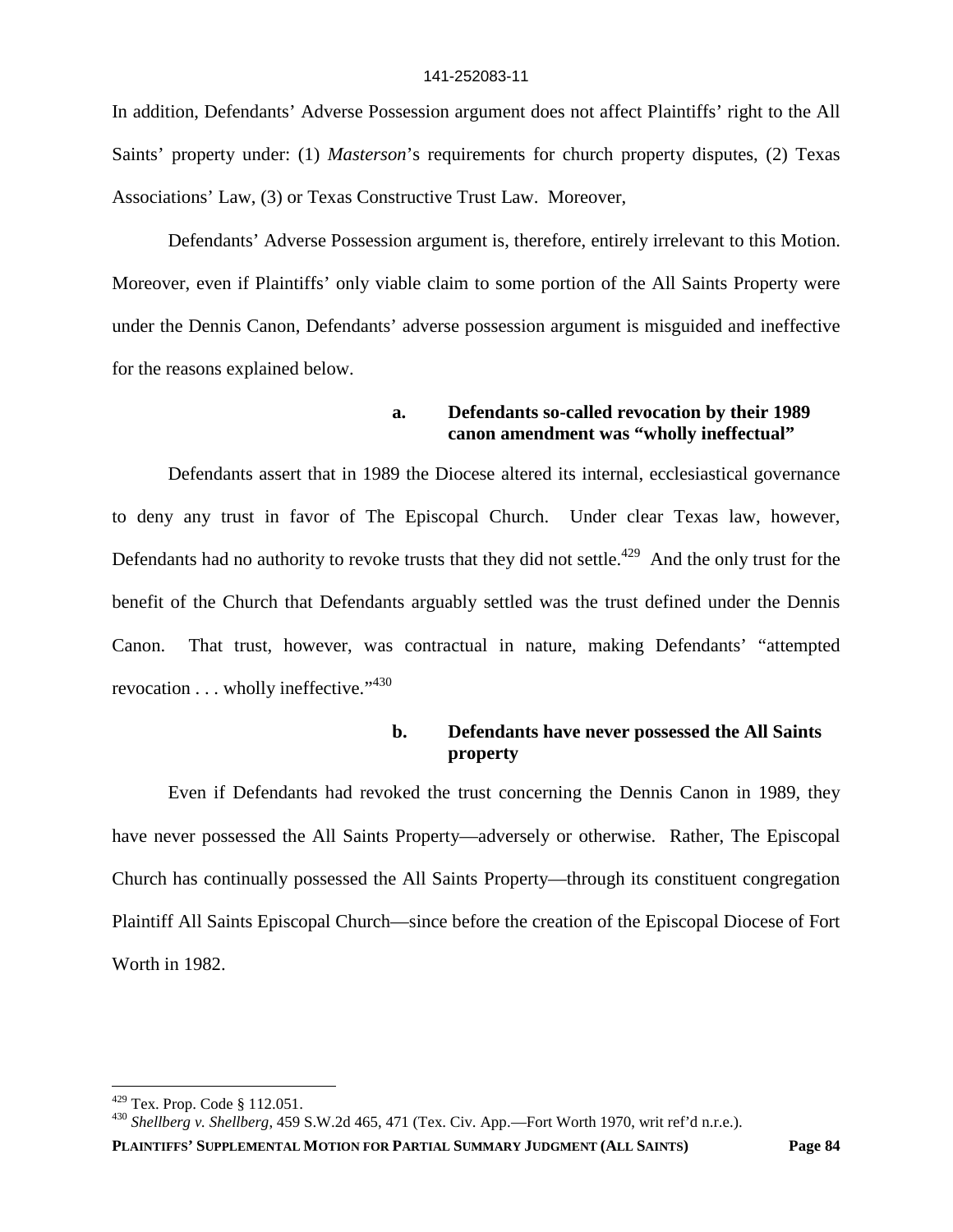In addition, Defendants' Adverse Possession argument does not affect Plaintiffs' right to the All Saints' property under: (1) *Masterson*'s requirements for church property disputes, (2) Texas Associations' Law, (3) or Texas Constructive Trust Law. Moreover,

Defendants' Adverse Possession argument is, therefore, entirely irrelevant to this Motion. Moreover, even if Plaintiffs' only viable claim to some portion of the All Saints Property were under the Dennis Canon, Defendants' adverse possession argument is misguided and ineffective for the reasons explained below.

### **a. Defendants so-called revocation by their 1989 canon amendment was "wholly ineffectual"**

Defendants assert that in 1989 the Diocese altered its internal, ecclesiastical governance to deny any trust in favor of The Episcopal Church. Under clear Texas law, however, Defendants had no authority to revoke trusts that they did not settle.<sup> $429$ </sup> And the only trust for the benefit of the Church that Defendants arguably settled was the trust defined under the Dennis Canon. That trust, however, was contractual in nature, making Defendants' "attempted revocation . . . wholly ineffective."<sup>430</sup>

# **b. Defendants have never possessed the All Saints property**

Even if Defendants had revoked the trust concerning the Dennis Canon in 1989, they have never possessed the All Saints Property—adversely or otherwise. Rather, The Episcopal Church has continually possessed the All Saints Property—through its constituent congregation Plaintiff All Saints Episcopal Church—since before the creation of the Episcopal Diocese of Fort Worth in 1982.

<sup>429</sup> Tex. Prop. Code § 112.051.

<sup>430</sup> *Shellberg v. Shellberg*, 459 S.W.2d 465, 471 (Tex. Civ. App.—Fort Worth 1970, writ ref'd n.r.e.).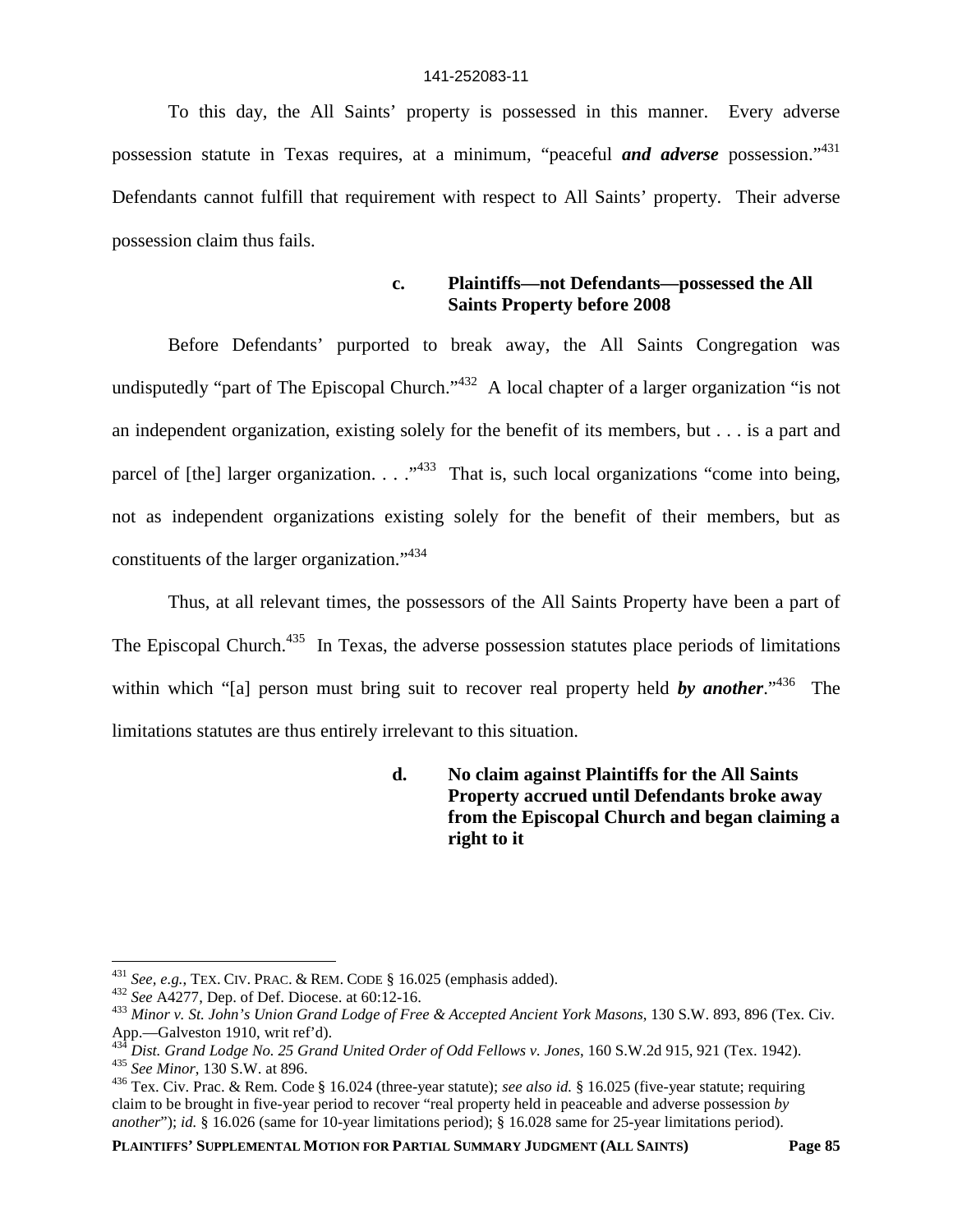To this day, the All Saints' property is possessed in this manner. Every adverse possession statute in Texas requires, at a minimum, "peaceful *and adverse* possession."<sup>431</sup> Defendants cannot fulfill that requirement with respect to All Saints' property. Their adverse possession claim thus fails.

> **c. Plaintiffs—not Defendants—possessed the All Saints Property before 2008**

Before Defendants' purported to break away, the All Saints Congregation was undisputedly "part of The Episcopal Church."<sup>432</sup> A local chapter of a larger organization "is not an independent organization, existing solely for the benefit of its members, but . . . is a part and parcel of [the] larger organization.  $\ldots$   $\cdot$   $\cdot$  That is, such local organizations "come into being, not as independent organizations existing solely for the benefit of their members, but as constituents of the larger organization."<sup>434</sup>

Thus, at all relevant times, the possessors of the All Saints Property have been a part of The Episcopal Church.<sup>435</sup> In Texas, the adverse possession statutes place periods of limitations within which "[a] person must bring suit to recover real property held **by another**."<sup>436</sup> The limitations statutes are thus entirely irrelevant to this situation.

> **d. No claim against Plaintiffs for the All Saints Property accrued until Defendants broke away from the Episcopal Church and began claiming a right to it**

<sup>431</sup> *See, e.g.*, TEX. CIV. PRAC. & REM. CODE § 16.025 (emphasis added).

<sup>432</sup> *See* A4277, Dep. of Def. Diocese. at 60:12-16.

<sup>433</sup> *Minor v. St. John's Union Grand Lodge of Free & Accepted Ancient York Masons*, 130 S.W. 893, 896 (Tex. Civ. App.—Galveston 1910, writ ref'd).

<sup>434</sup> *Dist. Grand Lodge No. 25 Grand United Order of Odd Fellows v. Jones*, 160 S.W.2d 915, 921 (Tex. 1942). <sup>435</sup> *See Minor*, 130 S.W. at 896.

<sup>436</sup> Tex. Civ. Prac. & Rem. Code § 16.024 (three-year statute); *see also id.* § 16.025 (five-year statute; requiring claim to be brought in five-year period to recover "real property held in peaceable and adverse possession *by another*"); *id.* § 16.026 (same for 10-year limitations period); § 16.028 same for 25-year limitations period).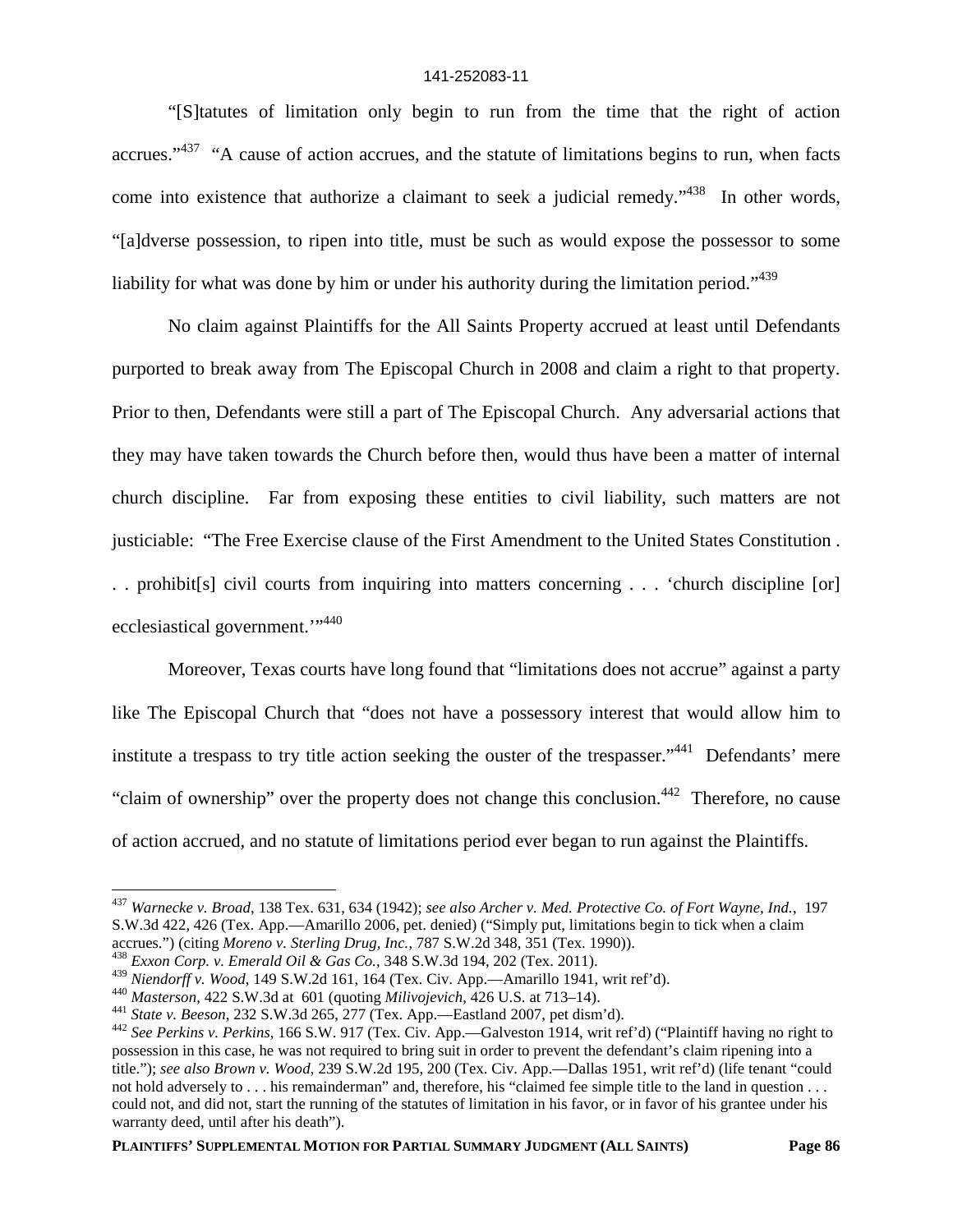"[S]tatutes of limitation only begin to run from the time that the right of action accrues."<sup>437</sup> "A cause of action accrues, and the statute of limitations begins to run, when facts come into existence that authorize a claimant to seek a judicial remedy."<sup>438</sup> In other words, "[a]dverse possession, to ripen into title, must be such as would expose the possessor to some liability for what was done by him or under his authority during the limitation period."<sup>439</sup>

No claim against Plaintiffs for the All Saints Property accrued at least until Defendants purported to break away from The Episcopal Church in 2008 and claim a right to that property. Prior to then, Defendants were still a part of The Episcopal Church. Any adversarial actions that they may have taken towards the Church before then, would thus have been a matter of internal church discipline. Far from exposing these entities to civil liability, such matters are not justiciable: "The Free Exercise clause of the First Amendment to the United States Constitution . . . prohibit[s] civil courts from inquiring into matters concerning . . . 'church discipline [or] ecclesiastical government."<sup>440</sup>

Moreover, Texas courts have long found that "limitations does not accrue" against a party like The Episcopal Church that "does not have a possessory interest that would allow him to institute a trespass to try title action seeking the ouster of the trespasser."<sup>441</sup> Defendants' mere "claim of ownership" over the property does not change this conclusion.<sup>442</sup> Therefore, no cause of action accrued, and no statute of limitations period ever began to run against the Plaintiffs.

<sup>437</sup> *Warnecke v. Broad*, 138 Tex. 631, 634 (1942); *see also Archer v. Med. Protective Co. of Fort Wayne, Ind.*, 197 S.W.3d 422, 426 (Tex. App.—Amarillo 2006, pet. denied) ("Simply put, limitations begin to tick when a claim accrues.") (citing *Moreno v. Sterling Drug, Inc.*, 787 S.W.2d 348, 351 (Tex. 1990)).

<sup>438</sup> *Exxon Corp. v. Emerald Oil & Gas Co.*, 348 S.W.3d 194, 202 (Tex. 2011).

<sup>439</sup> *Niendorff v. Wood*, 149 S.W.2d 161, 164 (Tex. Civ. App.—Amarillo 1941, writ ref'd).

<sup>440</sup> *Masterson*, 422 S.W.3d at 601 (quoting *Milivojevich*, 426 U.S. at 713–14).

<sup>441</sup> *State v. Beeson*, 232 S.W.3d 265, 277 (Tex. App.—Eastland 2007, pet dism'd).

<sup>442</sup> *See Perkins v. Perkins*, 166 S.W. 917 (Tex. Civ. App.—Galveston 1914, writ ref'd) ("Plaintiff having no right to possession in this case, he was not required to bring suit in order to prevent the defendant's claim ripening into a title."); *see also Brown v. Wood*, 239 S.W.2d 195, 200 (Tex. Civ. App.—Dallas 1951, writ ref'd) (life tenant "could not hold adversely to . . . his remainderman" and, therefore, his "claimed fee simple title to the land in question . . . could not, and did not, start the running of the statutes of limitation in his favor, or in favor of his grantee under his warranty deed, until after his death").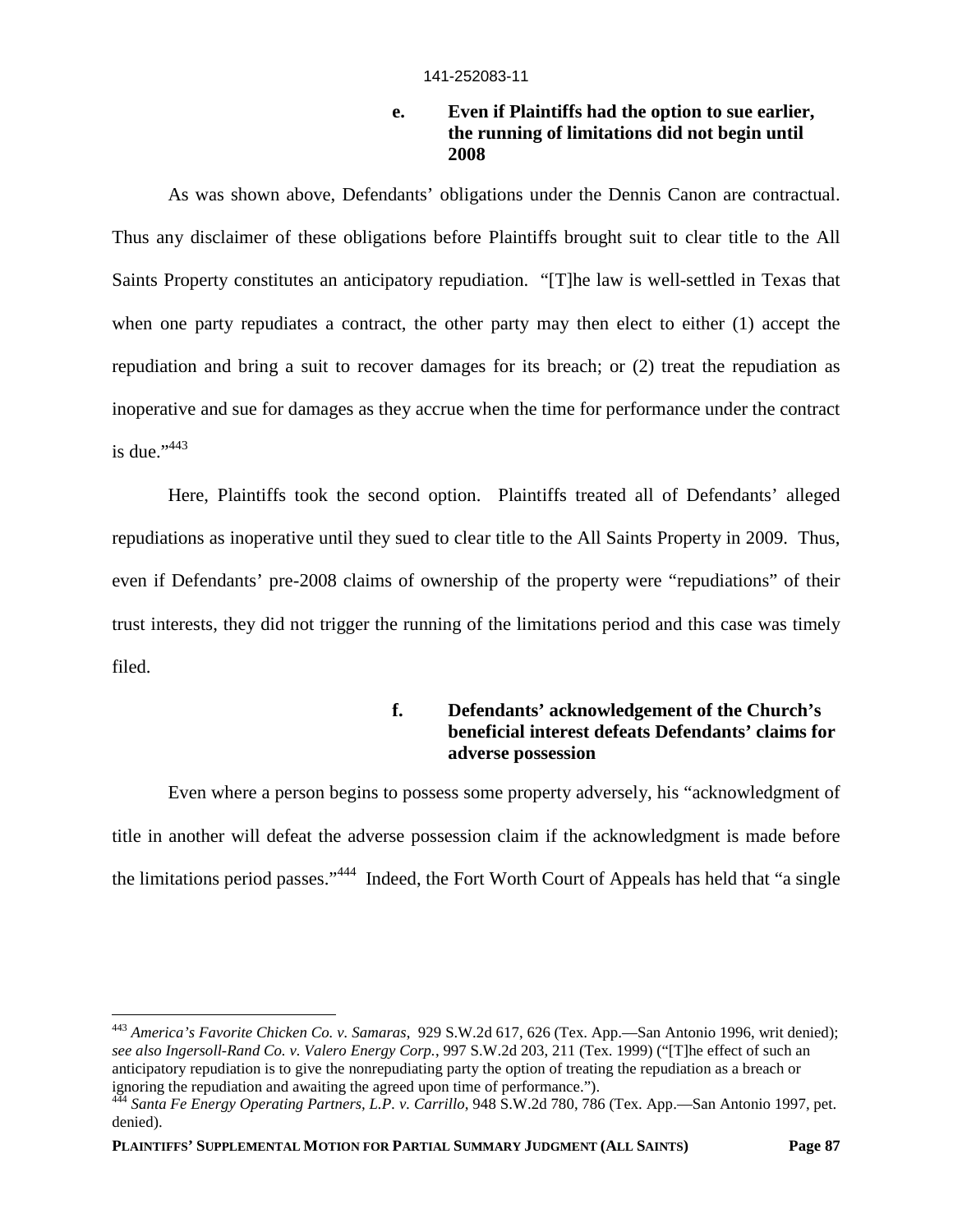# **e. Even if Plaintiffs had the option to sue earlier, the running of limitations did not begin until 2008**

As was shown above, Defendants' obligations under the Dennis Canon are contractual. Thus any disclaimer of these obligations before Plaintiffs brought suit to clear title to the All Saints Property constitutes an anticipatory repudiation. "[T]he law is well-settled in Texas that when one party repudiates a contract, the other party may then elect to either (1) accept the repudiation and bring a suit to recover damages for its breach; or (2) treat the repudiation as inoperative and sue for damages as they accrue when the time for performance under the contract is due." $443$ 

Here, Plaintiffs took the second option. Plaintiffs treated all of Defendants' alleged repudiations as inoperative until they sued to clear title to the All Saints Property in 2009. Thus, even if Defendants' pre-2008 claims of ownership of the property were "repudiations" of their trust interests, they did not trigger the running of the limitations period and this case was timely filed.

# **f. Defendants' acknowledgement of the Church's beneficial interest defeats Defendants' claims for adverse possession**

Even where a person begins to possess some property adversely, his "acknowledgment of title in another will defeat the adverse possession claim if the acknowledgment is made before the limitations period passes."<sup>444</sup> Indeed, the Fort Worth Court of Appeals has held that "a single

<sup>443</sup> *America's Favorite Chicken Co. v. Samaras*, 929 S.W.2d 617, 626 (Tex. App.—San Antonio 1996, writ denied); *see also Ingersoll-Rand Co. v. Valero Energy Corp.*, 997 S.W.2d 203, 211 (Tex. 1999) ("[T]he effect of such an anticipatory repudiation is to give the nonrepudiating party the option of treating the repudiation as a breach or ignoring the repudiation and awaiting the agreed upon time of performance.").

<sup>444</sup> *Santa Fe Energy Operating Partners, L.P. v. Carrillo*, 948 S.W.2d 780, 786 (Tex. App.—San Antonio 1997, pet. denied).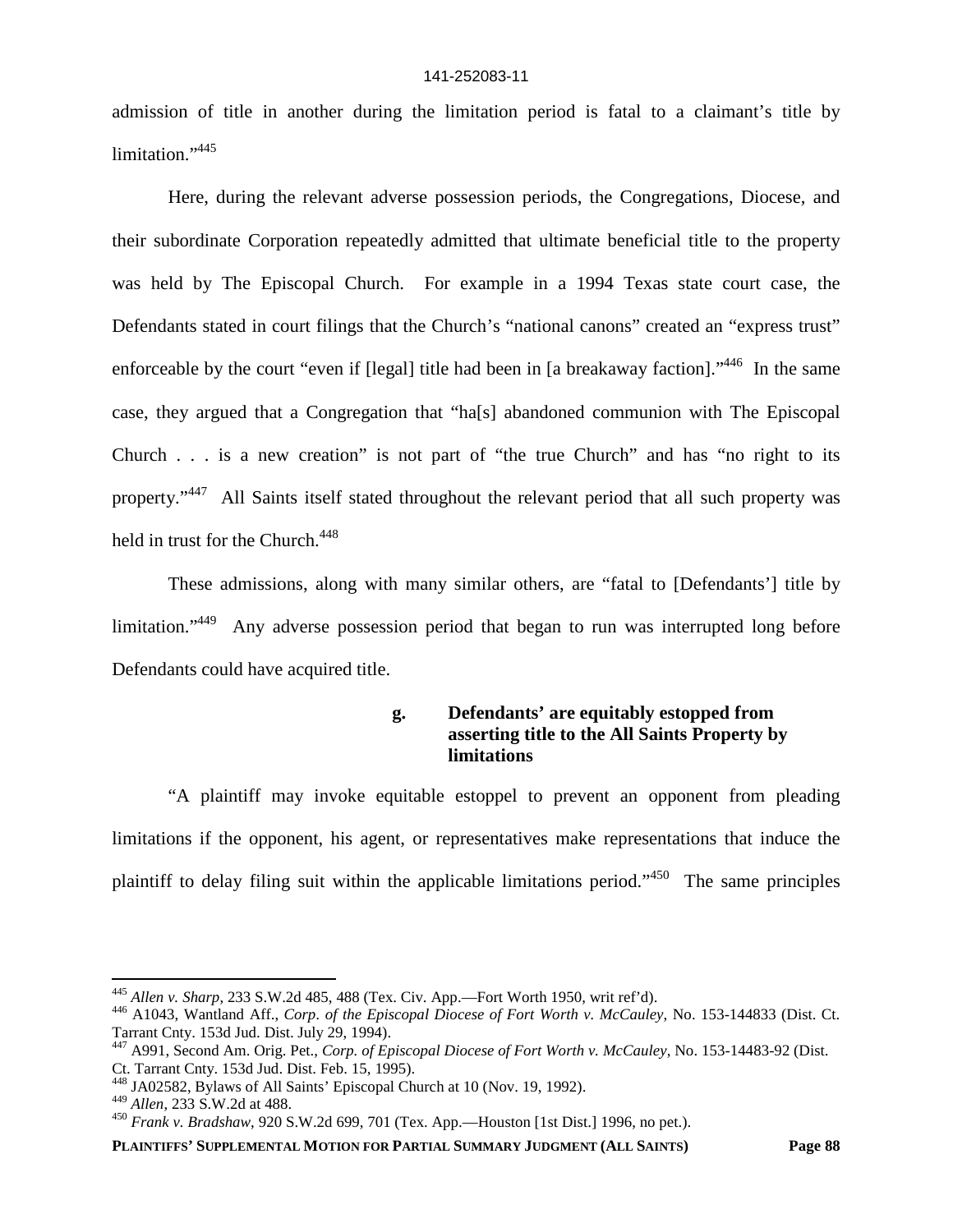admission of title in another during the limitation period is fatal to a claimant's title by limitation."<sup>445</sup>

Here, during the relevant adverse possession periods, the Congregations, Diocese, and their subordinate Corporation repeatedly admitted that ultimate beneficial title to the property was held by The Episcopal Church. For example in a 1994 Texas state court case, the Defendants stated in court filings that the Church's "national canons" created an "express trust" enforceable by the court "even if [legal] title had been in [a breakaway faction]."<sup>446</sup> In the same case, they argued that a Congregation that "ha[s] abandoned communion with The Episcopal Church . . . is a new creation" is not part of "the true Church" and has "no right to its property."<sup>447</sup> All Saints itself stated throughout the relevant period that all such property was held in trust for the Church.<sup>448</sup>

These admissions, along with many similar others, are "fatal to [Defendants'] title by limitation."<sup>449</sup> Any adverse possession period that began to run was interrupted long before Defendants could have acquired title.

# **g. Defendants' are equitably estopped from asserting title to the All Saints Property by limitations**

"A plaintiff may invoke equitable estoppel to prevent an opponent from pleading limitations if the opponent, his agent, or representatives make representations that induce the plaintiff to delay filing suit within the applicable limitations period."<sup>450</sup> The same principles

<sup>445</sup> *Allen v. Sharp*, 233 S.W.2d 485, 488 (Tex. Civ. App.—Fort Worth 1950, writ ref'd).

<sup>446</sup> A1043, Wantland Aff., *Corp. of the Episcopal Diocese of Fort Worth v. McCauley*, No. 153-144833 (Dist. Ct. Tarrant Cnty. 153d Jud. Dist. July 29, 1994).

<sup>447</sup> A991, Second Am. Orig. Pet., *Corp. of Episcopal Diocese of Fort Worth v. McCauley*, No. 153-14483-92 (Dist. Ct. Tarrant Cnty. 153d Jud. Dist. Feb. 15, 1995).

<sup>448</sup> JA02582, Bylaws of All Saints' Episcopal Church at 10 (Nov. 19, 1992).

<sup>449</sup> *Allen*, 233 S.W.2d at 488.

<sup>450</sup> *Frank v. Bradshaw*, 920 S.W.2d 699, 701 (Tex. App.—Houston [1st Dist.] 1996, no pet.).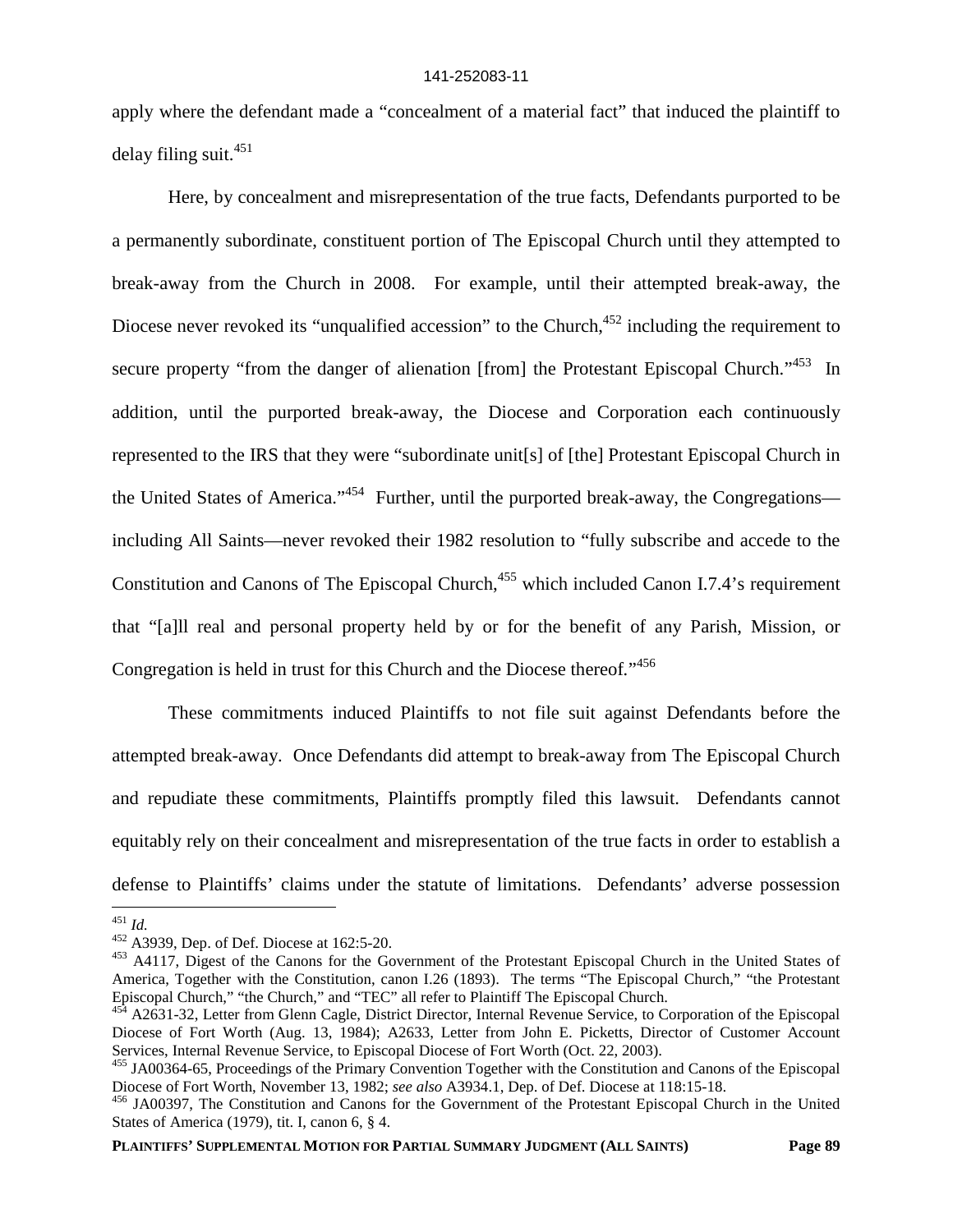apply where the defendant made a "concealment of a material fact" that induced the plaintiff to delay filing suit.<sup>451</sup>

Here, by concealment and misrepresentation of the true facts, Defendants purported to be a permanently subordinate, constituent portion of The Episcopal Church until they attempted to break-away from the Church in 2008. For example, until their attempted break-away, the Diocese never revoked its "unqualified accession" to the Church, <sup>452</sup> including the requirement to secure property "from the danger of alienation [from] the Protestant Episcopal Church."<sup>453</sup> In addition, until the purported break-away, the Diocese and Corporation each continuously represented to the IRS that they were "subordinate unit[s] of [the] Protestant Episcopal Church in the United States of America."<sup>454</sup> Further, until the purported break-away, the Congregations including All Saints—never revoked their 1982 resolution to "fully subscribe and accede to the Constitution and Canons of The Episcopal Church,<sup>455</sup> which included Canon I.7.4's requirement that "[a]ll real and personal property held by or for the benefit of any Parish, Mission, or Congregation is held in trust for this Church and the Diocese thereof*.*" 456

These commitments induced Plaintiffs to not file suit against Defendants before the attempted break-away. Once Defendants did attempt to break-away from The Episcopal Church and repudiate these commitments, Plaintiffs promptly filed this lawsuit. Defendants cannot equitably rely on their concealment and misrepresentation of the true facts in order to establish a defense to Plaintiffs' claims under the statute of limitations. Defendants' adverse possession

<sup>451</sup> *Id.*

<sup>452</sup> A3939, Dep. of Def. Diocese at 162:5-20.

<sup>453</sup> A4117, Digest of the Canons for the Government of the Protestant Episcopal Church in the United States of America, Together with the Constitution, canon I.26 (1893). The terms "The Episcopal Church," "the Protestant Episcopal Church," "the Church," and "TEC" all refer to Plaintiff The Episcopal Church.

<sup>&</sup>lt;sup>454</sup> A2631-32, Letter from Glenn Cagle, District Director, Internal Revenue Service, to Corporation of the Episcopal Diocese of Fort Worth (Aug. 13, 1984); A2633, Letter from John E. Picketts, Director of Customer Account Services, Internal Revenue Service, to Episcopal Diocese of Fort Worth (Oct. 22, 2003).

<sup>455</sup> JA00364-65, Proceedings of the Primary Convention Together with the Constitution and Canons of the Episcopal Diocese of Fort Worth, November 13, 1982; *see also* A3934.1, Dep. of Def. Diocese at 118:15-18.

<sup>456</sup> JA00397, The Constitution and Canons for the Government of the Protestant Episcopal Church in the United States of America (1979), tit. I, canon 6, § 4.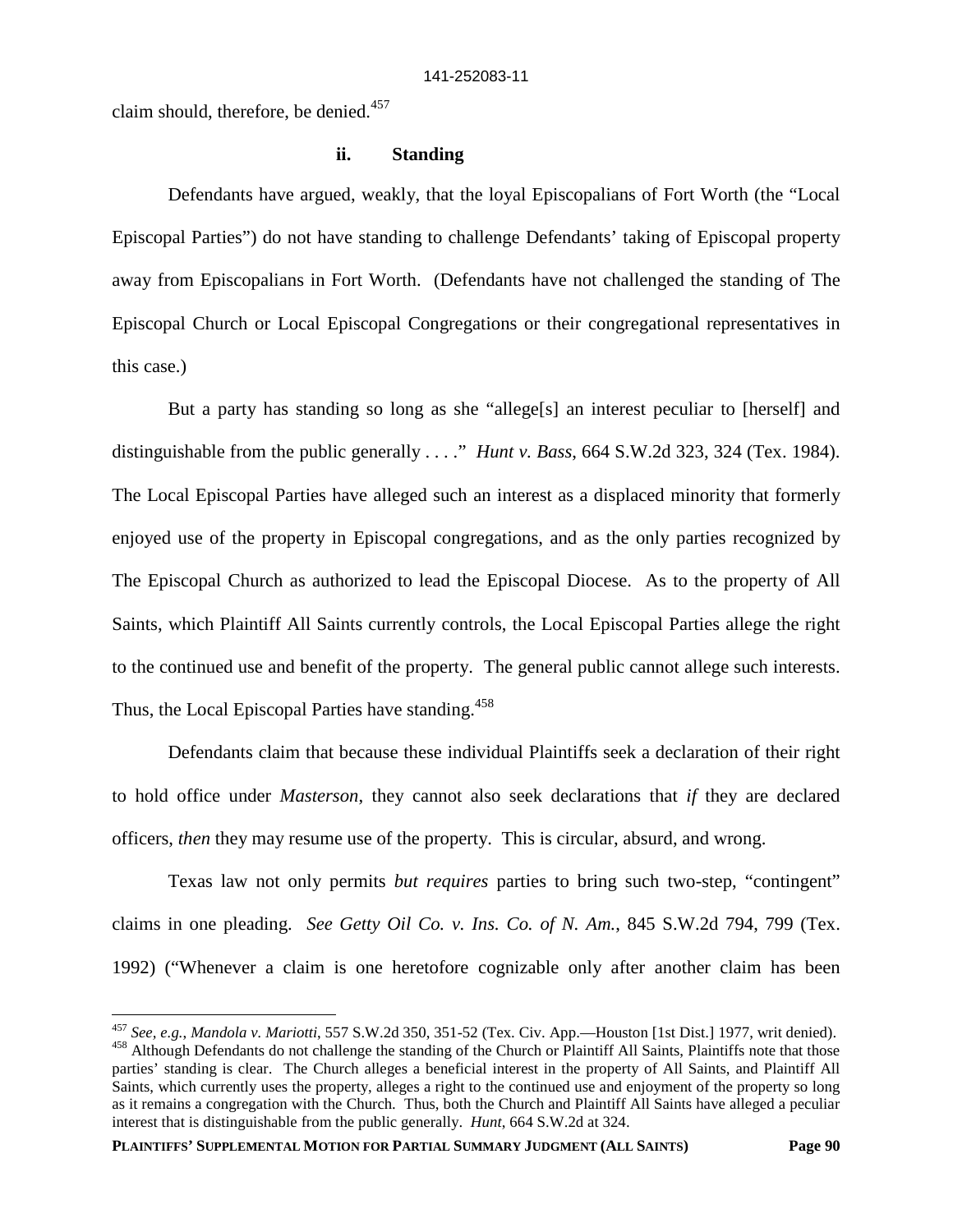claim should, therefore, be denied.<sup>457</sup>

### **ii. Standing**

Defendants have argued, weakly, that the loyal Episcopalians of Fort Worth (the "Local Episcopal Parties") do not have standing to challenge Defendants' taking of Episcopal property away from Episcopalians in Fort Worth. (Defendants have not challenged the standing of The Episcopal Church or Local Episcopal Congregations or their congregational representatives in this case.)

But a party has standing so long as she "allege[s] an interest peculiar to [herself] and distinguishable from the public generally . . . ." *Hunt v. Bass*, 664 S.W.2d 323, 324 (Tex. 1984). The Local Episcopal Parties have alleged such an interest as a displaced minority that formerly enjoyed use of the property in Episcopal congregations, and as the only parties recognized by The Episcopal Church as authorized to lead the Episcopal Diocese. As to the property of All Saints, which Plaintiff All Saints currently controls, the Local Episcopal Parties allege the right to the continued use and benefit of the property. The general public cannot allege such interests. Thus, the Local Episcopal Parties have standing.<sup>458</sup>

Defendants claim that because these individual Plaintiffs seek a declaration of their right to hold office under *Masterson*, they cannot also seek declarations that *if* they are declared officers, *then* they may resume use of the property. This is circular, absurd, and wrong.

Texas law not only permits *but requires* parties to bring such two-step, "contingent" claims in one pleading. *See Getty Oil Co. v. Ins. Co. of N. Am.*, 845 S.W.2d 794, 799 (Tex. 1992) ("Whenever a claim is one heretofore cognizable only after another claim has been

<sup>457</sup> *See, e.g.*, *Mandola v. Mariotti*, 557 S.W.2d 350, 351-52 (Tex. Civ. App.—Houston [1st Dist.] 1977, writ denied). <sup>458</sup> Although Defendants do not challenge the standing of the Church or Plaintiff All Saints, Plaintiffs note that those parties' standing is clear. The Church alleges a beneficial interest in the property of All Saints, and Plaintiff All Saints, which currently uses the property, alleges a right to the continued use and enjoyment of the property so long as it remains a congregation with the Church. Thus, both the Church and Plaintiff All Saints have alleged a peculiar interest that is distinguishable from the public generally. *Hunt*, 664 S.W.2d at 324.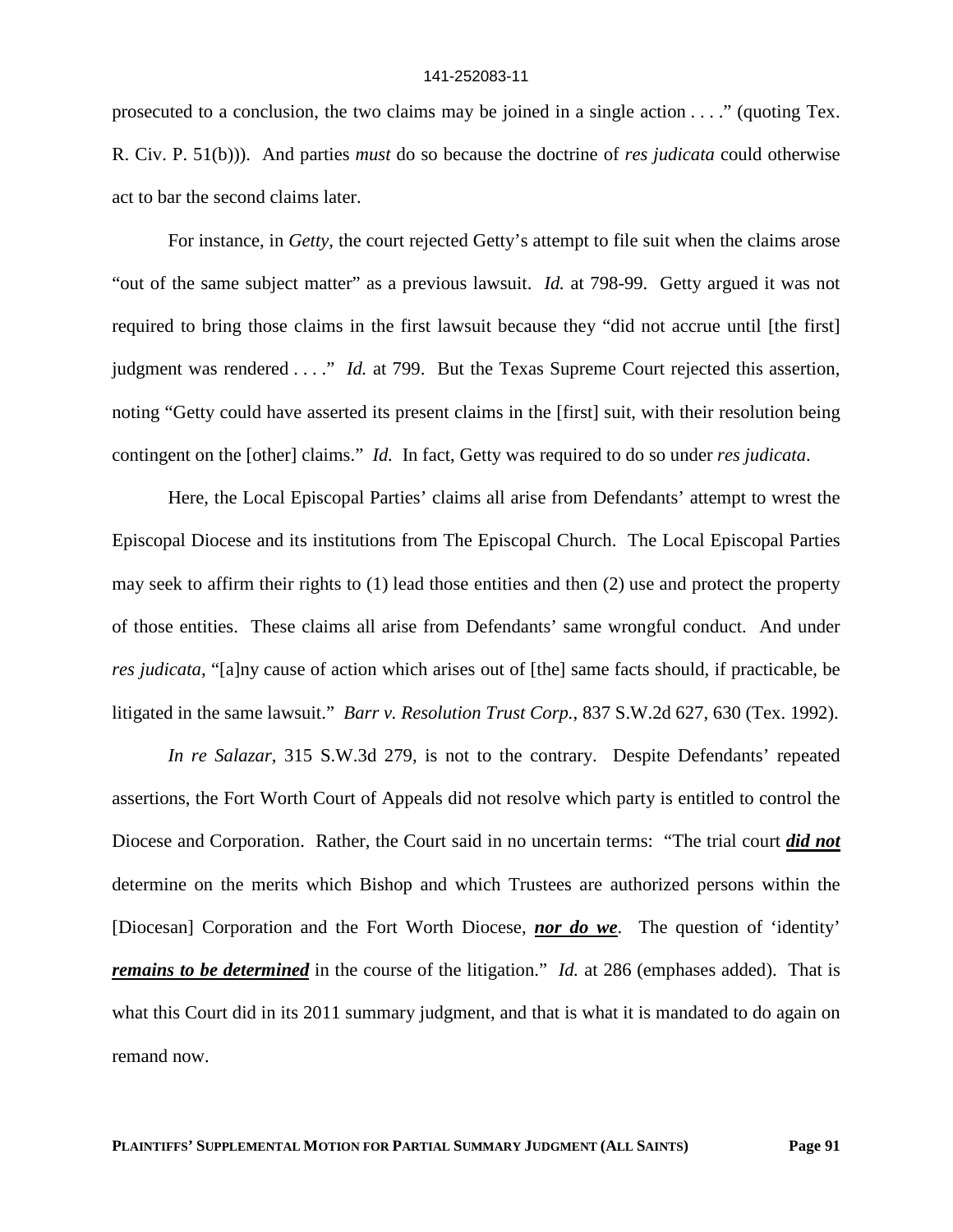prosecuted to a conclusion, the two claims may be joined in a single action . . . ." (quoting Tex. R. Civ. P. 51(b))). And parties *must* do so because the doctrine of *res judicata* could otherwise act to bar the second claims later.

For instance, in *Getty*, the court rejected Getty's attempt to file suit when the claims arose "out of the same subject matter" as a previous lawsuit. *Id.* at 798-99. Getty argued it was not required to bring those claims in the first lawsuit because they "did not accrue until [the first] judgment was rendered . . . ." *Id.* at 799. But the Texas Supreme Court rejected this assertion, noting "Getty could have asserted its present claims in the [first] suit, with their resolution being contingent on the [other] claims." *Id.* In fact, Getty was required to do so under *res judicata*.

Here, the Local Episcopal Parties' claims all arise from Defendants' attempt to wrest the Episcopal Diocese and its institutions from The Episcopal Church. The Local Episcopal Parties may seek to affirm their rights to (1) lead those entities and then (2) use and protect the property of those entities. These claims all arise from Defendants' same wrongful conduct. And under *res judicata*, "[a]ny cause of action which arises out of [the] same facts should, if practicable, be litigated in the same lawsuit." *Barr v. Resolution Trust Corp.*, 837 S.W.2d 627, 630 (Tex. 1992).

*In re Salazar*, 315 S.W.3d 279, is not to the contrary. Despite Defendants' repeated assertions, the Fort Worth Court of Appeals did not resolve which party is entitled to control the Diocese and Corporation. Rather, the Court said in no uncertain terms: "The trial court *did not* determine on the merits which Bishop and which Trustees are authorized persons within the [Diocesan] Corporation and the Fort Worth Diocese, *nor do we*. The question of 'identity' *remains to be determined* in the course of the litigation." *Id.* at 286 (emphases added). That is what this Court did in its 2011 summary judgment, and that is what it is mandated to do again on remand now.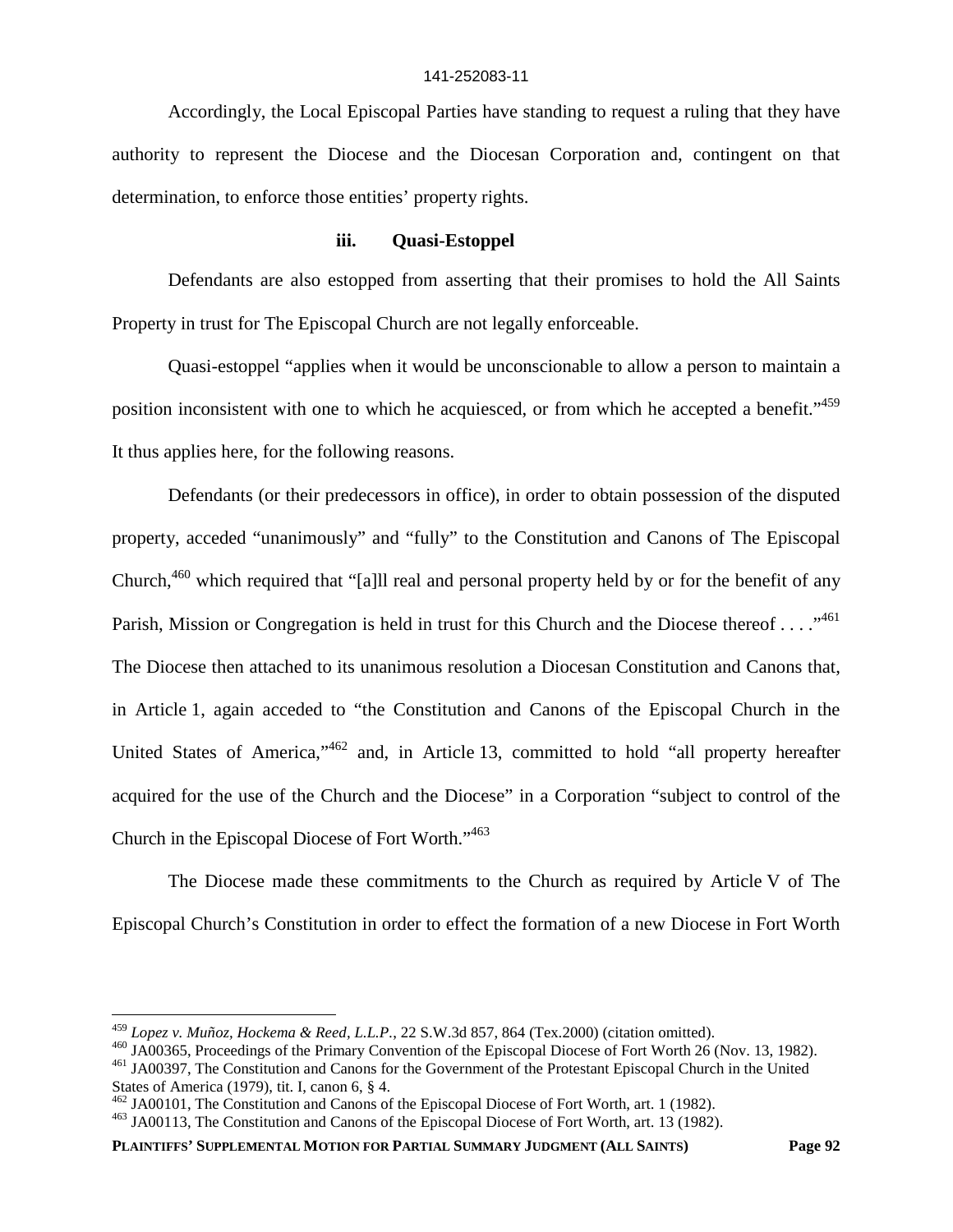Accordingly, the Local Episcopal Parties have standing to request a ruling that they have authority to represent the Diocese and the Diocesan Corporation and, contingent on that determination, to enforce those entities' property rights.

### **iii. Quasi-Estoppel**

Defendants are also estopped from asserting that their promises to hold the All Saints Property in trust for The Episcopal Church are not legally enforceable.

Quasi-estoppel "applies when it would be unconscionable to allow a person to maintain a position inconsistent with one to which he acquiesced, or from which he accepted a benefit."<sup>459</sup> It thus applies here, for the following reasons.

Defendants (or their predecessors in office), in order to obtain possession of the disputed property, acceded "unanimously" and "fully" to the Constitution and Canons of The Episcopal Church,<sup>460</sup> which required that "[a]ll real and personal property held by or for the benefit of any Parish, Mission or Congregation is held in trust for this Church and the Diocese thereof . . . . "<sup>461</sup> The Diocese then attached to its unanimous resolution a Diocesan Constitution and Canons that, in Article 1, again acceded to "the Constitution and Canons of the Episcopal Church in the United States of America,<sup>1462</sup> and, in Article 13, committed to hold "all property hereafter acquired for the use of the Church and the Diocese" in a Corporation "subject to control of the Church in the Episcopal Diocese of Fort Worth."<sup>463</sup>

The Diocese made these commitments to the Church as required by Article V of The Episcopal Church's Constitution in order to effect the formation of a new Diocese in Fort Worth

**PLAINTIFFS' SUPPLEMENTAL MOTION FOR PARTIAL SUMMARY JUDGMENT (ALL SAINTS) Page 92**

<sup>459</sup> *Lopez v. Muñoz, Hockema & Reed, L.L.P.*, 22 S.W.3d 857, 864 (Tex.2000) (citation omitted).

<sup>460</sup> JA00365, Proceedings of the Primary Convention of the Episcopal Diocese of Fort Worth 26 (Nov. 13, 1982).

<sup>461</sup> JA00397, The Constitution and Canons for the Government of the Protestant Episcopal Church in the United

States of America (1979), tit. I, canon 6, § 4.

<sup>462</sup> JA00101, The Constitution and Canons of the Episcopal Diocese of Fort Worth, art. 1 (1982).

<sup>463</sup> JA00113, The Constitution and Canons of the Episcopal Diocese of Fort Worth, art. 13 (1982).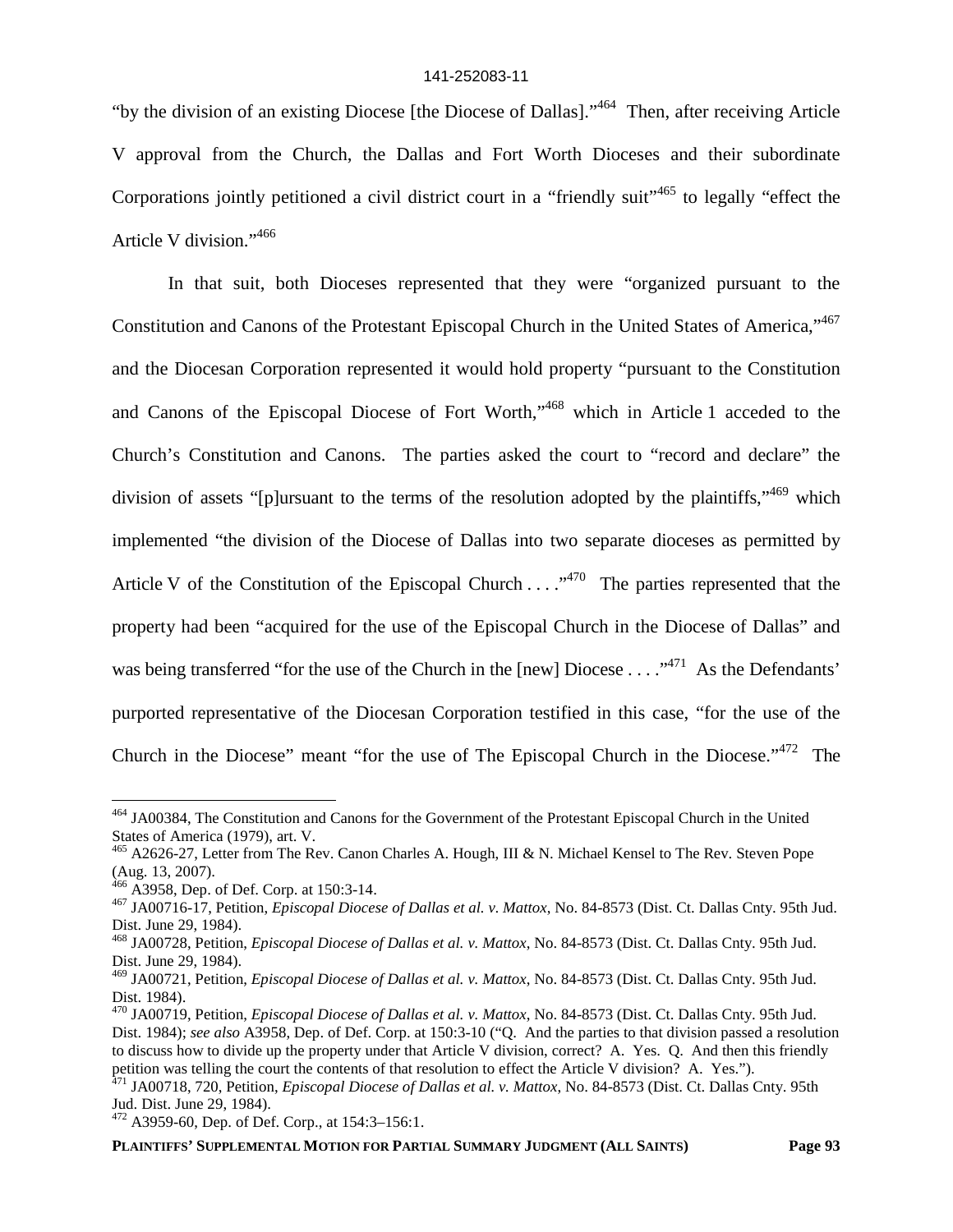"by the division of an existing Diocese [the Diocese of Dallas]."<sup>464</sup> Then, after receiving Article V approval from the Church, the Dallas and Fort Worth Dioceses and their subordinate Corporations jointly petitioned a civil district court in a "friendly suit"<sup>465</sup> to legally "effect the Article V division."<sup>466</sup>

In that suit, both Dioceses represented that they were "organized pursuant to the Constitution and Canons of the Protestant Episcopal Church in the United States of America,"<sup>467</sup> and the Diocesan Corporation represented it would hold property "pursuant to the Constitution and Canons of the Episcopal Diocese of Fort Worth,"<sup>468</sup> which in Article 1 acceded to the Church's Constitution and Canons. The parties asked the court to "record and declare" the division of assets "[p]ursuant to the terms of the resolution adopted by the plaintiffs,"<sup>469</sup> which implemented "the division of the Diocese of Dallas into two separate dioceses as permitted by Article V of the Constitution of the Episcopal Church . . . .<sup>470</sup> The parties represented that the property had been "acquired for the use of the Episcopal Church in the Diocese of Dallas" and was being transferred "for the use of the Church in the [new] Diocese . . . . "<sup>471</sup> As the Defendants' purported representative of the Diocesan Corporation testified in this case, "for the use of the Church in the Diocese" meant "for the use of The Episcopal Church in the Diocese."<sup>472</sup> The

<sup>464</sup> JA00384, The Constitution and Canons for the Government of the Protestant Episcopal Church in the United States of America (1979), art. V.

<sup>&</sup>lt;sup>465</sup> A2626-27, Letter from The Rev. Canon Charles A. Hough, III & N. Michael Kensel to The Rev. Steven Pope (Aug. 13, 2007).

 $466$  A3958, Dep. of Def. Corp. at 150:3-14.

<sup>467</sup> JA00716-17, Petition, *Episcopal Diocese of Dallas et al. v. Mattox*, No. 84-8573 (Dist. Ct. Dallas Cnty. 95th Jud. Dist. June 29, 1984).

<sup>468</sup> JA00728, Petition, *Episcopal Diocese of Dallas et al. v. Mattox*, No. 84-8573 (Dist. Ct. Dallas Cnty. 95th Jud. Dist. June 29, 1984).

<sup>469</sup> JA00721, Petition, *Episcopal Diocese of Dallas et al. v. Mattox*, No. 84-8573 (Dist. Ct. Dallas Cnty. 95th Jud. Dist. 1984).

<sup>470</sup> JA00719, Petition, *Episcopal Diocese of Dallas et al. v. Mattox*, No. 84-8573 (Dist. Ct. Dallas Cnty. 95th Jud. Dist. 1984); *see also* A3958, Dep. of Def. Corp. at 150:3-10 ("Q. And the parties to that division passed a resolution to discuss how to divide up the property under that Article V division, correct? A. Yes. Q. And then this friendly petition was telling the court the contents of that resolution to effect the Article V division? A. Yes.").

<sup>471</sup> JA00718, 720, Petition, *Episcopal Diocese of Dallas et al. v. Mattox*, No. 84-8573 (Dist. Ct. Dallas Cnty. 95th Jud. Dist. June 29, 1984).

<sup>472</sup> A3959-60, Dep. of Def. Corp., at 154:3–156:1.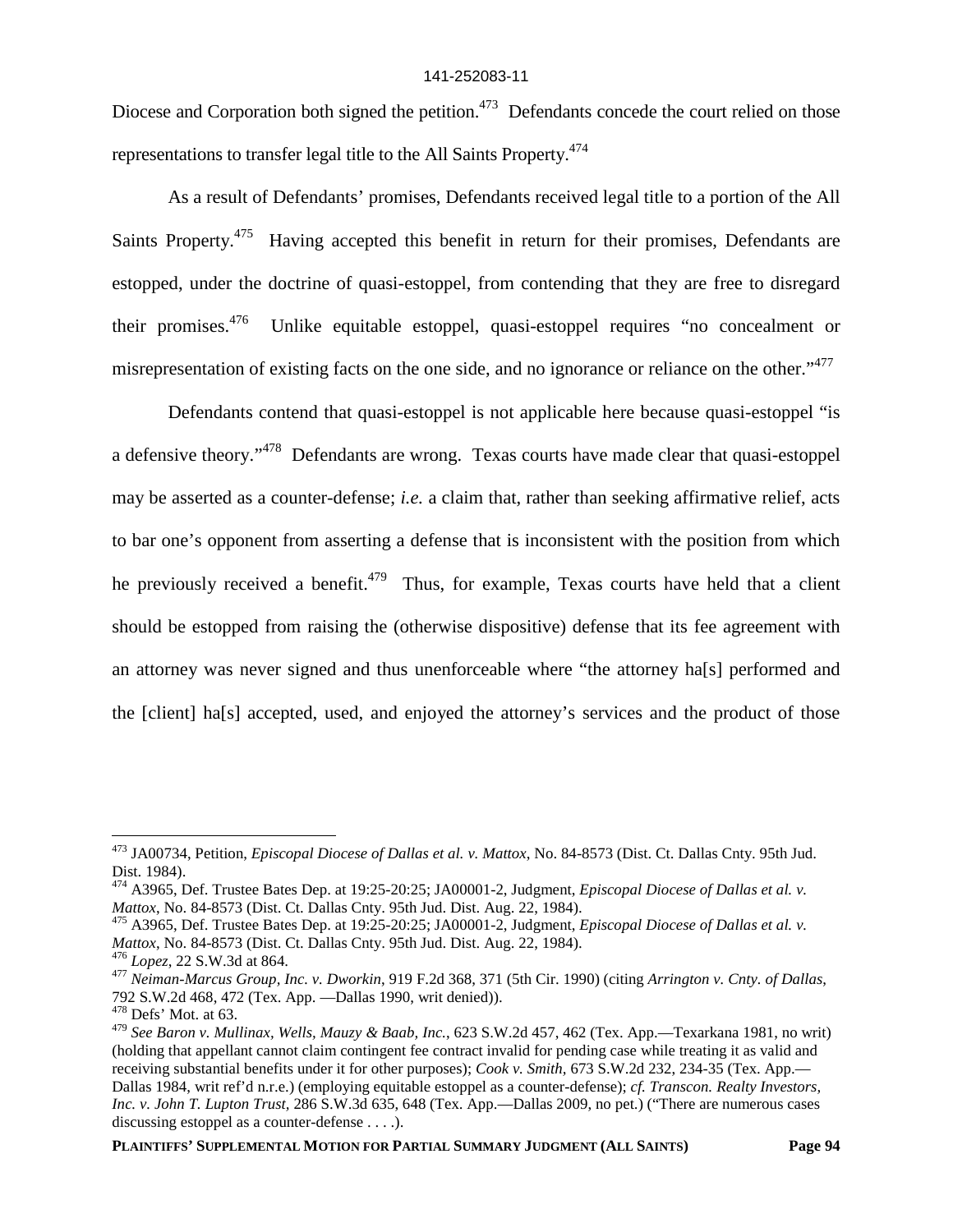Diocese and Corporation both signed the petition.<sup>473</sup> Defendants concede the court relied on those representations to transfer legal title to the All Saints Property.<sup>474</sup>

As a result of Defendants' promises, Defendants received legal title to a portion of the All Saints Property.<sup>475</sup> Having accepted this benefit in return for their promises, Defendants are estopped, under the doctrine of quasi-estoppel, from contending that they are free to disregard their promises.<sup>476</sup> Unlike equitable estoppel, quasi-estoppel requires "no concealment or misrepresentation of existing facts on the one side, and no ignorance or reliance on the other."<sup>477</sup>

Defendants contend that quasi-estoppel is not applicable here because quasi-estoppel "is a defensive theory."<sup>478</sup> Defendants are wrong. Texas courts have made clear that quasi-estoppel may be asserted as a counter-defense; *i.e.* a claim that, rather than seeking affirmative relief, acts to bar one's opponent from asserting a defense that is inconsistent with the position from which he previously received a benefit.<sup>479</sup> Thus, for example, Texas courts have held that a client should be estopped from raising the (otherwise dispositive) defense that its fee agreement with an attorney was never signed and thus unenforceable where "the attorney ha[s] performed and the [client] ha[s] accepted, used, and enjoyed the attorney's services and the product of those

<sup>473</sup> JA00734, Petition, *Episcopal Diocese of Dallas et al. v. Mattox*, No. 84-8573 (Dist. Ct. Dallas Cnty. 95th Jud. Dist. 1984).

<sup>474</sup> A3965, Def. Trustee Bates Dep. at 19:25-20:25; JA00001-2, Judgment, *Episcopal Diocese of Dallas et al. v. Mattox*, No. 84-8573 (Dist. Ct. Dallas Cnty. 95th Jud. Dist. Aug. 22, 1984).

<sup>475</sup> A3965, Def. Trustee Bates Dep. at 19:25-20:25; JA00001-2, Judgment, *Episcopal Diocese of Dallas et al. v. Mattox*, No. 84-8573 (Dist. Ct. Dallas Cnty. 95th Jud. Dist. Aug. 22, 1984).

<sup>476</sup> *Lopez*, 22 S.W.3d at 864.

<sup>477</sup> *Neiman-Marcus Group, Inc. v. Dworkin*, 919 F.2d 368, 371 (5th Cir. 1990) (citing *Arrington v. Cnty. of Dallas*, 792 S.W.2d 468, 472 (Tex. App. —Dallas 1990, writ denied)).

<sup>478</sup> Defs' Mot. at 63.

<sup>479</sup> *See Baron v. Mullinax, Wells, Mauzy & Baab, Inc.*, 623 S.W.2d 457, 462 (Tex. App.—Texarkana 1981, no writ) (holding that appellant cannot claim contingent fee contract invalid for pending case while treating it as valid and receiving substantial benefits under it for other purposes); *Cook v. Smith,* 673 S.W.2d 232, 234-35 (Tex. App.— Dallas 1984, writ ref'd n.r.e.) (employing equitable estoppel as a counter-defense); *cf. Transcon. Realty Investors, Inc. v. John T. Lupton Trust,* 286 S.W.3d 635, 648 (Tex. App.—Dallas 2009, no pet.) ("There are numerous cases discussing estoppel as a counter-defense . . . .).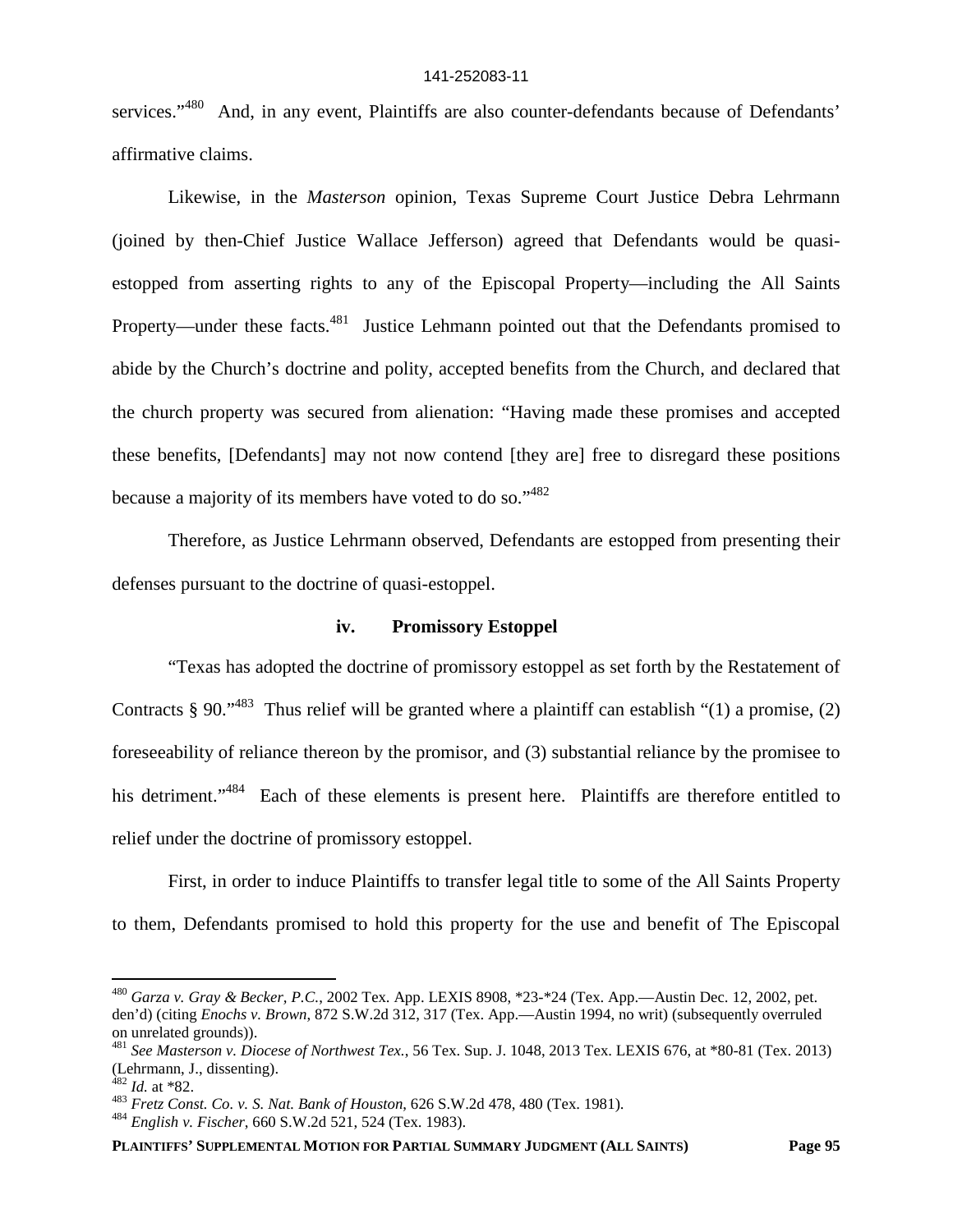services."<sup>480</sup> And, in any event, Plaintiffs are also counter-defendants because of Defendants' affirmative claims.

Likewise, in the *Masterson* opinion, Texas Supreme Court Justice Debra Lehrmann (joined by then-Chief Justice Wallace Jefferson) agreed that Defendants would be quasiestopped from asserting rights to any of the Episcopal Property—including the All Saints Property—under these facts.<sup>481</sup> Justice Lehmann pointed out that the Defendants promised to abide by the Church's doctrine and polity, accepted benefits from the Church, and declared that the church property was secured from alienation: "Having made these promises and accepted these benefits, [Defendants] may not now contend [they are] free to disregard these positions because a majority of its members have voted to do so."<sup>482</sup>

Therefore, as Justice Lehrmann observed, Defendants are estopped from presenting their defenses pursuant to the doctrine of quasi-estoppel.

# **iv. Promissory Estoppel**

"Texas has adopted the doctrine of promissory estoppel as set forth by the Restatement of Contracts § 90.<sup> $1483$ </sup> Thus relief will be granted where a plaintiff can establish "(1) a promise, (2) foreseeability of reliance thereon by the promisor, and (3) substantial reliance by the promisee to his detriment."<sup>484</sup> Each of these elements is present here. Plaintiffs are therefore entitled to relief under the doctrine of promissory estoppel.

First, in order to induce Plaintiffs to transfer legal title to some of the All Saints Property to them, Defendants promised to hold this property for the use and benefit of The Episcopal

<sup>480</sup> *Garza v. Gray & Becker, P.C.*, 2002 Tex. App. LEXIS 8908, \*23-\*24 (Tex. App.—Austin Dec. 12, 2002, pet. den'd) (citing *Enochs v. Brown*, 872 S.W.2d 312, 317 (Tex. App.—Austin 1994, no writ) (subsequently overruled on unrelated grounds)).

<sup>481</sup> *See Masterson v. Diocese of Northwest Tex.*, 56 Tex. Sup. J. 1048, 2013 Tex. LEXIS 676, at \*80-81 (Tex. 2013) (Lehrmann, J., dissenting).

<sup>482</sup> *Id.* at \*82.

<sup>483</sup> *Fretz Const. Co. v. S. Nat. Bank of Houston*, 626 S.W.2d 478, 480 (Tex. 1981).

<sup>484</sup> *English v. Fischer*, 660 S.W.2d 521, 524 (Tex. 1983).

**PLAINTIFFS' SUPPLEMENTAL MOTION FOR PARTIAL SUMMARY JUDGMENT (ALL SAINTS) Page 95**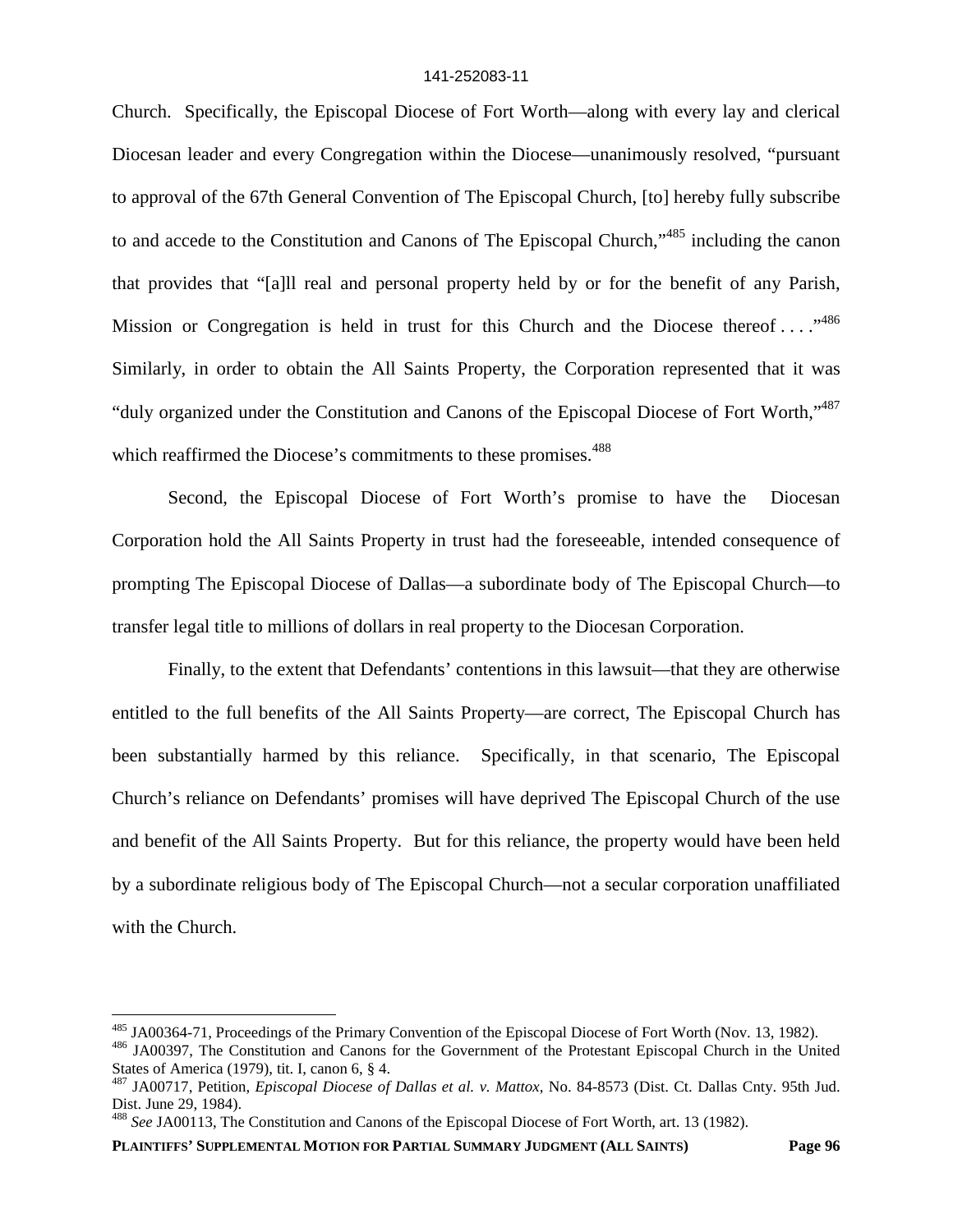Church. Specifically, the Episcopal Diocese of Fort Worth—along with every lay and clerical Diocesan leader and every Congregation within the Diocese—unanimously resolved, "pursuant to approval of the 67th General Convention of The Episcopal Church, [to] hereby fully subscribe to and accede to the Constitution and Canons of The Episcopal Church,"<sup>485</sup> including the canon that provides that "[a]ll real and personal property held by or for the benefit of any Parish, Mission or Congregation is held in trust for this Church and the Diocese thereof ...  $.^{486}$ Similarly, in order to obtain the All Saints Property, the Corporation represented that it was "duly organized under the Constitution and Canons of the Episcopal Diocese of Fort Worth,"<sup>487</sup> which reaffirmed the Diocese's commitments to these promises.<sup>488</sup>

Second, the Episcopal Diocese of Fort Worth's promise to have the Diocesan Corporation hold the All Saints Property in trust had the foreseeable, intended consequence of prompting The Episcopal Diocese of Dallas—a subordinate body of The Episcopal Church—to transfer legal title to millions of dollars in real property to the Diocesan Corporation.

Finally, to the extent that Defendants' contentions in this lawsuit—that they are otherwise entitled to the full benefits of the All Saints Property—are correct, The Episcopal Church has been substantially harmed by this reliance. Specifically, in that scenario, The Episcopal Church's reliance on Defendants' promises will have deprived The Episcopal Church of the use and benefit of the All Saints Property. But for this reliance, the property would have been held by a subordinate religious body of The Episcopal Church—not a secular corporation unaffiliated with the Church.

**PLAINTIFFS' SUPPLEMENTAL MOTION FOR PARTIAL SUMMARY JUDGMENT (ALL SAINTS) Page 96**

<sup>485</sup> JA00364-71, Proceedings of the Primary Convention of the Episcopal Diocese of Fort Worth (Nov. 13, 1982).

<sup>486</sup> JA00397, The Constitution and Canons for the Government of the Protestant Episcopal Church in the United States of America (1979), tit. I, canon 6, § 4.

<sup>487</sup> JA00717, Petition, *Episcopal Diocese of Dallas et al. v. Mattox*, No. 84-8573 (Dist. Ct. Dallas Cnty. 95th Jud. Dist. June 29, 1984).

<sup>488</sup> *See* JA00113, The Constitution and Canons of the Episcopal Diocese of Fort Worth, art. 13 (1982).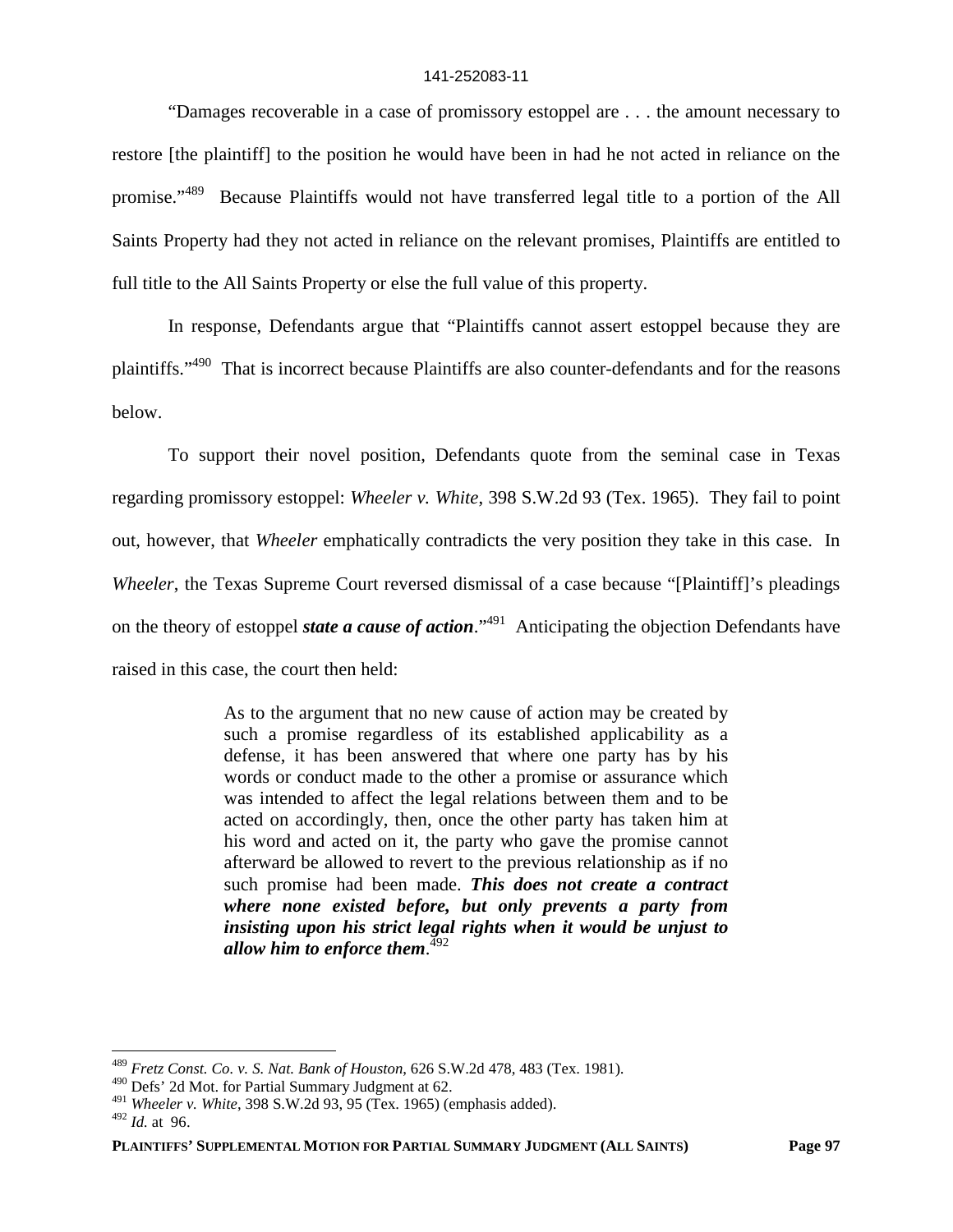"Damages recoverable in a case of promissory estoppel are . . . the amount necessary to restore [the plaintiff] to the position he would have been in had he not acted in reliance on the promise."<sup>489</sup> Because Plaintiffs would not have transferred legal title to a portion of the All Saints Property had they not acted in reliance on the relevant promises, Plaintiffs are entitled to full title to the All Saints Property or else the full value of this property.

In response, Defendants argue that "Plaintiffs cannot assert estoppel because they are plaintiffs."<sup>490</sup> That is incorrect because Plaintiffs are also counter-defendants and for the reasons below.

To support their novel position, Defendants quote from the seminal case in Texas regarding promissory estoppel: *Wheeler v. White*, 398 S.W.2d 93 (Tex. 1965). They fail to point out, however, that *Wheeler* emphatically contradicts the very position they take in this case. In *Wheeler*, the Texas Supreme Court reversed dismissal of a case because "[Plaintiff]'s pleadings on the theory of estoppel *state a cause of action*."<sup>491</sup> Anticipating the objection Defendants have raised in this case, the court then held:

> As to the argument that no new cause of action may be created by such a promise regardless of its established applicability as a defense, it has been answered that where one party has by his words or conduct made to the other a promise or assurance which was intended to affect the legal relations between them and to be acted on accordingly, then, once the other party has taken him at his word and acted on it, the party who gave the promise cannot afterward be allowed to revert to the previous relationship as if no such promise had been made. *This does not create a contract where none existed before, but only prevents a party from insisting upon his strict legal rights when it would be unjust to allow him to enforce them*. 492

<sup>489</sup> *Fretz Const. Co. v. S. Nat. Bank of Houston*, 626 S.W.2d 478, 483 (Tex. 1981).

<sup>490</sup> Defs' 2d Mot. for Partial Summary Judgment at 62.

<sup>491</sup> *Wheeler v. White*, 398 S.W.2d 93, 95 (Tex. 1965) (emphasis added).

<sup>492</sup> *Id.* at 96.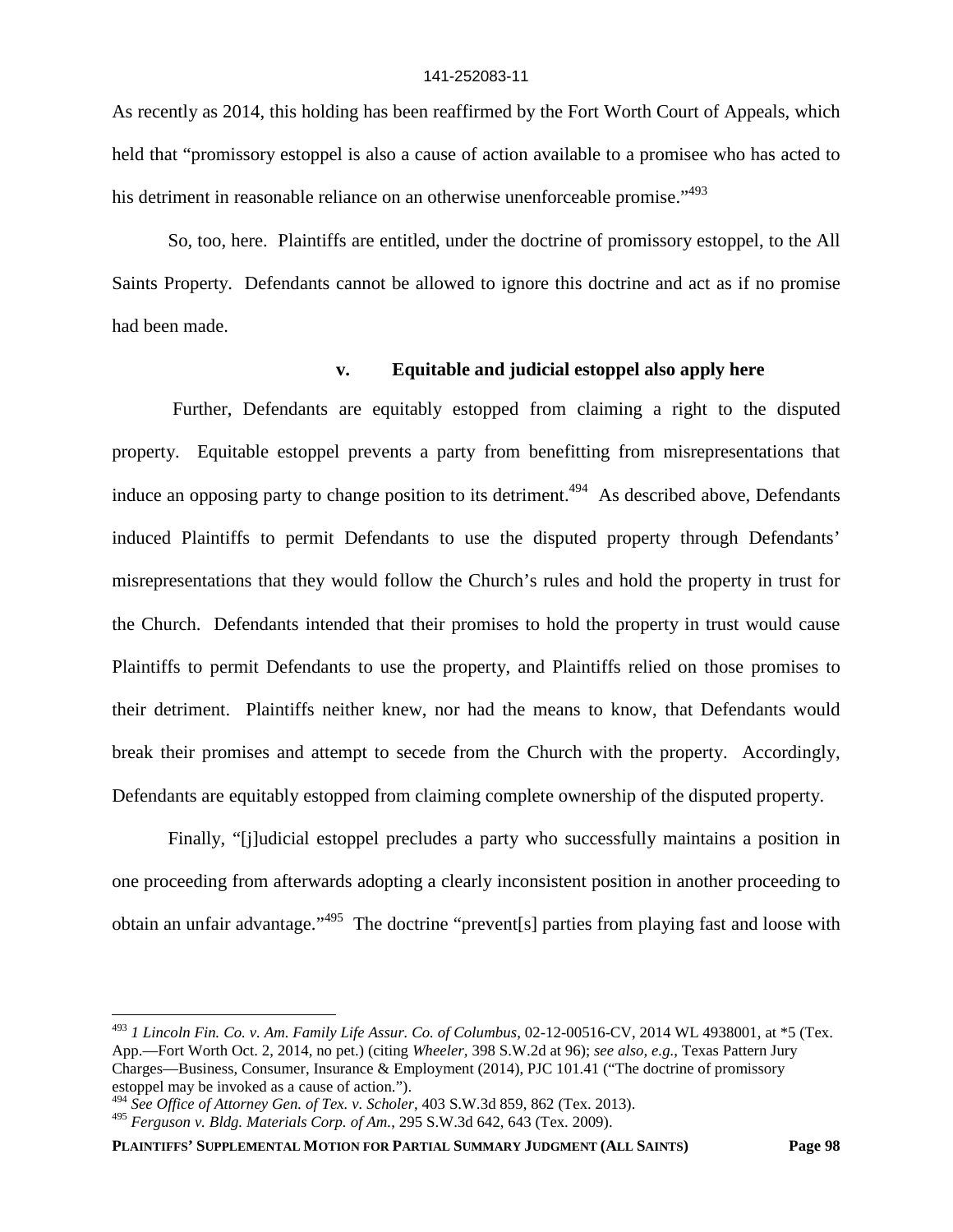As recently as 2014, this holding has been reaffirmed by the Fort Worth Court of Appeals, which held that "promissory estoppel is also a cause of action available to a promisee who has acted to his detriment in reasonable reliance on an otherwise unenforceable promise."<sup>493</sup>

So, too, here. Plaintiffs are entitled, under the doctrine of promissory estoppel, to the All Saints Property. Defendants cannot be allowed to ignore this doctrine and act as if no promise had been made.

# **v. Equitable and judicial estoppel also apply here**

Further, Defendants are equitably estopped from claiming a right to the disputed property. Equitable estoppel prevents a party from benefitting from misrepresentations that induce an opposing party to change position to its detriment.<sup> $494$ </sup> As described above, Defendants induced Plaintiffs to permit Defendants to use the disputed property through Defendants' misrepresentations that they would follow the Church's rules and hold the property in trust for the Church. Defendants intended that their promises to hold the property in trust would cause Plaintiffs to permit Defendants to use the property, and Plaintiffs relied on those promises to their detriment. Plaintiffs neither knew, nor had the means to know, that Defendants would break their promises and attempt to secede from the Church with the property. Accordingly, Defendants are equitably estopped from claiming complete ownership of the disputed property.

Finally, "[j]udicial estoppel precludes a party who successfully maintains a position in one proceeding from afterwards adopting a clearly inconsistent position in another proceeding to obtain an unfair advantage."<sup>495</sup> The doctrine "prevent[s] parties from playing fast and loose with

<sup>493</sup> *1 Lincoln Fin. Co. v. Am. Family Life Assur. Co. of Columbus*, 02-12-00516-CV, 2014 WL 4938001, at \*5 (Tex. App.—Fort Worth Oct. 2, 2014, no pet.) (citing *Wheeler,* 398 S.W.2d at 96); *see also, e.g.*, Texas Pattern Jury Charges—Business, Consumer, Insurance & Employment (2014), PJC 101.41 ("The doctrine of promissory estoppel may be invoked as a cause of action.").

<sup>494</sup> *See Office of Attorney Gen. of Tex. v. Scholer*, 403 S.W.3d 859, 862 (Tex. 2013).

<sup>495</sup> *Ferguson v. Bldg. Materials Corp. of Am.*, 295 S.W.3d 642, 643 (Tex. 2009).

**PLAINTIFFS' SUPPLEMENTAL MOTION FOR PARTIAL SUMMARY JUDGMENT (ALL SAINTS) Page 98**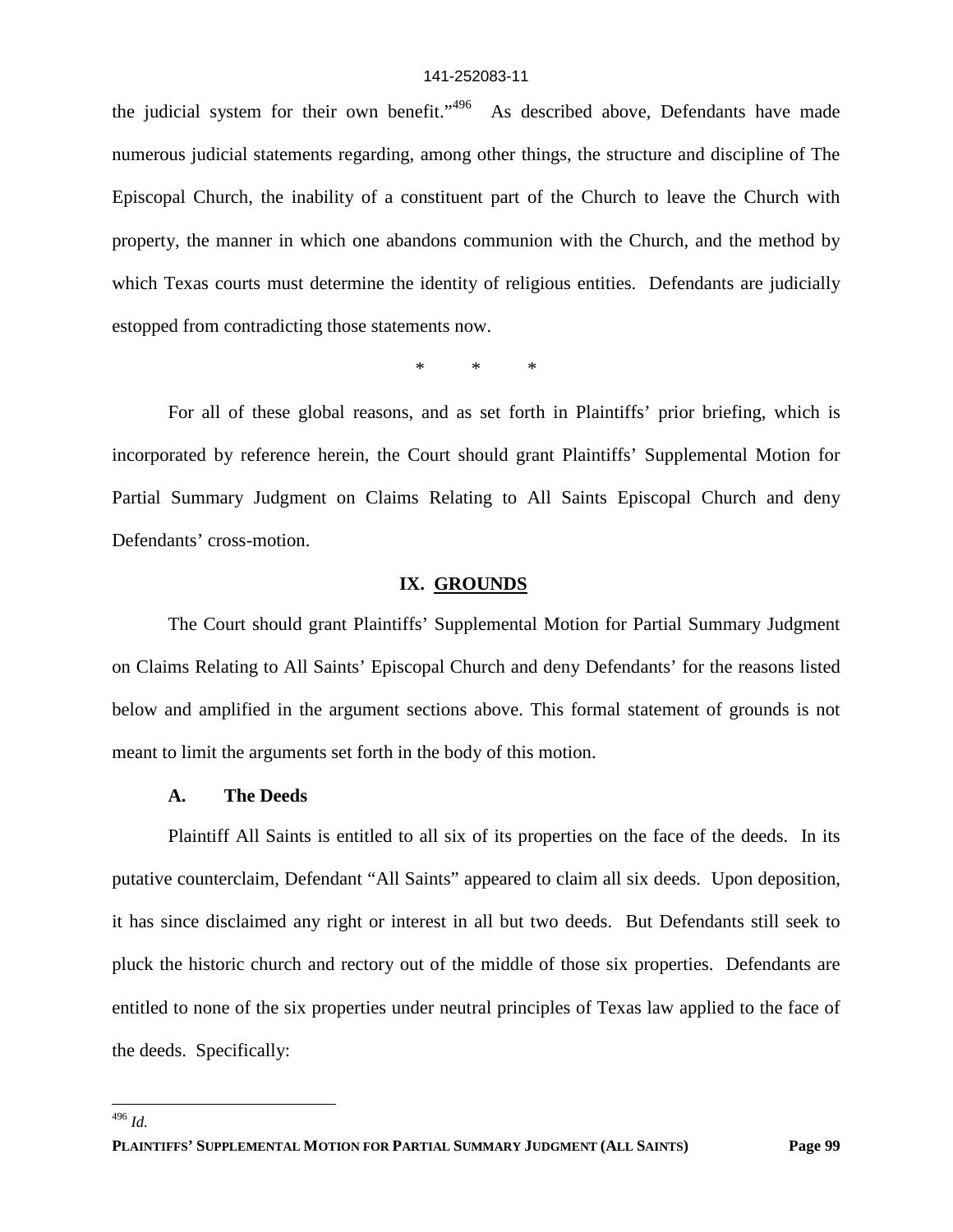the judicial system for their own benefit."<sup>496</sup> As described above, Defendants have made numerous judicial statements regarding, among other things, the structure and discipline of The Episcopal Church, the inability of a constituent part of the Church to leave the Church with property, the manner in which one abandons communion with the Church, and the method by which Texas courts must determine the identity of religious entities. Defendants are judicially estopped from contradicting those statements now.

\* \* \*

For all of these global reasons, and as set forth in Plaintiffs' prior briefing, which is incorporated by reference herein, the Court should grant Plaintiffs' Supplemental Motion for Partial Summary Judgment on Claims Relating to All Saints Episcopal Church and deny Defendants' cross-motion.

#### **IX. GROUNDS**

The Court should grant Plaintiffs' Supplemental Motion for Partial Summary Judgment on Claims Relating to All Saints' Episcopal Church and deny Defendants' for the reasons listed below and amplified in the argument sections above. This formal statement of grounds is not meant to limit the arguments set forth in the body of this motion.

### **A. The Deeds**

Plaintiff All Saints is entitled to all six of its properties on the face of the deeds. In its putative counterclaim, Defendant "All Saints" appeared to claim all six deeds. Upon deposition, it has since disclaimed any right or interest in all but two deeds. But Defendants still seek to pluck the historic church and rectory out of the middle of those six properties. Defendants are entitled to none of the six properties under neutral principles of Texas law applied to the face of the deeds. Specifically:

<sup>496</sup> *Id.*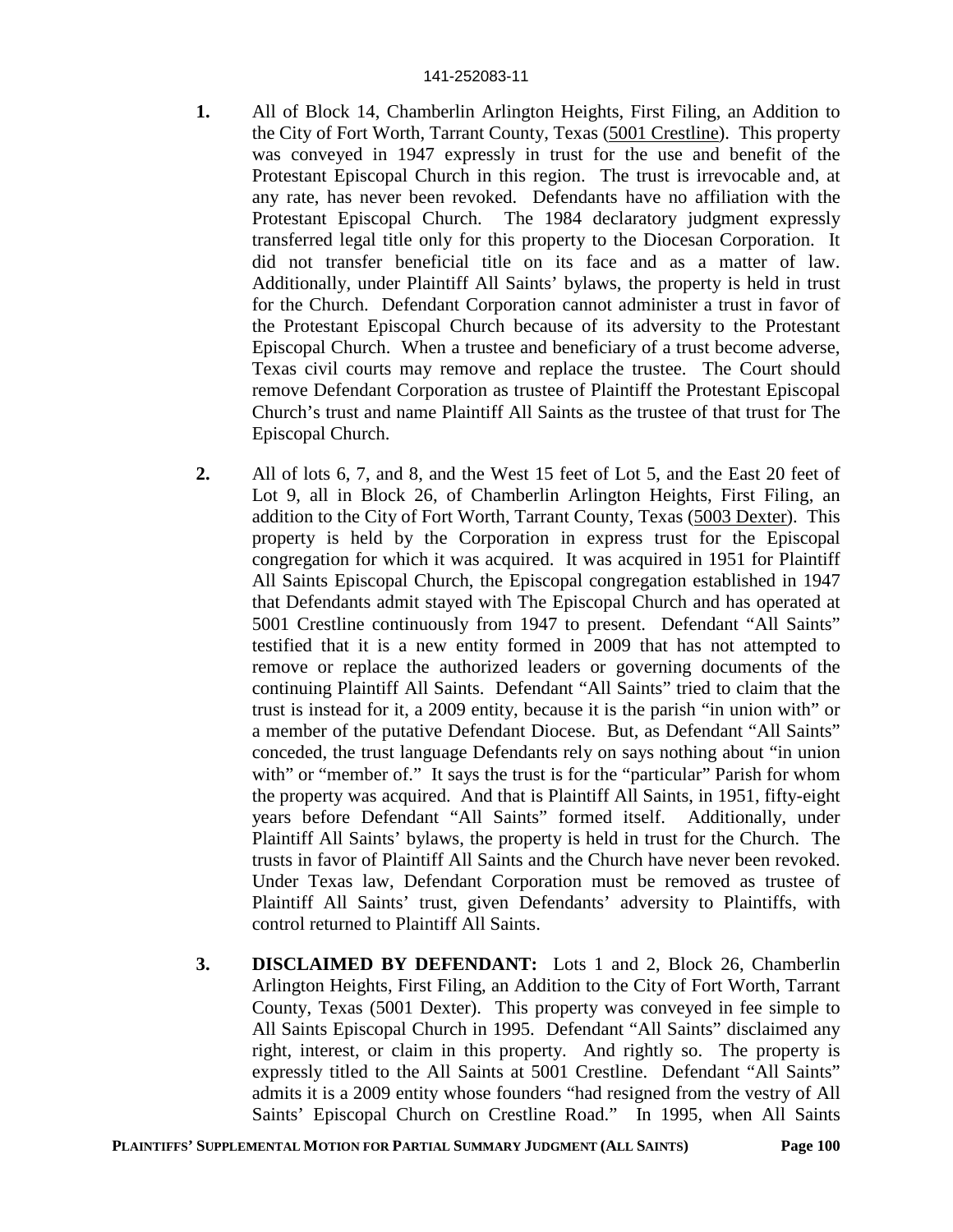- **1.** All of Block 14, Chamberlin Arlington Heights, First Filing, an Addition to the City of Fort Worth, Tarrant County, Texas (5001 Crestline). This property was conveyed in 1947 expressly in trust for the use and benefit of the Protestant Episcopal Church in this region. The trust is irrevocable and, at any rate, has never been revoked. Defendants have no affiliation with the Protestant Episcopal Church. The 1984 declaratory judgment expressly transferred legal title only for this property to the Diocesan Corporation. It did not transfer beneficial title on its face and as a matter of law. Additionally, under Plaintiff All Saints' bylaws, the property is held in trust for the Church. Defendant Corporation cannot administer a trust in favor of the Protestant Episcopal Church because of its adversity to the Protestant Episcopal Church. When a trustee and beneficiary of a trust become adverse, Texas civil courts may remove and replace the trustee. The Court should remove Defendant Corporation as trustee of Plaintiff the Protestant Episcopal Church's trust and name Plaintiff All Saints as the trustee of that trust for The Episcopal Church.
- **2.** All of lots 6, 7, and 8, and the West 15 feet of Lot 5, and the East 20 feet of Lot 9, all in Block 26, of Chamberlin Arlington Heights, First Filing, an addition to the City of Fort Worth, Tarrant County, Texas (5003 Dexter). This property is held by the Corporation in express trust for the Episcopal congregation for which it was acquired. It was acquired in 1951 for Plaintiff All Saints Episcopal Church, the Episcopal congregation established in 1947 that Defendants admit stayed with The Episcopal Church and has operated at 5001 Crestline continuously from 1947 to present. Defendant "All Saints" testified that it is a new entity formed in 2009 that has not attempted to remove or replace the authorized leaders or governing documents of the continuing Plaintiff All Saints. Defendant "All Saints" tried to claim that the trust is instead for it, a 2009 entity, because it is the parish "in union with" or a member of the putative Defendant Diocese. But, as Defendant "All Saints" conceded, the trust language Defendants rely on says nothing about "in union with" or "member of." It says the trust is for the "particular" Parish for whom the property was acquired. And that is Plaintiff All Saints, in 1951, fifty-eight years before Defendant "All Saints" formed itself. Additionally, under Plaintiff All Saints' bylaws, the property is held in trust for the Church. The trusts in favor of Plaintiff All Saints and the Church have never been revoked. Under Texas law, Defendant Corporation must be removed as trustee of Plaintiff All Saints' trust, given Defendants' adversity to Plaintiffs, with control returned to Plaintiff All Saints.
- **3. DISCLAIMED BY DEFENDANT:** Lots 1 and 2, Block 26, Chamberlin Arlington Heights, First Filing, an Addition to the City of Fort Worth, Tarrant County, Texas (5001 Dexter). This property was conveyed in fee simple to All Saints Episcopal Church in 1995. Defendant "All Saints" disclaimed any right, interest, or claim in this property. And rightly so. The property is expressly titled to the All Saints at 5001 Crestline. Defendant "All Saints" admits it is a 2009 entity whose founders "had resigned from the vestry of All Saints' Episcopal Church on Crestline Road." In 1995, when All Saints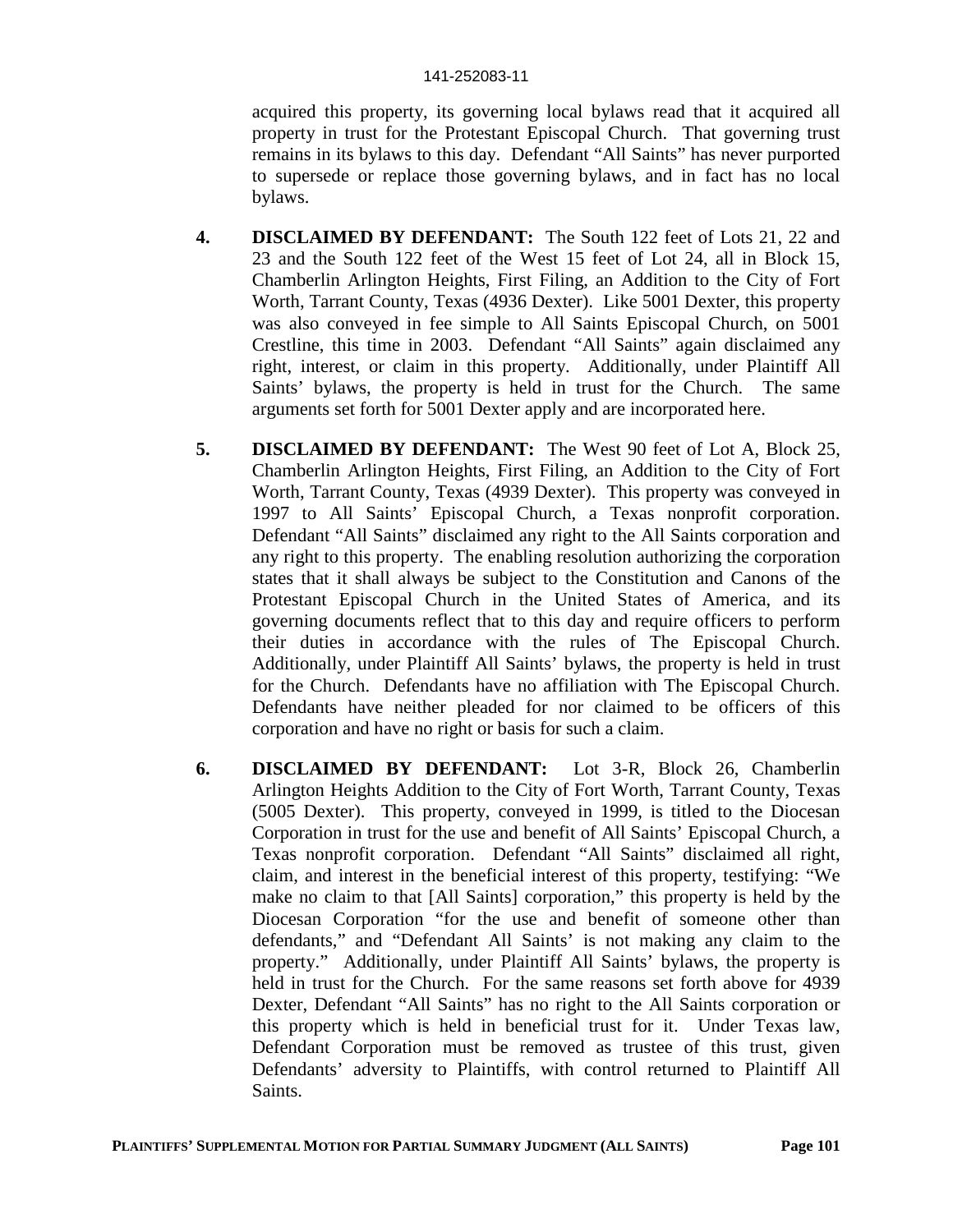acquired this property, its governing local bylaws read that it acquired all property in trust for the Protestant Episcopal Church. That governing trust remains in its bylaws to this day. Defendant "All Saints" has never purported to supersede or replace those governing bylaws, and in fact has no local bylaws.

- **4. DISCLAIMED BY DEFENDANT:** The South 122 feet of Lots 21, 22 and 23 and the South 122 feet of the West 15 feet of Lot 24, all in Block 15, Chamberlin Arlington Heights, First Filing, an Addition to the City of Fort Worth, Tarrant County, Texas (4936 Dexter). Like 5001 Dexter, this property was also conveyed in fee simple to All Saints Episcopal Church, on 5001 Crestline, this time in 2003. Defendant "All Saints" again disclaimed any right, interest, or claim in this property. Additionally, under Plaintiff All Saints' bylaws, the property is held in trust for the Church. The same arguments set forth for 5001 Dexter apply and are incorporated here.
- **5. DISCLAIMED BY DEFENDANT:** The West 90 feet of Lot A, Block 25, Chamberlin Arlington Heights, First Filing, an Addition to the City of Fort Worth, Tarrant County, Texas (4939 Dexter). This property was conveyed in 1997 to All Saints' Episcopal Church, a Texas nonprofit corporation. Defendant "All Saints" disclaimed any right to the All Saints corporation and any right to this property. The enabling resolution authorizing the corporation states that it shall always be subject to the Constitution and Canons of the Protestant Episcopal Church in the United States of America, and its governing documents reflect that to this day and require officers to perform their duties in accordance with the rules of The Episcopal Church. Additionally, under Plaintiff All Saints' bylaws, the property is held in trust for the Church. Defendants have no affiliation with The Episcopal Church. Defendants have neither pleaded for nor claimed to be officers of this corporation and have no right or basis for such a claim.
- **6. DISCLAIMED BY DEFENDANT:** Lot 3-R, Block 26, Chamberlin Arlington Heights Addition to the City of Fort Worth, Tarrant County, Texas (5005 Dexter). This property, conveyed in 1999, is titled to the Diocesan Corporation in trust for the use and benefit of All Saints' Episcopal Church, a Texas nonprofit corporation. Defendant "All Saints" disclaimed all right, claim, and interest in the beneficial interest of this property, testifying: "We make no claim to that [All Saints] corporation," this property is held by the Diocesan Corporation "for the use and benefit of someone other than defendants," and "Defendant All Saints' is not making any claim to the property." Additionally, under Plaintiff All Saints' bylaws, the property is held in trust for the Church. For the same reasons set forth above for 4939 Dexter, Defendant "All Saints" has no right to the All Saints corporation or this property which is held in beneficial trust for it. Under Texas law, Defendant Corporation must be removed as trustee of this trust, given Defendants' adversity to Plaintiffs, with control returned to Plaintiff All Saints.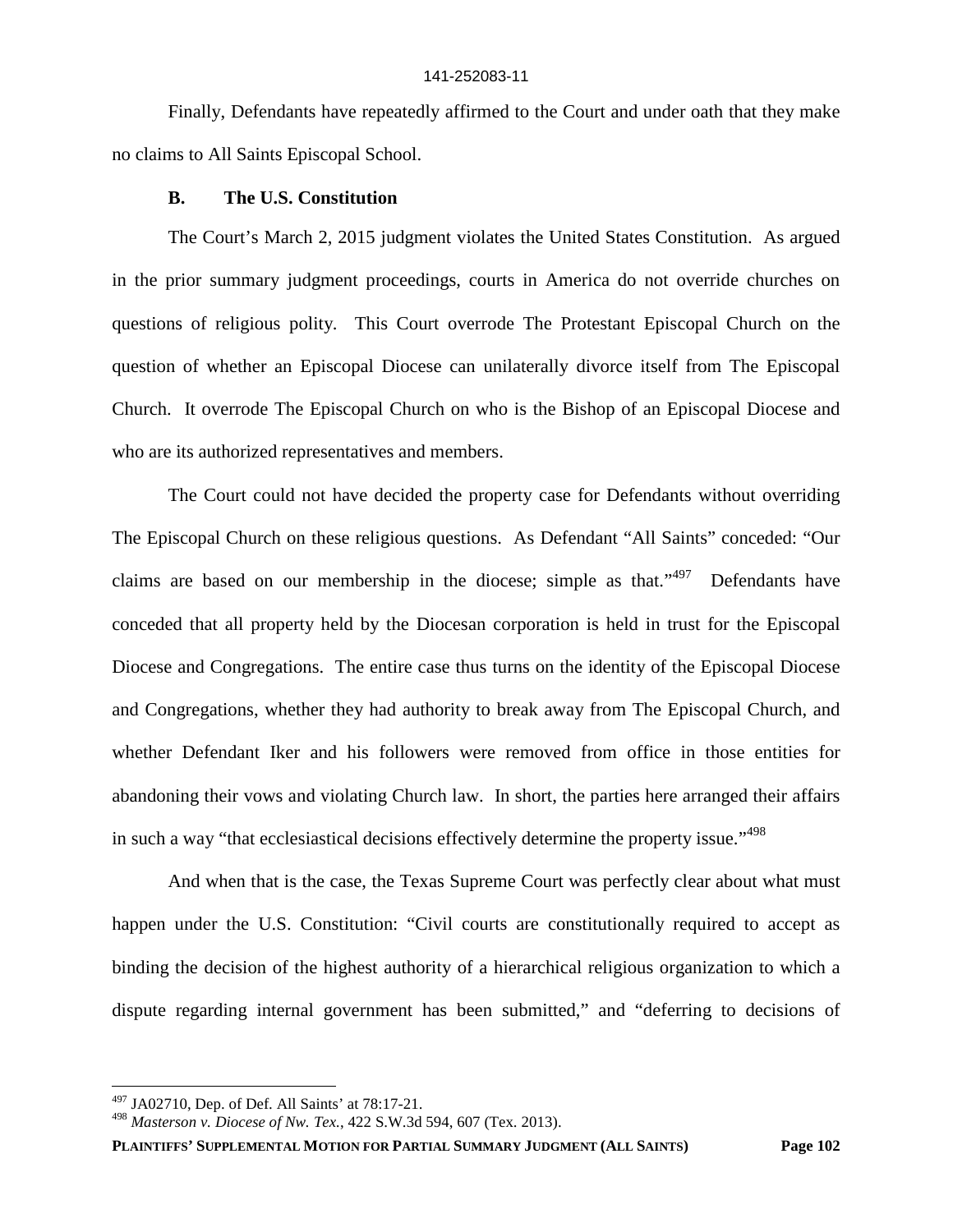Finally, Defendants have repeatedly affirmed to the Court and under oath that they make no claims to All Saints Episcopal School.

### **B. The U.S. Constitution**

The Court's March 2, 2015 judgment violates the United States Constitution. As argued in the prior summary judgment proceedings, courts in America do not override churches on questions of religious polity. This Court overrode The Protestant Episcopal Church on the question of whether an Episcopal Diocese can unilaterally divorce itself from The Episcopal Church. It overrode The Episcopal Church on who is the Bishop of an Episcopal Diocese and who are its authorized representatives and members.

The Court could not have decided the property case for Defendants without overriding The Episcopal Church on these religious questions. As Defendant "All Saints" conceded: "Our claims are based on our membership in the diocese; simple as that."<sup>497</sup> Defendants have conceded that all property held by the Diocesan corporation is held in trust for the Episcopal Diocese and Congregations. The entire case thus turns on the identity of the Episcopal Diocese and Congregations, whether they had authority to break away from The Episcopal Church, and whether Defendant Iker and his followers were removed from office in those entities for abandoning their vows and violating Church law. In short, the parties here arranged their affairs in such a way "that ecclesiastical decisions effectively determine the property issue."<sup>498</sup>

And when that is the case, the Texas Supreme Court was perfectly clear about what must happen under the U.S. Constitution: "Civil courts are constitutionally required to accept as binding the decision of the highest authority of a hierarchical religious organization to which a dispute regarding internal government has been submitted," and "deferring to decisions of

**PLAINTIFFS' SUPPLEMENTAL MOTION FOR PARTIAL SUMMARY JUDGMENT (ALL SAINTS) Page 102**

 $497$  JA02710, Dep. of Def. All Saints' at 78:17-21.

<sup>498</sup> *Masterson v. Diocese of Nw. Tex.*, 422 S.W.3d 594, 607 (Tex. 2013).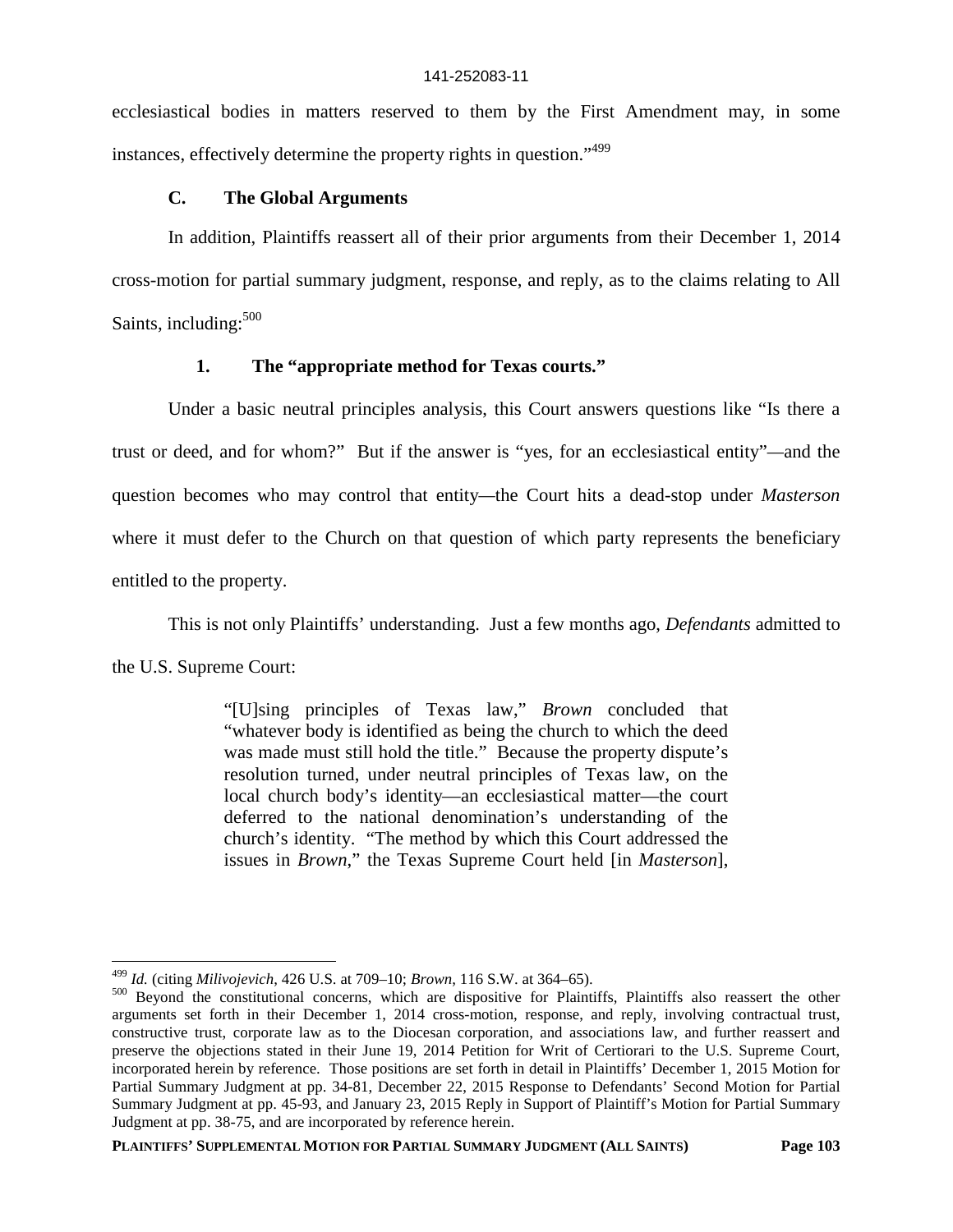ecclesiastical bodies in matters reserved to them by the First Amendment may, in some instances, effectively determine the property rights in question."<sup>499</sup>

## **C. The Global Arguments**

In addition, Plaintiffs reassert all of their prior arguments from their December 1, 2014 cross-motion for partial summary judgment, response, and reply, as to the claims relating to All Saints, including:<sup>500</sup>

## **1. The "appropriate method for Texas courts."**

Under a basic neutral principles analysis, this Court answers questions like "Is there a trust or deed, and for whom?" But if the answer is "yes, for an ecclesiastical entity"*—*and the question becomes who may control that entity*—*the Court hits a dead-stop under *Masterson* where it must defer to the Church on that question of which party represents the beneficiary entitled to the property.

This is not only Plaintiffs' understanding. Just a few months ago, *Defendants* admitted to

the U.S. Supreme Court:

"[U]sing principles of Texas law," *Brown* concluded that "whatever body is identified as being the church to which the deed was made must still hold the title." Because the property dispute's resolution turned, under neutral principles of Texas law, on the local church body's identity—an ecclesiastical matter—the court deferred to the national denomination's understanding of the church's identity. "The method by which this Court addressed the issues in *Brown*," the Texas Supreme Court held [in *Masterson*],

<sup>499</sup> *Id.* (citing *Milivojevich*, 426 U.S. at 709–10; *Brown*, 116 S.W. at 364–65).

<sup>&</sup>lt;sup>500</sup> Beyond the constitutional concerns, which are dispositive for Plaintiffs, Plaintiffs also reassert the other arguments set forth in their December 1, 2014 cross-motion, response, and reply, involving contractual trust, constructive trust, corporate law as to the Diocesan corporation, and associations law, and further reassert and preserve the objections stated in their June 19, 2014 Petition for Writ of Certiorari to the U.S. Supreme Court, incorporated herein by reference. Those positions are set forth in detail in Plaintiffs' December 1, 2015 Motion for Partial Summary Judgment at pp. 34-81, December 22, 2015 Response to Defendants' Second Motion for Partial Summary Judgment at pp. 45-93, and January 23, 2015 Reply in Support of Plaintiff's Motion for Partial Summary Judgment at pp. 38-75, and are incorporated by reference herein.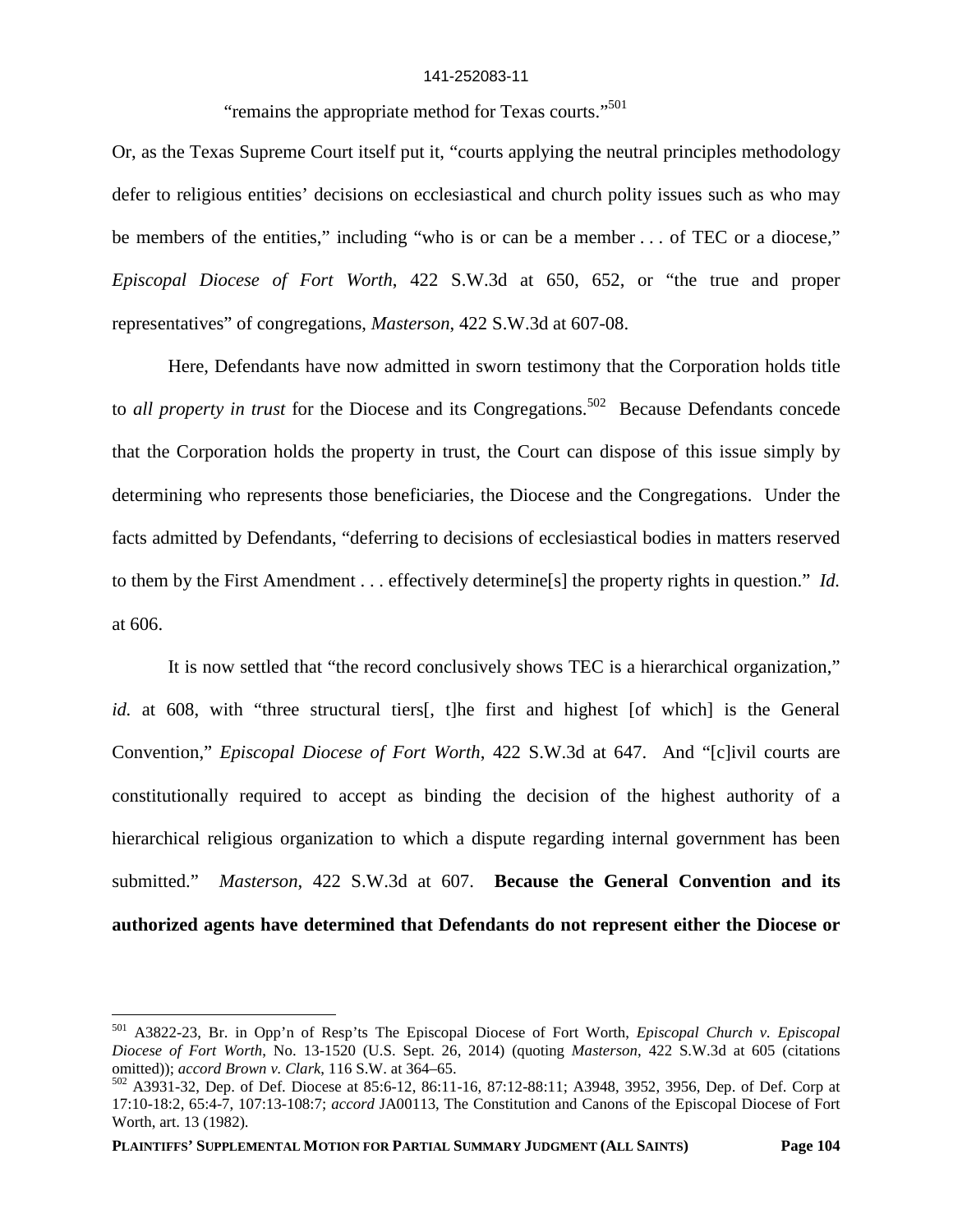"remains the appropriate method for Texas courts."<sup>501</sup>

Or, as the Texas Supreme Court itself put it, "courts applying the neutral principles methodology defer to religious entities' decisions on ecclesiastical and church polity issues such as who may be members of the entities," including "who is or can be a member . . . of TEC or a diocese," *Episcopal Diocese of Fort Worth*, 422 S.W.3d at 650, 652, or "the true and proper representatives" of congregations, *Masterson*, 422 S.W.3d at 607-08.

Here, Defendants have now admitted in sworn testimony that the Corporation holds title to *all property in trust* for the Diocese and its Congregations.<sup>502</sup> Because Defendants concede that the Corporation holds the property in trust, the Court can dispose of this issue simply by determining who represents those beneficiaries, the Diocese and the Congregations. Under the facts admitted by Defendants, "deferring to decisions of ecclesiastical bodies in matters reserved to them by the First Amendment . . . effectively determine[s] the property rights in question." *Id.* at 606.

It is now settled that "the record conclusively shows TEC is a hierarchical organization," id. at 608, with "three structural tiers[, t]he first and highest [of which] is the General Convention," *Episcopal Diocese of Fort Worth*, 422 S.W.3d at 647. And "[c]ivil courts are constitutionally required to accept as binding the decision of the highest authority of a hierarchical religious organization to which a dispute regarding internal government has been submitted." *Masterson*, 422 S.W.3d at 607. **Because the General Convention and its authorized agents have determined that Defendants do not represent either the Diocese or**

<sup>501</sup> A3822-23, Br. in Opp'n of Resp'ts The Episcopal Diocese of Fort Worth, *Episcopal Church v. Episcopal Diocese of Fort Worth*, No. 13-1520 (U.S. Sept. 26, 2014) (quoting *Masterson*, 422 S.W.3d at 605 (citations omitted)); *accord Brown v. Clark*, 116 S.W. at 364–65.

<sup>502</sup> A3931-32, Dep. of Def. Diocese at 85:6-12, 86:11-16, 87:12-88:11; A3948, 3952, 3956, Dep. of Def. Corp at 17:10-18:2, 65:4-7, 107:13-108:7; *accord* JA00113, The Constitution and Canons of the Episcopal Diocese of Fort Worth, art. 13 (1982).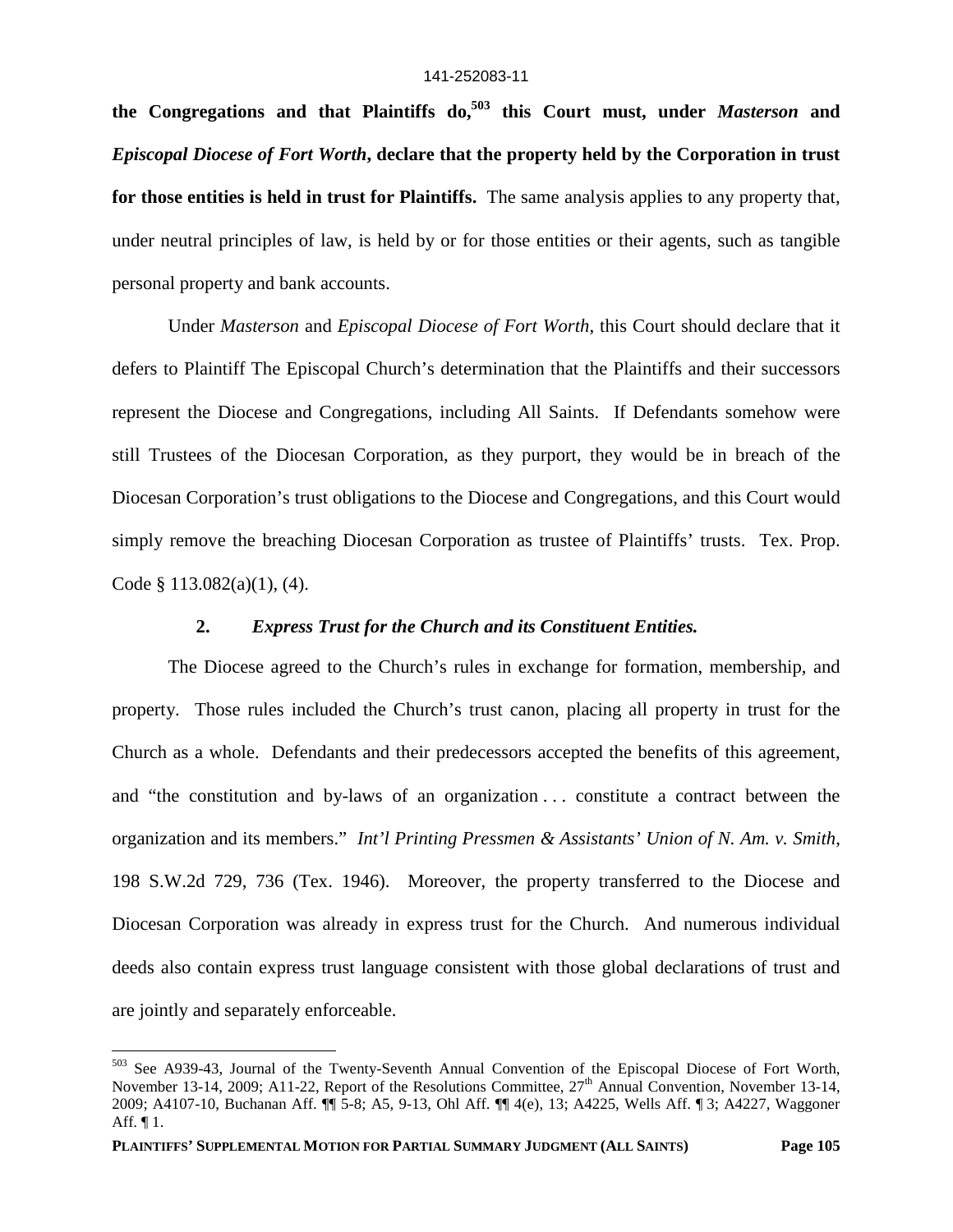**the Congregations and that Plaintiffs do,<sup>503</sup> this Court must, under** *Masterson* **and** *Episcopal Diocese of Fort Worth***, declare that the property held by the Corporation in trust for those entities is held in trust for Plaintiffs.** The same analysis applies to any property that, under neutral principles of law, is held by or for those entities or their agents, such as tangible personal property and bank accounts.

Under *Masterson* and *Episcopal Diocese of Fort Worth*, this Court should declare that it defers to Plaintiff The Episcopal Church's determination that the Plaintiffs and their successors represent the Diocese and Congregations, including All Saints. If Defendants somehow were still Trustees of the Diocesan Corporation, as they purport, they would be in breach of the Diocesan Corporation's trust obligations to the Diocese and Congregations, and this Court would simply remove the breaching Diocesan Corporation as trustee of Plaintiffs' trusts. Tex. Prop. Code § 113.082(a)(1), (4).

## **2.** *Express Trust for the Church and its Constituent Entities.*

The Diocese agreed to the Church's rules in exchange for formation, membership, and property. Those rules included the Church's trust canon, placing all property in trust for the Church as a whole. Defendants and their predecessors accepted the benefits of this agreement, and "the constitution and by-laws of an organization . . . constitute a contract between the organization and its members." *Int'l Printing Pressmen & Assistants' Union of N. Am. v. Smith*, 198 S.W.2d 729, 736 (Tex. 1946). Moreover, the property transferred to the Diocese and Diocesan Corporation was already in express trust for the Church. And numerous individual deeds also contain express trust language consistent with those global declarations of trust and are jointly and separately enforceable.

<sup>503</sup> See A939-43, Journal of the Twenty-Seventh Annual Convention of the Episcopal Diocese of Fort Worth, November 13-14, 2009; A11-22, Report of the Resolutions Committee, 27<sup>th</sup> Annual Convention, November 13-14, 2009; A4107-10, Buchanan Aff. ¶¶ 5-8; A5, 9-13, Ohl Aff. ¶¶ 4(e), 13; A4225, Wells Aff. ¶ 3; A4227, Waggoner Aff. ¶ 1.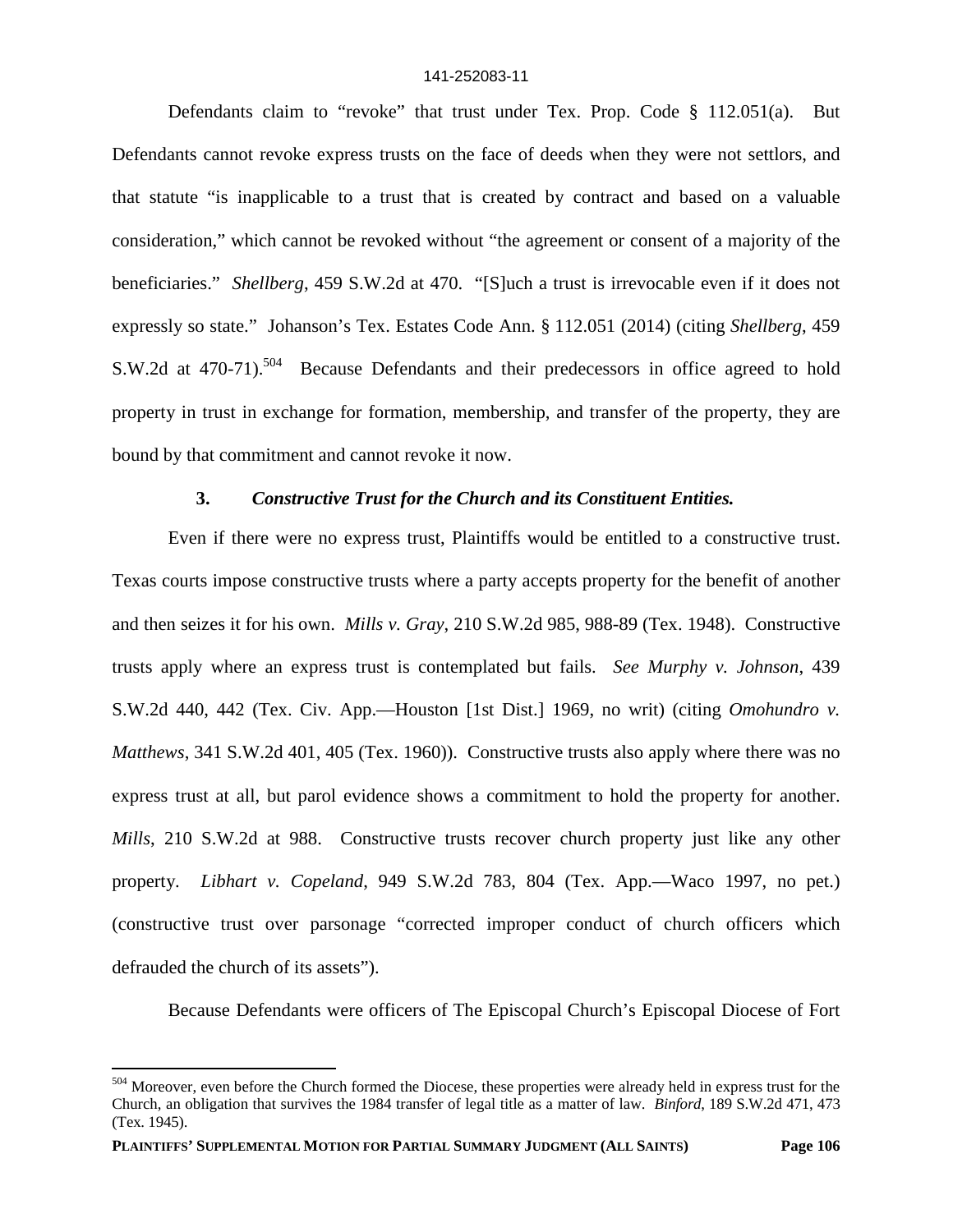Defendants claim to "revoke" that trust under Tex. Prop. Code § 112.051(a). But Defendants cannot revoke express trusts on the face of deeds when they were not settlors, and that statute "is inapplicable to a trust that is created by contract and based on a valuable consideration," which cannot be revoked without "the agreement or consent of a majority of the beneficiaries." *Shellberg*, 459 S.W.2d at 470. "[S]uch a trust is irrevocable even if it does not expressly so state." Johanson's Tex. Estates Code Ann. § 112.051 (2014) (citing *Shellberg*, 459 S.W.2d at 470-71).<sup>504</sup> Because Defendants and their predecessors in office agreed to hold property in trust in exchange for formation, membership, and transfer of the property, they are bound by that commitment and cannot revoke it now.

# **3.** *Constructive Trust for the Church and its Constituent Entities.*

Even if there were no express trust, Plaintiffs would be entitled to a constructive trust. Texas courts impose constructive trusts where a party accepts property for the benefit of another and then seizes it for his own. *Mills v. Gray*, 210 S.W.2d 985, 988-89 (Tex. 1948). Constructive trusts apply where an express trust is contemplated but fails. *See Murphy v. Johnson*, 439 S.W.2d 440, 442 (Tex. Civ. App.—Houston [1st Dist.] 1969, no writ) (citing *Omohundro v. Matthews*, 341 S.W.2d 401, 405 (Tex. 1960)). Constructive trusts also apply where there was no express trust at all, but parol evidence shows a commitment to hold the property for another. *Mills*, 210 S.W.2d at 988. Constructive trusts recover church property just like any other property. *Libhart v. Copeland*, 949 S.W.2d 783, 804 (Tex. App.—Waco 1997, no pet.) (constructive trust over parsonage "corrected improper conduct of church officers which defrauded the church of its assets").

Because Defendants were officers of The Episcopal Church's Episcopal Diocese of Fort

<sup>504</sup> Moreover, even before the Church formed the Diocese, these properties were already held in express trust for the Church, an obligation that survives the 1984 transfer of legal title as a matter of law. *Binford*, 189 S.W.2d 471, 473 (Tex. 1945).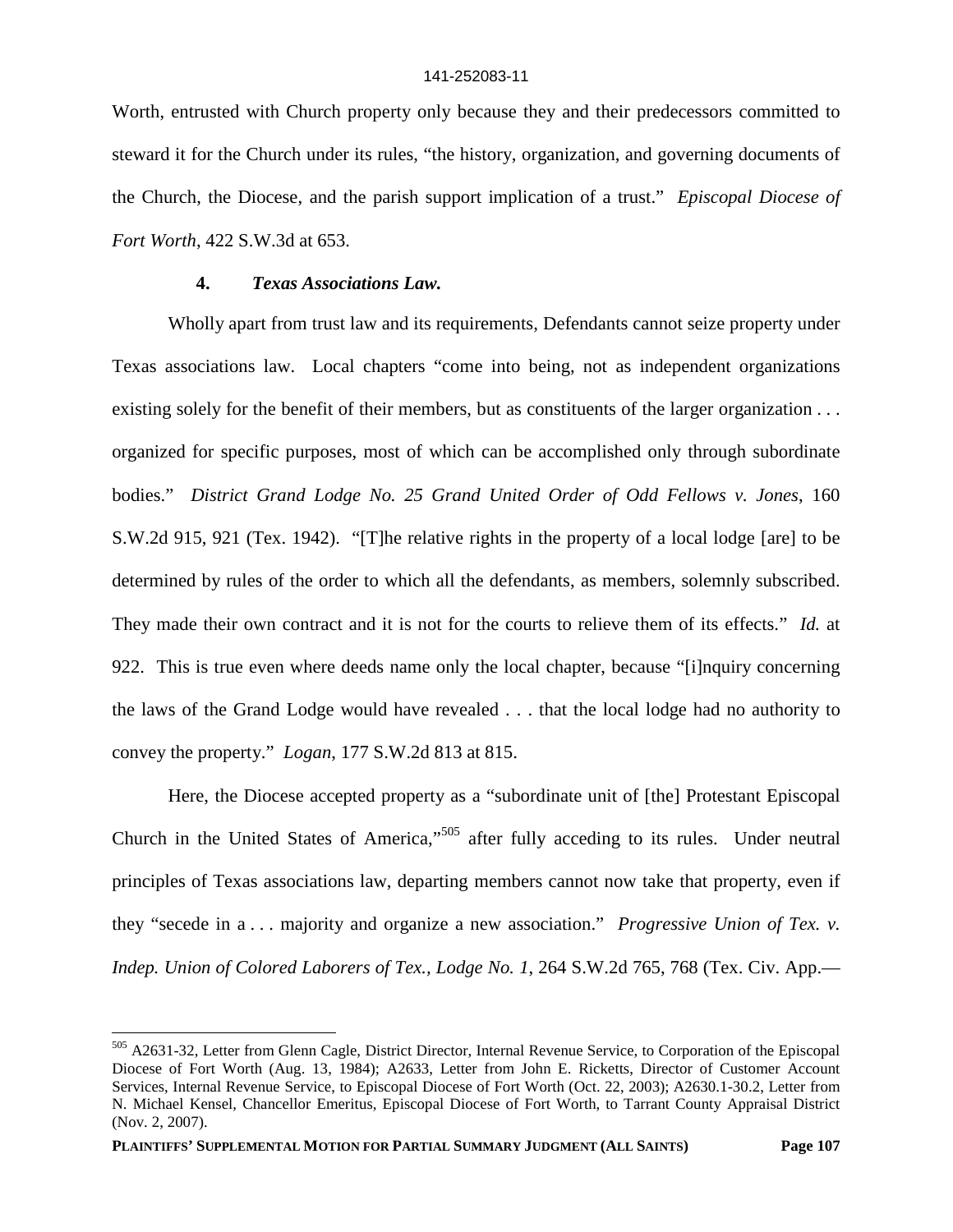Worth, entrusted with Church property only because they and their predecessors committed to steward it for the Church under its rules, "the history, organization, and governing documents of the Church, the Diocese, and the parish support implication of a trust." *Episcopal Diocese of Fort Worth*, 422 S.W.3d at 653.

## **4.** *Texas Associations Law.*

Wholly apart from trust law and its requirements, Defendants cannot seize property under Texas associations law. Local chapters "come into being, not as independent organizations existing solely for the benefit of their members, but as constituents of the larger organization . . . organized for specific purposes, most of which can be accomplished only through subordinate bodies." *District Grand Lodge No. 25 Grand United Order of Odd Fellows v. Jones*, 160 S.W.2d 915, 921 (Tex. 1942). "[T]he relative rights in the property of a local lodge [are] to be determined by rules of the order to which all the defendants, as members, solemnly subscribed. They made their own contract and it is not for the courts to relieve them of its effects." *Id.* at 922. This is true even where deeds name only the local chapter, because "[i]nquiry concerning the laws of the Grand Lodge would have revealed . . . that the local lodge had no authority to convey the property." *Logan*, 177 S.W.2d 813 at 815.

Here, the Diocese accepted property as a "subordinate unit of [the] Protestant Episcopal Church in the United States of America,"<sup>505</sup> after fully acceding to its rules. Under neutral principles of Texas associations law, departing members cannot now take that property, even if they "secede in a . . . majority and organize a new association." *Progressive Union of Tex. v. Indep. Union of Colored Laborers of Tex., Lodge No. 1*, 264 S.W.2d 765, 768 (Tex. Civ. App.—

<sup>505</sup> A2631-32, Letter from Glenn Cagle, District Director, Internal Revenue Service, to Corporation of the Episcopal Diocese of Fort Worth (Aug. 13, 1984); A2633, Letter from John E. Ricketts, Director of Customer Account Services, Internal Revenue Service, to Episcopal Diocese of Fort Worth (Oct. 22, 2003); A2630.1-30.2, Letter from N. Michael Kensel, Chancellor Emeritus, Episcopal Diocese of Fort Worth, to Tarrant County Appraisal District (Nov. 2, 2007).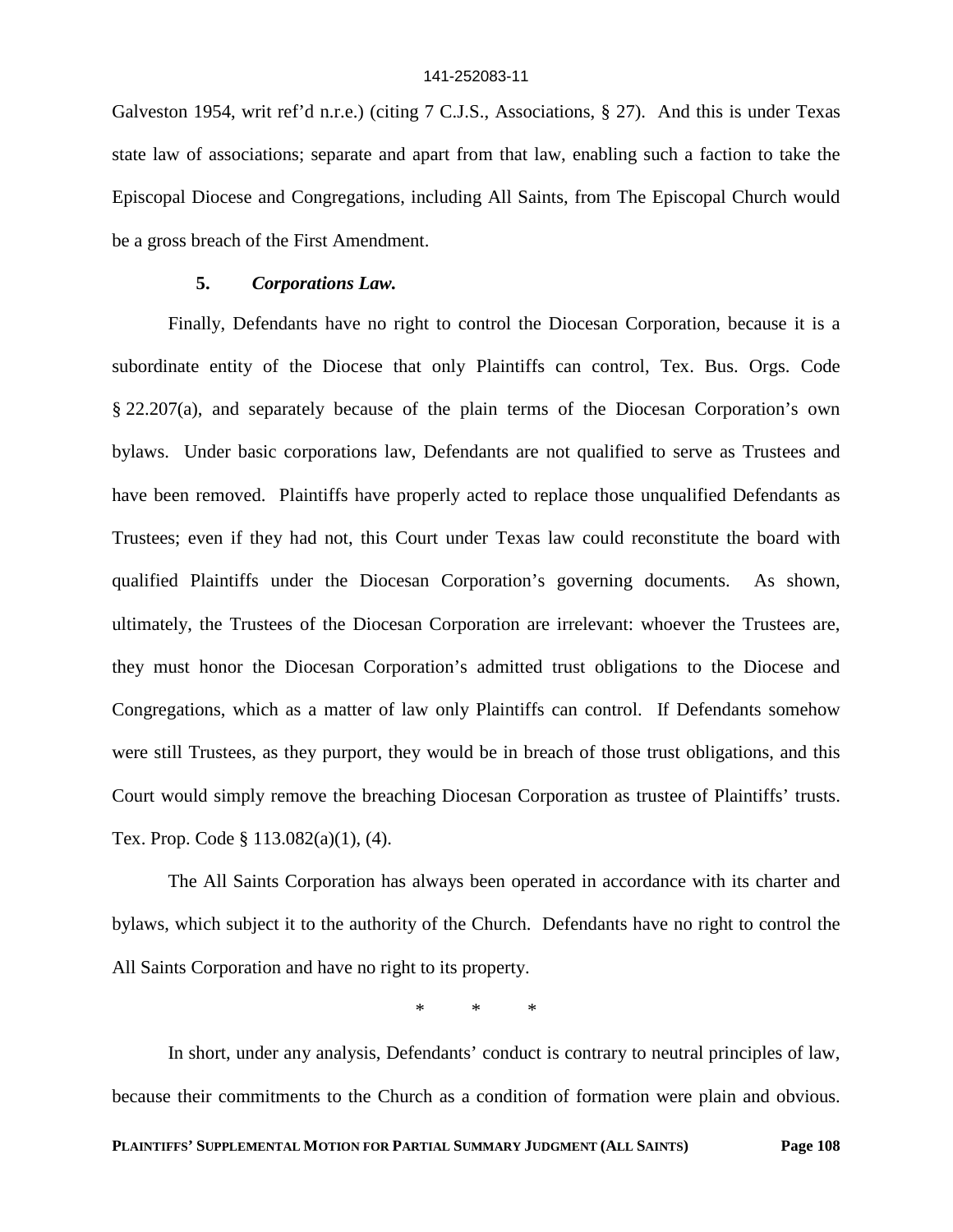Galveston 1954, writ ref'd n.r.e.) (citing 7 C.J.S., Associations, § 27). And this is under Texas state law of associations; separate and apart from that law, enabling such a faction to take the Episcopal Diocese and Congregations, including All Saints, from The Episcopal Church would be a gross breach of the First Amendment.

## **5.** *Corporations Law.*

Finally, Defendants have no right to control the Diocesan Corporation, because it is a subordinate entity of the Diocese that only Plaintiffs can control, Tex. Bus. Orgs. Code § 22.207(a), and separately because of the plain terms of the Diocesan Corporation's own bylaws. Under basic corporations law, Defendants are not qualified to serve as Trustees and have been removed. Plaintiffs have properly acted to replace those unqualified Defendants as Trustees; even if they had not, this Court under Texas law could reconstitute the board with qualified Plaintiffs under the Diocesan Corporation's governing documents. As shown, ultimately, the Trustees of the Diocesan Corporation are irrelevant: whoever the Trustees are, they must honor the Diocesan Corporation's admitted trust obligations to the Diocese and Congregations, which as a matter of law only Plaintiffs can control. If Defendants somehow were still Trustees, as they purport, they would be in breach of those trust obligations, and this Court would simply remove the breaching Diocesan Corporation as trustee of Plaintiffs' trusts. Tex. Prop. Code § 113.082(a)(1), (4).

The All Saints Corporation has always been operated in accordance with its charter and bylaws, which subject it to the authority of the Church. Defendants have no right to control the All Saints Corporation and have no right to its property.

\* \* \*

In short, under any analysis, Defendants' conduct is contrary to neutral principles of law, because their commitments to the Church as a condition of formation were plain and obvious.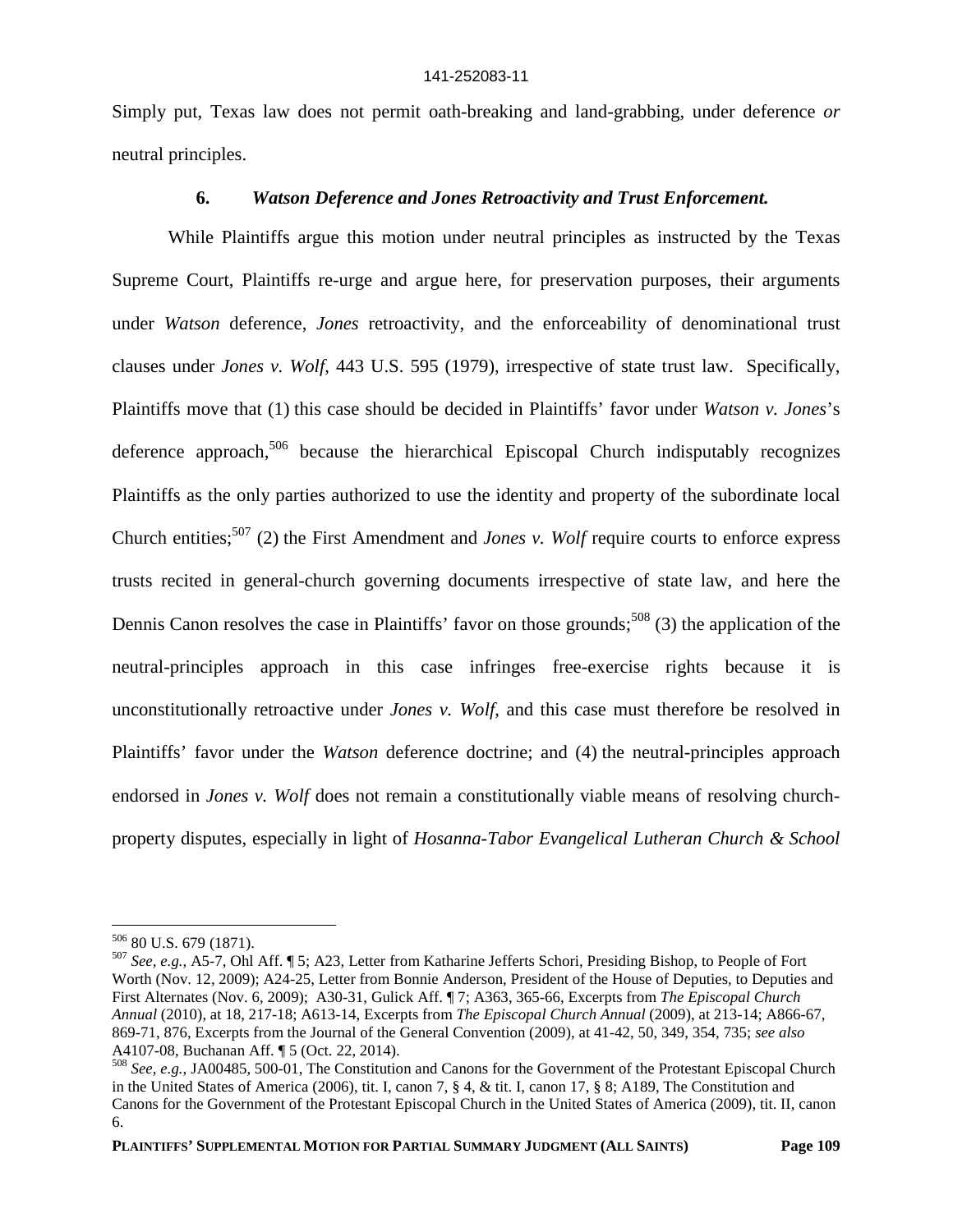Simply put, Texas law does not permit oath-breaking and land-grabbing, under deference *or* neutral principles.

### **6.** *Watson Deference and Jones Retroactivity and Trust Enforcement.*

While Plaintiffs argue this motion under neutral principles as instructed by the Texas Supreme Court, Plaintiffs re-urge and argue here, for preservation purposes, their arguments under *Watson* deference, *Jones* retroactivity, and the enforceability of denominational trust clauses under *Jones v. Wolf*, 443 U.S. 595 (1979), irrespective of state trust law. Specifically, Plaintiffs move that (1) this case should be decided in Plaintiffs' favor under *Watson v. Jones*'s deference approach, $506$  because the hierarchical Episcopal Church indisputably recognizes Plaintiffs as the only parties authorized to use the identity and property of the subordinate local Church entities;<sup>507</sup> (2) the First Amendment and *Jones v. Wolf* require courts to enforce express trusts recited in general-church governing documents irrespective of state law, and here the Dennis Canon resolves the case in Plaintiffs' favor on those grounds;<sup>508</sup> (3) the application of the neutral-principles approach in this case infringes free-exercise rights because it is unconstitutionally retroactive under *Jones v. Wolf*, and this case must therefore be resolved in Plaintiffs' favor under the *Watson* deference doctrine; and (4) the neutral-principles approach endorsed in *Jones v. Wolf* does not remain a constitutionally viable means of resolving churchproperty disputes, especially in light of *Hosanna-Tabor Evangelical Lutheran Church & School*

<sup>506</sup> 80 U.S. 679 (1871).

<sup>507</sup> *See, e.g.*, A5-7, Ohl Aff. ¶ 5; A23, Letter from Katharine Jefferts Schori, Presiding Bishop, to People of Fort Worth (Nov. 12, 2009); A24-25, Letter from Bonnie Anderson, President of the House of Deputies, to Deputies and First Alternates (Nov. 6, 2009); A30-31, Gulick Aff. ¶ 7; A363, 365-66, Excerpts from *The Episcopal Church Annual* (2010), at 18, 217-18; A613-14, Excerpts from *The Episcopal Church Annual* (2009), at 213-14; A866-67, 869-71, 876, Excerpts from the Journal of the General Convention (2009), at 41-42, 50, 349, 354, 735; *see also* A4107-08, Buchanan Aff. ¶ 5 (Oct. 22, 2014).

<sup>508</sup> *See, e.g.*, JA00485, 500-01, The Constitution and Canons for the Government of the Protestant Episcopal Church in the United States of America (2006), tit. I, canon 7, § 4, & tit. I, canon 17, § 8; A189, The Constitution and Canons for the Government of the Protestant Episcopal Church in the United States of America (2009), tit. II, canon 6.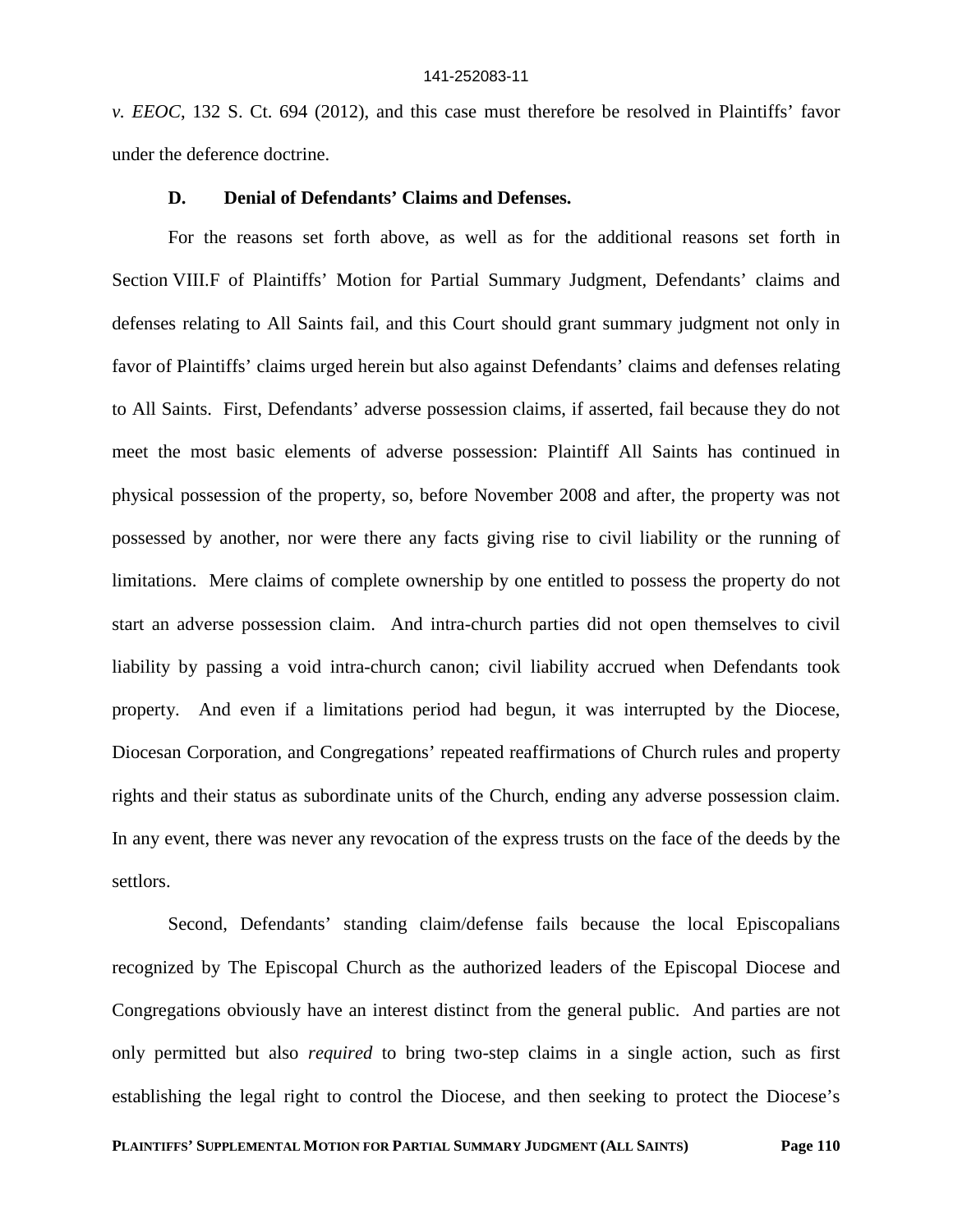*v. EEOC*, 132 S. Ct. 694 (2012), and this case must therefore be resolved in Plaintiffs' favor under the deference doctrine.

### **D. Denial of Defendants' Claims and Defenses.**

For the reasons set forth above, as well as for the additional reasons set forth in Section VIII.F of Plaintiffs' Motion for Partial Summary Judgment, Defendants' claims and defenses relating to All Saints fail, and this Court should grant summary judgment not only in favor of Plaintiffs' claims urged herein but also against Defendants' claims and defenses relating to All Saints. First, Defendants' adverse possession claims, if asserted, fail because they do not meet the most basic elements of adverse possession: Plaintiff All Saints has continued in physical possession of the property, so, before November 2008 and after, the property was not possessed by another, nor were there any facts giving rise to civil liability or the running of limitations. Mere claims of complete ownership by one entitled to possess the property do not start an adverse possession claim. And intra-church parties did not open themselves to civil liability by passing a void intra-church canon; civil liability accrued when Defendants took property. And even if a limitations period had begun, it was interrupted by the Diocese, Diocesan Corporation, and Congregations' repeated reaffirmations of Church rules and property rights and their status as subordinate units of the Church, ending any adverse possession claim. In any event, there was never any revocation of the express trusts on the face of the deeds by the settlors.

Second, Defendants' standing claim/defense fails because the local Episcopalians recognized by The Episcopal Church as the authorized leaders of the Episcopal Diocese and Congregations obviously have an interest distinct from the general public. And parties are not only permitted but also *required* to bring two-step claims in a single action, such as first establishing the legal right to control the Diocese, and then seeking to protect the Diocese's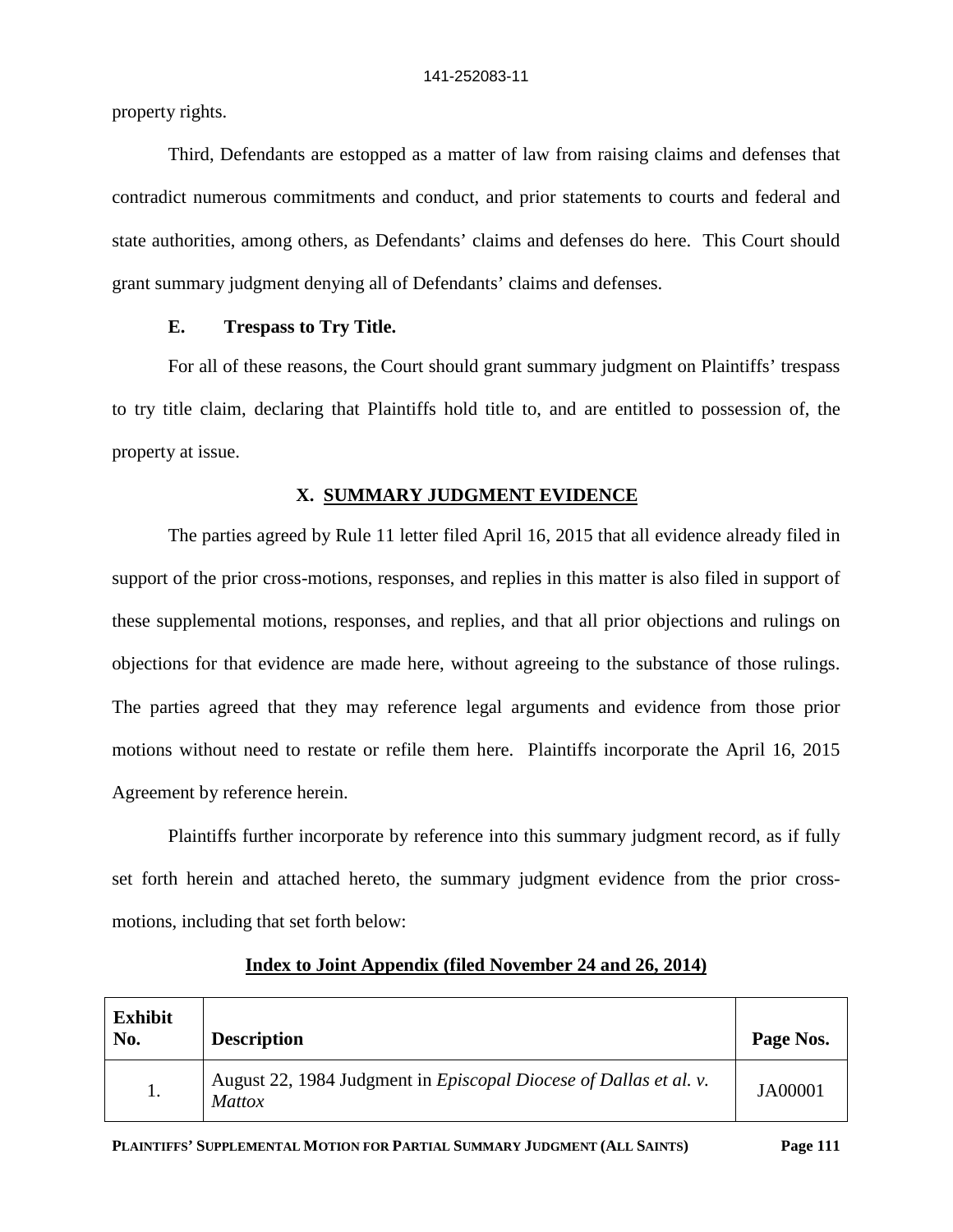property rights.

Third, Defendants are estopped as a matter of law from raising claims and defenses that contradict numerous commitments and conduct, and prior statements to courts and federal and state authorities, among others, as Defendants' claims and defenses do here. This Court should grant summary judgment denying all of Defendants' claims and defenses.

## **E. Trespass to Try Title.**

For all of these reasons, the Court should grant summary judgment on Plaintiffs' trespass to try title claim, declaring that Plaintiffs hold title to, and are entitled to possession of, the property at issue.

# **X. SUMMARY JUDGMENT EVIDENCE**

The parties agreed by Rule 11 letter filed April 16, 2015 that all evidence already filed in support of the prior cross-motions, responses, and replies in this matter is also filed in support of these supplemental motions, responses, and replies, and that all prior objections and rulings on objections for that evidence are made here, without agreeing to the substance of those rulings. The parties agreed that they may reference legal arguments and evidence from those prior motions without need to restate or refile them here. Plaintiffs incorporate the April 16, 2015 Agreement by reference herein.

Plaintiffs further incorporate by reference into this summary judgment record, as if fully set forth herein and attached hereto, the summary judgment evidence from the prior crossmotions, including that set forth below:

| <b>Exhibit</b><br>No. | <b>Description</b>                                                                        | Page Nos. |
|-----------------------|-------------------------------------------------------------------------------------------|-----------|
|                       | August 22, 1984 Judgment in <i>Episcopal Diocese of Dallas et al. v.</i><br><i>Mattox</i> | JA00001   |

# **Index to Joint Appendix (filed November 24 and 26, 2014)**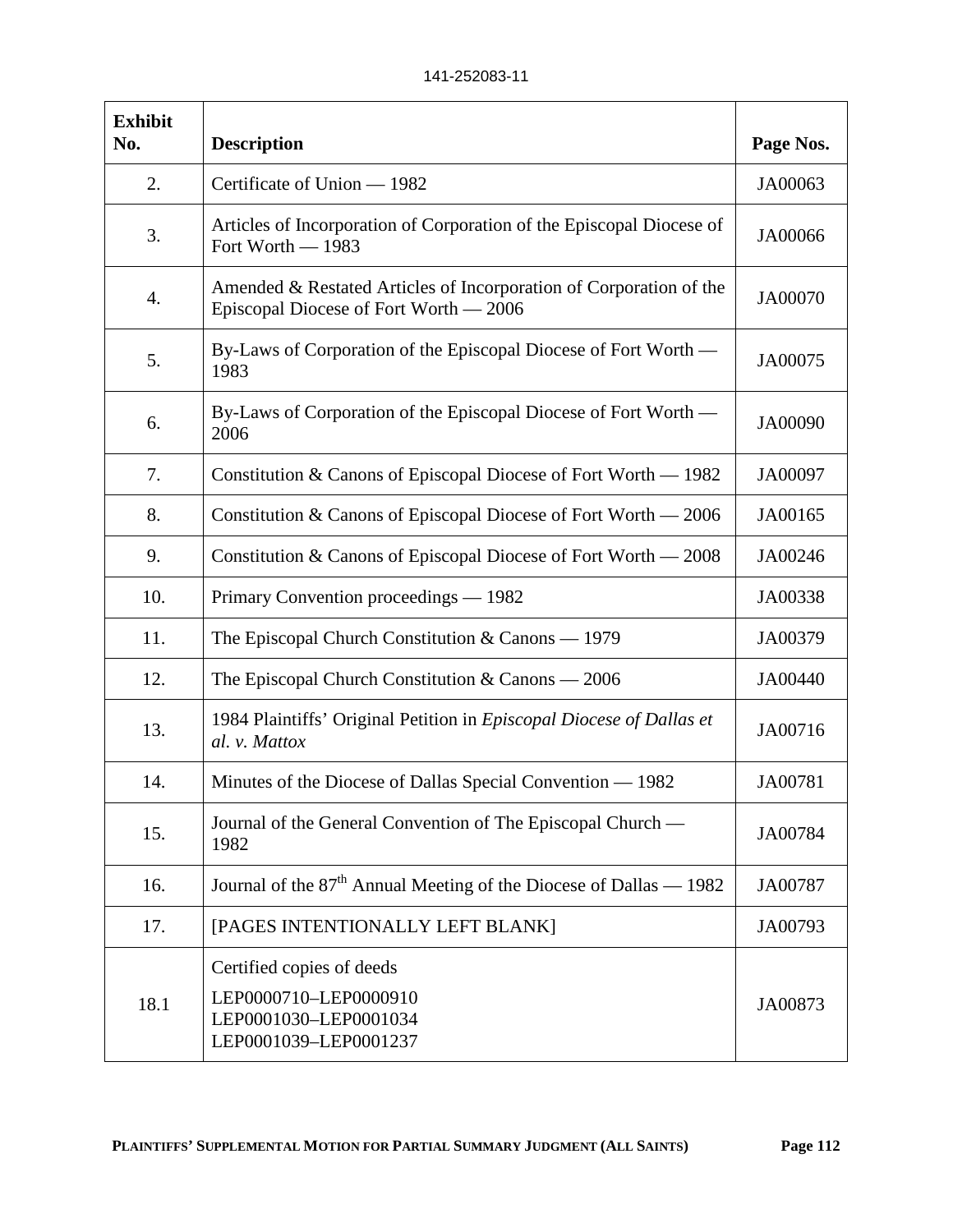| <b>Exhibit</b><br>No. | <b>Description</b>                                                                                           | Page Nos. |
|-----------------------|--------------------------------------------------------------------------------------------------------------|-----------|
| 2.                    | Certificate of Union - 1982                                                                                  | JA00063   |
| 3.                    | Articles of Incorporation of Corporation of the Episcopal Diocese of<br>Fort Worth - 1983                    | JA00066   |
| 4.                    | Amended & Restated Articles of Incorporation of Corporation of the<br>Episcopal Diocese of Fort Worth — 2006 | JA00070   |
| 5.                    | By-Laws of Corporation of the Episcopal Diocese of Fort Worth —<br>1983                                      | JA00075   |
| 6.                    | By-Laws of Corporation of the Episcopal Diocese of Fort Worth -<br>2006                                      | JA00090   |
| 7.                    | Constitution & Canons of Episcopal Diocese of Fort Worth — 1982                                              | JA00097   |
| 8.                    | Constitution & Canons of Episcopal Diocese of Fort Worth — 2006                                              | JA00165   |
| 9.                    | Constitution & Canons of Episcopal Diocese of Fort Worth — 2008                                              | JA00246   |
| 10.                   | Primary Convention proceedings — 1982                                                                        | JA00338   |
| 11.                   | The Episcopal Church Constitution $& \text{Canos} - 1979$                                                    | JA00379   |
| 12.                   | The Episcopal Church Constitution $& \text{Canos} - 2006$                                                    | JA00440   |
| 13.                   | 1984 Plaintiffs' Original Petition in Episcopal Diocese of Dallas et<br>al. v. Mattox                        | JA00716   |
| 14.                   | Minutes of the Diocese of Dallas Special Convention — 1982                                                   | JA00781   |
| 15.                   | Journal of the General Convention of The Episcopal Church —<br>1982                                          | JA00784   |
| 16.                   | Journal of the 87 <sup>th</sup> Annual Meeting of the Diocese of Dallas — 1982                               | JA00787   |
| 17.                   | [PAGES INTENTIONALLY LEFT BLANK]                                                                             | JA00793   |
| 18.1                  | Certified copies of deeds<br>LEP0000710-LEP0000910<br>LEP0001030-LEP0001034<br>LEP0001039-LEP0001237         | JA00873   |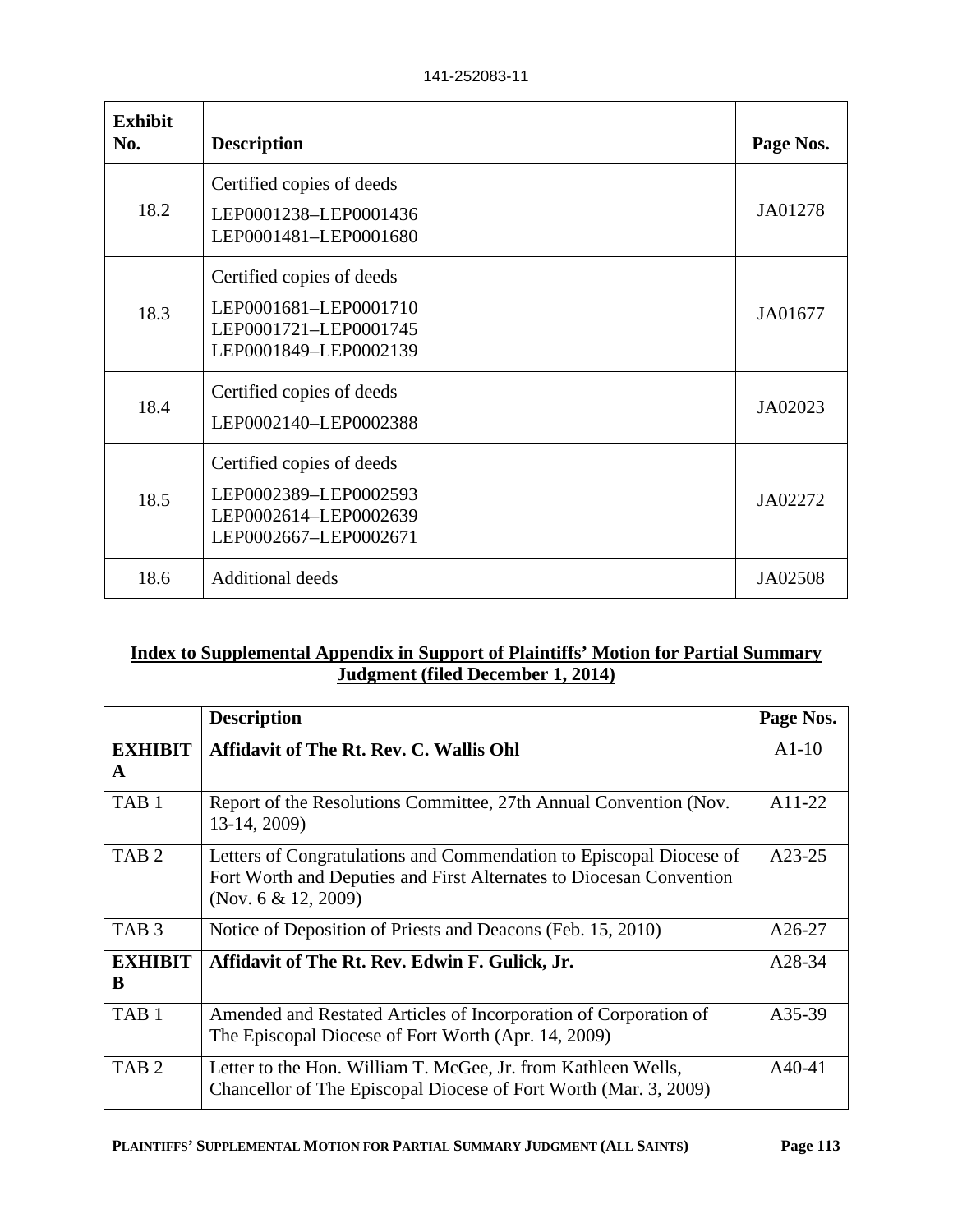| 141-252083-11 |  |
|---------------|--|
|---------------|--|

| <b>Exhibit</b><br>No. | <b>Description</b>                                                                                   | Page Nos. |
|-----------------------|------------------------------------------------------------------------------------------------------|-----------|
| 18.2                  | Certified copies of deeds<br>LEP0001238-LEP0001436<br>LEP0001481-LEP0001680                          | JA01278   |
| 18.3                  | Certified copies of deeds<br>LEP0001681-LEP0001710<br>LEP0001721-LEP0001745<br>LEP0001849-LEP0002139 | JA01677   |
| 18.4                  | Certified copies of deeds<br>LEP0002140-LEP0002388                                                   | JA02023   |
| 18.5                  | Certified copies of deeds<br>LEP0002389-LEP0002593<br>LEP0002614-LEP0002639<br>LEP0002667-LEP0002671 | JA02272   |
| 18.6                  | <b>Additional deeds</b>                                                                              | JA02508   |

# **Index to Supplemental Appendix in Support of Plaintiffs' Motion for Partial Summary Judgment (filed December 1, 2014)**

|                     | <b>Description</b>                                                                                                                                                   | Page Nos. |
|---------------------|----------------------------------------------------------------------------------------------------------------------------------------------------------------------|-----------|
| <b>EXHIBIT</b><br>A | <b>Affidavit of The Rt. Rev. C. Wallis Ohl</b>                                                                                                                       | $A1-10$   |
| TAB <sub>1</sub>    | Report of the Resolutions Committee, 27th Annual Convention (Nov.<br>13-14, 2009)                                                                                    | A11-22    |
| TAB <sub>2</sub>    | Letters of Congratulations and Commendation to Episcopal Diocese of<br>Fort Worth and Deputies and First Alternates to Diocesan Convention<br>(Nov. $6 & 12, 2009$ ) | A23-25    |
| TAB <sub>3</sub>    | Notice of Deposition of Priests and Deacons (Feb. 15, 2010)                                                                                                          | A26-27    |
| <b>EXHIBIT</b><br>B | Affidavit of The Rt. Rev. Edwin F. Gulick, Jr.                                                                                                                       | A28-34    |
| TAB <sub>1</sub>    | Amended and Restated Articles of Incorporation of Corporation of<br>The Episcopal Diocese of Fort Worth (Apr. 14, 2009)                                              | A35-39    |
| TAB <sub>2</sub>    | Letter to the Hon. William T. McGee, Jr. from Kathleen Wells,<br>Chancellor of The Episcopal Diocese of Fort Worth (Mar. 3, 2009)                                    | A40-41    |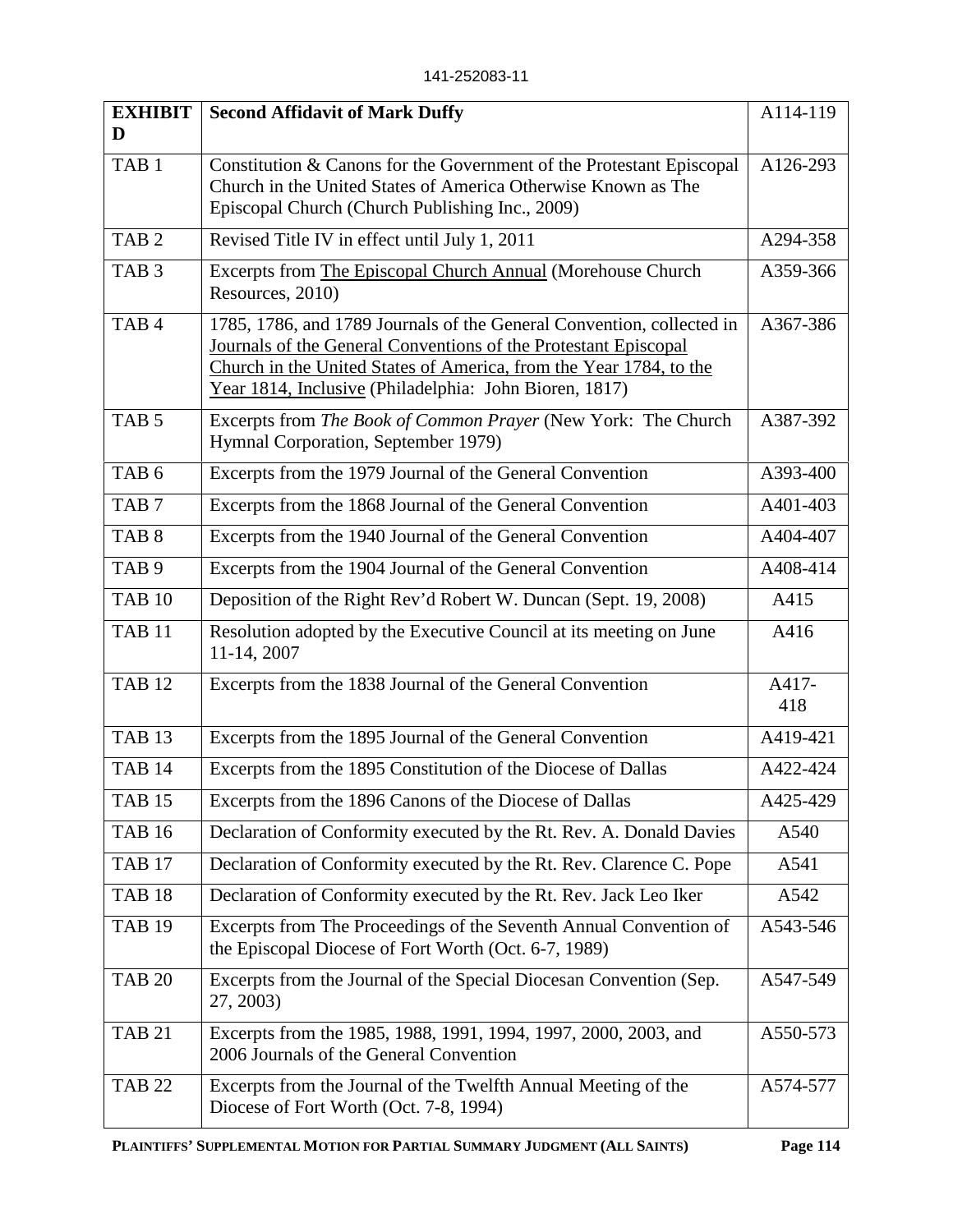| <b>EXHIBIT</b><br>D | <b>Second Affidavit of Mark Duffy</b>                                                                                                                                                                                                                                    | A114-119     |
|---------------------|--------------------------------------------------------------------------------------------------------------------------------------------------------------------------------------------------------------------------------------------------------------------------|--------------|
| TAB <sub>1</sub>    | Constitution & Canons for the Government of the Protestant Episcopal<br>Church in the United States of America Otherwise Known as The<br>Episcopal Church (Church Publishing Inc., 2009)                                                                                 | A126-293     |
| TAB <sub>2</sub>    | Revised Title IV in effect until July 1, 2011                                                                                                                                                                                                                            | A294-358     |
| TAB <sub>3</sub>    | Excerpts from The Episcopal Church Annual (Morehouse Church<br>Resources, 2010)                                                                                                                                                                                          | A359-366     |
| TAB <sub>4</sub>    | 1785, 1786, and 1789 Journals of the General Convention, collected in<br>Journals of the General Conventions of the Protestant Episcopal<br>Church in the United States of America, from the Year 1784, to the<br>Year 1814, Inclusive (Philadelphia: John Bioren, 1817) | A367-386     |
| TAB <sub>5</sub>    | Excerpts from The Book of Common Prayer (New York: The Church<br>Hymnal Corporation, September 1979)                                                                                                                                                                     | A387-392     |
| TAB <sub>6</sub>    | Excerpts from the 1979 Journal of the General Convention                                                                                                                                                                                                                 | A393-400     |
| TAB <sub>7</sub>    | Excerpts from the 1868 Journal of the General Convention                                                                                                                                                                                                                 | A401-403     |
| TAB <sub>8</sub>    | Excerpts from the 1940 Journal of the General Convention                                                                                                                                                                                                                 | A404-407     |
| TAB <sub>9</sub>    | Excerpts from the 1904 Journal of the General Convention                                                                                                                                                                                                                 | A408-414     |
| <b>TAB 10</b>       | Deposition of the Right Rev'd Robert W. Duncan (Sept. 19, 2008)                                                                                                                                                                                                          | A415         |
| TAB <sub>11</sub>   | Resolution adopted by the Executive Council at its meeting on June<br>11-14, 2007                                                                                                                                                                                        | A416         |
| <b>TAB 12</b>       | Excerpts from the 1838 Journal of the General Convention                                                                                                                                                                                                                 | A417-<br>418 |
| <b>TAB 13</b>       | Excerpts from the 1895 Journal of the General Convention                                                                                                                                                                                                                 | A419-421     |
| <b>TAB 14</b>       | Excerpts from the 1895 Constitution of the Diocese of Dallas                                                                                                                                                                                                             | A422-424     |
| TAB 15              | Excerpts from the 1896 Canons of the Diocese of Dallas                                                                                                                                                                                                                   | A425-429     |
| <b>TAB 16</b>       | Declaration of Conformity executed by the Rt. Rev. A. Donald Davies                                                                                                                                                                                                      | A540         |
| <b>TAB 17</b>       | Declaration of Conformity executed by the Rt. Rev. Clarence C. Pope                                                                                                                                                                                                      | A541         |
| <b>TAB 18</b>       | Declaration of Conformity executed by the Rt. Rev. Jack Leo Iker                                                                                                                                                                                                         | A542         |
| <b>TAB 19</b>       | Excerpts from The Proceedings of the Seventh Annual Convention of<br>the Episcopal Diocese of Fort Worth (Oct. 6-7, 1989)                                                                                                                                                | A543-546     |
| <b>TAB 20</b>       | Excerpts from the Journal of the Special Diocesan Convention (Sep.<br>27, 2003)                                                                                                                                                                                          | A547-549     |
| <b>TAB 21</b>       | Excerpts from the 1985, 1988, 1991, 1994, 1997, 2000, 2003, and<br>2006 Journals of the General Convention                                                                                                                                                               | A550-573     |
| <b>TAB 22</b>       | Excerpts from the Journal of the Twelfth Annual Meeting of the<br>Diocese of Fort Worth (Oct. 7-8, 1994)                                                                                                                                                                 | A574-577     |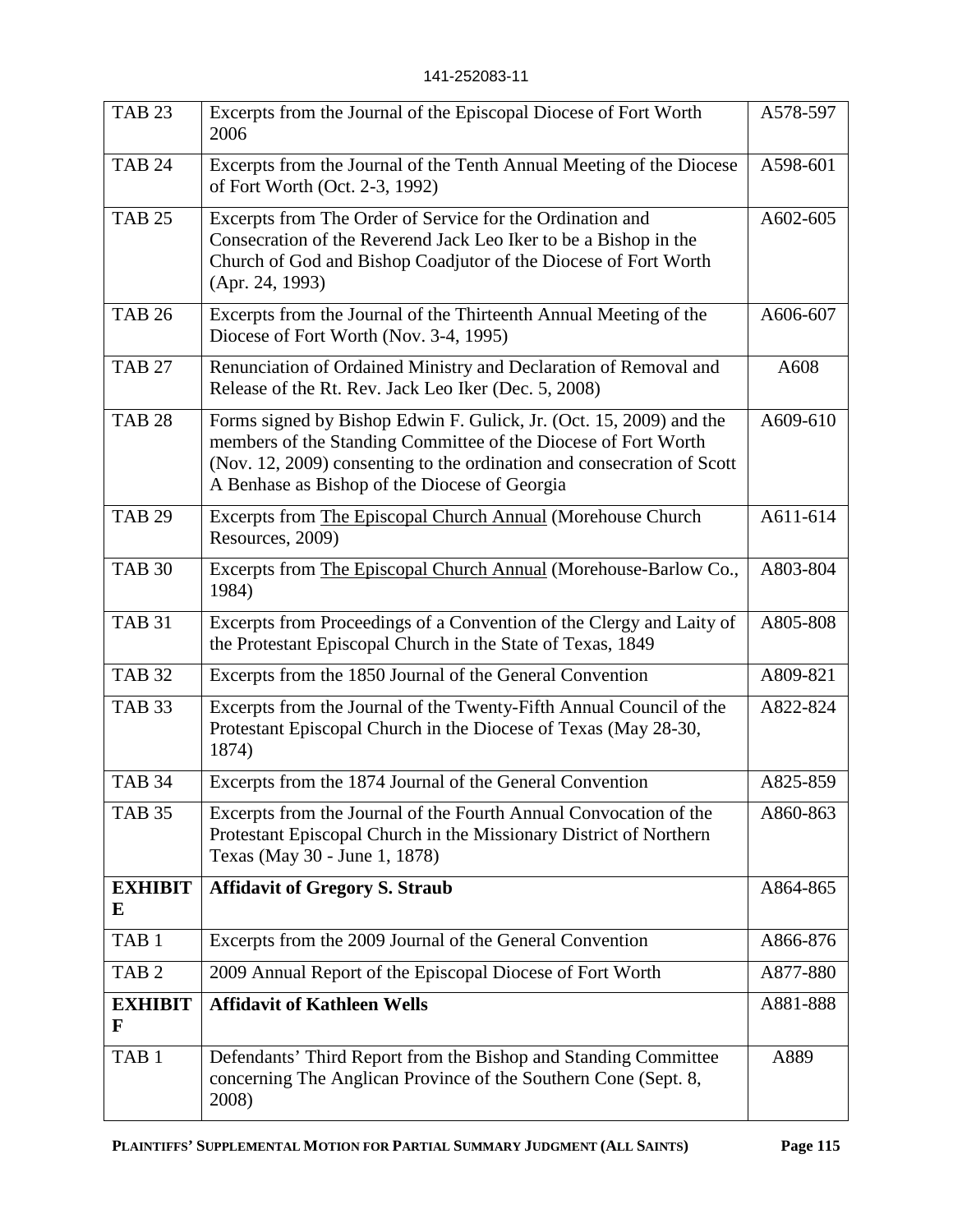| <b>TAB 23</b>       | Excerpts from the Journal of the Episcopal Diocese of Fort Worth<br>2006                                                                                                                                                                                         | A578-597 |
|---------------------|------------------------------------------------------------------------------------------------------------------------------------------------------------------------------------------------------------------------------------------------------------------|----------|
| <b>TAB 24</b>       | Excerpts from the Journal of the Tenth Annual Meeting of the Diocese<br>of Fort Worth (Oct. 2-3, 1992)                                                                                                                                                           | A598-601 |
| <b>TAB 25</b>       | Excerpts from The Order of Service for the Ordination and<br>Consecration of the Reverend Jack Leo Iker to be a Bishop in the<br>Church of God and Bishop Coadjutor of the Diocese of Fort Worth<br>(Apr. 24, 1993)                                              | A602-605 |
| <b>TAB 26</b>       | Excerpts from the Journal of the Thirteenth Annual Meeting of the<br>Diocese of Fort Worth (Nov. 3-4, 1995)                                                                                                                                                      | A606-607 |
| <b>TAB 27</b>       | Renunciation of Ordained Ministry and Declaration of Removal and<br>Release of the Rt. Rev. Jack Leo Iker (Dec. 5, 2008)                                                                                                                                         | A608     |
| <b>TAB 28</b>       | Forms signed by Bishop Edwin F. Gulick, Jr. (Oct. 15, 2009) and the<br>members of the Standing Committee of the Diocese of Fort Worth<br>(Nov. 12, 2009) consenting to the ordination and consecration of Scott<br>A Benhase as Bishop of the Diocese of Georgia | A609-610 |
| <b>TAB 29</b>       | Excerpts from The Episcopal Church Annual (Morehouse Church<br>Resources, 2009)                                                                                                                                                                                  | A611-614 |
| <b>TAB 30</b>       | Excerpts from The Episcopal Church Annual (Morehouse-Barlow Co.,<br>1984)                                                                                                                                                                                        | A803-804 |
| <b>TAB 31</b>       | Excerpts from Proceedings of a Convention of the Clergy and Laity of<br>the Protestant Episcopal Church in the State of Texas, 1849                                                                                                                              | A805-808 |
| <b>TAB 32</b>       | Excerpts from the 1850 Journal of the General Convention                                                                                                                                                                                                         | A809-821 |
| <b>TAB 33</b>       | Excerpts from the Journal of the Twenty-Fifth Annual Council of the<br>Protestant Episcopal Church in the Diocese of Texas (May 28-30,<br>1874)                                                                                                                  | A822-824 |
| <b>TAB 34</b>       | Excerpts from the 1874 Journal of the General Convention                                                                                                                                                                                                         | A825-859 |
| <b>TAB 35</b>       | Excerpts from the Journal of the Fourth Annual Convocation of the<br>Protestant Episcopal Church in the Missionary District of Northern<br>Texas (May 30 - June 1, 1878)                                                                                         | A860-863 |
| <b>EXHIBIT</b><br>E | <b>Affidavit of Gregory S. Straub</b>                                                                                                                                                                                                                            | A864-865 |
| TAB <sub>1</sub>    | Excerpts from the 2009 Journal of the General Convention                                                                                                                                                                                                         | A866-876 |
| TAB <sub>2</sub>    | 2009 Annual Report of the Episcopal Diocese of Fort Worth                                                                                                                                                                                                        | A877-880 |
| <b>EXHIBIT</b><br>F | <b>Affidavit of Kathleen Wells</b>                                                                                                                                                                                                                               | A881-888 |
| TAB <sub>1</sub>    | Defendants' Third Report from the Bishop and Standing Committee<br>concerning The Anglican Province of the Southern Cone (Sept. 8,<br>2008)                                                                                                                      | A889     |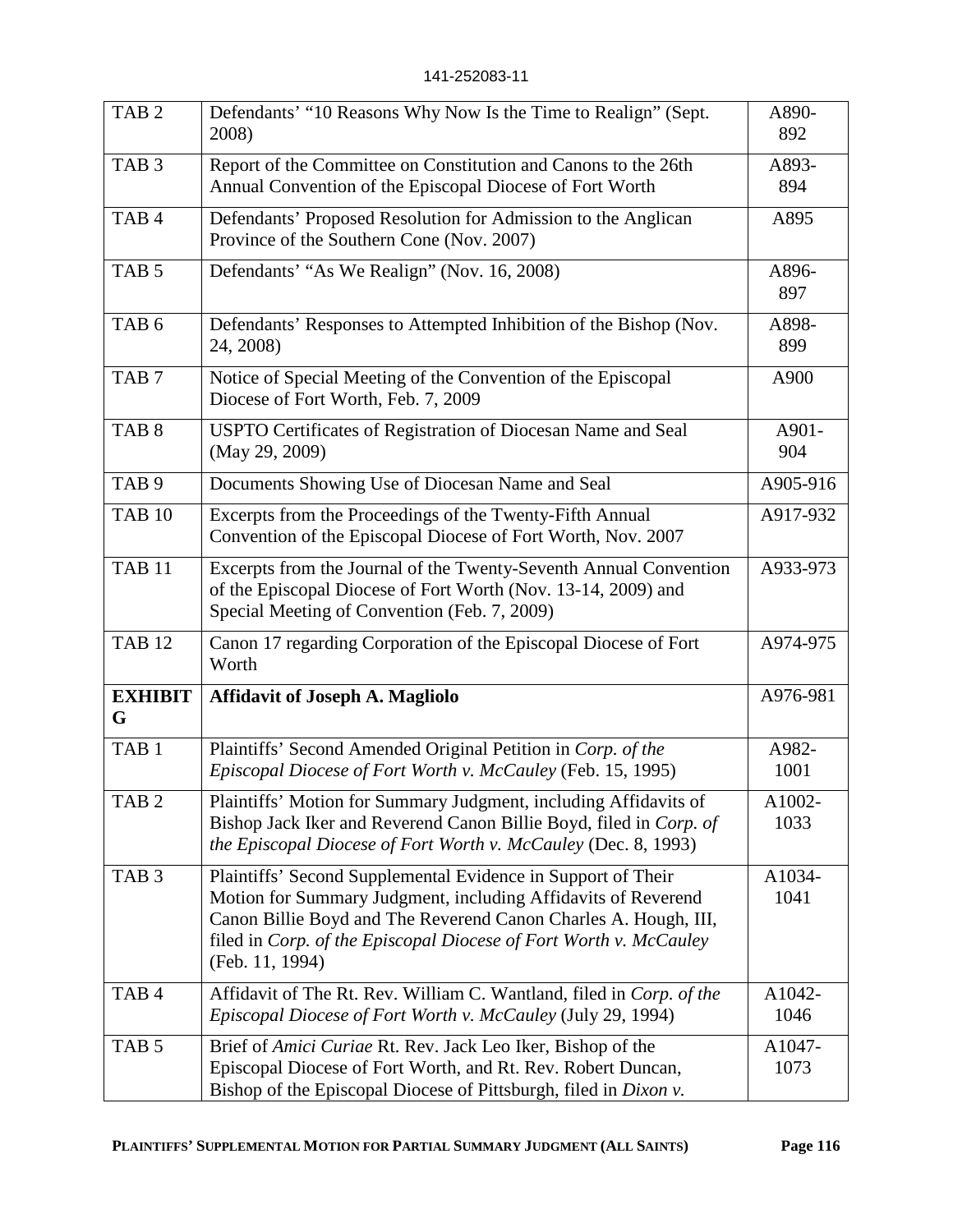| TAB <sub>2</sub>    | Defendants' "10 Reasons Why Now Is the Time to Realign" (Sept.<br>2008)                                                                                                                                                                                                                  | A890-<br>892   |
|---------------------|------------------------------------------------------------------------------------------------------------------------------------------------------------------------------------------------------------------------------------------------------------------------------------------|----------------|
| TAB <sub>3</sub>    | Report of the Committee on Constitution and Canons to the 26th<br>Annual Convention of the Episcopal Diocese of Fort Worth                                                                                                                                                               | A893-<br>894   |
| TAB <sub>4</sub>    | Defendants' Proposed Resolution for Admission to the Anglican<br>Province of the Southern Cone (Nov. 2007)                                                                                                                                                                               | A895           |
| TAB <sub>5</sub>    | Defendants' "As We Realign" (Nov. 16, 2008)                                                                                                                                                                                                                                              | A896-<br>897   |
| TAB <sub>6</sub>    | Defendants' Responses to Attempted Inhibition of the Bishop (Nov.<br>24, 2008)                                                                                                                                                                                                           | A898-<br>899   |
| TAB <sub>7</sub>    | Notice of Special Meeting of the Convention of the Episcopal<br>Diocese of Fort Worth, Feb. 7, 2009                                                                                                                                                                                      | A900           |
| TAB <sub>8</sub>    | USPTO Certificates of Registration of Diocesan Name and Seal<br>(May 29, 2009)                                                                                                                                                                                                           | A901-<br>904   |
| TAB <sub>9</sub>    | Documents Showing Use of Diocesan Name and Seal                                                                                                                                                                                                                                          | A905-916       |
| <b>TAB 10</b>       | Excerpts from the Proceedings of the Twenty-Fifth Annual<br>Convention of the Episcopal Diocese of Fort Worth, Nov. 2007                                                                                                                                                                 | A917-932       |
| <b>TAB 11</b>       | Excerpts from the Journal of the Twenty-Seventh Annual Convention<br>of the Episcopal Diocese of Fort Worth (Nov. 13-14, 2009) and<br>Special Meeting of Convention (Feb. 7, 2009)                                                                                                       | A933-973       |
| <b>TAB 12</b>       | Canon 17 regarding Corporation of the Episcopal Diocese of Fort<br>Worth                                                                                                                                                                                                                 | A974-975       |
| <b>EXHIBIT</b><br>G | <b>Affidavit of Joseph A. Magliolo</b>                                                                                                                                                                                                                                                   | A976-981       |
| TAB <sub>1</sub>    | Plaintiffs' Second Amended Original Petition in Corp. of the<br>Episcopal Diocese of Fort Worth v. McCauley (Feb. 15, 1995)                                                                                                                                                              | A982-<br>1001  |
| TAB <sub>2</sub>    | Plaintiffs' Motion for Summary Judgment, including Affidavits of<br>Bishop Jack Iker and Reverend Canon Billie Boyd, filed in Corp. of<br>the Episcopal Diocese of Fort Worth v. McCauley (Dec. 8, 1993)                                                                                 | A1002-<br>1033 |
| TAB <sub>3</sub>    | Plaintiffs' Second Supplemental Evidence in Support of Their<br>Motion for Summary Judgment, including Affidavits of Reverend<br>Canon Billie Boyd and The Reverend Canon Charles A. Hough, III,<br>filed in Corp. of the Episcopal Diocese of Fort Worth v. McCauley<br>(Feb. 11, 1994) | A1034-<br>1041 |
| TAB <sub>4</sub>    | Affidavit of The Rt. Rev. William C. Wantland, filed in Corp. of the<br>Episcopal Diocese of Fort Worth v. McCauley (July 29, 1994)                                                                                                                                                      | A1042-<br>1046 |
| TAB <sub>5</sub>    | Brief of Amici Curiae Rt. Rev. Jack Leo Iker, Bishop of the<br>Episcopal Diocese of Fort Worth, and Rt. Rev. Robert Duncan,<br>Bishop of the Episcopal Diocese of Pittsburgh, filed in Dixon v.                                                                                          | A1047-<br>1073 |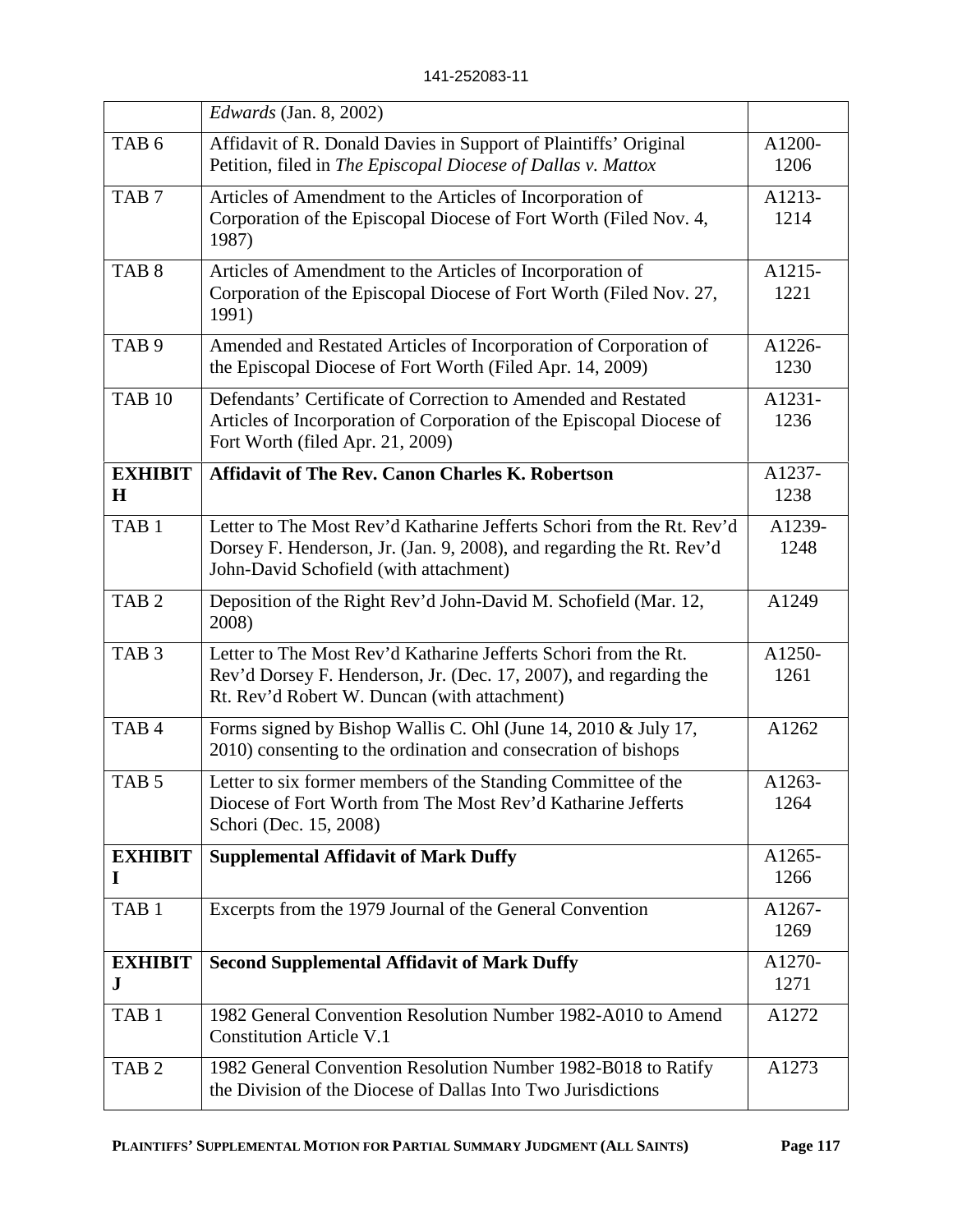|                           | <i>Edwards</i> (Jan. 8, 2002)                                                                                                                                                           |                |
|---------------------------|-----------------------------------------------------------------------------------------------------------------------------------------------------------------------------------------|----------------|
| TAB <sub>6</sub>          | Affidavit of R. Donald Davies in Support of Plaintiffs' Original<br>Petition, filed in The Episcopal Diocese of Dallas v. Mattox                                                        | A1200-<br>1206 |
| TAB <sub>7</sub>          | Articles of Amendment to the Articles of Incorporation of<br>Corporation of the Episcopal Diocese of Fort Worth (Filed Nov. 4,<br>1987)                                                 | A1213-<br>1214 |
| TAB <sub>8</sub>          | Articles of Amendment to the Articles of Incorporation of<br>Corporation of the Episcopal Diocese of Fort Worth (Filed Nov. 27,<br>1991)                                                | A1215-<br>1221 |
| TAB <sub>9</sub>          | Amended and Restated Articles of Incorporation of Corporation of<br>the Episcopal Diocese of Fort Worth (Filed Apr. 14, 2009)                                                           | A1226-<br>1230 |
| <b>TAB 10</b>             | Defendants' Certificate of Correction to Amended and Restated<br>Articles of Incorporation of Corporation of the Episcopal Diocese of<br>Fort Worth (filed Apr. 21, 2009)               | A1231-<br>1236 |
| <b>EXHIBIT</b><br>$\bf H$ | <b>Affidavit of The Rev. Canon Charles K. Robertson</b>                                                                                                                                 | A1237-<br>1238 |
| TAB <sub>1</sub>          | Letter to The Most Rev'd Katharine Jefferts Schori from the Rt. Rev'd<br>Dorsey F. Henderson, Jr. (Jan. 9, 2008), and regarding the Rt. Rev'd<br>John-David Schofield (with attachment) | A1239-<br>1248 |
| TAB <sub>2</sub>          | Deposition of the Right Rev'd John-David M. Schofield (Mar. 12,<br>2008)                                                                                                                | A1249          |
| TAB <sub>3</sub>          | Letter to The Most Rev'd Katharine Jefferts Schori from the Rt.<br>Rev'd Dorsey F. Henderson, Jr. (Dec. 17, 2007), and regarding the<br>Rt. Rev'd Robert W. Duncan (with attachment)    | A1250-<br>1261 |
| TAB <sub>4</sub>          | Forms signed by Bishop Wallis C. Ohl (June 14, 2010 & July 17,<br>2010) consenting to the ordination and consecration of bishops                                                        | A1262          |
| TAB <sub>5</sub>          | Letter to six former members of the Standing Committee of the<br>Diocese of Fort Worth from The Most Rev'd Katharine Jefferts<br>Schori (Dec. 15, 2008)                                 | A1263-<br>1264 |
| <b>EXHIBIT</b><br>I       | <b>Supplemental Affidavit of Mark Duffy</b>                                                                                                                                             | A1265-<br>1266 |
| TAB <sub>1</sub>          | Excerpts from the 1979 Journal of the General Convention                                                                                                                                | A1267-<br>1269 |
| <b>EXHIBIT</b><br>J       | <b>Second Supplemental Affidavit of Mark Duffy</b>                                                                                                                                      | A1270-<br>1271 |
| TAB <sub>1</sub>          | 1982 General Convention Resolution Number 1982-A010 to Amend<br><b>Constitution Article V.1</b>                                                                                         | A1272          |
| TAB <sub>2</sub>          | 1982 General Convention Resolution Number 1982-B018 to Ratify<br>the Division of the Diocese of Dallas Into Two Jurisdictions                                                           | A1273          |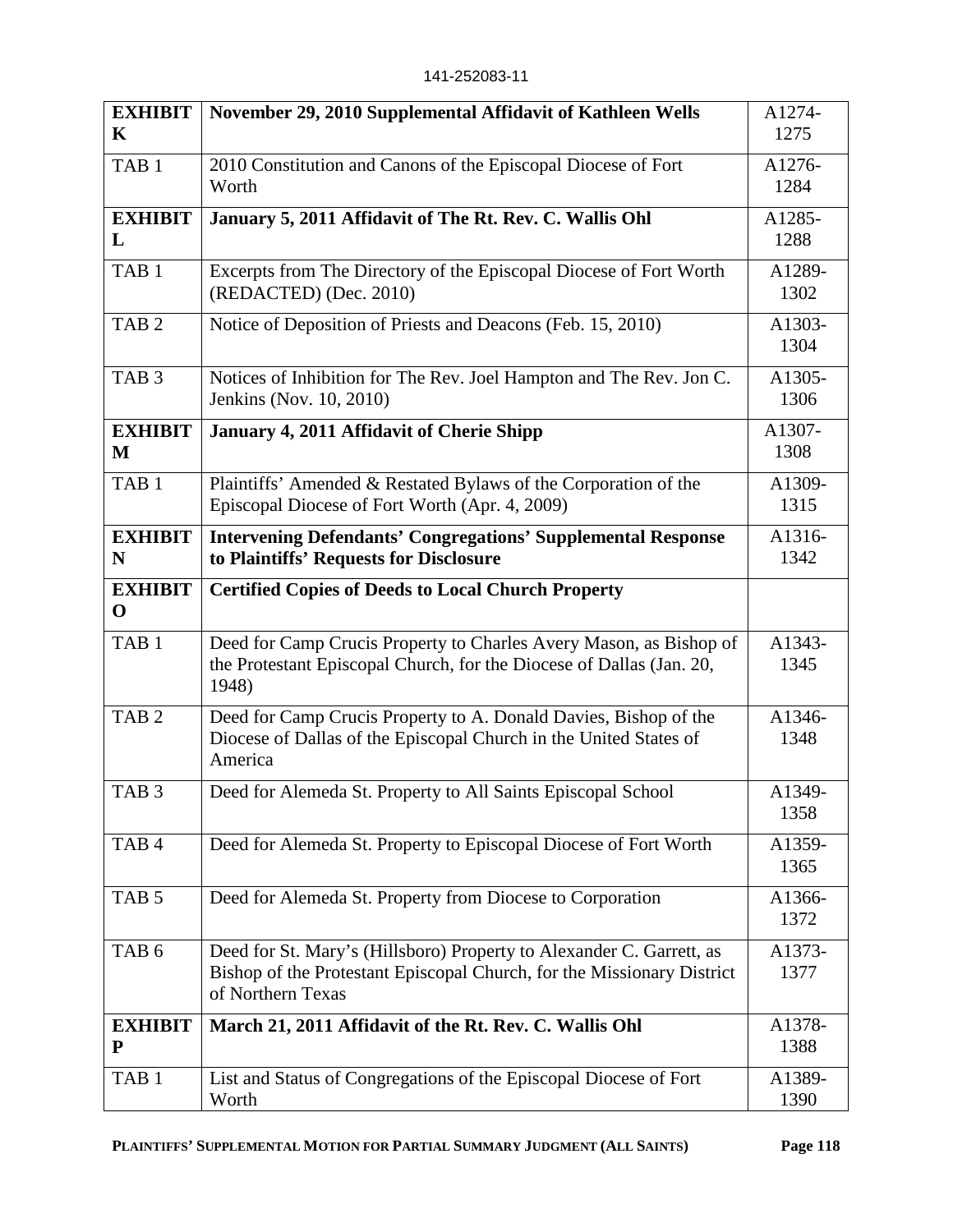| <b>EXHIBIT</b>                | November 29, 2010 Supplemental Affidavit of Kathleen Wells                                     | A1274-         |
|-------------------------------|------------------------------------------------------------------------------------------------|----------------|
| $\mathbf K$                   |                                                                                                | 1275           |
| TAB <sub>1</sub>              | 2010 Constitution and Canons of the Episcopal Diocese of Fort<br>Worth                         | A1276-<br>1284 |
| <b>EXHIBIT</b>                | January 5, 2011 Affidavit of The Rt. Rev. C. Wallis Ohl                                        | A1285-         |
| L                             |                                                                                                | 1288           |
| TAB <sub>1</sub>              | Excerpts from The Directory of the Episcopal Diocese of Fort Worth<br>(REDACTED) (Dec. 2010)   | A1289-<br>1302 |
| TAB <sub>2</sub>              | Notice of Deposition of Priests and Deacons (Feb. 15, 2010)                                    | A1303-<br>1304 |
| TAB <sub>3</sub>              | Notices of Inhibition for The Rev. Joel Hampton and The Rev. Jon C.<br>Jenkins (Nov. 10, 2010) | A1305-<br>1306 |
| <b>EXHIBIT</b>                | January 4, 2011 Affidavit of Cherie Shipp                                                      | A1307-         |
| M                             |                                                                                                | 1308           |
| TAB <sub>1</sub>              | Plaintiffs' Amended & Restated Bylaws of the Corporation of the                                | A1309-         |
|                               | Episcopal Diocese of Fort Worth (Apr. 4, 2009)                                                 | 1315           |
| <b>EXHIBIT</b>                | <b>Intervening Defendants' Congregations' Supplemental Response</b>                            | A1316-         |
| N                             | to Plaintiffs' Requests for Disclosure                                                         | 1342           |
| <b>EXHIBIT</b><br>$\mathbf 0$ | <b>Certified Copies of Deeds to Local Church Property</b>                                      |                |
| TAB <sub>1</sub>              | Deed for Camp Crucis Property to Charles Avery Mason, as Bishop of                             | A1343-         |
|                               | the Protestant Episcopal Church, for the Diocese of Dallas (Jan. 20,<br>1948)                  | 1345           |
| TAB <sub>2</sub>              | Deed for Camp Crucis Property to A. Donald Davies, Bishop of the                               | A1346-         |
|                               | Diocese of Dallas of the Episcopal Church in the United States of<br>America                   | 1348           |
| TAB <sub>3</sub>              | Deed for Alemeda St. Property to All Saints Episcopal School                                   | A1349-         |
|                               |                                                                                                | 1358           |
| TAB <sub>4</sub>              | Deed for Alemeda St. Property to Episcopal Diocese of Fort Worth                               | A1359-         |
|                               |                                                                                                | 1365           |
| TAB <sub>5</sub>              | Deed for Alemeda St. Property from Diocese to Corporation                                      | A1366-         |
|                               |                                                                                                | 1372           |
| TAB <sub>6</sub>              | Deed for St. Mary's (Hillsboro) Property to Alexander C. Garrett, as                           | A1373-         |
|                               | Bishop of the Protestant Episcopal Church, for the Missionary District<br>of Northern Texas    | 1377           |
| <b>EXHIBIT</b>                | March 21, 2011 Affidavit of the Rt. Rev. C. Wallis Ohl                                         | A1378-         |
| P                             |                                                                                                | 1388           |
| TAB <sub>1</sub>              | List and Status of Congregations of the Episcopal Diocese of Fort<br>Worth                     | A1389-<br>1390 |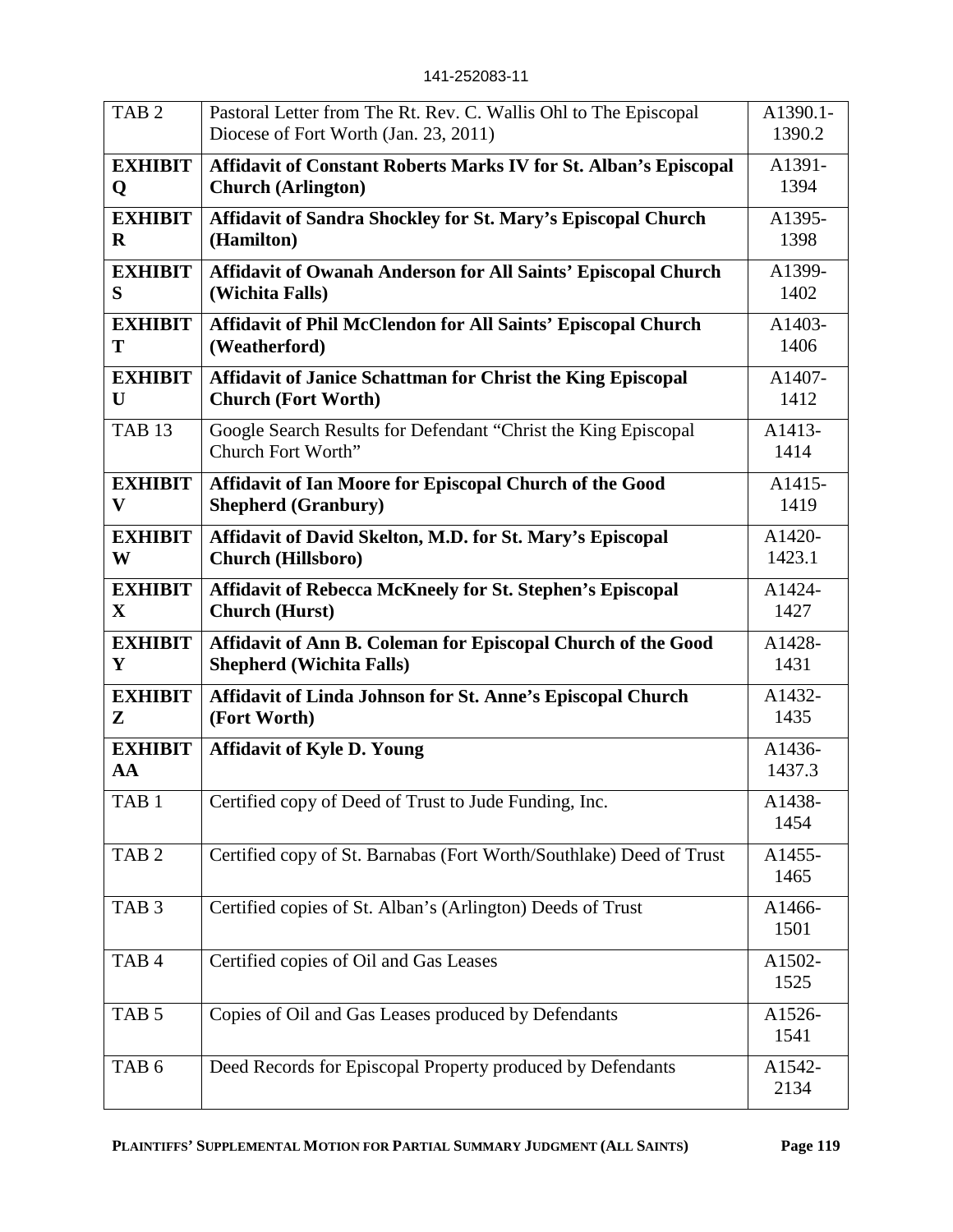| TAB <sub>2</sub>     | Pastoral Letter from The Rt. Rev. C. Wallis Ohl to The Episcopal<br>Diocese of Fort Worth (Jan. 23, 2011) | A1390.1-<br>1390.2          |
|----------------------|-----------------------------------------------------------------------------------------------------------|-----------------------------|
| <b>EXHIBIT</b>       | <b>Affidavit of Constant Roberts Marks IV for St. Alban's Episcopal</b>                                   | A1391-                      |
| Q                    | <b>Church (Arlington)</b>                                                                                 | 1394                        |
| <b>EXHIBIT</b>       | Affidavit of Sandra Shockley for St. Mary's Episcopal Church                                              | A1395-                      |
| $\bf{R}$             | (Hamilton)                                                                                                | 1398                        |
| <b>EXHIBIT</b>       | Affidavit of Owanah Anderson for All Saints' Episcopal Church                                             | A1399-                      |
| S                    | (Wichita Falls)                                                                                           | 1402                        |
| <b>EXHIBIT</b>       | Affidavit of Phil McClendon for All Saints' Episcopal Church                                              | A1403-                      |
| T                    | (Weatherford)                                                                                             | 1406                        |
| <b>EXHIBIT</b>       | Affidavit of Janice Schattman for Christ the King Episcopal                                               | A1407-                      |
| U                    | <b>Church (Fort Worth)</b>                                                                                | 1412                        |
| <b>TAB 13</b>        | Google Search Results for Defendant "Christ the King Episcopal<br>Church Fort Worth"                      | A1413-<br>1414              |
| <b>EXHIBIT</b>       | Affidavit of Ian Moore for Episcopal Church of the Good                                                   | A1415-                      |
| $\mathbf{V}$         | <b>Shepherd (Granbury)</b>                                                                                | 1419                        |
| <b>EXHIBIT</b>       | Affidavit of David Skelton, M.D. for St. Mary's Episcopal                                                 | A1420-                      |
| W                    | <b>Church (Hillsboro)</b>                                                                                 | 1423.1                      |
| <b>EXHIBIT</b>       | Affidavit of Rebecca McKneely for St. Stephen's Episcopal                                                 | A1424-                      |
| $\mathbf X$          | <b>Church</b> (Hurst)                                                                                     | 1427                        |
| <b>EXHIBIT</b>       | Affidavit of Ann B. Coleman for Episcopal Church of the Good                                              | A1428-                      |
| Y                    | <b>Shepherd (Wichita Falls)</b>                                                                           | 1431                        |
| <b>EXHIBIT</b>       | Affidavit of Linda Johnson for St. Anne's Episcopal Church                                                | A1432-                      |
| ${\bf z}$            | (Fort Worth)                                                                                              | 1435                        |
| <b>EXHIBIT</b><br>AA | <b>Affidavit of Kyle D. Young</b>                                                                         | A1436-<br>1437.3            |
| TAB <sub>1</sub>     | Certified copy of Deed of Trust to Jude Funding, Inc.                                                     | A <sub>1438</sub> -<br>1454 |
| TAB <sub>2</sub>     | Certified copy of St. Barnabas (Fort Worth/Southlake) Deed of Trust                                       | A1455-<br>1465              |
| TAB <sub>3</sub>     | Certified copies of St. Alban's (Arlington) Deeds of Trust                                                | A1466-<br>1501              |
| TAB <sub>4</sub>     | Certified copies of Oil and Gas Leases                                                                    | A1502-<br>1525              |
| TAB <sub>5</sub>     | Copies of Oil and Gas Leases produced by Defendants                                                       | A1526-<br>1541              |
| TAB <sub>6</sub>     | Deed Records for Episcopal Property produced by Defendants                                                | A1542-<br>2134              |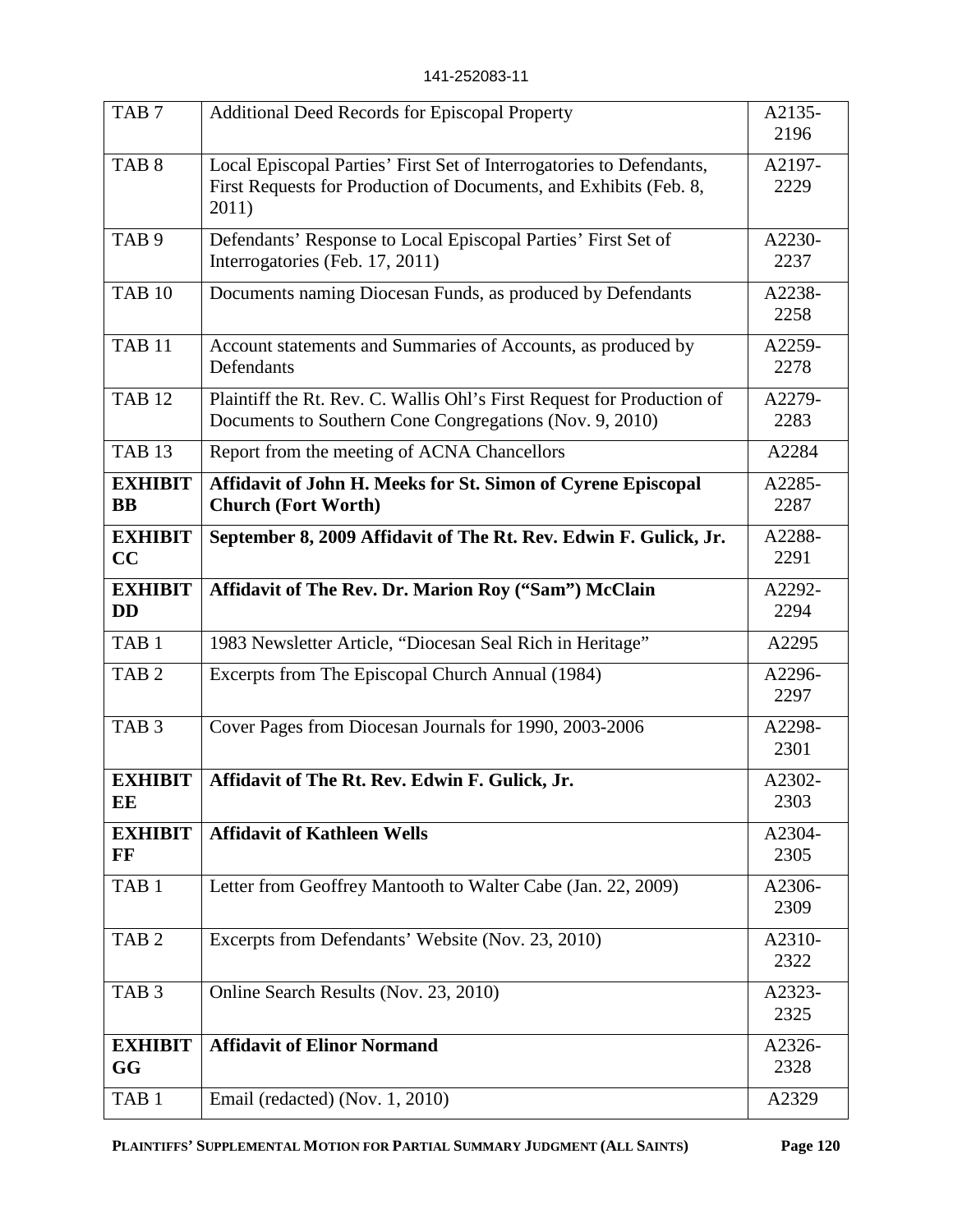| TAB <sub>1</sub>            | Email (redacted) (Nov. 1, 2010)                                                                                                                    | A2329          |
|-----------------------------|----------------------------------------------------------------------------------------------------------------------------------------------------|----------------|
| <b>EXHIBIT</b><br>GG        | <b>Affidavit of Elinor Normand</b>                                                                                                                 | A2326-<br>2328 |
| TAB <sub>3</sub>            | Online Search Results (Nov. 23, 2010)                                                                                                              | A2323-<br>2325 |
| TAB <sub>2</sub>            | Excerpts from Defendants' Website (Nov. 23, 2010)                                                                                                  | A2310-<br>2322 |
| TAB <sub>1</sub>            | Letter from Geoffrey Mantooth to Walter Cabe (Jan. 22, 2009)                                                                                       | A2306-<br>2309 |
| <b>EXHIBIT</b><br>$\bf FF$  | <b>Affidavit of Kathleen Wells</b>                                                                                                                 | A2304-<br>2305 |
| <b>EXHIBIT</b><br>EE        | Affidavit of The Rt. Rev. Edwin F. Gulick, Jr.                                                                                                     | A2302-<br>2303 |
| TAB <sub>3</sub>            | Cover Pages from Diocesan Journals for 1990, 2003-2006                                                                                             | A2298-<br>2301 |
| TAB $2$                     | Excerpts from The Episcopal Church Annual (1984)                                                                                                   | A2296-<br>2297 |
| TAB <sub>1</sub>            | 1983 Newsletter Article, "Diocesan Seal Rich in Heritage"                                                                                          | A2295          |
| <b>EXHIBIT</b><br><b>DD</b> | Affidavit of The Rev. Dr. Marion Roy ("Sam") McClain                                                                                               | A2292-<br>2294 |
| <b>EXHIBIT</b><br>CC        | September 8, 2009 Affidavit of The Rt. Rev. Edwin F. Gulick, Jr.                                                                                   | A2288-<br>2291 |
| <b>EXHIBIT</b><br><b>BB</b> | Affidavit of John H. Meeks for St. Simon of Cyrene Episcopal<br><b>Church (Fort Worth)</b>                                                         | A2285-<br>2287 |
| <b>TAB 13</b>               | Report from the meeting of ACNA Chancellors                                                                                                        | A2284          |
| <b>TAB 12</b>               | Plaintiff the Rt. Rev. C. Wallis Ohl's First Request for Production of<br>Documents to Southern Cone Congregations (Nov. 9, 2010)                  | A2279-<br>2283 |
| <b>TAB 11</b>               | Account statements and Summaries of Accounts, as produced by<br>Defendants                                                                         | A2259-<br>2278 |
| <b>TAB 10</b>               | Documents naming Diocesan Funds, as produced by Defendants                                                                                         | A2238-<br>2258 |
| TAB <sub>9</sub>            | Defendants' Response to Local Episcopal Parties' First Set of<br>Interrogatories (Feb. 17, 2011)                                                   | A2230-<br>2237 |
| TAB <sub>8</sub>            | Local Episcopal Parties' First Set of Interrogatories to Defendants,<br>First Requests for Production of Documents, and Exhibits (Feb. 8,<br>2011) | A2197-<br>2229 |
| TAB <sub>7</sub>            | <b>Additional Deed Records for Episcopal Property</b>                                                                                              | A2135-<br>2196 |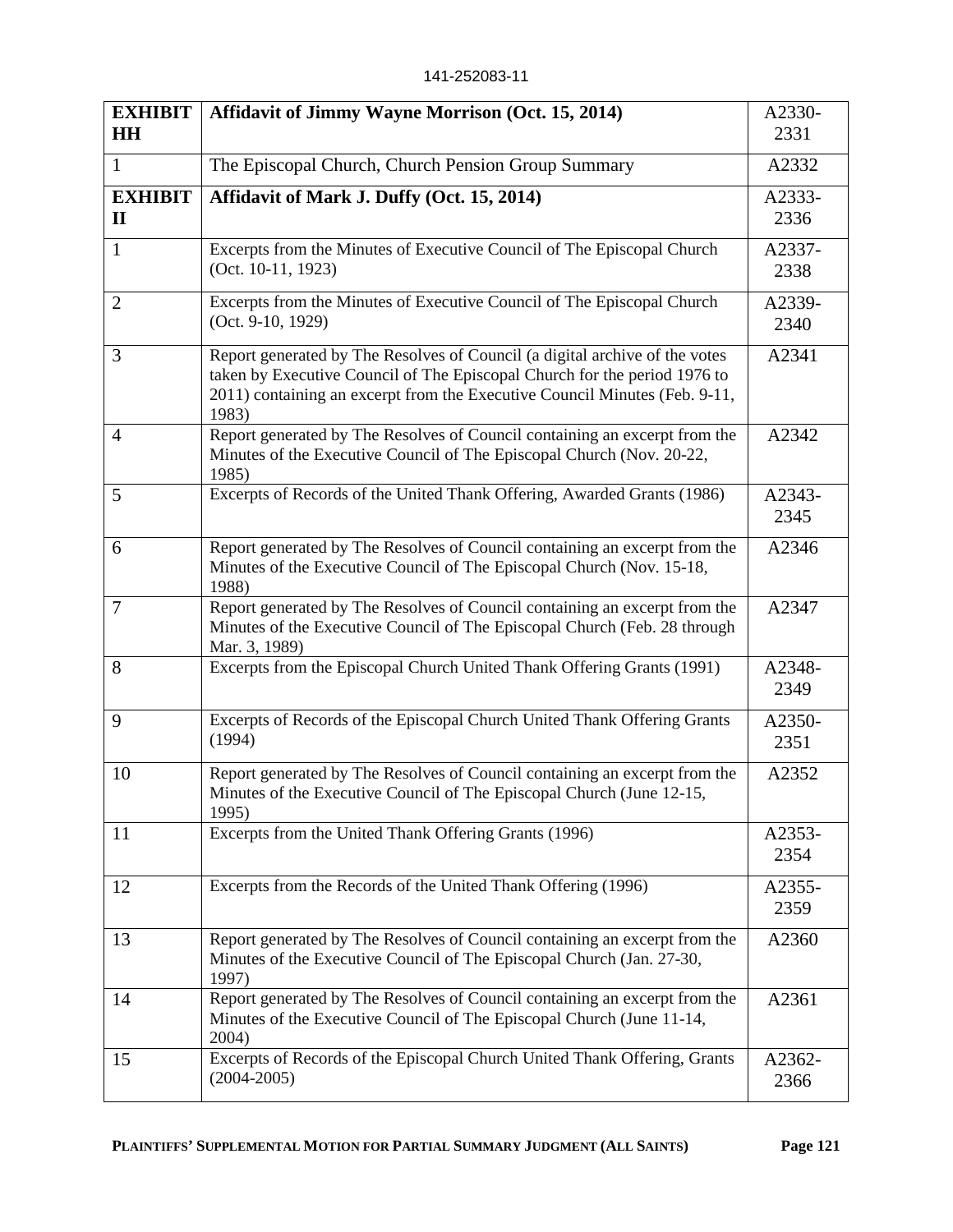| <b>EXHIBIT</b><br><b>HH</b>    | <b>Affidavit of Jimmy Wayne Morrison (Oct. 15, 2014)</b>                                                                                                                                                                                        | A2330-<br>2331 |
|--------------------------------|-------------------------------------------------------------------------------------------------------------------------------------------------------------------------------------------------------------------------------------------------|----------------|
| 1                              | The Episcopal Church, Church Pension Group Summary                                                                                                                                                                                              | A2332          |
| <b>EXHIBIT</b><br>$\mathbf{I}$ | Affidavit of Mark J. Duffy (Oct. 15, 2014)                                                                                                                                                                                                      | A2333-<br>2336 |
| $\mathbf{1}$                   | Excerpts from the Minutes of Executive Council of The Episcopal Church<br>(Oct. 10-11, 1923)                                                                                                                                                    | A2337-<br>2338 |
| $\overline{2}$                 | Excerpts from the Minutes of Executive Council of The Episcopal Church<br>$(Oct. 9-10, 1929)$                                                                                                                                                   | A2339-<br>2340 |
| 3                              | Report generated by The Resolves of Council (a digital archive of the votes<br>taken by Executive Council of The Episcopal Church for the period 1976 to<br>2011) containing an excerpt from the Executive Council Minutes (Feb. 9-11,<br>1983) | A2341          |
| $\overline{4}$                 | Report generated by The Resolves of Council containing an excerpt from the<br>Minutes of the Executive Council of The Episcopal Church (Nov. 20-22,<br>1985)                                                                                    | A2342          |
| 5                              | Excerpts of Records of the United Thank Offering, Awarded Grants (1986)                                                                                                                                                                         | A2343-<br>2345 |
| 6                              | Report generated by The Resolves of Council containing an excerpt from the<br>Minutes of the Executive Council of The Episcopal Church (Nov. 15-18,<br>1988)                                                                                    | A2346          |
| $\overline{7}$                 | Report generated by The Resolves of Council containing an excerpt from the<br>Minutes of the Executive Council of The Episcopal Church (Feb. 28 through<br>Mar. 3, 1989)                                                                        | A2347          |
| 8                              | Excerpts from the Episcopal Church United Thank Offering Grants (1991)                                                                                                                                                                          | A2348-<br>2349 |
| 9                              | Excerpts of Records of the Episcopal Church United Thank Offering Grants<br>(1994)                                                                                                                                                              | A2350-<br>2351 |
| 10                             | Report generated by The Resolves of Council containing an excerpt from the<br>Minutes of the Executive Council of The Episcopal Church (June 12-15,<br>1995)                                                                                    | A2352          |
| 11                             | Excerpts from the United Thank Offering Grants (1996)                                                                                                                                                                                           | A2353-<br>2354 |
| 12                             | Excerpts from the Records of the United Thank Offering (1996)                                                                                                                                                                                   | A2355-<br>2359 |
| 13                             | Report generated by The Resolves of Council containing an excerpt from the<br>Minutes of the Executive Council of The Episcopal Church (Jan. 27-30,<br>1997)                                                                                    | A2360          |
| 14                             | Report generated by The Resolves of Council containing an excerpt from the<br>Minutes of the Executive Council of The Episcopal Church (June 11-14,<br>2004)                                                                                    | A2361          |
| 15                             | Excerpts of Records of the Episcopal Church United Thank Offering, Grants<br>$(2004 - 2005)$                                                                                                                                                    | A2362-<br>2366 |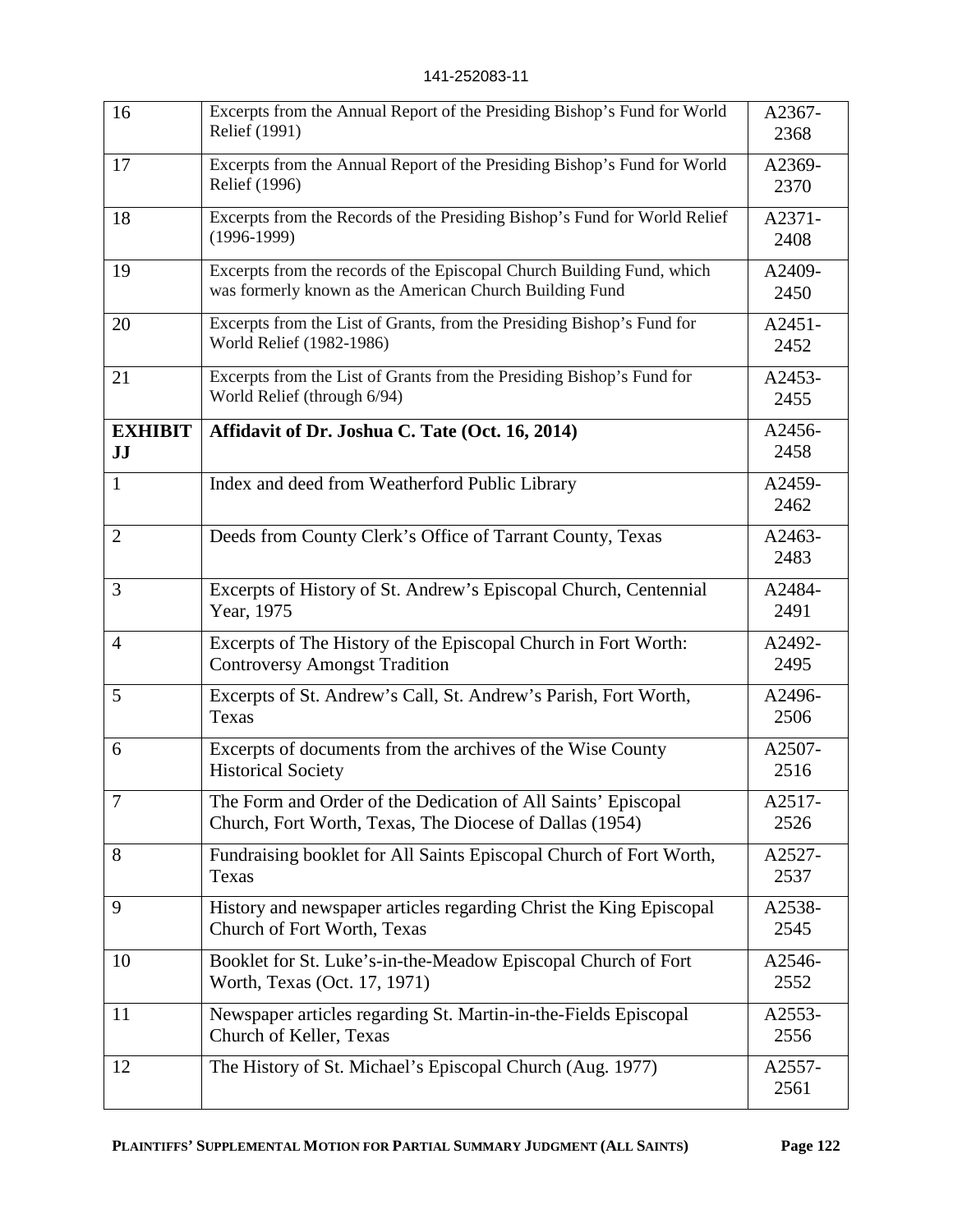| 16                   | Excerpts from the Annual Report of the Presiding Bishop's Fund for World<br>Relief (1991)                                         | A2367-<br>2368   |
|----------------------|-----------------------------------------------------------------------------------------------------------------------------------|------------------|
| 17                   | Excerpts from the Annual Report of the Presiding Bishop's Fund for World<br>Relief (1996)                                         | A2369-<br>2370   |
| 18                   | Excerpts from the Records of the Presiding Bishop's Fund for World Relief<br>$(1996-1999)$                                        | A2371-<br>2408   |
| 19                   | Excerpts from the records of the Episcopal Church Building Fund, which<br>was formerly known as the American Church Building Fund | A2409-<br>2450   |
| 20                   | Excerpts from the List of Grants, from the Presiding Bishop's Fund for<br>World Relief (1982-1986)                                | $A2451-$<br>2452 |
| 21                   | Excerpts from the List of Grants from the Presiding Bishop's Fund for<br>World Relief (through 6/94)                              | A2453-<br>2455   |
| <b>EXHIBIT</b><br>JJ | Affidavit of Dr. Joshua C. Tate (Oct. 16, 2014)                                                                                   | A2456-<br>2458   |
| $\mathbf{1}$         | Index and deed from Weatherford Public Library                                                                                    | A2459-<br>2462   |
| $\overline{2}$       | Deeds from County Clerk's Office of Tarrant County, Texas                                                                         | A2463-<br>2483   |
| $\overline{3}$       | Excerpts of History of St. Andrew's Episcopal Church, Centennial<br>Year, 1975                                                    | A2484-<br>2491   |
| $\overline{4}$       | Excerpts of The History of the Episcopal Church in Fort Worth:<br><b>Controversy Amongst Tradition</b>                            | A2492-<br>2495   |
| 5                    | Excerpts of St. Andrew's Call, St. Andrew's Parish, Fort Worth,<br>Texas                                                          | A2496-<br>2506   |
| 6                    | Excerpts of documents from the archives of the Wise County<br><b>Historical Society</b>                                           | A2507-<br>2516   |
| 7                    | The Form and Order of the Dedication of All Saints' Episcopal<br>Church, Fort Worth, Texas, The Diocese of Dallas (1954)          | A2517-<br>2526   |
| 8                    | Fundraising booklet for All Saints Episcopal Church of Fort Worth,<br>Texas                                                       | A2527-<br>2537   |
| 9                    | History and newspaper articles regarding Christ the King Episcopal<br>Church of Fort Worth, Texas                                 | A2538-<br>2545   |
| 10                   | Booklet for St. Luke's-in-the-Meadow Episcopal Church of Fort<br>Worth, Texas (Oct. 17, 1971)                                     | A2546-<br>2552   |
| 11                   | Newspaper articles regarding St. Martin-in-the-Fields Episcopal<br>Church of Keller, Texas                                        | A2553-<br>2556   |
| 12                   | The History of St. Michael's Episcopal Church (Aug. 1977)                                                                         | A2557-<br>2561   |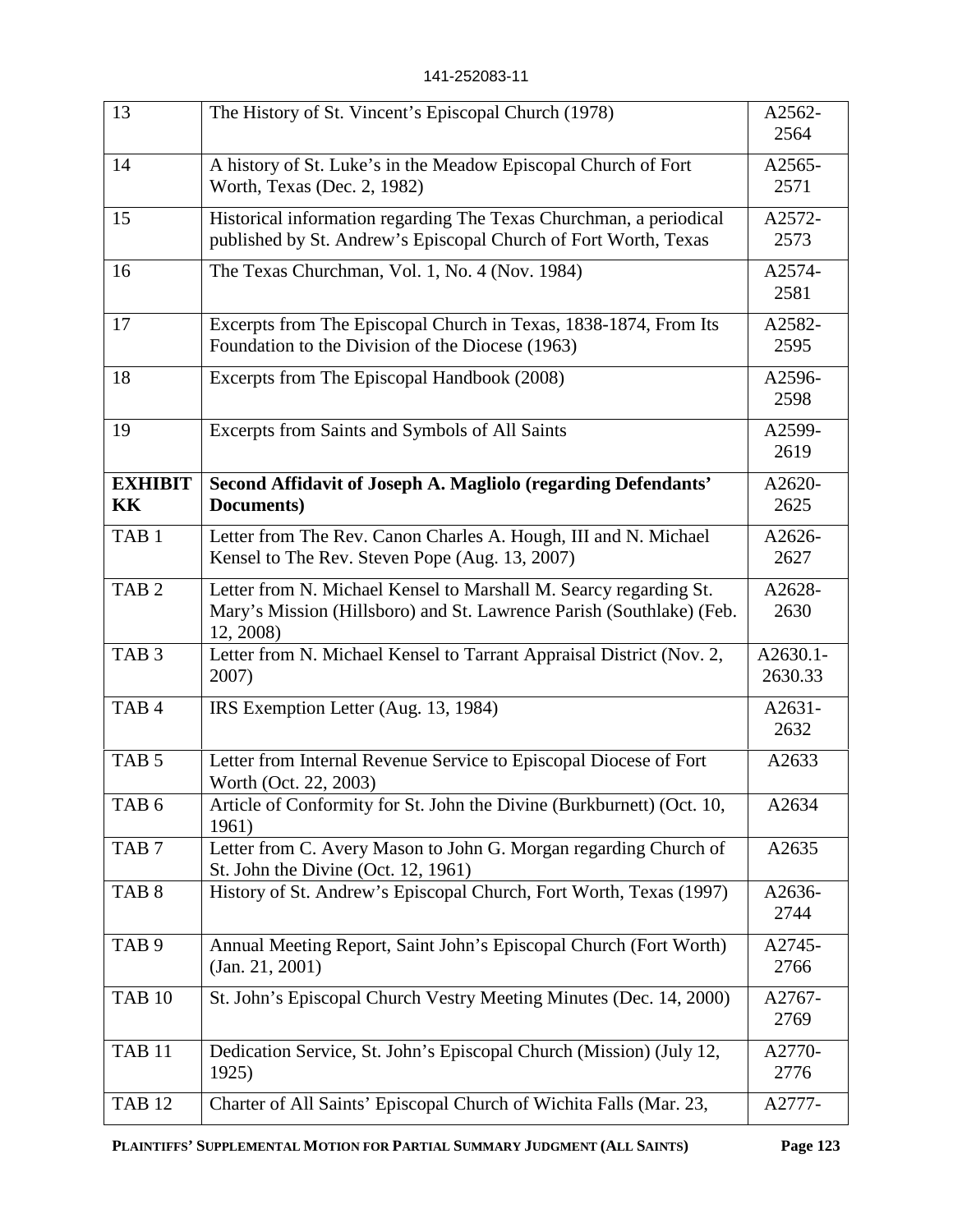| 13                   | The History of St. Vincent's Episcopal Church (1978)                                                                                                   | A2562-<br>2564      |
|----------------------|--------------------------------------------------------------------------------------------------------------------------------------------------------|---------------------|
| 14                   | A history of St. Luke's in the Meadow Episcopal Church of Fort<br>Worth, Texas (Dec. 2, 1982)                                                          | A2565-<br>2571      |
| 15                   | Historical information regarding The Texas Churchman, a periodical<br>published by St. Andrew's Episcopal Church of Fort Worth, Texas                  | A2572-<br>2573      |
| 16                   | The Texas Churchman, Vol. 1, No. 4 (Nov. 1984)                                                                                                         | A2574-<br>2581      |
| 17                   | Excerpts from The Episcopal Church in Texas, 1838-1874, From Its<br>Foundation to the Division of the Diocese (1963)                                   | A2582-<br>2595      |
| 18                   | Excerpts from The Episcopal Handbook (2008)                                                                                                            | A2596-<br>2598      |
| 19                   | Excerpts from Saints and Symbols of All Saints                                                                                                         | A2599-<br>2619      |
| <b>EXHIBIT</b><br>KK | Second Affidavit of Joseph A. Magliolo (regarding Defendants'<br>Documents)                                                                            | A2620-<br>2625      |
| TAB <sub>1</sub>     | Letter from The Rev. Canon Charles A. Hough, III and N. Michael<br>Kensel to The Rev. Steven Pope (Aug. 13, 2007)                                      | A2626-<br>2627      |
| TAB <sub>2</sub>     | Letter from N. Michael Kensel to Marshall M. Searcy regarding St.<br>Mary's Mission (Hillsboro) and St. Lawrence Parish (Southlake) (Feb.<br>12, 2008) | A2628-<br>2630      |
| TAB <sub>3</sub>     | Letter from N. Michael Kensel to Tarrant Appraisal District (Nov. 2,<br>2007)                                                                          | A2630.1-<br>2630.33 |
| TAB <sub>4</sub>     | IRS Exemption Letter (Aug. 13, 1984)                                                                                                                   | A2631-<br>2632      |
| TAB <sub>5</sub>     | Letter from Internal Revenue Service to Episcopal Diocese of Fort<br>Worth (Oct. 22, 2003)                                                             | A2633               |
| TAB <sub>6</sub>     | Article of Conformity for St. John the Divine (Burkburnett) (Oct. 10,<br>1961)                                                                         | A2634               |
| TAB <sub>7</sub>     | Letter from C. Avery Mason to John G. Morgan regarding Church of<br>St. John the Divine (Oct. 12, 1961)                                                | A2635               |
| TAB <sub>8</sub>     | History of St. Andrew's Episcopal Church, Fort Worth, Texas (1997)                                                                                     | A2636-<br>2744      |
| TAB <sub>9</sub>     | Annual Meeting Report, Saint John's Episcopal Church (Fort Worth)<br>(Jan. 21, 2001)                                                                   | A2745-<br>2766      |
| <b>TAB 10</b>        | St. John's Episcopal Church Vestry Meeting Minutes (Dec. 14, 2000)                                                                                     | A2767-<br>2769      |
| <b>TAB 11</b>        | Dedication Service, St. John's Episcopal Church (Mission) (July 12,<br>1925)                                                                           | A2770-<br>2776      |
| <b>TAB 12</b>        | Charter of All Saints' Episcopal Church of Wichita Falls (Mar. 23,                                                                                     | A2777-              |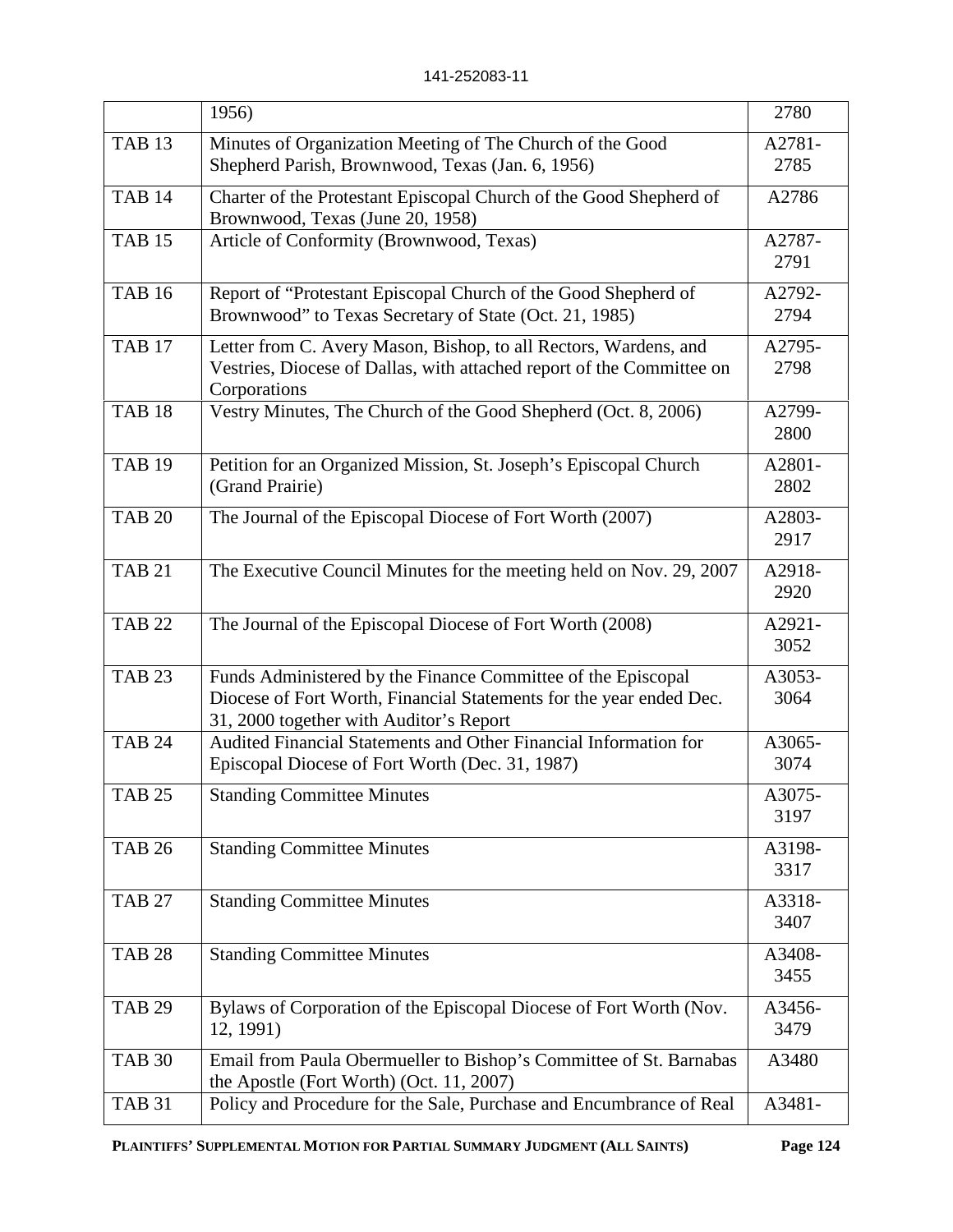|               | 1956)                                                                                                                                                                          | 2780           |
|---------------|--------------------------------------------------------------------------------------------------------------------------------------------------------------------------------|----------------|
| <b>TAB 13</b> | Minutes of Organization Meeting of The Church of the Good<br>Shepherd Parish, Brownwood, Texas (Jan. 6, 1956)                                                                  | A2781-<br>2785 |
| <b>TAB 14</b> | Charter of the Protestant Episcopal Church of the Good Shepherd of<br>Brownwood, Texas (June 20, 1958)                                                                         | A2786          |
| <b>TAB 15</b> | Article of Conformity (Brownwood, Texas)                                                                                                                                       | A2787-<br>2791 |
| <b>TAB 16</b> | Report of "Protestant Episcopal Church of the Good Shepherd of<br>Brownwood" to Texas Secretary of State (Oct. 21, 1985)                                                       | A2792-<br>2794 |
| <b>TAB 17</b> | Letter from C. Avery Mason, Bishop, to all Rectors, Wardens, and<br>Vestries, Diocese of Dallas, with attached report of the Committee on<br>Corporations                      | A2795-<br>2798 |
| <b>TAB 18</b> | Vestry Minutes, The Church of the Good Shepherd (Oct. 8, 2006)                                                                                                                 | A2799-<br>2800 |
| <b>TAB 19</b> | Petition for an Organized Mission, St. Joseph's Episcopal Church<br>(Grand Prairie)                                                                                            | A2801-<br>2802 |
| <b>TAB 20</b> | The Journal of the Episcopal Diocese of Fort Worth (2007)                                                                                                                      | A2803-<br>2917 |
| <b>TAB 21</b> | The Executive Council Minutes for the meeting held on Nov. 29, 2007                                                                                                            | A2918-<br>2920 |
| <b>TAB 22</b> | The Journal of the Episcopal Diocese of Fort Worth (2008)                                                                                                                      | A2921-<br>3052 |
| <b>TAB 23</b> | Funds Administered by the Finance Committee of the Episcopal<br>Diocese of Fort Worth, Financial Statements for the year ended Dec.<br>31, 2000 together with Auditor's Report | A3053-<br>3064 |
| <b>TAB 24</b> | Audited Financial Statements and Other Financial Information for<br>Episcopal Diocese of Fort Worth (Dec. 31, 1987)                                                            | A3065-<br>3074 |
| <b>TAB 25</b> | <b>Standing Committee Minutes</b>                                                                                                                                              | A3075-<br>3197 |
| <b>TAB 26</b> | <b>Standing Committee Minutes</b>                                                                                                                                              | A3198-<br>3317 |
| <b>TAB 27</b> | <b>Standing Committee Minutes</b>                                                                                                                                              | A3318-<br>3407 |
| <b>TAB 28</b> | <b>Standing Committee Minutes</b>                                                                                                                                              | A3408-<br>3455 |
| <b>TAB 29</b> | Bylaws of Corporation of the Episcopal Diocese of Fort Worth (Nov.<br>12, 1991)                                                                                                | A3456-<br>3479 |
| <b>TAB 30</b> | Email from Paula Obermueller to Bishop's Committee of St. Barnabas<br>the Apostle (Fort Worth) (Oct. 11, 2007)                                                                 | A3480          |
| <b>TAB 31</b> | Policy and Procedure for the Sale, Purchase and Encumbrance of Real                                                                                                            | A3481-         |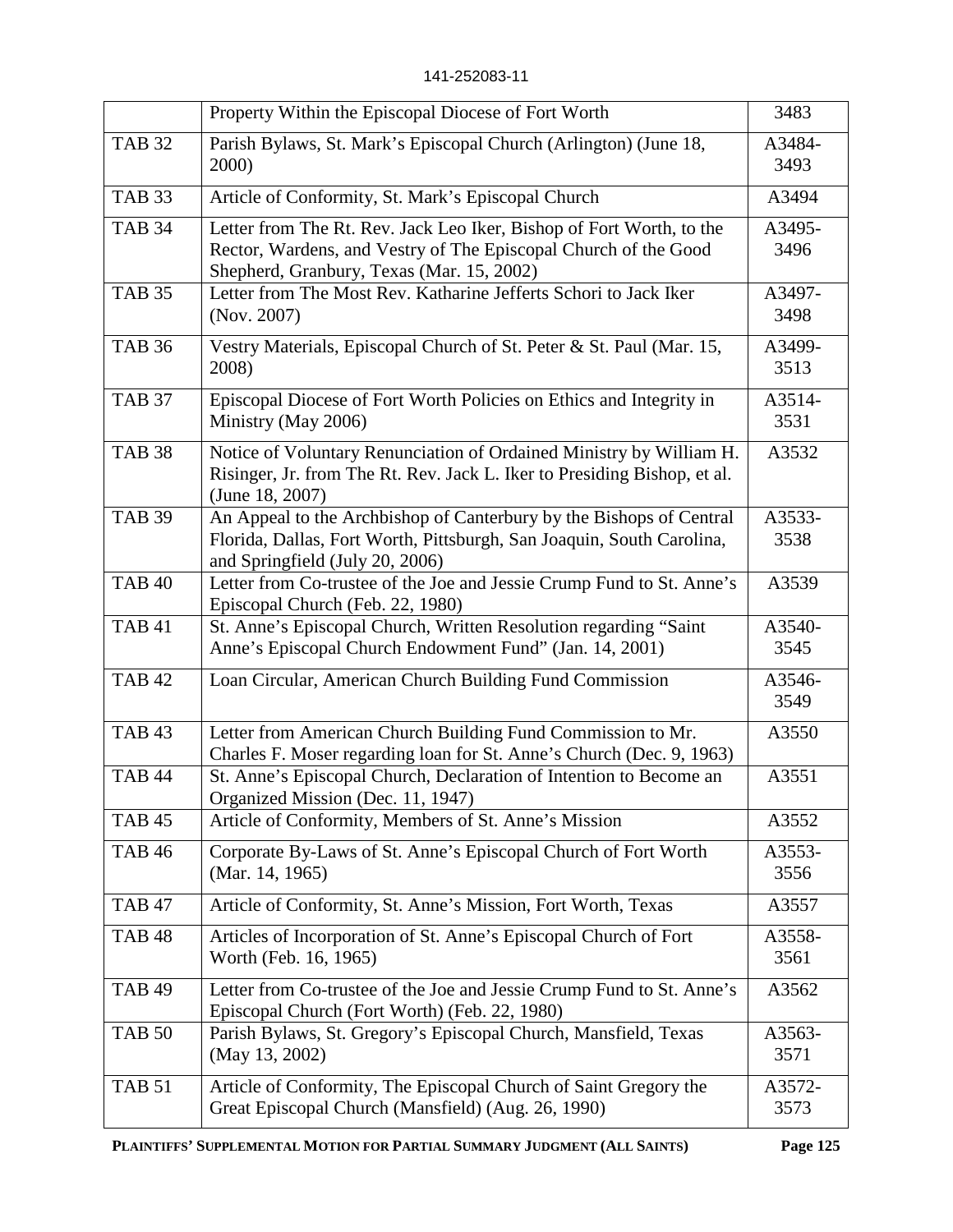|               | Property Within the Episcopal Diocese of Fort Worth                                                                                                                                  | 3483           |
|---------------|--------------------------------------------------------------------------------------------------------------------------------------------------------------------------------------|----------------|
| <b>TAB 32</b> | Parish Bylaws, St. Mark's Episcopal Church (Arlington) (June 18,<br>2000)                                                                                                            | A3484-<br>3493 |
| <b>TAB 33</b> | Article of Conformity, St. Mark's Episcopal Church                                                                                                                                   | A3494          |
| <b>TAB 34</b> | Letter from The Rt. Rev. Jack Leo Iker, Bishop of Fort Worth, to the<br>Rector, Wardens, and Vestry of The Episcopal Church of the Good<br>Shepherd, Granbury, Texas (Mar. 15, 2002) | A3495-<br>3496 |
| <b>TAB 35</b> | Letter from The Most Rev. Katharine Jefferts Schori to Jack Iker<br>(Nov. 2007)                                                                                                      | A3497-<br>3498 |
| <b>TAB 36</b> | Vestry Materials, Episcopal Church of St. Peter & St. Paul (Mar. 15,<br>2008)                                                                                                        | A3499-<br>3513 |
| <b>TAB 37</b> | Episcopal Diocese of Fort Worth Policies on Ethics and Integrity in<br>Ministry (May 2006)                                                                                           | A3514-<br>3531 |
| <b>TAB 38</b> | Notice of Voluntary Renunciation of Ordained Ministry by William H.<br>Risinger, Jr. from The Rt. Rev. Jack L. Iker to Presiding Bishop, et al.<br>(June 18, 2007)                   | A3532          |
| <b>TAB 39</b> | An Appeal to the Archbishop of Canterbury by the Bishops of Central<br>Florida, Dallas, Fort Worth, Pittsburgh, San Joaquin, South Carolina,<br>and Springfield (July 20, 2006)      | A3533-<br>3538 |
| <b>TAB 40</b> | Letter from Co-trustee of the Joe and Jessie Crump Fund to St. Anne's<br>Episcopal Church (Feb. 22, 1980)                                                                            | A3539          |
| <b>TAB 41</b> | St. Anne's Episcopal Church, Written Resolution regarding "Saint<br>Anne's Episcopal Church Endowment Fund" (Jan. 14, 2001)                                                          | A3540-<br>3545 |
| <b>TAB 42</b> | Loan Circular, American Church Building Fund Commission                                                                                                                              | A3546-<br>3549 |
| <b>TAB 43</b> | Letter from American Church Building Fund Commission to Mr.<br>Charles F. Moser regarding loan for St. Anne's Church (Dec. 9, 1963)                                                  | A3550          |
| <b>TAB 44</b> | St. Anne's Episcopal Church, Declaration of Intention to Become an<br>Organized Mission (Dec. 11, 1947)                                                                              | A3551          |
| <b>TAB 45</b> | Article of Conformity, Members of St. Anne's Mission                                                                                                                                 | A3552          |
| <b>TAB 46</b> | Corporate By-Laws of St. Anne's Episcopal Church of Fort Worth<br>(Mar. 14, 1965)                                                                                                    | A3553-<br>3556 |
| <b>TAB 47</b> | Article of Conformity, St. Anne's Mission, Fort Worth, Texas                                                                                                                         | A3557          |
| <b>TAB 48</b> | Articles of Incorporation of St. Anne's Episcopal Church of Fort<br>Worth (Feb. 16, 1965)                                                                                            | A3558-<br>3561 |
| <b>TAB 49</b> | Letter from Co-trustee of the Joe and Jessie Crump Fund to St. Anne's<br>Episcopal Church (Fort Worth) (Feb. 22, 1980)                                                               | A3562          |
| <b>TAB 50</b> | Parish Bylaws, St. Gregory's Episcopal Church, Mansfield, Texas<br>(May 13, 2002)                                                                                                    | A3563-<br>3571 |
| <b>TAB 51</b> | Article of Conformity, The Episcopal Church of Saint Gregory the<br>Great Episcopal Church (Mansfield) (Aug. 26, 1990)                                                               | A3572-<br>3573 |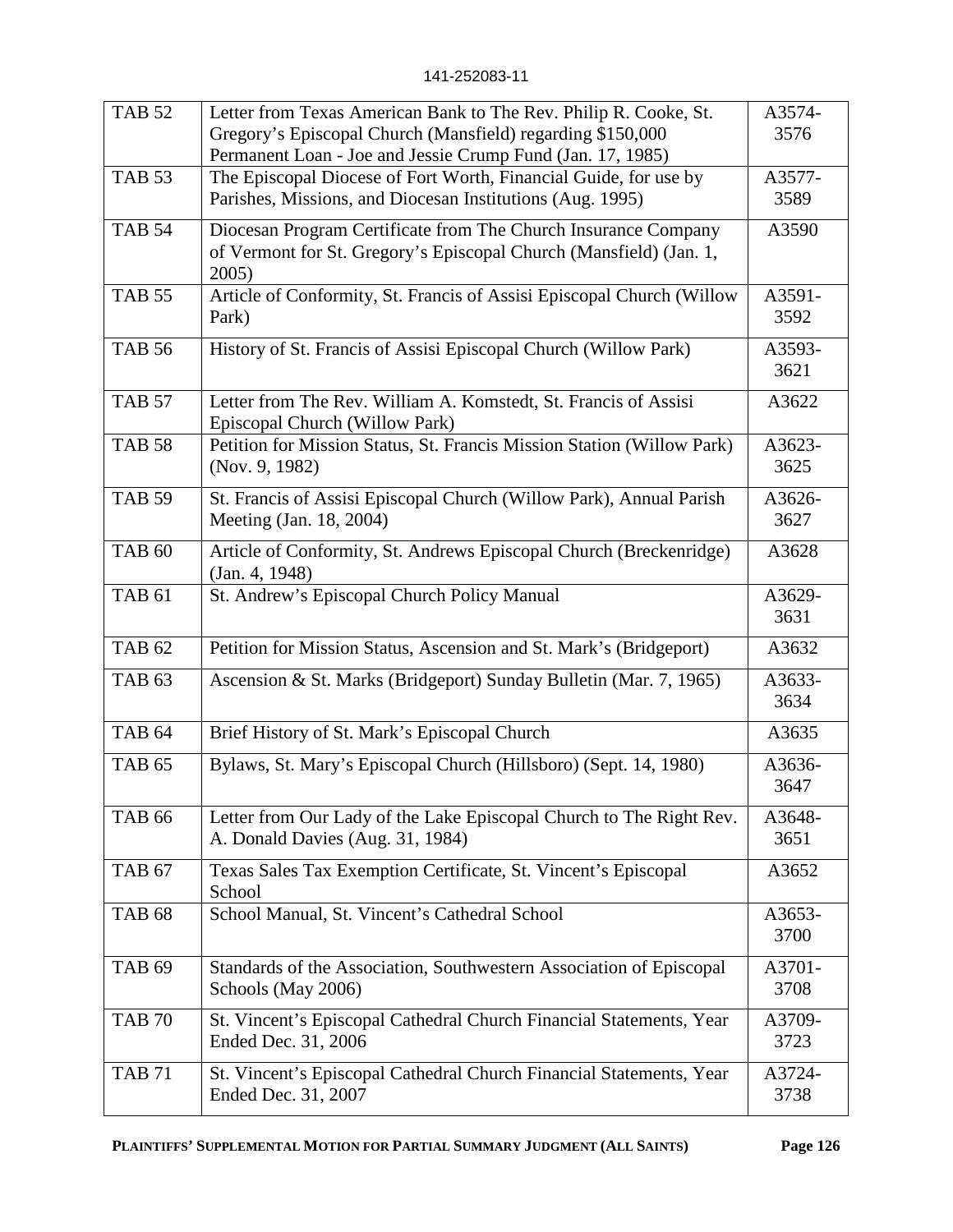| <b>TAB 52</b>     | Letter from Texas American Bank to The Rev. Philip R. Cooke, St.<br>Gregory's Episcopal Church (Mansfield) regarding \$150,000<br>Permanent Loan - Joe and Jessie Crump Fund (Jan. 17, 1985) | A3574-<br>3576 |
|-------------------|----------------------------------------------------------------------------------------------------------------------------------------------------------------------------------------------|----------------|
| <b>TAB 53</b>     | The Episcopal Diocese of Fort Worth, Financial Guide, for use by<br>Parishes, Missions, and Diocesan Institutions (Aug. 1995)                                                                | A3577-<br>3589 |
| <b>TAB 54</b>     | Diocesan Program Certificate from The Church Insurance Company<br>of Vermont for St. Gregory's Episcopal Church (Mansfield) (Jan. 1,<br>2005)                                                | A3590          |
| <b>TAB 55</b>     | Article of Conformity, St. Francis of Assisi Episcopal Church (Willow<br>Park)                                                                                                               | A3591-<br>3592 |
| <b>TAB 56</b>     | History of St. Francis of Assisi Episcopal Church (Willow Park)                                                                                                                              | A3593-<br>3621 |
| <b>TAB 57</b>     | Letter from The Rev. William A. Komstedt, St. Francis of Assisi<br>Episcopal Church (Willow Park)                                                                                            | A3622          |
| <b>TAB 58</b>     | Petition for Mission Status, St. Francis Mission Station (Willow Park)<br>(Nov. 9, 1982)                                                                                                     | A3623-<br>3625 |
| <b>TAB 59</b>     | St. Francis of Assisi Episcopal Church (Willow Park), Annual Parish<br>Meeting (Jan. 18, 2004)                                                                                               | A3626-<br>3627 |
| <b>TAB 60</b>     | Article of Conformity, St. Andrews Episcopal Church (Breckenridge)<br>(Jan. 4, 1948)                                                                                                         | A3628          |
| <b>TAB 61</b>     | St. Andrew's Episcopal Church Policy Manual                                                                                                                                                  | A3629-<br>3631 |
| <b>TAB 62</b>     | Petition for Mission Status, Ascension and St. Mark's (Bridgeport)                                                                                                                           | A3632          |
| TAB <sub>63</sub> | Ascension & St. Marks (Bridgeport) Sunday Bulletin (Mar. 7, 1965)                                                                                                                            | A3633-<br>3634 |
| <b>TAB 64</b>     | Brief History of St. Mark's Episcopal Church                                                                                                                                                 | A3635          |
| <b>TAB 65</b>     | Bylaws, St. Mary's Episcopal Church (Hillsboro) (Sept. 14, 1980)                                                                                                                             | A3636-<br>3647 |
| <b>TAB 66</b>     | Letter from Our Lady of the Lake Episcopal Church to The Right Rev.<br>A. Donald Davies (Aug. 31, 1984)                                                                                      | A3648-<br>3651 |
| <b>TAB 67</b>     | Texas Sales Tax Exemption Certificate, St. Vincent's Episcopal<br>School                                                                                                                     | A3652          |
| <b>TAB 68</b>     | School Manual, St. Vincent's Cathedral School                                                                                                                                                | A3653-<br>3700 |
| <b>TAB 69</b>     | Standards of the Association, Southwestern Association of Episcopal<br>Schools (May 2006)                                                                                                    | A3701-<br>3708 |
| <b>TAB 70</b>     | St. Vincent's Episcopal Cathedral Church Financial Statements, Year<br>Ended Dec. 31, 2006                                                                                                   | A3709-<br>3723 |
| <b>TAB 71</b>     | St. Vincent's Episcopal Cathedral Church Financial Statements, Year<br>Ended Dec. 31, 2007                                                                                                   | A3724-<br>3738 |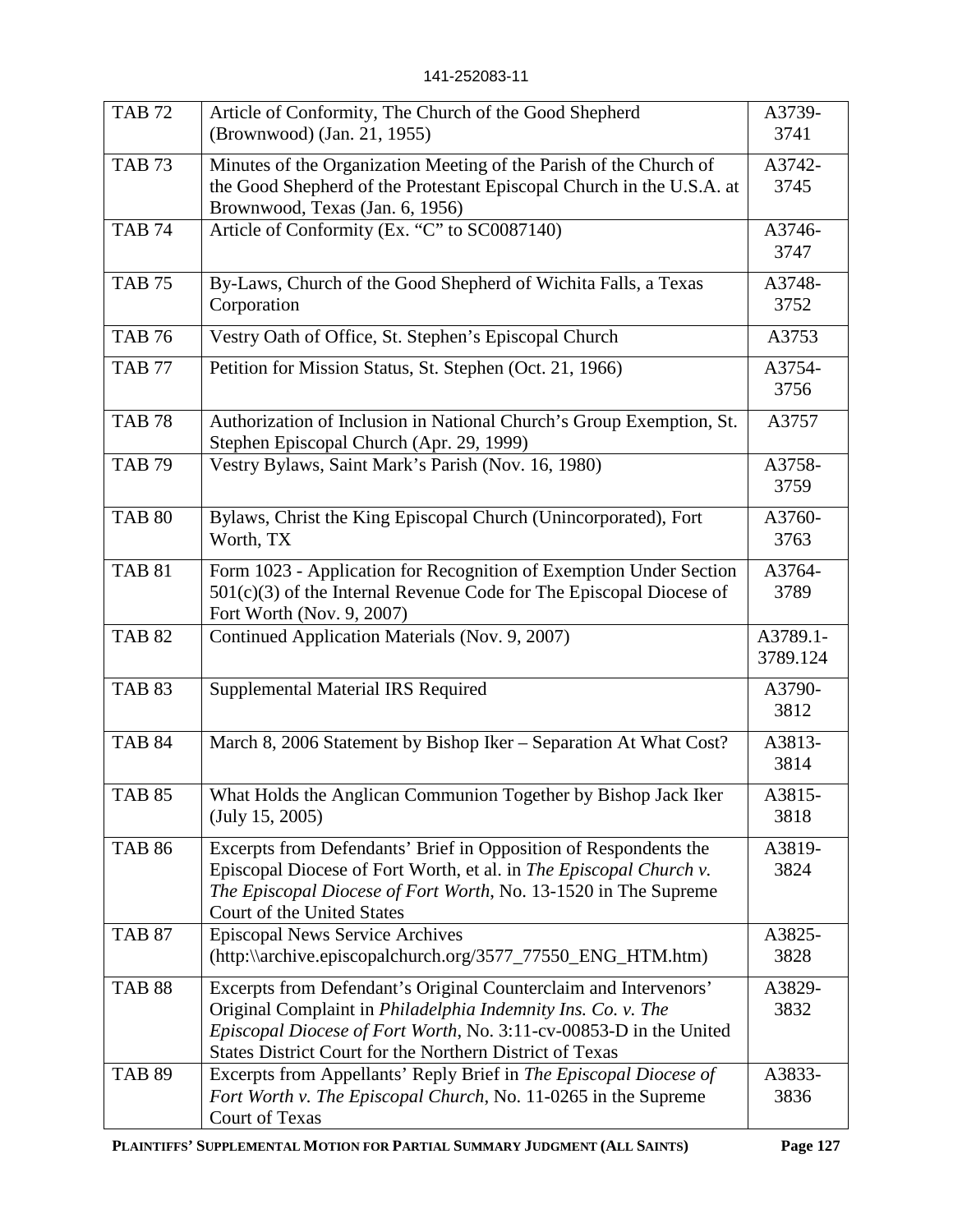| <b>TAB 72</b> | Article of Conformity, The Church of the Good Shepherd<br>(Brownwood) (Jan. 21, 1955)                                                                                                                                                                                     | A3739-<br>3741       |
|---------------|---------------------------------------------------------------------------------------------------------------------------------------------------------------------------------------------------------------------------------------------------------------------------|----------------------|
| <b>TAB 73</b> | Minutes of the Organization Meeting of the Parish of the Church of<br>the Good Shepherd of the Protestant Episcopal Church in the U.S.A. at<br>Brownwood, Texas (Jan. 6, 1956)                                                                                            | A3742-<br>3745       |
| <b>TAB 74</b> | Article of Conformity (Ex. "C" to SC0087140)                                                                                                                                                                                                                              | A3746-<br>3747       |
| <b>TAB 75</b> | By-Laws, Church of the Good Shepherd of Wichita Falls, a Texas<br>Corporation                                                                                                                                                                                             | A3748-<br>3752       |
| <b>TAB 76</b> | Vestry Oath of Office, St. Stephen's Episcopal Church                                                                                                                                                                                                                     | A3753                |
| <b>TAB 77</b> | Petition for Mission Status, St. Stephen (Oct. 21, 1966)                                                                                                                                                                                                                  | A3754-<br>3756       |
| <b>TAB 78</b> | Authorization of Inclusion in National Church's Group Exemption, St.<br>Stephen Episcopal Church (Apr. 29, 1999)                                                                                                                                                          | A3757                |
| <b>TAB 79</b> | Vestry Bylaws, Saint Mark's Parish (Nov. 16, 1980)                                                                                                                                                                                                                        | A3758-<br>3759       |
| <b>TAB 80</b> | Bylaws, Christ the King Episcopal Church (Unincorporated), Fort<br>Worth, TX                                                                                                                                                                                              | A3760-<br>3763       |
| <b>TAB 81</b> | Form 1023 - Application for Recognition of Exemption Under Section<br>501(c)(3) of the Internal Revenue Code for The Episcopal Diocese of<br>Fort Worth (Nov. 9, 2007)                                                                                                    | A3764-<br>3789       |
| <b>TAB 82</b> | Continued Application Materials (Nov. 9, 2007)                                                                                                                                                                                                                            | A3789.1-<br>3789.124 |
| <b>TAB 83</b> | Supplemental Material IRS Required                                                                                                                                                                                                                                        | A3790-<br>3812       |
| <b>TAB 84</b> | March 8, 2006 Statement by Bishop Iker - Separation At What Cost?                                                                                                                                                                                                         | A3813-<br>3814       |
| <b>TAB 85</b> | What Holds the Anglican Communion Together by Bishop Jack Iker<br>(July 15, 2005)                                                                                                                                                                                         | A3815-<br>3818       |
| <b>TAB 86</b> | Excerpts from Defendants' Brief in Opposition of Respondents the<br>Episcopal Diocese of Fort Worth, et al. in The Episcopal Church v.<br>The Episcopal Diocese of Fort Worth, No. 13-1520 in The Supreme<br>Court of the United States                                   | A3819-<br>3824       |
| <b>TAB 87</b> | <b>Episcopal News Service Archives</b><br>(http:\\archive.episcopalchurch.org/3577_77550_ENG_HTM.htm)                                                                                                                                                                     | A3825-<br>3828       |
| <b>TAB 88</b> | Excerpts from Defendant's Original Counterclaim and Intervenors'<br>Original Complaint in Philadelphia Indemnity Ins. Co. v. The<br>Episcopal Diocese of Fort Worth, No. 3:11-cv-00853-D in the United<br><b>States District Court for the Northern District of Texas</b> | A3829-<br>3832       |
| <b>TAB 89</b> | Excerpts from Appellants' Reply Brief in The Episcopal Diocese of<br>Fort Worth v. The Episcopal Church, No. 11-0265 in the Supreme<br>Court of Texas                                                                                                                     | A3833-<br>3836       |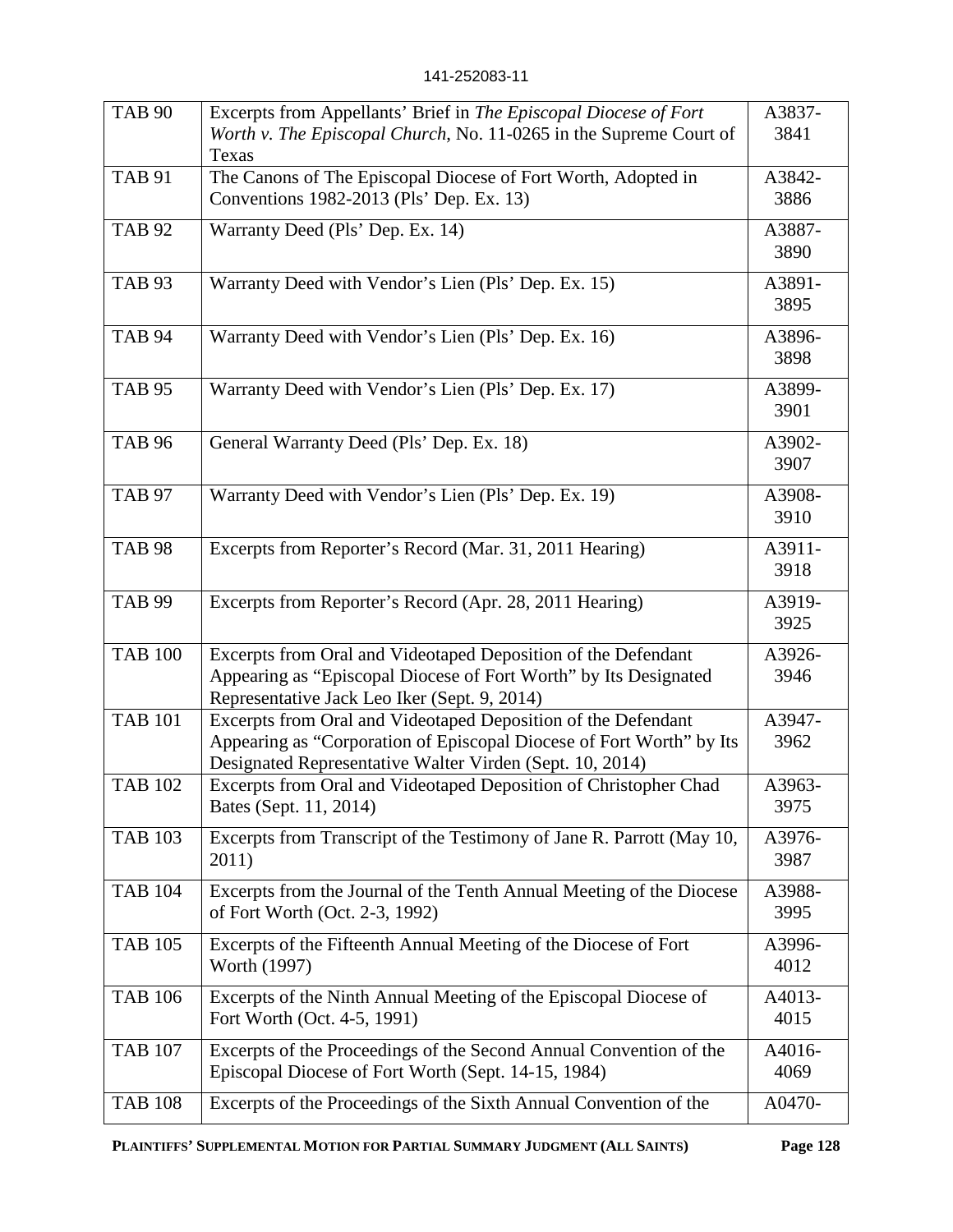| <b>TAB 90</b>  | Excerpts from Appellants' Brief in The Episcopal Diocese of Fort<br>Worth v. The Episcopal Church, No. 11-0265 in the Supreme Court of<br>Texas                                                   | A3837-<br>3841 |
|----------------|---------------------------------------------------------------------------------------------------------------------------------------------------------------------------------------------------|----------------|
| <b>TAB 91</b>  | The Canons of The Episcopal Diocese of Fort Worth, Adopted in<br>Conventions 1982-2013 (Pls' Dep. Ex. 13)                                                                                         | A3842-<br>3886 |
| <b>TAB 92</b>  | Warranty Deed (Pls' Dep. Ex. 14)                                                                                                                                                                  | A3887-<br>3890 |
| <b>TAB 93</b>  | Warranty Deed with Vendor's Lien (Pls' Dep. Ex. 15)                                                                                                                                               | A3891-<br>3895 |
| <b>TAB 94</b>  | Warranty Deed with Vendor's Lien (Pls' Dep. Ex. 16)                                                                                                                                               | A3896-<br>3898 |
| <b>TAB 95</b>  | Warranty Deed with Vendor's Lien (Pls' Dep. Ex. 17)                                                                                                                                               | A3899-<br>3901 |
| <b>TAB 96</b>  | General Warranty Deed (Pls' Dep. Ex. 18)                                                                                                                                                          | A3902-<br>3907 |
| <b>TAB 97</b>  | Warranty Deed with Vendor's Lien (Pls' Dep. Ex. 19)                                                                                                                                               | A3908-<br>3910 |
| <b>TAB 98</b>  | Excerpts from Reporter's Record (Mar. 31, 2011 Hearing)                                                                                                                                           | A3911-<br>3918 |
| <b>TAB 99</b>  | Excerpts from Reporter's Record (Apr. 28, 2011 Hearing)                                                                                                                                           | A3919-<br>3925 |
| <b>TAB 100</b> | Excerpts from Oral and Videotaped Deposition of the Defendant<br>Appearing as "Episcopal Diocese of Fort Worth" by Its Designated<br>Representative Jack Leo Iker (Sept. 9, 2014)                 | A3926-<br>3946 |
| <b>TAB 101</b> | Excerpts from Oral and Videotaped Deposition of the Defendant<br>Appearing as "Corporation of Episcopal Diocese of Fort Worth" by Its<br>Designated Representative Walter Virden (Sept. 10, 2014) | A3947-<br>3962 |
| <b>TAB 102</b> | Excerpts from Oral and Videotaped Deposition of Christopher Chad<br>Bates (Sept. 11, 2014)                                                                                                        | A3963-<br>3975 |
| <b>TAB 103</b> | Excerpts from Transcript of the Testimony of Jane R. Parrott (May 10,<br>2011)                                                                                                                    | A3976-<br>3987 |
| <b>TAB 104</b> | Excerpts from the Journal of the Tenth Annual Meeting of the Diocese<br>of Fort Worth (Oct. 2-3, 1992)                                                                                            | A3988-<br>3995 |
| <b>TAB 105</b> | Excerpts of the Fifteenth Annual Meeting of the Diocese of Fort<br>Worth (1997)                                                                                                                   | A3996-<br>4012 |
| <b>TAB 106</b> | Excerpts of the Ninth Annual Meeting of the Episcopal Diocese of<br>Fort Worth (Oct. 4-5, 1991)                                                                                                   | A4013-<br>4015 |
| <b>TAB 107</b> | Excerpts of the Proceedings of the Second Annual Convention of the<br>Episcopal Diocese of Fort Worth (Sept. 14-15, 1984)                                                                         | A4016-<br>4069 |
| <b>TAB 108</b> | Excerpts of the Proceedings of the Sixth Annual Convention of the                                                                                                                                 | A0470-         |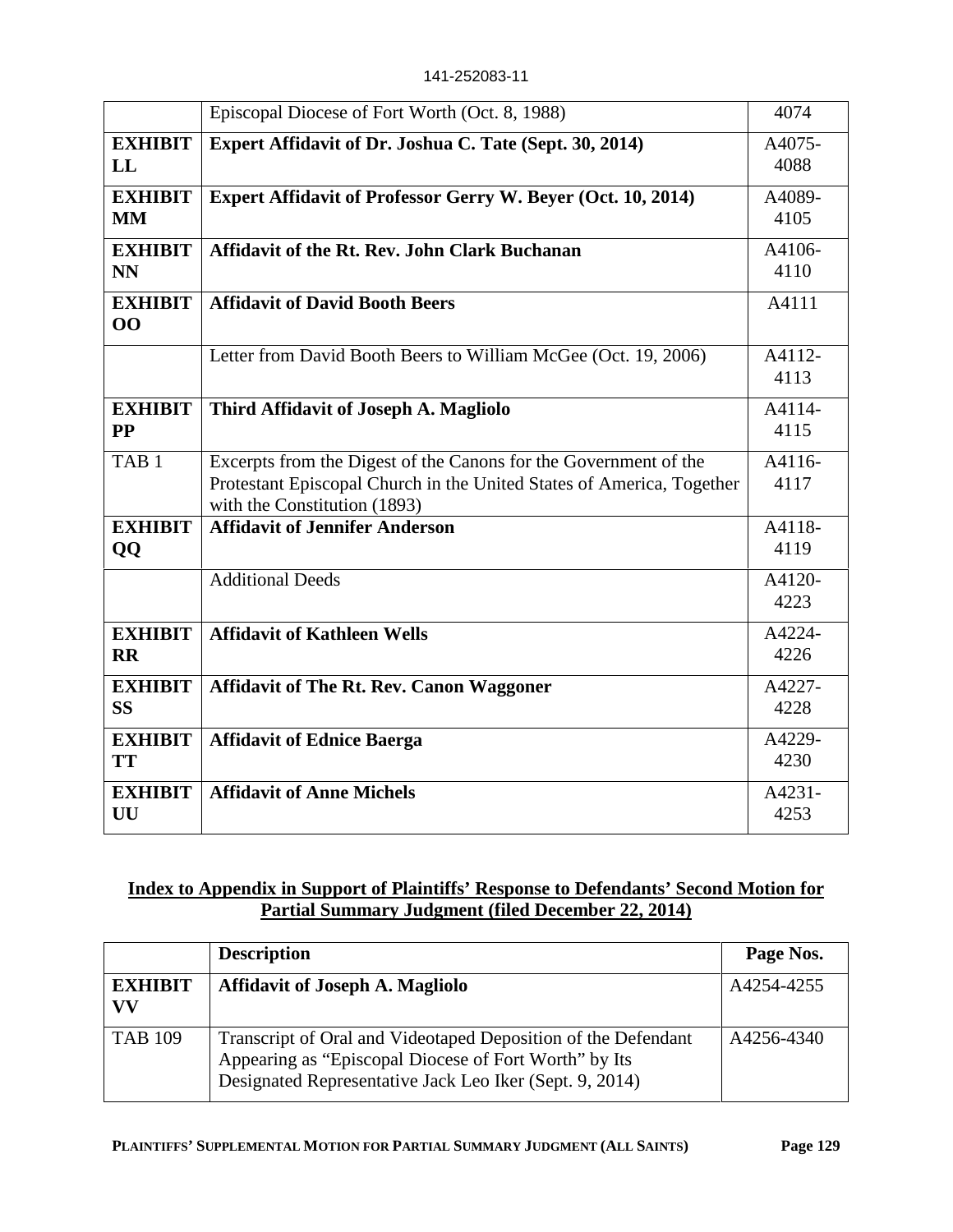141-252083-11

|                             | Episcopal Diocese of Fort Worth (Oct. 8, 1988)                                                                                                                            | 4074           |
|-----------------------------|---------------------------------------------------------------------------------------------------------------------------------------------------------------------------|----------------|
| <b>EXHIBIT</b><br>LL        | Expert Affidavit of Dr. Joshua C. Tate (Sept. 30, 2014)                                                                                                                   | A4075-<br>4088 |
| <b>EXHIBIT</b><br><b>MM</b> | Expert Affidavit of Professor Gerry W. Beyer (Oct. 10, 2014)                                                                                                              | A4089-<br>4105 |
| <b>EXHIBIT</b><br><b>NN</b> | <b>Affidavit of the Rt. Rev. John Clark Buchanan</b>                                                                                                                      | A4106-<br>4110 |
| <b>EXHIBIT</b><br>00        | <b>Affidavit of David Booth Beers</b>                                                                                                                                     | A4111          |
|                             | Letter from David Booth Beers to William McGee (Oct. 19, 2006)                                                                                                            | A4112-<br>4113 |
| <b>EXHIBIT</b><br><b>PP</b> | Third Affidavit of Joseph A. Magliolo                                                                                                                                     | A4114-<br>4115 |
| TAB <sub>1</sub>            | Excerpts from the Digest of the Canons for the Government of the<br>Protestant Episcopal Church in the United States of America, Together<br>with the Constitution (1893) | A4116-<br>4117 |
| <b>EXHIBIT</b><br>QQ        | <b>Affidavit of Jennifer Anderson</b>                                                                                                                                     | A4118-<br>4119 |
|                             | <b>Additional Deeds</b>                                                                                                                                                   | A4120-<br>4223 |
| <b>EXHIBIT</b><br><b>RR</b> | <b>Affidavit of Kathleen Wells</b>                                                                                                                                        | A4224-<br>4226 |
| <b>EXHIBIT</b><br><b>SS</b> | <b>Affidavit of The Rt. Rev. Canon Waggoner</b>                                                                                                                           | A4227-<br>4228 |
| <b>EXHIBIT</b><br><b>TT</b> | <b>Affidavit of Ednice Baerga</b>                                                                                                                                         | A4229-<br>4230 |
| <b>EXHIBIT</b><br>UU        | <b>Affidavit of Anne Michels</b>                                                                                                                                          | A4231-<br>4253 |

# **Index to Appendix in Support of Plaintiffs' Response to Defendants' Second Motion for Partial Summary Judgment (filed December 22, 2014)**

|                      | <b>Description</b>                                                                                                                                                                | Page Nos.  |
|----------------------|-----------------------------------------------------------------------------------------------------------------------------------------------------------------------------------|------------|
| <b>EXHIBIT</b><br>VV | <b>Affidavit of Joseph A. Magliolo</b>                                                                                                                                            | A4254-4255 |
| <b>TAB 109</b>       | Transcript of Oral and Videotaped Deposition of the Defendant<br>Appearing as "Episcopal Diocese of Fort Worth" by Its<br>Designated Representative Jack Leo Iker (Sept. 9, 2014) | A4256-4340 |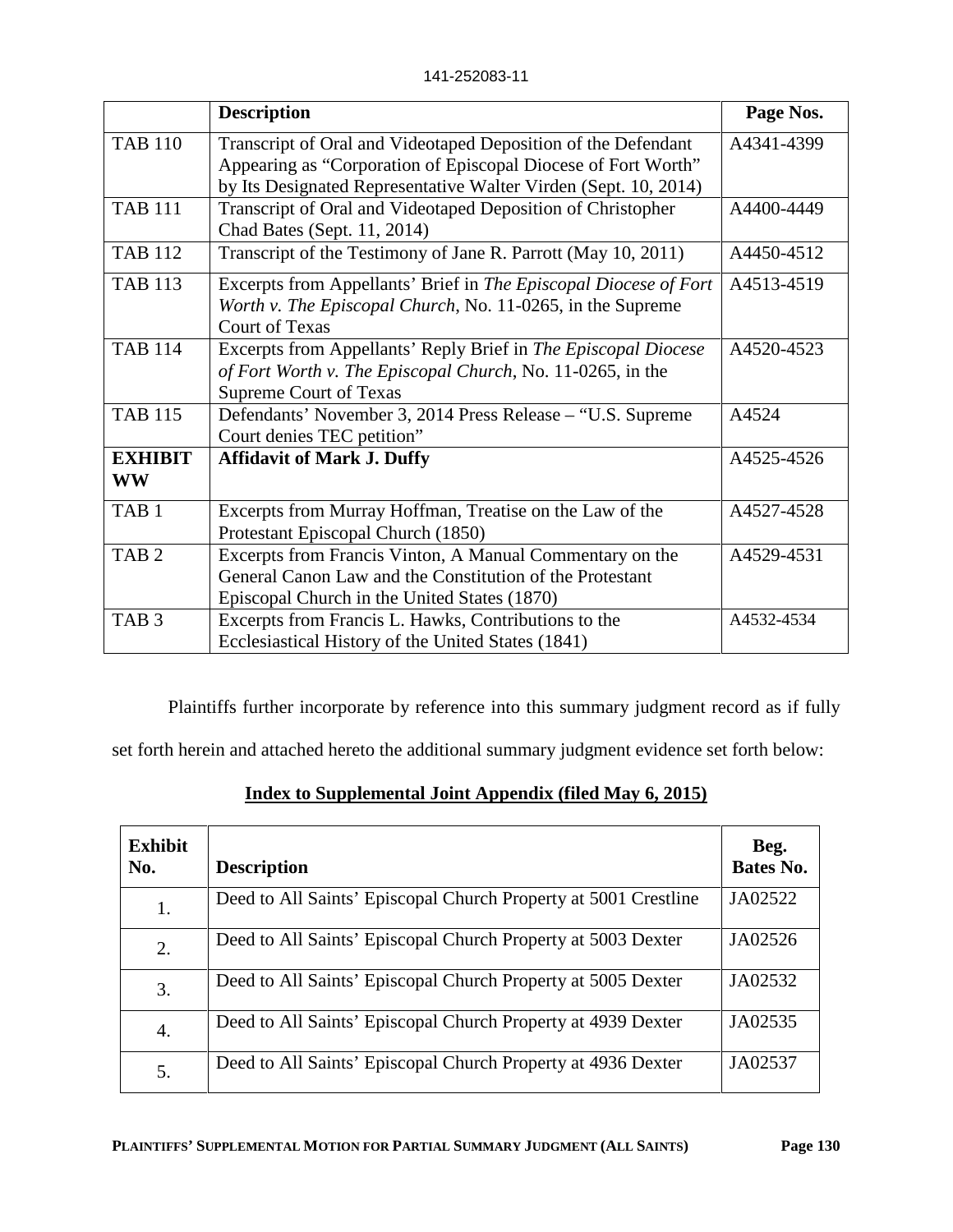|                             | <b>Description</b>                                                                                                                                            | Page Nos.  |
|-----------------------------|---------------------------------------------------------------------------------------------------------------------------------------------------------------|------------|
| <b>TAB 110</b>              | Transcript of Oral and Videotaped Deposition of the Defendant                                                                                                 | A4341-4399 |
|                             | Appearing as "Corporation of Episcopal Diocese of Fort Worth"                                                                                                 |            |
|                             | by Its Designated Representative Walter Virden (Sept. 10, 2014)                                                                                               |            |
| <b>TAB 111</b>              | Transcript of Oral and Videotaped Deposition of Christopher<br>Chad Bates (Sept. 11, 2014)                                                                    | A4400-4449 |
| <b>TAB 112</b>              | Transcript of the Testimony of Jane R. Parrott (May 10, 2011)                                                                                                 | A4450-4512 |
| <b>TAB 113</b>              | Excerpts from Appellants' Brief in The Episcopal Diocese of Fort<br>Worth v. The Episcopal Church, No. 11-0265, in the Supreme<br><b>Court of Texas</b>       | A4513-4519 |
| <b>TAB 114</b>              | Excerpts from Appellants' Reply Brief in The Episcopal Diocese<br>of Fort Worth v. The Episcopal Church, No. 11-0265, in the<br><b>Supreme Court of Texas</b> | A4520-4523 |
| <b>TAB 115</b>              | Defendants' November 3, 2014 Press Release – "U.S. Supreme<br>Court denies TEC petition"                                                                      | A4524      |
| <b>EXHIBIT</b><br><b>WW</b> | <b>Affidavit of Mark J. Duffy</b>                                                                                                                             | A4525-4526 |
| TAB <sub>1</sub>            | Excerpts from Murray Hoffman, Treatise on the Law of the<br>Protestant Episcopal Church (1850)                                                                | A4527-4528 |
| TAB <sub>2</sub>            | Excerpts from Francis Vinton, A Manual Commentary on the                                                                                                      | A4529-4531 |
|                             | General Canon Law and the Constitution of the Protestant                                                                                                      |            |
|                             | Episcopal Church in the United States (1870)                                                                                                                  |            |
| TAB <sub>3</sub>            | Excerpts from Francis L. Hawks, Contributions to the                                                                                                          | A4532-4534 |
|                             | Ecclesiastical History of the United States (1841)                                                                                                            |            |

Plaintiffs further incorporate by reference into this summary judgment record as if fully

set forth herein and attached hereto the additional summary judgment evidence set forth below:

# **Index to Supplemental Joint Appendix (filed May 6, 2015)**

| <b>Exhibit</b><br>No. | <b>Description</b>                                              | Beg.<br><b>Bates No.</b> |
|-----------------------|-----------------------------------------------------------------|--------------------------|
| 1.                    | Deed to All Saints' Episcopal Church Property at 5001 Crestline | JA02522                  |
| 2.                    | Deed to All Saints' Episcopal Church Property at 5003 Dexter    | JA02526                  |
| 3.                    | Deed to All Saints' Episcopal Church Property at 5005 Dexter    | JA02532                  |
| 4.                    | Deed to All Saints' Episcopal Church Property at 4939 Dexter    | JA02535                  |
| 5.                    | Deed to All Saints' Episcopal Church Property at 4936 Dexter    | JA02537                  |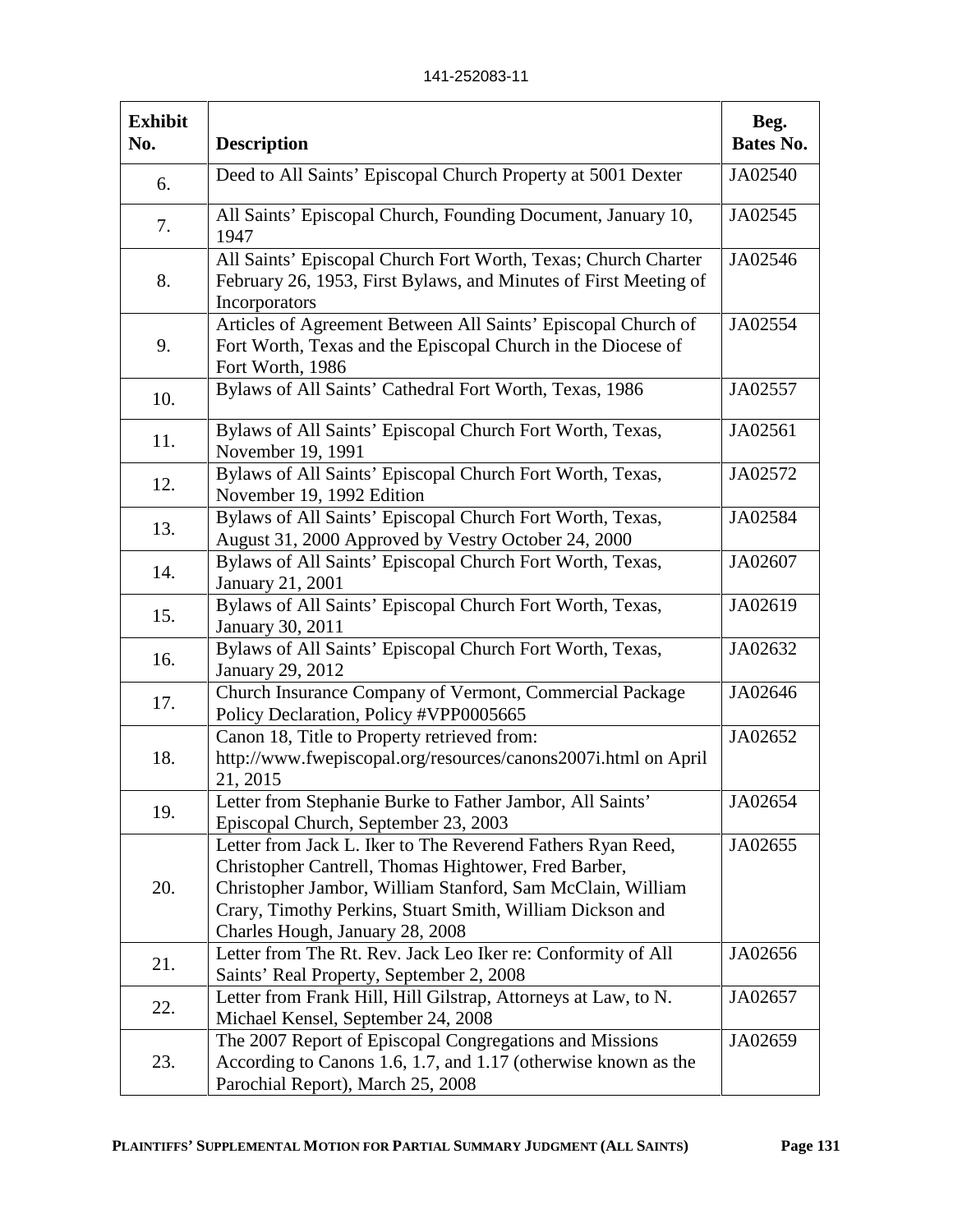| <b>Exhibit</b><br>No. | <b>Description</b>                                                                                                                                                                                                                                                                | Beg.<br>Bates No. |
|-----------------------|-----------------------------------------------------------------------------------------------------------------------------------------------------------------------------------------------------------------------------------------------------------------------------------|-------------------|
| 6.                    | Deed to All Saints' Episcopal Church Property at 5001 Dexter                                                                                                                                                                                                                      | JA02540           |
| 7.                    | All Saints' Episcopal Church, Founding Document, January 10,<br>1947                                                                                                                                                                                                              | JA02545           |
| 8.                    | All Saints' Episcopal Church Fort Worth, Texas; Church Charter<br>February 26, 1953, First Bylaws, and Minutes of First Meeting of<br>Incorporators                                                                                                                               | JA02546           |
| 9.                    | Articles of Agreement Between All Saints' Episcopal Church of<br>Fort Worth, Texas and the Episcopal Church in the Diocese of<br>Fort Worth, 1986                                                                                                                                 | JA02554           |
| 10.                   | Bylaws of All Saints' Cathedral Fort Worth, Texas, 1986                                                                                                                                                                                                                           | JA02557           |
| 11.                   | Bylaws of All Saints' Episcopal Church Fort Worth, Texas,<br>November 19, 1991                                                                                                                                                                                                    | JA02561           |
| 12.                   | Bylaws of All Saints' Episcopal Church Fort Worth, Texas,<br>November 19, 1992 Edition                                                                                                                                                                                            | JA02572           |
| 13.                   | Bylaws of All Saints' Episcopal Church Fort Worth, Texas,<br>August 31, 2000 Approved by Vestry October 24, 2000                                                                                                                                                                  | JA02584           |
| 14.                   | Bylaws of All Saints' Episcopal Church Fort Worth, Texas,<br>January 21, 2001                                                                                                                                                                                                     | JA02607           |
| 15.                   | Bylaws of All Saints' Episcopal Church Fort Worth, Texas,<br>January 30, 2011                                                                                                                                                                                                     | JA02619           |
| 16.                   | Bylaws of All Saints' Episcopal Church Fort Worth, Texas,<br><b>January 29, 2012</b>                                                                                                                                                                                              | JA02632           |
| 17.                   | Church Insurance Company of Vermont, Commercial Package<br>Policy Declaration, Policy #VPP0005665                                                                                                                                                                                 | JA02646           |
| 18.                   | Canon 18, Title to Property retrieved from:<br>http://www.fwepiscopal.org/resources/canons2007i.html on April<br>21, 2015                                                                                                                                                         | JA02652           |
| 19.                   | Letter from Stephanie Burke to Father Jambor, All Saints'<br>Episcopal Church, September 23, 2003                                                                                                                                                                                 | JA02654           |
| 20.                   | Letter from Jack L. Iker to The Reverend Fathers Ryan Reed,<br>Christopher Cantrell, Thomas Hightower, Fred Barber,<br>Christopher Jambor, William Stanford, Sam McClain, William<br>Crary, Timothy Perkins, Stuart Smith, William Dickson and<br>Charles Hough, January 28, 2008 | JA02655           |
| 21.                   | Letter from The Rt. Rev. Jack Leo Iker re: Conformity of All<br>Saints' Real Property, September 2, 2008                                                                                                                                                                          | JA02656           |
| 22.                   | Letter from Frank Hill, Hill Gilstrap, Attorneys at Law, to N.<br>Michael Kensel, September 24, 2008                                                                                                                                                                              | JA02657           |
| 23.                   | The 2007 Report of Episcopal Congregations and Missions<br>According to Canons 1.6, 1.7, and 1.17 (otherwise known as the<br>Parochial Report), March 25, 2008                                                                                                                    | JA02659           |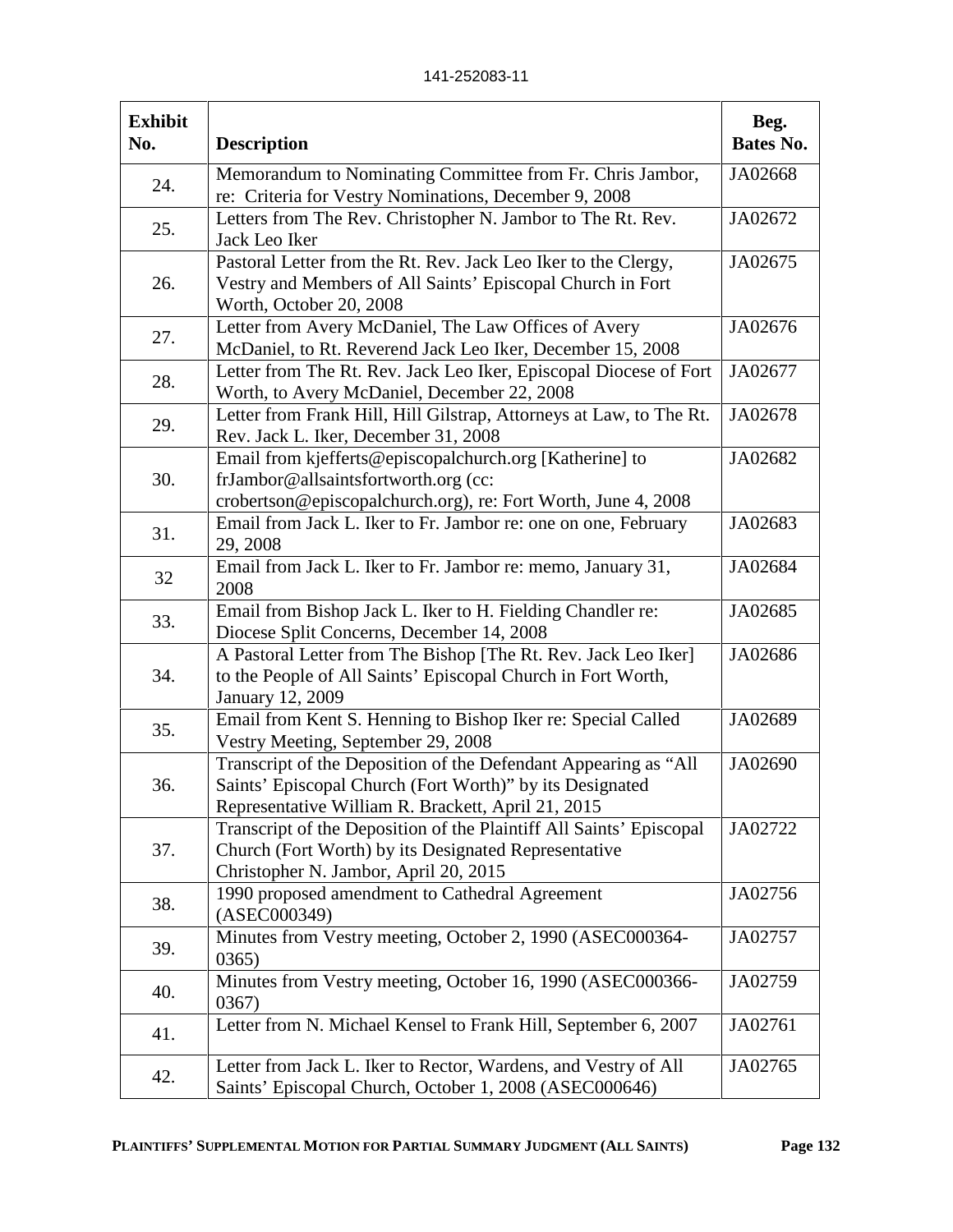141-252083-11

| <b>Exhibit</b><br>No. | <b>Description</b>                                                                                                                                                                | Beg.<br>Bates No. |
|-----------------------|-----------------------------------------------------------------------------------------------------------------------------------------------------------------------------------|-------------------|
| 24.                   | Memorandum to Nominating Committee from Fr. Chris Jambor,<br>re: Criteria for Vestry Nominations, December 9, 2008                                                                | JA02668           |
| 25.                   | Letters from The Rev. Christopher N. Jambor to The Rt. Rev.<br>Jack Leo Iker                                                                                                      | JA02672           |
| 26.                   | Pastoral Letter from the Rt. Rev. Jack Leo Iker to the Clergy,<br>Vestry and Members of All Saints' Episcopal Church in Fort<br>Worth, October 20, 2008                           | JA02675           |
| 27.                   | Letter from Avery McDaniel, The Law Offices of Avery<br>McDaniel, to Rt. Reverend Jack Leo Iker, December 15, 2008                                                                | JA02676           |
| 28.                   | Letter from The Rt. Rev. Jack Leo Iker, Episcopal Diocese of Fort<br>Worth, to Avery McDaniel, December 22, 2008                                                                  | JA02677           |
| 29.                   | Letter from Frank Hill, Hill Gilstrap, Attorneys at Law, to The Rt.<br>Rev. Jack L. Iker, December 31, 2008                                                                       | JA02678           |
| 30.                   | Email from kjefferts@episcopalchurch.org [Katherine] to<br>frJambor@allsaintsfortworth.org (cc:<br>crobertson@episcopalchurch.org), re: Fort Worth, June 4, 2008                  | JA02682           |
| 31.                   | Email from Jack L. Iker to Fr. Jambor re: one on one, February<br>29, 2008                                                                                                        | JA02683           |
| 32                    | Email from Jack L. Iker to Fr. Jambor re: memo, January 31,<br>2008                                                                                                               | JA02684           |
| 33.                   | Email from Bishop Jack L. Iker to H. Fielding Chandler re:<br>Diocese Split Concerns, December 14, 2008                                                                           | JA02685           |
| 34.                   | A Pastoral Letter from The Bishop [The Rt. Rev. Jack Leo Iker]<br>to the People of All Saints' Episcopal Church in Fort Worth,<br><b>January 12, 2009</b>                         | JA02686           |
| 35.                   | Email from Kent S. Henning to Bishop Iker re: Special Called<br>Vestry Meeting, September 29, 2008                                                                                | JA02689           |
| 36.                   | Transcript of the Deposition of the Defendant Appearing as "All<br>Saints' Episcopal Church (Fort Worth)" by its Designated<br>Representative William R. Brackett, April 21, 2015 | JA02690           |
| 37.                   | Transcript of the Deposition of the Plaintiff All Saints' Episcopal<br>Church (Fort Worth) by its Designated Representative<br>Christopher N. Jambor, April 20, 2015              | JA02722           |
| 38.                   | 1990 proposed amendment to Cathedral Agreement<br>(ASEC000349)                                                                                                                    | JA02756           |
| 39.                   | Minutes from Vestry meeting, October 2, 1990 (ASEC000364-<br>0365)                                                                                                                | JA02757           |
| 40.                   | Minutes from Vestry meeting, October 16, 1990 (ASEC000366-<br>0367)                                                                                                               | JA02759           |
| 41.                   | Letter from N. Michael Kensel to Frank Hill, September 6, 2007                                                                                                                    | JA02761           |
| 42.                   | Letter from Jack L. Iker to Rector, Wardens, and Vestry of All<br>Saints' Episcopal Church, October 1, 2008 (ASEC000646)                                                          | JA02765           |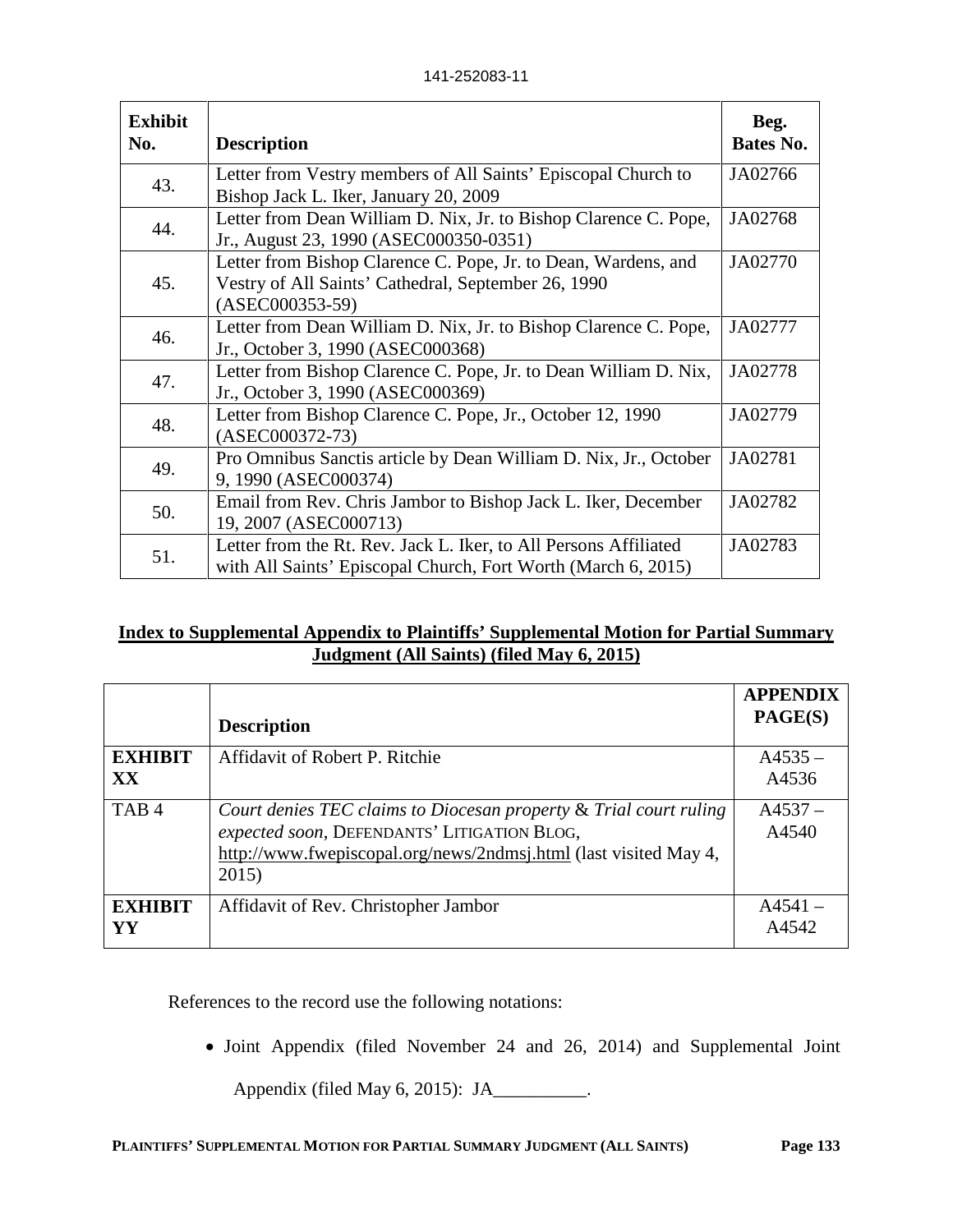141-252083-11

| <b>Exhibit</b><br>No. | <b>Description</b>                                                                                                                         | Beg.<br>Bates No. |
|-----------------------|--------------------------------------------------------------------------------------------------------------------------------------------|-------------------|
| 43.                   | Letter from Vestry members of All Saints' Episcopal Church to<br>Bishop Jack L. Iker, January 20, 2009                                     | JA02766           |
| 44.                   | Letter from Dean William D. Nix, Jr. to Bishop Clarence C. Pope,<br>Jr., August 23, 1990 (ASEC000350-0351)                                 | JA02768           |
| 45.                   | Letter from Bishop Clarence C. Pope, Jr. to Dean, Wardens, and<br>Vestry of All Saints' Cathedral, September 26, 1990<br>$(ASEC000353-59)$ | JA02770           |
| 46.                   | Letter from Dean William D. Nix, Jr. to Bishop Clarence C. Pope,<br>Jr., October 3, 1990 (ASEC000368)                                      | JA02777           |
| 47.                   | Letter from Bishop Clarence C. Pope, Jr. to Dean William D. Nix,<br>Jr., October 3, 1990 (ASEC000369)                                      | JA02778           |
| 48.                   | Letter from Bishop Clarence C. Pope, Jr., October 12, 1990<br>$(ASEC000372-73)$                                                            | JA02779           |
| 49.                   | Pro Omnibus Sanctis article by Dean William D. Nix, Jr., October<br>9, 1990 (ASEC000374)                                                   | JA02781           |
| 50.                   | Email from Rev. Chris Jambor to Bishop Jack L. Iker, December<br>19, 2007 (ASEC000713)                                                     | JA02782           |
| 51.                   | Letter from the Rt. Rev. Jack L. Iker, to All Persons Affiliated<br>with All Saints' Episcopal Church, Fort Worth (March 6, 2015)          | JA02783           |

# **Index to Supplemental Appendix to Plaintiffs' Supplemental Motion for Partial Summary Judgment (All Saints) (filed May 6, 2015)**

|                      | <b>Description</b>                                                                                                                                                                            | <b>APPENDIX</b><br>PAGE(S) |
|----------------------|-----------------------------------------------------------------------------------------------------------------------------------------------------------------------------------------------|----------------------------|
| <b>EXHIBIT</b><br>XX | Affidavit of Robert P. Ritchie                                                                                                                                                                | $A4535 -$<br>A4536         |
| TAB <sub>4</sub>     | Court denies TEC claims to Diocesan property & Trial court ruling<br>expected soon, DEFENDANTS' LITIGATION BLOG,<br>http://www.fwepiscopal.org/news/2ndmsj.html (last visited May 4,<br>2015) | $A4537 -$<br>A4540         |
| <b>EXHIBIT</b><br>YY | Affidavit of Rev. Christopher Jambor                                                                                                                                                          | $A4541 -$<br>A4542         |

References to the record use the following notations:

Joint Appendix (filed November 24 and 26, 2014) and Supplemental Joint

Appendix (filed May 6, 2015): JA\_\_\_\_\_\_\_\_\_\_.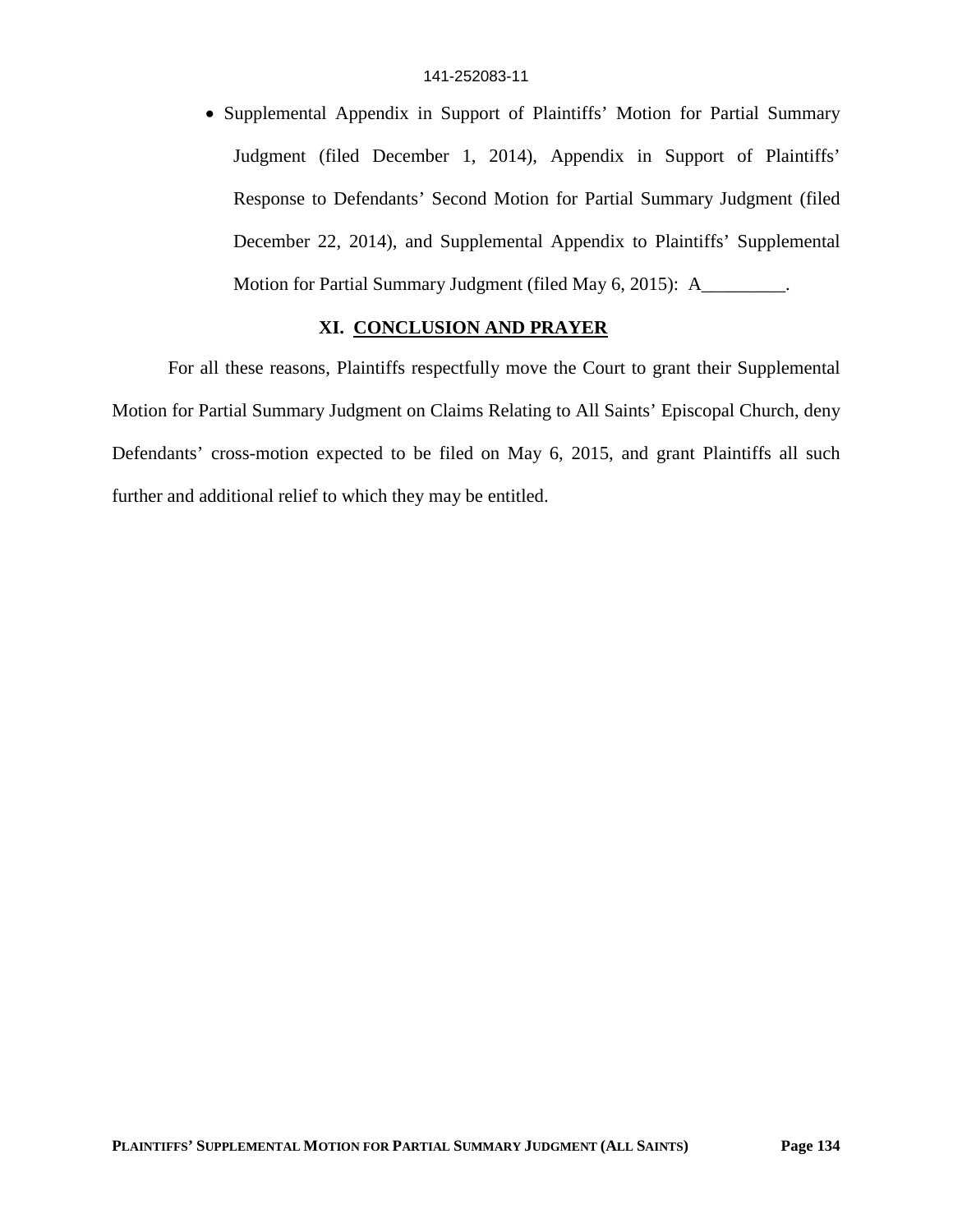• Supplemental Appendix in Support of Plaintiffs' Motion for Partial Summary Judgment (filed December 1, 2014), Appendix in Support of Plaintiffs' Response to Defendants' Second Motion for Partial Summary Judgment (filed December 22, 2014), and Supplemental Appendix to Plaintiffs' Supplemental Motion for Partial Summary Judgment (filed May 6, 2015): A\_\_\_\_\_\_\_\_\_.

## **XI. CONCLUSION AND PRAYER**

For all these reasons, Plaintiffs respectfully move the Court to grant their Supplemental Motion for Partial Summary Judgment on Claims Relating to All Saints' Episcopal Church, deny Defendants' cross-motion expected to be filed on May 6, 2015, and grant Plaintiffs all such further and additional relief to which they may be entitled.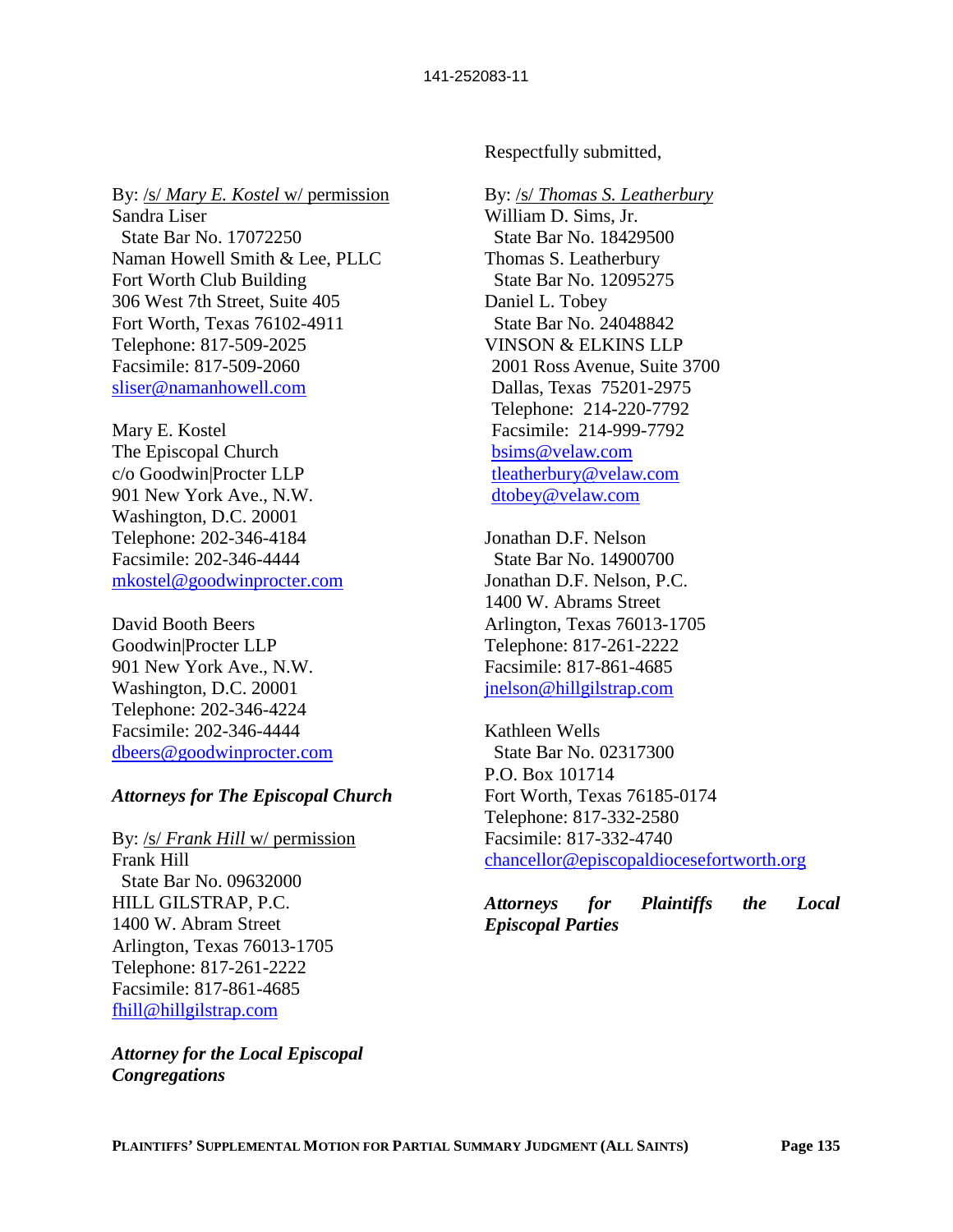By: /s/ *Mary E. Kostel* w/ permission Sandra Liser State Bar No. 17072250 Naman Howell Smith & Lee, PLLC Fort Worth Club Building 306 West 7th Street, Suite 405 Fort Worth, Texas 76102-4911 Telephone: 817-509-2025 Facsimile: 817-509-2060 sliser@namanhowell.com

Mary E. Kostel The Episcopal Church c/o Goodwin|Procter LLP 901 New York Ave., N.W. Washington, D.C. 20001 Telephone: 202-346-4184 Facsimile: 202-346-4444 mkostel@goodwinprocter.com

David Booth Beers Goodwin|Procter LLP 901 New York Ave., N.W. Washington, D.C. 20001 Telephone: 202-346-4224 Facsimile: 202-346-4444 dbeers@goodwinprocter.com

## *Attorneys for The Episcopal Church*

By: /s/ *Frank Hill* w/ permission Frank Hill State Bar No. 09632000 HILL GILSTRAP, P.C. 1400 W. Abram Street Arlington, Texas 76013-1705 Telephone: 817-261-2222 Facsimile: 817-861-4685 fhill@hillgilstrap.com

*Attorney for the Local Episcopal Congregations*

Respectfully submitted,

#### By: /s/ *Thomas S. Leatherbury*

William D. Sims, Jr. State Bar No. 18429500 Thomas S. Leatherbury State Bar No. 12095275 Daniel L. Tobey State Bar No. 24048842 VINSON & ELKINS LLP 2001 Ross Avenue, Suite 3700 Dallas, Texas 75201-2975 Telephone: 214-220-7792 Facsimile: 214-999-7792 bsims@velaw.com tleatherbury@velaw.com dtobey@velaw.com

Jonathan D.F. Nelson State Bar No. 14900700 Jonathan D.F. Nelson, P.C. 1400 W. Abrams Street Arlington, Texas 76013-1705 Telephone: 817-261-2222 Facsimile: 817-861-4685 jnelson@hillgilstrap.com

Kathleen Wells State Bar No. 02317300 P.O. Box 101714 Fort Worth, Texas 76185-0174 Telephone: 817-332-2580 Facsimile: 817-332-4740 chancellor@episcopaldiocesefortworth.org

*Attorneys for Plaintiffs the Local Episcopal Parties*